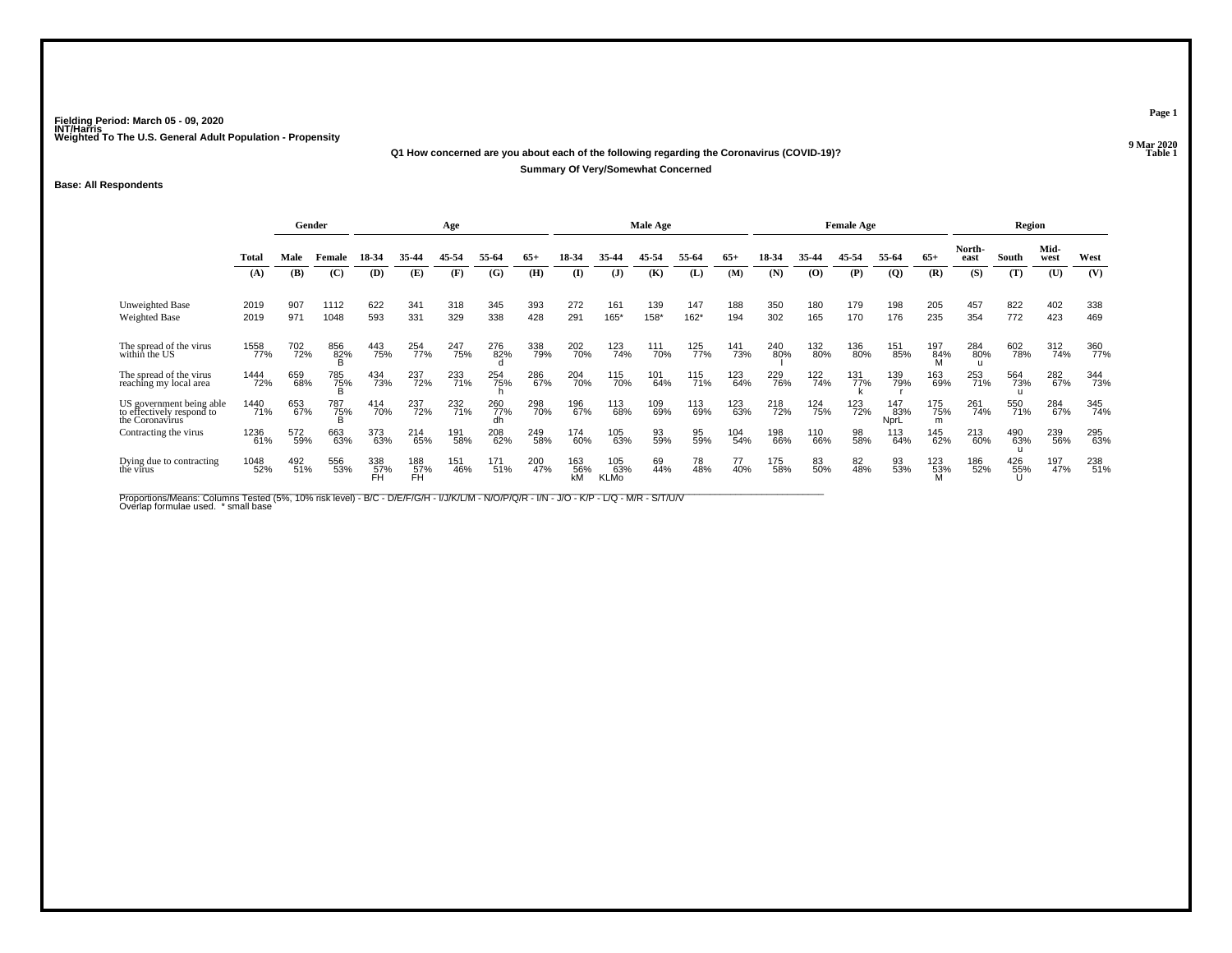#### **Q1 How concerned are you about each of the following regarding the Coronavirus (COVID-19)?P Table 1 Summary Of Very/Somewhat Concerned**

### **Base: All Respondents**

|                                                                          |              |            | Gender          |                  |                  | Age        |            |            |              |                           | Male Age    |               |            |            |            | <b>Female Age</b> |                    |                 |                | Region     |              |            |
|--------------------------------------------------------------------------|--------------|------------|-----------------|------------------|------------------|------------|------------|------------|--------------|---------------------------|-------------|---------------|------------|------------|------------|-------------------|--------------------|-----------------|----------------|------------|--------------|------------|
|                                                                          | Tota         | Male       | Female          | 18-34            | 35-44            | 45-54      | 55-64      | $65+$      | 18-34        | 35.44                     | 45-54       | 55-64         | $65+$      | 18-34      | 35-44      | 45-54             | 55-64              | $65+$           | North-<br>east | South      | Mid-<br>west | West       |
|                                                                          | (A)          | (B)        | (C)             | <b>(D)</b>       | (E)              | (F)        | (G)        | (H)        | $\mathbf{D}$ | $\mathbf{J}$              | (K)         | (L)           | (M)        | (N)        | (0)        | (P)               | $\overline{Q}$     | (R)             | (S)            | (T)        | (U)          | (V)        |
| Unweighted Base<br>Weighted Base                                         | 2019<br>2019 | 907<br>971 | 1112<br>1048    | 622<br>593       | 341<br>331       | 318<br>329 | 345<br>338 | 393<br>428 | 272<br>291   | 161<br>165*               | 139<br>158* | 147<br>$162*$ | 188<br>194 | 350<br>302 | 180<br>165 | 179<br>170        | 198<br>176         | 205<br>235      | 457<br>354     | 822<br>772 | 402<br>423   | 338<br>469 |
| The spread of the virus<br>within the US                                 | 1558<br>77%  | 702<br>72% | 856<br>82%      | 443<br>75%       | 254<br>77%       | 247<br>75% | 276<br>82% | 338<br>79% | 202<br>70%   | 123<br>74%                | 111<br>70%  | 125<br>77%    | 141<br>73% | 240<br>80% | 132<br>80% | 136<br>80%        | 151<br>85%         | 197<br>84%      | 284<br>80%     | 602<br>78% | 312<br>74%   | 360<br>77% |
| The spread of the virus<br>reaching my local area                        | 1444<br>72%  | 659<br>68% | 785<br>75%<br>B | 434<br>73%       | 237<br>72%       | 233<br>71% | 254<br>75% | 286<br>67% | 204<br>70%   | 115<br>70%                | 101<br>64%  | 115<br>71%    | 123<br>64% | 229<br>76% | 122<br>74% | 131<br>77%        | 139<br>79%         | 163<br>69%      | 253<br>71%     | 564<br>73% | 282<br>67%   | 344<br>73% |
| US government being able<br>to effectively respond to<br>the Coronavirus | 1440<br>71%  | 653<br>67% | 787<br>75%<br>B | 414<br>70%       | 237<br>72%       | 232<br>71% | 260<br>77% | 298<br>70% | 196<br>67%   | 113<br>68%                | 109<br>69%  | 113<br>69%    | 123<br>63% | 218<br>72% | 124<br>75% | 123<br>72%        | 147<br>83%<br>NprL | 175<br>75%<br>m | 261<br>74%     | 550<br>71% | 284<br>67%   | 345<br>74% |
| Contracting the virus                                                    | 1236<br>61%  | 572<br>59% | 663<br>63%      | 373<br>63%       | 214<br>65%       | 191<br>58% | 208<br>62% | 249<br>58% | 174<br>60%   | 105<br>63%                | 93<br>59%   | 95<br>59%     | 104<br>54% | 198<br>66% | 110<br>66% | 98<br>58%         | 113<br>64%         | 145<br>62%      | 213<br>60%     | 490<br>63% | 239<br>56%   | 295<br>63% |
| Dying due to contracting<br>the virus                                    | 1048<br>52%  | 492<br>51% | 556<br>53%      | 338<br>57%<br>FH | 188<br>57%<br>FH | 151<br>46% | 171<br>51% | 200<br>47% | 163<br>56%   | 105<br>63%<br><b>KLMo</b> | 69<br>44%   | 78<br>48%     | 77<br>40%  | 175<br>58% | 83<br>50%  | 82<br>48%         | 93<br>53%          | 123<br>53%      | 186<br>52%     | 426<br>55% | 197<br>47%   | 238<br>51% |

Proportions/Means: Columns Tested (5%, 10% risk level) - B/C - D/E/F/G/H - I/J/K/L/M - N/O/P/Q/R - I/N - J/O - K/P - L/Q - M/R - S/T/U/V<br>Overlap formulae used. \*small base

**Page 1**

9 Mar 2020<br>Table 1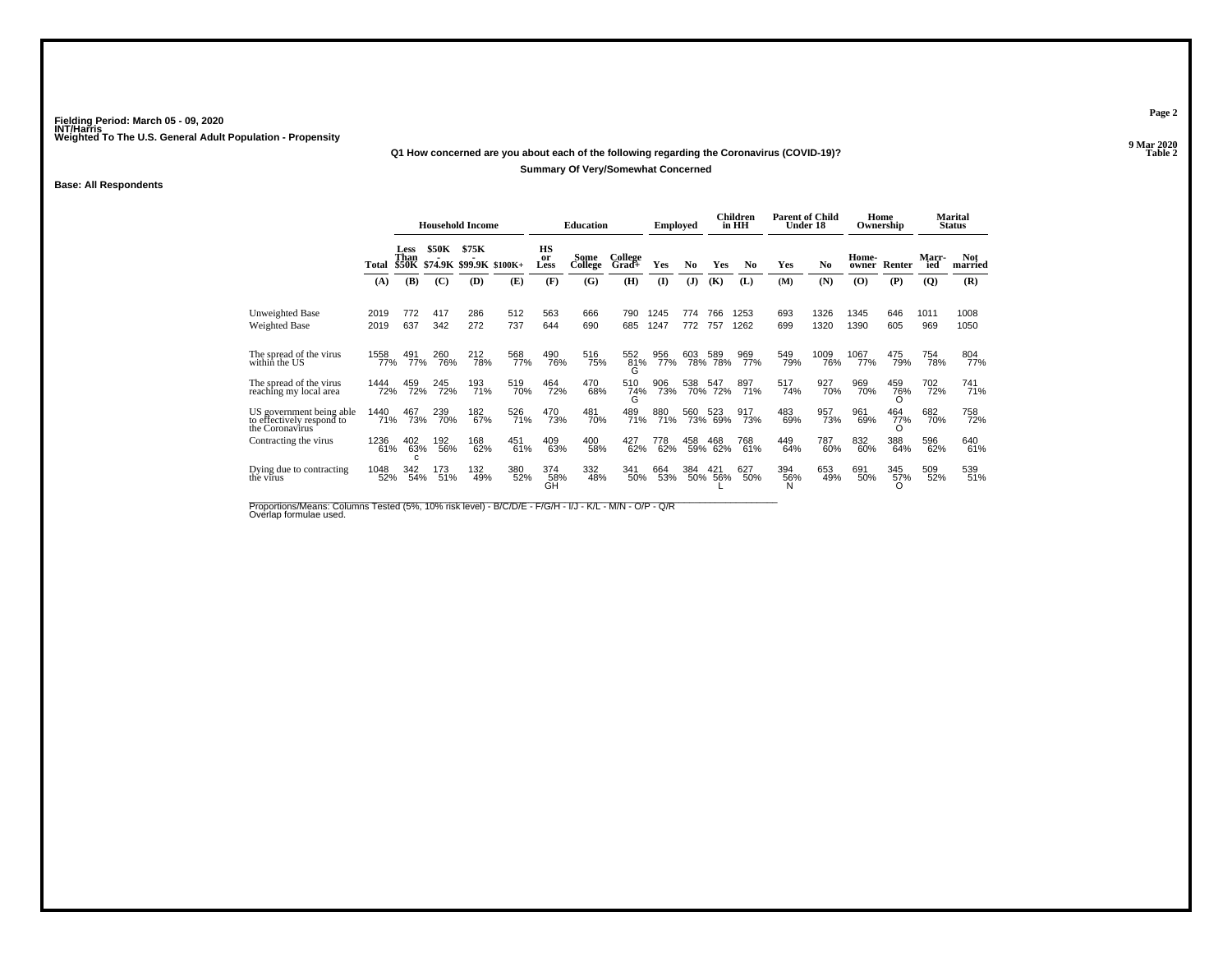# **Q1 How concerned are you about each of the following regarding the Coronavirus (COVID-19)?Summary Of Very/Somewhat Concerned**

### **Base: All Respondents**

|                                                                          |              |              |              | <b>Household Income</b> |                               |                  | <b>Education</b> |                  | <b>Employed</b> |                |                    | Children<br>in HH | <b>Parent of Child</b><br>Under 18 |                |                | Home<br>Ownership      |              | Marital<br><b>Status</b> |
|--------------------------------------------------------------------------|--------------|--------------|--------------|-------------------------|-------------------------------|------------------|------------------|------------------|-----------------|----------------|--------------------|-------------------|------------------------------------|----------------|----------------|------------------------|--------------|--------------------------|
|                                                                          | Total        | Less<br>Than | <b>\$50K</b> | \$75K                   | \$50K \$74.9K \$99.9K \$100K+ | HS<br>or<br>Less | Some<br>College  | College<br>Grad+ | Yes             | N <sub>0</sub> | Yes                | N <sub>0</sub>    | Yes                                | N <sub>0</sub> | Home-<br>owner | Renter                 | Marr-<br>ied | <b>Not</b><br>married    |
|                                                                          | (A)          | (B)          | (C)          | (D)                     | (E)                           | (F)              | (G)              | (H)              | $\mathbf{I}$    | (J)            | (K)                | (L)               | (M)                                | (N)            | (0)            | (P)                    | (Q)          | (R)                      |
| Unweighted Base<br><b>Weighted Base</b>                                  | 2019<br>2019 | 772<br>637   | 417<br>342   | 286<br>272              | 512<br>737                    | 563<br>644       | 666<br>690       | 790<br>685       | 1245<br>1247    | 774<br>772     | 766<br>757         | 1253<br>1262      | 693<br>699                         | 1326<br>1320   | 1345<br>1390   | 646<br>605             | 1011<br>969  | 1008<br>1050             |
| The spread of the virus<br>within the US                                 | 1558<br>77%  | 491<br>77%   | 260<br>76%   | 212<br>78%              | 568<br>77%                    | 490<br>76%       | 516<br>75%       | 552<br>81%<br>G  | 956<br>77%      | 603            | 589<br>78% 78%     | 969<br>77%        | 549<br>79%                         | 1009<br>76%    | 1067<br>77%    | 475<br>79%             | 754<br>78%   | 804<br>77%               |
| The spread of the virus<br>reaching my local area                        | 1444<br>72%  | 459<br>72%   | 245<br>72%   | 193<br>71%              | 519<br>70%                    | 464<br>72%       | 470<br>68%       | 510<br>74%<br>G  | 906<br>73%      |                | 538 547<br>70% 72% | 897<br>71%        | 517<br>74%                         | 927<br>70%     | 969<br>70%     | 459<br>76%             | 702<br>72%   | <sup>741</sup> %         |
| US government being able<br>to effectively respond to<br>the Coronavirus | 1440<br>71%  | 467<br>73%   | 239<br>70%   | 182<br>67%              | 526<br>71%                    | 470<br>73%       | 481<br>70%       | 489<br>71%       | 880<br>71%      | 560            | 523<br>73% 69%     | 917<br>73%        | 483<br>69%                         | 957<br>73%     | 961<br>69%     | 464<br>77%             | 682<br>70%   | 758<br>72%               |
| Contracting the virus                                                    | 1236<br>61%  | 402<br>63%   | 192<br>56%   | 168<br>62%              | 451<br>61%                    | 409<br>63%       | 400<br>58%       | 427<br>62%       | 778<br>62%      | 458            | 468<br>59% 62%     | 768<br>61%        | 449<br>64%                         | 787<br>60%     | 832<br>60%     | 388<br>64%             | 596<br>62%   | 640<br>61%               |
| Dying due to contracting<br>the virus                                    | 1048<br>52%  | 342<br>54%   | 173<br>51%   | 132<br>49%              | 380<br>52%                    | 374<br>58%<br>ĠН | 332<br>48%       | 341<br>50%       | 664<br>53%      | 384            | 384 421<br>50% 56% | 627<br>50%        | 394<br>56%                         | 653<br>49%     | 691<br>50%     | 345<br>57%<br>$\Omega$ | 509<br>52%   | 539<br>51%               |

Proportions/Means: Columns Tested (5%, 10% risk level) - B/C/D/E - F/G/H - I/J - K/L - M/N - O/P - Q/R<br>Overlap formulae used.

**Page 2**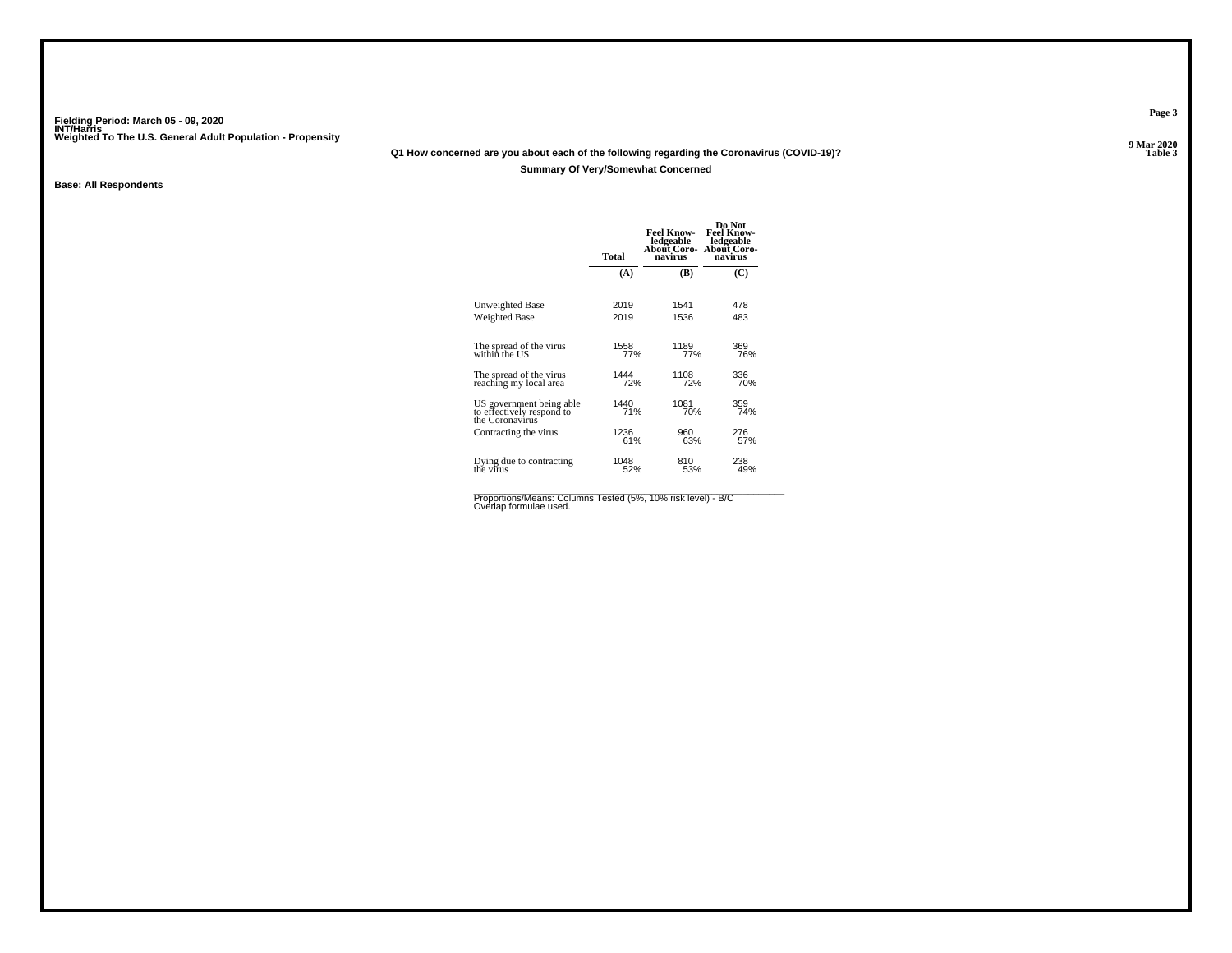# **Q1 How concerned are you about each of the following regarding the Coronavirus (COVID-19)?Summary Of Very/Somewhat Concerned**

### **Base: All Respondents**

|                                                                          | <b>Total</b> | <b>Feel Know-</b><br>ledgeable<br>About Coro- About Coro-<br>navirus | Do Not<br><b>Feel Know-</b><br>ledgeable<br>navirus |
|--------------------------------------------------------------------------|--------------|----------------------------------------------------------------------|-----------------------------------------------------|
|                                                                          | (A)          | (B)                                                                  | (C)                                                 |
| Unweighted Base                                                          | 2019         | 1541                                                                 | 478                                                 |
| Weighted Base                                                            | 2019         | 1536                                                                 | 483                                                 |
| The spread of the virus<br>within the US                                 | 1558<br>77%  | 1189<br>77%                                                          | 369<br>76%                                          |
| The spread of the virus                                                  | 1444         | 1108                                                                 | 336                                                 |
| reaching my local area                                                   | 72%          | 72%                                                                  | 70%                                                 |
| US government being able<br>to effectively respond to<br>the Coronavirus | 1440         | 1081                                                                 | 359                                                 |
|                                                                          | 71%          | 70%                                                                  | 74%                                                 |
| Contracting the virus                                                    | 1236         | 960                                                                  | 276                                                 |
|                                                                          | 61%          | 63%                                                                  | 57%                                                 |
| Dying due to contracting                                                 | 1048         | 810                                                                  | 238                                                 |
| the virus                                                                | 52%          | 53%                                                                  | 49%                                                 |
|                                                                          |              |                                                                      |                                                     |

Proportions/Means: Columns Tested (5%, 10% risk level) - B/C<br>Overlap formulae used.

**Page 3**

9 Mar 2020<br>Table 3 **P Table 3**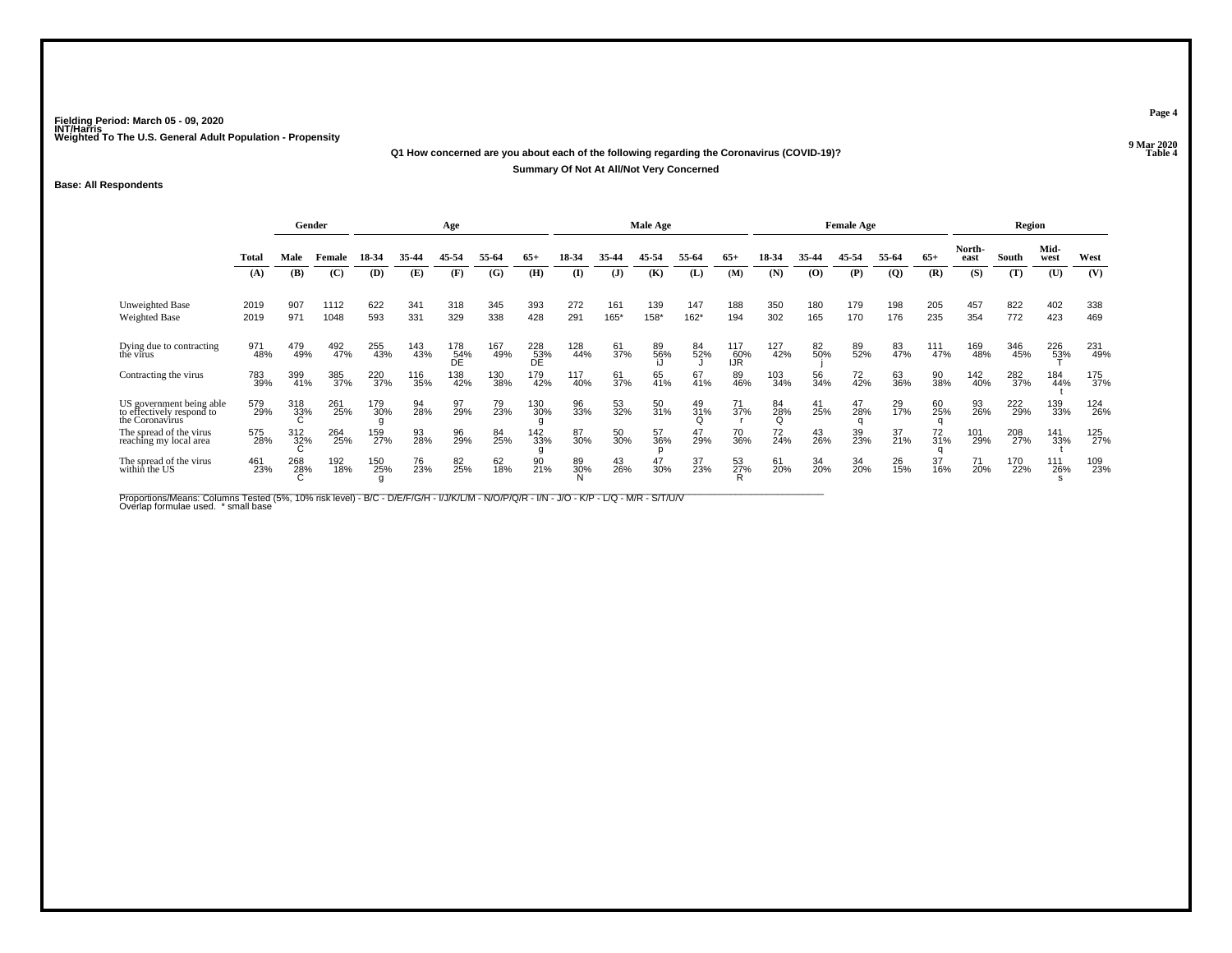#### **Q1 How concerned are you about each of the following regarding the Coronavirus (COVID-19)?Table 4 Summary Of Not At All/Not Very Concerned**

### **Base: All Respondents**

|                                                                          |              |            | Gender       |                 |            | Age              |            |                  |              |              | Male Age    |             |                          |                |                   | <b>Female Age</b> |                |            |                | Region     |              |            |
|--------------------------------------------------------------------------|--------------|------------|--------------|-----------------|------------|------------------|------------|------------------|--------------|--------------|-------------|-------------|--------------------------|----------------|-------------------|-------------------|----------------|------------|----------------|------------|--------------|------------|
|                                                                          | <b>Total</b> | Male       | Female       | 18-34           | 35-44      | 45-54            | 55-64      | $65+$            | 18-34        | 35.44        | 45-54       | 55-64       | $65+$                    | 18-34          | 35-44             | 45-54             | 55-64          | $65+$      | North-<br>east | South      | Mid-<br>west | West       |
|                                                                          | (A)          | (B)        | (C)          | (D)             | (E)        | (F)              | (G)        | (H)              | $\mathbf{I}$ | $\mathbf{J}$ | (K)         | (L)         | (M)                      | (N)            | (0)               | (P)               | $\overline{Q}$ | (R)        | (S)            | (T)        | (U)          | (V)        |
| <b>Unweighted Base</b><br><b>Weighted Base</b>                           | 2019<br>2019 | 907<br>971 | 1112<br>1048 | 622<br>593      | 341<br>331 | 318<br>329       | 345<br>338 | 393<br>428       | 272<br>291   | 161<br>165*  | 139<br>158* | 147<br>162* | 188<br>194               | 350<br>302     | 180<br>165        | 179<br>170        | 198<br>176     | 205<br>235 | 457<br>354     | 822<br>772 | 402<br>423   | 338<br>469 |
| Dying due to contracting<br>the virus                                    | 971<br>48%   | 479<br>49% | 492<br>47%   | 255<br>43%      | 143<br>43% | 178<br>54%<br>ĎЕ | 167<br>49% | 228<br>53%<br>DÉ | 128<br>44%   | 61<br>37%    | 89<br>56%   | 84<br>52%   | 117<br>60%<br><b>IJR</b> | 127<br>42%     | 82<br>50%         | 89<br>52%         | 83<br>47%      | 111<br>47% | 169<br>48%     | 346<br>45% | 226<br>53%   | 231<br>49% |
| Contracting the virus                                                    | 783<br>39%   | 399<br>41% | 385<br>37%   | 220<br>37%      | 116<br>35% | 138<br>42%       | 130<br>38% | 179<br>42%       | 117<br>40%   | 61<br>37%    | 65<br>41%   | 67<br>41%   | 89<br>46%                | 103<br>34%     | 56<br>34%         | 72<br>42%         | 63<br>36%      | 90<br>38%  | 142<br>40%     | 282<br>37% | 184<br>44%   | 175<br>37% |
| US government being able<br>to effectively respond to<br>the Coronavirus | 579<br>29%   | 318<br>33% | 261<br>25%   | 179<br>30%<br>g | 94<br>28%  | 97<br>29%        | 79<br>23%  | 130<br>30%       | 96<br>33%    | 53<br>32%    | 50<br>31%   | 49<br>31%   | 71<br>37%                | 84<br>28%<br>Q | $\frac{41}{25\%}$ | 47<br>28%         | 29<br>17%      | 60<br>25%  | 93<br>26%      | 222<br>29% | 139<br>33%   | 124<br>26% |
| The spread of the virus<br>reaching my local area                        | 575<br>28%   | 312<br>32% | 264<br>25%   | 159<br>27%      | 93<br>28%  | 96<br>29%        | 84<br>25%  | 142<br>33%       | 87<br>30%    | 50<br>30%    | 57<br>36%   | 47<br>29%   | 70<br>36%                | 72<br>24%      | 43<br>26%         | 39 <sub>%</sub>   | 37<br>21%      | 72<br>31%  | 101<br>29%     | 208<br>27% | 141<br>33%   | 125<br>27% |
| The spread of the virus<br>within the US                                 | 461<br>23%   | 268<br>28% | 192<br>18%   | 150<br>25%<br>g | 76<br>23%  | 82<br>25%        | 62<br>18%  | 90<br>21%        | 89<br>30%    | 43<br>26%    | 47<br>30%   | 37<br>23%   | 53<br>27%                | 61<br>20%      | 34<br>20%         | 34<br>20%         | 26<br>15%      | 37<br>16%  | 71<br>20%      | 170<br>22% | 111<br>26%   | 109<br>23% |

Proportions/Means: Columns Tested (5%, 10% risk level) - B/C - D/E/F/G/H - I/J/K/L/M - N/O/P/Q/R - I/N - J/O - K/P - L/Q - M/R - S/T/U/V<br>Overlap formulae used. \*small base

**Page 4**

**9 Mar 2020<br>Table 4**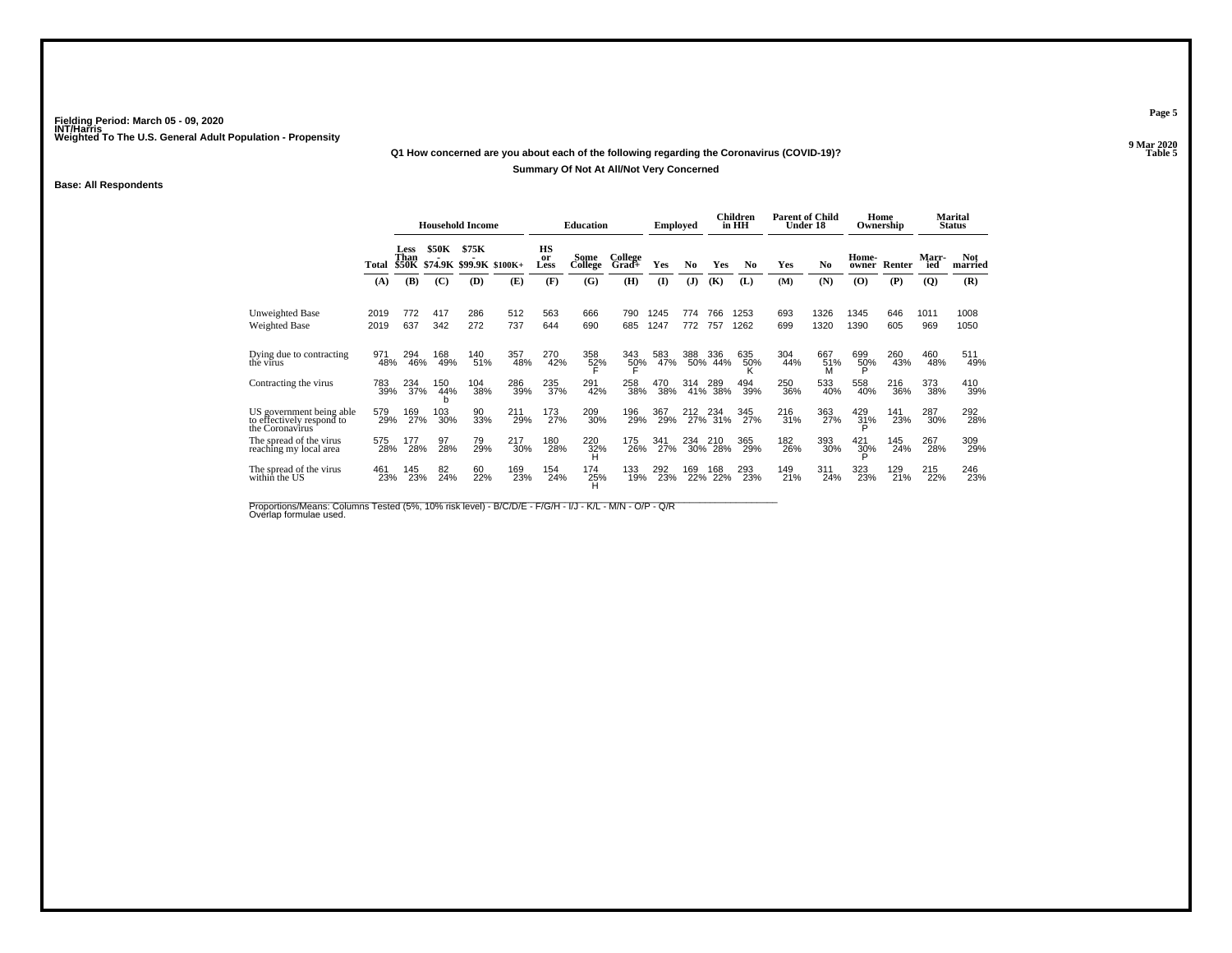# **Q1 How concerned are you about each of the following regarding the Coronavirus (COVID-19)?Summary Of Not At All/Not Very Concerned**

### **Base: All Respondents**

|                                                                          |            |                              |                 | <b>Household Income</b>          |            |                  | <b>Education</b> |                  | Employed     |                |                | Children<br>in HH | <b>Parent of Child</b><br>Under 18 |                 | Ownership       | Home       |              | Marital<br><b>Status</b> |
|--------------------------------------------------------------------------|------------|------------------------------|-----------------|----------------------------------|------------|------------------|------------------|------------------|--------------|----------------|----------------|-------------------|------------------------------------|-----------------|-----------------|------------|--------------|--------------------------|
|                                                                          | Total      | Less<br>Than<br><b>\$50K</b> | \$50K           | \$75K<br>\$74.9K \$99.9K \$100K+ |            | HS<br>or<br>Less | Some<br>College  | College<br>Grad+ | Yes          | N <sub>0</sub> | Yes            | No                | Yes                                | No              | Home-<br>owner  | Renter     | Marr-<br>ied | <b>Not</b><br>married    |
|                                                                          | (A)        | (B)                          | (C)             | (D)                              | (E)        | (F)              | (G)              | (H)              | $($ $\Gamma$ | (J)            | (K)            | (L)               | (M)                                | (N)             | (O)             | (P)        | (Q)          | (R)                      |
| Unweighted Base                                                          | 2019       | 772                          | 417             | 286                              | 512        | 563              | 666              | 790              | 1245         | 774            | 766            | 1253              | 693                                | 1326            | 1345            | 646        | 1011         | 1008                     |
| Weighted Base                                                            | 2019       | 637                          | 342             | 272                              | 737        | 644              | 690              | 685              | 1247         | 772            | 757            | 1262              | 699                                | 1320            | 1390            | 605        | 969          | 1050                     |
| Dying due to contracting<br>the virus                                    | 971<br>48% | 294<br>46%                   | 168<br>49%      | 140<br>51%                       | 357<br>48% | 270<br>42%       | 358<br>52%       | 343<br>50%       | 583<br>47%   | 388            | 336<br>50% 44% | 635<br>50%        | 304<br>44%                         | 667<br>51%<br>M | 699<br>50%<br>Þ | 260<br>43% | 460<br>48%   | 511<br>49%               |
| Contracting the virus                                                    | 783<br>39% | 234<br>37%                   | 150<br>44%<br>b | 104<br>38%                       | 286<br>39% | 235<br>37%       | 291<br>42%       | 258<br>38%       | 470<br>38%   | 314            | 289<br>41% 38% | 494<br>39%        | 250<br>36%                         | 533<br>40%      | 558<br>40%      | 216<br>36% | 373<br>38%   | 410<br>39%               |
| US government being able<br>to effectively respond to<br>the Coronavirus | 579<br>29% | 169<br>27%                   | 103<br>30%      | 90<br>33%                        | 211<br>29% | 173<br>27%       | 209<br>30%       | 196<br>29%       | 367<br>29%   | 212            | 234<br>27% 31% | 345<br>27%        | 216<br>31%                         | 363<br>27%      | 429<br>31%      | 141<br>23% | 287<br>30%   | 292<br>28%               |
| The spread of the virus<br>reaching my local area                        | 575<br>28% | 177<br>28%                   | 97<br>28%       | 79<br>29%                        | 217<br>30% | 180<br>28%       | 220<br>32%<br>н  | 175<br>26%       | 341<br>27%   | 234            | 210<br>30% 28% | 365<br>29%        | 182<br>26%                         | 393<br>30%      | 421<br>30%      | 145<br>24% | 267<br>28%   | 309<br>29%               |
| The spread of the virus<br>within the US                                 | 461<br>23% | 145<br>23%                   | 82<br>24%       | 60<br>22%                        | 169<br>23% | 154<br>24%       | 174<br>25%       | 133<br>19%       | 292<br>23%   | 169<br>22%     | 168<br>22%     | 293<br>23%        | 149<br>21%                         | 311<br>24%      | 323<br>23%      | 129<br>21% | 215<br>22%   | 246<br>23%               |

Proportions/Means: Columns Tested (5%, 10% risk level) - B/C/D/E - F/G/H - I/J - K/L - M/N - O/P - Q/R<br>Overlap formulae used.

**Page 5**

9 Mar 2020<br>Table 5 **Table 5 Table 5**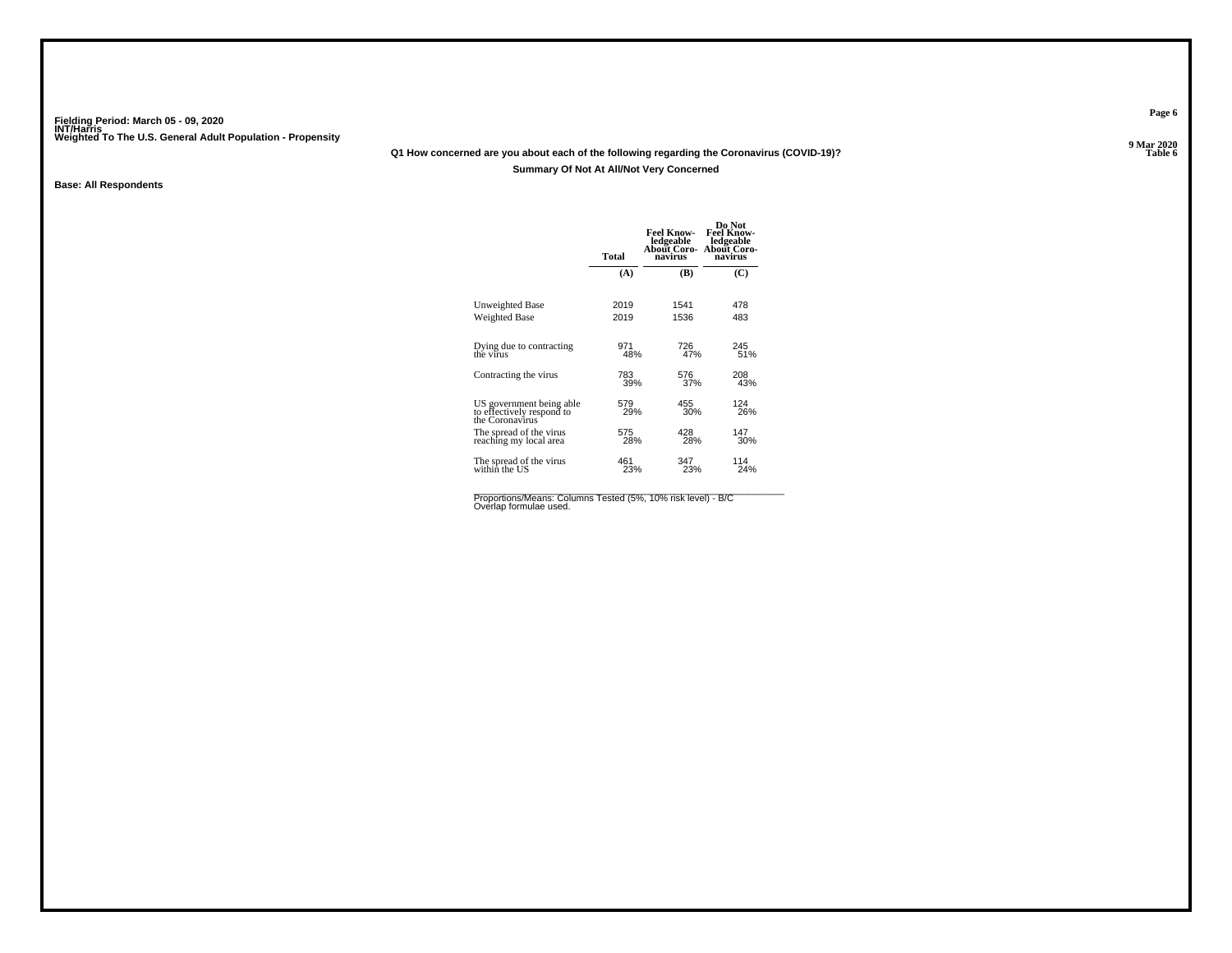# **Q1 How concerned are you about each of the following regarding the Coronavirus (COVID-19)?**

### **Summary Of Not At All/Not Very Concerned**

### **Base: All Respondents**

|                                                                          | <b>Total</b> | <b>Feel Know-</b><br>ledgeable<br>About Coro-<br>navirus | Do Not<br><b>Feel Know-</b><br>ledgeable<br>About Coro-<br>navirus |
|--------------------------------------------------------------------------|--------------|----------------------------------------------------------|--------------------------------------------------------------------|
|                                                                          | (A)          | (B)                                                      | (C)                                                                |
| Unweighted Base                                                          | 2019         | 1541                                                     | 478                                                                |
| Weighted Base                                                            | 2019         | 1536                                                     | 483                                                                |
| Dying due to contracting<br>the virus                                    | 971<br>48%   | 726<br>47%                                               | 245<br>51%                                                         |
| Contracting the virus                                                    | 783<br>39%   | 576<br>37%                                               | 208<br>43%                                                         |
| US government being able<br>to effectively respond to<br>the Coronavirus | 579<br>29%   | 455<br>30%                                               | 124<br>26%                                                         |
| The spread of the virus<br>reaching my local area                        | 575<br>28%   | 428<br>28%                                               | 147<br>30%                                                         |
| The spread of the virus<br>withint the US                                | 461<br>23%   | 347<br>23%                                               | 114<br>24%                                                         |
|                                                                          |              |                                                          |                                                                    |

Proportions/Means: Columns Tested (5%, 10% risk level) - B/C<br>Overlap formulae used.

**Page 6**

**9 Mar 2020<br>Table 6 Table 6 Table 6**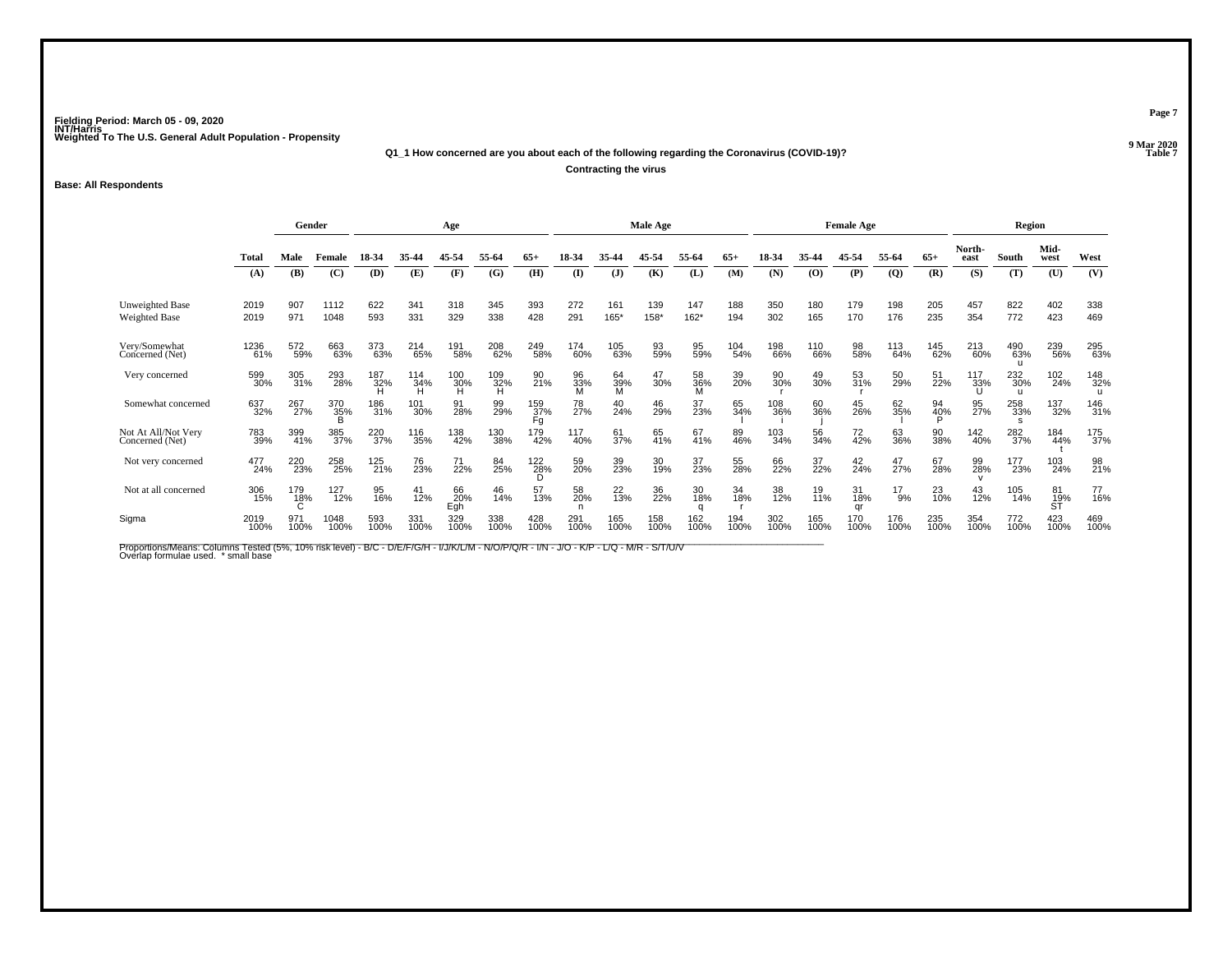**Q1\_1 How concerned are you about each of the following regarding the Coronavirus (COVID-19)?**

**Contracting the virus**

### **Base: All Respondents**

|                                        | Gender<br>Age |             |                       |             |                               |                  | Male Age        |                    |                |                |             | <b>Female Age</b> |             |             |             | Region          |                |                 |                |                            |                 |             |
|----------------------------------------|---------------|-------------|-----------------------|-------------|-------------------------------|------------------|-----------------|--------------------|----------------|----------------|-------------|-------------------|-------------|-------------|-------------|-----------------|----------------|-----------------|----------------|----------------------------|-----------------|-------------|
|                                        | <b>Total</b>  | Male        | Female                | 18-34       | 35.44                         | 45-54            | 55-64           | $65+$              | 18-34          | 35.44          | 45-54       | 55.64             | $65+$       | 18-34       | 35-44       | 45-54           | 55-64          | $65+$           | North-<br>east | South                      | Mid-<br>west    | West        |
|                                        | (A)           | (B)         | (C)                   | (D)         | (E)                           | (F)              | (G)             | (H)                | $\mathbf{I}$   | $\mathbf{J}$   | (K)         | (L)               | (M)         | (N)         | (0)         | (P)             | $\overline{Q}$ | (R)             | (S)            | (T)                        | (U)             | (V)         |
| Unweighted Base<br>Weighted Base       | 2019<br>2019  | 907<br>971  | 1112<br>1048          | 622<br>593  | 341<br>331                    | 318<br>329       | 345<br>338      | 393<br>428         | 272<br>291     | 161<br>165*    | 139<br>158* | 147<br>$162*$     | 188<br>194  | 350<br>302  | 180<br>165  | 179<br>170      | 198<br>176     | 205<br>235      | 457<br>354     | 822<br>772                 | 402<br>423      | 338<br>469  |
| Very/Somewhat<br>Concerned (Net)       | 1236<br>61%   | 572<br>59%  | 663<br>63%            | 373<br>63%  | 214<br>65%                    | 191<br>58%       | 208<br>62%      | 249<br>58%         | 174<br>60%     | 105<br>63%     | 93<br>59%   | 95<br>59%         | 104<br>54%  | 198<br>66%  | 110<br>66%  | 98<br>58%       | 113<br>64%     | 145<br>62%      | 213<br>60%     | 490<br>63%                 | 239<br>56%      | 295<br>63%  |
| Very concerned                         | 599<br>30%    | 305<br>31%  | 293<br>28%            | 187<br>32%  | 114<br>34%                    | $^{100}_{30\%}$  | $^{109}_{32\%}$ | 90<br>21%          | 96<br>33%<br>M | 64<br>39%<br>M | 47<br>30%   | 58<br>36%<br>M    | 39<br>20%   | 90<br>30%   | 49<br>30%   | 53<br>31%       | 50<br>29%      | 51<br>22%       | 117<br>33%     | 232<br>30%<br>$\mathbf{u}$ | 102<br>24%      | 148<br>32%  |
| Somewhat concerned                     | 637<br>32%    | 267<br>27%  | 370<br>35%            | 186<br>31%  | 101<br>30%                    | 91<br>28%        | 99<br>29%       | 159<br>37%<br>Fg   | 78<br>27%      | 40<br>24%      | 46<br>29%   | 37<br>23%         | 65<br>34%   | 108<br>36%  | 60<br>36%   | 45<br>26%       | 62<br>35%      | 94<br>40%<br>Đ. | 95<br>27%      | 258<br>33%                 | 137<br>32%      | 146<br>31%  |
| Not At All/Not Very<br>Concerned (Net) | 783<br>39%    | 399<br>41%  | 385<br>37%            | 220<br>37%  | <sup>116</sup> <sub>35%</sub> | 138<br>42%       | 130<br>38%      | 179<br>42%         | 117<br>40%     | 61<br>37%      | 65<br>41%   | 67<br>41%         | 89<br>46%   | 103<br>34%  | 56<br>34%   | 72 <sub>%</sub> | 63<br>36%      | 90<br>38%       | 142<br>40%     | 282<br>37%                 | 184<br>44%      | 175<br>37%  |
| Not very concerned                     | 477<br>24%    | 220<br>23%  | 258<br>25%            | 125<br>21%  | 76<br>23%                     | 71<br>22%        | 84<br>25%       | $\frac{122}{28\%}$ | 59<br>20%      | 39<br>23%      | 30<br>19%   | 37<br>23%         | 55<br>28%   | 66<br>22%   | 37<br>22%   | $^{42}_{24\%}$  | 47<br>27%      | 67<br>28%       | 99<br>28%      | 177<br>23%                 | 103<br>24%      | 98<br>21%   |
| Not at all concerned                   | 306<br>15%    | 179<br>18%  | 127<br>$\frac{1}{2%}$ | 95<br>16%   | 41<br>12%                     | 66<br>20%<br>Egh | 46<br>14%       | 57<br>13%          | 58<br>20%      | $^{22}_{13\%}$ | 36<br>22%   | 30<br>18%         | 34<br>18%   | 38<br>12%   | 19<br>11%   | 31<br>18%<br>ar | 17<br>9%       | $^{23}_{10\%}$  | 43<br>12%      | 105<br>14%                 | 81<br>19%<br>ST | 77<br>16%   |
| Sigma                                  | 2019<br>100%  | 971<br>100% | 1048<br>100%          | 593<br>100% | 331<br>100%                   | 329<br>100%      | 338<br>100%     | 428<br>100%        | 291<br>100%    | 165<br>100%    | 158<br>100% | 162<br>100%       | 194<br>100% | 302<br>100% | 165<br>100% | 170<br>100%     | 176<br>100%    | 235<br>100%     | 354<br>100%    | 772<br>100%                | 423<br>100%     | 469<br>100% |

Proportions/Means: Columns Tested (5%, 10% risk level) - B/C - D/E/F/G/H - I/J/K/L/M - N/O/P/Q/R - I/N - J/O - K/P - L/Q - M/R - S/T/U/V<br>Overlap formulae used. \*small base

**Page 7**

**9 Mar 2020<br>Table 7 Table 7 Table 7**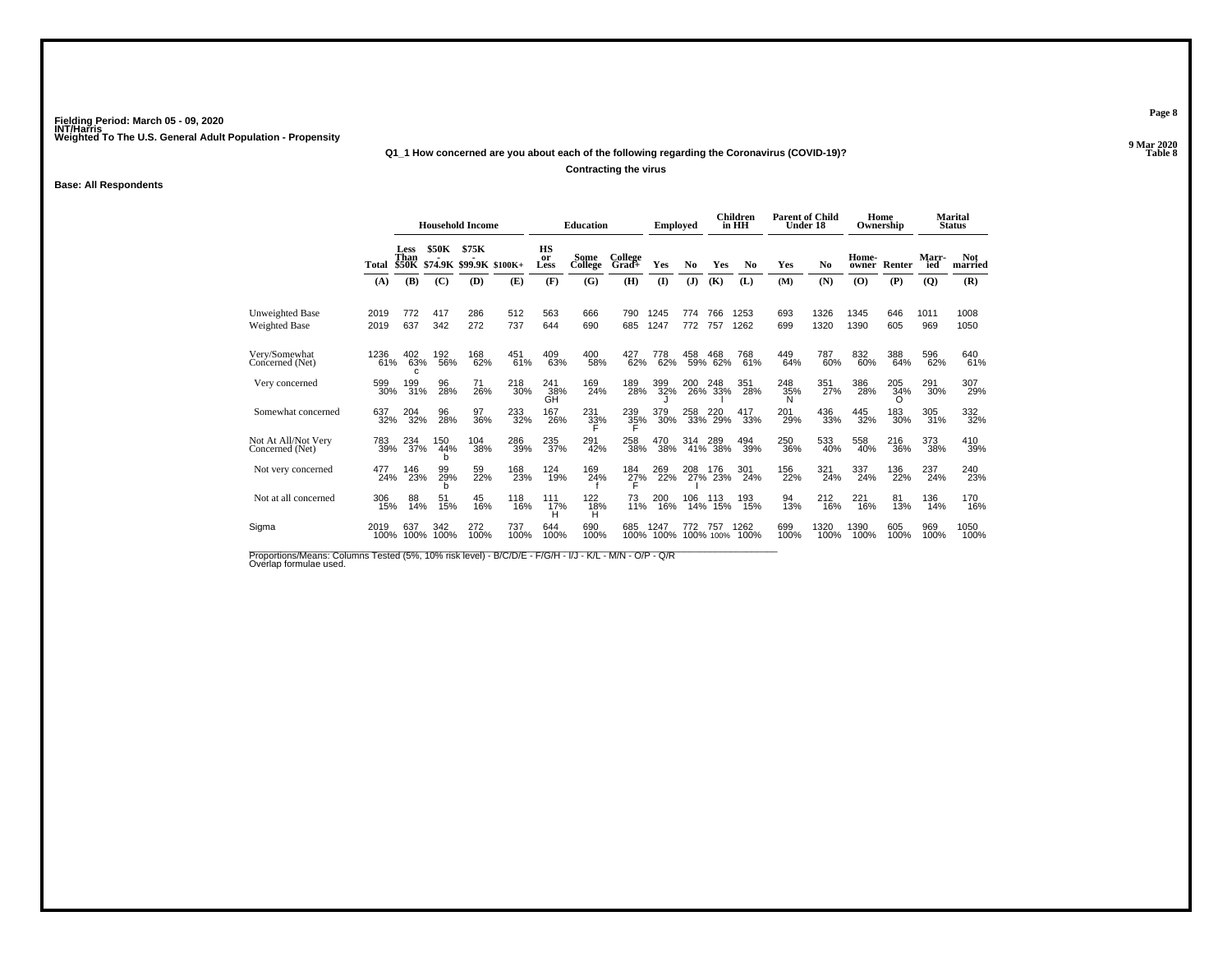**Q1\_1 How concerned are you about each of the following regarding the Coronavirus (COVID-19)?**

**Contracting the virus**

### **Base: All Respondents**

|                                         |              |                              |                 | <b>Household Income</b>  |                 |                  | <b>Education</b> |                  | <b>Employed</b> |                |                  | Children<br>in HH | <b>Parent of Child</b><br>Under 18 |                | Ownership      | Home            |                | <b>Marital</b><br><b>Status</b> |
|-----------------------------------------|--------------|------------------------------|-----------------|--------------------------|-----------------|------------------|------------------|------------------|-----------------|----------------|------------------|-------------------|------------------------------------|----------------|----------------|-----------------|----------------|---------------------------------|
|                                         | Total        | Less<br>Than<br><b>\$50K</b> | \$50K           | \$75K<br>\$74.9K \$99.9K | $$100K+$        | HS<br>or<br>Less | Some<br>College  | College<br>Grad+ | Yes             | N <sub>0</sub> | Yes              | N <sub>0</sub>    | Yes                                | N <sub>0</sub> | Home-<br>owner | Renter          | Marr-<br>ied   | <b>Not</b><br>married           |
|                                         | (A)          | (B)                          | (C)             | (D)                      | (E)             | (F)              | (G)              | (H)              | $($ $\Gamma$    | (J)            | (K)              | (L)               | (M)                                | (N)            | (O)            | (P)             | $\overline{Q}$ | (R)                             |
| <b>Unweighted Base</b><br>Weighted Base | 2019<br>2019 | 772<br>637                   | 417<br>342      | 286<br>272               | 512<br>737      | 563<br>644       | 666<br>690       | 790<br>685       | 1245<br>1247    | 774<br>772     | 766<br>757       | 1253<br>1262      | 693<br>699                         | 1326<br>1320   | 1345<br>1390   | 646<br>605      | 1011<br>969    | 1008<br>1050                    |
| Very/Somewhat<br>Concerned (Net)        | 1236<br>61%  | 402<br>63%<br>c              | 192<br>56%      | 168<br>62%               | $^{451}_{61\%}$ | 409<br>63%       | 400<br>58%       | 427<br>62%       | 778<br>62%      | 458<br>59%     | 468<br>62%       | 768<br>61%        | 449<br>64%                         | 787<br>60%     | 832<br>60%     | 388<br>64%      | 596<br>62%     | 640<br>61%                      |
| Very concerned                          | 599<br>30%   | 199<br>31%                   | 96<br>28%       | 71<br>26%                | 218<br>30%      | 241<br>38%<br>GĤ | 169<br>24%       | 189<br>28%       | 399<br>32%      | 200            | 248<br>26% 33%   | 351<br>28%        | 248<br>35%<br>N                    | 351<br>27%     | 386<br>28%     | 205<br>34%<br>∩ | 291<br>30%     | 307<br>29%                      |
| Somewhat concerned                      | 637<br>32%   | 204<br>32%                   | 96<br>28%       | 97<br>36%                | 233<br>32%      | 167<br>26%       | 231<br>32%       | 239<br>35%       | 379<br>30%      | 258<br>33%     | 220<br>29%       | 417<br>33%        | 201<br>29%                         | 436<br>33%     | 445<br>32%     | 183<br>30%      | 305<br>31%     | 332<br>32%                      |
| Not At All/Not Very<br>Concerned (Net)  | 783<br>39%   | 234<br>37%                   | 150<br>44%<br>h | 104<br>38%               | 286<br>39%      | 235<br>37%       | 291<br>42%       | 258<br>38%       | 470<br>38%      | 314<br>41%     | 289<br>38%       | 494<br>39%        | 250<br>36%                         | 533<br>40%     | 558<br>40%     | 216<br>36%      | 373<br>38%     | 410<br>39%                      |
| Not very concerned                      | 477<br>24%   | 146<br>23%                   | 99<br>29%       | 59<br>22%                | 168<br>23%      | 124<br>19%       | 169<br>24%       | 184<br>27%       | 269<br>22%      | 208<br>27%     | 176<br>23%       | 301<br>24%        | 156<br>22%                         | 321<br>24%     | 337<br>24%     | 136<br>22%      | 237<br>24%     | 240<br>23%                      |
| Not at all concerned                    | 306<br>15%   | 88<br>14%                    | 51<br>15%       | 45<br>16%                | 118<br>16%      | 111<br>17%<br>H  | 122<br>18%<br>H  | 73<br>11%        | 200<br>16%      | 106<br>14%     | 113<br>15%       | 193<br>15%        | 94<br>13%                          | 212<br>16%     | 221<br>16%     | 81<br>13%       | 136<br>14%     | 170<br>16%                      |
| Sigma                                   | 2019<br>100% | 637<br>100%                  | 342<br>100%     | 272<br>100%              | 737<br>100%     | 644<br>100%      | 690<br>100%      | 685<br>100%      | 1247<br>100%    | 772            | 757<br>100% 100% | 1262<br>100%      | 699<br>100%                        | 1320<br>100%   | 1390<br>100%   | 605<br>100%     | 969<br>100%    | 1050<br>100%                    |

Proportions/Means: Columns Tested (5%, 10% risk level) - B/C/D/E - F/G/H - I/J - K/L - M/N - O/P - Q/R<br>Overlap formulae used.

**Page 8**

**9 Mar 2020**<br>Table 8 **Table 8**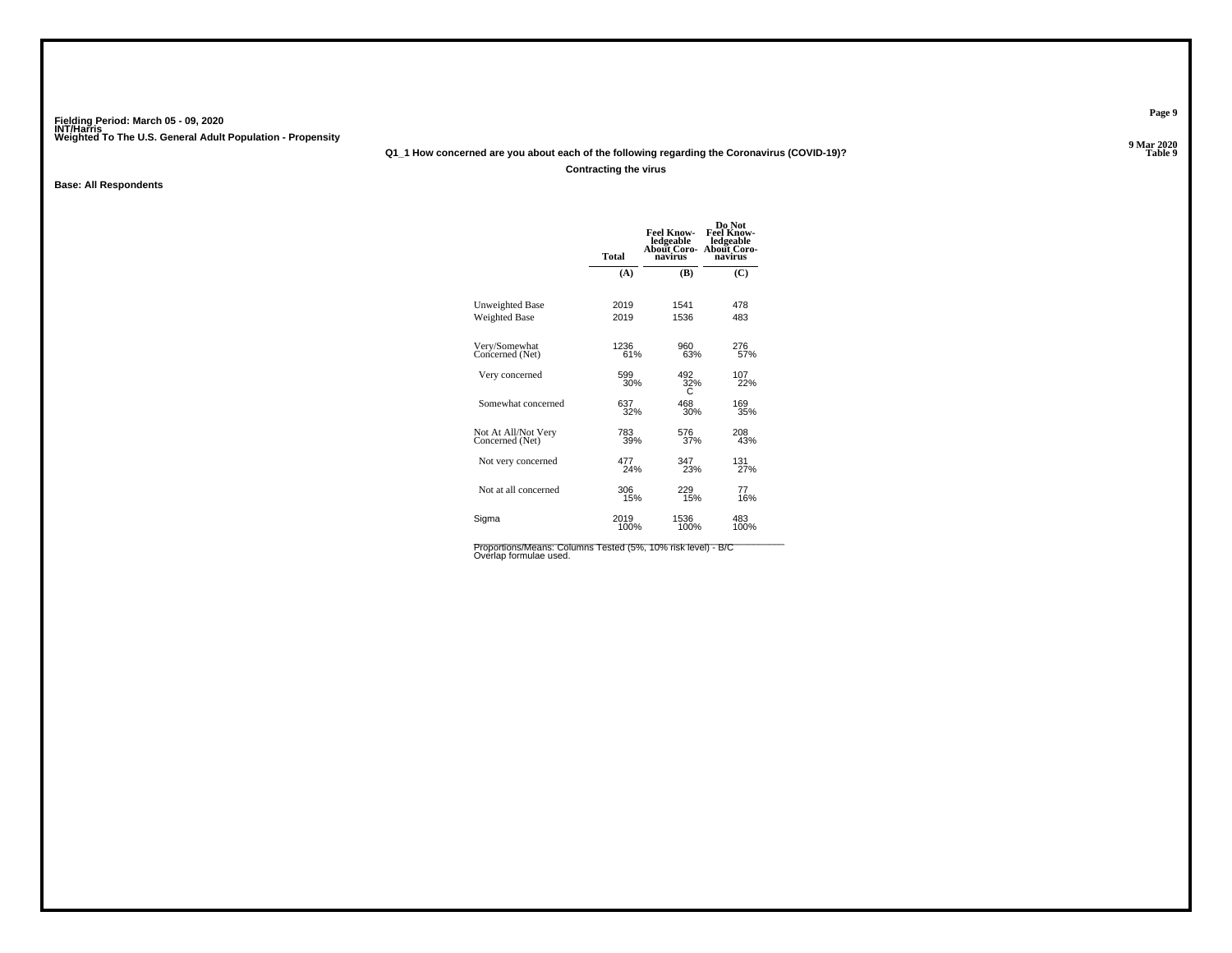**Q1\_1 How concerned are you about each of the following regarding the Coronavirus (COVID-19)?**

**Contracting the virus**

**Base: All Respondents**

|                                        | <b>Total</b> | Feel Know-<br>ledgeable<br>About Coro-<br>navirus | Do Not<br><b>Feel Know-</b><br>ledgeable<br>About Coro-<br>navirus |
|----------------------------------------|--------------|---------------------------------------------------|--------------------------------------------------------------------|
|                                        | (A)          | (B)                                               | $\mathbf C$                                                        |
| Unweighted Base                        | 2019         | 1541                                              | 478                                                                |
| <b>Weighted Base</b>                   | 2019         | 1536                                              | 483                                                                |
| Very/Somewhat<br>Concerned (Net)       | 1236<br>61%  | 960<br>63%                                        | 276<br>57%                                                         |
| Very concerned                         | 599<br>30%   | 492<br>32%                                        | 107<br>22%                                                         |
| Somewhat concerned                     | 637<br>32%   | 468<br>30%                                        | 169<br>35%                                                         |
| Not At All/Not Very<br>Concerned (Net) | 783<br>39%   | 576<br>37%                                        | 208<br>43%                                                         |
| Not very concerned                     | 477<br>24%   | 347<br>23%                                        | 131<br>27%                                                         |
| Not at all concerned                   | 306<br>15%   | 229<br>15%                                        | 77<br>16%                                                          |
| Sigma                                  | 2019<br>100% | 1536<br>100%                                      | 483<br>100%                                                        |
|                                        |              |                                                   |                                                                    |

Proportions/Means: Columns Tested (5%, 10% risk level) - B/C<br>Overlap formulae used.

**Page 9**

**9 Mar 2020<br>Table 9 P Table 9**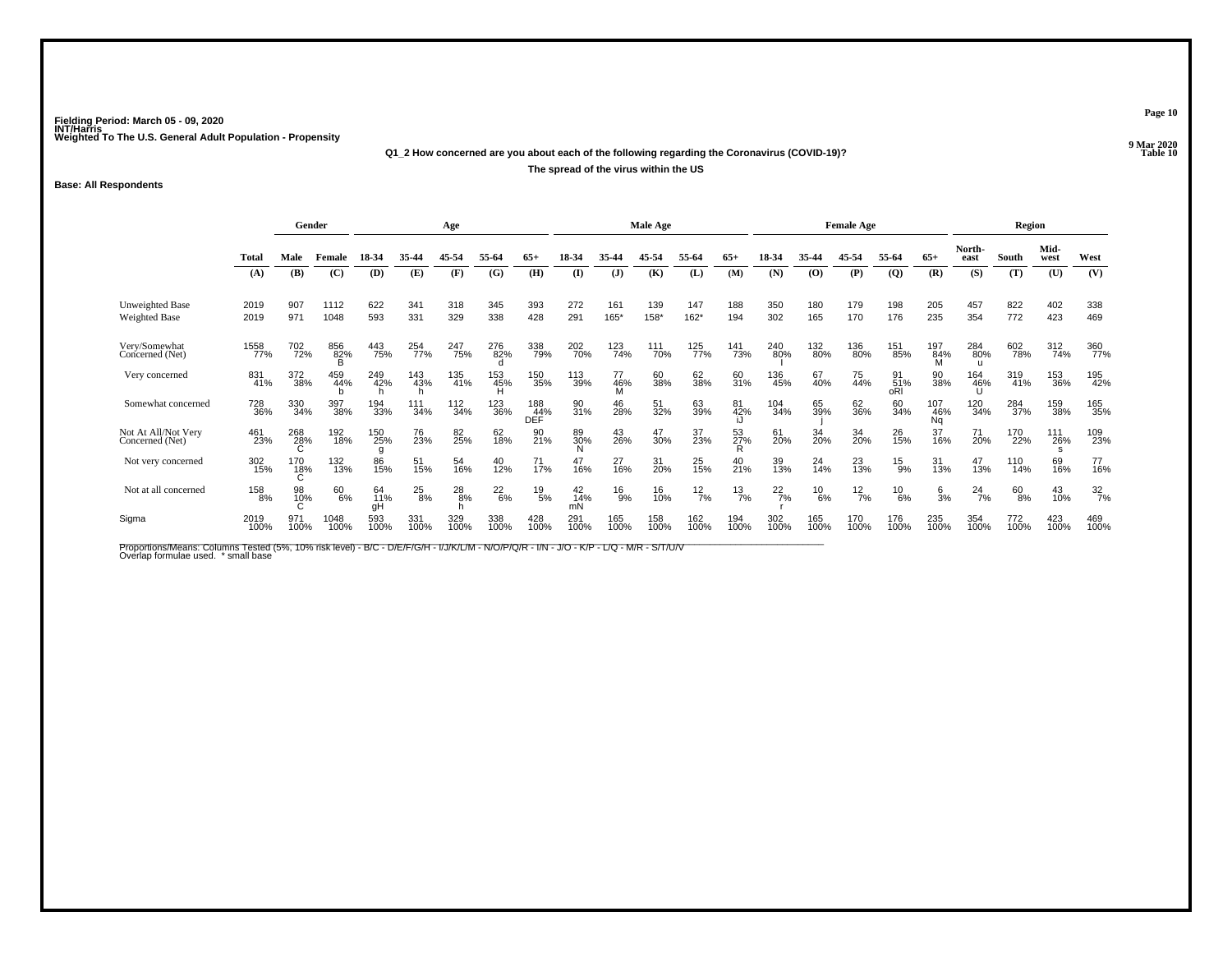# **Q1\_2 How concerned are you about each of the following regarding the Coronavirus (COVID-19)?The spread of the virus within the US**

### **Base: All Respondents**

|                                         |              |                     | Gender       |                 |               | Age                |               |                   |                 |                | Male Age    |               |                    |               |               | <b>Female Age</b> |                  |                  |                       | Region        |              |                  |
|-----------------------------------------|--------------|---------------------|--------------|-----------------|---------------|--------------------|---------------|-------------------|-----------------|----------------|-------------|---------------|--------------------|---------------|---------------|-------------------|------------------|------------------|-----------------------|---------------|--------------|------------------|
|                                         | <b>Total</b> | Male                | Female       | 18-34           | 35-44         | 45-54              | 55-64         | $65+$             | 18-34           | 35.44          | 45-54       | 55-64         | $65+$              | 18-34         | 35-44         | 45-54             | 55-64            | $65+$            | North-<br>east        | South         | Mid-<br>west | West             |
|                                         | (A)          | (B)                 | (C)          | (D)             | (E)           | (F)                | (G)           | (H)               | $\mathbf{I}$    | $\mathbf{J}$   | (K)         | (L)           | (M)                | (N)           | (0)           | (P)               | $\overline{Q}$   | (R)              | (S)                   | (T)           | (U)          | (V)              |
| <b>Unweighted Base</b><br>Weighted Base | 2019<br>2019 | 907<br>971          | 1112<br>1048 | 622<br>593      | 341<br>331    | 318<br>329         | 345<br>338    | 393<br>428        | 272<br>291      | 161<br>165*    | 139<br>158* | 147<br>$162*$ | 188<br>194         | 350<br>302    | 180<br>165    | 179<br>170        | 198<br>176       | 205<br>235       | 457<br>354            | 822<br>772    | 402<br>423   | 338<br>469       |
| Very/Somewhat<br>Concerned (Net)        | 1558<br>77%  | 702<br>72%          | 856<br>82%   | 443<br>75%      | 254<br>77%    | 247<br>75%         | 276<br>82%    | 338<br>79%        | 202<br>70%      | 123<br>74%     | 111<br>70%  | 125<br>77%    | <sup>141</sup> 73% | 240<br>80%    | 132<br>80%    | 136<br>80%        | 151<br>85%       | 197<br>84%       | 284<br>80%            | 602<br>78%    | 312<br>74%   | 360<br>77%       |
| Very concerned                          | 831<br>41%   | 372<br>38%          | 459<br>44%   | 249<br>42%      | 143<br>43%    | 135<br>41%         | 153<br>45%    | 150<br>35%        | 113<br>39%      | 77<br>46%<br>M | 60<br>38%   | 62<br>38%     | 60<br>31%          | 136<br>45%    | 67<br>40%     | 75<br>44%         | 91<br>51%<br>oRl | 90<br>38%        | 164<br>46%            | 319<br>41%    | 153<br>36%   | 195<br>42%       |
| Somewhat concerned                      | 728<br>36%   | 330<br>34%          | 397<br>38%   | 194<br>33%      | 111<br>34%    | $\frac{112}{34\%}$ | 123<br>36%    | 188<br>44%<br>DEF | 90<br>31%       | 46<br>28%      | 51<br>32%   | 63<br>39%     | 81<br>42%          | 104<br>34%    | 65<br>39%     | 62<br>36%         | 60<br>34%        | 107<br>46%<br>Ng | 120<br>34%            | 284<br>37%    | 159<br>38%   | 165<br>35%       |
| Not At All/Not Very<br>Concerned (Net)  | 461<br>23%   | 268<br>28%          | 192<br>18%   | 150<br>25%      | 76<br>23%     | 82<br>25%          | 62<br>18%     | 90<br>21%         | 89<br>30%       | 43<br>26%      | 47<br>30%   | 37<br>23%     | 53<br>27%          | 61<br>20%     | 34<br>20%     | 34<br>20%         | 26<br>15%        | 37<br>16%        | 71<br>20%             | 170<br>22%    | 111<br>26%   | 109<br>23%       |
| Not very concerned                      | 302<br>15%   | 170<br>1 <u>8</u> % | 132<br>13%   | 86<br>15%       | 51<br>15%     | 54<br>16%          | 40<br>12%     | 71<br>17%         | 47<br>16%       | 27<br>16%      | 31<br>20%   | 25<br>15%     | $^{40}_{21\%}$     | 39<br>13%     | 24<br>14%     | 23<br>13%         | $^{15}_{9\%}$    | 31<br>13%        | 47<br>13%             | 110<br>14%    | 69<br>16%    | 77<br>16%        |
| Not at all concerned                    | 158<br>8%    | 98<br>10%           | 60<br>6%     | 64<br>11%<br>gH | $^{25}_{8\%}$ | $^{28}_{8\%}$      | $^{22}_{6\%}$ | $^{19}_{\ 5\%}$   | 42<br>14%<br>mN | $^{16}_{9\%}$  | 16<br>10%   | $^{12}_{7\%}$ | $\frac{13}{7%}$    | $^{22}_{7\%}$ | $^{10}_{6\%}$ | $\frac{12}{7%}$   | $^{10}_{6\%}$    | $\frac{6}{3}$ %  | $^{24}$ <sub>7%</sub> | $^{60}_{8\%}$ | 43<br>10%    | $\frac{32}{7\%}$ |
| Sigma                                   | 2019<br>100% | 971<br>100%         | 1048<br>100% | 593<br>100%     | 331<br>100%   | 329<br>100%        | 338<br>100%   | 428<br>100%       | 291<br>100%     | 165<br>100%    | 158<br>100% | 162<br>100%   | 194<br>100%        | 302<br>100%   | 165<br>100%   | 170<br>100%       | 176<br>100%      | 235<br>100%      | 354<br>100%           | 772<br>100%   | 423<br>100%  | 469<br>100%      |

Proportions/Means: Columns Tested (5%, 10% risk level) - B/C - D/E/F/G/H - I/J/K/L/M - N/O/P/Q/R - I/N - J/O - K/P - L/Q - M/R - S/T/U/V<br>Overlap formulae used. \*small base

**Page 10**

**9 Mar 2020<br>Table 10 P** Table 10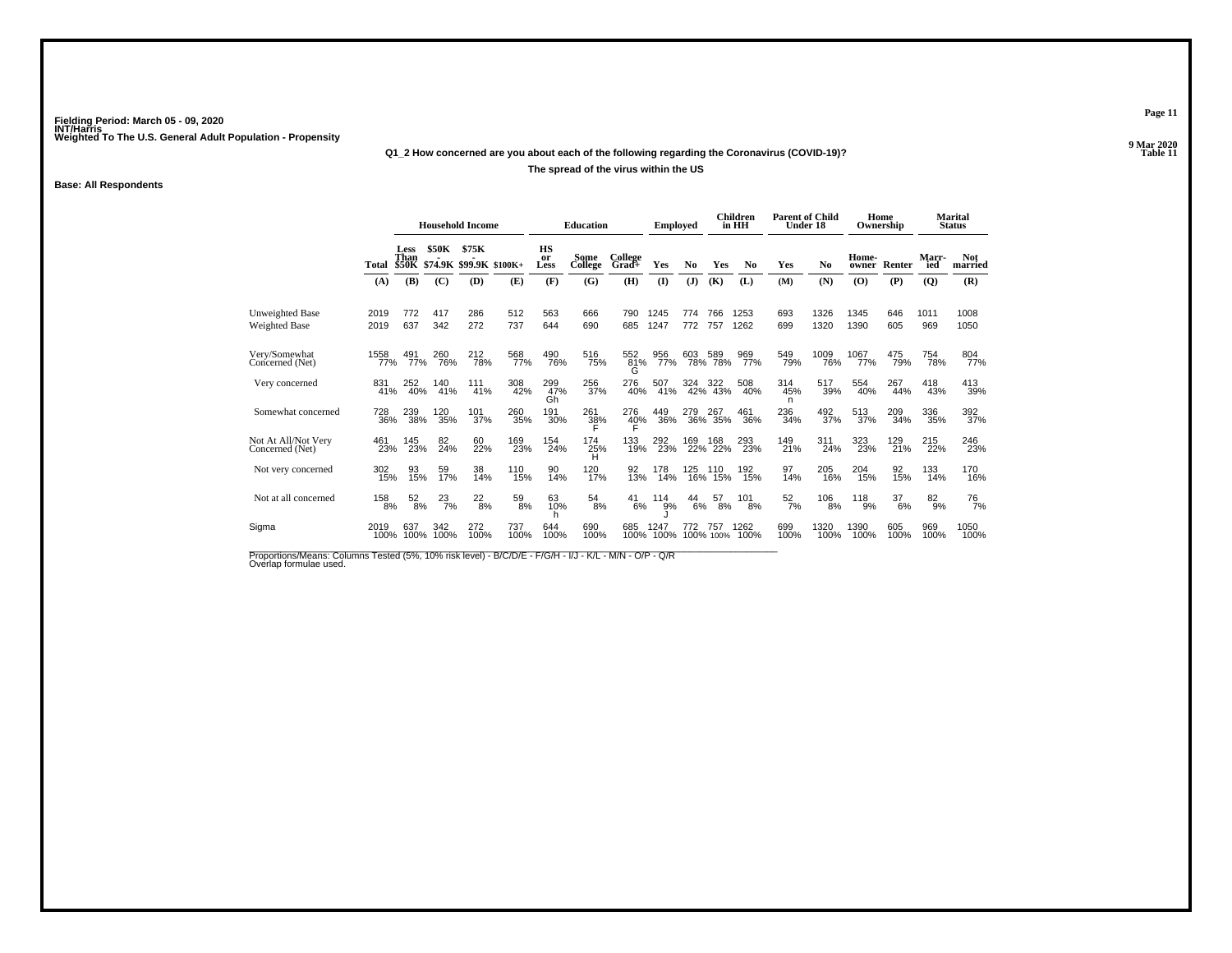# **Q1\_2 How concerned are you about each of the following regarding the Coronavirus (COVID-19)?The spread of the virus within the US**

### **Base: All Respondents**

|                                        |                  |                              |               | <b>Household Income</b>          |                 |                  | <b>Education</b> |                  | <b>Employed</b> |                |                  | Children<br>in HH | <b>Parent of Child</b><br>Under 18 |                |                | Home<br>Ownership |              | <b>Marital</b><br><b>Status</b> |
|----------------------------------------|------------------|------------------------------|---------------|----------------------------------|-----------------|------------------|------------------|------------------|-----------------|----------------|------------------|-------------------|------------------------------------|----------------|----------------|-------------------|--------------|---------------------------------|
|                                        | Total            | Less<br>Than<br><b>\$50K</b> | \$50K         | \$75K<br>\$74.9K \$99.9K \$100K+ |                 | HS<br>or<br>Less | Some<br>College  | College<br>Grad+ | Yes             | N <sub>0</sub> | Yes              | N <sub>0</sub>    | Yes                                | N <sub>0</sub> | Home-<br>owner | Renter            | Marr-<br>ied | <b>Not</b><br>married           |
|                                        | (A)              | (B)                          | (C)           | (D)                              | (E)             | (F)              | (G)              | (H)              | $\mathbf{I}$    | ( <b>J</b> )   | (K)              | (L)               | (M)                                | (N)            | (O)            | (P)               | (Q)          | (R)                             |
| Unweighted Base<br>Weighted Base       | 2019<br>2019     | 772<br>637                   | 417<br>342    | 286<br>272                       | 512<br>737      | 563<br>644       | 666<br>690       | 790<br>685       | 1245<br>1247    | 774<br>772     | 766<br>757       | 1253<br>1262      | 693<br>699                         | 1326<br>1320   | 1345<br>1390   | 646<br>605        | 1011<br>969  | 1008<br>1050                    |
| Very/Somewhat<br>Concerned (Net)       | 1558<br>77%      | 491<br>77%                   | 260<br>76%    | 212<br>78%                       | 568<br>77%      | 490<br>76%       | 516<br>75%       | 552<br>81%<br>G  | 956<br>77%      | 603<br>78%     | 589<br>78%       | 969<br>77%        | 549<br>79%                         | 1009<br>76%    | 1067<br>77%    | 475<br>79%        | 754<br>78%   | 804<br>77%                      |
| Very concerned                         | 831 <sub>%</sub> | 252<br>40%                   | 140<br>41%    | 111<br>41%                       | 308<br>42%      | 299<br>47%<br>Gh | 256<br>37%       | 276<br>40%       | 507<br>41%      | 324            | 322<br>42% 43%   | 508<br>40%        | 314<br>45%<br>n                    | 517<br>39%     | 554<br>40%     | 267<br>44%        | 418<br>43%   | 413<br>39%                      |
| Somewhat concerned                     | 728<br>36%       | 239<br>38%                   | 120<br>35%    | 101<br>37%                       | 260<br>35%      | 191<br>30%       | 261<br>38%       | 276<br>40%       | 449<br>36%      | 279<br>36%     | 267<br>35%       | 461<br>36%        | 236<br>34%                         | 492<br>37%     | 513<br>37%     | 209<br>34%        | 336<br>35%   | 392<br>37%                      |
| Not At All/Not Very<br>Concerned (Net) | 461<br>23%       | 145<br>23%                   | 82<br>24%     | 60<br>22%                        | 169<br>23%      | 154<br>24%       | 174<br>25%<br>H  | 133<br>19%       | 292<br>23%      | 169<br>22%     | 168<br>22%       | 293<br>23%        | 149<br>21%                         | 311<br>24%     | 323<br>23%     | 129<br>21%        | 215<br>22%   | 246<br>23%                      |
| Not very concerned                     | 302<br>15%       | 93<br>15%                    | 59<br>17%     | 38<br>14%                        | 110<br>15%      | 90<br>14%        | 120<br>17%       | 92<br>13%        | 178<br>14%      | 125            | 110<br>16% 15%   | 192<br>15%        | 97<br>14%                          | 205<br>16%     | 204<br>15%     | 92<br>15%         | 133<br>14%   | 170<br>16%                      |
| Not at all concerned                   | 158<br>8%        | $\frac{52}{8\%}$             | $^{23}_{7\%}$ | $^{22}_{8\%}$                    | $^{59}_{\ 8\%}$ | 63<br>10%        | $^{54}_{\ 8\%}$  | 41<br>6%         | 114<br>9%       | 44<br>6%       | 57<br>8%         | 101<br>8%         | $\frac{52}{7\%}$                   | 106<br>8%      | 118<br>9%      | 37<br>6%          | $^{82}_{9%}$ | <sup>76</sup> 7%                |
| Sigma                                  | 2019<br>100%     | 637<br>100%                  | 342<br>100%   | 272<br>100%                      | 737<br>100%     | 644<br>100%      | 690<br>100%      | 685<br>100%      | 1247<br>100%    | 772            | 757<br>100% 100% | 1262<br>100%      | 699<br>100%                        | 1320<br>100%   | 1390<br>100%   | 605<br>100%       | 969<br>100%  | 1050<br>100%                    |

Proportions/Means: Columns Tested (5%, 10% risk level) - B/C/D/E - F/G/H - I/J - K/L - M/N - O/P - Q/R<br>Overlap formulae used.

**Page 11**

**9 Mar 2020<br>Table 11 P Table 11**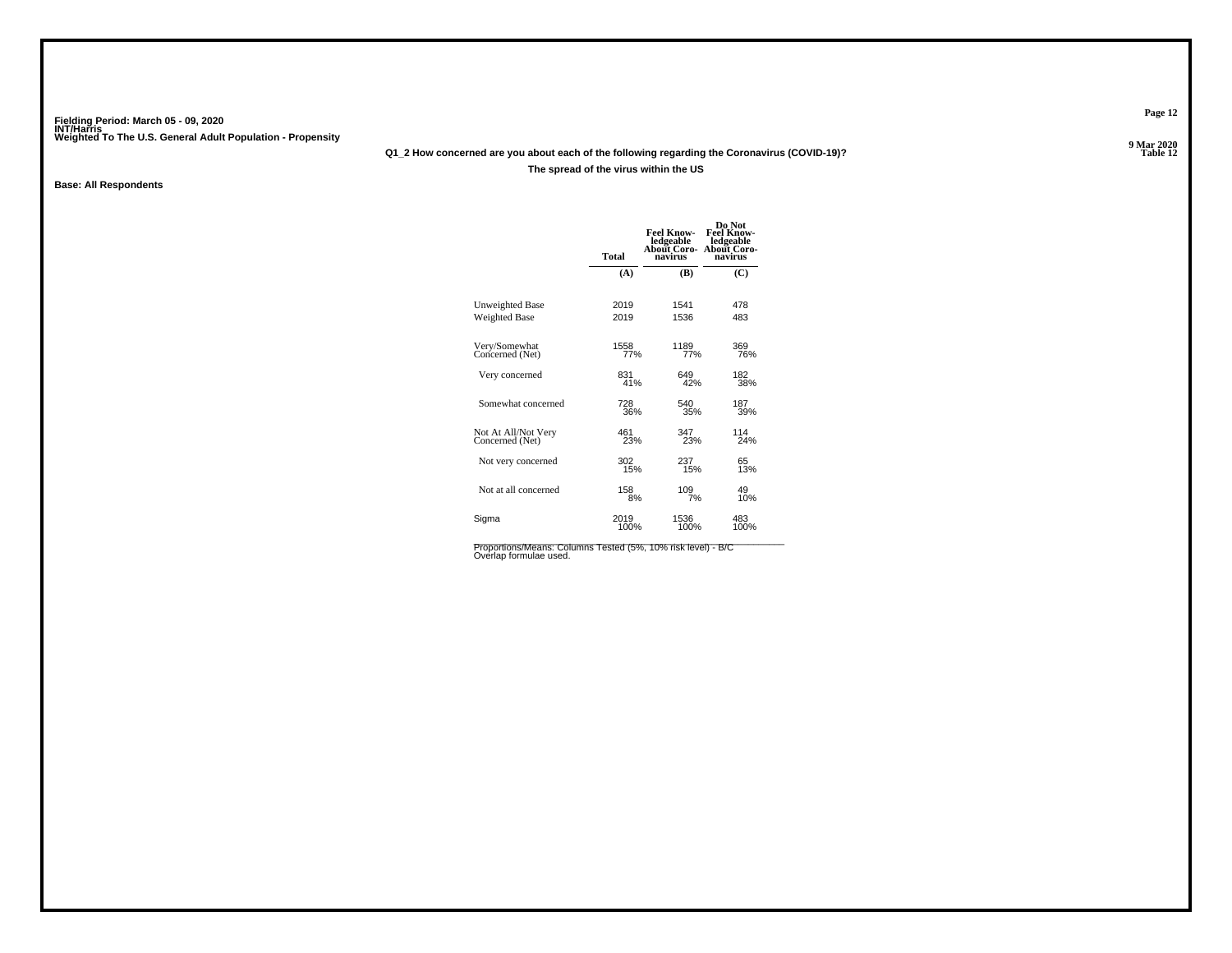# **Q1\_2 How concerned are you about each of the following regarding the Coronavirus (COVID-19)?**

### **The spread of the virus within the US**

### **Base: All Respondents**

| <b>Total</b> | <b>Feel Know-</b><br>ledgeable<br>About Coro-<br>navirus | Do Not<br><b>Feel Know-</b><br>ledgeable<br>About Coro-<br>navirus |
|--------------|----------------------------------------------------------|--------------------------------------------------------------------|
| (A)          | (B)                                                      | (C)                                                                |
| 2019         | 1541                                                     | 478                                                                |
| 2019         | 1536                                                     | 483                                                                |
| 1558<br>77%  | 1189<br>77%                                              | 369<br>76%                                                         |
| 831          | 649                                                      | 182                                                                |
| 41%          | 42%                                                      | 38%                                                                |
| 728          | 540                                                      | 187                                                                |
| 36%          | 35%                                                      | 39%                                                                |
| 461          | 347                                                      | 114                                                                |
| 23%          | 23%                                                      | 24%                                                                |
| 302          | 237                                                      | 65                                                                 |
| 15%          | 15%                                                      | 13%                                                                |
| 158          | 109                                                      | 49                                                                 |
| 8%           | 7%                                                       | 10%                                                                |
| 2019         | 1536                                                     | 483                                                                |
| 100%         | 100%                                                     | 100%                                                               |
|              |                                                          |                                                                    |

Proportions/Means: Columns Tested (5%, 10% risk level) - B/C<br>Overlap formulae used.

**Page 12**

**9 Mar 2020<br>Table 12 P** Table 12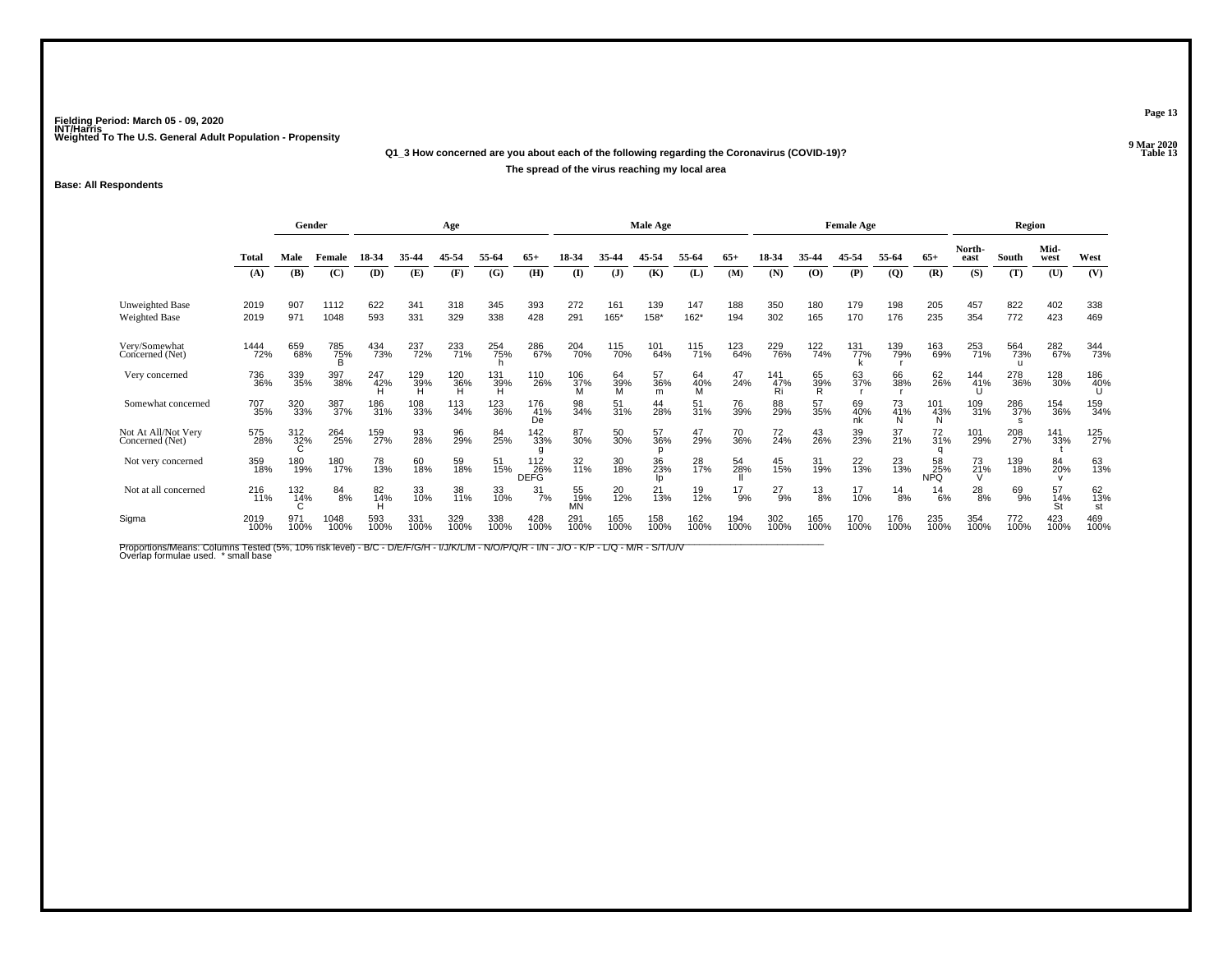# **Q1\_3 How concerned are you about each of the following regarding the Coronavirus (COVID-19)?The spread of the virus reaching my local area**

### **Base: All Respondents**

|                                        | Gender        |                    |               |                 |                 | Age         |                 |                    |                 |                 | Male Age       |                   |             |                    |                | <b>Female Age</b> |                |                  |                   | Region          |                 |                 |
|----------------------------------------|---------------|--------------------|---------------|-----------------|-----------------|-------------|-----------------|--------------------|-----------------|-----------------|----------------|-------------------|-------------|--------------------|----------------|-------------------|----------------|------------------|-------------------|-----------------|-----------------|-----------------|
|                                        | Total         | Male               | Female        | 18-34           | 35-44           | 45-54       | 55-64           | 65+                | 18-34           | 35.44           | 45.54          | 55-64             | $65+$       | 18-34              | 35-44          | 45-54             | 55-64          | $65+$            | North-<br>east    | South           | Mid-<br>west    | West            |
|                                        | (A)           | <b>(B)</b>         | (C)           | <b>(D)</b>      | (E)             | (F)         | (G)             | (H)                | $($ $\Gamma$    | $\mathbf{J}$    | (K)            | (L)               | (M)         | (N)                | (O)            | (P)               | $\overline{Q}$ | (R)              | (S)               | (T)             | (U)             | (V)             |
| Unweighted Base<br>Weighted Base       | 2019<br>2019  | 907<br>971         | 1112<br>1048  | 622<br>593      | 341<br>331      | 318<br>329  | 345<br>338      | 393<br>428         | 272<br>291      | 161<br>165*     | 139<br>158*    | 147<br>$162*$     | 188<br>194  | 350<br>302         | 180<br>165     | 179<br>170        | 198<br>176     | 205<br>235       | 457<br>354        | 822<br>772      | 402<br>423      | 338<br>469      |
| Very/Somewhat<br>Concerned (Net)       | 1444<br>72%   | 659<br>68%         | 785<br>75%    | 434<br>73%      | 237<br>72%      | 233<br>71%  | 254<br>75%      | 286<br>67%         | 204<br>70%      | 115<br>70%      | 101<br>64%     | 115<br>71%        | 123<br>64%  | <sup>229</sup> 76% | 122<br>74%     | 131<br>77%        | 139<br>79%     | 163<br>69%       | 253<br>71%        | 564<br>73%      | 282<br>67%      | 344<br>73%      |
| Very concerned                         | 736<br>36%    | 339<br>35%         | 397<br>38%    | 247<br>42%<br>H | 129<br>39%<br>H | 120<br>36%  | $^{131}_{39\%}$ | 110<br>26%         | 106<br>37%      | 64<br>39%<br>M  | 57<br>36%<br>m | 64<br>40%<br>M    | 47<br>24%   | 141<br>47%<br>Ri   | 65<br>39%<br>R | 63<br>37%         | 66<br>38%      | 62<br>26%        | 144<br>41%        | 278<br>36%      | 128<br>30%      | 186<br>40%<br>U |
| Somewhat concerned                     | 707<br>35%    | 320<br>33%         | 387<br>37%    | 186<br>31%      | 108<br>33%      | 113<br>34%  | 123<br>36%      | 176<br>41%<br>De   | 98<br>34%       | 51<br>31%       | 44<br>28%      | $\frac{51}{31\%}$ | 76<br>39%   | 88<br>29%          | 57<br>35%      | 69<br>40%<br>nk   | 73<br>41%      | 101<br>43%       | 109<br>31%        | 286<br>37%<br>s | 154<br>36%      | 159<br>34%      |
| Not At All/Not Very<br>Concerned (Net) | 575<br>28%    | $\frac{312}{32\%}$ | 264<br>25%    | 159<br>27%      | 93<br>28%       | 96<br>29%   | 84<br>25%       | 142<br>33%         | 87<br>30%       | 50 <sub>%</sub> | 57<br>36%      | 47<br>29%         | 70<br>36%   | 72<br>24%          | 43<br>26%      | 39<br>23%         | 37<br>21%      | 72<br>31%        | 101<br>29%        | 208<br>27%      | 141<br>33%      | 125<br>27%      |
| Not very concerned                     | 359<br>18%    | 180<br>19%         | 180<br>17%    | 78<br>13%       | 60<br>18%       | 59<br>18%   | 51<br>15%       | 112<br>26%<br>DEFG | 32<br>11%       | 30<br>18%       | 36<br>23%      | 28<br>17%         | 54<br>28%   | 45<br>15%          | 31<br>19%      | 22<br>13%         | 23<br>13%      | 58<br>25%<br>NPQ | $\frac{73}{21\%}$ | 139<br>18%      | 84<br>20%       | 63<br>13%       |
| Not at all concerned                   | 216<br>$71\%$ | 132<br>14%         | $^{84}_{8\%}$ | 82<br>14%       | 33<br>10%       | 38<br>11%   | 33<br>10%       | $\frac{31}{7\%}$   | 55<br>19%<br>MŃ | 20<br>12%       | 21<br>13%      | 19<br>12%         | 17<br>9%    | 27<br>$-9%$        | $^{13}_{8\%}$  | 17<br>10%         | $^{14}_{8\%}$  | $^{14}_{6\%}$    | $^{28}_{8\%}$     | 69<br>9%        | 57<br>14%<br>St | 62<br>13%<br>st |
| Sigma                                  | 2019<br>100%  | 971<br>100%        | 1048<br>100%  | 593<br>100%     | 331<br>100%     | 329<br>100% | 338<br>100%     | 428<br>100%        | 291<br>100%     | 165<br>100%     | 158<br>100%    | 162<br>100%       | 194<br>100% | 302<br>100%        | 165<br>100%    | 170<br>100%       | 176<br>100%    | 235<br>100%      | 354<br>100%       | 772<br>100%     | 423<br>100%     | 469<br>100%     |

Proportions/Means: Columns Tested (5%, 10% risk level) - B/C - D/E/F/G/H - I/J/K/L/M - N/O/P/Q/R - I/N - J/O - K/P - L/Q - M/R - S/T/U/V<br>Overlap formulae used. \*small base

**Page 13**

**9 Mar 2020<br>Table 13 P** Table 13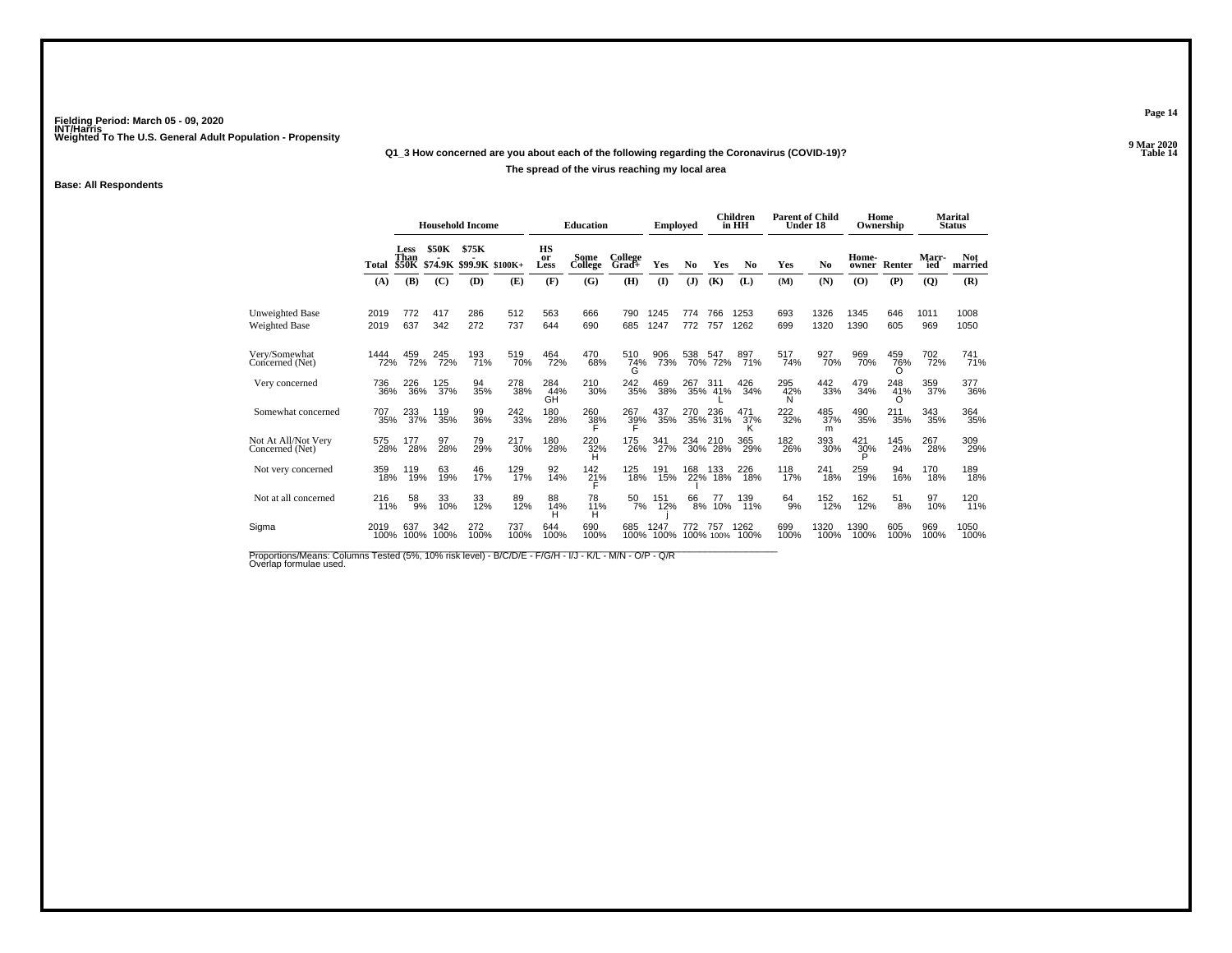# **Q1\_3 How concerned are you about each of the following regarding the Coronavirus (COVID-19)?**

### **The spread of the virus reaching my local area**

### **Base: All Respondents**

|                                         |              |                              |              | <b>Household Income</b>          |                   |                         | <b>Education</b>        |                  | <b>Employed</b> |              |                  | Children<br>in HH | <b>Parent of Child</b><br>Under 18 |                 | Home            | Ownership       |              | <b>Marital</b><br><b>Status</b> |
|-----------------------------------------|--------------|------------------------------|--------------|----------------------------------|-------------------|-------------------------|-------------------------|------------------|-----------------|--------------|------------------|-------------------|------------------------------------|-----------------|-----------------|-----------------|--------------|---------------------------------|
|                                         | Total        | Less<br>Than<br><b>\$50K</b> | <b>\$50K</b> | \$75K<br>\$74.9K \$99.9K \$100K+ |                   | <b>HS</b><br>or<br>Less | Some<br>College         | College<br>Grad+ | <b>Yes</b>      | No           | Yes              | N <sub>0</sub>    | Yes                                | N <sub>0</sub>  | Home-<br>owner  | Renter          | Marr-<br>ied | <b>Not</b><br>married           |
|                                         | (A)          | (B)                          | (C)          | (D)                              | (E)               | (F)                     | (G)                     | (H)              | $\mathbf{I}$    | ( <b>J</b> ) | (K)              | (L)               | (M)                                | (N)             | (O)             | (P)             | (Q)          | (R)                             |
| <b>Unweighted Base</b><br>Weighted Base | 2019<br>2019 | 772<br>637                   | 417<br>342   | 286<br>272                       | 512<br>737        | 563<br>644              | 666<br>690              | 790<br>685       | 1245<br>1247    | 774<br>772   | 766<br>757       | 1253<br>1262      | 693<br>699                         | 1326<br>1320    | 1345<br>1390    | 646<br>605      | 1011<br>969  | 1008<br>1050                    |
| Very/Somewhat<br>Concerned (Net)        | 1444<br>72%  | 459<br>72%                   | 245<br>72%   | 193<br>71%                       | 519<br>70%        | 464<br>72%              | 470<br>68%              | 510<br>74%<br>G  | 906<br>73%      | 538          | 547<br>70% 72%   | 897<br>71%        | 517<br>74%                         | 927<br>70%      | 969<br>70%      | 459<br>76%<br>O | 702<br>72%   | 741 <sub>%</sub>                |
| Very concerned                          | 736<br>36%   | 226<br>36%                   | 125<br>37%   | 94<br>35%                        | 278<br>38%        | 284<br>44%<br>GH        | 210<br>30%              | 242<br>35%       | 469<br>38%      | 267          | 311<br>35% 41%   | 426<br>34%        | 295<br>42%<br>N                    | 442<br>33%      | 479<br>34%      | 248<br>41%<br>Ω | 359<br>37%   | 377<br>36%                      |
| Somewhat concerned                      | 707<br>35%   | 233<br>37%                   | 119<br>35%   | 99<br>36%                        | 242<br>33%        | 180<br>28%              | 260<br>$\frac{38}{5}$ % | 267<br>39%       | 437<br>35%      | 270<br>35%   | 236<br>31%       | 471<br>37%        | 222<br>32%                         | 485<br>37%<br>m | 490<br>35%      | 211<br>35%      | 343<br>35%   | 364<br>35%                      |
| Not At All/Not Very<br>Concerned (Net)  | 575<br>28%   | 177<br>28%                   | 97<br>28%    | 79<br>29%                        | 217<br>30%        | 180<br>28%              | 220<br>32%<br>н         | 175<br>26%       | 341<br>27%      | 234          | 210<br>30% 28%   | 365<br>29%        | 182<br>26%                         | 393<br>30%      | 421<br>30%<br>D | 145<br>24%      | 267<br>28%   | 309<br>29%                      |
| Not very concerned                      | 359<br>18%   | 119<br>19%                   | 63<br>19%    | 46<br>17%                        | 129 <sub>0%</sub> | 92<br>14%               | $^{142}_{21\%}$         | 125<br>18%       | 191<br>15%      | 168          | 133<br>22% 18%   | 226<br>18%        | 118<br>17%                         | 241<br>18%      | 259<br>19%      | 94<br>16%       | 170<br>18%   | 189<br>18%                      |
| Not at all concerned                    | 216<br>11%   | $\frac{58}{9%}$              | 33<br>10%    | 33<br>12%                        | 89<br>12%         | 88<br>14%<br>H          | 78<br>$^{11\%}_{H}$     | $\frac{50}{7\%}$ | 151<br>12%      | 66<br>8%     | 77<br>10%        | 139<br>11%        | $64_{9\%}$                         | 152<br>12%      | 162<br>12%      | 51<br>8%        | 97<br>10%    | 120<br>11%                      |
| Sigma                                   | 2019<br>100% | 637<br>100%                  | 342<br>100%  | 272<br>100%                      | 737<br>100%       | 644<br>100%             | 690<br>100%             | 685<br>100%      | 1247<br>100%    | 772          | 757<br>100% 100% | 1262<br>100%      | 699<br>100%                        | 1320<br>100%    | 1390<br>100%    | 605<br>100%     | 969<br>100%  | 1050<br>100%                    |

Proportions/Means: Columns Tested (5%, 10% risk level) - B/C/D/E - F/G/H - I/J - K/L - M/N - O/P - Q/R<br>Overlap formulae used.

**Page 14**

**9 Mar 2020<br>Table 14 P** Table 14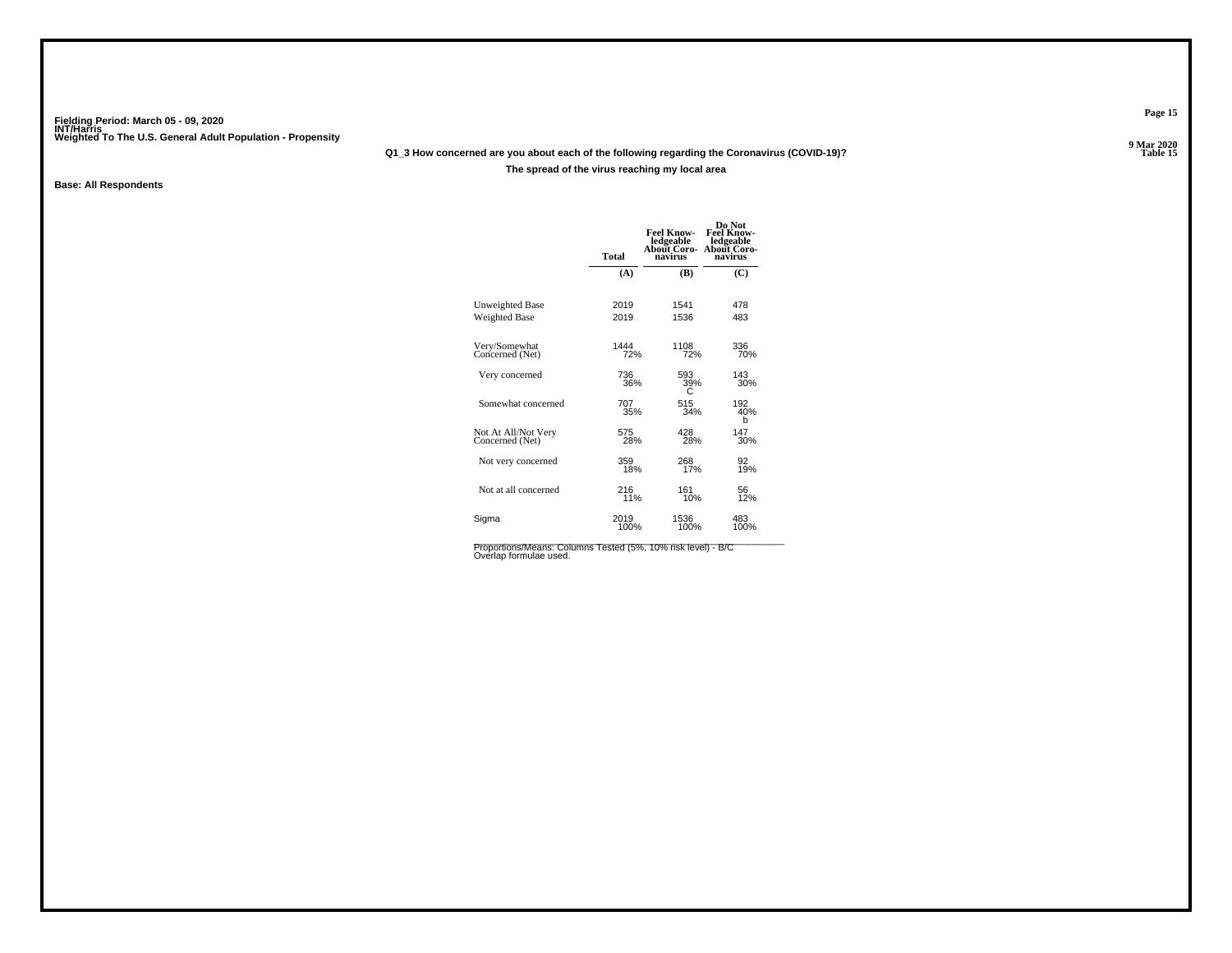# **Q1\_3 How concerned are you about each of the following regarding the Coronavirus (COVID-19)?**

### **The spread of the virus reaching my local area**

### **Base: All Respondents**

| About Coro-<br>navirus<br>(C) |
|-------------------------------|
|                               |
|                               |
| 478                           |
| 483                           |
| 336<br>70%                    |
| 143<br>30%                    |
| 192<br>40%<br>b               |
| 147<br>30%                    |
| 92<br>19%                     |
| 56<br>12%                     |
| 483<br>100%                   |
|                               |

Proportions/Means: Columns Tested (5%, 10% risk level) - B/C<br>Overlap formulae used.

**Page 15**

**9 Mar 2020<br>Table 15 P** Table 15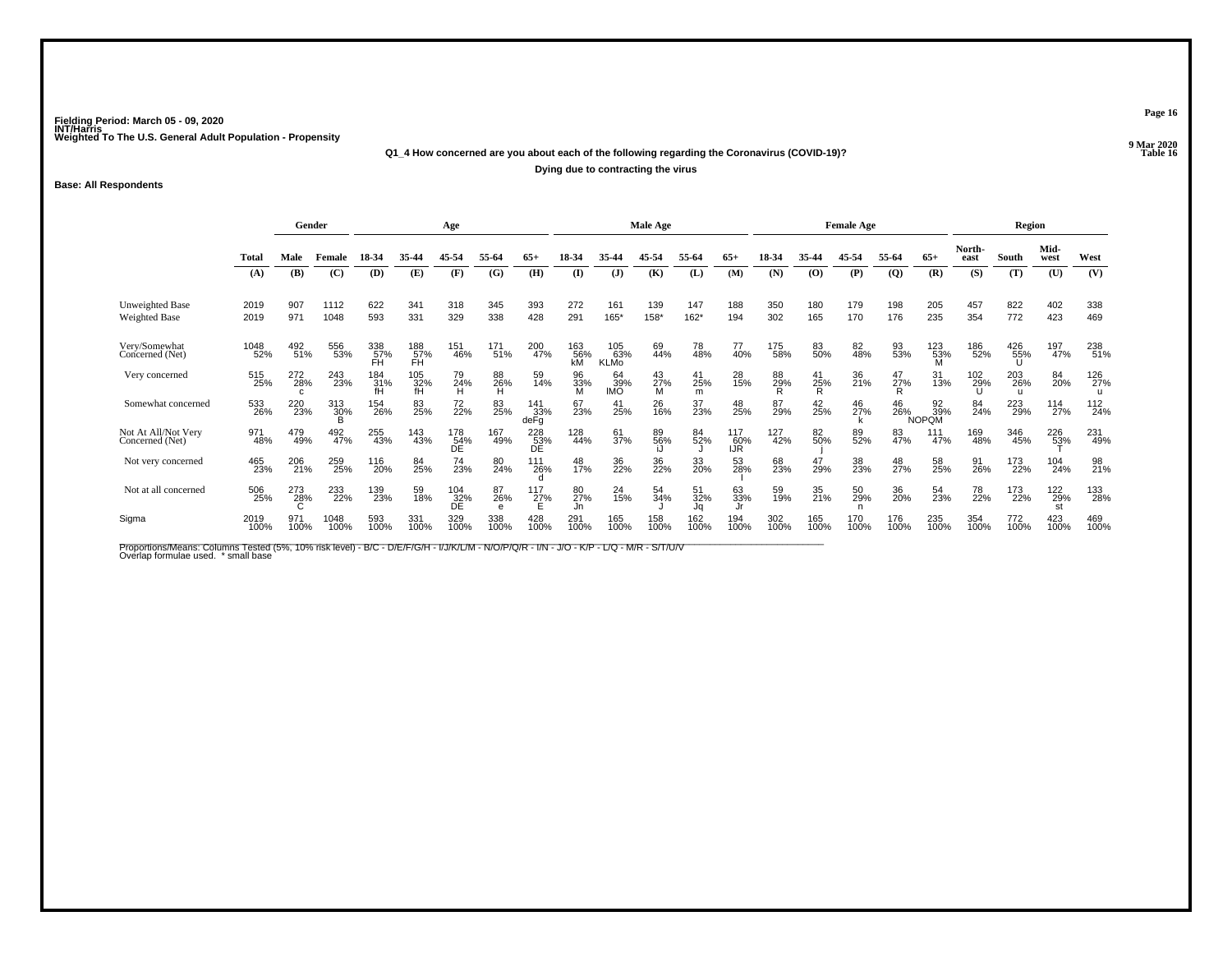**Base: All Respondents**

**Q1\_4 How concerned are you about each of the following regarding the Coronavirus (COVID-19)?P** Table 16 **Dying due to contracting the virus**

|                                        |              | Gender           |              |                                        |                  | Age              |                         |                    |                  |                           | Male Age       |                     |                   |                |                 | <b>Female Age</b> |                |                           |                | Region          |                  |             |
|----------------------------------------|--------------|------------------|--------------|----------------------------------------|------------------|------------------|-------------------------|--------------------|------------------|---------------------------|----------------|---------------------|-------------------|----------------|-----------------|-------------------|----------------|---------------------------|----------------|-----------------|------------------|-------------|
|                                        | <b>Total</b> | Male             | Female       | 18-34                                  | 35-44            | 45-54            | 55-64                   | $65+$              | 18-34            | 35.44                     | 45-54          | 55.64               | $65+$             | 18-34          | 35-44           | 45-54             | 55-64          | $65+$                     | North-<br>east | South           | Mid-<br>west     | West        |
|                                        | (A)          | (B)              | (C)          | (D)                                    | (E)              | (F)              | (G)                     | (H)                | $\mathbf{I}$     | $\mathbf{J}$              | (K)            | (L)                 | (M)               | (N)            | (0)             | (P)               | $\overline{Q}$ | (R)                       | (S)            | (T)             | (U)              | (V)         |
| Unweighted Base<br>Weighted Base       | 2019<br>2019 | 907<br>971       | 1112<br>1048 | 622<br>593                             | 341<br>331       | 318<br>329       | 345<br>338              | 393<br>428         | 272<br>291       | 161<br>165*               | 139<br>158*    | 147<br>162*         | 188<br>194        | 350<br>302     | 180<br>165      | 179<br>170        | 198<br>176     | 205<br>235                | 457<br>354     | 822<br>772      | 402<br>423       | 338<br>469  |
| Very/Somewhat<br>Concerned (Net)       | 1048<br>52%  | 492<br>51%       | 556<br>53%   | 338<br>57%<br>FH                       | 188<br>57%<br>FĤ | 151<br>46%       | $^{171}_{51\%}$         | 200<br>47%         | 163<br>56%<br>kM | 105<br>63%<br><b>KLMo</b> | 69<br>44%      | 78<br>48%           | 77<br>40%         | 175<br>58%     | 83<br>50%       | 82<br>48%         | 93<br>53%      | 123<br>53%                | 186<br>52%     | 426<br>55%      | 197<br>47%       | 238<br>51%  |
| Very concerned                         | 515<br>25%   | 272<br>28%<br>C. | 243<br>23%   | $^{184}_{\substack{31\%\\ \text{fH}}}$ | 105<br>32%<br>fH | 79<br>24%<br>H   | 88<br>26%<br>H          | 59<br>14%          | 96<br>33%        | 64<br>39%<br>IMO          | 43<br>27%<br>M | $^{41}_{25\%}$<br>m | 28<br>15%         | 88<br>29%<br>R | $^{41}_{25\%}$  | 36<br>21%         | 47<br>27%<br>R | 31<br>13%                 | 102<br>29%     | 203<br>26%<br>u | 84<br>20%        | 126<br>27%  |
| Somewhat concerned                     | 533<br>26%   | 220<br>23%       | 313<br>30%   | 154<br>26%                             | 83<br>25%        | 72<br>22%        | 83<br>25%               | 141<br>33%<br>deFg | 67<br>23%        | 41<br>25%                 | 26<br>16%      | 37<br>23%           | 48<br>25%         | 87<br>29%      | 42<br>25%       | 46<br>27%         | 46<br>26%      | 92<br>39%<br><b>NOPQM</b> | 84<br>24%      | 223<br>29%      | 114<br>27%       | 112<br>24%  |
| Not At All/Not Very<br>Concerned (Net) | 971<br>48%   | 479<br>49%       | 492<br>47%   | 255<br>43%                             | 143<br>43%       | 178<br>54%<br>DE | 167<br>49%              | 228<br>53%<br>DE   | 128<br>44%       | 61<br>37%                 | 89%            | 84<br>52%           | 117<br>60%<br>IJR | 127<br>42%     | 82 <sub>%</sub> | 89<br>52%         | 83<br>47%      | 111<br>47%                | 169<br>48%     | 346<br>45%      | 226<br>53%       | 231<br>49%  |
| Not very concerned                     | 465<br>23%   | 206<br>21%       | 259<br>25%   | 116<br>20%                             | 84<br>25%        | 74<br>23%        | 80<br>24%               | 111<br>26%         | 48<br>17%        | 36<br>22%                 | 36<br>22%      | 33<br>20%           | 53<br>28%         | 68<br>23%      | 47<br>29%       | 38<br>23%         | 48<br>27%      | 58<br>25%                 | 91<br>26%      | 173<br>22%      | 104<br>24%       | 98<br>21%   |
| Not at all concerned                   | 506<br>25%   | 273<br>28%       | 233<br>22%   | 139<br>23%                             | 59<br>18%        | 104<br>32%<br>DE | 87<br>26%<br>$\epsilon$ | 117<br>27%         | 80<br>27%<br>Jn  | 24<br>15%                 | 54<br>34%      | 51<br>32%<br>Ja     | 63<br>33%         | 59<br>19%      | 35<br>21%       | 50<br>29%         | 36<br>20%      | 54<br>23%                 | 78<br>22%      | 173<br>22%      | 122<br>29%<br>st | 133<br>28%  |
| Sigma                                  | 2019<br>100% | 971<br>100%      | 1048<br>100% | 593<br>100%                            | 331<br>100%      | 329<br>100%      | 338<br>100%             | 428<br>100%        | 291<br>100%      | 165<br>100%               | 158<br>100%    | 162<br>100%         | 194<br>100%       | 302<br>100%    | 165<br>100%     | 170<br>100%       | 176<br>100%    | 235<br>100%               | 354<br>100%    | 772<br>100%     | 423<br>100%      | 469<br>100% |

Proportions/Means: Columns Tested (5%, 10% risk level) - B/C - D/E/F/G/H - I/J/K/L/M - N/O/P/Q/R - I/N - J/O - K/P - L/Q - M/R - S/T/U/V<br>Overlap formulae used. \*small base

**9 Mar 2020<br>Table 16** 

**Page 16**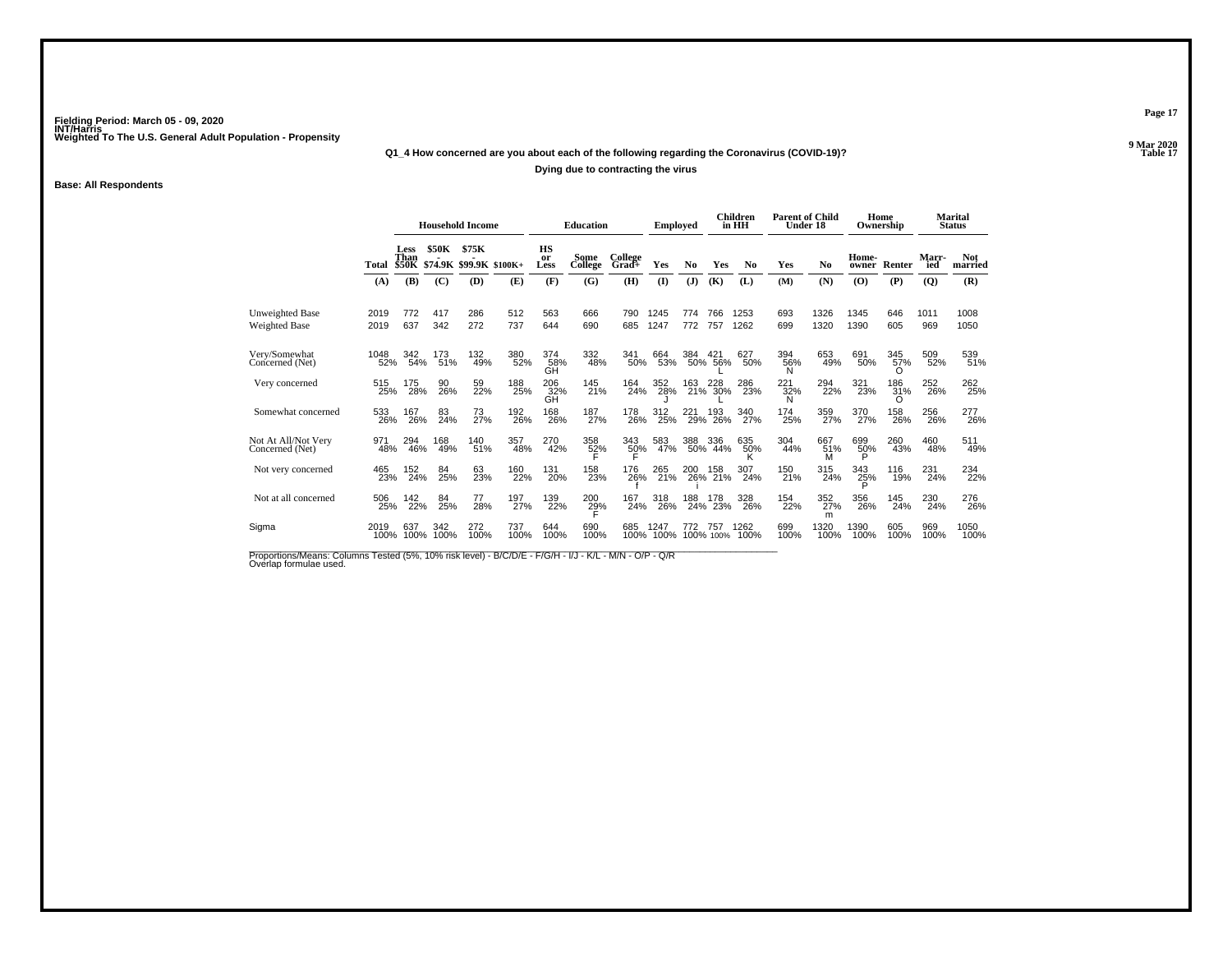# **Q1\_4 How concerned are you about each of the following regarding the Coronavirus (COVID-19)?**

### **Dying due to contracting the virus**

### **Base: All Respondents**

|                                         |              |                              |             | <b>Household Income</b>          |             |                         | <b>Education</b>      |                  | <b>Employed</b> |                |                            | <b>Children</b><br>in HH | <b>Parent of Child</b><br>Under 18 |                 |                 | Home<br>Ownership |              | <b>Marital</b><br><b>Status</b> |
|-----------------------------------------|--------------|------------------------------|-------------|----------------------------------|-------------|-------------------------|-----------------------|------------------|-----------------|----------------|----------------------------|--------------------------|------------------------------------|-----------------|-----------------|-------------------|--------------|---------------------------------|
|                                         | Total        | Less<br>Than<br><b>\$50K</b> | \$50K       | \$75K<br>\$74.9K \$99.9K \$100K+ |             | <b>HS</b><br>or<br>Less | Some<br>College       | College<br>Grad+ | Yes             | N <sub>0</sub> | Yes                        | N <sub>0</sub>           | Yes                                | N <sub>0</sub>  | Home-<br>owner  | Renter            | Marr-<br>ied | <b>Not</b><br>married           |
|                                         | (A)          | (B)                          | (C)         | (D)                              | (E)         | (F)                     | (G)                   | (H)              | $($ $\Gamma$    | ( <b>J</b> )   | (K)                        | (L)                      | (M)                                | (N)             | (O)             | (P)               | (Q)          | (R)                             |
| <b>Unweighted Base</b><br>Weighted Base | 2019<br>2019 | 772<br>637                   | 417<br>342  | 286<br>272                       | 512<br>737  | 563<br>644              | 666<br>690            | 790<br>685       | 1245<br>1247    | 774<br>772     | 766<br>757                 | 1253<br>1262             | 693<br>699                         | 1326<br>1320    | 1345<br>1390    | 646<br>605        | 1011<br>969  | 1008<br>1050                    |
| Very/Somewhat<br>Concerned (Net)        | 1048<br>52%  | 342<br>54%                   | 173<br>51%  | 132<br>49%                       | 380<br>52%  | 374<br>58%<br>GH        | 332<br>48%            | 341<br>50%       | 664<br>53%      | 384            | 42 <sup>2</sup><br>50% 56% | 627<br>50%               | 394<br>56%<br>Ν                    | 653<br>49%      | 691<br>50%      | 345<br>57%<br>O   | 509<br>52%   | 539<br>51%                      |
| Very concerned                          | 515<br>25%   | 175<br>28%                   | 90<br>26%   | 59<br>22%                        | 188<br>25%  | 206<br>32%<br>GĤ        | 145<br>21%            | 164<br>24%       | 352<br>28%      | 163            | 163 228<br>21% 30%         | 286<br>23%               | 221<br>32%<br>Ν                    | 294<br>22%      | 321<br>23%      | 186<br>31%<br>∩   | 252<br>26%   | 262 <sub>25%</sub>              |
| Somewhat concerned                      | 533<br>26%   | 167<br>26%                   | 83<br>24%   | 73<br>27%                        | 192<br>26%  | 168<br>26%              | 187<br>27%            | 178<br>26%       | 312<br>25%      | 221<br>29%     | 193<br>26%                 | 340<br>27%               | 174<br>25%                         | 359<br>27%      | 370<br>27%      | 158<br>26%        | 256<br>26%   | 277<br>26%                      |
| Not At All/Not Very<br>Concerned (Net)  | 971<br>48%   | 294<br>46%                   | 168<br>49%  | 140<br>51%                       | 357<br>48%  | 270<br>42%              | 358<br>$\frac{52}{5}$ | 343<br>50%       | 583<br>47%      | 388            | 336<br>50% 44%             | 635<br>50%               | 304<br>44%                         | 667<br>51%<br>M | 699<br>50%<br>P | 260<br>43%        | 460<br>48%   | 511<br>49%                      |
| Not very concerned                      | 465<br>23%   | 152<br>24%                   | 84<br>25%   | 63<br>23%                        | 160<br>22%  | 131<br>20%              | 158<br>23%            | 176<br>26%       | 265<br>21%      | 200            | 158<br>26% 21%             | 307<br>24%               | 150<br>21%                         | 315<br>24%      | 343<br>25%<br>Þ | 116<br>19%        | 231<br>24%   | 234<br>22%                      |
| Not at all concerned                    | 506<br>25%   | 142<br>22%                   | 84<br>25%   | 77<br>28%                        | 197<br>27%  | 139<br>22%              | 200<br>29%            | 167<br>24%       | 318<br>26%      | 188<br>24%     | 178<br>23%                 | 328<br>26%               | 154<br>22%                         | 352<br>27%<br>m | 356<br>26%      | 145<br>24%        | 230<br>24%   | 276<br>26%                      |
| Sigma                                   | 2019<br>100% | 637<br>100%                  | 342<br>100% | 272<br>100%                      | 737<br>100% | 644<br>100%             | 690<br>100%           | 685<br>100%      | 1247<br>100%    | 772            | 757<br>100% 100%           | 1262<br>100%             | 699<br>100%                        | 1320<br>100%    | 1390<br>100%    | 605<br>100%       | 969<br>100%  | 1050<br>100%                    |

Proportions/Means: Columns Tested (5%, 10% risk level) - B/C/D/E - F/G/H - I/J - K/L - M/N - O/P - Q/R<br>Overlap formulae used.

**Page 17**

**9 Mar 2020<br>Table 17 P** Table 17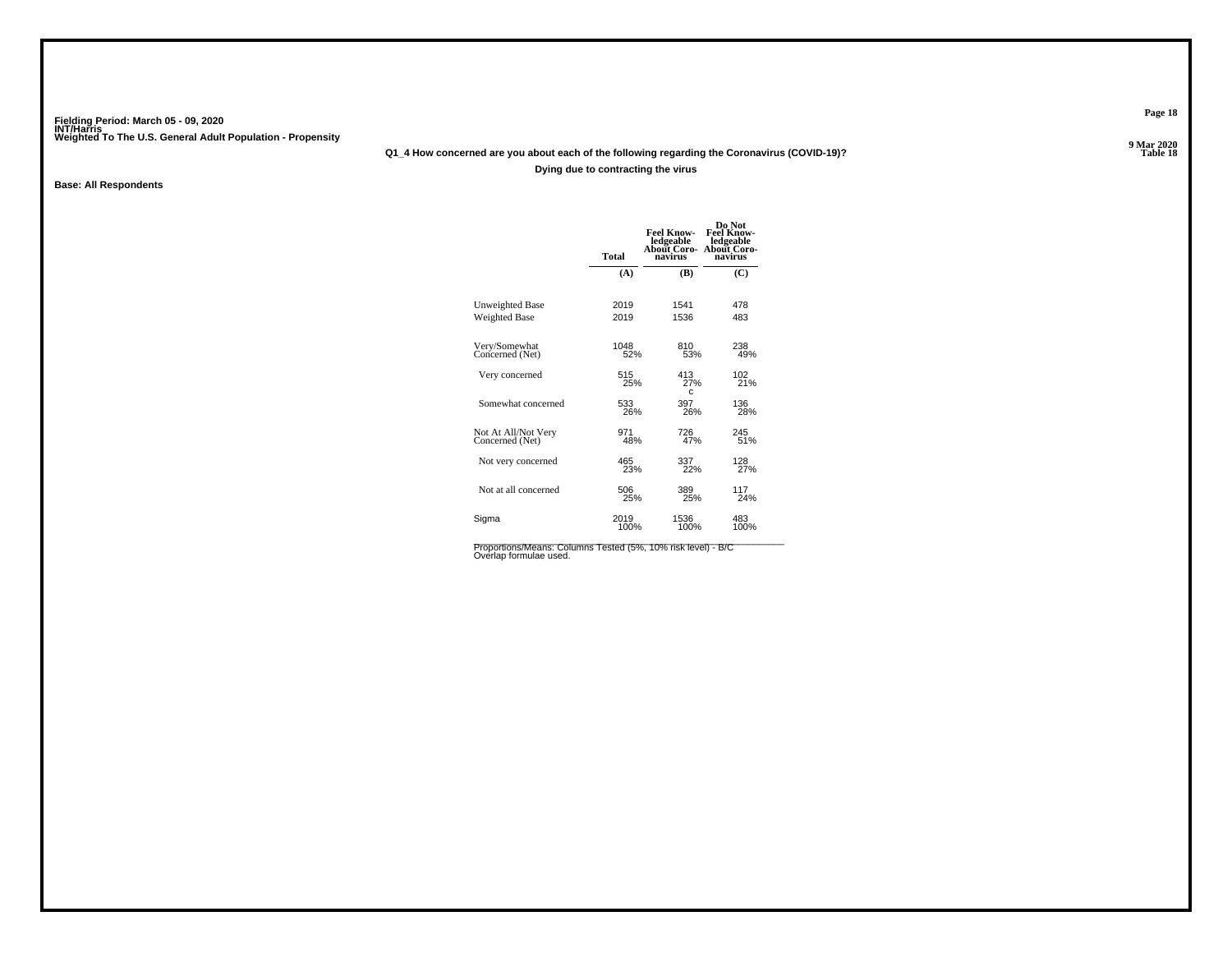# **Q1\_4 How concerned are you about each of the following regarding the Coronavirus (COVID-19)?**

**Dying due to contracting the virus**

**Base: All Respondents**

|                                        | <b>Total</b> | <b>Feel Know-</b><br>ledgeable<br>About Coro-<br>navirus | Do Not<br><b>Feel Know-</b><br>ledgeable<br>About Coro-<br>navirus |
|----------------------------------------|--------------|----------------------------------------------------------|--------------------------------------------------------------------|
|                                        | (A)          | (B)                                                      | (C)                                                                |
| Unweighted Base                        | 2019         | 1541                                                     | 478                                                                |
| <b>Weighted Base</b>                   | 2019         | 1536                                                     | 483                                                                |
| Very/Somewhat<br>Concerned (Net)       | 1048<br>52%  | 810<br>53%                                               | 238<br>49%                                                         |
| Very concerned                         | 515<br>25%   | 413<br>27%<br>C                                          | 102<br>21%                                                         |
| Somewhat concerned                     | 533<br>26%   | 397<br>26%                                               | 136<br>28%                                                         |
| Not At All/Not Very<br>Concerned (Net) | 971<br>48%   | 726<br>47%                                               | 245<br>51%                                                         |
| Not very concerned                     | 465<br>23%   | 337<br>22%                                               | 128<br>27%                                                         |
| Not at all concerned                   | 506<br>25%   | 389<br>25%                                               | 117<br>24%                                                         |
| Sigma                                  | 2019<br>100% | 1536<br>100%                                             | 483<br>100%                                                        |
|                                        |              |                                                          |                                                                    |

Proportions/Means: Columns Tested (5%, 10% risk level) - B/C<br>Overlap formulae used.

**Page 18**

**9 Mar 2020<br>Table 18 P** Table 18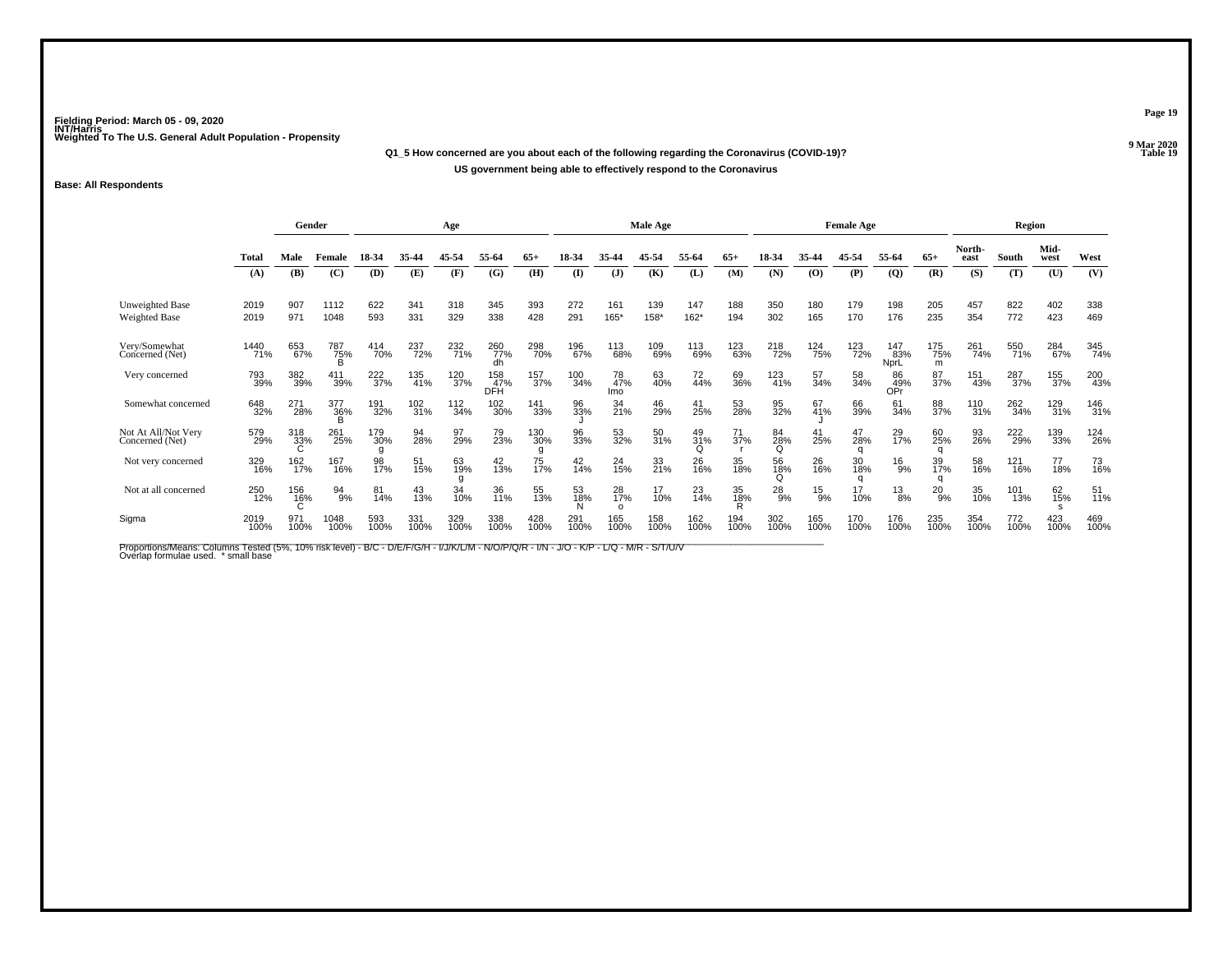**Q1\_5 How concerned are you about each of the following regarding the Coronavirus (COVID-19)?US government being able to effectively respond to the Coronavirus**

### **Base: All Respondents**

|                                        | Gender       |             |                 |             | Age         |                    |                   |             |                | Male Age             |             |                |                    |                | <b>Female Age</b> |                       |                    |                 | Region         |             |              |             |
|----------------------------------------|--------------|-------------|-----------------|-------------|-------------|--------------------|-------------------|-------------|----------------|----------------------|-------------|----------------|--------------------|----------------|-------------------|-----------------------|--------------------|-----------------|----------------|-------------|--------------|-------------|
|                                        | Total        | Male        | Female          | 18-34       | 35-44       | 45-54              | 55-64             | $65+$       | 18-34          | 35.44                | 45-54       | 55.64          | $65+$              | 18-34          | 35-44             | 45-54                 | 55-64              | $65+$           | North-<br>east | South       | Mid-<br>west | West        |
|                                        | (A)          | (B)         | (C)             | (D)         | (E)         | (F)                | (G)               | (H)         | $($ $\Gamma$   | $\mathbf{J}$         | (K)         | (L)            | (M)                | (N)            | (O)               | (P)                   | $\overline{Q}$     | (R)             | (S)            | (T)         | (U)          | (V)         |
| Unweighted Base<br>Weighted Base       | 2019<br>2019 | 907<br>971  | 1112<br>1048    | 622<br>593  | 341<br>331  | 318<br>329         | 345<br>338        | 393<br>428  | 272<br>291     | 161<br>165*          | 139<br>158* | 147<br>$162*$  | 188<br>194         | 350<br>302     | 180<br>165        | 179<br>170            | 198<br>176         | 205<br>235      | 457<br>354     | 822<br>772  | 402<br>423   | 338<br>469  |
| Very/Somewhat<br>Concerned (Net)       | 1440<br>71%  | 653<br>67%  | 787<br>75%<br>B | 414<br>70%  | 237<br>72%  | 232 <sub>71%</sub> | 260<br>77%<br>dh  | 298<br>70%  | 196<br>67%     | 113<br>68%           | 109<br>69%  | 113<br>69%     | 123<br>63%         | 218<br>72%     | 124<br>75%        | 123<br>72%            | 147<br>83%<br>NprL | 175<br>75%<br>m | 261<br>74%     | 550<br>71%  | 284<br>67%   | 345<br>74%  |
| Very concerned                         | 793<br>39%   | 382<br>39%  | 411<br>39%      | 222<br>37%  | 135<br>41%  | 120<br>37%         | 158<br>47%<br>DFH | 157<br>37%  | 100<br>34%     | 78<br>47%<br>Imo     | 63<br>40%   | 72<br>44%      | 69<br>36%          | 123<br>41%     | 57<br>34%         | 58<br>34%             | 86<br>49%<br>OPr   | 87<br>37%       | 151<br>43%     | 287<br>37%  | 155<br>37%   | 200<br>43%  |
| Somewhat concerned                     | 648<br>32%   | 271<br>28%  | 377<br>36%      | 191<br>32%  | 102<br>31%  | $\frac{112}{34\%}$ | 102<br>30%        | 141<br>33%  | 96<br>33%      | 34<br>21%            | 46<br>29%   | 41<br>25%      | 53<br>28%          | 95<br>32%      | 67<br>41%         | 66<br>39%             | 61<br>34%          | 88<br>37%       | 110<br>31%     | 262<br>34%  | 129<br>31%   | 146<br>31%  |
| Not At All/Not Very<br>Concerned (Net) | 579<br>29%   | 318<br>33%  | 261<br>25%      | 179<br>30%  | 94<br>28%   | 97<br>29%          | 79<br>23%         | 130<br>30%  | 96<br>33%      | 53<br>32%            | 50<br>31%   | 49<br>31%<br>Q | 71<br>37%          | 84<br>28%<br>Q | 41<br>25%         | 47<br>28%             | 29 <sub>%</sub>    | 60<br>25%       | 93<br>26%      | 222<br>29%  | 139<br>33%   | 124<br>26%  |
| Not very concerned                     | 329<br>16%   | 162<br>17%  | 167<br>16%      | 98<br>17%   | 51<br>15%   | 63<br>19%          | $^{42}_{13\%}$    | 75<br>17%   | $^{42}_{14\%}$ | 24<br>15%            | 33<br>21%   | 26<br>16%      | 35<br>18%          | 56<br>18%      | 26<br>16%         | 30<br>18%<br>$\Omega$ | $^{16}_{9%}$       | 39<br>17%       | 58<br>16%      | 121<br>16%  | 77<br>18%    | 73<br>16%   |
| Not at all concerned                   | 250<br>12%   | 156<br>16%  | 94<br>9%        | 81<br>14%   | 43<br>13%   | 34<br>10%          | 36<br>11%         | 55<br>13%   | 53<br>18%      | 28<br>17%<br>$\circ$ | 17<br>10%   | $^{23}_{14\%}$ | 35<br>1 <u>8</u> % | $^{28}_{9%}$   | $^{15}_{9\%}$     | 17<br>10%             | $^{13}_{8\%}$      | $^{20}_{9\%}$   | 35<br>10%      | 101<br>13%  | 62<br>15%    | 51<br>11%   |
| Sigma                                  | 2019<br>100% | 971<br>100% | 1048<br>100%    | 593<br>100% | 331<br>100% | 329<br>100%        | 338<br>100%       | 428<br>100% | 291<br>100%    | 165<br>100%          | 158<br>100% | 162<br>100%    | 194<br>100%        | 302<br>100%    | 165<br>100%       | 170<br>100%           | 176<br>100%        | 235<br>100%     | 354<br>100%    | 772<br>100% | 423<br>100%  | 469<br>100% |

Proportions/Means: Columns Tested (5%, 10% risk level) - B/C - D/E/F/G/H - I/J/K/L/M - N/O/P/Q/R - I/N - J/O - K/P - L/Q - M/R - S/T/U/V<br>Overlap formulae used. \*small base

**Page 19**

**9 Mar 2020<br>Table 19 P** Table 19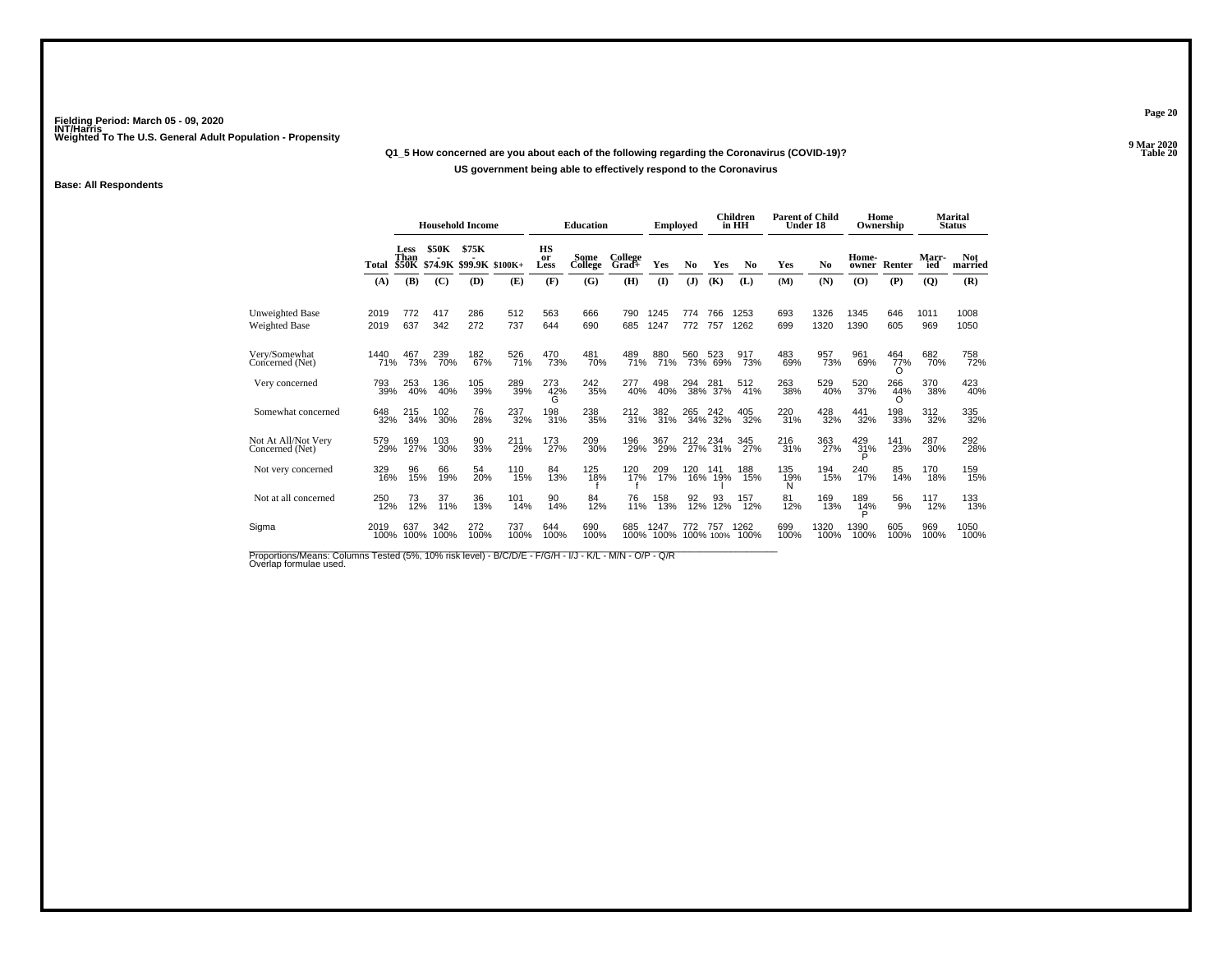### **Q1\_5 How concerned are you about each of the following regarding the Coronavirus (COVID-19)?**

### **US government being able to effectively respond to the Coronavirus**

### **Base: All Respondents**

|                                         |              |                              |              | <b>Household Income</b>          |             |                         | <b>Education</b> |                  | <b>Employed</b> |                |                  | Children<br>in HH | <b>Parent of Child</b><br>Under 18 |              |                 | Home<br>Ownership |                    | <b>Marital</b><br><b>Status</b> |
|-----------------------------------------|--------------|------------------------------|--------------|----------------------------------|-------------|-------------------------|------------------|------------------|-----------------|----------------|------------------|-------------------|------------------------------------|--------------|-----------------|-------------------|--------------------|---------------------------------|
|                                         | Total        | Less<br>Than<br><b>\$50K</b> | <b>\$50K</b> | \$75K<br>\$74.9K \$99.9K \$100K+ |             | <b>HS</b><br>or<br>Less | Some<br>College  | College<br>Grad+ | Yes             | N <sub>0</sub> | Yes              | N <sub>0</sub>    | Yes                                | No           | Home-<br>owner  | Renter            | <b>Marr</b><br>ied | <b>Not</b><br>married           |
|                                         | (A)          | (B)                          | (C)          | (D)                              | (E)         | (F)                     | (G)              | (H)              | $($ $\Gamma$    | (J)            | (K)              | (L)               | (M)                                | (N)          | (0)             | (P)               | $\overline{Q}$     | (R)                             |
| <b>Unweighted Base</b><br>Weighted Base | 2019<br>2019 | 772<br>637                   | 417<br>342   | 286<br>272                       | 512<br>737  | 563<br>644              | 666<br>690       | 790<br>685       | 1245<br>1247    | 774<br>772     | 766<br>757       | 1253<br>1262      | 693<br>699                         | 1326<br>1320 | 1345<br>1390    | 646<br>605        | 1011<br>969        | 1008<br>1050                    |
| Very/Somewhat<br>Concerned (Net)        | 1440<br>71%  | 467<br>73%                   | 239<br>70%   | 182<br>67%                       | 526<br>71%  | 470<br>73%              | 481<br>70%       | 489<br>71%       | 880<br>71%      | 560            | 523<br>73% 69%   | 917<br>73%        | 483<br>69%                         | 957<br>73%   | 961<br>69%      | 464<br>77%<br>O   | 682<br>70%         | 758<br>72%                      |
| Very concerned                          | 793<br>39%   | 253<br>40%                   | 136<br>40%   | 105<br>39%                       | 289<br>39%  | 273<br>42%<br>G         | $^{242}_{35\%}$  | 277<br>40%       | 498<br>40%      | 294            | 281<br>38% 37%   | 512<br>41%        | 263<br>38%                         | 529<br>40%   | 520<br>37%      | 266<br>44%<br>∩   | 370<br>38%         | 423<br>40%                      |
| Somewhat concerned                      | 648<br>32%   | 215<br>34%                   | 102<br>30%   | 76<br>28%                        | 237<br>32%  | 198<br>31%              | 238<br>35%       | 212<br>31%       | 382<br>31%      | 265<br>34%     | 242<br>32%       | 405<br>32%        | 220<br>31%                         | 428<br>32%   | 441<br>32%      | 198<br>33%        | 312<br>32%         | 335<br>32%                      |
| Not At All/Not Very<br>Concerned (Net)  | 579<br>29%   | 169<br>27%                   | 103<br>30%   | 90<br>33%                        | 211<br>29%  | 173<br>27%              | 209<br>30%       | 196<br>29%       | 367<br>29%      | 212            | 234<br>27% 31%   | 345<br>27%        | 216<br>31%                         | 363<br>27%   | 429<br>31%<br>P | 141<br>23%        | 287<br>30%         | 292<br>28%                      |
| Not very concerned                      | 329<br>16%   | 96<br>15%                    | 66<br>19%    | 54<br>20%                        | 110<br>15%  | 84<br>13%               | 125<br>18%       | 120<br>17%       | 209<br>17%      | 120            | 141<br>16% 19%   | 188<br>15%        | 135<br>19%<br>N                    | 194<br>15%   | 240<br>17%      | 85<br>14%         | 170<br>18%         | 159<br>15%                      |
| Not at all concerned                    | 250<br>12%   | 73<br>12%                    | 37<br>11%    | 36<br>13%                        | 101<br>14%  | 90<br>14%               | 84<br>12%        | 76<br>11%        | 158<br>13%      | 92<br>12%      | 93<br>12%        | 157<br>12%        | 81<br>12%                          | 169<br>13%   | 189<br>14%      | 56<br>9%          | 117<br>12%         | 133<br>13%                      |
| Sigma                                   | 2019<br>100% | 637<br>100%                  | 342<br>100%  | 272<br>100%                      | 737<br>100% | 644<br>100%             | 690<br>100%      | 685<br>100%      | 1247<br>100%    | 772            | 757<br>100% 100% | 1262<br>100%      | 699<br>100%                        | 1320<br>100% | 1390<br>100%    | 605<br>100%       | 969<br>100%        | 1050<br>100%                    |

Proportions/Means: Columns Tested (5%, 10% risk level) - B/C/D/E - F/G/H - I/J - K/L - M/N - O/P - Q/R<br>Overlap formulae used.

**Page 20**

**9 Mar 2020<br>Table 20 Properties and the contract of the Contract of Table 20**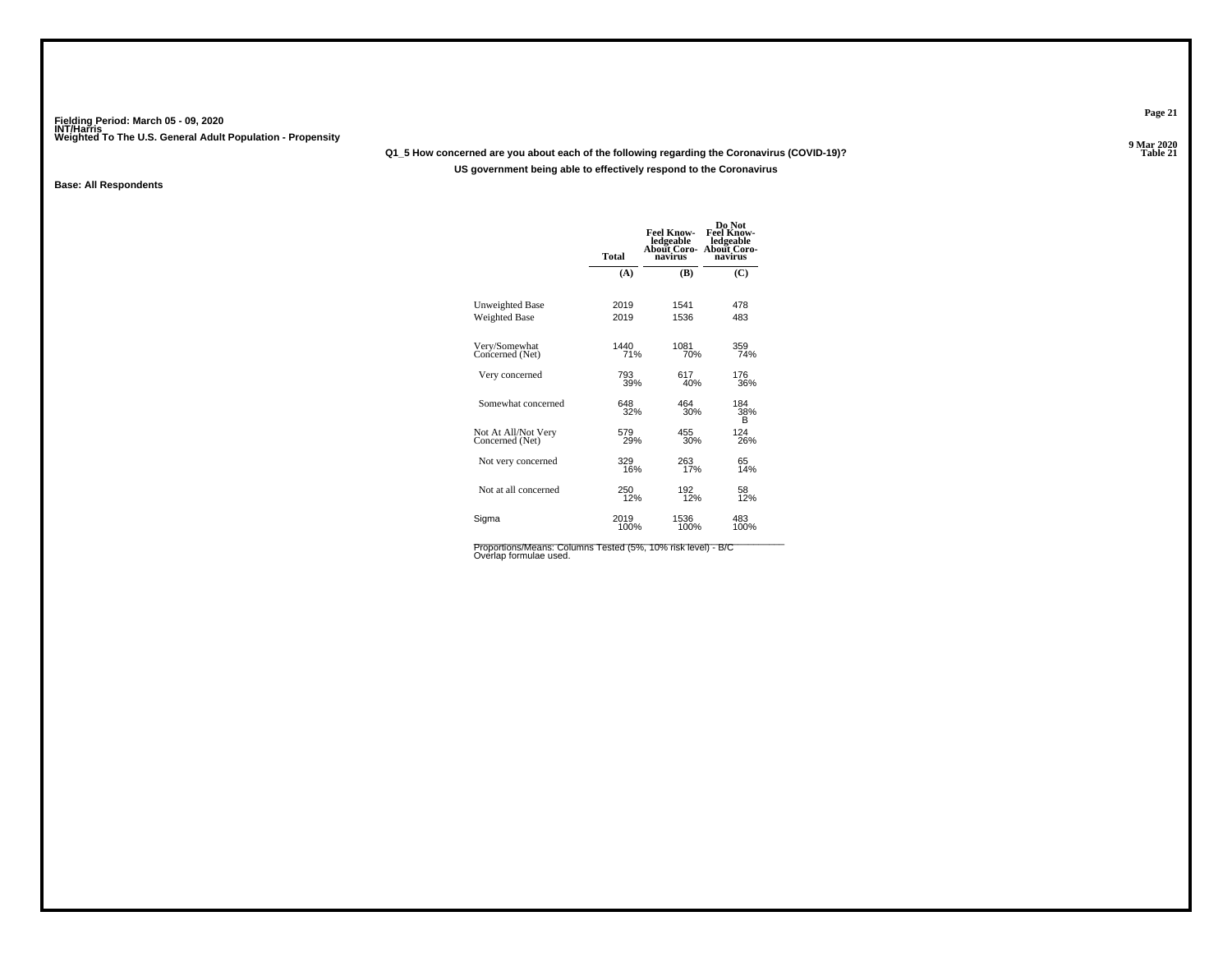# **Q1\_5 How concerned are you about each of the following regarding the Coronavirus (COVID-19)?**

**US government being able to effectively respond to the Coronavirus**

**Base: All Respondents**

|                                        | Total       | <b>Feel Know-</b><br>ledgeable<br><b>About Coro-</b><br>navirus | Do Not<br><b>Feel Know-</b><br>ledgeable<br><b>About Coro-</b><br>navirus |
|----------------------------------------|-------------|-----------------------------------------------------------------|---------------------------------------------------------------------------|
|                                        | (A)         | (B)                                                             | (C)                                                                       |
| Unweighted Base                        | 2019        | 1541                                                            | 478                                                                       |
| <b>Weighted Base</b>                   | 2019        | 1536                                                            | 483                                                                       |
| Very/Somewhat<br>Concerned (Net)       | 1440<br>71% | 1081<br>70%                                                     | 359<br>74%                                                                |
| Very concerned                         | 793         | 617                                                             | 176                                                                       |
|                                        | 39%         | 40%                                                             | 36%                                                                       |
| Somewhat concerned                     | 648<br>32%  | 464<br>30%                                                      | 184<br>38%<br>в                                                           |
| Not At All/Not Very<br>Concerned (Net) | 579<br>29%  | 455<br>30%                                                      | 124<br>26%                                                                |
| Not very concerned                     | 329         | 263                                                             | 65                                                                        |
|                                        | 16%         | 17%                                                             | 14%                                                                       |
| Not at all concerned                   | 250         | 192                                                             | 58                                                                        |
|                                        | 12%         | 12%                                                             | 12%                                                                       |
| Sigma                                  | 2019        | 1536                                                            | 483                                                                       |
|                                        | 100%        | 100%                                                            | 100%                                                                      |

Proportions/Means: Columns Tested (5%, 10% risk level) - B/C<br>Overlap formulae used.

**Page 21**

**9 Mar 2020<br>Table 21 P Table 21**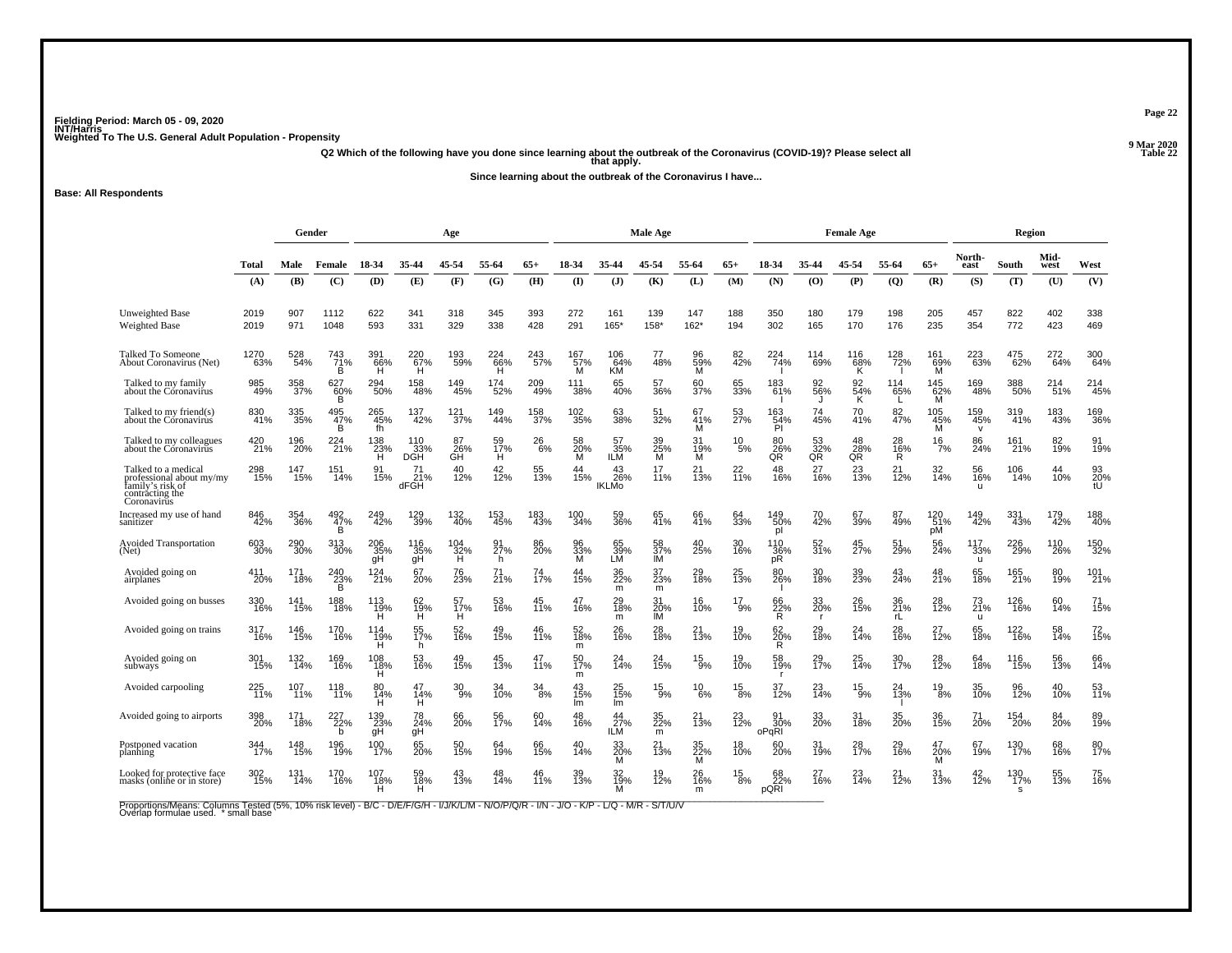**Q2 Which of the following have you done since learning about the outbreak of the Coronavirus (COVID-19)? Please select all that apply.**

**Since learning about the outbreak of the Coronavirus I have...**

**Base: All Respondents**

|                                                                                                       |              | Gender     |                       |                              |                          | Age                              |                 |            |                 |                           | Male Age               |                        |                         |                           |                      | <b>Female Age</b> |                   |                       |                            | Region                        |              |                 |
|-------------------------------------------------------------------------------------------------------|--------------|------------|-----------------------|------------------------------|--------------------------|----------------------------------|-----------------|------------|-----------------|---------------------------|------------------------|------------------------|-------------------------|---------------------------|----------------------|-------------------|-------------------|-----------------------|----------------------------|-------------------------------|--------------|-----------------|
|                                                                                                       | Total        | Male       | Female                | 18-34                        | 35-44                    | 45-54                            | 55-64           | $65+$      | 18-34           | 35-44                     | 45-54                  | 55-64                  | $65+$                   | 18-34                     | 35-44                | 45-54             | 55-64             | $65+$                 | North-<br>east             | South                         | Mid-<br>west | West            |
|                                                                                                       | (A)          | (B)        | (C)                   | (D)                          | (E)                      | (F)                              | (G)             | (H)        | $\mathbf{I}$    | $\mathbf{J}$              | (K)                    | (L)                    | (M)                     | (N)                       | (0)                  | (P)               | $\overline{Q}$    | (R)                   | (S)                        | (T)                           | (U)          | (V)             |
| <b>Unweighted Base</b><br><b>Weighted Base</b>                                                        | 2019<br>2019 | 907<br>971 | 1112<br>1048          | 622<br>593                   | 341<br>331               | 318<br>329                       | 345<br>338      | 393<br>428 | 272<br>291      | 161<br>165*               | 139<br>$158*$          | 147<br>$162*$          | 188<br>194              | 350<br>302                | 180<br>165           | 179<br>170        | 198<br>176        | 205<br>235            | 457<br>354                 | 822<br>772                    | 402<br>423   | 338<br>469      |
| Talked To Someone<br>About Coronavirus (Net)                                                          | 1270<br>63%  | 528<br>54% | 743<br>71%<br>B       | 391<br>66%<br>H              | 220<br>67%<br>н          | 193<br>59%                       | 224<br>66%<br>н | 243<br>57% | 167<br>57%<br>м | 106<br>64%<br>КM          | 77<br>48%              | 96<br>59%<br>м         | 82<br>42%               | 224<br>74%                | 114<br>69%           | 116<br>68%<br>ĸ   | 128<br>72%        | 161<br>69%<br>M       | 223<br>63%                 | 475<br>62%                    | 272<br>64%   | 300<br>64%      |
| Talked to my family<br>about the Coronavirus                                                          | 985<br>49%   | 358<br>37% | 627<br>60%<br>B       | 294<br>50%                   | 158<br>48%               | 149<br>45%                       | 174<br>52%      | 209<br>49% | 111<br>38%      | 65<br>40%                 | 57<br>36%              | 60<br>37%              | 65<br>33%               | 183<br>61%                | 92<br>56%            | 92<br>54%<br>ĸ    | 114<br>65%        | $^{145}_{62\%}$<br>M  | 169<br>48%                 | 388<br>50%                    | 214<br>51%   | 214<br>45%      |
| Talked to my friend(s)<br>about the Coronavirus                                                       | 830<br>41%   | 335<br>35% | 495<br>$\frac{47}{B}$ | 265<br>45%<br>fh             | 137<br>42%               | 121<br>37%                       | 149<br>44%      | 158<br>37% | 102<br>35%      | 63<br>38%                 | 51<br>32%              | 67<br>41%<br>M         | 53<br>27%               | 163<br>$\frac{54}{9}$     | 74<br>45%            | 70<br>41%         | 82<br>47%         | 105<br>45%            | 159<br>45%<br>$\mathsf{v}$ | 319<br>41%                    | 183<br>43%   | 169<br>36%      |
| Talked to my colleagues<br>about the Coronavirus                                                      | 420<br>21%   | 196<br>20% | 224<br>21%            | 138<br>23%<br>H              | 110<br>33%<br><b>DGH</b> | 87<br>26%<br><b>GH</b>           | 59<br>17%<br>н  | 26<br>6%   | 58<br>20%<br>м  | 57<br>35%<br>ILM          | 39<br>25%<br>м         | 31<br>19%<br>M         | 10<br>5%                | 80<br>26%<br>QR           | 53<br>32%<br>QR      | 48<br>28%<br>QR   | 28<br>16%<br>R    | 16<br>7%              | 86<br>24%                  | 161<br>21%                    | 82<br>19%    | 91<br>19%       |
| Talked to a medical<br>professional about my/my<br>family's risk of<br>contracting the<br>Coronavirus | 298<br>15%   | 147<br>15% | 151<br>14%            | 91<br>15%                    | 21%<br>dFGH              | 40<br>12%                        | 42 <sub>%</sub> | 55<br>13%  | 44<br>15%       | 43<br>26%<br><b>IKLMO</b> | 17<br>11%              | 21<br>$\overline{1}3%$ | 22 <sub>0%</sub>        | 48<br>16%                 | 27<br>16%            | 23<br>13%         | $^{21}_{12\%}$    | 32<br>14%             | 56<br>16%                  | 106<br>14%                    | 44<br>10%    | 93<br>20%<br>tÙ |
| Increased my use of hand<br>sanitizer                                                                 | 846<br>42%   | 354<br>36% | 492<br>47%<br>B       | 249<br>42%                   | 129<br>39%               | 132<br>40%                       | 153<br>45%      | 183<br>43% | 100<br>34%      | 59<br>36%                 | 65<br>41%              | 66<br>41%              | 64<br>33%               | 149<br>50%<br>pl          | 70<br>42%            | 67<br>39%         | 87<br>49%         | 120<br>51%<br>pM      | 149<br>42%                 | 331<br>43%                    | 179<br>42%   | 188<br>40%      |
| <b>Avoided Transportation</b><br>(Net)                                                                | 603<br>30%   | 290<br>30% | 313<br>30%            | 206<br>35%<br>qH             | 116<br>35%<br>gH         | $^{104}_{32\%}$                  | 91<br>27%<br>h  | 86<br>20%  | 96<br>33%<br>ΪЙ | 65<br>39%<br>LЙ           | 58<br>37%<br><b>IM</b> | 40<br>25%              | 30<br>16%               | 110<br>36%<br>pŘ          | 52<br>31%            | 45<br>27%         | 51<br>29%         | 56<br>24%             | 117<br>33%<br>$\mathbf{u}$ | 226<br>29%                    | 110<br>26%   | 150<br>32%      |
| Avoided going on<br>airplanes                                                                         | 411<br>20%   | 171<br>18% | $\frac{240}{23\%}$    | 124<br>21%                   | 67<br>$\frac{20\%}{20}$  | 76<br>23%                        | $^{71}_{21\%}$  | 74<br>17%  | 44<br>15%       | 36<br>22%<br>m            | 37<br>23%<br>m         | 29 <sub>0%</sub>       | 25<br>13%               | 80<br>26%                 | 30<br>18%            | 39 <sub>%</sub>   | 43<br>24%         | 48<br>21%             | 65<br>18%                  | 165<br>21%                    | 80<br>19%    | 101%            |
| Avoided going on busses                                                                               | 330<br>16%   | 141<br>15% | 188<br>18%            | 113<br>19%<br>H              | 62<br>$19\%$             | 57<br>$\tilde{H}^{\gamma\%}_{H}$ | 53<br>16%       | 45<br>11%  | 47<br>16%       | 29<br>18%<br>m            | 31<br>$\frac{20}{1}$   | 16<br>10%              | 17<br>9%                | 66<br>$\frac{22}{R}$      | 33<br>20%            | 26<br>15%         | 36<br>21%<br>rL   | 28<br>12%             | 73<br>21%<br>$\mathbf{H}$  | 126<br>16%                    | 60<br>14%    | 71<br>15%       |
| Avoided going on trains                                                                               | 317<br>16%   | 146<br>15% | 170<br>16%            | 114<br>$\overline{H}^{19\%}$ | 55<br>17%<br>h.          | 52<br>16%                        | 49<br>15%       | 46<br>11%  | 52<br>18%<br>m  | 26<br>16%                 | 28<br>18%              | 21<br>13%              | 19<br>10%               | 62<br>20%<br>Ŕ.           | 29<br>$\frac{18}{6}$ | 24<br>14%         | 28<br>16%         | 27<br>$\frac{1}{2}$ % | 65<br>18%                  | 122<br>16%                    | 58<br>14%    | 72<br>15%       |
| Avoided going on<br>subways                                                                           | 301<br>15%   | 132<br>14% | 169<br>16%            | 108<br>18%<br>H              | 53<br>16%                | 49<br>15%                        | 45<br>13%       | 11%        | 50<br>17%<br>m  | 24<br>14%                 | 24<br>15%              | $^{15}_{9\%}$          | 19<br>10%               | 58<br>19%<br>$\mathbf{r}$ | 29 <sub>0%</sub>     | 25<br>14%         | 30 <sub>17%</sub> | 28<br>12%             | 64<br>18%                  | <sup>116</sup> <sub>15%</sub> | 56<br>13%    | 66<br>14%       |
| Avoided carpooling                                                                                    | 225<br>11%   | 107<br>11% | 118<br>11%            | 80<br>14%<br>Ħ.              | 47<br>14%<br>H           | 30<br>9%                         | 34<br>10%       | 34<br>8%   | 43<br>15%<br>lm | 25<br>15%<br>lm           | 15<br>9%               | 10<br>6%               | 15<br>8%                | 37<br>12%                 | 23<br>14%            | $^{15}_{9\%}$     | 24<br>13%         | 19<br>$.8\%$          | 35<br>10%                  | 96<br>12%                     | 40<br>10%    | 53<br>11%       |
| Avoided going to airports                                                                             | 398<br>20%   | 171<br>18% | 227<br>22%<br>b.      | 139<br>23%<br>qΗ             | 78<br>24%<br>qH          | 66<br>20%                        | 56<br>17%       | 60<br>14%  | 48<br>16%       | 44<br>27%<br><b>ILM</b>   | 35<br>22%<br>m         | 21<br>13%              | 23<br>$\overline{12}\%$ | 91<br>30%<br>oPqRI        | 33<br>20%            | 31<br>18%         | 35<br>20%         | 36<br>15%             | 71<br>20%                  | 154<br>20%                    | 84<br>20%    | 89<br>19%       |
| Postponed vacation<br>planhing                                                                        | 344<br>17%   | 148<br>15% | 196<br>19%            | 100<br>17%                   | 65<br>20%                | 50<br>15%                        | 64<br>19%       | 66<br>15%  | 40<br>14%       | 33<br>20%<br>м            | <b>13%</b>             | 35<br>22%<br>M         | 18<br>10%               | 60 <sub>%</sub>           | 31<br>19%            | 28<br>17%         | 29<br>16%         | 47<br>20%<br>м        | 67<br>19%                  | 130<br>17%                    | 68<br>16%    | 80<br>17%       |
| Looked for protective face<br>masks (online or in store)                                              | 302<br>15%   | 131<br>14% | 170<br>16%            | 107<br>18%<br>н              | 59<br>18%<br>н           | 43<br>13%                        | 48<br>14%       | 46<br>11%  | 39<br>13%       | 32<br>19%<br>м            | 19 <sub>%</sub>        | 26<br>16%<br>m         | $^{15}_{8\%}$           | 68<br>22%<br><b>pQRI</b>  | 27<br>16%            | 23<br>14%         | $^{21}_{12\%}$    | 31<br>13%             | 42<br>12%                  | 130 <sub>17%</sub><br>s       | 55<br>13%    | 75<br>16%       |

H H H M M m pQRI<br>Proportions/Means: Columns Tested (5%, 10% risk level) - B/C - D/E/F/G/H - I/J/K/L/M - N/O/P/Q/R - I/N - J/O - K/P - L/Q - M/R - S/T/U/V<br>Overlap formulae used. \*small base

**Page 22**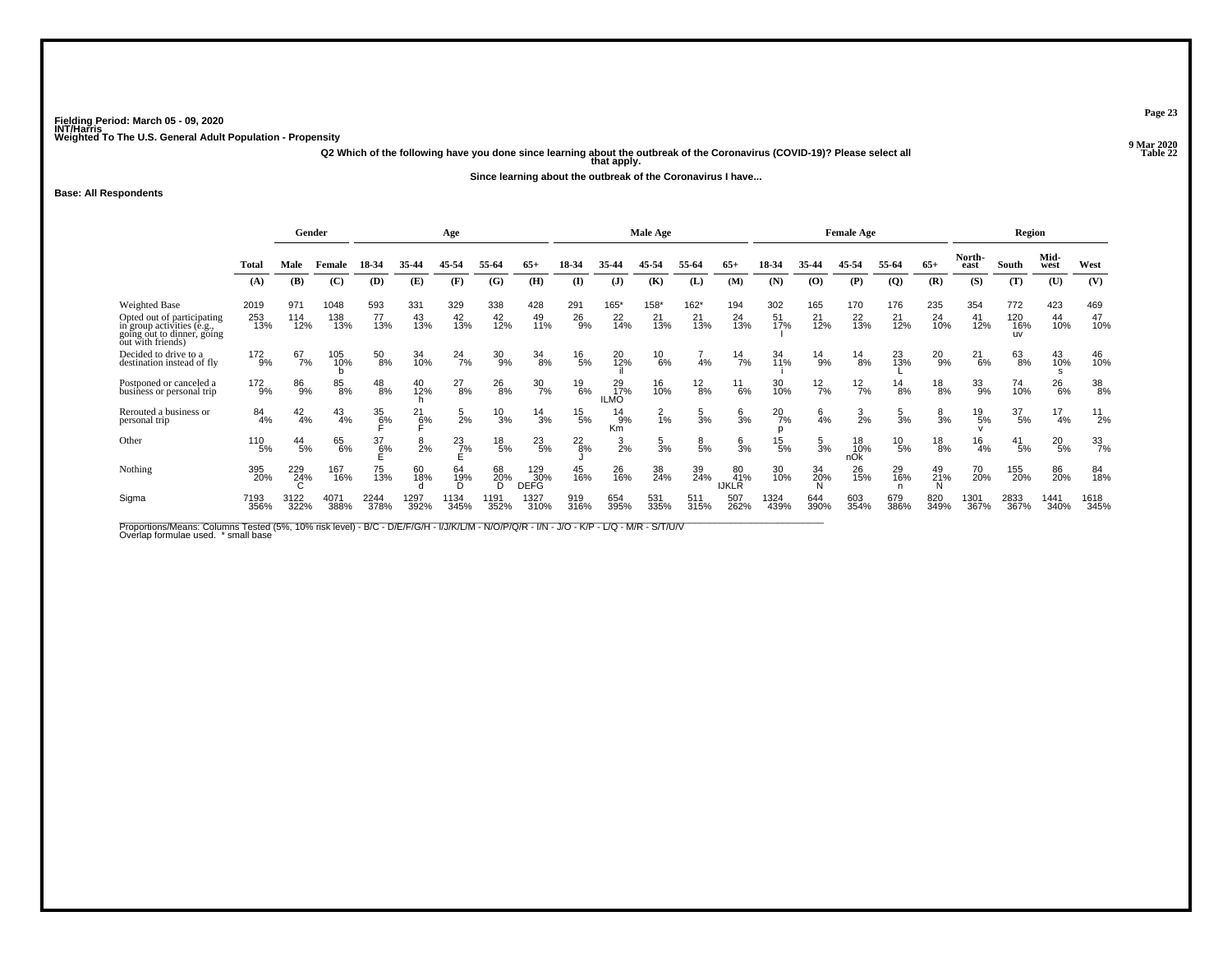**Q2 Which of the following have you done since learning about the outbreak of the Coronavirus (COVID-19)? Please select all that apply.**

**Since learning about the outbreak of the Coronavirus I have...**

### **Base: All Respondents**

|                                                                                                             | Gender         |                 |               |                  | Age            |                |                 |                           |               | Male Age                        |                 |                 |                           |               | <b>Female Age</b> |                  |                 |                | Region         |                         |                 |                  |
|-------------------------------------------------------------------------------------------------------------|----------------|-----------------|---------------|------------------|----------------|----------------|-----------------|---------------------------|---------------|---------------------------------|-----------------|-----------------|---------------------------|---------------|-------------------|------------------|-----------------|----------------|----------------|-------------------------|-----------------|------------------|
|                                                                                                             | Total          | Male            | Female        | 18-34            | 35-44          | 45-54          | 55-64           | $65+$                     | 18-34         | 35.4                            | 45-54           | 55-64           | $65+$                     | 18-34         | 35-44             | 15.54            | 55-64           | $65+$          | North-<br>east | South                   | Mid-<br>west    | West             |
|                                                                                                             | (A)            | (B)             | (C)           | (D)              | (E)            | (F)            | (G)             | (H)                       | $($ $\Gamma$  | (J)                             | (K)             | (L)             | (M)                       | (N)           | (O)               | (P)              | $\overline{Q}$  | (R)            | (S)            | (T)                     | (U)             | (V)              |
| <b>Weighted Base</b>                                                                                        | 2019           | 971             | 1048          | 593              | 331            | 329            | 338             | 428                       | 291           | $165*$                          | 158*            | $162*$          | 194                       | 302           | 165               | 170              | 176             | 235            | 354            | 772                     | 423             | 469              |
| Opted out of participating<br>in group activities (e.g.,<br>going out to dinner, going<br>out with friends) | 253<br>13%     | 114<br>12%      | 138<br>13%    | 77<br>13%        | 43<br>13%      | 42<br>13%      | $^{42}_{12\%}$  | 49<br>11%                 | 26<br>9%      | $^{22}_{14\%}$                  | 21<br>13%       | 21<br>13%       | 24<br>13%                 | 51<br>17%     | 21<br>12%         | $^{22}_{13\%}$   | 21<br>12%       | 24<br>10%      | 41<br>12%      | 120<br>16%<br><b>UV</b> | 44<br>10%       | 47<br>10%        |
| Decided to drive to a<br>destination instead of fly                                                         | 172<br>9%      | 67<br>7%        | 105<br>10%    | $^{50}_{\ 8\%}$  | 34<br>10%      | $^{24}_{7\%}$  | 30<br>9%        | $\frac{34}{8%}$           | $^{16}_{5\%}$ | 20<br>12%                       | $^{10}_{6\%}$   | 4%              | $^{14}$ 7%                | 34<br>11%     | $^{14}_{9\%}$     | $^{14}_{8\%}$    | 23<br>13%       | 20<br>9%       | 21<br>6%       | 63<br>8%                | 43<br>10%       | 46<br>10%        |
| Postponed or canceled a<br>business or personal trip                                                        | $^{172}_{9\%}$ | 86<br>9%        | 85<br>8%      | $^{48}_{8\%}$    | 40<br>12%      | $^{27}_{8\%}$  | $^{26}_{8\%}$   | $\frac{30}{7\%}$          | 19<br>6%      | 29 <sub>0%</sub><br><b>ILMO</b> | 16<br>10%       | $^{12}_{8\%}$   | $^{11}_{6\%}$             | 30<br>10%     | $12\frac{2}{7}$ % | $\frac{12}{7%}$  | $^{14}_{8\%}$   | $^{18}_{8\%}$  | $33\atop{9\%}$ | 74<br>10%               | $^{26}_{6\%}$   | 38<br>8%         |
| Rerouted a business or<br>personal trip                                                                     | 84<br>4%       | $^{42}_{4\%}$   | $^{43}_{4\%}$ | $\frac{35}{6}$ % | 21<br>6%       | $\frac{5}{2%}$ | 10<br>3%        | $\frac{14}{3%}$           | $^{15}_{5\%}$ | 14<br>9%<br>Km                  | $\frac{2}{1\%}$ | $\frac{5}{3}$ % | $\frac{6}{3}$ %           | $^{20}_{7\%}$ | 4%                | $\frac{3}{2\%}$  | 5<br>3%         | $\frac{8}{3%}$ | 19<br>5%       | 37<br>5%                | 17<br>4%        | $^{11}_{2\%}$    |
| Other                                                                                                       | 110<br>5%      | $^{44}_{\ 5\%}$ | 65<br>6%      | 37<br>6%         | $\frac{8}{2%}$ | $^{23}_{7\%}$  | $^{18}_{\ 5\%}$ | $^{23}_{5\%}$             | $^{22}_{8\%}$ | $\frac{3}{2\%}$                 | $\frac{5}{3%}$  | $\frac{8}{5%}$  | $\frac{6}{3}$ %           | $^{15}_{5\%}$ | $\frac{5}{3\%}$   | 18<br>10%<br>nOK | $^{10}_{\ 5\%}$ | $^{18}_{8\%}$  | 16<br>4%       | $^{41}_{5\%}$           | $^{20}_{\ 5\%}$ | $\frac{33}{7\%}$ |
| Nothing                                                                                                     | 395<br>20%     | 229<br>24%      | 167<br>16%    | 75<br>13%        | 60<br>18%      | 64<br>19%<br>n | 68<br>20%       | 129<br>30%<br><b>DEFG</b> | 45<br>16%     | 26<br>16%                       | 38<br>24%       | 39<br>24%       | 80<br>41%<br><b>IJKLR</b> | 30<br>10%     | 34<br>20%         | 26<br>15%        | 29<br>16%       | 49<br>21%<br>N | 70<br>20%      | 155<br>20%              | 86<br>20%       | 84<br>18%        |
| Sigma                                                                                                       | 7193<br>356%   | 3122<br>322%    | 4071<br>388%  | 2244<br>378%     | 1297<br>392%   | 1134<br>345%   | 1191<br>352%    | 1327<br>310%              | 919<br>316%   | 654<br>395%                     | 531<br>335%     | 511<br>315%     | 507<br>262%               | 1324<br>439%  | 644<br>390%       | 603<br>354%      | 679<br>386%     | 820<br>349%    | 1301<br>367%   | 2833<br>367%            | 1441<br>340%    | 1618<br>345%     |

Proportions/Means: Columns Tested (5%, 10% risk level) - B/C - D/E/F/G/H - I/J/K/L/M - N/O/P/Q/R - I/N - J/O - K/P - L/Q - M/R - S/T/U/V<br>Overlap formulae used. \*small base

**Page 23**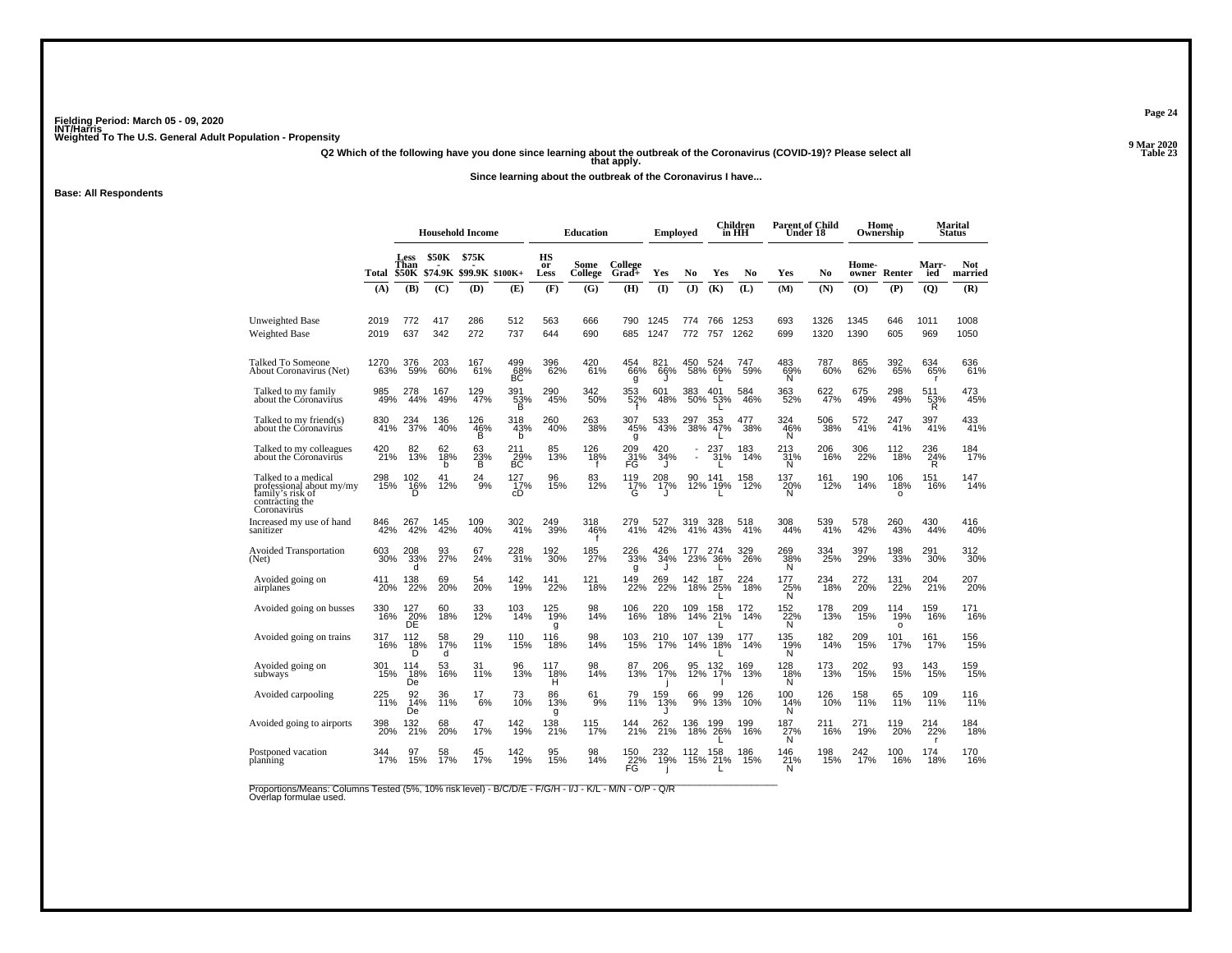**Q2 Which of the following have you done since learning about the outbreak of the Coronavirus (COVID-19)? Please select all that apply.**

**Since learning about the outbreak of the Coronavirus I have...**

**Base: All Respondents**

|                                                                                                       |              |                  |                | <b>Household Income</b>                |                       |                  | Education        |                  | <b>Employed</b>   |              |                    | Children<br>in HH | <b>Parent of Child</b><br>Under 18 |              |              | Home<br>Ownership      |                       | Marital<br><b>Status</b> |
|-------------------------------------------------------------------------------------------------------|--------------|------------------|----------------|----------------------------------------|-----------------------|------------------|------------------|------------------|-------------------|--------------|--------------------|-------------------|------------------------------------|--------------|--------------|------------------------|-----------------------|--------------------------|
|                                                                                                       | Total        | Less<br>Than     | <b>\$50K</b>   | \$75K<br>\$50K \$74.9K \$99.9K \$100K+ |                       | HS<br>or<br>Less | Some<br>College  | College<br>Grad+ | Yes               | No           | Yes                | N <sub>0</sub>    | Yes                                | No           | Home-        | owner Renter           | Marr-<br>ied          | Not<br>married           |
|                                                                                                       | (A)          | (B)              | (C)            | (D)                                    | (E)                   | (F)              | (G)              | (H)              | (1)               | (J)          | (K)                | (L)               | (M)                                | (N)          | (0)          | (P)                    | (Q)                   | (R)                      |
| <b>Unweighted Base</b><br><b>Weighted Base</b>                                                        | 2019<br>2019 | 772<br>637       | 417<br>342     | 286<br>272                             | 512<br>737            | 563<br>644       | 666<br>690       | 790<br>685       | 1245<br>1247      | 774<br>772   | 766<br>757         | 1253<br>1262      | 693<br>699                         | 1326<br>1320 | 1345<br>1390 | 646<br>605             | 1011<br>969           | 1008<br>1050             |
| Talked To Someone<br>About Coronavirus (Net)                                                          | 1270<br>63%  | 376<br>59%       | 203<br>60%     | 167<br>61%                             | 499<br>BC             | 396<br>62%       | 420<br>61%       | 454<br>66%<br>g  | 821<br>66%        | 450          | 524<br>58% 69%     | 747<br>59%        | 483<br>$\frac{69}{N}$              | 787<br>60%   | 865<br>62%   | 392<br>65%             | 634<br>65%            | 636<br>61%               |
| Talked to my family<br>about the Coronavirus                                                          | 985<br>49%   | 278<br>44%       | 167<br>49%     | 129<br>47%                             | 391<br>$\frac{33}{B}$ | 290<br>45%       | 342<br>50%       | 353<br>52%       | 601<br>48%        | 383<br>50%   | 401<br>53%         | 584<br>46%        | 363<br>52%                         | 622<br>47%   | 675<br>49%   | 298<br>49%             | 511<br>53%<br>R       | 473<br>45%               |
| Talked to my friend(s)<br>about the Coronavirus                                                       | 830<br>41%   | 234<br>37%       | 136<br>40%     | 126<br>46%<br>B                        | 318<br>43%<br>b       | 260<br>40%       | 263<br>38%       | 307<br>45%<br>g  | 533<br>43%        | 297 :<br>38% | 47%                | 38%               | 324<br>46%<br>N                    | 506<br>38%   | 572<br>41%   | 247<br>41%             | 397<br>41%            | 433<br>41%               |
| Talked to my colleagues<br>about the Coronavirus                                                      | 420<br>21%   | 82<br>13%        | 62<br>18%<br>b | 63<br>$^{23\%}_{B}$                    | $^{211}_{29\%}$ BC    | 85<br>13%        | 126<br>18%       | 209<br>31%<br>FG | $^{420}_{34\%}$   |              | 237<br>31%         | 183<br>14%        | 213<br>$\frac{31}{N}$              | 206<br>16%   | 306<br>22%   | 112<br>18%             | 236<br>$\frac{24}{R}$ | 184<br>17%               |
| Talked to a medical<br>professional about my/my<br>family's risk of<br>contracting the<br>Coronavirus | 298<br>15%   | 102<br>16%<br>D  | 41<br>12%      | 24<br>9%                               | 127<br>17%<br>cD      | 96<br>15%        | 83<br>12%        | 119<br>17%<br>G  | 208<br>17%<br>. I | 90           | 141<br>12% 19%     | 158<br>12%        | 137<br>20%<br>Ń                    | 161<br>12%   | 190<br>14%   | 106<br>18%<br>$\Omega$ | 151<br>16%            | 147<br>14%               |
| Increased my use of hand<br>sanitizer                                                                 | 846<br>42%   | 267<br>42%       | 145<br>42%     | 109<br>40%                             | 302<br>41%            | 249<br>39%       | 318<br>46%       | 279<br>41%       | 527<br>42%        | 319<br>41%   | 328<br>43%         | 518<br>41%        | 308<br>44%                         | 539<br>41%   | 578<br>42%   | 260<br>43%             | 430<br>44%            | 416<br>40%               |
| <b>Avoided Transportation</b><br>(Net)                                                                | 603<br>30%   | 208<br>33%<br>d  | 93<br>27%      | 67<br>24%                              | 228<br>31%            | 192<br>30%       | 185<br>27%       | 226<br>33%<br>g  | 426<br>34%        | 177<br>23%   | 274<br>36%         | 329<br>26%        | 269<br>38%<br>N                    | 334<br>25%   | 397<br>29%   | 198<br>33%             | 291<br>30%            | 312<br>30%               |
| Avoided going on<br>airplanes                                                                         | 411<br>20%   | 138<br>22%       | 69<br>20%      | 54<br>20%                              | 142<br>19%            | 141<br>22%       | 121<br>18%       | 149<br>22%       | 269<br>22%        | 142          | 187<br>18% 25%     | 224<br>18%        | 177<br>25%<br>Ñ                    | 234<br>18%   | 272<br>20%   | 131<br>22%             | 204<br>21%            | 207<br>20%               |
| Avoided going on busses                                                                               | 330<br>16%   | 127<br>20%<br>DE | 60<br>18%      | 33<br>12%                              | 103<br>14%            | 125<br>19%<br>g  | 98<br>14%        | 106<br>16%       | 18%               |              | 109 158<br>14% 21% | 172<br>14%        | 152<br>22%<br>Ñ                    | 178<br>13%   | 209<br>15%   | 114<br>19%<br>$\circ$  | 159<br>16%            | 171<br>16%               |
| Avoided going on trains                                                                               | 317<br>16%   | 112<br>18%<br>n  | 58<br>17%<br>d | 29<br>11%                              | 110<br>15%            | 116<br>18%       | 98<br>14%        | 103<br>15%       | 210<br>17%        | 107          | 139<br>14% 18%     | 177<br>14%        | 135<br>19%<br>Ñ                    | 182<br>14%   | 209<br>15%   | 101<br>17%             | 161<br>17%            | 156<br>15%               |
| Avoided going on<br>subways                                                                           | 301<br>15%   | 114<br>18%<br>De | 53<br>16%      | 31<br>11%                              | 96<br>13%             | 117<br>18%<br>н  | 98<br>14%        | 87<br>13%        | 206<br>17%        | 95           | 132<br>12% 17%     | 169<br>13%        | 128<br>18%<br>N                    | 173<br>13%   | 202<br>15%   | 93<br>15%              | 143<br>15%            | 159<br>15%               |
| Avoided carpooling                                                                                    | 225<br>11%   | 92<br>14%<br>De  | 36<br>11%      | $^{17}_{6\%}$                          | 73<br>10%             | 86<br>13%<br>g   | 61 <sub>9%</sub> | 79<br>11%        | 159<br>13%        | 66<br>9%     | 99<br>13%          | 126<br>10%        | 100<br>14%<br>Ν                    | 126<br>10%   | 158<br>11%   | 65<br>11%              | 109<br>11%            | 116<br>11%               |
| Avoided going to airports                                                                             | 398<br>20%   | 132<br>21%       | 68<br>20%      | 47<br>17%                              | 142<br>19%            | 138<br>21%       | 115<br>17%       | 144<br>21%       | 262<br>21%        | 136          | 199<br>18% 26%     | 199<br>16%        | 187<br>$\frac{27}{N}$              | 211<br>16%   | 271<br>19%   | 119<br>20%             | 214<br>22%<br>г       | 184<br>18%               |
| Postponed vacation<br>planning                                                                        | 344<br>17%   | 97<br>15%        | 58<br>17%      | 45<br>17%                              | 142<br>19%            | 95<br>15%        | 98<br>14%        | 150<br>22%<br>FG | 232<br>19%<br>J   | 112          | 158<br>15% 21%     | 186<br>15%        | 146<br>21%<br>N                    | 198<br>15%   | 242<br>17%   | 100<br>16%             | 174<br>18%            | 170<br>16%               |

Proportions/Means: Columns Tested (5%, 10% risk level) - B/C/D/E - F/G/H - I/J - K/L - M/N - O/P - Q/R<br>Overlap formulae used.

**Page 24**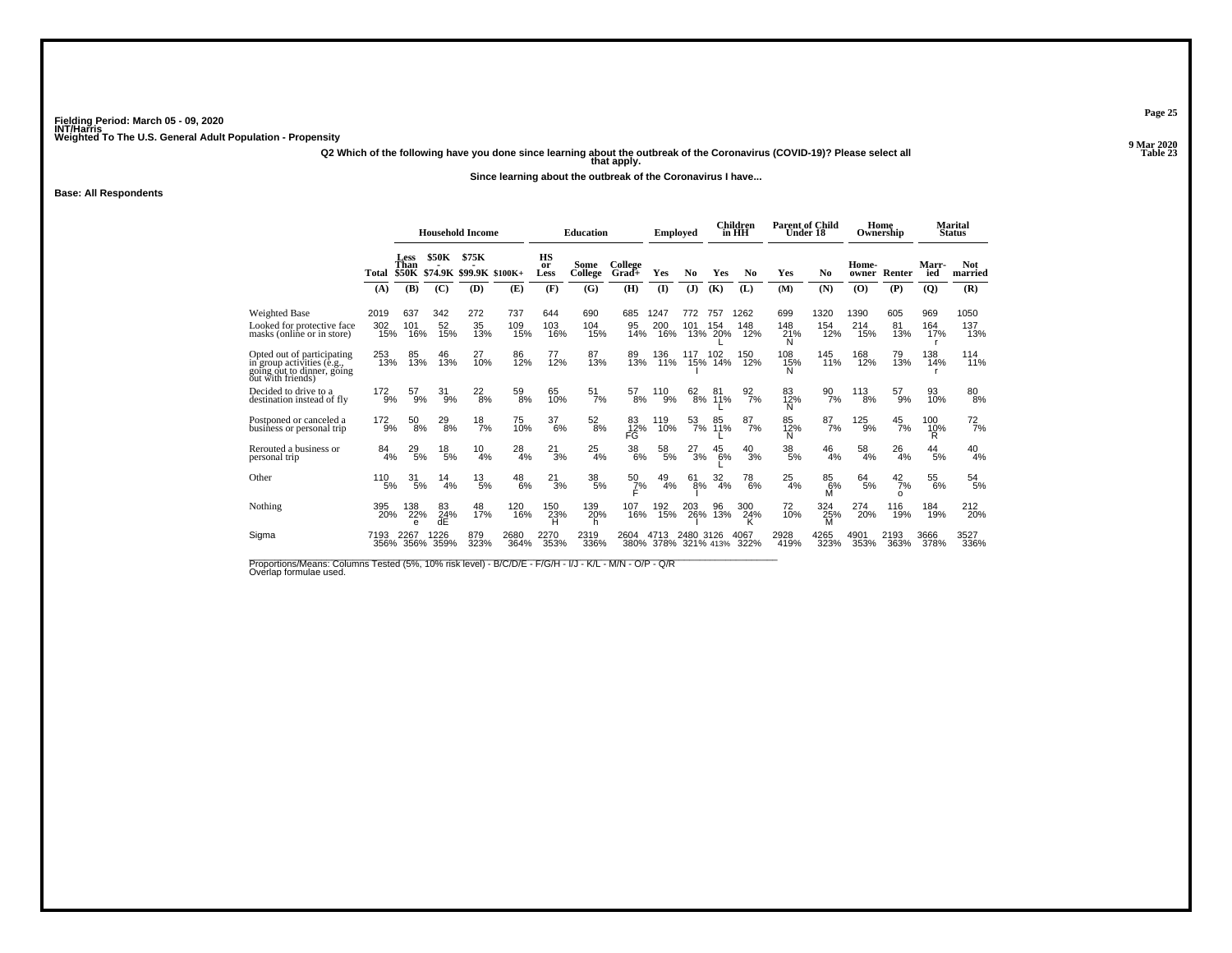**Q2 Which of the following have you done since learning about the outbreak of the Coronavirus (COVID-19)? Please select all that apply.**

**Since learning about the outbreak of the Coronavirus I have...**

**Base: All Respondents**

|                                                                                                             |                    |                     | <b>Household Income</b> |                                |                   |                         | <b>Education</b>       |                         | <b>Employed</b>        |                  |                       | Children<br>in HH  | <b>Parent of Child</b><br>Under 18 |                    |                    | Home<br>Ownership    |                   | Marital<br><b>Status</b> |
|-------------------------------------------------------------------------------------------------------------|--------------------|---------------------|-------------------------|--------------------------------|-------------------|-------------------------|------------------------|-------------------------|------------------------|------------------|-----------------------|--------------------|------------------------------------|--------------------|--------------------|----------------------|-------------------|--------------------------|
|                                                                                                             | Total              | <b>Less</b><br>Than | <b>\$50K</b>            | \$75K<br>\$50K \$74.9K \$99.9K | $$100K+$          | <b>HS</b><br>or<br>Less | Some<br>College        | College<br>Grad+        | Yes                    | N <sub>0</sub>   | Yes                   | N <sub>0</sub>     | Yes                                | N <sub>0</sub>     | Home-<br>owner     | Renter               | Marr-<br>ied      | <b>Not</b><br>married    |
|                                                                                                             | (A)                | (B)                 | (C)                     | (D)                            | (E)               | (F)                     | (G)                    | (H)                     | $\mathbf{I}$           | (J)              | (K)                   | (L)                | (M)                                | (N)                | (O)                | (P)                  | $\overline{Q}$    | (R)                      |
| Weighted Base<br>Looked for protective face<br>masks (online or in store)                                   | 2019<br>302<br>15% | 637<br>101<br>16%   | 342<br>52<br>15%        | 272<br>35<br>13%               | 737<br>109<br>15% | 644<br>103<br>16%       | 690<br>104<br>15%      | 685<br>95<br>14%        | 1247<br>200<br>16%     | 772<br>101       | 757<br>154<br>13% 20% | 1262<br>148<br>12% | 699<br>148<br>$^{21\%}_{N}$        | 1320<br>154<br>12% | 1390<br>214<br>15% | 605<br>81<br>13%     | 969<br>164<br>17% | 1050<br>137<br>13%       |
| Opted out of participating<br>in group activities (e.g.,<br>going out to dinner, going<br>out with friends) | 253<br>13%         | 85<br>13%           | 46<br>13%               | 27<br>10%                      | 86<br>12%         | 77<br>12%               | 87<br>13%              | 89<br>13%               | 136<br>11%             | 117              | 102<br>15% 14%        | 150<br>12%         | 108<br>15%<br>N                    | 145<br>11%         | 168<br>12%         | 79<br>13%            | 138<br>14%        | 114<br>11%               |
| Decided to drive to a<br>destination instead of fly                                                         | 172<br>9%          | 57<br>9%            | 31<br>9%                | $^{22}_{8\%}$                  | 59<br>8%          | 65<br>10%               | $\frac{51}{7\%}$       | 57<br>8%                | 110<br>9%              |                  | 62 81<br>8% 11%       | $\frac{92}{7\%}$   | 83<br>12%<br>N                     | 90<br>7%           | 113<br>8%          | 57<br>9%             | 93<br>10%         | $\substack{80\\8\%}$     |
| Postponed or canceled a<br>business or personal trip                                                        | $^{172}_{9%}$      | $^{50}_{\ 8\%}$     | $^{29}_{8\%}$           | $\frac{18}{7%}$                | 75<br>10%         | $\frac{37}{6\%}$        | $^{52}_{\ 8\%}$        | 83<br>12%<br>FG         | 119<br>10%             | $\frac{53}{7\%}$ | 85<br>11%             | $^{87}_{7\%}$      | 85<br>12%<br>N                     | $\frac{87}{7\%}$   | $^{125}_{9\%}$     | $^{45}_{7\%}$        | 100<br>10%<br>R   | $^{72}_{7\%}$            |
| Rerouted a business or<br>personal trip                                                                     | 84<br>4%           | 29<br>5%            | $^{18}_{\ 5\%}$         | 10<br>4%                       | 28<br>4%          | $^{21}_{3\%}$           | $^{25}_{4\%}$          | $\underset{6\%}{^{38}}$ | $58\phantom{.}5\%$     | 27<br>3%         | 45<br>6%              | 40<br>3%           | $\frac{38}{5\%}$                   | $^{46}_{4\%}$      | 58<br>4%           | 26<br>4%             | $\frac{44}{5\%}$  | $^{40}_{4\%}$            |
| Other                                                                                                       | 110<br>5%          | 31<br>5%            | 14<br>4%                | 13<br>5%                       | 48<br>6%          | 21<br>3%                | $\substack{38 \\ 5\%}$ | $\frac{50}{7}\%$        | 49<br>4%               | 61<br>8%         | 32<br>4%              | 78<br>6%           | 25<br>4%                           | 85<br>6%<br>M      | 64<br>5%           | 42<br>7%<br>$\Omega$ | 55<br>6%          | $\frac{54}{5\%}$         |
| Nothing                                                                                                     | 395<br>20%         | 138<br>22%          | 83<br>24%<br>dE         | 48<br>17%                      | 120<br>16%        | 150<br>23%              | 139<br>20%<br>h        | 107<br>16%              | 192<br>15%             | 203<br>26%       | 96<br>13%             | 300<br>24%         | 72<br>10%                          | 324<br>25%         | 274<br>20%         | 116<br>19%           | 184<br>19%        | 212<br>20%               |
| Sigma                                                                                                       | 7193               | 226.<br>356% 356%   | 226<br>359%             | 879<br>323%                    | 2680<br>364%      | 2270<br>353%            | 2319<br>336%           | 2604<br>380%            | 4713<br>378% 321% 413% | 2480             | 3126                  | 4067<br>322%       | 2928<br>419%                       | 4265<br>323%       | 4901<br>353%       | 2193<br>363%         | 3666<br>378%      | 3527<br>336%             |

Proportions/Means: Columns Tested (5%, 10% risk level) - B/C/D/E - F/G/H - I/J - K/L - M/N - O/P - Q/R<br>Overlap formulae used.

**Page 25**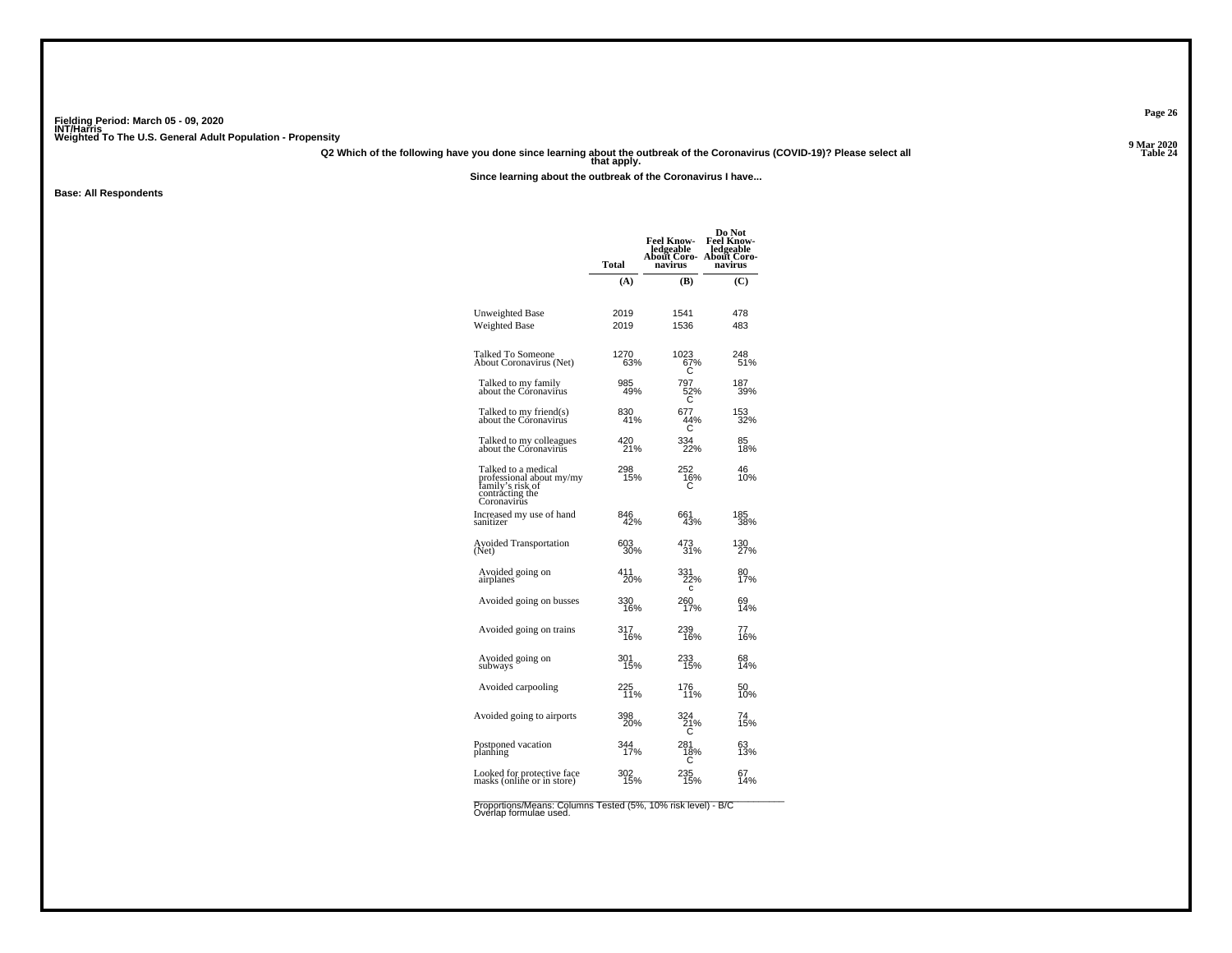**Q2 Which of the following have you done since learning about the outbreak of the Coronavirus (COVID-19)? Please select all that apply.**

**Since learning about the outbreak of the Coronavirus I have...**

**Base: All Respondents**

|                                                                                                       | Total        | <b>Feel Know-</b><br>ledgeable<br>About Coro-<br>navirus | Do Not<br><b>Feel Know-</b><br>ledgeable<br>About Coro-<br>navirus |
|-------------------------------------------------------------------------------------------------------|--------------|----------------------------------------------------------|--------------------------------------------------------------------|
|                                                                                                       | (A)          | (B)                                                      | (C)                                                                |
|                                                                                                       |              |                                                          |                                                                    |
| Unweighted Base<br><b>Weighted Base</b>                                                               | 2019<br>2019 | 1541<br>1536                                             | 478<br>483                                                         |
|                                                                                                       |              |                                                          |                                                                    |
| Talked To Someone<br>About Coronavirus (Net)                                                          | 1270<br>63%  | 1023<br>67%<br>С                                         | 248<br>51%                                                         |
| Talked to my family<br>about the Coronavirus                                                          | 985<br>49%   | 797<br>52%<br>C                                          | 187<br>39%                                                         |
| Talked to my friend(s)<br>about the Coronavirus                                                       | 830<br>41%   | 677<br>44%                                               | 153<br>32%                                                         |
| Talked to my colleagues<br>about the Coronavirus                                                      | 420<br>21%   | 334<br>22%                                               | 85<br>18%                                                          |
| Talked to a medical<br>professional about my/my<br>family's risk of<br>contrácting the<br>Coronavirus | 298<br>15%   | 252<br>16%                                               | 46<br>10%                                                          |
| Increased my use of hand<br>sanitizer                                                                 | 846<br>42%   | 661<br>43%                                               | 185<br>38%                                                         |
| Avoided Transportation<br>(Net)                                                                       | 603<br>30%   | 473<br>31%                                               | 130<br>27%                                                         |
| Avoided going on<br>airplanes                                                                         | 411<br>20%   | 331<br>22%<br>c                                          | 80<br>17%                                                          |
| Avoided going on busses                                                                               | 330<br>16%   | 260<br>17%                                               | 69<br>14%                                                          |
| Avoided going on trains                                                                               | 317<br>16%   | 239<br>16%                                               | 77<br>16%                                                          |
| Ayoided going on<br>subways                                                                           | 301<br>15%   | 233<br>15%                                               | 68<br>14%                                                          |
| Avoided carpooling                                                                                    | 225<br>11%   | 176<br>11%                                               | 50<br>10%                                                          |
| Avoided going to airports                                                                             | 398<br>20%   | 324<br>21%<br>C                                          | 74<br>15%                                                          |
| Postponed vacation<br>planhing                                                                        | 344<br>17%   | 281<br>18%                                               | 63<br>13%                                                          |
| Looked for protective face<br>masks (online or in store)                                              | 302<br>15%   | 235<br>15%                                               | 67<br>14%                                                          |

Proportions/Means: Columns Tested (5%, 10% risk level) - B/C<br>Overlap formulae used.

**Page 26**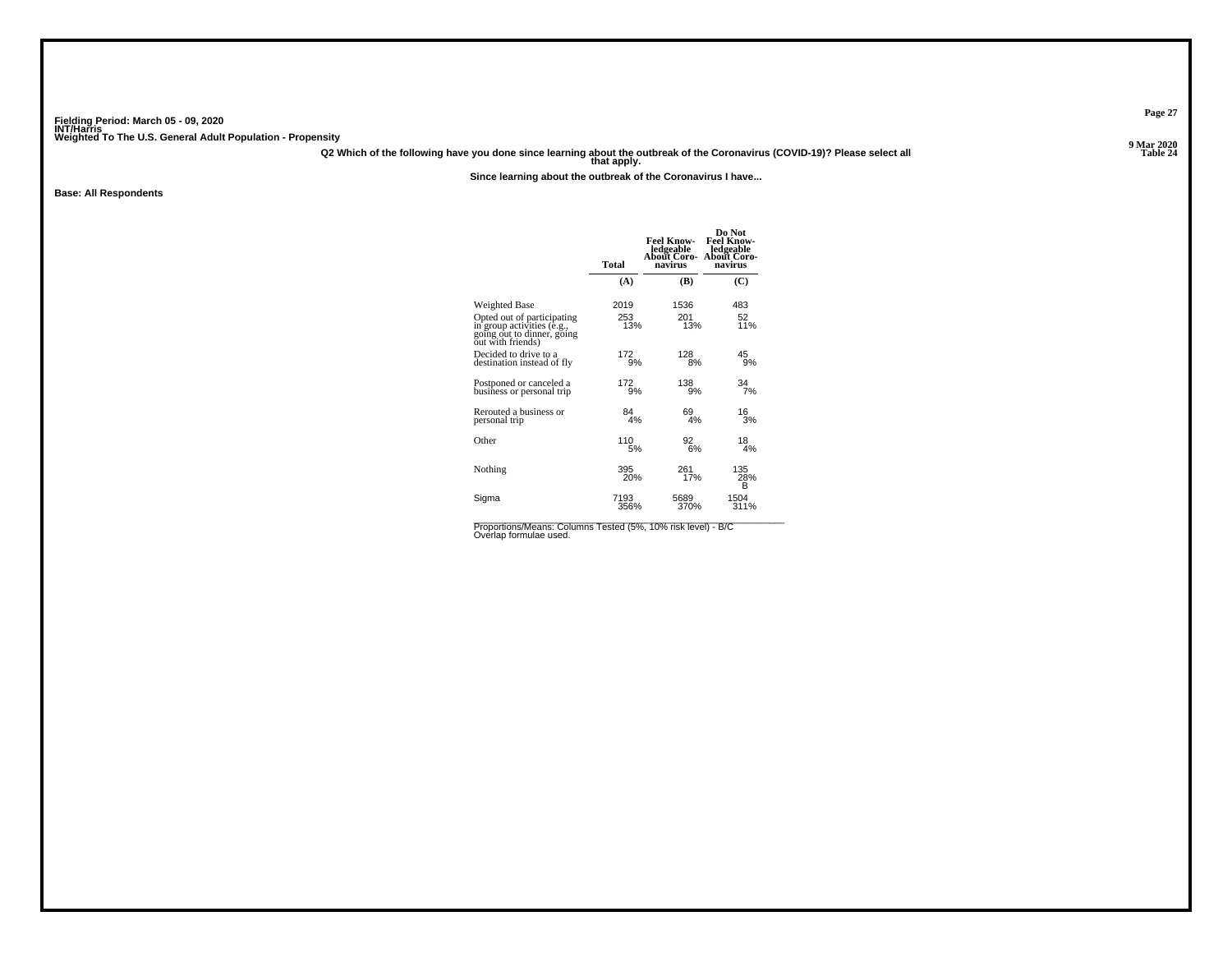**Q2 Which of the following have you done since learning about the outbreak of the Coronavirus (COVID-19)? Please select all that apply.**

**Since learning about the outbreak of the Coronavirus I have...**

**Base: All Respondents**

|                                                                                                             | Total         | Feel Know-<br>ledgeable<br>About Coro-<br>navirus | Do Not<br>Feel Know-<br>ledgeable<br>About Coro-<br>navirus |
|-------------------------------------------------------------------------------------------------------------|---------------|---------------------------------------------------|-------------------------------------------------------------|
|                                                                                                             | (A)           | (B)                                               | (C)                                                         |
| Weighted Base                                                                                               | 2019          | 1536                                              | 483                                                         |
| Opted out of participating<br>in group activities (e.g.,<br>going out to dinner, going<br>out with friends) | 253<br>13%    | 201<br>13%                                        | 52<br>11%                                                   |
| Decided to drive to a                                                                                       | 172           | 128                                               | 45                                                          |
| destination instead of fly                                                                                  | 9%            | 8%                                                | 9%                                                          |
| Postponed or canceled a                                                                                     | $^{172}_{9%}$ | 138                                               | 34                                                          |
| business or personal trip                                                                                   |               | 9%                                                | 7%                                                          |
| Rerouted a business or                                                                                      | 84            | 69                                                | 16                                                          |
| personal trip                                                                                               | 4%            | 4%                                                | 3%                                                          |
| Other                                                                                                       | 110           | 92                                                | 18                                                          |
|                                                                                                             | 5%            | 6%                                                | 4%                                                          |
| Nothing                                                                                                     | 395<br>20%    | 261<br>17%                                        | 135<br>28%<br>B                                             |
| Sigma                                                                                                       | 7193          | 5689                                              | 1504                                                        |
|                                                                                                             | 356%          | 370%                                              | 311%                                                        |

Proportions/Means: Columns Tested (5%, 10% risk level) - B/C<br>Overlap formulae used.

**Page 27**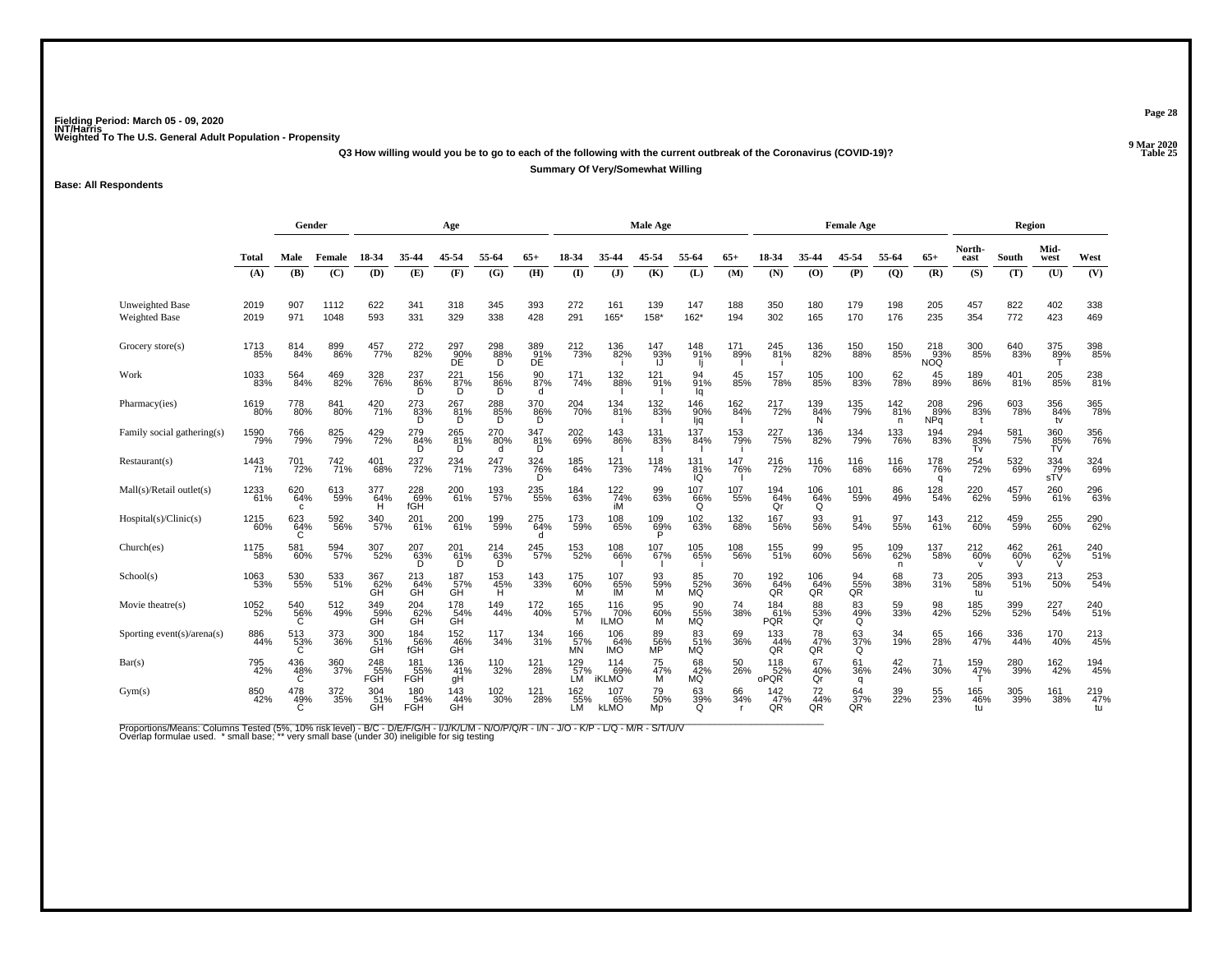**Q3 How willing would you be to go to each of the following with the current outbreak of the Coronavirus (COVID-19)?**

**Summary Of Very/Somewhat Willing**

**Base: All Respondents**

|                                         |              | Gender<br>Age      |              |                   |                          |                                            |                      |                  | Male Age                      |                           |                             |                       |            | <b>Female Age</b>        |                      |                      |                 | Region                   |                       |            |                     |                  |
|-----------------------------------------|--------------|--------------------|--------------|-------------------|--------------------------|--------------------------------------------|----------------------|------------------|-------------------------------|---------------------------|-----------------------------|-----------------------|------------|--------------------------|----------------------|----------------------|-----------------|--------------------------|-----------------------|------------|---------------------|------------------|
|                                         | <b>Total</b> | Male               | Female       | 18-34             | 35-44                    | 45-54                                      | 55-64                | $65+$            | 18-34                         | 35-44                     | 45-54                       | 55-64                 | $65+$      | 18-34                    | 35-44                | 45-54                | 55-64           | $65+$                    | North-<br>east        | South      | Mid-<br>west        | West             |
|                                         | (A)          | (B)                | (C)          | <b>(D)</b>        | (E)                      | (F)                                        | (G)                  | (H)              | $\mathbf{I}$                  | $\mathbf{J}$              | (K)                         | (L)                   | (M)        | (N)                      | (0)                  | (P)                  | (Q)             | (R)                      | (S)                   | (T)        | (U)                 | (V)              |
| <b>Unweighted Base</b><br>Weighted Base | 2019<br>2019 | 907<br>971         | 1112<br>1048 | 622<br>593        | 341<br>331               | 318<br>329                                 | 345<br>338           | 393<br>428       | 272<br>291                    | 161<br>165*               | 139<br>$158*$               | 147<br>$162*$         | 188<br>194 | 350<br>302               | 180<br>165           | 179<br>170           | 198<br>176      | 205<br>235               | 457<br>354            | 822<br>772 | 402<br>423          | 338<br>469       |
| Grocery store(s)                        | 1713<br>85%  | 814<br>84%         | 899<br>86%   | 457%              | 272 <sub>82%</sub>       | 297<br>90%<br>DE                           | $^{298}_{88\%}$<br>D | 389<br>91%<br>DE | 212<br>73%                    | 136<br>82%                | 147<br>93%                  | 148<br>91%            | 171<br>89% | 245<br>81%               | 136<br>82%           | 150<br>88%           | 150<br>85%      | $\frac{218}{93\%}$ NOQ   | 300<br>85%            | 640<br>83% | 375<br>8 <u>9</u> % | 398<br>85%       |
| Work                                    | 1033<br>83%  | 564<br>84%         | 469<br>82%   | 328<br>76%        | 237<br>86%               | $\overset{221}{\underset{\text{D}}{87\%}}$ | 156<br>86%<br>D      | 90<br>87%<br>d   | 171<br>74%                    | 132<br>88%                | 121<br>91%                  | 94<br>91%<br>la       | 45<br>85%  | 157<br>78%               | 105<br>85%           | 100<br>83%           | 62<br>78%       | 45<br>89%                | 189<br>86%            | 401<br>81% | 205<br>85%          | 238<br>81%       |
| Pharmacy(ies)                           | 1619<br>80%  | 778<br>80%         | 841<br>80%   | 420<br>71%        | 273<br>83%<br>D.         | 267<br>$-81%$<br>D                         | $^{288}_{85\%}$<br>D | 370<br>86%<br>D  | 204<br>70%                    | 134<br>81%                | 132<br>83%                  | 146<br>90%<br>ljq     | 162<br>84% | 217<br>72%               | 139<br>84%<br>N      | 135<br>79%           | 142<br>81%<br>n | 208<br>89%<br><b>NPq</b> | 296<br>83%            | 603<br>78% | 356<br>84%<br>tv    | 365<br>78%       |
| Family social gathering(s)              | 1590<br>79%  | <sup>766</sup> 79% | 825<br>79%   | 429<br>72%        | 279<br>84%               | 265<br>81%<br>D                            | 270<br>80%           | 347<br>81%<br>D  | 202<br>69%                    | 143<br>86%                | 131<br>83%                  | 137<br>84%            | 153<br>79% | 227<br>75%               | 136<br>82%           | 134<br>79%           | 133<br>76%      | 194<br>83%               | $\frac{294}{83\%}$ Tv | 581<br>75% | 360<br>85%<br>TV    | 356<br>76%       |
| Restaurant(s)                           | 1443<br>71%  | 701<br>72%         | 742<br>71%   | 401<br>68%        | 237<br>72%               | 234<br>71%                                 | 247<br>73%           | 324<br>76%<br>D  | 185<br>64%                    | 121<br>73%                | 118<br>74%                  | 131<br>81%<br>IQ      | 147<br>76% | 216<br>72%               | 116<br>70%           | 116<br>68%           | 116<br>66%      | 178<br>76%<br>q          | 254<br>72%            | 532<br>69% | 334<br>79%<br>sTV   | 324<br>69%       |
| Mall(s)/Retal outlet(s)                 | 1233<br>61%  | 620<br>64%<br>с    | 613<br>59%   | 377<br>64%<br>н   | 228<br>69%<br>fGH        | 200<br>61%                                 | 193<br>57%           | 235<br>55%       | 184<br>63%                    | 122<br>74%<br>iM          | 99<br>63%                   | 107<br>66%<br>Q       | 107<br>55% | 194<br>64%<br>Qr         | 106<br>64%<br>Q      | 101<br>59%           | 86<br>49%       | 128<br>54%               | 220<br>62%            | 457<br>59% | 260<br>61%          | 296<br>63%       |
| Hospital(s)/Clinic(s)                   | 1215<br>60%  | 623<br>64%         | 592<br>56%   | 340<br>57%        | 201<br>61%               | 200<br>61%                                 | 199%                 | 275<br>64%       | 173<br>59%                    | 108<br>65%                | 109<br>69%                  | 102<br>63%            | 132<br>68% | 167<br>56%               | 93<br>56%            | 91<br>54%            | 97<br>55%       | 143<br>61%               | 212<br>60%            | 459<br>59% | 255<br>60%          | 290<br>62%       |
| Church(es)                              | 1175<br>58%  | 581<br>60%         | 594<br>57%   | 307<br>52%        | $^{207}_{63\%}$<br>D     | 201 <sub>%</sub><br>D                      | $^{214}_{62\%}$<br>D | 245<br>57%       | 153<br>52%                    | 108<br>66%                | 107 <sub>%</sub>            | 105<br>65%            | 108<br>56% | 155<br>51%               | 99<br>60%            | 95<br>56%            | 109<br>62%<br>n | 137<br>58%               | 212<br>60%            | 462<br>60% | 261<br>62%          | 240<br>51%       |
| School(s)                               | 1063<br>53%  | 530<br>55%         | 533<br>51%   | 367<br>$G62$ %    | 213<br>64%<br>GH         | 187<br>57%<br>GH                           | 153<br>45%<br>H      | 143<br>33%       | 175<br>60%                    | 107<br>$\frac{65}{1}$     | 93<br>59%<br>M              | 85<br>52%<br>MQ       | 70<br>36%  | 192<br>64%<br>QR         | 106<br>64%<br>QR     | $\frac{94}{55\%}$ QR | 68<br>38%       | 73<br>31%                | 205<br>58%<br>tu      | 393<br>51% | 213<br>50%          | 253<br>54%       |
| Movie theatre(s)                        | 1052<br>52%  | 540<br>56%<br>Ğ    | 512<br>49%   | 349<br>59%<br>ĞĤ  | 204<br>62%<br>GH         | 178<br>54%<br>GH <sup>"</sup>              | 149<br>44%           | 172<br>40%       | 165<br>57%<br>м               | 116<br>70%<br><b>ILMO</b> | 95<br>60%<br>īΜ             | 90<br>55%<br>MQ       | 74<br>38%  | 184<br>61%<br><b>PQR</b> | 88<br>53%<br>Qr      | 83<br>49%<br>Q       | 59<br>33%       | 98<br>42%                | 185<br>52%            | 399<br>52% | 227<br>54%          | 240<br>51%       |
| Sporting event(s)/arena(s)              | 886<br>44%   | 513<br>53%<br>C    | 373<br>36%   | 300<br>51%<br>GH  | 184<br>56%<br>fGH        | 152<br>46%<br>GĤ                           | 117<br>34%           | 134<br>31%       | 166<br>57%<br><b>MN</b>       | 106<br>64%<br><b>IMO</b>  | 89<br>56%<br>MP <sup></sup> | 83<br>51%<br>MQ       | 69<br>36%  | $\frac{133}{44\%}$<br>QR | 78<br>47%<br>QR      | $\frac{63}{37\%}$    | 34<br>19%       | 65<br>28%                | 166<br>47%            | 336<br>44% | 170<br>40%          | 213<br>45%       |
| Bar(s)                                  | 795<br>42%   | 436<br>48%<br>C    | 360<br>37%   | 248<br>55%<br>FGH | 181<br>55%<br>FGH        | 136<br>41%<br>gH                           | 110<br>32%           | 121<br>28%       | 129<br>.57%<br>LM             | 114<br>iKLMO              | 75<br>47%<br>M              | 68<br>42%<br>MQ       | 50<br>26%  | 118<br>oPQR              | 67<br>$\frac{40}{9}$ | 61<br>36%<br>q       | 42<br>24%       | 71<br>30%                | 159<br>47%            | 280<br>39% | 162<br>42%          | 194<br>45%       |
| Gym(s)                                  | 850<br>42%   | $^{478}_{49\%}$    | 372<br>35%   | 304<br>51%<br>GH  | 180<br>54%<br><b>FGH</b> | $\frac{143}{44\%}$<br>GH                   | 102<br>30%           | 121<br>28%       | 162<br>55%<br>LM <sup>-</sup> | 107<br>65%<br><b>kLMO</b> | 79<br>50%<br>Mp             | 63<br>39%<br>$\Omega$ | 66<br>34%  | 142<br>47%<br>QR         | 72<br>44%<br>QR      | 64<br>37%<br>QR      | 39<br>22%       | 55<br>23%                | 165<br>46%<br>tu      | 305<br>39% | 161<br>38%          | 219<br>47%<br>tu |

Proportions/Means: Columns Tested (5%, 10% risk level) - B/C - D/E/F/G/H - I/J/K/L/M - N/O/P/Q/R - I/N - J/O - K/P - L/Q - M/R - S/T/U/V<br>Overlap formulae used. \*small base; \* very small base (under 30) ineligible for sig t

**Page 28**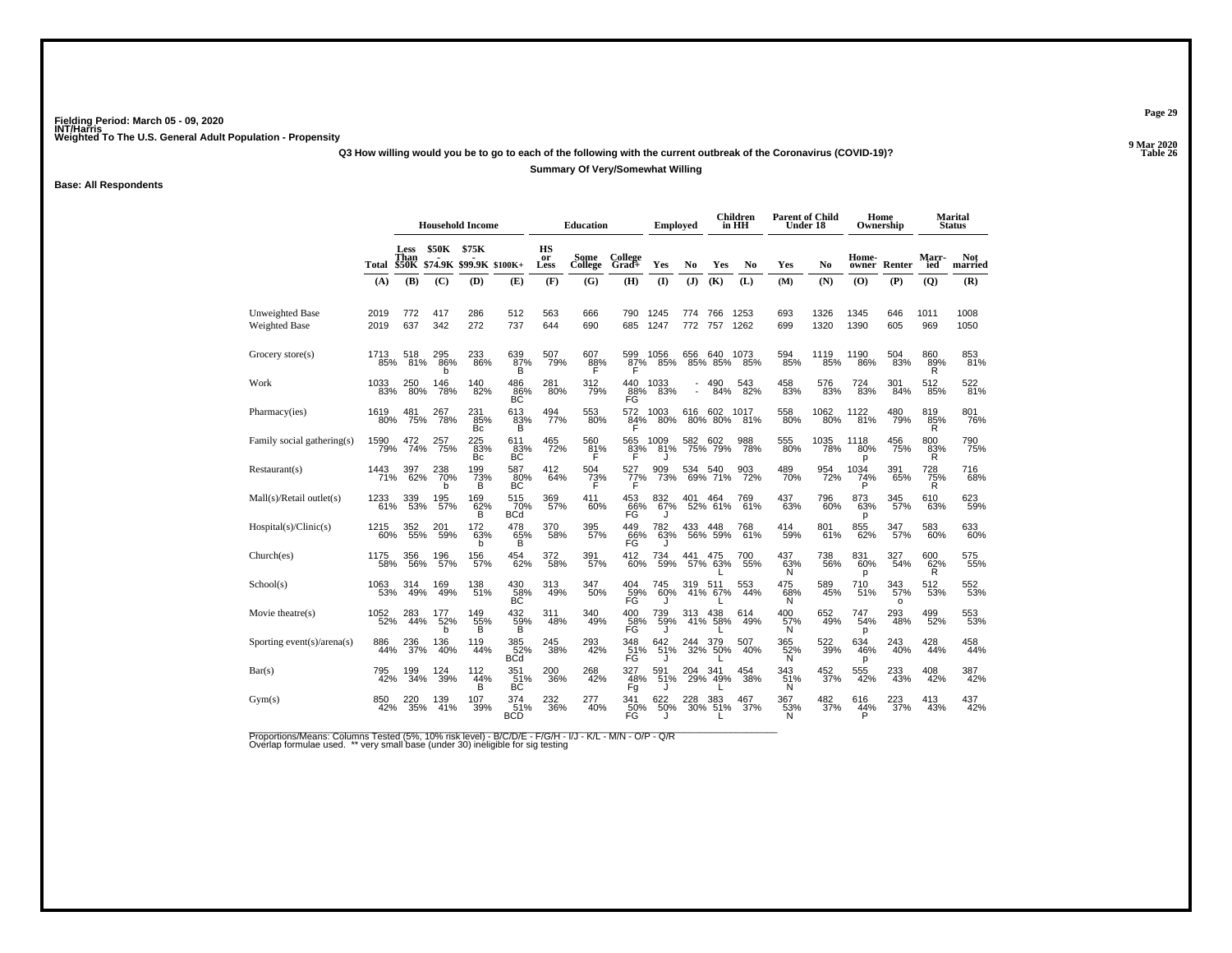**Q3 How willing would you be to go to each of the following with the current outbreak of the Coronavirus (COVID-19)?**

#### **Summary Of Very/Somewhat Willing**

**Base: All Respondents**

|                                         |              |              |                 | <b>Household Income</b>                      |                         |                  | <b>Education</b> |                                      | Emploved     |            |                 | Children<br>in HH | <b>Parent of Child</b><br>Under 18 |                  |                       | Home<br>Ownership     |                 | <b>Marital</b><br><b>Status</b> |
|-----------------------------------------|--------------|--------------|-----------------|----------------------------------------------|-------------------------|------------------|------------------|--------------------------------------|--------------|------------|-----------------|-------------------|------------------------------------|------------------|-----------------------|-----------------------|-----------------|---------------------------------|
|                                         |              | Less<br>Than | \$50K           | \$75K<br>Total \$50K \$74.9K \$99.9K \$100K+ |                         | HS<br>or<br>Less | Some<br>College  | College<br>Grad+                     | Yes          | No         | Yes             | N <sub>0</sub>    | Yes                                | N <sub>0</sub>   | Home-<br>owner        | Renter                | Marr-<br>ied    | <b>Not</b><br>married           |
|                                         | (A)          | (B)          | (C)             | (D)                                          | (E)                     | (F)              | (G)              | (H)                                  | $\mathbf{I}$ | (J)        | (K)             | (L)               | (M)                                | (N)              | (O)                   | (P)                   | (Q)             | (R)                             |
| Unweighted Base<br><b>Weighted Base</b> | 2019<br>2019 | 772<br>637   | 417<br>342      | 286<br>272                                   | 512<br>737              | 563<br>644       | 666<br>690       | 790<br>685                           | 1245<br>1247 | 774<br>772 | 766<br>757      | 1253<br>1262      | 693<br>699                         | 1326<br>1320     | 1345<br>1390          | 646<br>605            | 1011<br>969     | 1008<br>1050                    |
| Grocery store(s)                        | 1713<br>85%  | 518<br>81%   | 295<br>86%<br>h | 233<br>86%                                   | 639<br>87%<br>B         | 507<br>79%       | 607<br>88%       | 599<br>87%                           | 1056<br>85%  | 656<br>85% | 640<br>85%      | 1073<br>85%       | 594<br>85%                         | 1119<br>85%      | 1190<br>86%           | 504<br>83%            | 860<br>89%<br>R | 853<br>81%                      |
| Work                                    | 1033<br>83%  | 250<br>80%   | 146<br>78%      | 140<br>82%                                   | 486<br>86%<br>BС        | 281<br>80%       | 312<br>79%       | 440<br>88%<br>FG                     | 1033<br>83%  |            | 490<br>84%      | 543<br>82%        | 458<br>83%                         | 576<br>83%       | 724<br>83%            | 301<br>84%            | 512<br>85%      | 522<br>81%                      |
| Pharmacy(ies)                           | 1619<br>80%  | 481<br>75%   | 267<br>78%      | 231<br>85%<br>Bc                             | 613<br>$\frac{83}{B}$   | 494<br>77%       | 553<br>80%       | 572<br>$^{84\%}$                     | 1003<br>80%  | 616<br>80% | 602<br>80%      | 1017<br>81%       | 558<br>80%                         | 1062<br>80%      | 1122<br>81%           | 480<br>79%            | 819<br>85%<br>R | 801<br>76%                      |
| Family social gathering(s)              | 1590<br>79%  | 472<br>74%   | 257<br>75%      | 225<br>83%<br>Вc                             | 611<br>83%<br>BC        | 465<br>72%       | 560<br>81%<br>F  | 565<br>83%<br>F                      | 1009<br>81%  | 582<br>75% | 602<br>79%      | 988<br>78%        | 555<br>80%                         | 1035<br>78%      | 1118<br>80%<br>р      | 456<br>75%            | 800<br>83%<br>R | 790<br>75%                      |
| Restaurant(s)                           | 1443<br>71%  | 397<br>62%   | 238<br>70%<br>h | 199<br>73%<br>в                              | 587<br>80%<br>BС        | 412<br>64%       | 504<br>73%       | 527<br>77%                           | 909<br>73%   | 534<br>69% | 540<br>71%      | 903<br>72%        | 489<br>70%                         | 954<br>72%       | 1034<br>74%<br>P      | 391<br>65%            | 728<br>75%<br>R | 716<br>68%                      |
| Mall(s)/Retal outlet(s)                 | 1233<br>61%  | 339<br>53%   | 195<br>57%      | 169<br>62%                                   | 515<br>70%<br>BĊď       | 369<br>57%       | 411<br>60%       | 453<br>66%<br>FG                     | 832<br>67%   | 401        | 464<br>52% 61%  | 769<br>61%        | 437<br>63%                         | 796<br>60%       | 873<br>63%<br>р       | 345<br>57%            | 610<br>63%      | 623<br>59%                      |
| Hospital(s)/Clinic(s)                   | 1215<br>60%  | 352<br>55%   | 201<br>59%      | 172<br>63%                                   | 478<br>65%              | 370<br>58%       | 395<br>57%       | 449<br>66%<br>FG                     | 782<br>63%   | 433<br>56% | 448<br>59%      | 768<br>61%        | 414<br>59%                         | 801<br>61%       | 855<br>62%            | 347<br>57%            | 583<br>60%      | 633<br>60%                      |
| Church(es)                              | 1175<br>58%  | 356<br>56%   | 196<br>57%      | 156<br>57%                                   | 454<br>62%              | 372<br>58%       | 391<br>57%       | 412<br>60%                           | 734<br>59%   | 441        | 475<br>57% 63%  | 700<br>55%        | 437<br>63%<br>N                    | 738<br>56%       | 831<br>60%<br>p       | 327<br>54%            | 600<br>62%<br>R | 575<br>55%                      |
| School(s)                               | 1063<br>53%  | 314<br>49%   | 169%            | 138<br>51%                                   | 430<br>58%<br><b>BC</b> | 313<br>49%       | 347<br>50%       | 404<br>59%<br>FG                     | 745<br>60%   | 319        | 511<br>41% 67%  | 553<br>44%        | 475<br>68%<br>N                    | 589<br>45%       | 710<br>51%            | 343<br>57%<br>$\circ$ | 512<br>53%      | 552<br>53%                      |
| Movie theatre(s)                        | 1052<br>52%  | 283<br>44%   | 177<br>52%      | 149<br>$\frac{55}{B}$                        | 432<br>$\frac{50}{8}$ % | 311<br>48%       | 340<br>49%       | 400<br>58%                           | 739<br>59%   | 313<br>41% | 438<br>58%      | 614<br>49%        | 400<br>57%<br>N                    | 652<br>49%       | 747<br>54%<br>р       | 293<br>48%            | 499<br>52%      | 553<br>53%                      |
| Sporting event(s)/arena(s)              | 886<br>44%   | 236<br>37%   | 136<br>40%      | 119<br>44%                                   | 385<br>52%<br>BCd       | 245<br>38%       | 293<br>42%       | 348<br>F <sub>G</sub> <sup>51%</sup> | 642<br>51%   | 244<br>32% | 379<br>50%      | 507<br>40%        | 365<br>52%<br>N                    | 522<br>39%       | 634<br>46%<br>p       | 243<br>40%            | 428<br>44%      | 458<br>44%                      |
| Bar(s)                                  | 795<br>42%   | l99<br>34%   | 124<br>39%      | 112<br>44%<br>B                              | 351 <sub>%</sub><br>BC  | 200<br>36%       | 268<br>42%       | 327<br>48%<br>Fg                     | 591<br>51%   | 204<br>29% | 341<br>49%      | 454<br>38%        | 343<br>51%<br>N                    | 452 <sub>%</sub> | 555<br>42%            | 233<br>43%            | 408<br>42%      | 387<br>42%                      |
| Gym(s)                                  | 850<br>42%   | 220<br>35%   | 139<br>41%      | 107<br>39%                                   | 374<br>BCD              | 232<br>36%       | 277<br>40%       | 341<br>50%<br>FG                     | 622<br>50%   | 228<br>30% | 383<br>51%<br>L | 467<br>37%        | 367<br>53%<br>N                    | 482<br>37%       | 616<br>$\frac{44}{5}$ | 223<br>37%            | 413<br>43%      | 437<br>42%                      |

Proportions/Means: Columns Tested (5%, 10% risk level) - B/C/D/E - F/G/H - I/J - K/L - M/N - O/P - Q/R<br>Overlap formulae used. \*\* very small base (under 30) ineligible for sig testing

**Page 29**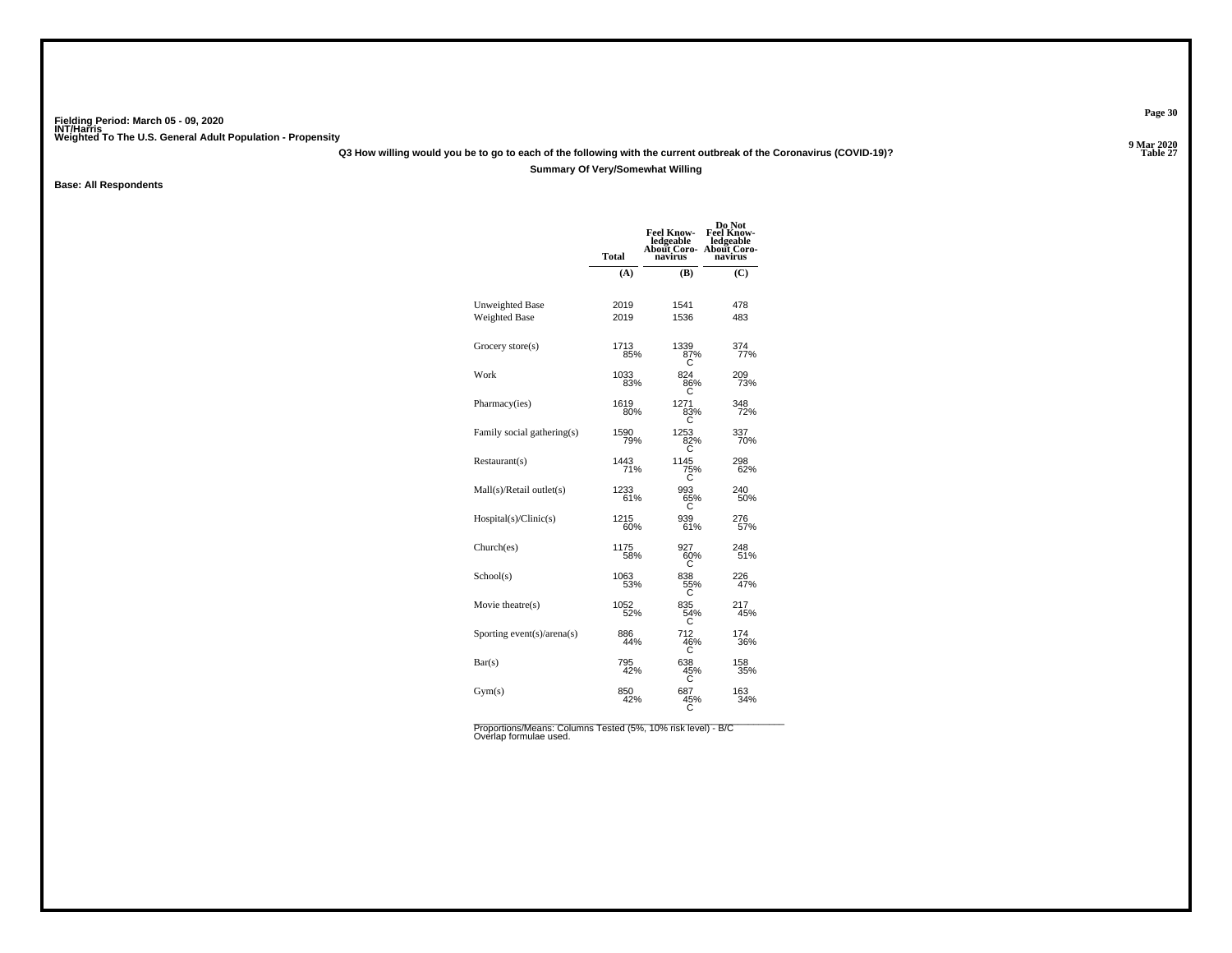**Q3 How willing would you be to go to each of the following with the current outbreak of the Coronavirus (COVID-19)?**

### **Summary Of Very/Somewhat Willing**

**Base: All Respondents**

|                                         | <b>Total</b> | <b>Feel Know-</b><br>ledgeable<br><b>About Coro-</b><br>navirus | Do Not<br><b>Feel Know-</b><br>ledgeable<br>About Coro-<br>navirus |
|-----------------------------------------|--------------|-----------------------------------------------------------------|--------------------------------------------------------------------|
|                                         | (A)          | <b>(B)</b>                                                      | (C)                                                                |
| <b>Unweighted Base</b><br>Weighted Base | 2019<br>2019 | 1541<br>1536                                                    | 478<br>483                                                         |
| Grocery store(s)                        | 1713<br>85%  | 1339<br>87%<br>С                                                | 374<br>77%                                                         |
| Work                                    | 1033<br>83%  | 824<br>86%                                                      | 209<br>73%                                                         |
| Pharmacy(ies)                           | 1619<br>80%  | 1271<br>83%                                                     | 348<br>72%                                                         |
| Family social gathering(s)              | 1590<br>79%  | 1253<br>82%<br>ō                                                | 337<br>70%                                                         |
| Restaurant(s)                           | 1443<br>71%  | 1145<br>75%                                                     | 298<br>62%                                                         |
| Mall(s)/Retal outlet(s)                 | 1233<br>61%  | 993<br>65%<br>С                                                 | 240<br>50%                                                         |
| Hospital(s)/Clinic(s)                   | 1215<br>60%  | 939<br>61%                                                      | 276<br>57%                                                         |
| Church(es)                              | 1175<br>58%  | 927<br>60%<br>С                                                 | 248<br>51%                                                         |
| School(s)                               | 1063<br>53%  | 838<br>55%<br>C                                                 | 226<br>47%                                                         |
| Movie theatre(s)                        | 1052<br>52%  | 835<br>54%                                                      | 217<br>45%                                                         |
| Sporting event(s)/arena(s)              | 886<br>44%   | 712<br>46%                                                      | 174<br>36%                                                         |
| Bar(s)                                  | 795<br>42%   | 638<br>45%                                                      | 158<br>35%                                                         |
| Gym(s)                                  | 850<br>42%   | 687<br>45%<br>С                                                 | 163<br>34%                                                         |

Proportions/Means: Columns Tested (5%, 10% risk level) - B/C<br>Overlap formulae used.

**Page 30**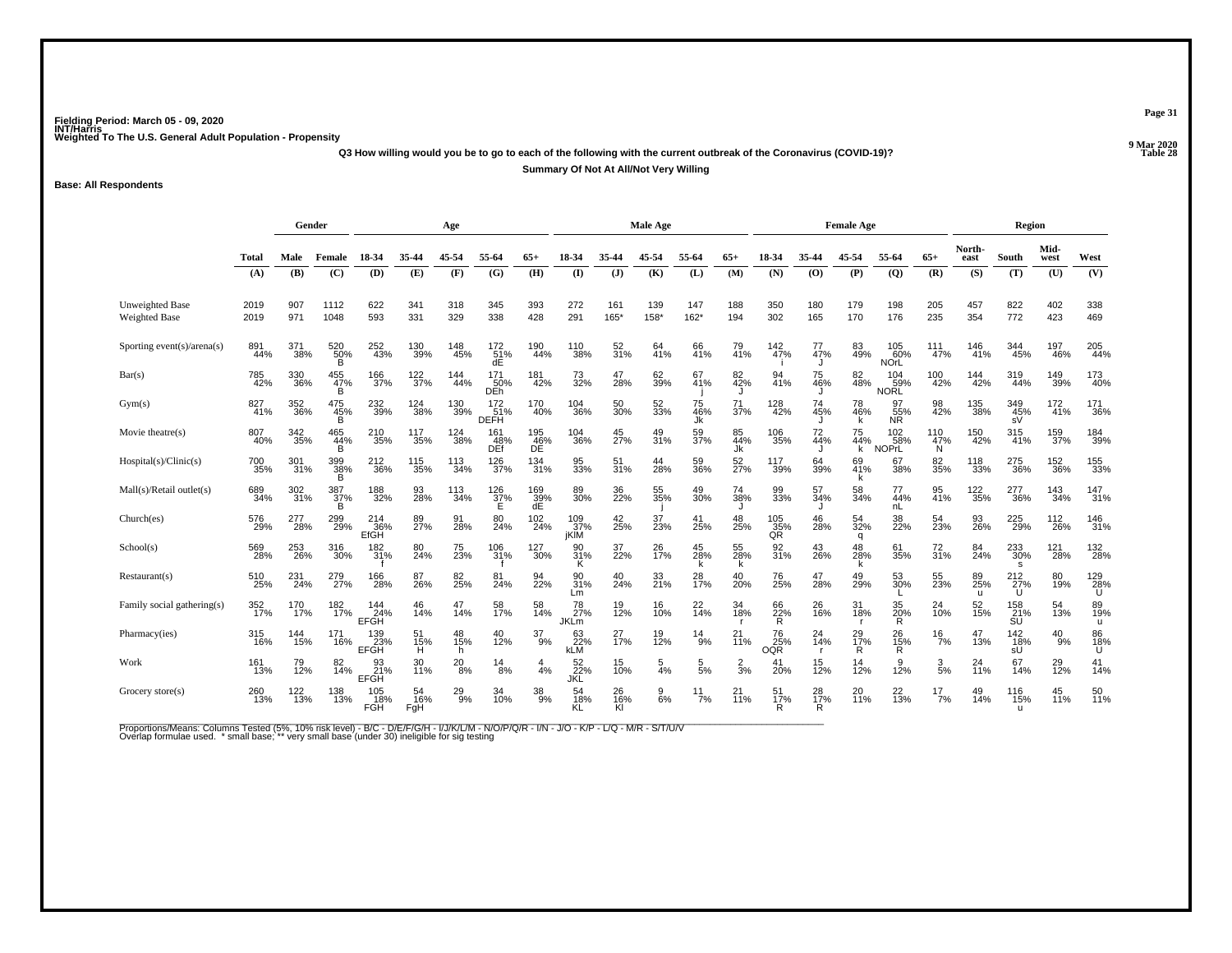**Q3 How willing would you be to go to each of the following with the current outbreak of the Coronavirus (COVID-19)?Summary Of Not At All/Not Very Willing**

**Base: All Respondents**

|                                                |              | Gender     |                 |                           |                  | Age             |                                 |                       |                          |                 | Male Age        |                  | <b>Female Age</b> |                         |                      |                      |                            |                         | Region         |                          |               |                    |
|------------------------------------------------|--------------|------------|-----------------|---------------------------|------------------|-----------------|---------------------------------|-----------------------|--------------------------|-----------------|-----------------|------------------|-------------------|-------------------------|----------------------|----------------------|----------------------------|-------------------------|----------------|--------------------------|---------------|--------------------|
|                                                | <b>Total</b> | Male       | Female          | 18-34                     | 35-44            | 45-54           | 55-64                           | $65+$                 | 18-34                    | 35-44           | 45-54           | 55-64            | $65+$             | 18-34                   | 35-44                | 45-54                | 55-64                      | $65+$                   | North-<br>east | South                    | Mid-<br>west  | West               |
|                                                | (A)          | (B)        | (C)             | <b>(D)</b>                | (E)              | (F)             | (G)                             | (H)                   | $\mathbf{I}$             | $($ $)$         | (K)             | (L)              | (M)               | (N)                     | (0)                  | (P)                  | (Q)                        | (R)                     | (S)            | (T)                      | (U)           | (V)                |
| <b>Unweighted Base</b><br><b>Weighted Base</b> | 2019<br>2019 | 907<br>971 | 1112<br>1048    | 622<br>593                | 341<br>331       | 318<br>329      | 345<br>338                      | 393<br>428            | 272<br>291               | 161<br>165*     | 139<br>158*     | 147<br>$162*$    | 188<br>194        | 350<br>302              | 180<br>165           | 179<br>170           | 198<br>176                 | 205<br>235              | 457<br>354     | 822<br>772               | 402<br>423    | 338<br>469         |
| Sporting event(s)/arena(s)                     | 891<br>44%   | 371<br>38% | 520<br>50%<br>B | 252<br>43%                | 130<br>39%       | 148<br>45%      | $^{172}_{51\%}$<br>dE           | 190<br>44%            | 110<br>38%               | 52<br>31%       | 64<br>41%       | 66<br>41%        | 79<br>41%         | 142%                    | $^{77}_{47\%}$       | 83<br>49%            | 105<br>60%<br><b>NOrL</b>  | 111<br>47%              | 146<br>41%     | 344<br>45%               | 197<br>46%    | 205<br>44%         |
| Bar(s)                                         | 785<br>42%   | 330<br>36% | 455<br>47%<br>B | 166<br>37%                | 122<br>37%       | 144<br>44%      | 171<br>$\overline{50\%}$<br>DEh | 181<br>42%            | 73<br>32%                | 47<br>28%       | 62<br>39%       | 67<br>41%        | 82<br>42%         | 94<br>41%               | 75<br>46%            | 82<br>48%            | 104<br>59%<br>NORL         | 100<br>42%              | 144<br>42%     | 319<br>44%               | 149<br>39%    | 173<br>40%         |
| Gym(s)                                         | 827<br>41%   | 352<br>36% | 475<br>45%<br>R | 232<br>39%                | 124<br>38%       | 130<br>39%      | 172<br>51%<br><b>DEFH</b>       | 170<br>40%            | 104<br>36%               | 50<br>30%       | 52<br>33%       | 75<br>46%<br>Jk  | 71<br>37%         | 128<br>42%              | 74<br>45%            | 78<br>46%            | 97<br>55%<br>NR.           | 98<br>42%               | 135<br>38%     | 349<br>45%<br>sV         | 172<br>41%    | 171<br>36%         |
| Movie theatre(s)                               | 807<br>40%   | 342<br>35% | 465<br>44%      | 210<br>35%                | 117<br>35%       | 124<br>38%      | 161<br>48%<br>DEf               | 195<br>46%<br>DE      | 104<br>36%               | 45<br>27%       | 49<br>31%       | 59<br>37%        | 85<br>44%<br>Jk   | 106<br>35%              | 72<br>44%            | 75<br>44%<br>k       | 102<br>58%<br><b>NOPrL</b> | $^{110}_{47\%}$<br>N    | 150<br>42%     | 315<br>41%               | 159<br>37%    | 184<br>39%         |
| Hospital(s)/Clinic(s)                          | 700<br>35%   | 301<br>31% | 399<br>38%<br>B | 212<br>36%                | 115<br>35%       | 113<br>34%      | 126<br>37%                      | 134<br>31%            | 95<br>33%                | 51<br>31%       | 44<br>28%       | 59<br>36%        | 52<br>27%         | 117<br>39%              | 64<br>39%            | 69<br>41%            | 67<br>38%                  | 82<br>35%               | 118<br>33%     | 275<br>36%               | 152<br>36%    | 155<br>33%         |
| Mall(s)/Retail outlet(s)                       | 689<br>34%   | 302<br>31% | 387<br>37%      | 188<br>32%                | 93<br>28%        | 113<br>34%      | $^{126}_{32\%}$                 | $\frac{169}{39\%}$ dE | 89<br>30%                | 36<br>22%       | 55<br>35%       | 49<br>30%        | 74<br>38%         | 99<br>33%               | 57<br>34%            | 58<br>34%            | 77<br>44%<br>nL            | 95<br>41%               | 122<br>35%     | 277<br>36%               | 143<br>34%    | $\frac{147}{31\%}$ |
| Church(es)                                     | 576<br>29%   | 277<br>28% | 299<br>29%      | 214<br>36%<br>EfGH        | 89<br>27%        | 91<br>28%       | 80<br>24%                       | 102<br>24%            | $^{109}_{.37\%}$<br>jKIM | 42<br>25%       | 37<br>23%       | 41<br>25%        | 48<br>25%         | 105<br>35%<br>QR        | 46<br>28%            | 54<br>32%<br>q       | 38<br>22%                  | 54<br>23%               | 93<br>26%      | 225<br>29%               | 112<br>26%    | 146<br>31%         |
| School(s)                                      | 569<br>28%   | 253<br>26% | 316<br>30%      | 182<br>31%                | 80<br>24%        | 75<br>23%       | 106<br>31%                      | 127<br>30%            | 90<br>31%<br>Κ           | 37<br>22%       | 26<br>17%       | 45<br>28%<br>k   | 55<br>28%<br>k    | 92<br>31%               | 43<br>26%            | 48<br>28%            | 61<br>35%                  | $\frac{72}{31\%}$       | 84<br>24%      | 233<br>30%<br>s          | 121<br>28%    | 132<br>28%         |
| Restaurant(s)                                  | 510<br>25%   | 231<br>24% | 279<br>27%      | 166<br>28%                | 87<br>26%        | 82<br>25%       | 81<br>24%                       | 94<br>22%             | 90<br>31%<br>Lm          | 40<br>24%       | 33<br>21%       | 28<br>17%        | 40<br>20%         | 76<br>25%               | 47<br>28%            | 49<br>29%            | 53<br>30%                  | 55<br>23%               | 89<br>25%      | 212<br>27%<br>U          | 80<br>19%     | 129<br>28%<br>U    |
| Family social gathering(s)                     | 352<br>17%   | 170<br>17% | 182<br>17%      | 144<br>24%<br><b>EFGH</b> | 46<br>14%        | 47<br>14%       | 58<br>17%                       | 58<br>14%             | 78<br>27%<br><b>JKLm</b> | 19<br>12%       | 16<br>10%       | 22<br>14%        | 34<br>18%         | 66<br>22%<br>R          | 26<br>16%            | 31<br>18%            | 35<br>20%<br>R             | 24<br>$\overline{10}$ % | 52<br>15%      | 158<br>21%<br>SU         | 54<br>13%     | 89<br>19%<br>u     |
| Pharmacy(ies)                                  | 315<br>16%   | 144<br>15% | 171<br>16%      | 139<br>23%<br><b>EFGH</b> | 51<br>15%<br>Ĥ   | 48<br>15%<br>h. | 40<br>12%                       | $\frac{37}{9%}$       | 63<br>22%<br>kLM         | 27 <sub>%</sub> | 19<br>12%       | $^{14}_{9\%}$    | $^{21}_{11\%}$    | 76<br>25%<br><b>OQR</b> | $^{24}_{14\%}$<br>r. | 29 <sub>%</sub><br>R | 26<br>15%<br>Ŕ.            | $\frac{16}{7%}$         | 47<br>13%      | $\frac{142}{18\%}$<br>sŰ | $^{40}_{9\%}$ | 86<br>18%<br>Ú     |
| Work                                           | 161<br>13%   | 79<br>12%  | 82<br>14%       | EFGH                      | 30<br>11%        | $^{20}_{\ 8\%}$ | $^{14}_{8\%}$                   | $\frac{4}{4%}$        | 52<br>22%<br>JKL         | 15<br>10%       | $\frac{5}{4%}$  | $\frac{5}{5\%}$  | $\frac{2}{3}$ %   | 41<br>20%               | 15<br>12%            | 14<br>12%            | 9<br>12%                   | $\frac{3}{5\%}$         | 24<br>11%      | 67<br>14%                | 29<br>12%     | $^{41}_{14\%}$     |
| Grocery store(s)                               | 260<br>13%   | 122<br>13% | 138<br>13%      | 105<br>18%<br><b>FGH</b>  | 54<br>16%<br>FgH | $^{29}_{9\%}$   | 34<br>10%                       | $\frac{38}{9\%}$      | 54<br>18%<br>KL          | 26<br>16%<br>Kl | $\frac{9}{6\%}$ | $\frac{11}{7\%}$ | $^{21}_{11\%}$    | 51<br>17%               | 28<br>17%<br>R       | 20<br>11%            | $^{22}_{13\%}$             | $^{17}_{7\%}$           | 49<br>14%      | 116<br>15%               | 45<br>11%     | 50<br>11%          |

Proportions/Means: Columns Tested (5%, 10% risk level) - B/C - D/E/F/G/H - I/J/K/L/M - N/O/P/Q/R - I/N - J/O - K/P - L/Q - M/R - S/T/U/V<br>Overlap formulae used. \*small base; \* very small base (under 30) ineligible for sig t

**Page 31**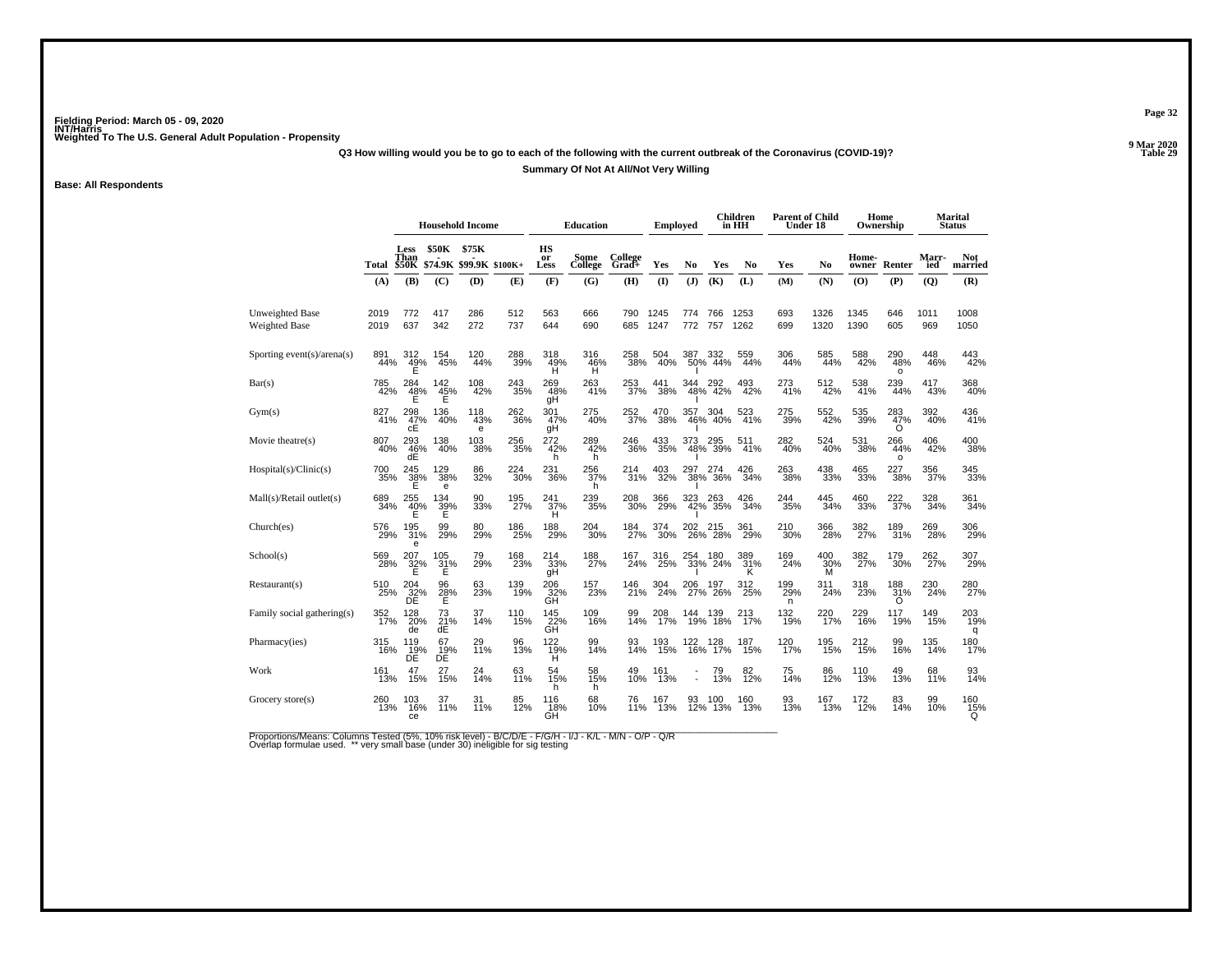**Q3 How willing would you be to go to each of the following with the current outbreak of the Coronavirus (COVID-19)?**

**Summary Of Not At All/Not Very Willing**

**Base: All Respondents**

|                                                |              | <b>Household Income</b>                |                       |                          |            |                         | <b>Education</b> |                  | Emploved     |                   |                    | Children<br>in HH | <b>Parent of Child</b><br>Under 18 |                 |                | Home<br>Ownership      |                | Marital<br><b>Status</b> |
|------------------------------------------------|--------------|----------------------------------------|-----------------------|--------------------------|------------|-------------------------|------------------|------------------|--------------|-------------------|--------------------|-------------------|------------------------------------|-----------------|----------------|------------------------|----------------|--------------------------|
|                                                | Total        | Less<br>Than<br><b>\$50K</b>           | <b>\$50K</b>          | \$75K<br>\$74.9K \$99.9K | $$100K+$   | <b>HS</b><br>or<br>Less | Some<br>College  | College<br>Grad+ | Yes          | No                | Yes                | No                | Yes                                | No              | Home-<br>owner | Renter                 | Marr-<br>ied   | Not<br>married           |
|                                                | (A)          | (B)                                    | (C)                   | (D)                      | (E)        | (F)                     | (G)              | (H)              | (1)          | (J)               | (K)                | (L)               | (M)                                | (N)             | (O)            | (P)                    | $\overline{Q}$ | (R)                      |
| <b>Unweighted Base</b><br><b>Weighted Base</b> | 2019<br>2019 | 772<br>637                             | 417<br>342            | 286<br>272               | 512<br>737 | 563<br>644              | 666<br>690       | 790<br>685       | 1245<br>1247 | 774<br>772        | 766<br>757         | 1253<br>1262      | 693<br>699                         | 1326<br>1320    | 1345<br>1390   | 646<br>605             | 1011<br>969    | 1008<br>1050             |
| Sporting event(s)/arena(s)                     | 891<br>44%   | 312<br>49%                             | 154<br>45%            | 120<br>44%               | 288<br>39% | 318<br>49%<br>н         | 316<br>46%<br>Ĥ  | 258<br>38%       | 504<br>40%   | 387               | 332<br>50% 44%     | 559<br>44%        | 306<br>44%                         | 585<br>44%      | 588<br>42%     | 290<br>48%<br>$\Omega$ | 448<br>46%     | 443<br>42%               |
| Bar(s)                                         | 785<br>42%   | $\frac{48}{5}$                         | 142<br>45%<br>E       | 108<br>42%               | 243<br>35% | 269<br>48%<br>gH        | 263<br>41%       | 253<br>37%       | 441<br>38%   | 344               | 292<br>48% 42%     | $^{493}_{42\%}$   | 273<br>41%                         | 512<br>42%      | 538<br>41%     | 239<br>44%             | 417<br>43%     | 368<br>40%               |
| Gym(s)                                         | 827<br>41%   | 298<br>47%<br>сE                       | 136<br>40%            | 118<br>43%<br>е          | 262<br>36% | 301<br>47%<br>gН        | 275<br>40%       | 252<br>37%       | 470<br>38%   | 357               | 304<br>46% 40%     | 523<br>41%        | 275<br>39%                         | 552<br>42%      | 535<br>39%     | 283<br>47%             | 392<br>40%     | 436<br>41%               |
| Movie theatre(s)                               | 807<br>40%   | 293<br>46%<br>dE                       | 138<br>40%            | 103<br>38%               | 256<br>35% | 272<br>42%<br>h         | 289<br>42%<br>h  | 246<br>36%       | 433<br>35%   | 373               | 295<br>48% 39%     | 511<br>41%        | 282<br>40%                         | 524<br>40%      | 531<br>38%     | 266<br>44%<br>$\circ$  | 406<br>42%     | 400<br>38%               |
| Hospital(s)/Clinic(s)                          | 700<br>35%   | 245<br>38%<br>Е                        | 129<br>38%<br>e       | 86<br>32%                | 224<br>30% | 231<br>36%              | 256<br>37%<br>h  | 214<br>31%       | 403<br>32%   | 297 2<br>38%      | 274<br>-36%        | 426<br>34%        | 263<br>38%                         | 438<br>33%      | 465<br>33%     | 227<br>38%             | 356<br>37%     | 345<br>33%               |
| Mall(s)/Retail outlet(s)                       | 689<br>34%   | 255<br>$\frac{40\%}{E}$                | 134<br>$\frac{39}{5}$ | 90<br>33%                | 195<br>27% | 241<br>$\frac{37}{H}$   | 239<br>35%       | 208<br>30%       | 366<br>29%   | 323<br>42%        | 263<br>35%         | 426<br>34%        | 244<br>35%                         | 445<br>34%      | 460<br>33%     | 222<br>37%             | 328<br>34%     | 361<br>34%               |
| Church(es)                                     | 576<br>29%   | 195<br>31%                             | 99<br>29%             | 80<br>29%                | 186<br>25% | 188<br>29%              | 204<br>30%       | 184<br>27%       | 374<br>30%   | 202               | 215<br>26% 28%     | 361<br>29%        | 210<br>30%                         | 366<br>28%      | 382<br>27%     | 189<br>31%             | 269<br>28%     | 306<br>29%               |
| School(s)                                      | 569<br>28%   | 207<br>$\frac{32}{5}$                  | 105<br>$\frac{31}{E}$ | 79<br>29%                | 168<br>23% | 214<br>33%<br>qΗ        | 188<br>27%       | 167<br>24%       | 316<br>25%   |                   | 254 180<br>33% 24% | 389<br>31%        | 169<br>24%                         | 400<br>30%<br>M | 382<br>27%     | 179<br>30%             | 262<br>27%     | 307<br>29%               |
| Restaurant(s)                                  | 510<br>25%   | $^{204}_{\substack{32\%\\ \text{DE}}}$ | 96<br>28%<br>E        | 63<br>23%                | 139<br>19% | 206<br>32%<br>GH        | 157<br>23%       | 146<br>21%       | 304<br>24%   | 206<br>27%        | 197<br>26%         | 312<br>25%        | 199<br>29%<br>n                    | 311<br>24%      | 318<br>23%     | 188<br>31%<br>O        | 230<br>24%     | 280<br>27%               |
| Family social gathering(s)                     | 352<br>17%   | 128<br>20%<br>de                       | 73<br>21%<br>dE       | 37<br>14%                | 110<br>15% | 145<br>22%<br>GH        | 109<br>16%       | 99<br>14%        | 208<br>17%   | 144<br>19%        | 139<br>18%         | 213<br>17%        | 132<br>19%                         | 220<br>17%      | 229<br>16%     | 117<br>19%             | 149<br>15%     | 203<br>19%<br>q          |
| Pharmacy(ies)                                  | 315<br>16%   | 119<br>19%<br>DÉ                       | 67<br>$\frac{19}{DE}$ | 29<br>11%                | 96<br>13%  | 122<br>19%<br>н         | 99<br>14%        | 93<br>14%        | 193<br>15%   | 122<br>16%        | 128<br>17%         | 187<br>15%        | 120<br>17%                         | 195<br>15%      | 212<br>15%     | 99<br>16%              | 135<br>14%     | 180<br>17%               |
| Work                                           | 161<br>13%   | 47<br>15%                              | 27<br>15%             | 24<br>14%                | 63<br>11%  | 54<br>15%<br>h.         | 58<br>15%<br>h.  | 49<br>10%        | 161<br>13%   |                   | 79<br>13%          | 82 <sub>%</sub>   | 75<br>14%                          | 86<br>12%       | 110<br>13%     | 49<br>13%              | 68<br>11%      | 93<br>14%                |
| Grocery store(s)                               | 260<br>13%   | 103<br>16%<br>ce                       | 37<br>11%             | 31<br>11%                | 85<br>12%  | 116<br>18%<br>GH        | 68<br>10%        | 76<br>11%        | 167<br>13%   | $\frac{93}{12\%}$ | 100<br>13%         | 160<br>13%        | 93<br>13%                          | 167<br>13%      | 172<br>12%     | 83<br>14%              | 99<br>10%      | 160<br>15%<br>Q          |

Proportions/Means: Columns Tested (5%, 10% risk level) - B/C/D/E - F/G/H - I/J - K/L - M/N - O/P - Q/R<br>Overlap formulae used. \*\* very small base (under 30) ineligible for sig testing

**Page 32**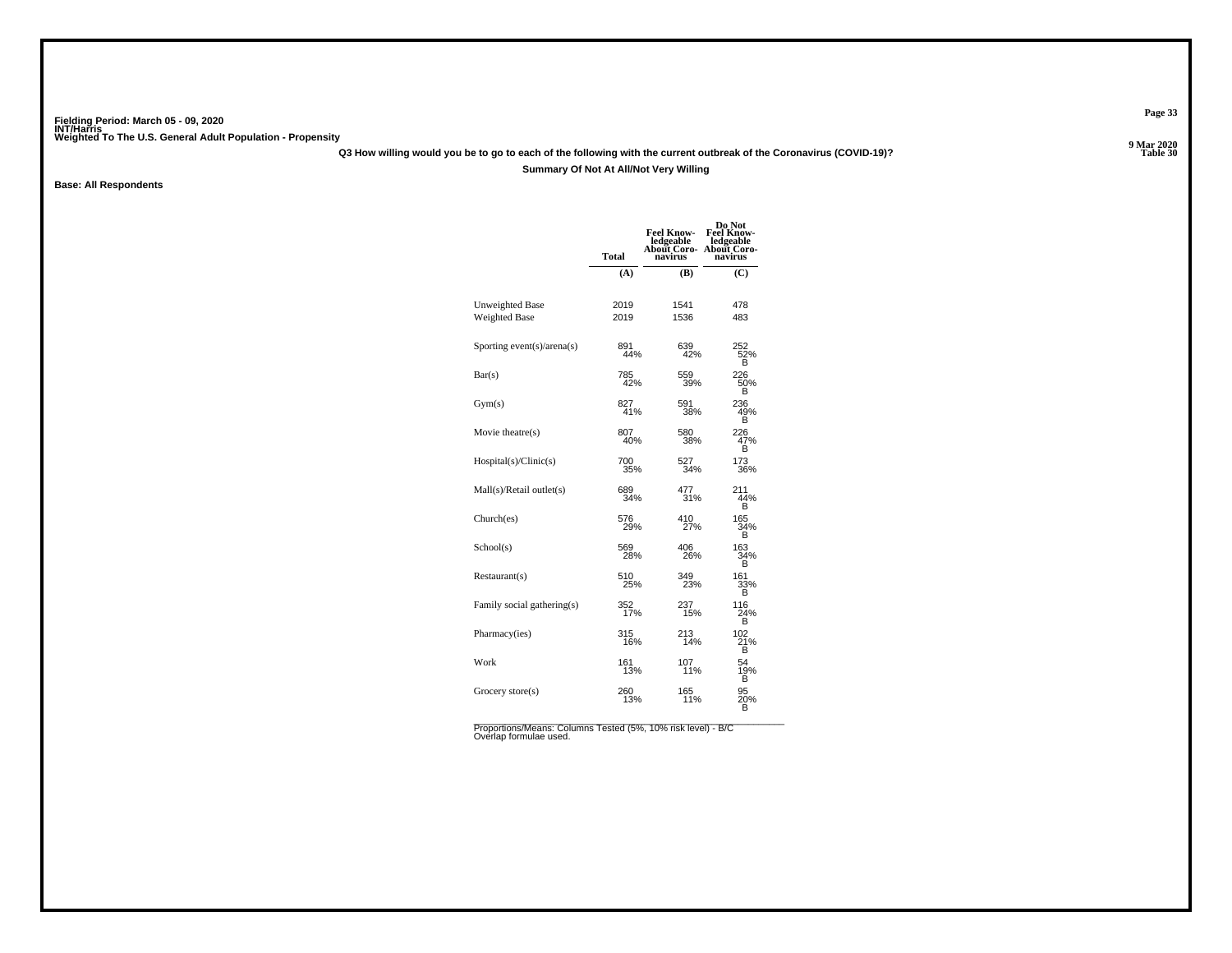**Q3 How willing would you be to go to each of the following with the current outbreak of the Coronavirus (COVID-19)?**

### **Summary Of Not At All/Not Very Willing**

**Base: All Respondents**

|                            | <b>Total</b> | <b>Feel Know-</b><br>ledgeable<br>About Coro-<br>navirus | Do Not<br><b>Feel Know-</b><br>ledgeable<br>About Coro-<br>navirus |
|----------------------------|--------------|----------------------------------------------------------|--------------------------------------------------------------------|
|                            | (A)          | <b>(B)</b>                                               | (C)                                                                |
|                            |              |                                                          |                                                                    |
| <b>Unweighted Base</b>     | 2019         | 1541                                                     | 478                                                                |
| Weighted Base              | 2019         | 1536                                                     | 483                                                                |
| Sporting event(s)/arena(s) | 891<br>44%   | 639<br>42%                                               | 252<br>52%<br>в                                                    |
| Bar(s)                     | 785<br>42%   | 559<br>39%                                               | 226<br>50%<br>B                                                    |
| Gym(s)                     | 827<br>41%   | 591<br>38%                                               | 236<br>49%<br>в                                                    |
| Movie theatre(s)           | 807<br>40%   | 580<br>38%                                               | 226<br>47%<br>B                                                    |
| Hospital(s)/Clinic(s)      | 700<br>35%   | 527<br>34%                                               | 173<br>36%                                                         |
| Mall(s)/Retail outlet(s)   | 689<br>34%   | 477<br>31%                                               | 211<br>44%<br>в                                                    |
| Church(es)                 | 576<br>29%   | 410<br>27%                                               | 165<br>34%<br>в                                                    |
| School(s)                  | 569<br>28%   | 406<br>26%                                               | 163<br>34%<br>в                                                    |
| Restaurant(s)              | 510<br>25%   | 349<br>23%                                               | 161<br>33%<br>B                                                    |
| Family social gathering(s) | 352<br>17%   | 237<br>15%                                               | 116<br>24%<br>R                                                    |
| Pharmacy(ies)              | 315<br>16%   | 213<br>14%                                               | 102<br>21%<br>В                                                    |
| Work                       | 161<br>13%   | 107<br>11%                                               | 54<br>19%<br>B                                                     |
| Grocery store $(s)$        | 260<br>13%   | 165<br>11%                                               | 95<br>20%<br>в                                                     |

Proportions/Means: Columns Tested (5%, 10% risk level) - B/C<br>Overlap formulae used.

**Page 33**

**P** Table 30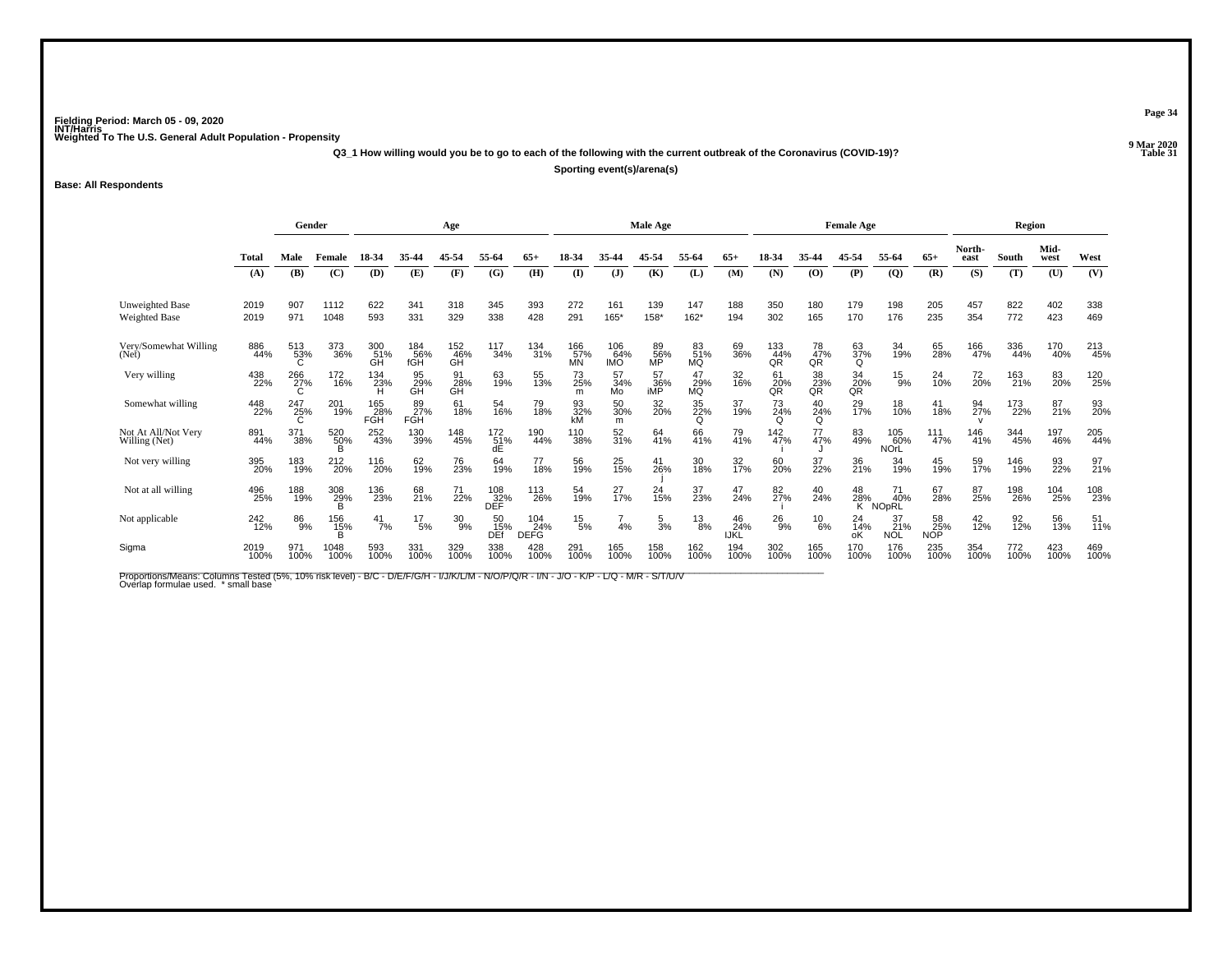**Q3\_1 How willing would you be to go to each of the following with the current outbreak of the Coronavirus (COVID-19)?**

**Sporting event(s)/arena(s)**

**Base: All Respondents**

|                                      | Gender<br>Age |                 |                     |                   |                   |                  | Male Age              |                           |                         |                          |                   | <b>Female Age</b>      |                   |                    |                   | Region            |                           |                         |                |             |              |                   |
|--------------------------------------|---------------|-----------------|---------------------|-------------------|-------------------|------------------|-----------------------|---------------------------|-------------------------|--------------------------|-------------------|------------------------|-------------------|--------------------|-------------------|-------------------|---------------------------|-------------------------|----------------|-------------|--------------|-------------------|
|                                      | <b>Total</b>  | Male            | Female              | 18-34             | 35-44             | 45-54            | 55-64                 | $65+$                     | 18-34                   | 35-44                    | 45-54             | 55-64                  | $65+$             | 18-34              | 35-44             | 45-54             | 55-64                     | $65+$                   | North-<br>east | South       | Mid-<br>west | West              |
|                                      | (A)           | (B)             | (C)                 | (D)               | (E)               | (F)              | (G)                   | (H)                       | $($ $\Gamma$            | $($ $\bf{J}$ )           | (K)               | (L)                    | (M)               | (N)                | (O)               | (P)               | $\overline{Q}$            | (R)                     | (S)            | (T)         | (U)          | (V)               |
| Unweighted Base<br>Weighted Base     | 2019<br>2019  | 907<br>971      | 1112<br>1048        | 622<br>593        | 341<br>331        | 318<br>329       | 345<br>338            | 393<br>428                | 272<br>291              | 161<br>165*              | 139<br>158*       | 147<br>$162*$          | 188<br>194        | 350<br>302         | 180<br>165        | 179<br>170        | 198<br>176                | 205<br>235              | 457<br>354     | 822<br>772  | 402<br>423   | 338<br>469        |
|                                      |               |                 |                     |                   |                   |                  |                       |                           |                         |                          |                   |                        |                   |                    |                   |                   |                           |                         |                |             |              |                   |
| Very/Somewhat Willing<br>(Net)       | 886<br>44%    | 513<br>53%<br>С | 373<br>36%          | 300<br>51%<br>GH  | 184<br>56%<br>fGH | 152<br>46%<br>GH | 117<br>34%            | 134<br>31%                | 166<br>57%<br><b>MN</b> | 106<br>64%<br><b>IMO</b> | 89<br>56%<br>MP   | 83<br>51%<br><b>MQ</b> | 69<br>36%         | 133<br>44%<br>QR   | 78<br>47%<br>QR   | 63<br>37%<br>Q    | 34<br>19%                 | 65<br>28%               | 166<br>47%     | 336<br>44%  | 170<br>40%   | 213<br>45%        |
| Very willing                         | 438<br>22%    | 266<br>27%<br>C | 172<br>16%          | 134<br>23%<br>H   | 95<br>29%<br>GH   | 91<br>28%<br>GH  | 63<br>19%             | 55<br>13%                 | 73<br>25%<br>m          | 57<br>34%<br>Мo          | $\frac{57}{36\%}$ | 47<br>29%<br>MQ        | 32<br>16%         | 61<br>20%<br>QR    | $\frac{38}{23\%}$ | $\frac{34}{20\%}$ | $^{15}_{9\%}$             | 24<br>10%               | 72<br>20%      | 163<br>21%  | 83<br>20%    | 120<br>25%        |
| Somewhat willing                     | 448<br>22%    | 247<br>25%      | 201<br>19%          | 165<br>28%<br>FGH | 89<br>27%<br>FGH  | 61<br>18%        | 54<br>16%             | 79<br>18%                 | 93<br>32%<br>kM         | 50<br>30%<br>m.          | 32<br>20%         | 35<br>22%<br>Q         | 37<br>19%         | 73<br>24%<br>Q     | 40<br>24%<br>Q    | 29<br>17%         | 18<br>10%                 | 41<br>18%               | 94<br>27%      | 173<br>22%  | 87<br>21%    | 93<br>20%         |
| Not At All/Not Very<br>Willing (Net) | 891<br>44%    | 371<br>38%      | 520<br>50%          | 252<br>43%        | 130<br>39%        | 148<br>45%       | $^{172}_{51\%}$<br>dE | 190<br>44%                | 110<br>38%              | 52<br>31%                | 64<br>41%         | 66<br>41%              | 79<br>41%         | $\frac{142}{47\%}$ | 77<br>47%         | 83<br>49%         | 105<br>60%<br>NOrL        | 111<br>47%              | 146<br>41%     | 344<br>45%  | 197<br>46%   | 205<br>44%        |
| Not very willing                     | 395<br>20%    | 183<br>19%      | 212<br>20%          | 116<br>20%        | 62<br>19%         | 76<br>23%        | 64<br>19%             | 77<br>18%                 | 56<br>19%               | 25<br>15%                | 41<br>26%         | 30<br>18%              | 32<br>17%         | 60<br>20%          | 37<br>22%         | 36<br>21%         | 34<br>19%                 | 45<br>19%               | 59<br>17%      | 146<br>19%  | 93<br>22%    | 97<br>21%         |
| Not at all willing                   | 496<br>25%    | 188<br>19%      | 308<br>29%          | 136<br>23%        | 68<br>21%         | 71<br>22%        | 108<br>32%<br>DEF     | 113<br>26%                | 54<br>19%               | 27<br>17%                | 24<br>15%         | 37<br>23%              | 47<br>24%         | 82<br>27%          | 40<br>24%         | 48<br>28%<br>K    | 71<br>40%<br><b>NOpRL</b> | 67<br>28%               | 87<br>25%      | 198<br>26%  | 104<br>25%   | 108<br>23%        |
| Not applicable                       | 242<br>12%    | 86<br>9%        | 156<br>1 <u>5</u> % | $^{41}_{7\%}$     | 17<br>5%          | $^{30}_{9\%}$    | 50<br>15%<br>DEf      | 104<br>24%<br><b>DEFG</b> | $^{15}_{5\%}$           | 4%                       | $\frac{5}{3%}$    | $^{13}_{8\%}$          | 46<br>24%<br>IJKL | 26<br>9%           | $^{10}_{6\%}$     | 24<br>14%<br>οK   | 37<br>21%<br><b>NOL</b>   | 58<br>25%<br><b>NOP</b> | $^{42}_{12\%}$ | 92<br>12%   | 56<br>13%    | $\frac{51}{11}$ % |
| Sigma                                | 2019<br>100%  | 971<br>100%     | 1048<br>100%        | 593<br>100%       | 331<br>100%       | 329<br>100%      | 338<br>100%           | 428<br>100%               | 291<br>100%             | 165<br>100%              | 158<br>100%       | 162<br>100%            | 194<br>100%       | 302<br>100%        | 165<br>100%       | 170<br>100%       | 176<br>100%               | 235<br>100%             | 354<br>100%    | 772<br>100% | 423<br>100%  | 469<br>100%       |

Proportions/Means: Columns Tested (5%, 10% risk level) - B/C - D/E/F/G/H - I/J/K/L/M - N/O/P/Q/R - I/N - J/O - K/P - L/Q - M/R - S/T/U/V<br>Overlap formulae used. \*small base

**Page 34**

**P Table 31**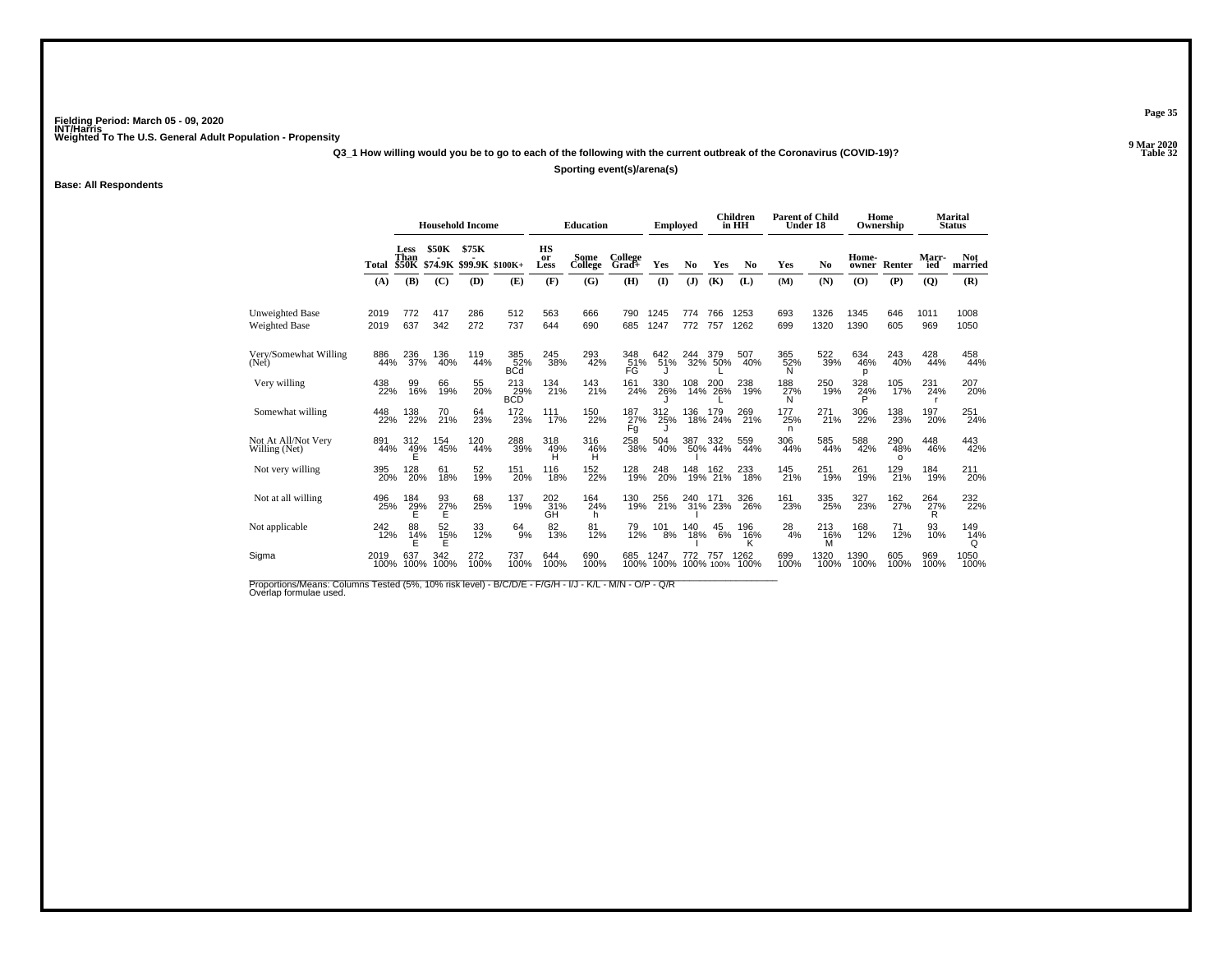**Q3\_1 How willing would you be to go to each of the following with the current outbreak of the Coronavirus (COVID-19)?**

**Sporting event(s)/arena(s)**

**Base: All Respondents**

|                                         |              |                              |                        | <b>Household Income</b>          |                                       |                   | <b>Education</b> |                  | <b>Employed</b> |            |                  | Children<br>in HH    | <b>Parent of Child</b><br>Under 18 |                 | Home<br>Ownership |                        |                       | <b>Marital</b><br><b>Status</b> |
|-----------------------------------------|--------------|------------------------------|------------------------|----------------------------------|---------------------------------------|-------------------|------------------|------------------|-----------------|------------|------------------|----------------------|------------------------------------|-----------------|-------------------|------------------------|-----------------------|---------------------------------|
|                                         | Total        | Less<br>Than<br><b>\$50K</b> | <b>\$50K</b>           | \$75K<br>\$74.9K \$99.9K \$100K+ |                                       | HS<br>or<br>Less  | Some<br>College  | College<br>Grad+ | Yes             | No         | Yes              | No.                  | Yes                                | No              | Home-<br>owner    | Renter                 | Marr-<br>ied          | <b>Not</b><br>married           |
|                                         | (A)          | (B)                          | (C)                    | (D)                              | (E)                                   | (F)               | (G)              | (H)              | (1)             | (J)        | (K)              | (L)                  | (M)                                | (N)             | (0)               | (P)                    | $\overline{Q}$        | (R)                             |
| Unweighted Base<br><b>Weighted Base</b> | 2019<br>2019 | 772<br>637                   | 417<br>342             | 286<br>272                       | 512<br>737                            | 563<br>644        | 666<br>690       | 790<br>685       | 1245<br>1247    | 774<br>772 | 766<br>757       | 1253<br>1262         | 693<br>699                         | 1326<br>1320    | 1345<br>1390      | 646<br>605             | 1011<br>969           | 1008<br>1050                    |
| Very/Somewhat Willing<br>(Net)          | 886<br>44%   | 236<br>37%                   | 136<br>40%             | 119<br>44%                       | 385<br>52%<br><b>B</b> C <sub>d</sub> | 245<br>38%        | 293<br>42%       | 348<br>51%<br>FG | 642<br>51%      | 244        | 379<br>32% 50%   | 507<br>40%           | 365<br>52%<br>N                    | 522<br>39%      | 634<br>46%<br>p   | 243<br>40%             | 428<br>44%            | 458<br>44%                      |
| Very willing                            | 438<br>22%   | 99<br>16%                    | 66<br>19%              | 55<br>20%                        | 213<br>29%<br><b>BCD</b>              | 134<br>21%        | 143<br>21%       | 161<br>24%       | 330<br>26%      | 108        | 200<br>14% 26%   | 238<br>19%           | 188<br>27%<br>N                    | 250<br>19%      | 328<br>24%<br>P   | 105<br>17%             | 231<br>24%            | 207<br>20%                      |
| Somewhat willing                        | 448<br>22%   | 138<br>22%                   | 70<br>21%              | 64<br>23%                        | $^{172}_{23\%}$                       | 111<br>17%        | 150<br>22%       | 187<br>27%<br>Fg | 312<br>25%      | 136        | 179<br>18% 24%   | 269<br>21%           | 177<br>25%<br>n                    | 271<br>21%      | 306<br>22%        | 138<br>23%             | 197<br>20%            | 251<br>24%                      |
| Not At All/Not Very<br>Willing (Net)    | 891<br>44%   | 312<br>$^{49%}_{E}$          | 154<br>45%             | 120<br>44%                       | 288<br>39%                            | 318<br>49%<br>H   | 316<br>46%<br>Ĥ  | 258<br>38%       | 504<br>40%      | 387        | 332<br>50% 44%   | 559<br>44%           | 306<br>44%                         | 585<br>44%      | 588<br>42%        | 290<br>48%<br>$\Omega$ | 448<br>46%            | 443<br>42%                      |
| Not very willing                        | 395<br>20%   | 128<br>20%                   | 61<br>18%              | 52<br>19%                        | 151<br>20%                            | 116<br>18%        | 152<br>22%       | 128<br>19%       | 248<br>20%      | 148<br>19% | 162<br>21%       | 233<br>18%           | 145<br>21%                         | 251<br>19%      | 261<br>19%        | 129 <sub>%</sub>       | 184<br>19%            | 211<br>20%                      |
| Not at all willing                      | 496<br>25%   | 184<br>$^{29\%}$             | 93<br>$\frac{27}{5}$ % | 68<br>25%                        | 137<br>19%                            | 202<br>_31%<br>GH | 164<br>24%<br>h. | 130<br>19%       | 256<br>21%      | 240<br>31% | 171<br>23%       | 326<br>26%           | 161<br>23%                         | 335<br>25%      | 327<br>23%        | 162<br>27%             | 264<br>$\frac{27}{8}$ | 232<br>22%                      |
| Not applicable                          | 242<br>12%   | 88<br>$^{14\%}_{E}$          | 52<br>15%<br>E         | 33<br>12%                        | $^{64}_{9\%}$                         | 82<br>13%         | 81<br>12%        | 79<br>12%        | 101<br>8%       | 140<br>18% | 45<br>6%         | 196<br>$^{16\%}_{K}$ | 28<br>4%                           | 213<br>16%<br>M | 168<br>12%        | 71<br>12%              | 93<br>10%             | 149<br>14%<br>Q                 |
| Sigma                                   | 2019<br>100% | 637<br>100%                  | 342<br>100%            | 272<br>100%                      | 737<br>100%                           | 644<br>100%       | 690<br>100%      | 685<br>100%      | 1247<br>100%    |            | 757<br>100% 100% | 1262<br>100%         | 699<br>100%                        | 1320<br>100%    | 1390<br>100%      | 605<br>100%            | 969<br>100%           | 1050<br>100%                    |

Proportions/Means: Columns Tested (5%, 10% risk level) - B/C/D/E - F/G/H - I/J - K/L - M/N - O/P - Q/R<br>Overlap formulae used.

**Page 35**

**P** Table 32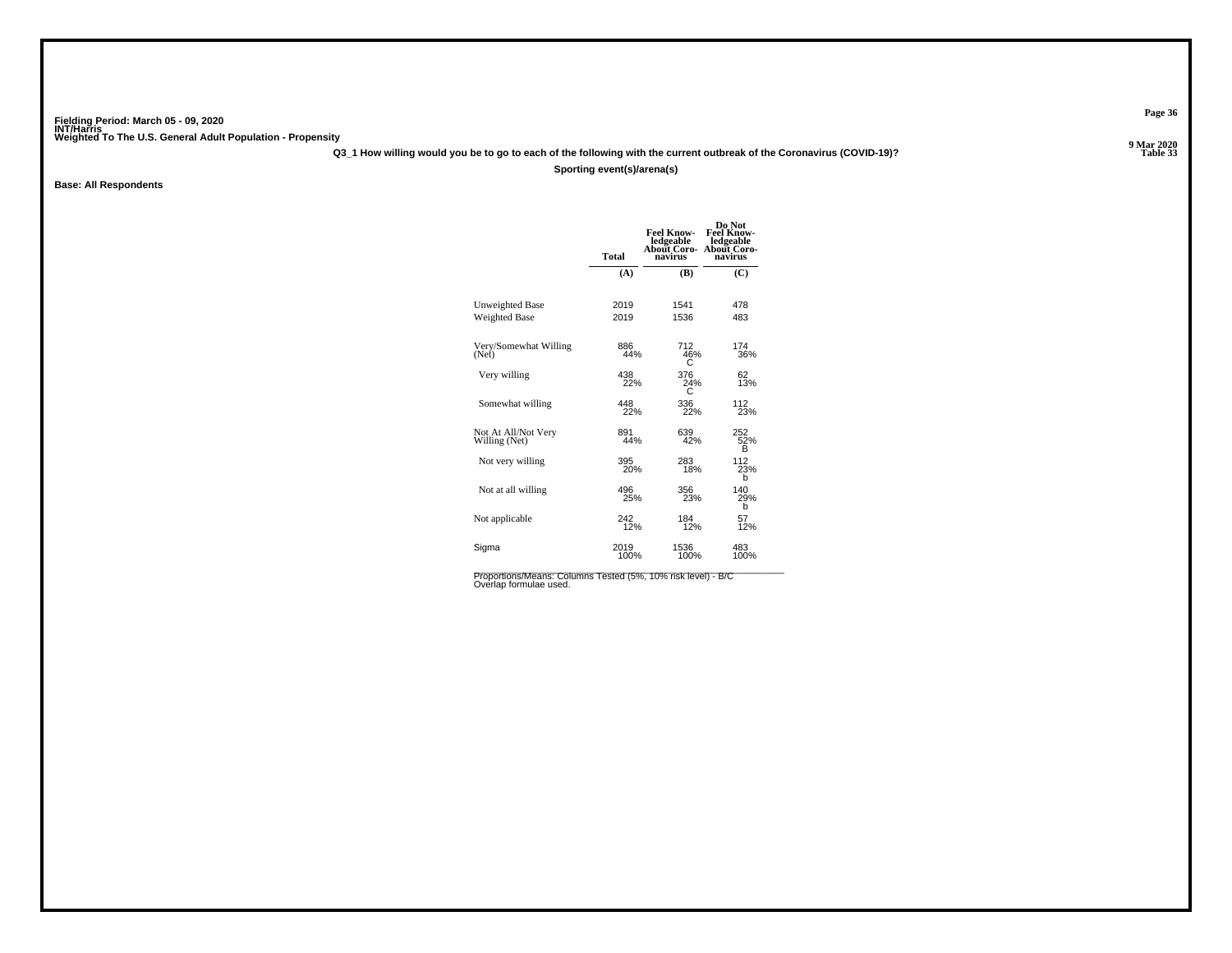**Q3\_1 How willing would you be to go to each of the following with the current outbreak of the Coronavirus (COVID-19)?**

#### **Sporting event(s)/arena(s)**

**Base: All Respondents**

|                                      | <b>Total</b> | <b>Feel Know-</b><br>ledgeable<br>About Coro-<br>navirus | Do Not<br><b>Feel Know-</b><br>ledgeable<br><b>About Coro-</b><br>navirus |
|--------------------------------------|--------------|----------------------------------------------------------|---------------------------------------------------------------------------|
|                                      | (A)          | (B)                                                      | (C)                                                                       |
| Unweighted Base                      | 2019         | 1541                                                     | 478                                                                       |
| Weighted Base                        | 2019         | 1536                                                     | 483                                                                       |
| Very/Somewhat Willing<br>(Net)       | 886<br>44%   | 712<br>46%<br>c                                          | 174<br>36%                                                                |
| Very willing                         | 438<br>22%   | 376<br>24%                                               | 62<br>13%                                                                 |
| Somewhat willing                     | 448<br>22%   | 336<br>22%                                               | 112<br>23%                                                                |
| Not At All/Not Very<br>Willing (Net) | 891<br>44%   | 639<br>42%                                               | 252<br>52%<br>в                                                           |
| Not very willing                     | 395<br>20%   | 283<br>18%                                               | 112<br>23%<br>b                                                           |
| Not at all willing                   | 496<br>25%   | 356<br>23%                                               | 140<br>29%<br>b                                                           |
| Not applicable                       | 242<br>12%   | 184<br>12%                                               | 57<br>12%                                                                 |
| Sigma                                | 2019<br>100% | 1536<br>100%                                             | 483<br>100%                                                               |
|                                      |              |                                                          |                                                                           |

Proportions/Means: Columns Tested (5%, 10% risk level) - B/C<br>Overlap formulae used.

**Page 36**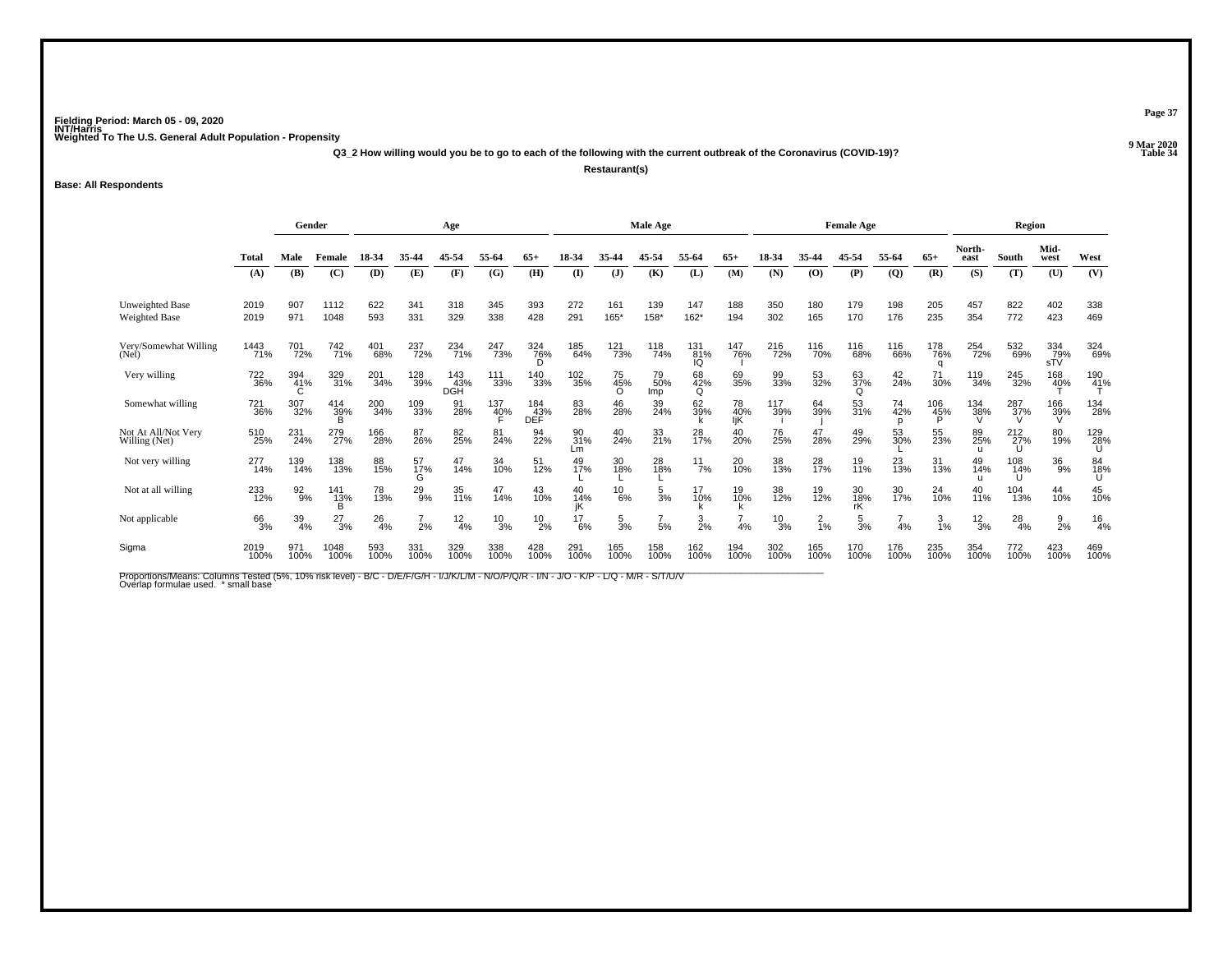**Q3\_2 How willing would you be to go to each of the following with the current outbreak of the Coronavirus (COVID-19)?**

**Restaurant(s)**

**Base: All Respondents**

|                                                |              | Gender           |                     |             |                | Age               |                 |                   |                 |                 | Male Age         |                        |                  |                 |                | <b>Female Age</b> |                |                 |                 | Region        |                     |                 |
|------------------------------------------------|--------------|------------------|---------------------|-------------|----------------|-------------------|-----------------|-------------------|-----------------|-----------------|------------------|------------------------|------------------|-----------------|----------------|-------------------|----------------|-----------------|-----------------|---------------|---------------------|-----------------|
|                                                | Total        | Male             | Female              | 18-34       | 35-44          | 45-54             | 55-64           | 65-               | 18-34           | 35.44           | 45-54            | 55-64                  | $65+$            | 18-34           | 35-44          | 45-54             | 55-64          | $65+$           | North-<br>east  | South         | Mid-<br>west        | West            |
|                                                | (A)          | (B)              | (C)                 | (D)         | (E)            | (F)               | (G)             | (H)               | (I)             | $\mathbf{J}$    | (K)              | (L)                    | (M)              | (N)             | (0)            | (P)               | $\overline{Q}$ | (R)             | (S)             | (T)           | (U)                 | (V)             |
| <b>Unweighted Base</b><br><b>Weighted Base</b> | 2019<br>2019 | 907<br>971       | 1112<br>1048        | 622<br>593  | 341<br>331     | 318<br>329        | 345<br>338      | 393<br>428        | 272<br>291      | 161<br>165*     | 139<br>158*      | 147<br>$162*$          | 188<br>194       | 350<br>302      | 180<br>165     | 179<br>170        | 198<br>176     | 205<br>235      | 457<br>354      | 822<br>772    | 402<br>423          | 338<br>469      |
| Very/Somewhat Willing<br>(Net)                 | 1443<br>71%  | 701<br>72%       | 742<br>71%          | 401<br>68%  | 237<br>72%     | 234<br>71%        | 247<br>73%      | 324<br>76%<br>D   | 185<br>64%      | 121<br>73%      | 118<br>74%       | 131 <sub>%</sub><br>IQ | 147<br>76%       | 216<br>72%      | 116<br>70%     | 116<br>68%        | 116<br>66%     | 178<br>76%<br>a | 254<br>72%      | 532<br>69%    | 334<br>79%<br>sTV   | 324<br>69%      |
| Very willing                                   | 722<br>36%   | 394<br>41%       | 329<br>31%          | 201<br>34%  | 128<br>39%     | 143<br>43%<br>DGH | 111<br>33%      | 140<br>33%        | 102<br>35%      | 75<br>45%       | 79<br>50%<br>lmp | 68<br>42%<br>Q         | 69<br>35%        | 99<br>33%       | 53<br>32%      | 63<br>37%<br>Q    | $^{42}_{24\%}$ | 71<br>30%       | 119<br>34%      | 245<br>32%    | 168<br>4 <u>0</u> % | 190<br>41%      |
| Somewhat willing                               | 721<br>36%   | 307<br>32%       | $^{414}_{39\%}$     | 200<br>34%  | 109<br>33%     | 91<br>28%         | $^{137}_{40\%}$ | 184<br>43%<br>DEF | 83<br>28%       | 46<br>28%       | 39<br>24%        | 62<br>39%              | 78<br>40%<br>liK | 117<br>39%      | 64<br>39%      | 53<br>31%         | 74<br>42%      | 106<br>45%<br>Đ | 134<br>38%      | 287<br>37%    | 166<br>39%<br>V     | 134<br>28%      |
| Not At All/Not Very<br>Willing (Net)           | 510<br>25%   | 231<br>24%       | 279<br>27%          | 166<br>28%  | 87<br>26%      | 82<br>25%         | 81<br>24%       | 94<br>22%         | 90<br>31%<br>Lm | 40<br>24%       | 33<br>21%        | 28<br>17%              | 40<br>20%        | 76<br>25%       | 47<br>28%      | 49<br>29%         | 53<br>30%      | 55<br>23%       | 89<br>25%       | 212 27%<br>IJ | 80<br>19%           | 129<br>28%<br>U |
| Not very willing                               | 277<br>14%   | 139<br>14%       | 138<br>13%          | 88<br>15%   | 57<br>17%<br>G | 47<br>14%         | 34<br>10%       | 51<br>12%         | 49<br>17%       | 30<br>18%       | 28<br>18%        | 11/7%                  | 20<br>10%        | 38<br>13%       | 28<br>17%      | $\frac{19}{11\%}$ | 23<br>13%      | 31<br>13%       | 49<br>14%       | 108<br>14%    | $\frac{36}{9%}$     | 84<br>18%<br>U  |
| Not at all willing                             | 233<br>12%   | $\frac{92}{9\%}$ | 141<br>1 <u>3</u> % | 78<br>13%   | $^{29}_{9\%}$  | 35<br>11%         | 47<br>14%       | 43<br>10%         | 40<br>14%<br>iK | $^{10}_{6\%}$   | $\frac{5}{3%}$   | 17<br>10%              | 19<br>10%        | 38<br>12%       | 19<br>12%      | 30<br>18%<br>rK   | 30<br>17%      | $^{24}_{10\%}$  | 40<br>11%       | 104<br>13%    | 44<br>10%           | 45<br>10%       |
| Not applicable                                 | 66<br>3%     | $\frac{39}{4\%}$ | $^{27}_{3\%}$       | 26<br>4%    | 2%             | $\frac{12}{4%}$   | $^{10}_{3\%}$   | $^{10}_{2\%}$     | $^{17}_{6\%}$   | $\frac{5}{3}$ % | 5%               | $\frac{3}{2\%}$        | 4%               | $\frac{10}{3%}$ | $\frac{2}{1%}$ | $\frac{5}{3%}$    | 4%             | 3<br>1%         | $\frac{12}{3%}$ | $^{28}_{4\%}$ | $\frac{9}{2}$ %     | $\frac{16}{4%}$ |
| Sigma                                          | 2019<br>100% | 971<br>100%      | 1048<br>100%        | 593<br>100% | 331<br>100%    | 329<br>100%       | 338<br>100%     | 428<br>100%       | 291<br>100%     | 165<br>100%     | 158<br>100%      | 162<br>100%            | 194<br>100%      | 302<br>100%     | 165<br>100%    | 170<br>100%       | 176<br>100%    | 235<br>100%     | 354<br>100%     | 772<br>100%   | 423<br>100%         | 469<br>100%     |

Proportions/Means: Columns Tested (5%, 10% risk level) - B/C - D/E/F/G/H - I/J/K/L/M - N/O/P/Q/R - I/N - J/O - K/P - L/Q - M/R - S/T/U/V<br>Overlap formulae used. \*small base

**Page 37**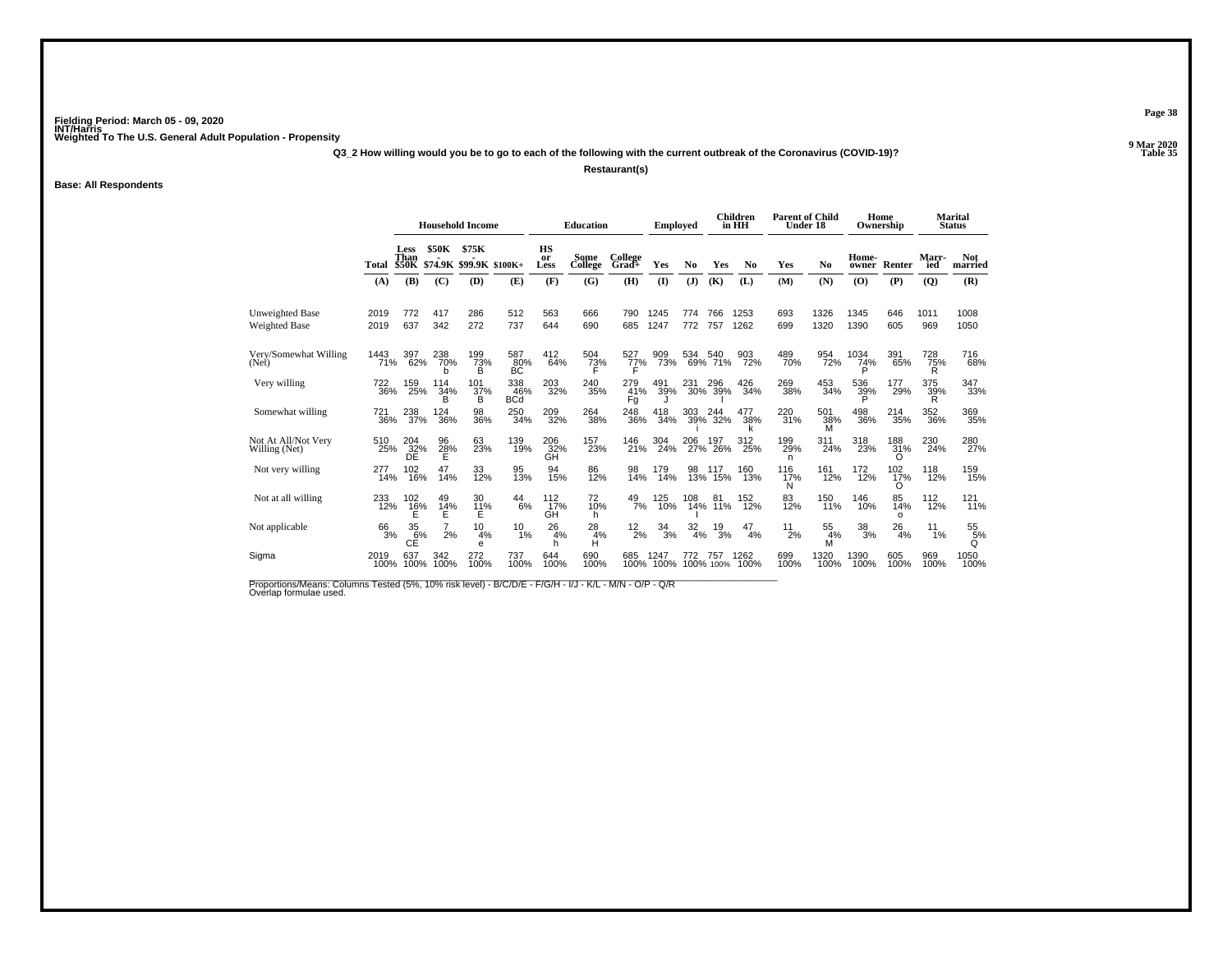**Q3\_2 How willing would you be to go to each of the following with the current outbreak of the Coronavirus (COVID-19)?**

**Restaurant(s)**

**Base: All Respondents**

|                                         |              |                      |                      | <b>Household Income</b>                |                          |                         | <b>Education</b> |                    | <b>Employed</b> |                   |                  | <b>Children</b><br>in HH | <b>Parent of Child</b><br>Under 18 |                 |                  | Home<br>Ownership     |                     | <b>Marital</b><br><b>Status</b> |
|-----------------------------------------|--------------|----------------------|----------------------|----------------------------------------|--------------------------|-------------------------|------------------|--------------------|-----------------|-------------------|------------------|--------------------------|------------------------------------|-----------------|------------------|-----------------------|---------------------|---------------------------------|
|                                         | Total        | Less<br>Than         | <b>\$50K</b>         | \$75K<br>\$50K \$74.9K \$99.9K \$100K+ |                          | <b>HS</b><br>or<br>Less | Some<br>College  | College<br>$Grad+$ | Yes             | No                | Yes              | N <sub>0</sub>           | Yes                                | No              | Home-<br>owner   | Renter                | <b>Marr-</b><br>ied | <b>Not</b><br>married           |
|                                         | (A)          | (B)                  | (C)                  | (D)                                    | (E)                      | (F)                     | (G)              | (H)                | (I)             | (J)               | (K)              | (L)                      | (M)                                | (N)             | (O)              | (P)                   | $\overline{Q}$      | (R)                             |
| Unweighted Base<br><b>Weighted Base</b> | 2019<br>2019 | 772<br>637           | 417<br>342           | 286<br>272                             | 512<br>737               | 563<br>644              | 666<br>690       | 790<br>685         | 1245<br>1247    | 774<br>772        | 766<br>757       | 1253<br>1262             | 693<br>699                         | 1326<br>1320    | 1345<br>1390     | 646<br>605            | 1011<br>969         | 1008<br>1050                    |
| Very/Somewhat Willing<br>(Net)          | 1443<br>71%  | 397<br>62%           | 238<br>70%           | 199<br>73%<br>в                        | 587<br>80%<br>BC         | $^{412}_{64\%}$         | 504<br>73%       | 527<br>77%         | 909<br>73%      | 534               | 540<br>69% 71%   | 903<br>72%               | 489<br>70%                         | 954<br>72%      | 1034<br>74%<br>P | 391<br>65%            | 728<br>75%<br>R     | 716<br>68%                      |
| Very willing                            | 722<br>36%   | 159<br>25%           | 114<br>34%<br>B      | 101<br>37%<br>B                        | 338<br>46%<br><b>BCd</b> | 203<br>32%              | 240<br>35%       | 279<br>41%<br>Fg   | 491<br>39%      | 231 2<br>30%      | 296<br>-39%      | $^{426}_{34\%}$          | 269<br>38%                         | 453<br>34%      | 536<br>39%       | 177<br>29%            | 375<br>39%          | 347<br>33%                      |
| Somewhat willing                        | 721<br>36%   | 238<br>37%           | 124<br>36%           | 98<br>36%                              | 250<br>34%               | 209<br>32%              | 264<br>38%       | 248<br>36%         | 418<br>34%      | 303               | 244<br>39% 32%   | 477<br>38%               | 220<br>31%                         | 501<br>38%<br>M | 498<br>36%       | 214<br>35%            | 352<br>36%          | 369<br>35%                      |
| Not At All/Not Very<br>Willing (Net)    | 510<br>25%   | 204<br>32%<br>DE     | 96<br>$\frac{28}{E}$ | 63<br>23%                              | 139<br>19%               | 206<br>32%<br>GΗ        | 157<br>23%       | 146<br>21%         | 304<br>24%      | 206<br>27%        | 197<br>26%       | 312<br>25%               | 199<br>29%<br>n                    | 311<br>24%      | 318<br>23%       | 188<br>31%<br>Ω       | 230<br>24%          | 280<br>27%                      |
| Not very willing                        | 277<br>14%   | 102<br>16%           | 14%                  | 33<br>12%                              | 95<br>13%                | 94<br>15%               | 86<br>12%        | 98<br>14%          | 179<br>14%      | $\frac{98}{13\%}$ | 15%              | 160<br>13%               | 116<br>17%<br>N                    | 161<br>12%      | 172<br>12%       | $^{102}_{17\%}$<br>Ω  | 118<br>12%          | 159<br>15%                      |
| Not at all willing                      | 233<br>12%   | 102<br>$^{16\%}_{E}$ | 49<br>$^{14\%}_{E}$  | 30<br>$^{11}_{E}$ %                    | 44<br>6%                 | 112<br>17%<br>GH        | 72<br>10%<br>h.  | $^{49}_{7\%}$      | 125<br>10%      | 108<br>14%        | 81<br>11%        | 152<br>12%               | 83<br>12%                          | 150<br>11%      | 146<br>10%       | 85<br>14%<br>$\Omega$ | 112<br>12%          | 121<br>11%                      |
| Not applicable                          | 66<br>3%     | 35<br>6%<br>СĒ       | 2%                   | 10<br>4%<br>e                          | 10<br>1%                 | 26<br>4%<br>h           | 28<br>4%<br>н    | $^{12}_{2\%}$      | 34<br>3%        | 32<br>4%          | 19<br>3%         | 47<br>4%                 | 11<br>2%                           | 55<br>4%<br>M   | 38<br>3%         | 26<br>4%              | 11<br>1%            | 55<br>5%<br>Q                   |
| Sigma                                   | 2019<br>100% | 637<br>100%          | 342<br>100%          | 272<br>100%                            | 737<br>100%              | 644<br>100%             | 690<br>100%      | 685<br>100%        | 1247<br>100%    | 772               | 757<br>100% 100% | 1262<br>100%             | 699<br>100%                        | 1320<br>100%    | 1390<br>100%     | 605<br>100%           | 969<br>100%         | 1050<br>100%                    |

Proportions/Means: Columns Tested (5%, 10% risk level) - B/C/D/E - F/G/H - I/J - K/L - M/N - O/P - Q/R<br>Overlap formulae used.

**Page 38**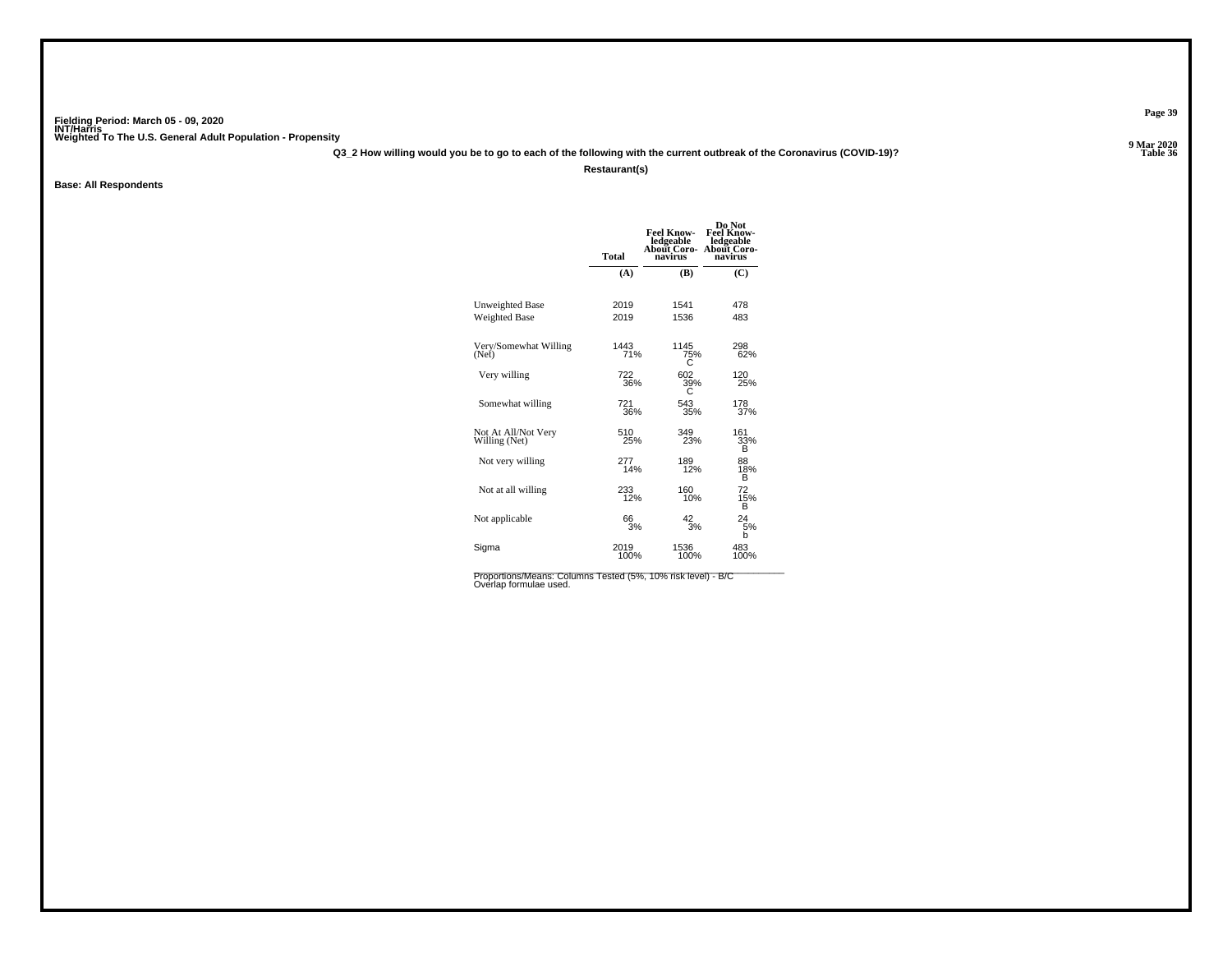**Q3\_2 How willing would you be to go to each of the following with the current outbreak of the Coronavirus (COVID-19)?**

**Restaurant(s)**

**Base: All Respondents**

|                                      | <b>Total</b> | <b>Feel Know-</b><br>ledgeable<br>About Coro-<br>navirus | Do Not<br><b>Feel Know-</b><br>ledgeable<br>About Coro-<br>navirus |
|--------------------------------------|--------------|----------------------------------------------------------|--------------------------------------------------------------------|
|                                      | (A)          | (B)                                                      | (C)                                                                |
| <b>Unweighted Base</b>               | 2019<br>2019 | 1541<br>1536                                             | 478<br>483                                                         |
| <b>Weighted Base</b>                 |              |                                                          |                                                                    |
| Very/Somewhat Willing<br>(Net)       | 1443<br>71%  | 1145<br>75%                                              | 298<br>62%                                                         |
| Very willing                         | 722<br>36%   | 602<br>39%                                               | 120<br>25%                                                         |
| Somewhat willing                     | 721<br>36%   | 543<br>35%                                               | 178<br>37%                                                         |
| Not At All/Not Very<br>Willing (Net) | 510<br>25%   | 349<br>23%                                               | 161<br>33%<br>в                                                    |
| Not very willing                     | 277<br>14%   | 189<br>12%                                               | 88<br>18%<br>в                                                     |
| Not at all willing                   | 233<br>12%   | 160<br>10%                                               | 72<br>15%<br>в                                                     |
| Not applicable                       | 66<br>3%     | 42<br>3%                                                 | 24<br>5%<br>b                                                      |
| Sigma                                | 2019<br>100% | 1536<br>100%                                             | 483<br>100%                                                        |

Proportions/Means: Columns Tested (5%, 10% risk level) - B/C<br>Overlap formulae used.

**Page 39**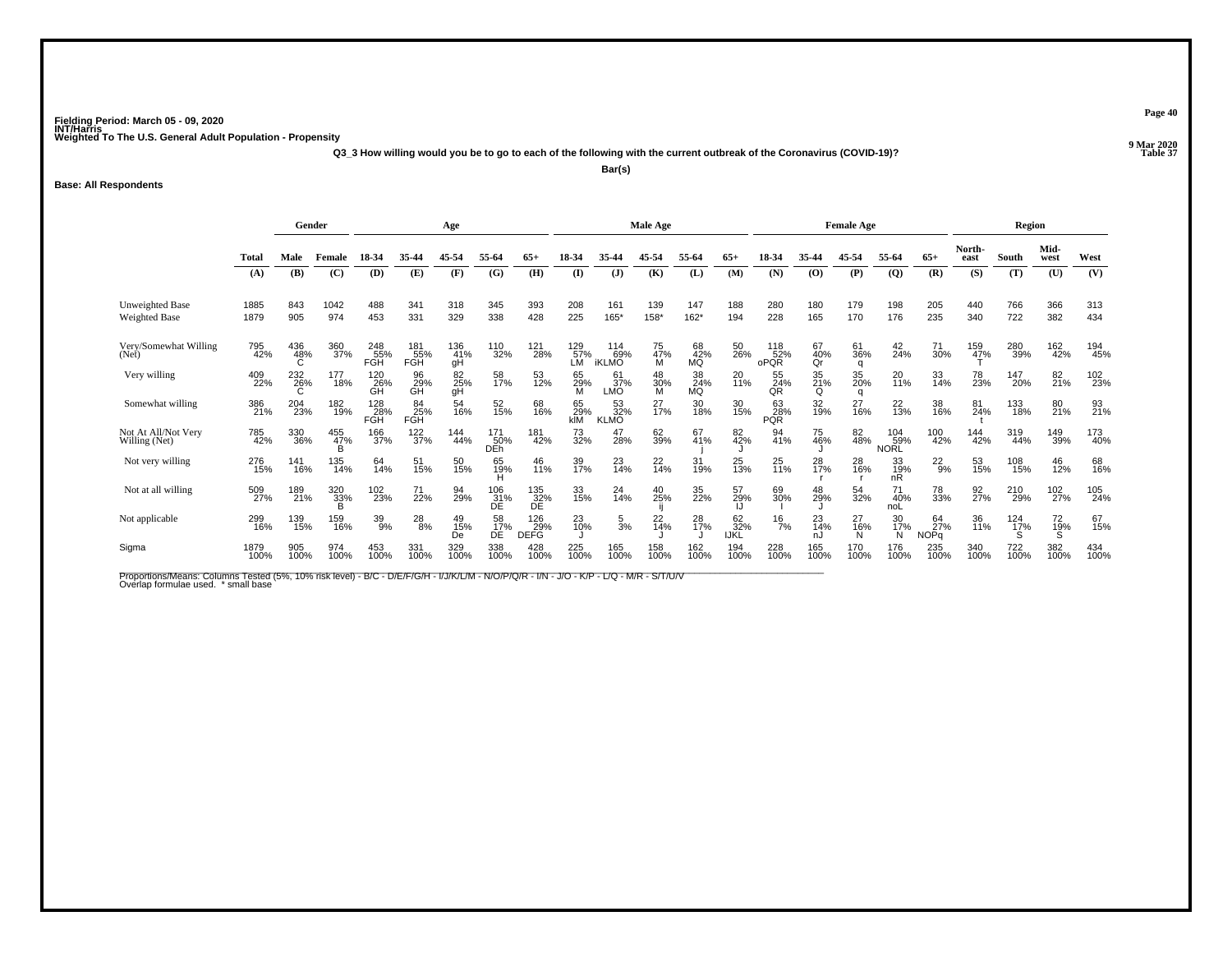**Q3\_3 How willing would you be to go to each of the following with the current outbreak of the Coronavirus (COVID-19)?**

**Bar(s)**

**Base: All Respondents**

|                                         | Gender       |                 |                 |                   | Age               |                  |                        |                           |                         | Male Age                        |                |                 |                          |                                      | <b>Female Age</b> |                |                           |                   | Region              |                 |                |             |
|-----------------------------------------|--------------|-----------------|-----------------|-------------------|-------------------|------------------|------------------------|---------------------------|-------------------------|---------------------------------|----------------|-----------------|--------------------------|--------------------------------------|-------------------|----------------|---------------------------|-------------------|---------------------|-----------------|----------------|-------------|
|                                         | Total        | Male            | Female          | 18-34             | 35-44             | 45-54            | 55-64                  | 65+                       | 18-34                   |                                 | 45-54          | 55-64           | $65+$                    | 18-34                                | 35-44             | 45-54          | 55-64                     | $65+$             | North-<br>east      | South           | Mid-<br>west   | West        |
|                                         | (A)          | (B)             | (C)             | (D)               | (E)               | (F)              | (G)                    | (H)                       | $\mathbf{I}$            | $\mathbf{J}$                    | (K)            | (L)             | (M)                      | (N)                                  | (O)               | (P)            | $\overline{Q}$            | (R)               | (S)                 | (T)             | (U)            | (V)         |
| <b>Unweighted Base</b><br>Weighted Base | 1885<br>1879 | 843<br>905      | 1042<br>974     | 488<br>453        | 341<br>331        | 318<br>329       | 345<br>338             | 393<br>428                | 208<br>225              | 161<br>165*                     | 139<br>158*    | 147<br>$162*$   | 188<br>194               | 280<br>228                           | 180<br>165        | 179<br>170     | 198<br>176                | 205<br>235        | 440<br>340          | 766<br>722      | 366<br>382     | 313<br>434  |
| Very/Somewhat Willing<br>(Net)          | 795<br>42%   | 436<br>48%      | 360<br>37%      | 248<br>55%<br>FGH | 181<br>55%<br>FGH | 136<br>41%<br>gH | 110<br>32%             | 121<br>28%                | 129<br>57%<br>LM        | $^{114}_{69\%}$<br><b>iKLMO</b> | 75<br>47%<br>М | 68<br>42%<br>MQ | 50<br>26%                | 118<br>52%<br>oPQR                   | 67<br>40%<br>Qr   | 61<br>36%<br>q | 42<br>24%                 | 71<br>30%         | 159<br>4 <u>7</u> % | 280<br>39%      | 162<br>42%     | 194<br>45%  |
| Very willing                            | 409<br>22%   | 232<br>26%<br>C | 177<br>18%      | 120<br>26%        | 96<br>29%<br>GH   | 82<br>25%<br>gH  | 58<br>17%              | 53<br>12%                 | 65<br>$\frac{29}{M}$    | 61<br>37%<br>LMO                | 48<br>30%<br>M | 38<br>24%<br>MQ | 20<br>11%                | 55<br>$\frac{\tilde{2}4}{\tilde{R}}$ | 35<br>21%<br>Q    | 35<br>20%<br>q | 20<br>11%                 | 33<br>14%         | 78<br>23%           | 147<br>20%      | 82<br>21%      | 102<br>23%  |
| Somewhat willing                        | 386<br>21%   | 204<br>23%      | 182<br>19%      | 128<br>28%<br>FGH | 84<br>25%<br>FGH  | 54<br>16%        | 52<br>15%              | 68<br>16%                 | 65<br><b>29%</b><br>kIM | 53<br>32%<br><b>KLMO</b>        | 27<br>17%      | 30<br>18%       | 30<br>15%                | 63<br>28%<br><b>PQR</b>              | 32<br>19%         | 27<br>16%      | 22<br>13%                 | 38<br>16%         | 81<br>24%           | 133<br>18%      | 80<br>21%      | 93<br>21%   |
| Not At All/Not Very<br>Willing (Net)    | 785<br>42%   | 330<br>36%      | 455<br>47%      | 166<br>37%        | 122 <sub>%</sub>  | 144<br>44%       | 171<br>50%<br>DEh      | 181<br>42%                | 73<br>32%               | 47<br>28%                       | 62<br>39%      | 67<br>41%       | 82 <sub>%</sub>          | 94<br>41%                            | 75<br>46%         | 82<br>48%      | 104<br>59%<br><b>NORL</b> | 100<br>42%        | 144<br>42%          | 319<br>44%      | 149<br>39%     | 173<br>40%  |
| Not very willing                        | 276<br>15%   | 141<br>16%      | 135<br>14%      | 64<br>14%         | 51<br>15%         | 50<br>15%        | 65<br>19%              | 46<br>11%                 | 39<br>17%               | 23<br>14%                       | 22<br>14%      | 31<br>19%       | 25<br>13%                | 25<br>11%                            | 28<br>17%         | 28<br>16%      | 33<br>19%<br>nR           | $^{22}_{9\%}$     | 53<br>15%           | 108<br>15%      | 46<br>12%      | 68<br>16%   |
| Not at all willing                      | 509<br>27%   | 189<br>21%      | 320<br>33%<br>R | 102<br>23%        | 71<br>22%         | 94<br>29%        | 106<br>31%<br>DE       | 135<br>32%<br>DE          | 33<br>15%               | 24<br>14%                       | 40<br>25%      | 35<br>22%       | 57<br>29%                | 69<br>30%                            | 48<br>29%         | 54<br>32%      | 71<br>40%<br>noL          | 78<br>33%         | 92<br>27%           | 210<br>29%      | 102<br>27%     | 105<br>24%  |
| Not applicable                          | 299<br>16%   | 139<br>15%      | 159<br>16%      | 39<br>9%          | 28<br>8%          | 49<br>15%<br>De  | 58<br>17%<br><b>DE</b> | 126<br>29%<br><b>DEFG</b> | 23<br>10%               | $\frac{5}{3}$ %                 | $^{22}_{14\%}$ | 28<br>17%       | 62<br>32%<br><b>IJKL</b> | $\frac{16}{7%}$                      | 23<br>14%<br>nJ   | 27<br>16%<br>N | 30<br>17%<br>N            | 64<br>27%<br>NOPa | 36<br>11%           | $^{124}_{17\%}$ | 72<br>19%<br>S | 67<br>15%   |
| Sigma                                   | 1879<br>100% | 905<br>100%     | 974<br>100%     | 453<br>100%       | 331<br>100%       | 329<br>100%      | 338<br>100%            | 428<br>100%               | 225<br>100%             | 165<br>100%                     | 158<br>100%    | 162<br>100%     | 194<br>100%              | 228<br>100%                          | 165<br>100%       | 170<br>100%    | 176<br>100%               | 235<br>100%       | 340<br>100%         | 722<br>100%     | 382<br>100%    | 434<br>100% |

Proportions/Means: Columns Tested (5%, 10% risk level) - B/C - D/E/F/G/H - I/J/K/L/M - N/O/P/Q/R - I/N - J/O - K/P - L/Q - M/R - S/T/U/V<br>Overlap formulae used. \*small base

**Page 40**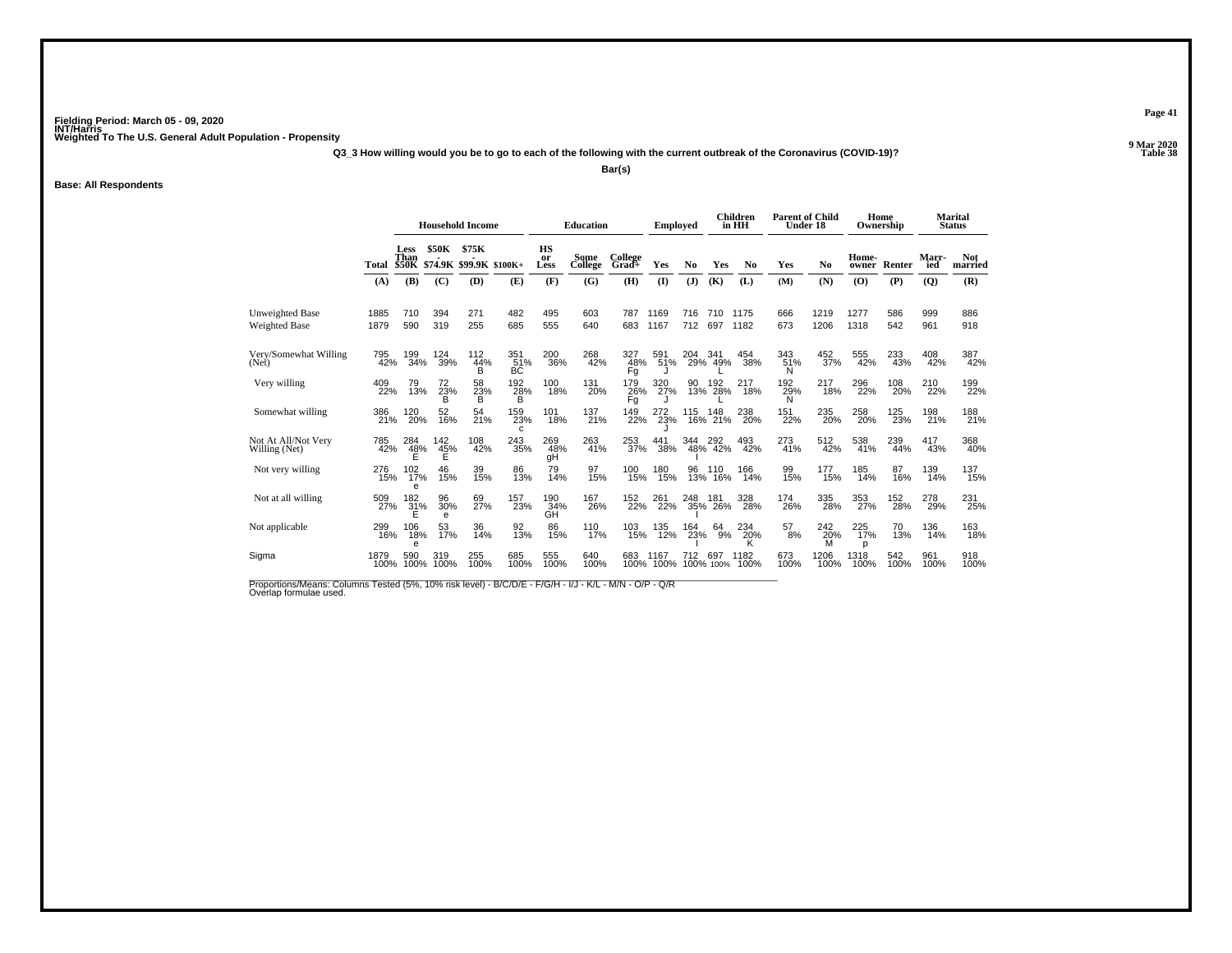**Q3\_3 How willing would you be to go to each of the following with the current outbreak of the Coronavirus (COVID-19)?**

**Bar(s)**

#### **Base: All Respondents**

|                                         |              |                              |                                 | <b>Household Income</b> |                          |                  | <b>Education</b> |                  | <b>Employed</b> |            |                    | <b>Children</b><br>in HH | <b>Parent of Child</b><br>Under 18 |                 | Home<br>Ownership |                               |                | Marital<br><b>Status</b> |
|-----------------------------------------|--------------|------------------------------|---------------------------------|-------------------------|--------------------------|------------------|------------------|------------------|-----------------|------------|--------------------|--------------------------|------------------------------------|-----------------|-------------------|-------------------------------|----------------|--------------------------|
|                                         | Total        | Less<br>Than<br><b>\$50K</b> | <b>\$50K</b><br>\$74.9K \$99.9K | \$75K                   | $$100K+$                 | HS<br>or<br>Less | Some<br>College  | College<br>Grad+ | Yes             | No         | Yes                | N <sub>0</sub>           | Yes                                | No              | Home-<br>owner    | Renter                        | Marr-<br>ied   | <b>Not</b><br>married    |
|                                         | (A)          | (B)                          | (C)                             | (D)                     | (E)                      | (F)              | (G)              | (H)              | $\mathbf{I}$    | (J)        | (K)                | (L)                      | (M)                                | (N)             | (O)               | (P)                           | $\overline{Q}$ | (R)                      |
| <b>Unweighted Base</b><br>Weighted Base | 1885<br>1879 | 710<br>590                   | 394<br>319                      | 271<br>255              | 482<br>685               | 495<br>555       | 603<br>640       | 787<br>683       | 1169<br>1167    | 716<br>712 | 710<br>697         | 1175<br>1182             | 666<br>673                         | 1219<br>1206    | 1277<br>1318      | 586<br>542                    | 999<br>961     | 886<br>918               |
| Very/Somewhat Willing<br>(Net)          | 795<br>42%   | 199<br>34%                   | 124<br>39%                      | 112<br>44%<br>в         | 351<br>51%<br>BC         | 200<br>36%       | 268<br>42%       | 327<br>48%<br>Fğ | 591<br>51%      | 204        | 341<br>29% 49%     | 454<br>38%               | 343<br>51%<br>N                    | 452<br>37%      | 555<br>42%        | 233<br>43%                    | 408<br>42%     | 387<br>42%               |
| Very willing                            | 409<br>22%   | 79<br>13%                    | 72<br>23%<br>в                  | 58<br>23%<br>в          | $^{192}_{28\%}$          | 100<br>18%       | 131<br>20%       | 179<br>26%<br>Fg | 320<br>27%      |            | 90 192<br>13% 28%  | $^{217}_{18\%}$          | 192%<br>Ń                          | $^{217}_{18\%}$ | 296<br>22%        | 108<br>20%                    | 210<br>22%     | 199<br>22%               |
| Somewhat willing                        | 386<br>21%   | 120<br>20%                   | 52<br>16%                       | 54<br>21%               | 159<br>23%<br>C          | 101<br>18%       | 137<br>21%       | 149<br>22%       | 272<br>23%      | 115        | 148<br>16% 21%     | 238<br>20%               | 151<br>22%                         | 235<br>20%      | 258<br>20%        | 125<br>23%                    | 198<br>21%     | 188<br>21%               |
| Not At All/Not Very<br>Willing (Net)    | 785<br>42%   | 284<br>$\frac{48\%}{E}$      | 142<br>$\frac{45}{5}$ %         | 108<br>42%              | $\substack{243 \\ 35\%}$ | 269<br>48%<br>qH | 263<br>41%       | 253<br>37%       | 441<br>38%      | 344        | 344 292<br>48% 42% | 493<br>42%               | 273<br>41%                         | 512<br>42%      | 538<br>41%        | 239<br>44%                    | 417<br>43%     | 368<br>40%               |
| Not very willing                        | 276<br>15%   | 102<br>17%<br>e              | 46<br>15%                       | 39<br>15%               | 86<br>13%                | 79<br>14%        | 97<br>15%        | 100<br>15%       | 180<br>15%      | 96<br>13%  | 110<br>16%         | 166<br>14%               | 99<br>15%                          | 177<br>15%      | 185<br>14%        | 87<br>16%                     | 139<br>14%     | 137<br>15%               |
| Not at all willing                      | 509<br>27%   | 182<br>$\frac{31}{5}$ %      | 96<br>30%<br>e                  | 69<br>27%               | 157<br>23%               | 190<br>34%<br>GH | 167<br>26%       | 152<br>22%       | 261<br>22%      | 248<br>35% | 181<br>26%         | 328<br>28%               | 174<br>26%                         | 335<br>28%      | 353<br>27%        | <sup>152</sup> <sub>28%</sub> | 278<br>29%     | 231<br>25%               |
| Not applicable                          | 299<br>16%   | 106<br>18%<br>e              | 53<br>17%                       | 36<br>14%               | 92<br>13%                | 86<br>15%        | 110<br>17%       | 103<br>15%       | 135<br>12%      | 164<br>23% | 64<br>9%           | 234<br>20%               | 57<br>8%                           | 242<br>20%<br>M | 225<br>17%<br>p   | 70<br>13%                     | 136<br>14%     | 163<br>18%               |
| Sigma                                   | 1879<br>100% | 590<br>100%                  | 319<br>100%                     | 255<br>100%             | 685<br>100%              | 555<br>100%      | 640<br>100%      | 683<br>100%      | 1167<br>100%    | 712        | 697<br>100% 100%   | 1182<br>100%             | 673<br>100%                        | 1206<br>100%    | 1318<br>100%      | 542<br>100%                   | 961<br>100%    | 918<br>100%              |
|                                         |              |                              |                                 |                         |                          |                  |                  |                  |                 |            |                    |                          |                                    |                 |                   |                               |                |                          |

Proportions/Means: Columns Tested (5%, 10% risk level) - B/C/D/E - F/G/H - I/J - K/L - M/N - O/P - Q/R<br>Overlap formulae used.

**Page 41**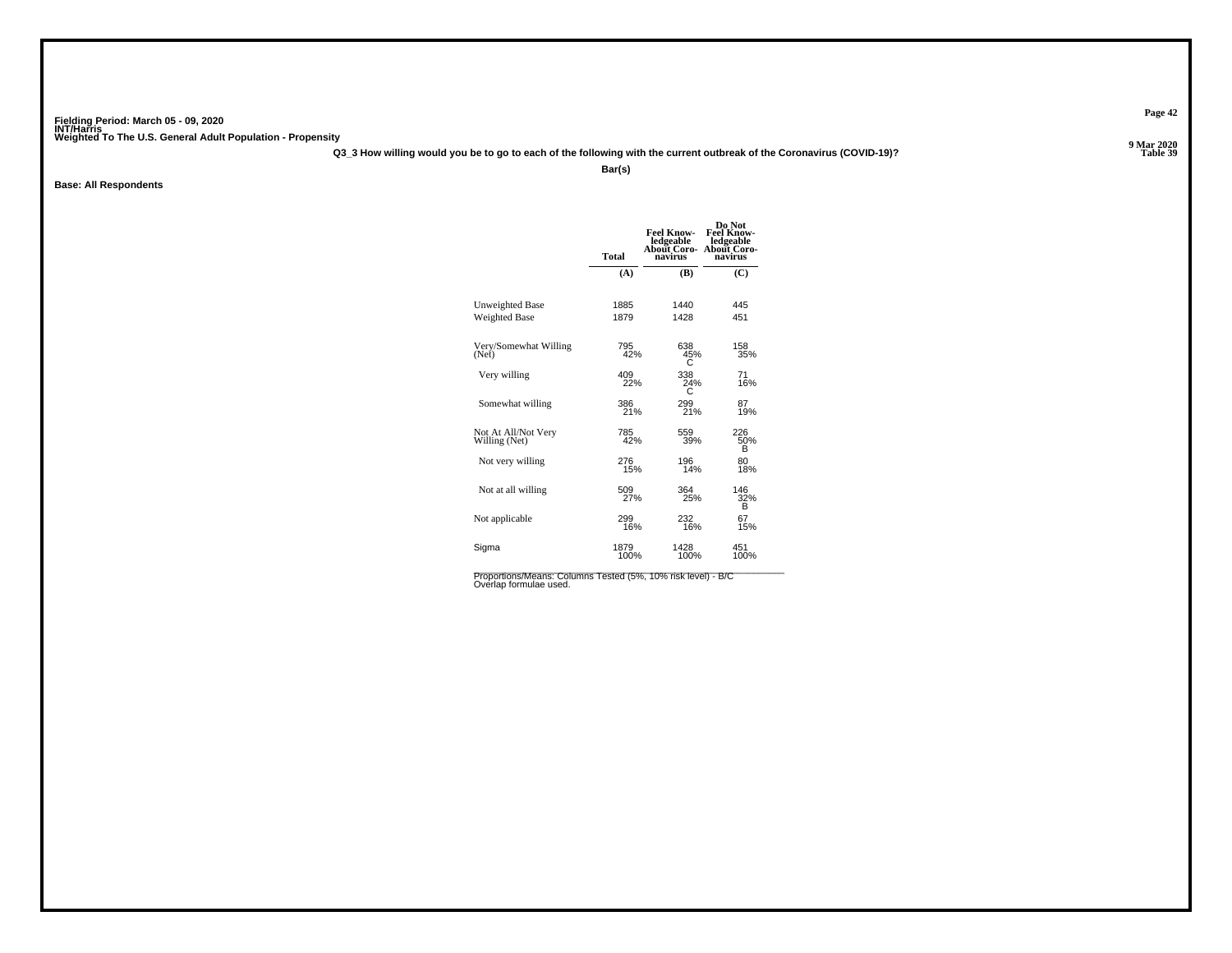**Q3\_3 How willing would you be to go to each of the following with the current outbreak of the Coronavirus (COVID-19)?**

**Bar(s)**

**Base: All Respondents**

|                                      | <b>Total</b> | Feel Know-<br>ledgeable<br>About Coro-<br>navirus | Do Not<br><b>Feel Know-</b><br>ledgeable<br>About Coro-<br>navirus |
|--------------------------------------|--------------|---------------------------------------------------|--------------------------------------------------------------------|
|                                      | (A)          | (B)                                               | (C)                                                                |
| <b>Unweighted Base</b>               | 1885         | 1440                                              | 445                                                                |
| <b>Weighted Base</b>                 | 1879         | 1428                                              | 451                                                                |
| Very/Somewhat Willing                | 795          | 638                                               | 158                                                                |
| (Net)                                | 42%          | 45%                                               | 35%                                                                |
| Very willing                         | 409          | 338                                               | 71                                                                 |
|                                      | 22%          | 24%                                               | 16%                                                                |
| Somewhat willing                     | 386          | 299                                               | 87                                                                 |
|                                      | 21%          | 21%                                               | 19%                                                                |
| Not At All/Not Very<br>Willing (Net) | 785<br>42%   | 559<br>39%                                        | 226<br>50%<br>в                                                    |
| Not very willing                     | 276          | 196                                               | 80                                                                 |
|                                      | 15%          | 14%                                               | 18%                                                                |
| Not at all willing                   | 509<br>27%   | 364<br>25%                                        | 146<br>32%<br>в                                                    |
| Not applicable                       | 299          | 232                                               | 67                                                                 |
|                                      | 16%          | 16%                                               | 15%                                                                |
| Sigma                                | 1879         | 1428                                              | 451                                                                |
|                                      | 100%         | 100%                                              | 100%                                                               |

Proportions/Means: Columns Tested (5%, 10% risk level) - B/C<br>Overlap formulae used.

**Page 42**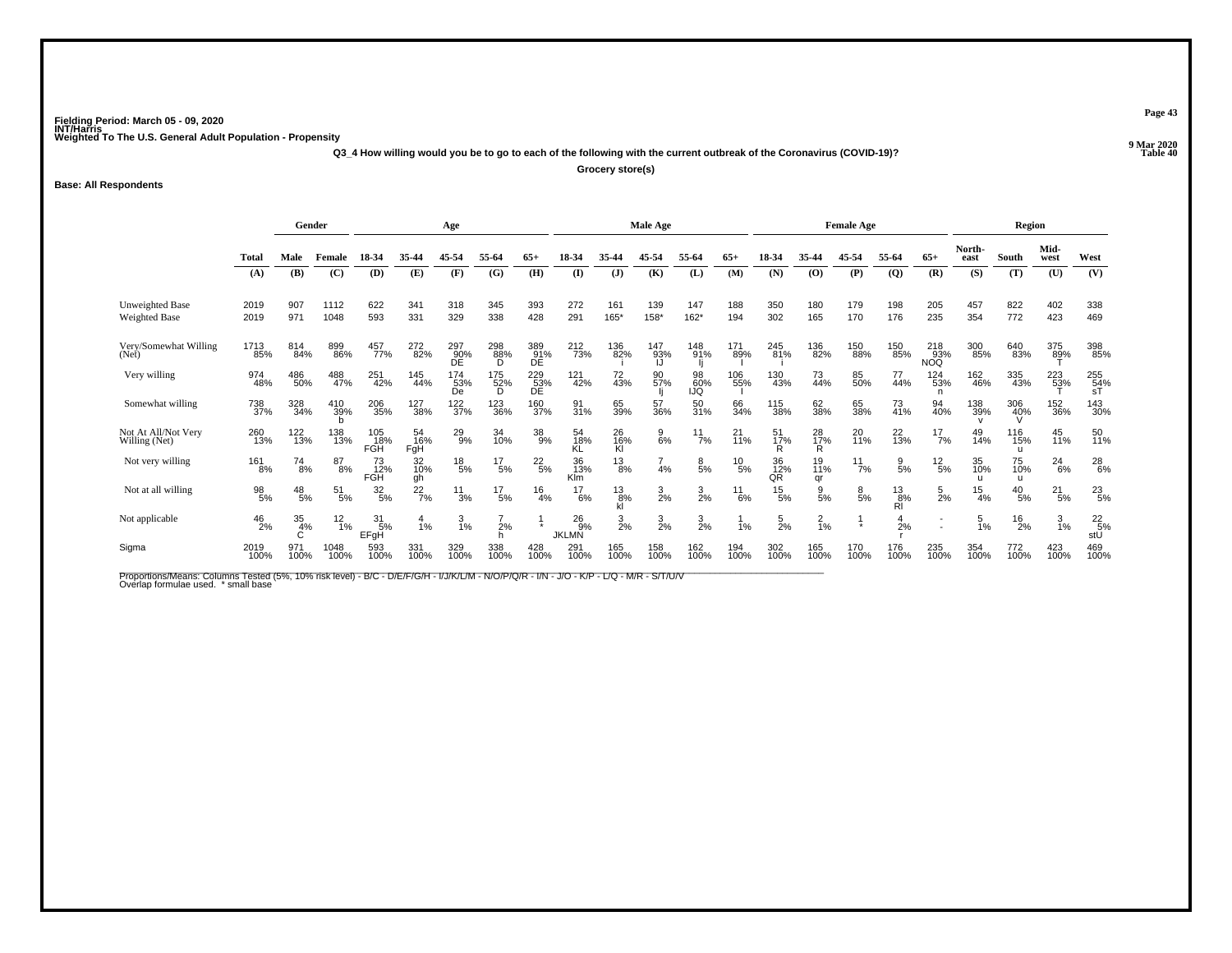**Q3\_4 How willing would you be to go to each of the following with the current outbreak of the Coronavirus (COVID-19)?**

**Grocery store(s)**

**Base: All Respondents**

|                                                | Gender        |                 |                  |                          | Age              |                  |                                 |                  |                                | Male Age        |                  |                  |                 |                   | <b>Female Age</b> |                  |                     |                          | Region           |                            |                     |                                                        |
|------------------------------------------------|---------------|-----------------|------------------|--------------------------|------------------|------------------|---------------------------------|------------------|--------------------------------|-----------------|------------------|------------------|-----------------|-------------------|-------------------|------------------|---------------------|--------------------------|------------------|----------------------------|---------------------|--------------------------------------------------------|
|                                                | Total         | Male            | Female           | 18-34                    | 35-44            | 45-54            | 55-64                           | 65-              | 18-34                          | 35.44           | 45-54            | 55-64            | $65+$           | 18-34             | 35-44             | 45-54            | 55-64               | $65+$                    | North-<br>east   | South                      | Mid-<br>west        | West                                                   |
|                                                | (A)           | (B)             | (C)              | (D)                      | (E)              | (F)              | (G)                             | (H)              | <b>(I)</b>                     | $\mathbf{J}$    | (K)              | (L)              | (M)             | (N)               | (0)               | (P)              | $\overline{Q}$      | (R)                      | (S)              | (T)                        | (U)                 | (V)                                                    |
| <b>Unweighted Base</b><br><b>Weighted Base</b> | 2019<br>2019  | 907<br>971      | 1112<br>1048     | 622<br>593               | 341<br>331       | 318<br>329       | 345<br>338                      | 393<br>428       | 272<br>291                     | 161<br>165*     | 139<br>158*      | 147<br>$162*$    | 188<br>194      | 350<br>302        | 180<br>165        | 179<br>170       | 198<br>176          | 205<br>235               | 457<br>354       | 822<br>772                 | 402<br>423          | 338<br>469                                             |
|                                                |               |                 |                  |                          |                  |                  |                                 |                  |                                |                 |                  |                  |                 |                   |                   |                  |                     |                          |                  |                            |                     |                                                        |
| Very/Somewhat Willing<br>(Net)                 | 1713<br>85%   | 814<br>84%      | 899<br>86%       | 457<br>77%               | 272<br>82%       | 297<br>90%<br>DE | 298<br>88%<br>D                 | 389<br>91%<br>DE | 212<br>73%                     | 136<br>82%      | 147<br>93%<br>IJ | 148<br>91%       | 171<br>89%      | 245<br>81%        | 136<br>82%        | 150<br>88%       | 150<br>85%          | 218<br>93%<br><b>NOQ</b> | 300<br>85%       | 640<br>83%                 | 375<br>8 <u>9</u> % | 398<br>85%                                             |
| Very willing                                   | 974<br>48%    | 486<br>50%      | 488<br>47%       | 251<br>42%               | 145<br>44%       | 174<br>53%<br>Ďе | $^{175}_{\substack{52\% \\ D}}$ | 229<br>53%<br>DE | 121<br>42%                     | 72<br>43%       | 90<br>57%        | 98<br>60%<br>IJQ | 106<br>55%      | 130<br>43%        | 73<br>44%         | 85<br>50%        | 77<br>44%           | 124<br>53%<br>n          | 162<br>46%       | 335<br>43%                 | 223<br>53%          | $\underset{\mathsf{s}\mathsf{T}}{\overset{255}{54\%}}$ |
| Somewhat willing                               | 738<br>37%    | 328<br>34%      | 410<br>39%       | 206<br>35%               | 127<br>38%       | 122<br>37%       | 123<br>36%                      | 160<br>37%       | 91<br>31%                      | 65<br>39%       | 57<br>36%        | 50<br>31%        | 66<br>34%       | 115<br>38%        | 62<br>38%         | 65<br>38%        | 73<br>41%           | 94<br>40%                | 138<br>39%       | 306<br>40%                 | 152<br>36%          | 143<br>30%                                             |
| Not At All/Not Very<br>Willing (Net)           | 260<br>13%    | 122<br>13%      | 138<br>13%       | 105<br>18%<br>FGH        | 54<br>16%<br>FqH | $^{29}_{9\%}$    | 34<br>10%                       | 38<br>9%         | 54<br>18%<br>KĹ                | 26<br>16%<br>ΚĪ | $\frac{9}{6%}$   | 11/7%            | $^{21}_{11\%}$  | 51<br>17%         | 28<br>17%<br>R    | 20 <sub>1%</sub> | $^{22}_{13\%}$      | $^{17}_{7\%}$            | 49<br>14%        | 116<br>15%<br>$\mathbf{u}$ | 45<br>11%           | 50<br>11%                                              |
| Not very willing                               | 161<br>8%     | $^{74}_{8\%}$   | 87<br>8%         | 73<br>12%<br>FGH         | 32<br>10%<br>gh  | $^{18}_{\ 5\%}$  | $^{17}_{\ 5\%}$                 | $^{22}_{\ 5\%}$  | 36<br>13%<br>Klm               | $^{13}_{8\%}$   | 4%               | $\frac{8}{5%}$   | $^{10}_{\ 5\%}$ | $\frac{36}{12\%}$ | 19<br>11%<br>ar   | $\frac{11}{7\%}$ | $\frac{9}{5\%}$     | $^{12}_{\ 5\%}$          | 35<br>10%        | 75<br>10%<br>u             | $^{24}_{6\%}$       | $^{28}_{6\%}$                                          |
| Not at all willing                             | 98<br>5%      | $^{48}_{\ 5\%}$ | $\frac{51}{5\%}$ | $\frac{32}{5\%}$         | $^{22}_{7\%}$    | $\frac{11}{3\%}$ | $^{17}_{\ 5\%}$                 | $^{16}_{4\%}$    | $^{17}_{6\%}$                  | $^{13}_{8\%}$   | $\frac{3}{2%}$   | $\frac{3}{2}$ %  | $^{11}_{6\%}$   | $^{15}_{5\%}$     | $\frac{9}{5\%}$   | $\frac{8}{5%}$   | $^{13}_{8\%}$<br>RI | $\frac{5}{2\%}$          | $\frac{15}{4\%}$ | $^{40}_{\ 5\%}$            | $^{21}_{5\%}$       | $^{23}_{\ 5\%}$                                        |
| Not applicable                                 | $^{46}_{2\%}$ | 35<br>4%        | $^{12}_{1\%}$    | $\frac{31}{5\%}$<br>EFgH | 4<br>1%          | 3<br>1%          | 2%                              |                  | $^{26}_{.9\%}$<br><b>JKLMN</b> | $\frac{3}{2\%}$ | $\frac{3}{2%}$   | $\frac{3}{2\%}$  | 1%              | $\frac{5}{2%}$    | $\frac{2}{1}$ %   |                  | 2%                  |                          | 5<br>1%          | $^{16}_{2\%}$              | $\frac{3}{1\%}$     | $^{22}_{\ 5\%}$<br>stÚ                                 |
| Sigma                                          | 2019<br>100%  | 971<br>100%     | 1048<br>100%     | 593<br>100%              | 331<br>100%      | 329<br>100%      | 338<br>100%                     | 428<br>100%      | 291<br>100%                    | 165<br>100%     | 158<br>100%      | 162<br>100%      | 194<br>100%     | 302<br>100%       | 165<br>100%       | 170<br>100%      | 176<br>100%         | 235<br>100%              | 354<br>100%      | 772<br>100%                | 423<br>100%         | 469<br>100%                                            |

Proportions/Means: Columns Tested (5%, 10% risk level) - B/C - D/E/F/G/H - I/J/K/L/M - N/O/P/Q/R - I/N - J/O - K/P - L/Q - M/R - S/T/U/V<br>Overlap formulae used. \*small base

**Page 43**

**Properties and the Contract of the Contract of Table 40**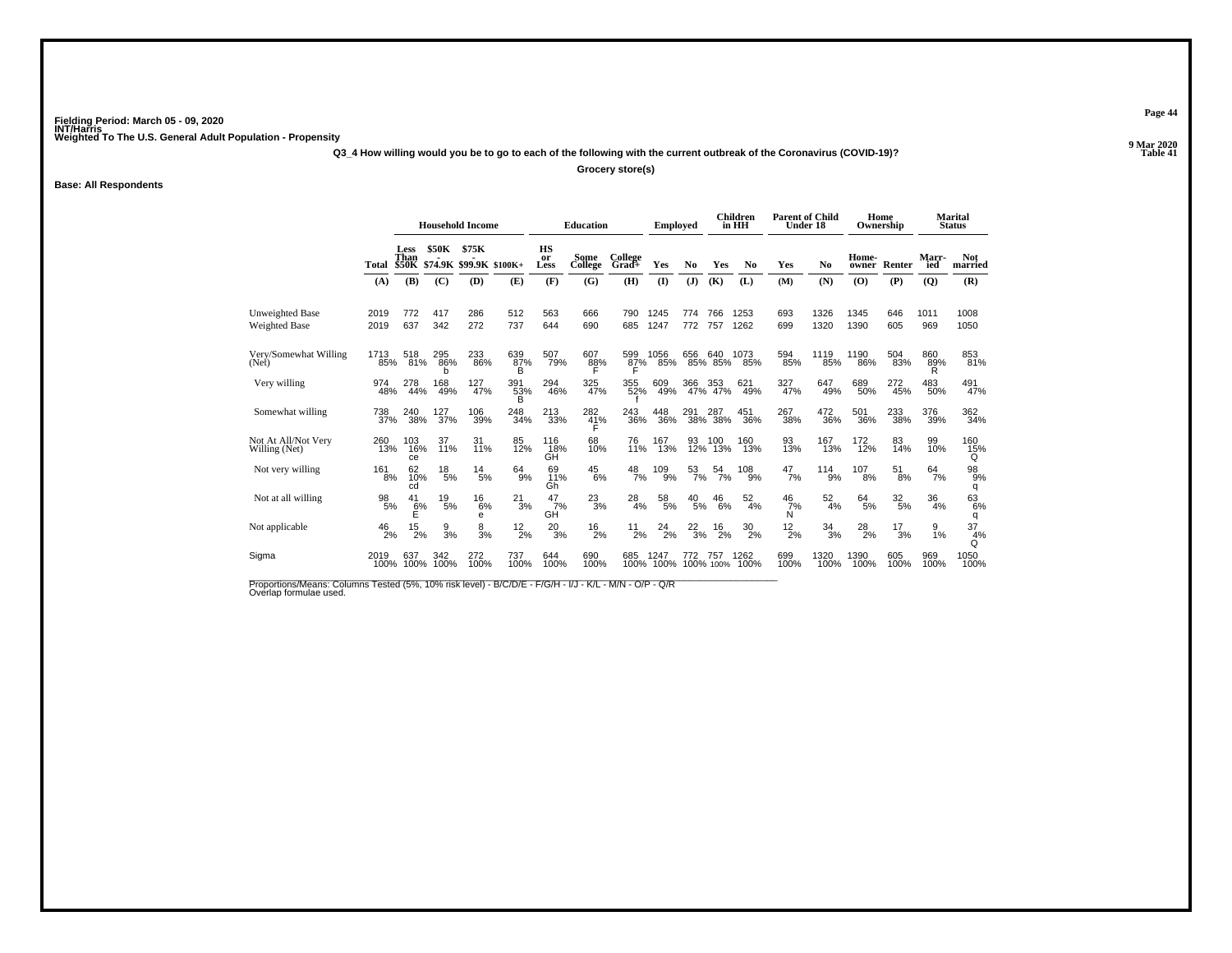**Q3\_4 How willing would you be to go to each of the following with the current outbreak of the Coronavirus (COVID-19)?**

**Grocery store(s)**

**Base: All Respondents**

|                                      |                  |                              |                 | <b>Household Income</b>          |                           |                          | <b>Education</b>        |                  | <b>Employed</b>   |                  |                    | <b>Children</b><br>in HH | <b>Parent of Child</b><br>Under 18 |                 | Home           | Ownership        |                 | <b>Marital</b><br><b>Status</b> |
|--------------------------------------|------------------|------------------------------|-----------------|----------------------------------|---------------------------|--------------------------|-------------------------|------------------|-------------------|------------------|--------------------|--------------------------|------------------------------------|-----------------|----------------|------------------|-----------------|---------------------------------|
|                                      | Total            | Less<br>Than<br><b>\$50K</b> | <b>\$50K</b>    | \$75K<br>\$74.9K \$99.9K \$100K+ |                           | <b>HS</b><br>or<br>Less  | Some<br>College         | College<br>Grad+ | Yes               | No               | Yes                | N <sub>0</sub>           | Yes                                | N <sub>0</sub>  | Home-<br>owner | Renter           | Marr-<br>ied    | <b>Not</b><br>married           |
|                                      | (A)              | (B)                          | (C)             | (D)                              | (E)                       | (F)                      | (G)                     | (H)              | $($ $\Gamma$      | (J)              | (K)                | (L)                      | (M)                                | (N)             | (0)            | (P)              | (Q)             | (R)                             |
| <b>Unweighted Base</b>               | 2019             | 772                          | 417             | 286                              | 512                       | 563                      | 666                     | 790              | 1245              | 774              | 766                | 1253                     | 693                                | 1326            | 1345           | 646              | 1011            | 1008                            |
| Weighted Base                        | 2019             | 637                          | 342             | 272                              | 737                       | 644                      | 690                     | 685              | 1247              | 772              | 757                | 1262                     | 699                                | 1320            | 1390           | 605              | 969             | 1050                            |
| Very/Somewhat Willing<br>(Net)       | 1713<br>85%      | 518<br>81%                   | 295<br>86%<br>h | 233<br>86%                       | 639<br>87%<br>B           | 507<br>79%               | 607<br>88%              | 599<br>87%       | 1056<br>85%       | 656              | 640<br>85% 85%     | 1073<br>85%              | 594<br>85%                         | 1119<br>85%     | 1190<br>86%    | 504<br>83%       | 860<br>89%<br>R | 853<br>81%                      |
| Very willing                         | 974<br>48%       | 278<br>44%                   | 168<br>49%      | $^{127}_{47\%}$                  | $391$ <sub>53%</sub><br>B | 294<br>46%               | 325<br>47%              | 355<br>52%       | 609<br>49%        | 366              | 366 353<br>47% 47% | 621<br>49%               | 327<br>47%                         | 647<br>49%      | 689<br>50%     | 272<br>45%       | 483<br>50%      | 491<br>47%                      |
| Somewhat willing                     | 738<br>37%       | 240<br>38%                   | 127<br>37%      | 106<br>39%                       | 248<br>34%                | $\substack{213 \\ 33\%}$ | 282<br>$\frac{41}{5}$ % | 243<br>36%       | 448<br>36%        | 291              | 287<br>38% 38%     | 451<br>36%               | 267<br>38%                         | 472<br>36%      | 501<br>36%     | 233<br>38%       | 376<br>39%      | 362<br>34%                      |
| Not At All/Not Very<br>Willing (Net) | 260<br>13%       | 103<br>16%<br>ce             | 37<br>11%       | 31<br>11%                        | 85<br>12%                 | 116<br>18%<br>GĤ         | 68<br>10%               | 76<br>11%        | 167<br>13%        | 93<br>12%        | 100<br>13%         | 160<br>13%               | 93<br>13%                          | 167<br>13%      | 172<br>12%     | 83<br>14%        | 99<br>10%       | 160<br>15%<br>Q                 |
| Not very willing                     | $^{161}_{8\%}$   | 62<br>10%<br>cd              | $^{18}_{\ 5\%}$ | $^{14}_{5\%}$                    | $^{64}_{9\%}$             | 69<br>11%<br>Gh          | $^{45}_{6\%}$           | $\frac{48}{7%}$  | 109 <sub>%</sub>  | $\frac{53}{7\%}$ | $^{54}_{7\%}$      | $^{108}_{9\%}$           | $^{47}_{7\%}$                      | $^{114}_{9\%}$  | 107<br>8%      | $^{51}_{\,8\%}$  | $^{64}_{7\%}$   | $^{98}_{9\%}$<br>q              |
| Not at all willing                   | $\frac{98}{5\%}$ | 41<br>$\frac{6}{5}$          | 19<br>5%        | 16<br>6%<br>е                    | 21<br>3%                  | 47<br>7%<br>GĤ           | $^{23}_{3\%}$           | 28<br>4%         | 58<br>5%          | 40<br>5%         | 46<br>6%           | 52<br>4%                 | 46<br>7%<br>Ń                      | 52<br>4%        | 64<br>5%       | $\frac{32}{5\%}$ | 36<br>4%        | $^{63}_{6\%}$<br>q              |
| Not applicable                       | 46<br>2%         | 15<br>2%                     | 9<br>3%         | 8<br>3%                          | $^{12}_{2\%}$             | $^{20}_{3\%}$            | $^{16}_{2\%}$           | 11<br>2%         | 24<br>2%          | $\frac{22}{3%}$  | $^{16}_{2\%}$      | $^{30}_{2\%}$            | $^{12}_{2\%}$                      | $\frac{34}{3%}$ | $^{28}_{2\%}$  | 17<br>3%         | 9<br>1%         | 37<br>4%<br>Q                   |
| Sigma                                | 2019<br>100%     | 637<br>100%                  | 342<br>100%     | 272<br>100%                      | 737<br>100%               | 644<br>100%              | 690<br>100%             | 685              | 1247<br>100% 100% | 772              | 757<br>100% 100%   | 1262<br>100%             | 699<br>100%                        | 1320<br>100%    | 1390<br>100%   | 605<br>100%      | 969<br>100%     | 1050<br>100%                    |

Proportions/Means: Columns Tested (5%, 10% risk level) - B/C/D/E - F/G/H - I/J - K/L - M/N - O/P - Q/R<br>Overlap formulae used.

**Page 44**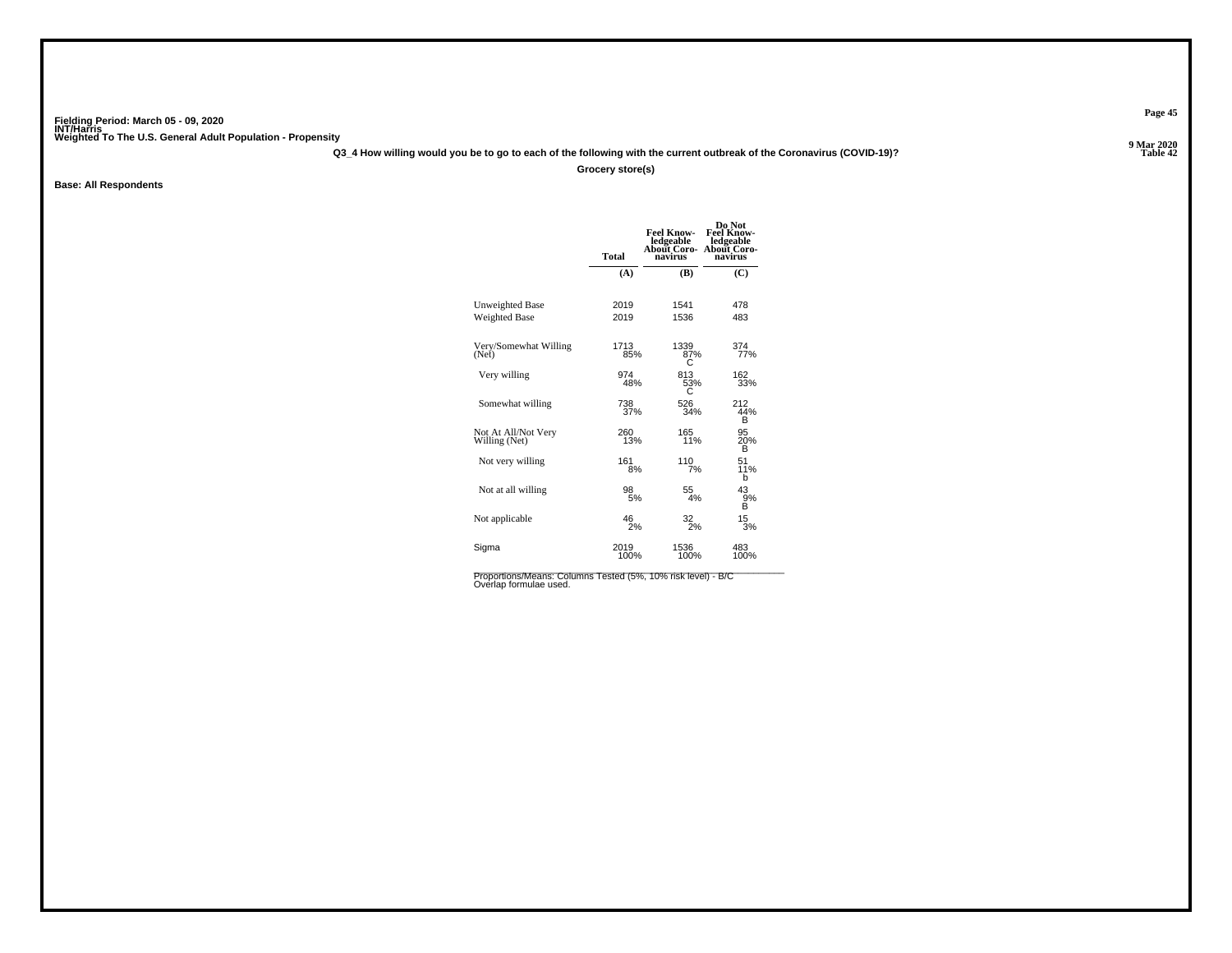**Q3\_4 How willing would you be to go to each of the following with the current outbreak of the Coronavirus (COVID-19)?**

**Grocery store(s)**

**Base: All Respondents**

|                                      | <b>Total</b> | <b>Feel Know-</b><br>ledgeable<br>About Coro-<br>navirus | Do Not<br>Feel Know-<br>ledgeable<br>About Coro-<br>navirus |
|--------------------------------------|--------------|----------------------------------------------------------|-------------------------------------------------------------|
|                                      | (A)          | (B)                                                      | (C)                                                         |
| Unweighted Base                      | 2019         | 1541                                                     | 478                                                         |
| Weighted Base                        | 2019         | 1536                                                     | 483                                                         |
| Very/Somewhat Willing<br>(Net)       | 1713<br>85%  | 1339<br>87%                                              | 374 <sub>%</sub>                                            |
| Very willing                         | 974<br>48%   | 813<br>53%                                               | 162<br>33%                                                  |
| Somewhat willing                     | 738<br>37%   | 526<br>34%                                               | 212<br>44%<br>в                                             |
| Not At All/Not Very<br>Willing (Net) | 260<br>13%   | 165<br>11%                                               | 95<br>20%<br>B                                              |
| Not very willing                     | 161<br>8%    | 110<br>7%                                                | 51<br>11%<br>b                                              |
| Not at all willing                   | 98<br>5%     | 55<br>4%                                                 | 43<br>ğ%<br>В                                               |
| Not applicable                       | 46<br>2%     | $\frac{32}{2\%}$                                         | 15<br>3%                                                    |
| Sigma                                | 2019<br>100% | 1536<br>100%                                             | 483<br>100%                                                 |

Proportions/Means: Columns Tested (5%, 10% risk level) - B/C<br>Overlap formulae used.

**Page 45**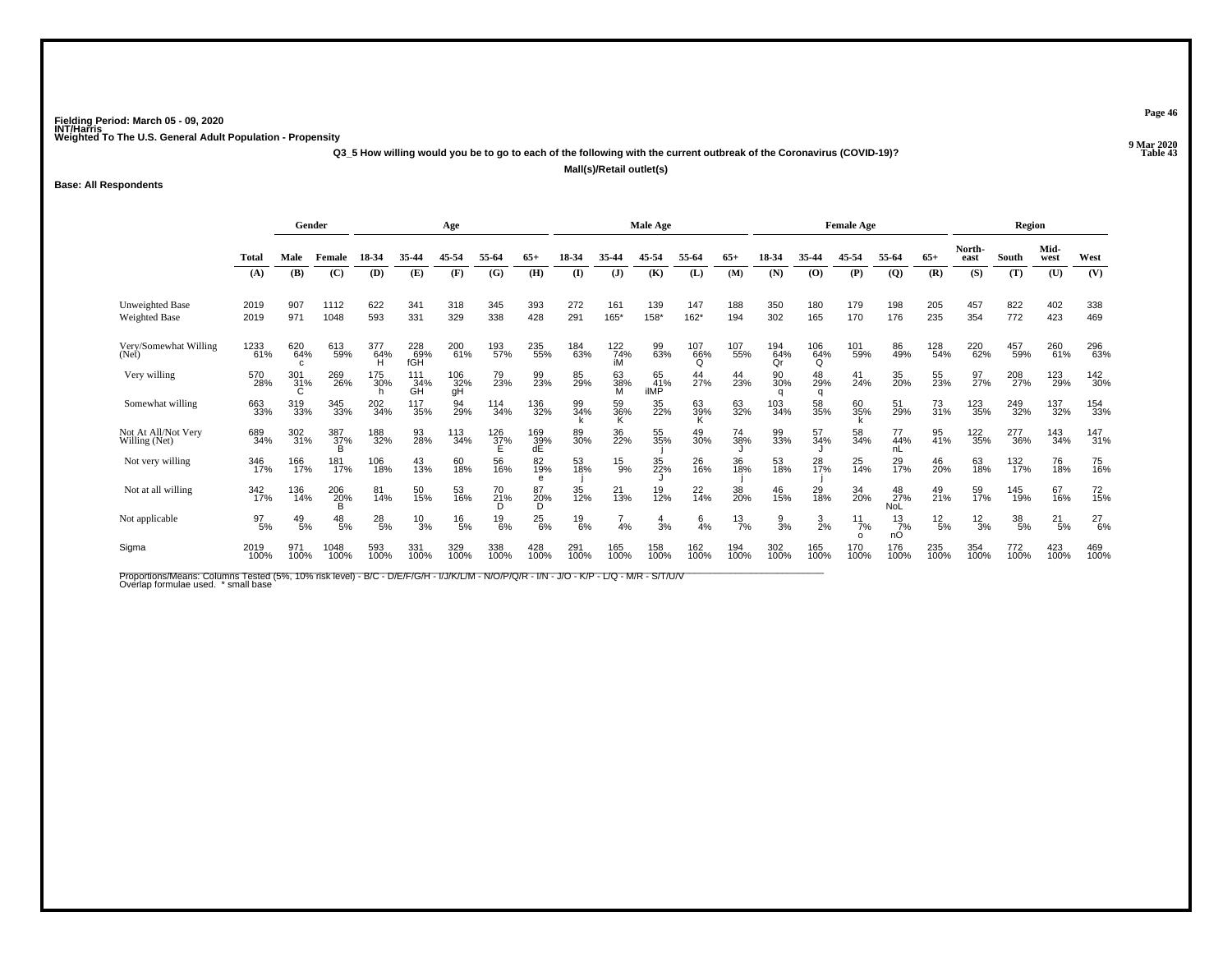**Q3\_5 How willing would you be to go to each of the following with the current outbreak of the Coronavirus (COVID-19)?**

**Mall(s)/Retail outlet(s)**

**Base: All Respondents**

|                                      | Gender           |                 |                          | Age             |                   |                  |                 |                  | Male Age      |                    |                   |                 |                 | <b>Female Age</b> |                 |                              |                         | Region          |                 |             |               |                   |
|--------------------------------------|------------------|-----------------|--------------------------|-----------------|-------------------|------------------|-----------------|------------------|---------------|--------------------|-------------------|-----------------|-----------------|-------------------|-----------------|------------------------------|-------------------------|-----------------|-----------------|-------------|---------------|-------------------|
|                                      | Total            | Male            | Female                   | 18-34           | 35-44             | 45-54            | 55-64           | $65+$            | 18-34         | 35-44              | 45-54             | 55-64           | $65+$           | 18-34             | 35-44           | 45-54                        | 55-64                   | $65+$           | North-<br>east  | South       | Mid-<br>west  | West              |
|                                      | (A)              | (B)             | (C)                      | (D)             | (E)               | (F)              | (G)             | (H)              | (I)           | $($ $)$            | (K)               | (L)             | (M)             | (N)               | (O)             | (P)                          | $\overline{Q}$          | (R)             | (S)             | (T)         | (U)           | (V)               |
| <b>Unweighted Base</b>               | 2019             | 907             | 1112                     | 622             | 341               | 318              | 345             | 393              | 272           | 161                | 139               | 147             | 188             | 350               | 180             | 179                          | 198                     | 205             | 457             | 822         | 402           | 338               |
| Weighted Base                        | 2019             | 971             | 1048                     | 593             | 331               | 329              | 338             | 428              | 291           | 165*               | 158*              | 162*            | 194             | 302               | 165             | 170                          | 176                     | 235             | 354             | 772         | 423           | 469               |
| Very/Somewhat Willing<br>(Net)       | 1233<br>61%      | 620<br>64%<br>c | 613<br>59%               | 377<br>64%      | 228<br>69%<br>fGH | 200<br>61%       | 193<br>57%      | 235<br>55%       | 184<br>63%    | $^{122}_{74\%}$ iM | 99<br>63%         | 107<br>66%<br>Q | 107<br>55%      | 194<br>64%<br>Or  | 106<br>64%<br>Q | 101<br>59%                   | 86<br>49%               | 128<br>54%      | 220<br>62%      | 457<br>59%  | 260<br>61%    | 296<br>63%        |
| Very willing                         | 570<br>28%       | 301<br>31%<br>C | 269<br>26%               | 175<br>30%      | 111<br>34%<br>GH  | 106<br>32%<br>gH | 79<br>23%       | 99<br>23%        | 85<br>29%     | 63<br>38%<br>M     | 65<br>41%<br>ilMP | 44<br>27%       | 44<br>23%       | 90<br>30%<br>q    | 48<br>29%<br>q  | 41<br>24%                    | 35<br>20%               | 55<br>23%       | 97<br>27%       | 208<br>27%  | 123<br>29%    | 142<br>30%        |
| Somewhat willing                     | 663<br>33%       | 319<br>33%      | 345<br>33%               | 202<br>34%      | 117<br>35%        | 94<br>29%        | 114<br>34%      | 136<br>32%       | 99<br>34%     | 59<br>36%<br>K     | 35<br>22%         | 63<br>39%<br>Κ  | 63<br>32%       | 103<br>34%        | 58<br>35%       | 60<br>35%                    | 51<br>29%               | 73<br>31%       | 123<br>35%      | 249<br>32%  | 137<br>32%    | 154<br>33%        |
| Not At All/Not Very<br>Willing (Net) | 689<br>34%       | 302<br>31%      | 387%<br>R                | 188<br>32%      | 93<br>28%         | $^{113}_{34\%}$  | $^{126}_{37\%}$ | 169<br>39%<br>dE | 89<br>30%     | 36<br>22%          | 55<br>35%         | 49<br>30%       | 74<br>38%       | 99<br>33%         | 57<br>34%       | 58<br>34%                    | 77<br>44%<br>nL         | 95<br>41%       | 122<br>35%      | 277<br>36%  | 143<br>34%    | $\frac{147}{31%}$ |
| Not very willing                     | 346<br>17%       | 166<br>17%      | 181<br>17%               | 106<br>18%      | 43<br>13%         | 60<br>18%        | 56<br>16%       | 82<br>19%<br>e   | 53<br>18%     | $^{15}_{9\%}$      | 35<br>22%         | 26<br>16%       | 36<br>18%       | 53<br>18%         | 28<br>17%       | 25<br>14%                    | 29<br>17%               | 46<br>20%       | 63<br>18%       | 132<br>17%  | 76<br>18%     | 75<br>16%         |
| Not at all willing                   | 342<br>17%       | 136<br>14%      | 206<br>2 <u>0</u> %<br>B | 81<br>14%       | 50<br>15%         | 53<br>16%        | 70<br>21%<br>D  | 87<br>20%<br>D   | 35<br>12%     | 21<br>13%          | 19<br>12%         | $^{22}_{14\%}$  | 38<br>20%       | 46<br>15%         | 29<br>18%       | 34<br>20%                    | 48<br>27%<br><b>NoL</b> | 49<br>21%       | 59<br>17%       | 145<br>19%  | 67<br>16%     | 72<br>15%         |
| Not applicable                       | $\frac{97}{5\%}$ | $^{49}_{\ 5\%}$ | $^{48}_{\ 5\%}$          | $^{28}_{\ 5\%}$ | $\frac{10}{3%}$   | $^{16}_{5\%}$    | $^{19}_{6\%}$   | $^{25}_{6\%}$    | $^{19}_{6\%}$ | 4%                 | 4<br>3%           | $6\over 4%$     | $\frac{13}{7%}$ | $\frac{9}{3%}$    | $\frac{3}{2\%}$ | $\frac{11}{7\%}$<br>$\Omega$ | 13<br>7%<br>nO          | $^{12}_{\ 5\%}$ | $\frac{12}{3%}$ | 38<br>5%    | $^{21}_{5\%}$ | $^{27}_{6\%}$     |
| Sigma                                | 2019<br>100%     | 971<br>100%     | 1048<br>100%             | 593<br>100%     | 331<br>100%       | 329<br>100%      | 338<br>100%     | 428<br>100%      | 291<br>100%   | 165<br>100%        | 158<br>100%       | 162<br>100%     | 194<br>100%     | 302<br>100%       | 165<br>100%     | 170<br>100%                  | 176<br>100%             | 235<br>100%     | 354<br>100%     | 772<br>100% | 423<br>100%   | 469<br>100%       |

Proportions/Means: Columns Tested (5%, 10% risk level) - B/C - D/E/F/G/H - I/J/K/L/M - N/O/P/Q/R - I/N - J/O - K/P - L/Q - M/R - S/T/U/V<br>Overlap formulae used. \*small base

**Page 46**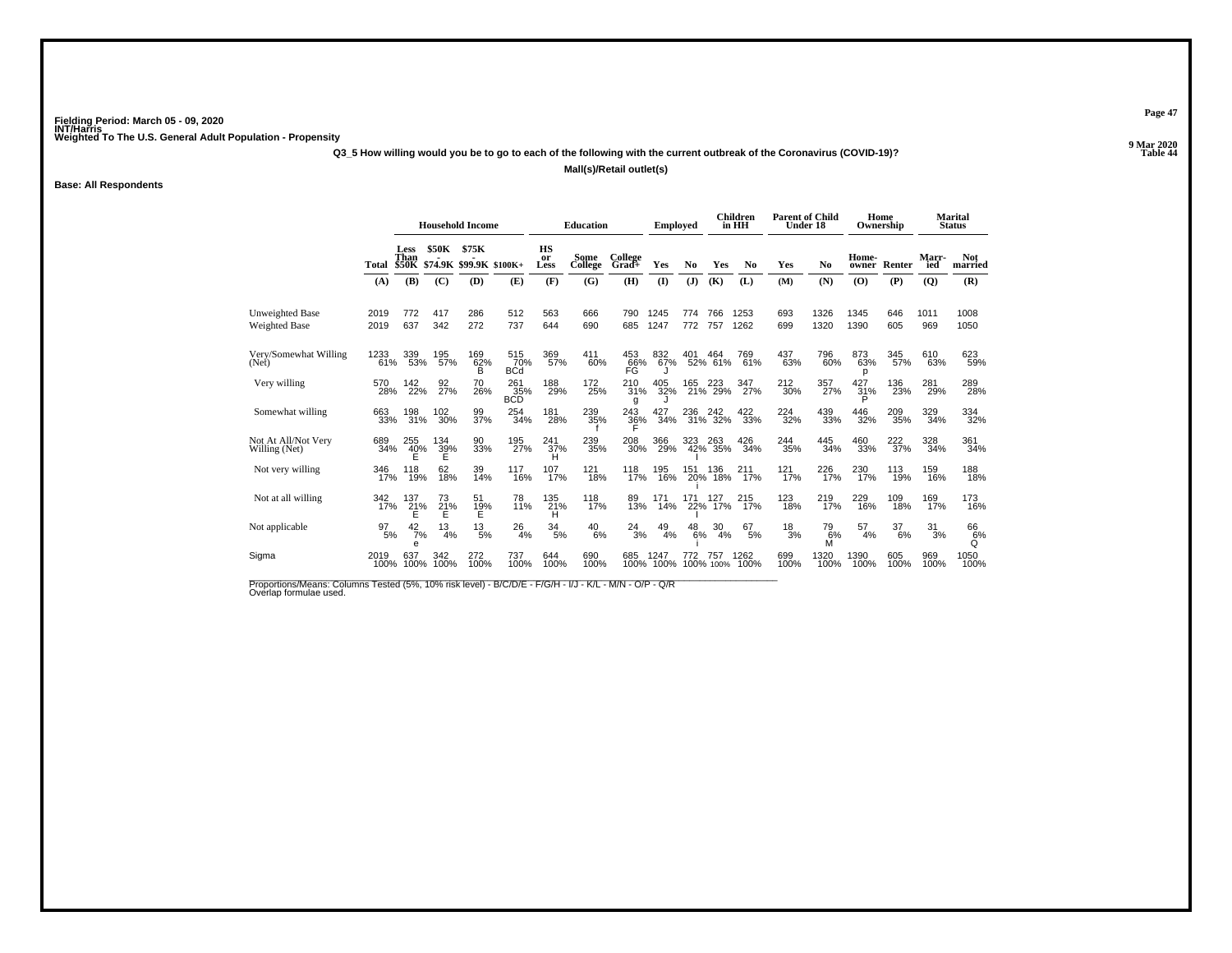**Q3\_5 How willing would you be to go to each of the following with the current outbreak of the Coronavirus (COVID-19)?**

**Mall(s)/Retail outlet(s)**

**Base: All Respondents**

|                                         |              |                         |                       | <b>Household Income</b>        |                          |                      | <b>Education</b> |                    | Employed          |            |                    | <b>Children</b><br>in HH | <b>Parent of Child</b><br>Under 18 |               | Home<br>Ownership |             |              | <b>Marital</b><br><b>Status</b> |
|-----------------------------------------|--------------|-------------------------|-----------------------|--------------------------------|--------------------------|----------------------|------------------|--------------------|-------------------|------------|--------------------|--------------------------|------------------------------------|---------------|-------------------|-------------|--------------|---------------------------------|
|                                         | Total        | <b>Less</b><br>Than     | <b>\$50K</b>          | \$75K<br>\$50K \$74.9K \$99.9K | $$100K+$                 | HS<br>or<br>Less     | Some<br>College  | College<br>Grad+   | Yes               | No         | Yes                | No                       | Yes                                | No            | Home-<br>owner    | Renter      | Marr-<br>ied | <b>Not</b><br>married           |
|                                         | (A)          | (B)                     | (C)                   | (D)                            | (E)                      | (F)                  | (G)              | (H)                | $\mathbf{I}$      | (J)        | (K)                | (L)                      | (M)                                | (N)           | (0)               | (P)         | (Q)          | (R)                             |
| <b>Unweighted Base</b><br>Weighted Base | 2019<br>2019 | 772<br>637              | 417<br>342            | 286<br>272                     | 512<br>737               | 563<br>644           | 666<br>690       | 790<br>685         | 1245<br>1247      | 774<br>772 | 766<br>757         | 1253<br>1262             | 693<br>699                         | 1326<br>1320  | 1345<br>1390      | 646<br>605  | 1011<br>969  | 1008<br>1050                    |
| Very/Somewhat Willing<br>(Net)          | 1233<br>61%  | 339<br>53%              | 195<br>57%            | 169<br>62%<br>B                | 515<br>70%<br><b>BCd</b> | 369<br>57%           | 411<br>60%       | 453<br>66%<br>FĜ   | 832<br>67%        | 401        | 464<br>52% 61%     | 769<br>61%               | 437<br>63%                         | 796<br>60%    | 873<br>63%<br>р   | 345<br>57%  | 610<br>63%   | 623<br>59%                      |
| Very willing                            | 570<br>28%   | 142<br>22%              | 92<br>27%             | 70<br>26%                      | 261<br>35%<br><b>BCD</b> | 188<br>29%           | 172<br>25%       | 210<br>31%<br>q    | 405<br>32%        |            | 165 223<br>21% 29% | 347<br>27%               | $^{212}_{30\%}$                    | 357<br>27%    | 427<br>31%<br>D   | 136<br>23%  | 281<br>29%   | 289<br>28%                      |
| Somewhat willing                        | 663<br>33%   | 198<br>31%              | 102<br>30%            | 99<br>37%                      | 254<br>34%               | 181<br>28%           | 239<br>35%       | $\frac{243}{36}\%$ | 427<br>34%        | 236        | 236 242<br>31% 32% | $\frac{422}{33\%}$       | 224<br>32%                         | 439<br>33%    | 446<br>32%        | 209<br>35%  | 329<br>34%   | 334<br>32%                      |
| Not At All/Not Very<br>Willing (Net)    | 689<br>34%   | 255<br>$^{40\%}_{E}$    | 134<br>$\frac{39}{5}$ | 90<br>33%                      | 195<br>27%               | 241<br>37%           | 239<br>35%       | 208<br>30%         | 366<br>29%        | 323<br>42% | 263<br>35%         | 426<br>34%               | 244<br>35%                         | 445<br>34%    | 460<br>33%        | 222<br>37%  | 328<br>34%   | 361<br>34%                      |
| Not very willing                        | 346<br>17%   | 118<br>19%              | 62<br>18%             | 39<br>14%                      | $^{117}_{16\%}$          | 107<br>17%           | 121<br>18%       | 118<br>17%         | 195<br>16%        | 151<br>20% | 136<br>18%         | 211<br>17%               | $121$ <sub>17%</sub>               | 226<br>17%    | 230<br>17%        | 113<br>19%  | 159<br>16%   | 188<br>18%                      |
| Not at all willing                      | 342<br>17%   | 137<br>$\frac{21}{E}$ % | 73<br>$^{21}_{E}$ %   | 51<br>19%                      | 78<br>11%                | 135<br>$^{21\%}_{H}$ | 118<br>17%       | 89<br>13%          | 171<br>14%        | 171<br>22% | 127<br>17%         | 215<br>17%               | 123<br>18%                         | 219<br>17%    | 229<br>16%        | 109<br>18%  | 169<br>17%   | 173<br>16%                      |
| Not applicable                          | 97<br>5%     | 42<br>7%<br>e           | 13<br>4%              | 13<br>5%                       | 26<br>4%                 | $\frac{34}{5\%}$     | $^{40}_{6\%}$    | 24<br>3%           | 49<br>4%          | 48<br>6%   | 30<br>4%           | 67<br>5%                 | $\frac{18}{3%}$                    | 79<br>6%<br>M | 57<br>4%          | 37<br>6%    | 31<br>3%     | 66<br>6%<br>Q                   |
| Sigma                                   | 2019<br>100% | 637<br>100%             | 342<br>100%           | 272<br>100%                    | 737<br>100%              | 644<br>100%          | 690<br>100%      | 685                | 1247<br>100% 100% |            | 757<br>100% 100%   | 1262<br>100%             | 699<br>100%                        | 1320<br>100%  | 1390<br>100%      | 605<br>100% | 969<br>100%  | 1050<br>100%                    |

Proportions/Means: Columns Tested (5%, 10% risk level) - B/C/D/E - F/G/H - I/J - K/L - M/N - O/P - Q/R<br>Overlap formulae used.

**Page 47**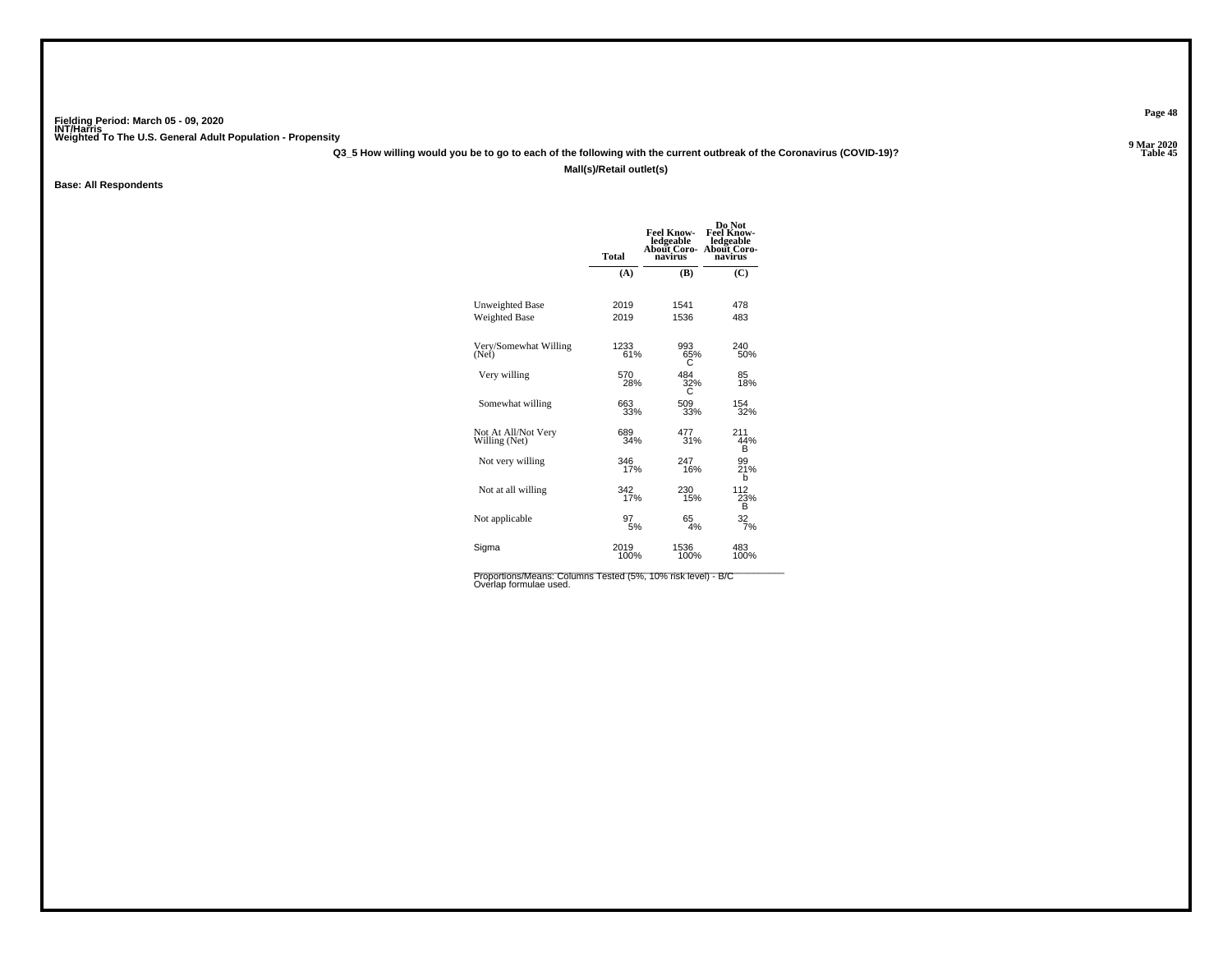**Q3\_5 How willing would you be to go to each of the following with the current outbreak of the Coronavirus (COVID-19)?**

**Mall(s)/Retail outlet(s)**

**Base: All Respondents**

|                                                | <b>Total</b> | <b>Feel Know-</b><br>ledgeable<br>About Coro-<br>navirus | Do Not<br><b>Feel Know-</b><br>ledgeable<br>About Coro-<br>navirus |
|------------------------------------------------|--------------|----------------------------------------------------------|--------------------------------------------------------------------|
|                                                | (A)          | (B)                                                      | (C)                                                                |
| <b>Unweighted Base</b><br><b>Weighted Base</b> | 2019<br>2019 | 1541<br>1536                                             | 478<br>483                                                         |
| Very/Somewhat Willing                          | 1233         | 993                                                      | 240                                                                |
| (Net)                                          | 61%          | 65%<br>C                                                 | 50%                                                                |
| Very willing                                   | 570<br>28%   | 484<br>32%                                               | 85<br>18%                                                          |
| Somewhat willing                               | 663<br>33%   | 509<br>33%                                               | 154<br>32%                                                         |
| Not At All/Not Very<br>Willing (Net)           | 689<br>34%   | 477<br>31%                                               | 211<br>44%<br>в                                                    |
| Not very willing                               | 346<br>17%   | 247<br>16%                                               | 99<br>21%<br>b                                                     |
| Not at all willing                             | 342<br>17%   | 230<br>15%                                               | 112<br>23%<br>в                                                    |
| Not applicable                                 | 97<br>5%     | 65<br>4%                                                 | $\frac{32}{7%}$                                                    |
| Sigma                                          | 2019<br>100% | 1536<br>100%                                             | 483<br>100%                                                        |

Proportions/Means: Columns Tested (5%, 10% risk level) - B/C<br>Overlap formulae used.

**Page 48**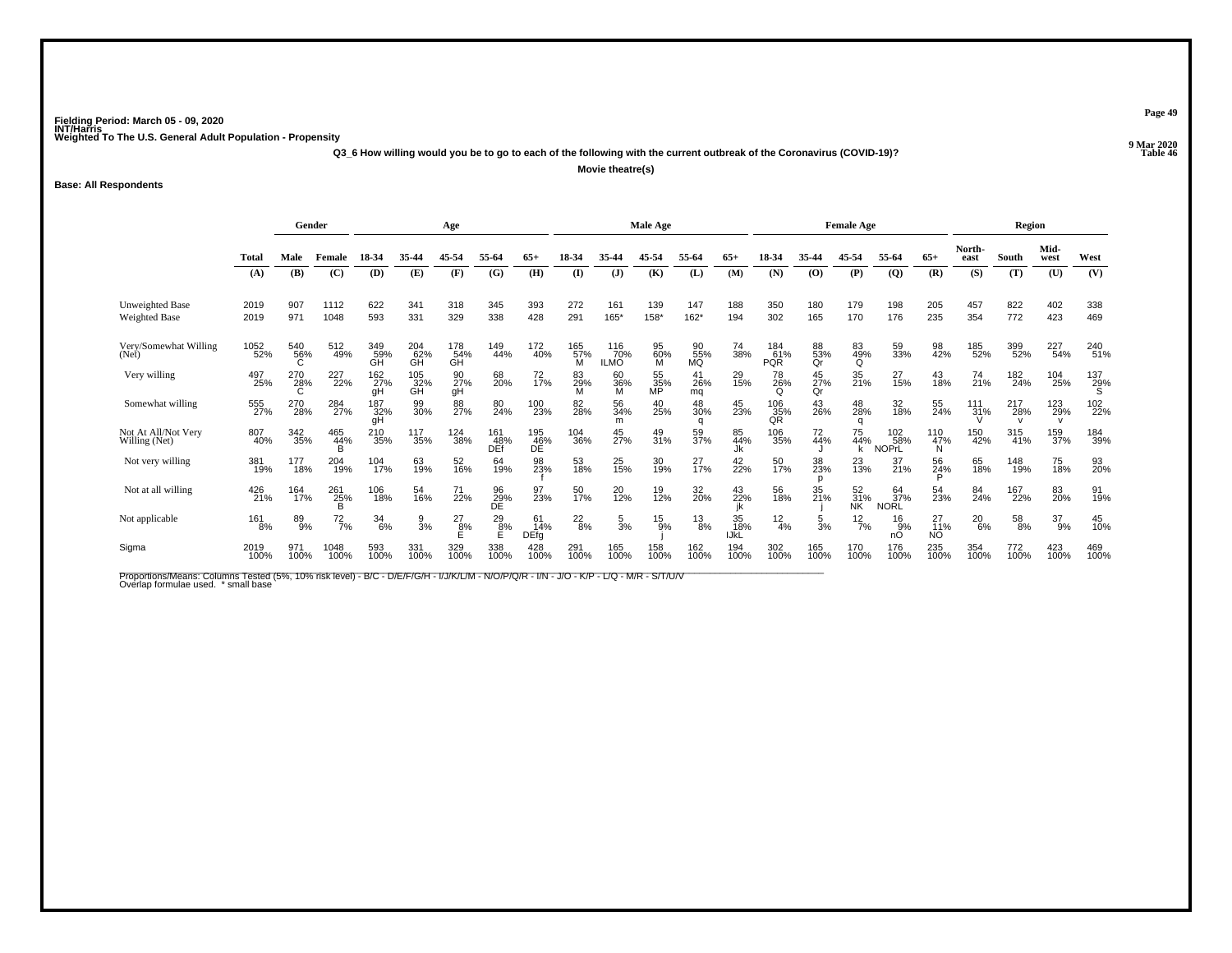**Q3\_6 How willing would you be to go to each of the following with the current outbreak of the Coronavirus (COVID-19)?**

**Movie theatre(s)**

**Base: All Respondents**

|                                      |              | Gender<br>Age    |                 |                  |                               |                  |                   | Male Age                 |                      |                           |                 |                  | <b>Female Age</b> |                          |                 |                        | Region                     |                 |                |             |                            |                 |
|--------------------------------------|--------------|------------------|-----------------|------------------|-------------------------------|------------------|-------------------|--------------------------|----------------------|---------------------------|-----------------|------------------|-------------------|--------------------------|-----------------|------------------------|----------------------------|-----------------|----------------|-------------|----------------------------|-----------------|
|                                      | Total        | Male             | Female          | 18-34            | 35-44                         | 45-54            | 55-64             | 65+                      | 18-34                | 35.44                     | 45-54           | 55-64            | $65+$             | 18-34                    | 35-44           | 45-54                  | 55-64                      | $65+$           | North-<br>east | South       | Mid-<br>west               | West            |
|                                      | (A)          | (B)              | (C)             | (D)              | (E)                           | (F)              | (G)               | (H)                      | $\bf{I}$             | $\mathbf{J}$              | (K)             | (L)              | (M)               | (N)                      | (0)             | (P)                    | $\overline{Q}$             | (R)             | (S)            | (T)         | (U)                        | (V)             |
| <b>Unweighted Base</b>               | 2019         | 907              | 1112            | 622              | 341                           | 318              | 345               | 393                      | 272                  | 161                       | 139             | 147              | 188               | 350                      | 180             | 179                    | 198                        | 205             | 457            | 822         | 402                        | 338             |
| Weighted Base                        | 2019         | 971              | 1048            | 593              | 331                           | 329              | 338               | 428                      | 291                  | 165*                      | 158*            | $162*$           | 194               | 302                      | 165             | 170                    | 176                        | 235             | 354            | 772         | 423                        | 469             |
| Very/Somewhat Willing<br>(Net)       | 1052<br>52%  | 540<br>56%<br>C. | 512<br>49%      | 349<br>59%<br>GH | 204<br>62%<br>GH              | 178<br>54%<br>ĞH | 149<br>44%        | 172<br>40%               | 165<br>57%<br>м      | 116<br>70%<br><b>ILMO</b> | 95<br>60%<br>M  | 90<br>55%<br>MQ  | 74<br>38%         | 184<br>61%<br><b>PQR</b> | 88<br>53%<br>Qr | 83<br>49%<br>Q         | 59<br>33%                  | 98<br>42%       | 185<br>52%     | 399<br>52%  | 227<br>54%                 | 240<br>51%      |
| Very willing                         | 497<br>25%   | 270<br>28%<br>C  | 227<br>22%      | 162<br>27%<br>qΗ | 105<br>32%<br>GH              | 90<br>27%<br>gH  | 68<br>20%         | 72<br>17%                | 83<br>$\frac{29}{M}$ | 60<br>36%<br>M            | 55<br>35%<br>MP | 41<br>26%<br>mq  | 29<br>15%         | 78<br>26%<br>O           | 45<br>27%<br>Qr | 35<br>21%              | 27<br>15%                  | 43<br>18%       | 74<br>21%      | 182<br>24%  | 104<br>25%                 | $^{137}_{29\%}$ |
| Somewhat willing                     | 555<br>27%   | 270<br>28%       | 284<br>27%      | 187<br>32%<br>qH | 99<br>30%                     | 88<br>27%        | 80<br>24%         | 100<br>23%               | 82<br>28%            | 56<br>34%<br>m            | 40<br>25%       | 48<br>30%<br>a   | 45<br>23%         | 106<br>35%<br>QR         | 43<br>26%       | 48<br>28%<br>a         | 32<br>18%                  | 55<br>24%       | 111<br>31%     | 217<br>28%  | 123<br>29%<br>$\mathsf{v}$ | 102<br>22%      |
| Not At All/Not Very<br>Willing (Net) | 807<br>40%   | 342<br>35%       | 465<br>44%<br>B | 210<br>35%       | <sup>117</sup> <sub>35%</sub> | 124<br>38%       | 161<br>48%<br>DEf | 195<br>46%<br>DÉ         | 104<br>36%           | 45<br>27%                 | 49<br>31%       | 59<br>37%        | 85<br>44%<br>Jk   | 106<br>35%               | 72<br>44%       | 75<br>44%<br>k         | 102<br>58%<br><b>NOPrL</b> | 110<br>47%<br>N | 150<br>42%     | 315<br>41%  | 159<br>37%                 | 184<br>39%      |
| Not very willing                     | 381<br>19%   | 177<br>18%       | 204<br>19%      | 104<br>17%       | 63<br>19%                     | 52<br>16%        | 64<br>19%         | 98<br>23%                | 53<br>18%            | 25<br>15%                 | 30<br>19%       | 27<br>17%        | 42<br>22%         | 50<br>17%                | 38<br>23%       | $^{23}_{13\%}$         | 37<br>21%                  | 56<br>24%       | 65<br>18%      | 148<br>19%  | 75<br>18%                  | 93<br>20%       |
| Not at all willing                   | 426<br>21%   | 164<br>17%       | 261<br>25%<br>B | 106<br>18%       | 54<br>16%                     | 71<br>22%        | 96<br>29%<br>DE   | 97<br>23%                | 50<br>17%            | 20<br>12%                 | 19<br>12%       | 32<br>20%        | 43<br>22%         | 56<br>18%                | 35<br>21%       | 52<br>31%<br><b>NK</b> | 64<br>37%<br><b>NORL</b>   | 54<br>23%       | 84<br>24%      | 167<br>22%  | 83<br>20%                  | 91<br>19%       |
| Not applicable                       | 161<br>8%    | 89<br>9%         | $^{72}_{7\%}$   | $\frac{34}{6\%}$ | 9<br>3%                       | $^{27}_{8\%}$    | $^{29}_{8\%}$     | 61<br>14%<br><b>DEfg</b> | $^{22}_{8\%}$        | $\frac{5}{3\%}$           | $^{15}_{9\%}$   | $\frac{13}{8\%}$ | 35<br>18%<br>IJkĹ | $\frac{12}{4%}$          | $\frac{5}{3%}$  | $^{12}_{7\%}$          | 16<br>9%<br>nO             | 27<br>11%<br>NO | $^{20}_{6\%}$  | 58<br>8%    | $^{37}_{9\%}$              | 45<br>10%       |
| Sigma                                | 2019<br>100% | 971<br>100%      | 1048<br>100%    | 593<br>100%      | 331<br>100%                   | 329<br>100%      | 338<br>100%       | 428<br>100%              | 291<br>100%          | 165<br>100%               | 158<br>100%     | 162<br>100%      | 194<br>100%       | 302<br>100%              | 165<br>100%     | 170<br>100%            | 176<br>100%                | 235<br>100%     | 354<br>100%    | 772<br>100% | 423<br>100%                | 469<br>100%     |

Proportions/Means: Columns Tested (5%, 10% risk level) - B/C - D/E/F/G/H - I/J/K/L/M - N/O/P/Q/R - I/N - J/O - K/P - L/Q - M/R - S/T/U/V<br>Overlap formulae used. \*small base

**Page 49**

**Properties and the Contract of the Contract of Table 46**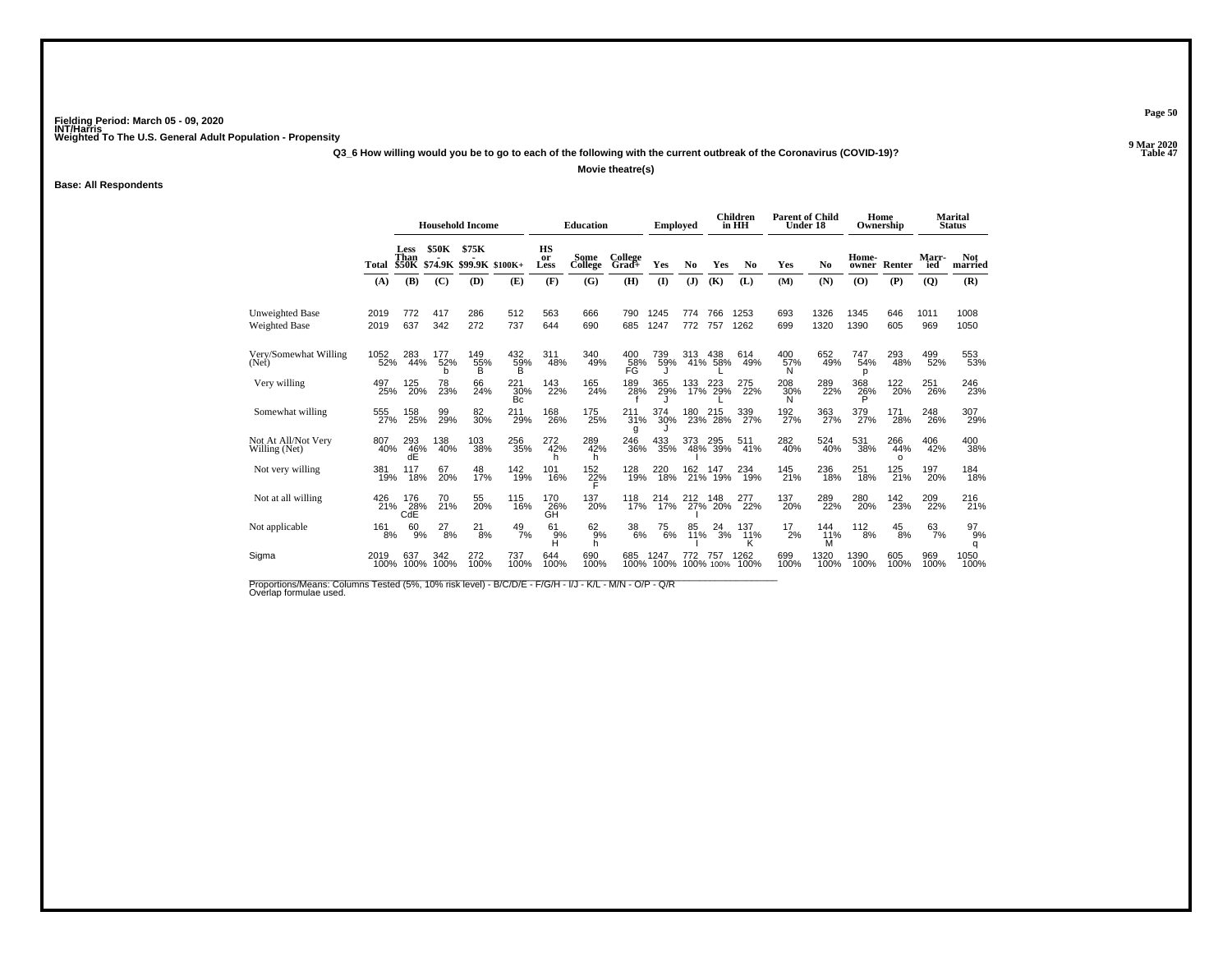**Q3\_6 How willing would you be to go to each of the following with the current outbreak of the Coronavirus (COVID-19)?**

**Movie theatre(s)**

**Base: All Respondents**

|                                         |              |                                                   |                 | <b>Household Income</b>          |                       |                         | <b>Education</b>    |                    | Employed     |                |                  | <b>Children</b><br>in HH | <b>Parent of Child</b><br>Under 18 |                         |                 | Home<br>Ownership             |                     | <b>Marital</b><br><b>Status</b> |
|-----------------------------------------|--------------|---------------------------------------------------|-----------------|----------------------------------|-----------------------|-------------------------|---------------------|--------------------|--------------|----------------|------------------|--------------------------|------------------------------------|-------------------------|-----------------|-------------------------------|---------------------|---------------------------------|
|                                         | Total        | <b>Less</b><br>Than<br><b>\$50K</b>               | <b>\$50K</b>    | \$75K<br>\$74.9K \$99.9K \$100K+ |                       | <b>HS</b><br>or<br>Less | Some<br>College     | College<br>$Grad+$ | Yes          | No             | Yes              | No                       | Yes                                | No                      | Home-<br>owner  | Renter                        | <b>Marr-</b><br>ied | <b>Not</b><br>married           |
|                                         | (A)          | (B)                                               | (C)             | (D)                              | (E)                   | (F)                     | (G)                 | (H)                | $\mathbf{I}$ | $(\mathbf{J})$ | (K)              | (L)                      | (M)                                | (N)                     | (O)             | (P)                           | $\overline{Q}$      | (R)                             |
| <b>Unweighted Base</b><br>Weighted Base | 2019<br>2019 | 772<br>637                                        | 417<br>342      | 286<br>272                       | 512<br>737            | 563<br>644              | 666<br>690          | 790<br>685         | 1245<br>1247 | 774<br>772     | 766<br>757       | 1253<br>1262             | 693<br>699                         | 1326<br>1320            | 1345<br>1390    | 646<br>605                    | 1011<br>969         | 1008<br>1050                    |
| Very/Somewhat Willing<br>(Net)          | 1052<br>52%  | 283<br>44%                                        | 177<br>52%<br>b | 149<br>55%<br>B                  | 432<br>59%<br>B       | 311<br>48%              | 340<br>49%          | 400<br>58%<br>FG   | 739<br>59%   | 313<br>41%     | 438<br>58%       | 614<br>49%               | 400<br>57%<br>N                    | 652<br>49%              | 747<br>54%<br>D | 293<br>48%                    | 499<br>52%          | 553<br>53%                      |
| Very willing                            | 497<br>25%   | 125<br>20%                                        | 78<br>23%       | 66<br>24%                        | $^{221}_{30\%}$<br>Bc | 143<br>22%              | 165<br>24%          | 189<br>28%         | 365<br>29%   | 133<br>17%     | 223<br>29%       | 275<br>22%               | 208<br>30%<br>N                    | 289<br>22%              | 368<br>26%<br>P | <sup>122</sup> <sub>20%</sub> | 251<br>26%          | 246<br>23%                      |
| Somewhat willing                        | 555<br>27%   | 158<br>25%                                        | 99<br>29%       | 82<br>30%                        | 211<br>29%            | 168<br>26%              | 175<br>25%          | 211<br>31%<br>g    | 374<br>30%   | 180<br>23%     | 215<br>28%       | 339<br>27%               | 192<br>27%                         | 363<br>27%              | 379<br>27%      | 171<br>28%                    | 248<br>26%          | 307<br>29%                      |
| Not At All/Not Very<br>Willing (Net)    | 807<br>40%   | 293<br>46%<br>dĖ                                  | 138<br>40%      | 103<br>38%                       | 256<br>35%            | 272<br>42%              | 289<br>42%<br>h     | 246<br>36%         | 433<br>35%   | 373<br>48%     | 295<br>39%       | 511<br>41%               | 282<br>40%                         | 524<br>40%              | 531<br>38%      | 266<br>44%<br>$\Omega$        | 406<br>42%          | 400<br>38%                      |
| Not very willing                        | 381<br>19%   | 117<br>18%                                        | 67<br>20%       | 48<br>17%                        | 142<br>19%            | 101<br>16%              | $\frac{152}{27\%}$  | 128<br>19%         | 220<br>18%   | 162<br>21%     | 147<br>19%       | 234<br>19%               | 145<br>21%                         | 236<br>18%              | 251<br>18%      | 125<br>21%                    | 197<br>20%          | 184<br>18%                      |
| Not at all willing                      | 426          | 176<br>$\overline{21\%}$ $\overline{28\%}$<br>CdE | 70<br>21%       | 55<br>20%                        | 115<br>16%            | 170<br>26%<br>GH        | 137<br>20%          | 118<br>17%         | 214<br>17%   | 212<br>27%     | 148<br>20%       | 277<br>22%               | 137<br>20%                         | 289<br>22%              | 280<br>20%      | 142<br>23%                    | 209<br>22%          | 216<br>21%                      |
| Not applicable                          | 161<br>8%    | 60<br>9%                                          | 27<br>8%        | 21<br>8%                         | $^{49}_{7\%}$         | 61<br>$H^9$             | $^{62}_{9\%}$<br>h. | $^{38}_{\ 6\%}$    | 75<br>6%     | 85<br>11%      | 24<br>3%         | 137<br>11%               | 17<br>2%                           | 144<br>$\frac{11\%}{M}$ | 112<br>8%       | 45<br>8%                      | 63<br>7%            | 97<br>9%<br>q                   |
| Sigma                                   | 2019<br>100% | 637<br>100%                                       | 342<br>100%     | 272<br>100%                      | 737<br>100%           | 644<br>100%             | 690<br>100%         | 685<br>100%        | 1247<br>100% | 772            | 757<br>100% 100% | 1262<br>100%             | 699<br>100%                        | 1320<br>100%            | 1390<br>100%    | 605<br>100%                   | 969<br>100%         | 1050<br>100%                    |
|                                         |              |                                                   |                 |                                  |                       |                         |                     |                    |              |                |                  |                          |                                    |                         |                 |                               |                     |                                 |

Proportions/Means: Columns Tested (5%, 10% risk level) - B/C/D/E - F/G/H - I/J - K/L - M/N - O/P - Q/R<br>Overlap formulae used.

**Page 50**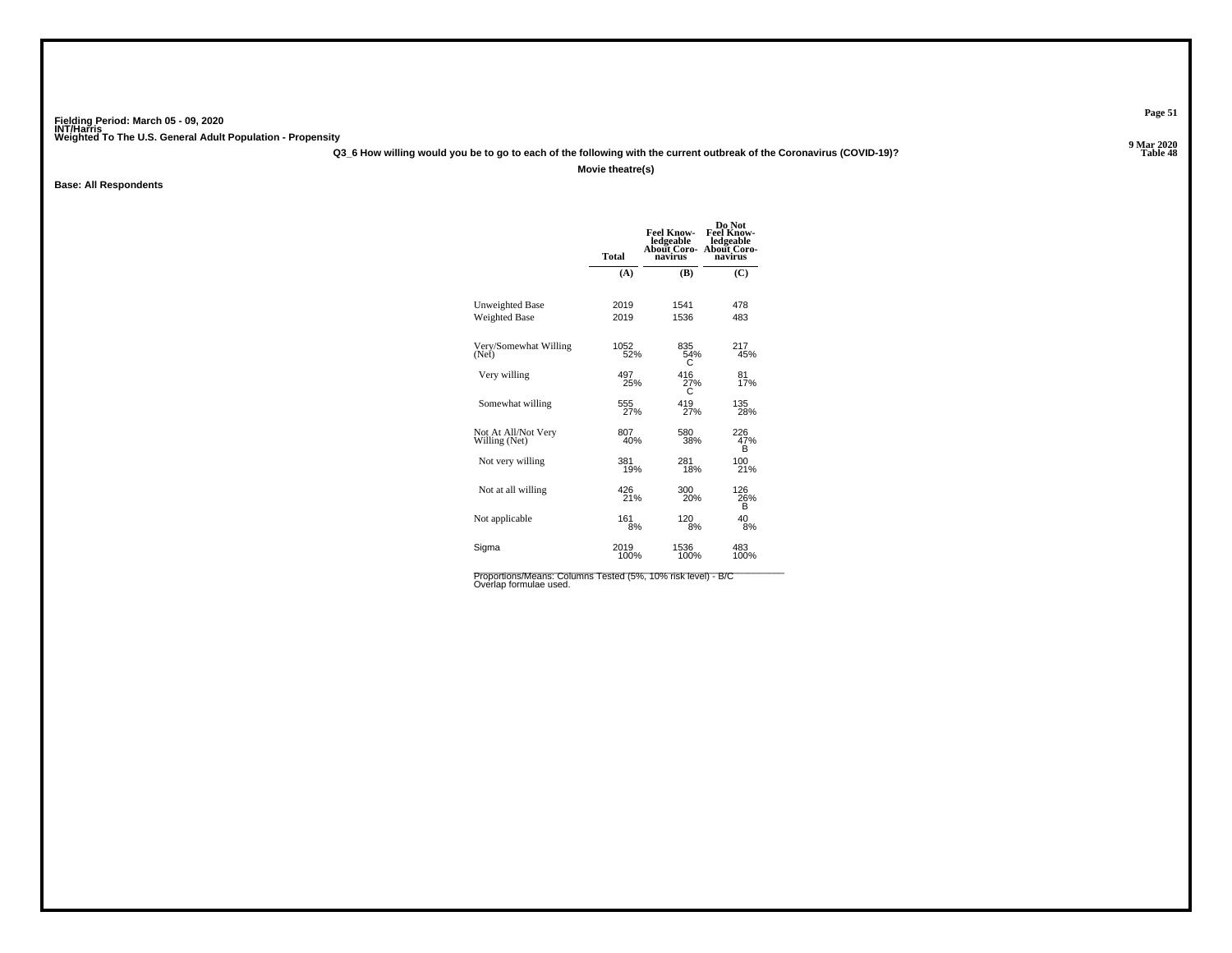**Q3\_6 How willing would you be to go to each of the following with the current outbreak of the Coronavirus (COVID-19)?**

**Movie theatre(s)**

**Base: All Respondents**

|                                      | <b>Total</b> | <b>Feel Know-</b><br>ledgeable<br>About Coro-<br>navirus | Do Not<br><b>Feel Know-</b><br>ledgeable<br>About Coro-<br>navirus |
|--------------------------------------|--------------|----------------------------------------------------------|--------------------------------------------------------------------|
|                                      | (A)          | (B)                                                      | (C)                                                                |
| <b>Unweighted Base</b>               | 2019         | 1541                                                     | 478                                                                |
| <b>Weighted Base</b>                 | 2019         | 1536                                                     | 483                                                                |
| Very/Somewhat Willing<br>(Net)       | 1052%        | 835<br>54%<br>С                                          | 217<br>45%                                                         |
| Very willing                         | 497<br>25%   | 416<br>27%                                               | 81<br>17%                                                          |
| Somewhat willing                     | 555<br>27%   | 419<br>27%                                               | 135<br>28%                                                         |
| Not At All/Not Very<br>Willing (Net) | 807<br>40%   | 580<br>38%                                               | 226<br>47%<br>в                                                    |
| Not very willing                     | 381<br>19%   | 281<br>18%                                               | 100<br>21%                                                         |
| Not at all willing                   | 426<br>21%   | 300<br>20%                                               | 126<br>26%<br>в                                                    |
| Not applicable                       | 161<br>8%    | 120<br>8%                                                | 40<br>8%                                                           |
| Sigma                                | 2019<br>100% | 1536<br>100%                                             | 483<br>100%                                                        |

Proportions/Means: Columns Tested (5%, 10% risk level) - B/C<br>Overlap formulae used.

**Page 51**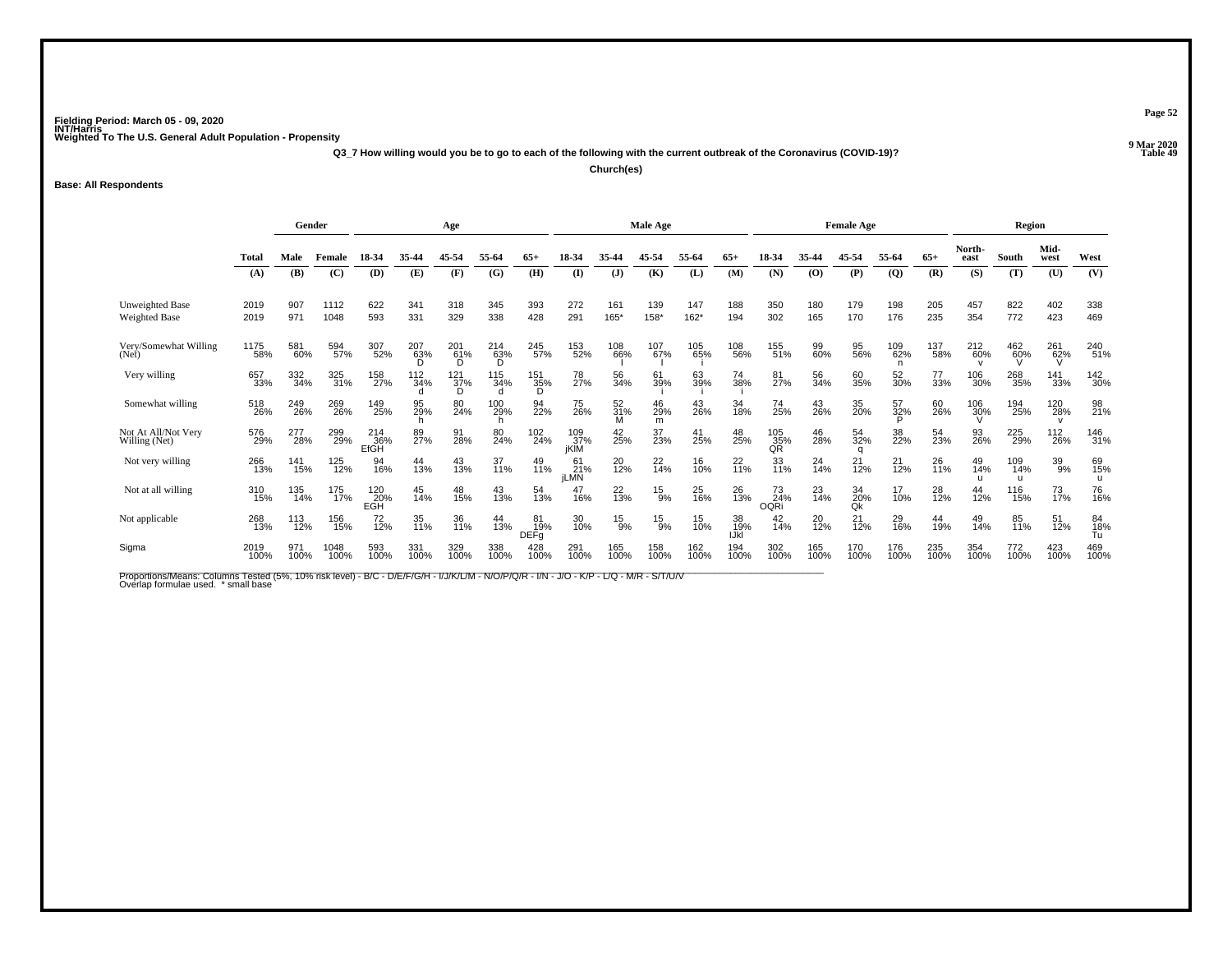**Q3\_7 How willing would you be to go to each of the following with the current outbreak of the Coronavirus (COVID-19)?**

**Church(es)**

**Base: All Respondents**

|                                         |              | Gender<br>Age |              |                    |             |                         | Male Age        |                                  |                          |                |                | <b>Female Age</b> |                   |                          |                | Region          |                 |             |                |                 |                  |                 |
|-----------------------------------------|--------------|---------------|--------------|--------------------|-------------|-------------------------|-----------------|----------------------------------|--------------------------|----------------|----------------|-------------------|-------------------|--------------------------|----------------|-----------------|-----------------|-------------|----------------|-----------------|------------------|-----------------|
|                                         | <b>Total</b> | Male          | Female       | 18-34              | 35-44       | 45-54                   | 55-64           | 65+                              | 18-34                    |                | 45-54          | 55-64             | $65+$             | 18-34                    | 35-44          | 45-54           | 55-64           | $65+$       | North-<br>east | South           | Mid-<br>west     | West            |
|                                         | (A)          | (B)           | (C)          | (D)                | (E)         | (F)                     | (G)             | (H)                              | $\mathbf{I}$             | $\mathbf{J}$   | (K)            | (L)               | (M)               | (N)                      | (O)            | (P)             | $\overline{Q}$  | (R)         | (S)            | (T)             | (U)              | (V)             |
| <b>Unweighted Base</b><br>Weighted Base | 2019<br>2019 | 907<br>971    | 1112<br>1048 | 622<br>593         | 341<br>331  | 318<br>329              | 345<br>338      | 393<br>428                       | 272<br>291               | 161<br>165*    | 139<br>158*    | 147<br>162*       | 188<br>194        | 350<br>302               | 180<br>165     | 179<br>170      | 198<br>176      | 205<br>235  | 457<br>354     | 822<br>772      | 402<br>423       | 338<br>469      |
| Very/Somewhat Willing<br>(Net)          | 1175<br>58%  | 581<br>60%    | 594<br>57%   | 307<br>52%         | 207<br>63%  | 201 <sub>%</sub><br>D   | 214<br>63%<br>D | 245<br>57%                       | 153<br>52%               | 108<br>66%     | 107%           | 105<br>65%        | 108<br>56%        | 155<br>51%               | 99<br>60%      | 95<br>56%       | 109<br>62%<br>n | 137<br>58%  | 212<br>60%     | 462<br>60%      | 261<br>62%       | 240<br>51%      |
| Very willing                            | 657<br>33%   | 332<br>34%    | 325<br>31%   | 158<br>27%         | 12<br>34%   | $\frac{121}{32\%}$<br>D | 115<br>34%<br>d | $\overset{151}{\substack{35\%}}$ | 78<br>27%                | 56<br>34%      | 61<br>39%      | 63<br>39%         | 74<br>38%         | 81<br>27%                | 56<br>34%      | 60<br>35%       | 52<br>30%       | 77<br>33%   | 106<br>30%     | 268<br>35%      | 141<br>33%       | 142<br>30%      |
| Somewhat willing                        | 518<br>26%   | 249<br>26%    | 269<br>26%   | 149<br>25%         | 95<br>29%   | 80<br>24%               | 100<br>29%      | 94<br>22%                        | 75<br>26%                | 52<br>31%<br>м | 46<br>29%<br>m | 43<br>26%         | 34<br>18%         | 74<br>25%                | 43<br>26%      | 35<br>20%       | 57<br>32%       | 60<br>26%   | 106<br>30%     | 194<br>25%      | 120<br>28%       | 98<br>21%       |
| Not At All/Not Very<br>Willing (Net)    | 576<br>29%   | 277<br>28%    | 299<br>29%   | 214<br>36%<br>EfGH | 89<br>27%   | 91<br>28%               | 80<br>24%       | 102<br>24%                       | 109<br>37%<br>iKIM       | $^{42}_{25\%}$ | 37<br>23%      | 41<br>25%         | 48<br>25%         | 105<br>35%<br>QR         | 46<br>28%      | 54<br>32%<br>q  | 38<br>22%       | 54<br>23%   | 93<br>26%      | 225<br>29%      | 112<br>26%       | 146<br>31%      |
| Not very willing                        | 266<br>13%   | 141<br>15%    | 125<br>12%   | 94<br>16%          | 44<br>13%   | 43<br>13%               | 37<br>11%       | 49<br>11%                        | 61<br>21%<br><b>iLMN</b> | 20<br>12%      | $^{22}_{14\%}$ | 16<br>10%         | $^{22}_{11\%}$    | 33<br>11%                | $^{24}_{14\%}$ | $^{21}_{12\%}$  | 21<br>12%       | 26<br>11%   | 49<br>14%      | 109<br>14%<br>u | 39 <sub>9%</sub> | 69<br>15%       |
| Not at all willing                      | 310<br>15%   | 135<br>14%    | 175<br>17%   | 120<br>20%<br>EGH  | 45<br>14%   | 48<br>15%               | 43<br>13%       | 54<br>13%                        | 47<br>16%                | 22<br>13%      | $^{15}_{9\%}$  | 25<br>16%         | 26<br>13%         | 73<br>24%<br><b>OQRi</b> | 23<br>14%      | 34<br>20%<br>Qk | 17<br>10%       | 28<br>12%   | 44<br>12%      | 116<br>15%      | 73<br>17%        | 76<br>16%       |
| Not applicable                          | 268<br>13%   | 113<br>12%    | 156<br>15%   | 72<br>12%          | 35<br>11%   | 36<br>11%               | 44<br>13%       | 81<br>19%<br><b>DEFg</b>         | 30<br>10%                | $^{15}_{9\%}$  | $^{15}_{9\%}$  | 15<br>10%         | 38<br>19%<br>IJkl | $^{42}_{14\%}$           | 20<br>12%      | 21<br>12%       | 29<br>16%       | 44<br>19%   | 49<br>14%      | 85<br>11%       | 51<br>12%        | 84<br>18%<br>Tu |
| Sigma                                   | 2019<br>100% | 971<br>100%   | 1048<br>100% | 593<br>100%        | 331<br>100% | 329<br>100%             | 338<br>100%     | 428<br>100%                      | 291<br>100%              | 165<br>100%    | 158<br>100%    | 162<br>100%       | 194<br>100%       | 302<br>100%              | 165<br>100%    | 170<br>100%     | 176<br>100%     | 235<br>100% | 354<br>100%    | 772<br>100%     | 423<br>100%      | 469<br>100%     |

Proportions/Means: Columns Tested (5%, 10% risk level) - B/C - D/E/F/G/H - I/J/K/L/M - N/O/P/Q/R - I/N - J/O - K/P - L/Q - M/R - S/T/U/V<br>Overlap formulae used. \*small base

**Page 52**

**Properties and the Contract of the Contract of Table 49**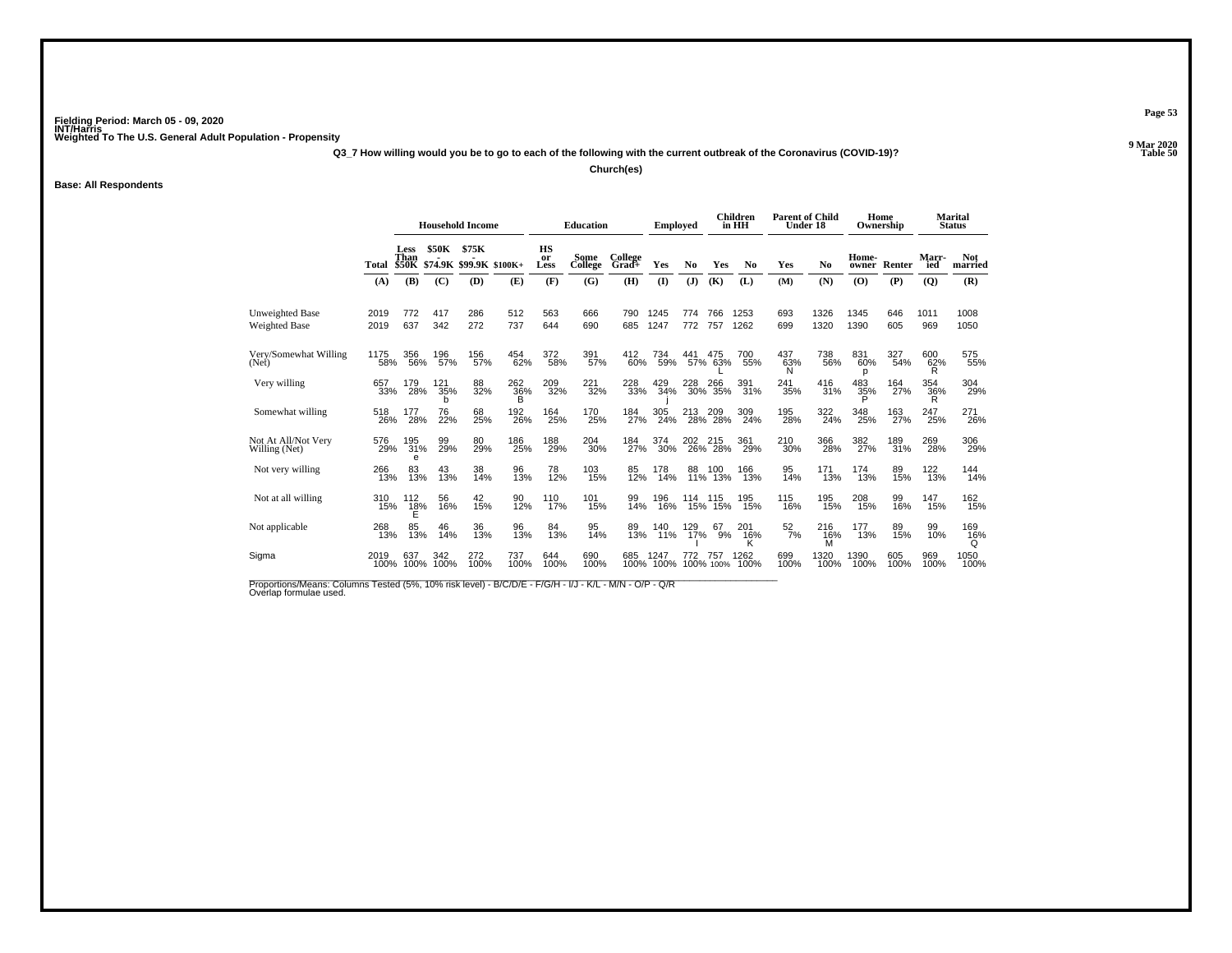**Q3\_7 How willing would you be to go to each of the following with the current outbreak of the Coronavirus (COVID-19)?**

**Church(es)**

**Base: All Respondents**

|                                         |              | <b>Household Income</b> |              |                                        |                      |                  | <b>Education</b> |                  | <b>Employed</b>   |            |                    | <b>Children</b><br>in HH | <b>Parent of Child</b><br>Under 18 |                 |                 | Home<br>Ownership |                     | <b>Marital</b><br><b>Status</b> |
|-----------------------------------------|--------------|-------------------------|--------------|----------------------------------------|----------------------|------------------|------------------|------------------|-------------------|------------|--------------------|--------------------------|------------------------------------|-----------------|-----------------|-------------------|---------------------|---------------------------------|
|                                         | Total        | Less<br>Than            | <b>\$50K</b> | \$75K<br>\$50K \$74.9K \$99.9K \$100K+ |                      | HS<br>or<br>Less | Some<br>College  | College<br>Grad+ | Yes               | No         | Yes                | N <sub>0</sub>           | Yes                                | No              | Home-<br>owner  | Renter            | <b>Marr-</b><br>ied | <b>Not</b><br>married           |
|                                         | (A)          | (B)                     | (C)          | (D)                                    | (E)                  | (F)              | (G)              | (H)              | (1)               | (J)        | (K)                | (L)                      | (M)                                | (N)             | (0)             | (P)               | $\overline{Q}$      | (R)                             |
| <b>Unweighted Base</b><br>Weighted Base | 2019<br>2019 | 772<br>637              | 417<br>342   | 286<br>272                             | 512<br>737           | 563<br>644       | 666<br>690       | 790<br>685       | 1245<br>1247      | 774<br>772 | 766<br>757         | 1253<br>1262             | 693<br>699                         | 1326<br>1320    | 1345<br>1390    | 646<br>605        | 1011<br>969         | 1008<br>1050                    |
| Very/Somewhat Willing<br>(Net)          | 1175<br>58%  | 356<br>56%              | 196<br>57%   | 156<br>57%                             | 454<br>62%           | 372<br>58%       | 391<br>57%       | 412<br>60%       | 734<br>59%        | 441        | 475<br>57% 63%     | 700<br>55%               | 437<br>63%<br>N                    | 738<br>56%      | 831<br>60%<br>p | 327<br>54%        | 600<br>62%<br>R     | 575<br>55%                      |
| Very willing                            | 657<br>33%   | 179<br>28%              | 121<br>35%   | 88<br>32%                              | $^{262}_{36\%}$<br>в | 209<br>32%       | $^{221}_{32\%}$  | 228<br>33%       | 429<br>34%        |            | 228 266<br>30% 35% | 391%                     | 241<br>35%                         | 416<br>31%      | $^{483}_{35\%}$ | 164<br>27%        | 354<br>36%<br>R     | 304<br>29%                      |
| Somewhat willing                        | 518<br>26%   | 177<br>28%              | 76<br>22%    | 68<br>25%                              | 192<br>26%           | 164<br>25%       | 170<br>25%       | 184<br>27%       | 305<br>24%        | 213        | 209<br>28% 28%     | 309<br>24%               | 195<br>28%                         | 322<br>24%      | 348<br>25%      | 163<br>27%        | 247<br>25%          | 271<br>26%                      |
| Not At All/Not Very<br>Willing (Net)    | 576<br>29%   | 195<br>31%<br>e         | 99<br>29%    | 80<br>29%                              | 186<br>25%           | 188<br>29%       | 204<br>30%       | 184<br>27%       | 374<br>30%        | 202        | 215<br>26% 28%     | 361<br>29%               | 210<br>30%                         | 366<br>28%      | 382<br>27%      | 189<br>31%        | 269<br>28%          | 306<br>29%                      |
| Not very willing                        | 266<br>13%   | 83<br>13%               | 43<br>13%    | 38<br>14%                              | 96<br>13%            | 78<br>12%        | 103<br>15%       | 85<br>12%        | 178<br>14%        | 88<br>11%  | 100<br>13%         | 166<br>13%               | 95<br>14%                          | 171<br>13%      | 174<br>13%      | 89<br>15%         | 122 <sub>0%</sub>   | $144$<br>$14%$                  |
| Not at all willing                      | 310<br>15%   | 112<br>$^{18\%}_{E}$    | 56<br>16%    | 42<br>15%                              | 90<br>12%            | 110<br>17%       | 101<br>15%       | 99<br>14%        | 196<br>16%        | 114<br>15% | 115<br>15%         | 195<br>15%               | 115<br>16%                         | 195<br>15%      | 208<br>15%      | 99<br>16%         | 147<br>15%          | 162<br>15%                      |
| Not applicable                          | 268<br>13%   | 85<br>13%               | 46<br>14%    | 36<br>13%                              | 96<br>13%            | 84<br>13%        | 95<br>14%        | 89<br>13%        | 140<br>11%        | 129<br>17% | 67<br>9%           | 201<br>$^{16\%}_{K}$     | $\frac{52}{7\%}$                   | 216<br>16%<br>м | 177<br>13%      | 89<br>15%         | 99<br>10%           | 169<br>16%<br>Q                 |
| Sigma                                   | 2019<br>100% | 637<br>100%             | 342<br>100%  | 272<br>100%                            | 737<br>100%          | 644<br>100%      | 690<br>100%      | 685              | 1247<br>100% 100% | 772        | 757<br>100% 100%   | 1262<br>100%             | 699<br>100%                        | 1320<br>100%    | 1390<br>100%    | 605<br>100%       | 969<br>100%         | 1050<br>100%                    |

Proportions/Means: Columns Tested (5%, 10% risk level) - B/C/D/E - F/G/H - I/J - K/L - M/N - O/P - Q/R<br>Overlap formulae used.

**Page 53**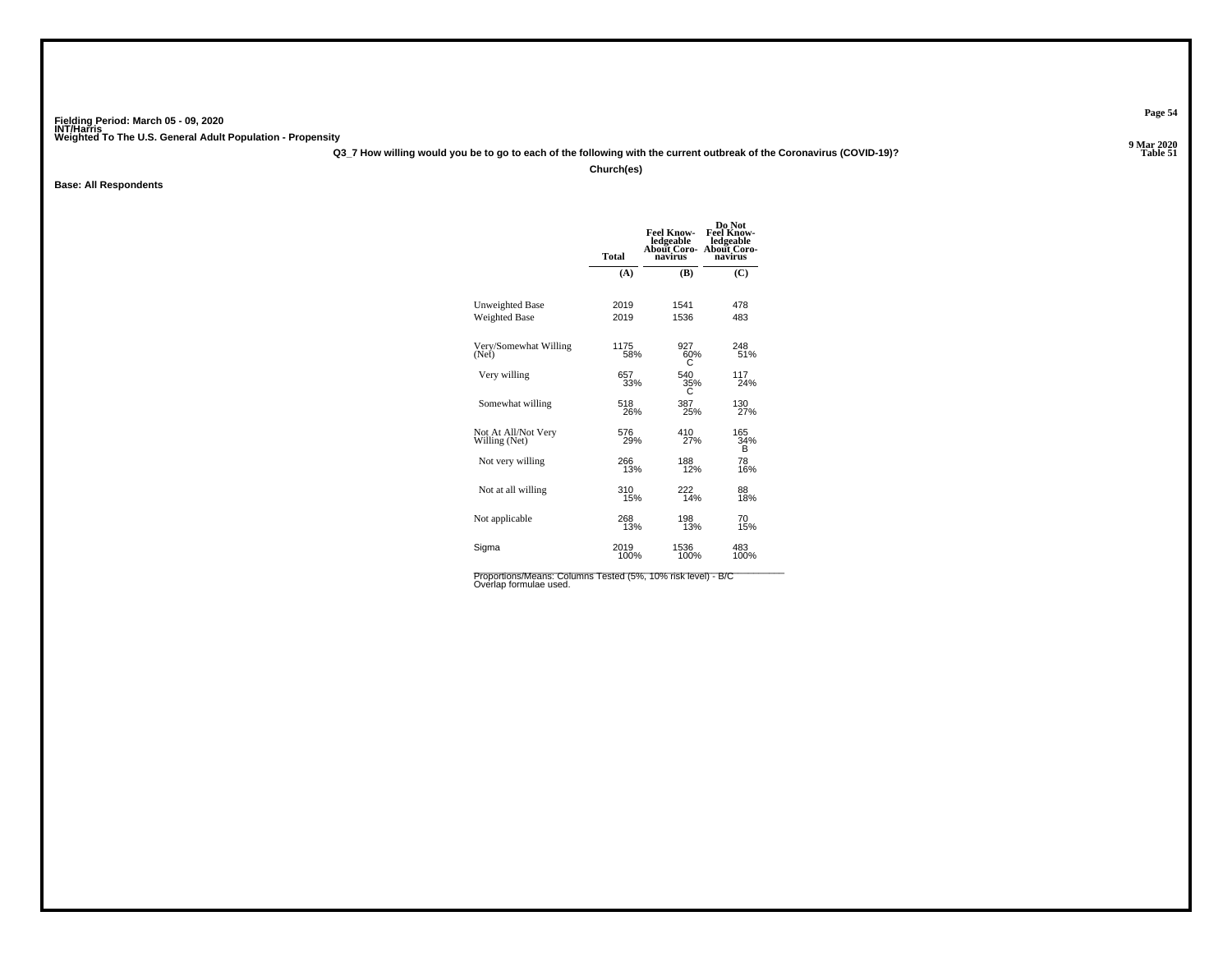**Q3\_7 How willing would you be to go to each of the following with the current outbreak of the Coronavirus (COVID-19)?**

**Church(es)**

**Base: All Respondents**

|                                      | <b>Total</b> | <b>Feel Know-</b><br>ledgeable<br>About Coro-<br>navirus | Do Not<br><b>Feel Know-</b><br>ledgeable<br>About Coro-<br>navirus |
|--------------------------------------|--------------|----------------------------------------------------------|--------------------------------------------------------------------|
|                                      | (A)          | (B)                                                      | (C)                                                                |
| Unweighted Base                      | 2019         | 1541                                                     | 478                                                                |
| <b>Weighted Base</b>                 | 2019         | 1536                                                     | 483                                                                |
| Very/Somewhat Willing<br>(Net)       | 1175<br>58%  | 927<br>60%<br>С                                          | 248<br>51%                                                         |
| Very willing                         | 657          | 540                                                      | 117                                                                |
|                                      | 33%          | 35%                                                      | 24%                                                                |
| Somewhat willing                     | 518          | 387                                                      | 130                                                                |
|                                      | 26%          | 25%                                                      | 27%                                                                |
| Not At All/Not Very<br>Willing (Net) | 576<br>29%   | 410<br>27%                                               | 165<br>34%<br>B                                                    |
| Not very willing                     | 266          | 188                                                      | 78                                                                 |
|                                      | 13%          | 12%                                                      | 16%                                                                |
| Not at all willing                   | 310          | 222                                                      | 88                                                                 |
|                                      | 15%          | 14%                                                      | 18%                                                                |
| Not applicable                       | 268          | 198                                                      | 70                                                                 |
|                                      | 13%          | 13%                                                      | 15%                                                                |
| Sigma                                | 2019         | 1536                                                     | 483                                                                |
|                                      | 100%         | 100%                                                     | 100%                                                               |

**Page 54**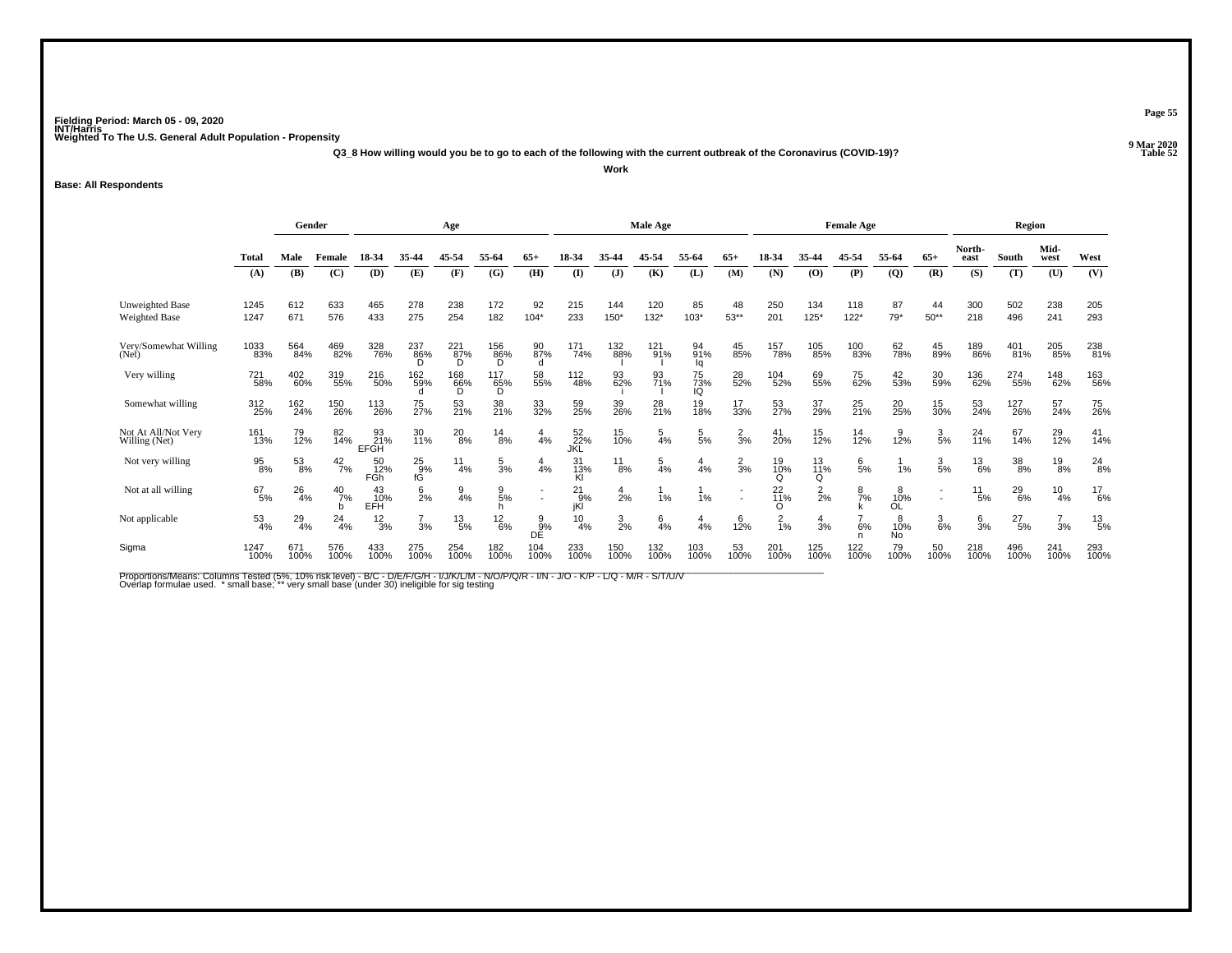**Q3\_8 How willing would you be to go to each of the following with the current outbreak of the Coronavirus (COVID-19)?**

**Work**

#### **Base: All Respondents**

|                                      |                  | Gender        |                     |                          |                  | Age                              |                 |                          |                       |                 | <b>Male Age</b> |                       | <b>Female Age</b>        |                         |                 |                 |                             | Region          |                |                  |                 |                 |
|--------------------------------------|------------------|---------------|---------------------|--------------------------|------------------|----------------------------------|-----------------|--------------------------|-----------------------|-----------------|-----------------|-----------------------|--------------------------|-------------------------|-----------------|-----------------|-----------------------------|-----------------|----------------|------------------|-----------------|-----------------|
|                                      | <b>Total</b>     | Male          | Female              | 18-34                    | 35-44            | 45-54                            | 55-64           | $65+$                    | 18-34                 | 35.44           | 45-54           | 55.64                 | $65+$                    | 18-34                   | 35-44           | 45-54           | 55-64                       | $65+$           | North-<br>east | South            | Mid-<br>west    | West            |
|                                      | (A)              | (B)           | (C)                 | (D)                      | (E)              | (F)                              | (G)             | (H)                      | (I)                   | $\mathbf{J}$    | (K)             | (L)                   | (M)                      | (N)                     | (O)             | (P)             | $\overline{Q}$              | (R)             | (S)            | (T)              | (U)             | (V)             |
| Unweighted Base<br>Weighted Base     | 1245<br>1247     | 612<br>671    | 633<br>576          | 465<br>433               | 278<br>275       | 238<br>254                       | 172<br>182      | 92<br>$104*$             | 215<br>233            | 144<br>150*     | 120<br>$132*$   | 85<br>$103*$          | 48<br>$53**$             | 250<br>201              | 134<br>$125*$   | 118<br>$122*$   | 87<br>$79*$                 | 44<br>$50**$    | 300<br>218     | 502<br>496       | 238<br>241      | 205<br>293      |
| Very/Somewhat Willing<br>(Net)       | 1033<br>83%      | 564<br>84%    | 469<br>82%          | 328<br>76%               | 237<br>86%<br>D. | $\frac{221}{87\%}$<br>D.         | 156<br>86%<br>D | 90<br>87%<br>d           | 171<br>74%            | 132<br>88%      | $^{121}_{91\%}$ | 94 <sub>%</sub><br>lq | 45<br>85%                | 157<br>78%              | 105<br>85%      | 100<br>83%      | 62<br>78%                   | 45<br>89%       | 189<br>86%     | $^{401}_{81\%}$  | 205<br>85%      | 238<br>81%      |
| Very willing                         | 721<br>58%       | 402<br>60%    | 319<br>55%          | 216<br>50%               | 162<br>59%       | $\overset{168}{\substack{66\%}}$ | 117<br>65%<br>D | 58<br>55%                | 112<br>48%            | 93<br>62%       | 93<br>71%       | 75<br>73%<br>IQ       | 28<br>52%                | 104<br>52%              | 69<br>55%       | 75<br>62%       | 42<br>53%                   | 30<br>59%       | 136<br>62%     | 274<br>55%       | 148<br>62%      | 163<br>56%      |
| Somewhat willing                     | 312<br>25%       | 162<br>24%    | 150<br>26%          | 113<br>26%               | 75<br>27%        | 53<br>21%                        | 38<br>21%       | 33<br>32%                | 59<br>25%             | 39<br>26%       | 28<br>21%       | 19<br>18%             | 17<br>33%                | 53<br>27%               | 37<br>29%       | $^{25}_{21\%}$  | 20<br>25%                   | 15<br>30%       | 53<br>24%      | 127<br>26%       | 57<br>24%       | 75<br>26%       |
| Not At All/Not Very<br>Willing (Net) | 161<br>13%       | 79<br>12%     | 82<br>14%           | 93<br>21%<br><b>EFGH</b> | 30<br>11%        | $^{20}_{8\%}$                    | $^{14}_{8\%}$   | $\frac{4}{4%}$           | 52<br>22%<br>JKL      | 15<br>10%       | $\frac{5}{4%}$  | $\frac{5}{5}$ %       | $\frac{2}{3}$ %          | 41<br>20%               | $^{15}_{12\%}$  | $14_{12\%}$     | 12%                         | $\frac{3}{5}$ % | 24<br>11%      | 67<br>14%        | 29 <sub>%</sub> | $^{41}_{14\%}$  |
| Not very willing                     | 95<br>8%         | $^{53}_{8\%}$ | $^{42}_{7\%}$       | 50<br>12%<br>FGh         | $^{25}_{9\%}$ fG | $\frac{11}{4%}$                  | $\frac{5}{3\%}$ | 4<br>4%                  | 31<br>$\frac{13}{18}$ | $^{11}_{8\%}$   | 5<br>4%         | 4<br>4%               | $\frac{2}{3}$ %          | 19<br>1 <u>0</u> %<br>O | 13<br>11%<br>Q  | $\frac{6}{5%}$  | 1%                          | $\frac{3}{5%}$  | $^{13}_{6\%}$  | $\frac{38}{8\%}$ | $^{19}_{8\%}$   | $^{24}_{8\%}$   |
| Not at all willing                   | $^{67}_{5\%}$    | 26<br>4%      | $^{40}$<br>$^{7\%}$ | 43<br>10%<br>EFH         | $6\over 2%$      | $\frac{9}{4%}$                   | 9<br>5%         | $\overline{\phantom{a}}$ | 21<br>9%<br>jKl       | $\frac{4}{2%}$  | 1%              | 1%                    | $\overline{\phantom{a}}$ | 22 <sub>0%</sub><br>O   | $\frac{2}{2}$ % | $\frac{8}{7\%}$ | 8<br>10%<br>OĹ              | $\blacksquare$  | 11<br>5%       | $^{29}_{6\%}$    | $\frac{10}{4%}$ | $^{17}_{6\%}$   |
| Not applicable                       | $\frac{53}{4\%}$ | $^{29}_{4\%}$ | 24<br>4%            | $\frac{12}{3%}$          | 3%               | 13<br>5%                         | $^{12}_{6\%}$   | $\frac{9}{9\%}$<br>DÉ    | 10<br>4%              | $\frac{3}{2\%}$ | 6<br>4%         | $\overline{4}$<br>4%  | 6<br>12%                 | $\frac{2}{1%}$          | $\frac{4}{3}$ % | 6%              | 8<br>10%<br>No <sup>1</sup> | $\frac{3}{6\%}$ | $\frac{6}{3%}$ | $^{27}_{5\%}$    | 3%              | $^{13}_{\ 5\%}$ |
| Sigma                                | 1247<br>100%     | 671<br>100%   | 576<br>100%         | 433<br>100%              | 275<br>100%      | 254<br>100%                      | 182<br>100%     | 104<br>100%              | 233<br>100%           | 150<br>100%     | 132<br>100%     | 103<br>100%           | 53<br>100%               | 201<br>100%             | 125<br>100%     | 122<br>100%     | 79<br>100%                  | 50<br>100%      | 218<br>100%    | 496<br>100%      | 241<br>100%     | 293<br>100%     |

Proportions/Means: Columns Tested (5%, 10% risk level) - B/C - D/E/F/G/H - I/J/K/L/M - N/O/P/Q/R - I/N - J/O - K/P - L/Q - M/R - S/T/U/V<br>Overlap formulae used. \*small base; \* very small base (under 30) ineligible for sig t

**Page 55**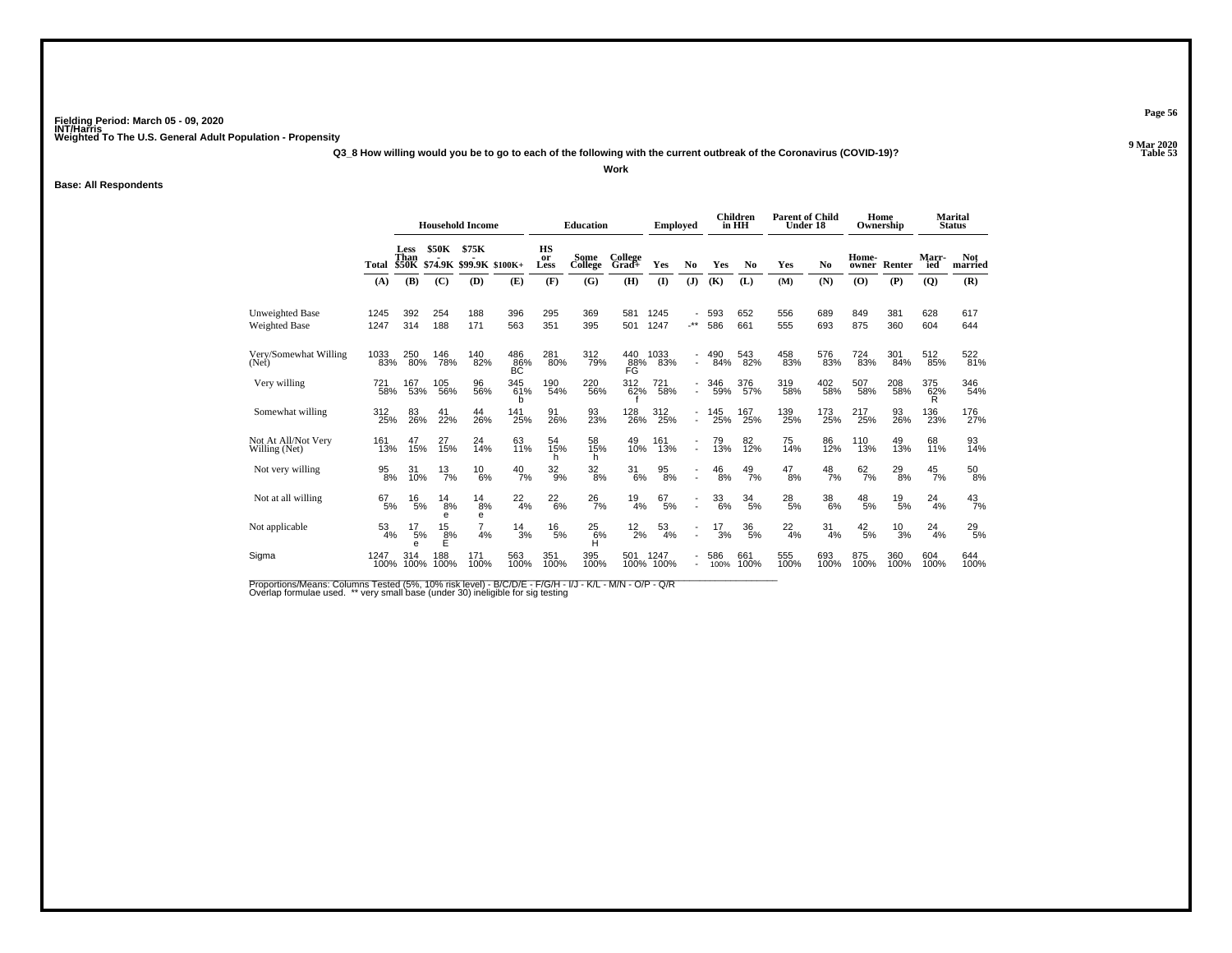**Q3\_8 How willing would you be to go to each of the following with the current outbreak of the Coronavirus (COVID-19)?Work**

**Base: All Respondents**

|                                         |                    |                              |                     | <b>Household Income</b>  |                         |                  | <b>Education</b> |                  | <b>Employed</b>   |                                            |                 | <b>Children</b><br>in HH | <b>Parent of Child</b><br>Under 18 |                        |                 | Home<br>Ownership |                 | <b>Marital</b><br><b>Status</b> |
|-----------------------------------------|--------------------|------------------------------|---------------------|--------------------------|-------------------------|------------------|------------------|------------------|-------------------|--------------------------------------------|-----------------|--------------------------|------------------------------------|------------------------|-----------------|-------------------|-----------------|---------------------------------|
|                                         | Total              | Less<br>Than<br><b>\$50K</b> | <b>\$50K</b>        | \$75K<br>\$74.9K \$99.9K | $$100K+$                | HS<br>or<br>Less | Some<br>College  | College<br>Grad+ | Yes               | N <sub>0</sub>                             | Yes             | N <sub>0</sub>           | Yes                                | No                     | Home-<br>owner  | Renter            | Marr-<br>ied    | <b>Not</b><br>married           |
|                                         | (A)                | (B)                          | (C)                 | (D)                      | (E)                     | (F)              | (G)              | (H)              | $($ $\Gamma$      | $(\mathbf{J})$                             | (K)             | (L)                      | (M)                                | (N)                    | (0)             | (P)               | $\overline{Q}$  | (R)                             |
| <b>Unweighted Base</b><br>Weighted Base | 1245<br>1247       | 392<br>314                   | 254<br>188          | 188<br>171               | 396<br>563              | 295<br>351       | 369<br>395       | 581<br>501       | 1245<br>1247      | $\cdot^{\star\star}$                       | 593<br>586      | 652<br>661               | 556<br>555                         | 689<br>693             | 849<br>875      | 381<br>360        | 628<br>604      | 617<br>644                      |
| Very/Somewhat Willing<br>(Net)          | 1033<br>83%        | 250<br>80%                   | 146<br>78%          | 140<br>82%               | 486<br>86%<br><b>BC</b> | 281<br>80%       | 312<br>79%       | 440<br>88%       | 1033<br>83%       | ٠                                          | 490<br>84%      | 543<br>82%               | 458<br>83%                         | 576<br>83%             | 724<br>83%      | 301<br>84%        | 512<br>85%      | 522<br>81%                      |
| Very willing                            | <sup>721</sup> 58% | 167<br>53%                   | 105<br>56%          | 96<br>56%                | 345<br>61%<br>b         | 190<br>54%       | 220<br>56%       | 312<br>62%       | 721<br>58%        | ٠<br>$\overline{a}$                        | 346<br>59%      | 376<br>57%               | 319<br>58%                         | 402<br>58%             | 507<br>58%      | 208<br>58%        | 375<br>62%<br>R | 346<br>54%                      |
| Somewhat willing                        | 312<br>25%         | 83<br>26%                    | 41<br>22%           | 44<br>26%                | 141<br>25%              | 91<br>26%        | 93<br>23%        | 128<br>26%       | 312<br>25%        | ٠<br>$\overline{a}$                        | 145<br>25%      | 167<br>25%               | 139<br>25%                         | 173<br>25%             | 217<br>25%      | 93<br>26%         | 136<br>23%      | 176<br>27%                      |
| Not At All/Not Very<br>Willing (Net)    | 161<br>13%         | 47<br>15%                    | 27<br>15%           | 24<br>14%                | 63<br>11%               | 54<br>15%<br>h   | 58<br>15%<br>h   | 49<br>10%        | 161<br>13%        | $\overline{\phantom{a}}$<br>$\overline{a}$ | 79<br>13%       | 82<br>12%                | 75<br>14%                          | 86<br>12%              | 110<br>13%      | 49<br>13%         | 68<br>11%       | 93<br>14%                       |
| Not very willing                        | $\frac{95}{8\%}$   | 31<br>10%                    | $^{13}_{7\%}$       | $^{10}_{6\%}$            | $^{40}_{7\%}$           | $\frac{32}{9%}$  | $\frac{32}{8\%}$ | 31<br>6%         | $\frac{95}{8\%}$  | $\overline{a}$                             | $^{46}_{\ 8\%}$ | $^{49}_{7\%}$            | $^{47}_{8\%}$                      | $^{48}_{7\%}$          | $^{62}_{7\%}$   | $^{29}_{8\%}$     | $^{45}_{7\%}$   | $^{50}_{\ 8\%}$                 |
| Not at all willing                      | 67<br>5%           | 16<br>5%                     | 14<br>8%<br>e       | 14<br>8%<br>е            | $^{22}_{4\%}$           | $^{22}_{6\%}$    | $^{26}_{7\%}$    | 19<br>4%         | 67<br>5%          | ÷.                                         | 33<br>6%        | 34<br>5%                 | $^{28}_{\ 5\%}$                    | $\substack{38 \\ 6\%}$ | $^{48}_{\ 5\%}$ | 19<br>5%          | 24<br>4%        | $^{43}_{7\%}$                   |
| Not applicable                          | 53<br>4%           | 17<br>5%<br>e                | 15<br>$\frac{8}{5}$ | 7<br>4%                  | $\frac{14}{3%}$         | $^{16}_{\ 5\%}$  | $^{25}_{6\%}$    | $^{12}_{2\%}$    | 53<br>4%          | $\overline{a}$                             | 17<br>3%        | $^{36}_{\ 5\%}$          | $^{22}_{4\%}$                      | 31<br>4%               | $^{42}_{\ 5\%}$ | 10<br>3%          | 24<br>4%        | $^{29}_{\ 5\%}$                 |
| Sigma                                   | 1247<br>100%       | 314<br>100%                  | 188<br>100%         | 171<br>100%              | 563<br>100%             | 351<br>100%      | 395<br>100%      | 501              | 1247<br>100% 100% |                                            | 586<br>100%     | 661<br>100%              | 555<br>100%                        | 693<br>100%            | 875<br>100%     | 360<br>100%       | 604<br>100%     | 644<br>100%                     |

Proportions/Means: Columns Tested (5%, 10% risk level) - B/C/D/E - F/G/H - I/J - K/L - M/N - O/P - Q/R<br>Overlap formulae used. \*\* very small base (under 30) ineligible for sig testing

**Page 56**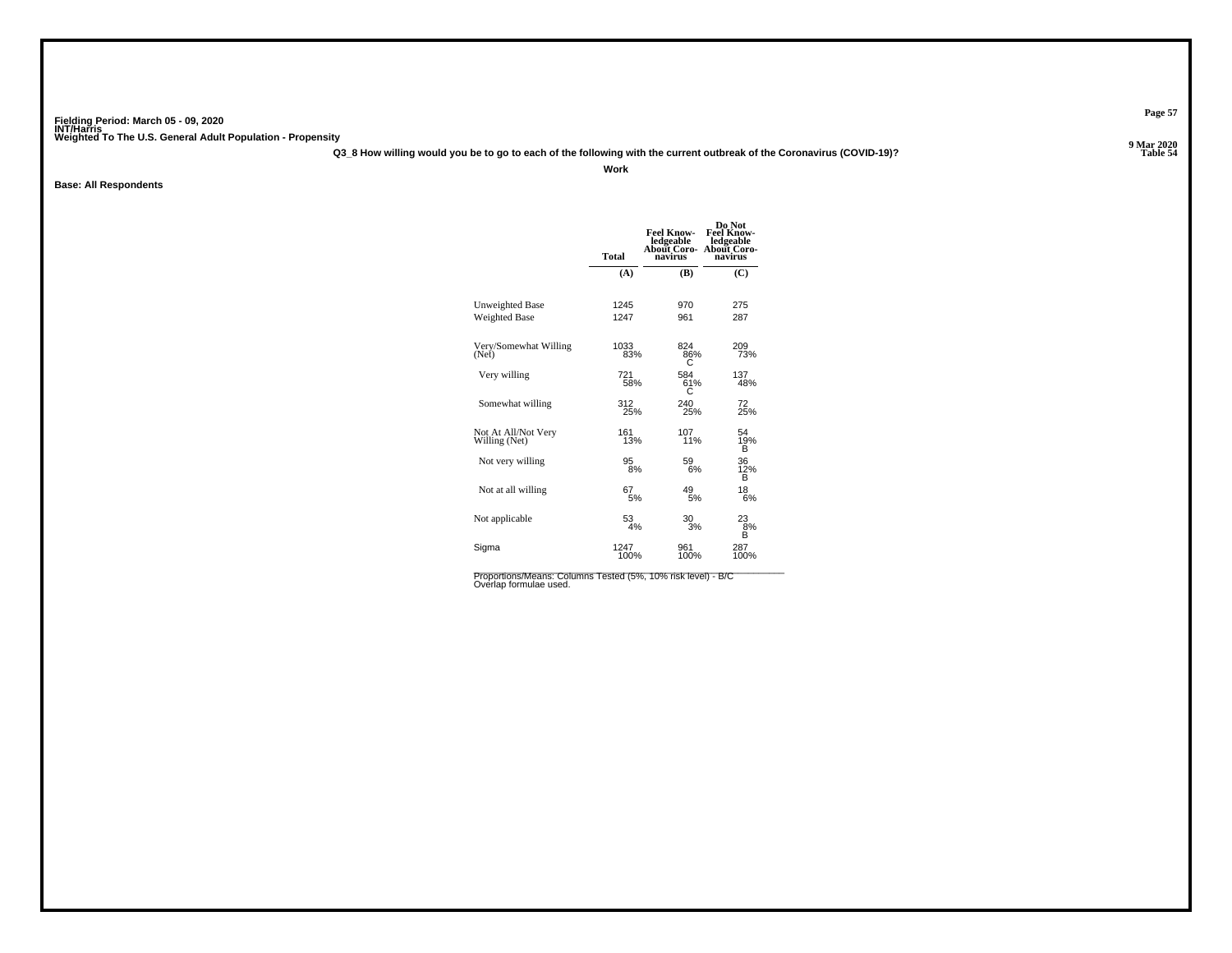**Q3\_8 How willing would you be to go to each of the following with the current outbreak of the Coronavirus (COVID-19)?**

**Work**

**Base: All Respondents**

|                                      | Total        | <b>Feel Know-</b><br>ledgeable<br><b>About Coro-</b><br>navirus | Do Not<br><b>Feel Know-</b><br>ledgeable<br><b>About Coro-</b><br>navirus |
|--------------------------------------|--------------|-----------------------------------------------------------------|---------------------------------------------------------------------------|
|                                      | (A)          | (B)                                                             | (C)                                                                       |
| <b>Unweighted Base</b>               | 1245         | 970                                                             | 275                                                                       |
| <b>Weighted Base</b>                 | 1247         | 961                                                             | 287                                                                       |
| Very/Somewhat Willing<br>(Net)       | 1033<br>83%  | 824<br>86%                                                      | 209<br>73%                                                                |
| Very willing                         | 721<br>58%   | 584<br>61%<br>С                                                 | 137<br>48%                                                                |
| Somewhat willing                     | 312<br>25%   | 240<br>25%                                                      | 72<br>25%                                                                 |
| Not At All/Not Very<br>Willing (Net) | 161<br>13%   | 107<br>11%                                                      | 54<br>19%<br>в                                                            |
| Not very willing                     | 95<br>8%     | 59<br>6%                                                        | 36<br>$\frac{12}{B}$                                                      |
| Not at all willing                   | 67<br>5%     | 49<br>5%                                                        | 18<br>6%                                                                  |
| Not applicable                       | 53<br>4%     | 30<br>3%                                                        | 23<br>8%<br>B                                                             |
| Sigma                                | 1247<br>100% | 961<br>100%                                                     | 287<br>100%                                                               |

Proportions/Means: Columns Tested (5%, 10% risk level) - B/C<br>Overlap formulae used.

**Page 57**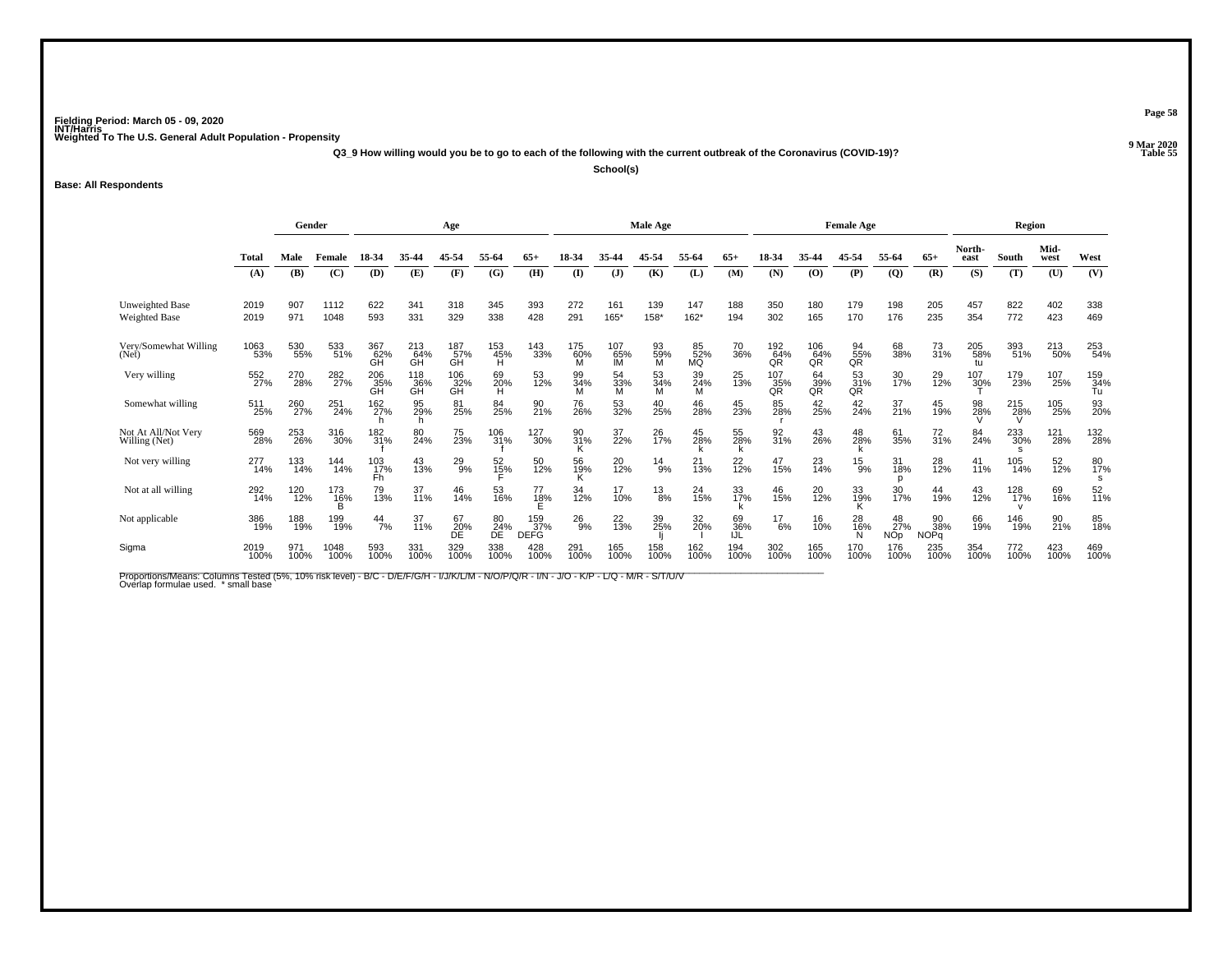**Q3\_9 How willing would you be to go to each of the following with the current outbreak of the Coronavirus (COVID-19)?**

**School(s)**

**Base: All Respondents**

|                                         |              | Gender<br>Age |                     |                  |                  |                        | Male Age          |                           |                 |                  |                | <b>Female Age</b> |                  |                  |                  | Region               |                         |                          |                  |             |              |                  |
|-----------------------------------------|--------------|---------------|---------------------|------------------|------------------|------------------------|-------------------|---------------------------|-----------------|------------------|----------------|-------------------|------------------|------------------|------------------|----------------------|-------------------------|--------------------------|------------------|-------------|--------------|------------------|
|                                         | <b>Total</b> | Male          | Female              | 18-34            | 35-44            | 45.54                  | 55-64             | 65+                       | 18-34           | 35-44            | 45-54          | 55-64             | $65+$            |                  | 35-44            | 45-54                | 55-64                   | $65+$                    | North-<br>east   | South       | Mid-<br>west | West             |
|                                         | (A)          | (B)           | (C)                 | (D)              | (E)              | (F)                    | (G)               | (H)                       | $\mathbf{I}$    | $\mathbf{J}$     | (K)            | (L)               | (M)              | (N)              | (0)              | (P)                  | $\overline{Q}$          | (R)                      | (S)              | (T)         | (U)          | (V)              |
| <b>Unweighted Base</b><br>Weighted Base | 2019<br>2019 | 907<br>971    | 1112<br>1048        | 622<br>593       | 341<br>331       | 318<br>329             | 345<br>338        | 393<br>428                | 272<br>291      | 161<br>165*      | 139<br>158*    | 147<br>162*       | 188<br>194       | 350<br>302       | 180<br>165       | 179<br>170           | 198<br>176              | 205<br>235               | 457<br>354       | 822<br>772  | 402<br>423   | 338<br>469       |
| Very/Somewhat Willing<br>(Net)          | 1063<br>53%  | 530<br>55%    | 533<br>51%          | 367<br>62%<br>ĞН | 213<br>64%<br>GH | 187 <sub>%</sub><br>ĞĤ | 153<br>45%<br>H   | 143<br>33%                | 175<br>60%<br>м | 107<br>65%<br>IM | 93<br>59%<br>M | 85<br>52%<br>MQ   | 70<br>36%        | 192<br>64%<br>QR | 106<br>64%<br>QR | $\frac{94}{55\%}$ QR | 68<br>38%               | $\frac{73}{31\%}$        | 205<br>58%<br>tu | 393<br>51%  | 213<br>50%   | 253<br>54%       |
| Very willing                            | 552<br>27%   | 270<br>28%    | 282<br>27%          | 206<br>35%<br>GH | 118<br>36%       | 106<br>$\frac{32}{6}$  | 69<br>20%<br>H    | 53<br>12%                 | 99<br>34%<br>м  | 54<br>33%<br>M   | 53<br>34%      | 39<br>24%<br>M    | 25<br>13%        | 107<br>35%<br>QR | 64<br>39%<br>QR  | $\frac{53}{31\%}$ QR | 30<br>17%               | 29<br>12%                | 107<br>30%       | 179<br>23%  | 107<br>25%   | 159<br>34%<br>Tu |
| Somewhat willing                        | 511<br>25%   | 260<br>27%    | 251<br>24%          | 162<br>27%       | 95<br>29%        | 81<br>25%              | 84<br>25%         | 90<br>21%                 | 76<br>26%       | 53<br>32%        | 40<br>25%      | 46<br>28%         | 45<br>23%        | 85<br>28%        | 42<br>25%        | 42<br>24%            | 37<br>21%               | 45<br>19%                | 98<br>28%        | 215<br>28%  | 105<br>25%   | 93<br>20%        |
| Not At All/Not Very<br>Willing (Net)    | 569<br>28%   | 253<br>26%    | 316<br>30%          | 182<br>31%       | 80<br>24%        | 75<br>23%              | 106<br>31%        | 127<br>30%                | 90<br>31%<br>ĸ  | 37<br>22%        | 26<br>17%      | 45<br>28%         | 55<br>28%        | 92<br>31%        | 43<br>26%        | 48<br>28%            | 61<br>35%               | $\frac{72}{31\%}$        | 84<br>24%        | 233<br>30%  | 121<br>28%   | 132<br>28%       |
| Not very willing                        | 277<br>14%   | 133<br>14%    | 144<br>14%          | 103<br>17%<br>Fh | 43<br>13%        | $^{29}_{9\%}$          | $\frac{52}{15\%}$ | 50<br>12%                 | 56<br>19%       | 20<br>12%        | $^{14}_{9\%}$  | 21<br>13%         | $^{22}_{12\%}$   | 47<br>15%        | 23<br>14%        | $^{15}_{9\%}$        | 31<br>18%               | 28<br>12%                | 41<br>11%        | 105<br>14%  | 52<br>12%    | 80<br>17%<br>s   |
| Not at all willing                      | 292<br>14%   | 120<br>12%    | 173<br>1 <u>6</u> % | 79<br>13%        | 37<br>11%        | 46<br>14%              | 53<br>16%         | 77<br>18%                 | 34<br>12%       | 17<br>10%        | $^{13}_{8\%}$  | 24<br>15%         | 33<br>17%        | 46<br>15%        | 20<br>12%        | 33<br>19%<br>ĸ       | 30<br>17%               | 44<br>19%                | 43<br>12%        | 128<br>17%  | 69<br>16%    | 52<br>11%        |
| Not applicable                          | 386<br>19%   | 188<br>19%    | 199<br>19%          | $\frac{44}{7\%}$ | 37<br>11%        | 67<br>20%<br>DÉ        | 80<br>24%<br>DE   | 159<br>37%<br><b>DEFG</b> | $^{26}_{9\%}$   | 22<br>13%        | 39<br>25%      | 32<br>20%         | 69<br>36%<br>IJĹ | $^{17}_{6\%}$    | 16<br>10%        | 28<br>16%            | 48<br>27%<br><b>NOp</b> | 90<br>38%<br><b>NOPq</b> | 66<br>19%        | 146<br>19%  | 90<br>21%    | 85<br>18%        |
| Sigma                                   | 2019<br>100% | 971<br>100%   | 1048<br>100%        | 593<br>100%      | 331<br>100%      | 329<br>100%            | 338<br>100%       | 428<br>100%               | 291<br>100%     | 165<br>100%      | 158<br>100%    | 162<br>100%       | 194<br>100%      | 302<br>100%      | 165<br>100%      | 170<br>100%          | 176<br>100%             | 235<br>100%              | 354<br>100%      | 772<br>100% | 423<br>100%  | 469<br>100%      |

Proportions/Means: Columns Tested (5%, 10% risk level) - B/C - D/E/F/G/H - I/J/K/L/M - N/O/P/Q/R - I/N - J/O - K/P - L/Q - M/R - S/T/U/V<br>Overlap formulae used. \*small base

**Page 58**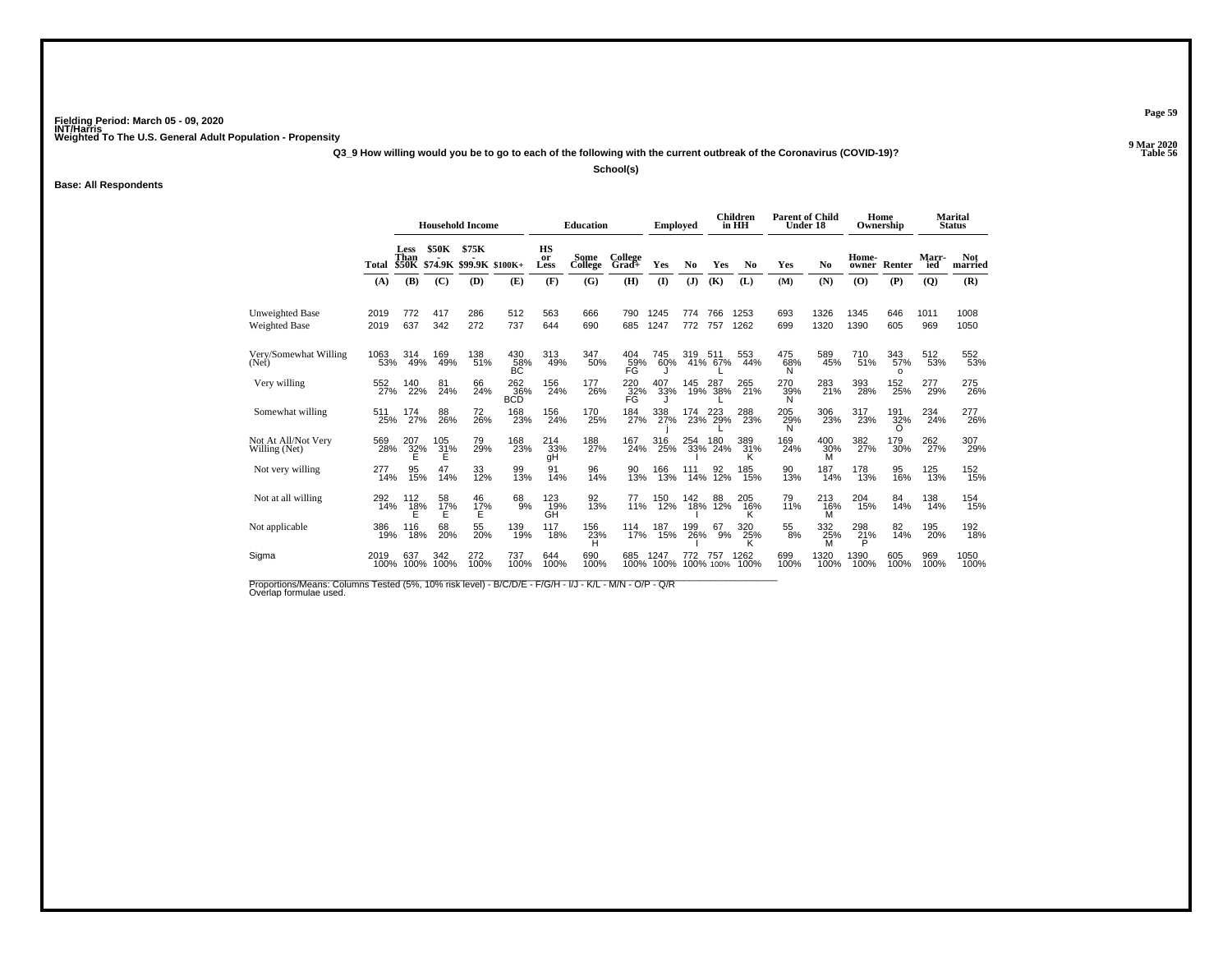**Q3\_9 How willing would you be to go to each of the following with the current outbreak of the Coronavirus (COVID-19)?**

**School(s)**

**Base: All Respondents**

|                                      |              | <b>Household Income</b> |                               |                         |                    |                                        | <b>Education</b> |                       | <b>Employed</b>   |            |                    | Children<br>in HH       | <b>Parent of Child</b><br>Under 18 |                       |                            | Home<br>Ownership      |                | Marital<br><b>Status</b> |
|--------------------------------------|--------------|-------------------------|-------------------------------|-------------------------|--------------------|----------------------------------------|------------------|-----------------------|-------------------|------------|--------------------|-------------------------|------------------------------------|-----------------------|----------------------------|------------------------|----------------|--------------------------|
|                                      | Total        | Less<br>Than            | <b>\$50K</b><br>\$50K \$74.9K | \$75K<br><b>\$99.9K</b> | $$100K+$           | HS<br>or<br>Less                       | Some<br>College  | College<br>Grad+      | Yes               | No         | Yes                | N <sub>0</sub>          | Yes                                | No                    | Home-<br>owner             | Renter                 | Marr-<br>ied   | <b>Not</b><br>married    |
|                                      | (A)          | (B)                     | (C)                           | (D)                     | (E)                | (F)                                    | (G)              | (H)                   | (1)               | (J)        | (K)                | (L)                     | (M)                                | (N)                   | (O)                        | (P)                    | $\overline{Q}$ | (R)                      |
| Unweighted Base<br>Weighted Base     | 2019<br>2019 | 772<br>637              | 417<br>342                    | 286<br>272              | 512<br>737         | 563<br>644                             | 666<br>690       | 790<br>685            | 1245<br>1247      | 774<br>772 | 766<br>757         | 1253<br>1262            | 693<br>699                         | 1326<br>1320          | 1345<br>1390               | 646<br>605             | 1011<br>969    | 1008<br>1050             |
| Very/Somewhat Willing<br>(Net)       | 1063<br>53%  | 314<br>49%              | 169<br>49%                    | 138<br>51%              | 430<br>58%<br>BC   | 313<br>49%                             | 347<br>50%       | 404<br>59%<br>FĜ      | 745<br>60%        | 319        | 511<br>41% 67%     | 553<br>44%              | 475<br>68%<br>N                    | 589<br>45%            | 710<br>51%                 | 343<br>57%<br>$\Omega$ | 512<br>53%     | 552<br>53%               |
| Very willing                         | 552<br>27%   | 140<br>22%              | 81<br>24%                     | 66<br>24%               | 262%<br><b>BCD</b> | 156<br>24%                             | 177<br>26%       | $^{220}_{32\%}$<br>FG | 407<br>33%        |            | 145 287<br>19% 38% | 265<br>21%              | 270<br>39%<br>N                    | 283<br>21%            | 393<br>28%                 | 152<br>25%             | 277<br>29%     | 275<br>26%               |
| Somewhat willing                     | 511<br>25%   | 174<br>27%              | 88<br>26%                     | 72<br>26%               | 168<br>23%         | 156<br>24%                             | 170<br>25%       | 184<br>27%            | 338<br>27%        | 174        | 223<br>23% 29%     | 288<br>23%              | 205<br>$\frac{29}{N}$              | 306<br>23%            | 317<br>23%                 | 191<br>$\frac{32}{6}$  | 234<br>24%     | 277<br>26%               |
| Not At All/Not Very<br>Willing (Net) | 569<br>28%   | 207<br>32%<br>E         | 105<br>31%                    | 79<br>29%               | 168<br>23%         | 214<br>33%<br>qΗ                       | 188<br>27%       | 167<br>24%            | 316<br>25%        | 254<br>33% | 180<br>24%         | 389<br>31%              | 169<br>24%                         | 400<br>30%<br>M       | $\frac{382}{27\%}$         | 179<br>30%             | 262<br>27%     | 307<br>29%               |
| Not very willing                     | 277<br>14%   | 95<br>15%               | 14%                           | 33<br>12%               | 99<br>13%          | 91<br>14%                              | 96<br>14%        | 90<br>13%             | 166<br>13%        | 14%        | 92<br>12%          | 185<br>15%              | 90<br>13%                          | 187<br>14%            | 178<br>13%                 | 95<br>16%              | l 25<br>13%    | 152<br>15%               |
| Not at all willing                   | 292<br>14%   | 112<br>$^{18}_{E}$ %    | 58<br>$\frac{17}{5}$          | 46<br>$^{17\%}_{E}$     | 68<br>9%           | 123<br>$\overline{G}^{\overline{9}}$ % | 92<br>13%        | 77<br>11%             | 150<br>12%        | 142<br>18% | 88<br>12%          | 205<br>$\frac{16\%}{K}$ | 79<br>11%                          | 213<br>16%            | 204<br>15%                 | 84<br>14%              | 138<br>14%     | 154<br>15%               |
| Not applicable                       | 386<br>19%   | 116<br>18%              | 68<br>20%                     | 55<br>20%               | 139<br>19%         | 117<br>18%                             | 156<br>23%<br>H  | 114<br>17%            | 187<br>15%        | 199<br>26% | 67<br>9%           | 320<br>$\frac{25}{6}$   | 55<br>8%                           | 332<br>$\frac{25}{M}$ | 298<br>$^{21}_{\text{B}}%$ | 82<br>14%              | 195<br>20%     | 192<br>18%               |
| Sigma                                | 2019<br>100% | 637<br>100%             | 342<br>100%                   | 272<br>100%             | 737<br>100%        | 644<br>100%                            | 690<br>100%      | 685                   | 1247<br>100% 100% | 772        | 757<br>100% 100%   | 1262<br>100%            | 699<br>100%                        | 1320<br>100%          | 1390<br>100%               | 605<br>100%            | 969<br>100%    | 1050<br>100%             |

Proportions/Means: Columns Tested (5%, 10% risk level) - B/C/D/E - F/G/H - I/J - K/L - M/N - O/P - Q/R<br>Overlap formulae used.

**Page 59**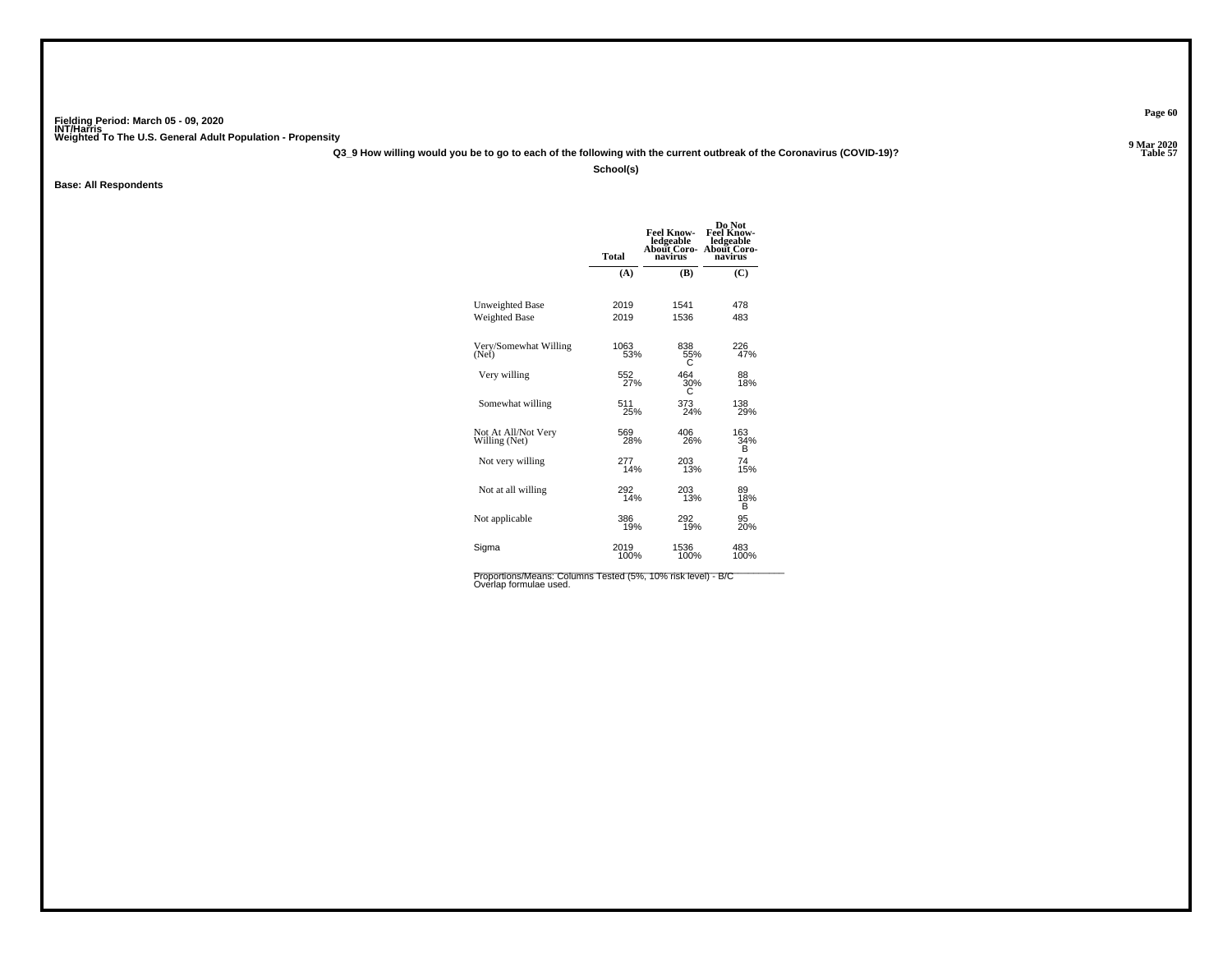**Q3\_9 How willing would you be to go to each of the following with the current outbreak of the Coronavirus (COVID-19)?**

**School(s)**

**Base: All Respondents**

|                                      | <b>Total</b> | <b>Feel Know-</b><br>ledgeable<br><b>About Coro-</b><br>navirus | Do Not<br><b>Feel Know-</b><br>ledgeable<br>About Coro-<br>navirus |
|--------------------------------------|--------------|-----------------------------------------------------------------|--------------------------------------------------------------------|
|                                      | (A)          | (B)                                                             | (C)                                                                |
| Unweighted Base                      | 2019         | 1541                                                            | 478                                                                |
| Weighted Base                        | 2019         | 1536                                                            | 483                                                                |
| Very/Somewhat Willing                | 1063         | 838                                                             | 226                                                                |
| (Net)                                | 53%          | 55%                                                             | 47%                                                                |
| Very willing                         | 552          | 464                                                             | 88                                                                 |
|                                      | 27%          | 30%                                                             | 18%                                                                |
| Somewhat willing                     | 511          | 373                                                             | 138                                                                |
|                                      | 25%          | 24%                                                             | 29%                                                                |
| Not At All/Not Very<br>Willing (Net) | 569<br>28%   | 406<br>26%                                                      | 163<br>34%<br>в                                                    |
| Not very willing                     | 277          | 203                                                             | 74                                                                 |
|                                      | 14%          | 13%                                                             | 15%                                                                |
| Not at all willing                   | 292<br>14%   | 203<br>13%                                                      | 89<br>18%<br>в                                                     |
| Not applicable                       | 386          | 292                                                             | 95                                                                 |
|                                      | 19%          | 19%                                                             | 20%                                                                |
| Sigma                                | 2019         | 1536                                                            | 483                                                                |
|                                      | 100%         | 100%                                                            | 100%                                                               |
|                                      |              |                                                                 |                                                                    |

Proportions/Means: Columns Tested (5%, 10% risk level) - B/C<br>Overlap formulae used.

**Page 60**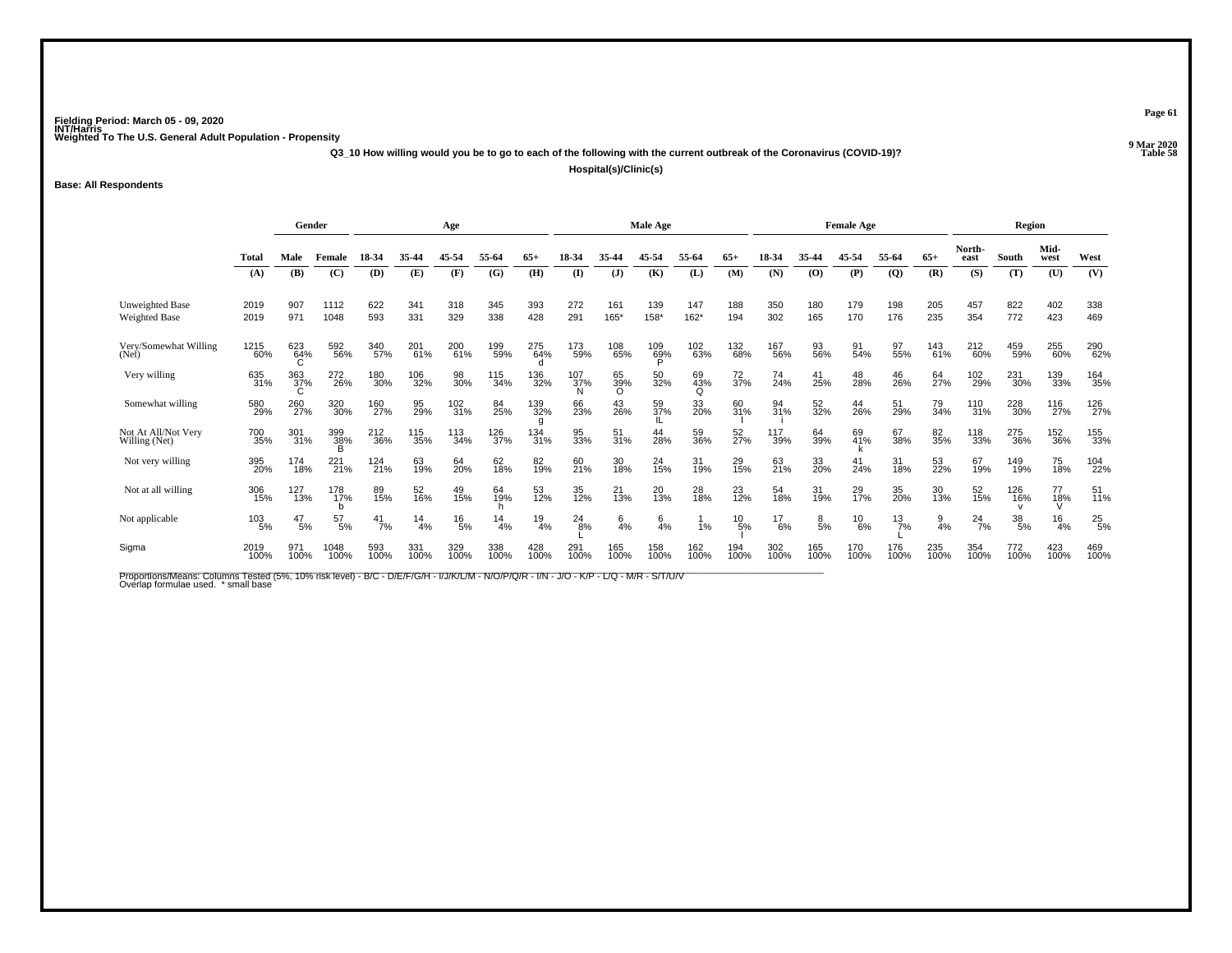**Q3\_10 How willing would you be to go to each of the following with the current outbreak of the Coronavirus (COVID-19)?**

**Hospital(s)/Clinic(s)**

**Base: All Respondents**

|                                      |              |                    | Gender<br>Age   |               |                  |                    | Male Age        |                 |                 |                   |             | <b>Female Age</b> |                  |                               |                | Region        |                 |                |                       |                  |                 |               |
|--------------------------------------|--------------|--------------------|-----------------|---------------|------------------|--------------------|-----------------|-----------------|-----------------|-------------------|-------------|-------------------|------------------|-------------------------------|----------------|---------------|-----------------|----------------|-----------------------|------------------|-----------------|---------------|
|                                      | Total        | Male               | Female          | 18-34         | 35-44            | 45-54              | 55-64           | $65+$           | 18-34           |                   | 45-54       | 55-64             | $65+$            | 18-34                         | 35-44          | 45-54         | 55-64           | $65+$          | North-<br>east        | South            | Mid-<br>west    | West          |
|                                      | (A)          | (B)                | (C)             | (D)           | (E)              | (F)                | (G)             | (H)             | (I)             | $\mathbf{J}$      | (K)         | (L)               | (M)              | (N)                           | (0)            | (P)           | $\overline{Q}$  | (R)            | (S)                   | (T)              | (U)             | (V)           |
| Unweighted Base<br>Weighted Base     | 2019<br>2019 | 907<br>971         | 1112<br>1048    | 622<br>593    | 341<br>331       | 318<br>329         | 345<br>338      | 393<br>428      | 272<br>291      | 161<br>165*       | 139<br>158* | 147<br>162*       | 188<br>194       | 350<br>302                    | 180<br>165     | 179<br>170    | 198<br>176      | 205<br>235     | 457<br>354            | 822<br>772       | 402<br>423      | 338<br>469    |
| Very/Somewhat Willing<br>(Net)       | 1215<br>60%  | 623<br>64%         | 592<br>56%      | 340<br>57%    | 201 <sub>%</sub> | 200<br>61%         | 199<br>59%      | 275<br>64%      | 173<br>59%      | 108<br>65%        | 109%        | 102<br>63%        | 132<br>68%       | <sup>167</sup> 56%            | 93<br>56%      | 91<br>54%     | 97<br>55%       | 143<br>61%     | 212<br>60%            | 459<br>59%       | 255<br>60%      | 290<br>62%    |
| Very willing                         | 635<br>31%   | 363<br>37%<br>C    | 272<br>26%      | 180<br>30%    | 106<br>32%       | 98<br>30%          | 115<br>34%      | 136<br>32%      | $^{107}_{37\%}$ | 65<br>39%<br>O    | 50<br>32%   | 69<br>43%<br>Q    | 72<br>37%        | 74<br>24%                     | 41<br>25%      | 48<br>28%     | 46<br>26%       | 64<br>27%      | 102<br>29%            | 231<br>30%       | 139<br>33%      | 164<br>35%    |
| Somewhat willing                     | 580<br>29%   | 260<br>27%         | 320<br>30%      | 160<br>27%    | 95<br>29%        | $\frac{102}{31\%}$ | 84<br>25%       | 139<br>32%<br>g | 66<br>23%       | $^{43}_{26\%}$    | 59<br>37%   | 33<br>20%         | 60<br>31%        | 94<br>31%                     | 52<br>32%      | 44<br>26%     | 51<br>29%       | 79<br>34%      | 110<br>31%            | 228<br>30%       | 116<br>27%      | 126<br>27%    |
| Not At All/Not Very<br>Willing (Net) | 700<br>35%   | $\frac{301}{31\%}$ | 399<br>38%<br>B | 212<br>36%    | 115<br>35%       | $\frac{113}{34\%}$ | 126<br>37%      | $^{134}_{31\%}$ | 95<br>33%       | $\frac{51}{31\%}$ | 44<br>28%   | 59<br>36%         | 52 <sub>7%</sub> | <sup>117</sup> <sub>39%</sub> | 64<br>39%      | 69<br>41%     | 67<br>38%       | 82<br>35%      | 118<br>33%            | 275<br>36%       | 152<br>36%      | 155<br>33%    |
| Not very willing                     | 395<br>20%   | 174<br>18%         | $^{221}_{21\%}$ | 124<br>21%    | 63<br>19%        | 64<br>20%          | 62<br>18%       | 82<br>19%       | 60<br>21%       | 30<br>18%         | 24<br>15%   | 31<br>19%         | 29<br>15%        | 63<br>21%                     | 33<br>20%      | 41<br>24%     | 31<br>18%       | 53<br>22%      | 67<br>19%             | 149<br>19%       | 75<br>18%       | 104<br>22%    |
| Not at all willing                   | 306<br>15%   | 127<br>13%         | 178<br>17%      | 89<br>15%     | 52<br>16%        | 49<br>15%          | 64<br>19%       | 53<br>12%       | 35<br>12%       | $^{21}_{13\%}$    | 20<br>13%   | 28<br>18%         | 23<br>12%        | 54<br>18%                     | 31<br>19%      | 29<br>17%     | 35<br>20%       | 30<br>13%      | 52<br>15%             | 126<br>16%       | 77<br>18%       | 51<br>11%     |
| Not applicable                       | 103<br>5%    | $^{47}_{\ 5\%}$    | $^{57}_{5\%}$   | $^{41}_{7\%}$ | 14<br>4%         | $^{16}_{5\%}$      | $\frac{14}{4%}$ | $\frac{19}{4%}$ | $^{24}_{8\%}$   | $6\over 4%$       | 6/4%        | 1%                | $^{10}_{\ 5\%}$  | $^{17}_{6\%}$                 | $\frac{8}{5%}$ | $^{10}_{6\%}$ | $\frac{13}{7%}$ | $\frac{9}{4%}$ | $^{24}$ <sup>7%</sup> | $\frac{38}{5\%}$ | $\frac{16}{4%}$ | $^{25}_{5\%}$ |
| Sigma                                | 2019<br>100% | 971<br>100%        | 1048<br>100%    | 593<br>100%   | 331<br>100%      | 329<br>100%        | 338<br>100%     | 428<br>100%     | 291<br>100%     | 165<br>100%       | 158<br>100% | 162<br>100%       | 194<br>100%      | 302<br>100%                   | 165<br>100%    | 170<br>100%   | 176<br>100%     | 235<br>100%    | 354<br>100%           | 772<br>100%      | 423<br>100%     | 469<br>100%   |

Proportions/Means: Columns Tested (5%, 10% risk level) - B/C - D/E/F/G/H - I/J/K/L/M - N/O/P/Q/R - I/N - J/O - K/P - L/Q - M/R - S/T/U/V<br>Overlap formulae used. \*small base

**Page 61**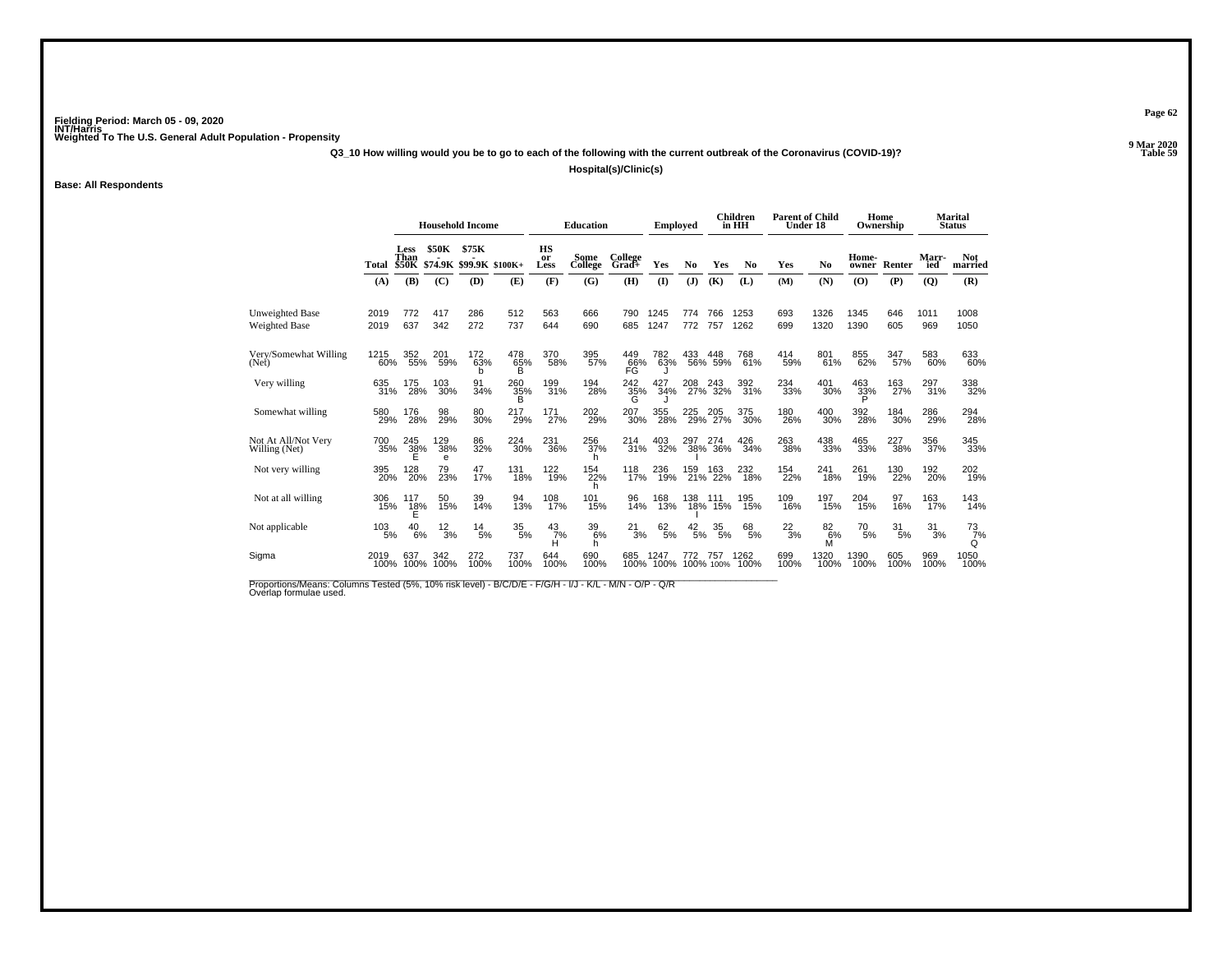**Q3\_10 How willing would you be to go to each of the following with the current outbreak of the Coronavirus (COVID-19)?**

**Hospital(s)/Clinic(s)**

**Base: All Respondents**

|                                      |              |                       | <b>Household Income</b> |                                |                        |                   | <b>Education</b>   |                  | <b>Employed</b>   |                 |                    | <b>Children</b><br>in HH | <b>Parent of Child</b><br>Under 18 |              |                      | Home<br>Ownership |                     | <b>Marital</b><br><b>Status</b> |
|--------------------------------------|--------------|-----------------------|-------------------------|--------------------------------|------------------------|-------------------|--------------------|------------------|-------------------|-----------------|--------------------|--------------------------|------------------------------------|--------------|----------------------|-------------------|---------------------|---------------------------------|
|                                      | Total        | Less<br>Than          | <b>\$50K</b>            | \$75K<br>\$50K \$74.9K \$99.9K | $$100K+$               | HS<br>or<br>Less  | Some<br>College    | College<br>Grad+ | Yes               | No              | Yes                | N <sub>0</sub>           | Yes                                | No           | Home-<br>owner       | Renter            | <b>Marr-</b><br>ied | <b>Not</b><br>married           |
|                                      | (A)          | (B)                   | (C)                     | (D)                            | (E)                    | (F)               | (G)                | (H)              | $($ $\Gamma$      | (J)             | (K)                | (L)                      | (M)                                | (N)          | (0)                  | (P)               | (Q)                 | (R)                             |
| Unweighted Base<br>Weighted Base     | 2019<br>2019 | 772<br>637            | 417<br>342              | 286<br>272                     | 512<br>737             | 563<br>644        | 666<br>690         | 790<br>685       | 1245<br>1247      | 774<br>772      | 766<br>757         | 1253<br>1262             | 693<br>699                         | 1326<br>1320 | 1345<br>1390         | 646<br>605        | 1011<br>969         | 1008<br>1050                    |
| Very/Somewhat Willing<br>(Net)       | 1215<br>60%  | 352<br>55%            | 201<br>59%              | 172<br>63%<br>b                | 478<br>65%<br>B        | 370<br>58%        | 395<br>57%         | 449<br>66%<br>FG | 782<br>63%        | 433             | 448<br>56% 59%     | 768<br>61%               | 414<br>59%                         | 801<br>61%   | 855<br>62%           | 347<br>57%        | 583<br>60%          | 633<br>60%                      |
| Very willing                         | 635<br>31%   | 175<br>28%            | 103<br>30%              | 91<br>34%                      | 260<br>35%             | 199<br>31%        | 194<br>28%         | 242<br>35%<br>G  | 427<br>34%        |                 | 208 243<br>27% 32% | 392<br>31%               | 234<br>33%                         | 401<br>30%   | $^{463}_{33\%}$<br>Đ | 163<br>27%        | 297<br>31%          | 338<br>32%                      |
| Somewhat willing                     | 580<br>29%   | 176<br>28%            | 98<br>29%               | 80<br>30%                      | 217<br>29%             | 171<br>27%        | 202<br>29%         | 207<br>30%       | 355<br>28%        |                 | 225 205<br>29% 27% | 375<br>30%               | 180<br>26%                         | 400<br>30%   | 392<br>28%           | 184<br>30%        | 286<br>29%          | 294<br>28%                      |
| Not At All/Not Very<br>Willing (Net) | 700<br>35%   | 245<br>38%<br>E       | 129<br>38%<br>e         | 86<br>32%                      | 224<br>30%             | 231<br>36%        | 256<br>37%<br>h    | 214<br>31%       | 403<br>32%        | 297             | 274<br>38% 36%     | 426<br>34%               | 263<br>38%                         | 438<br>33%   | 465<br>33%           | 227<br>38%        | 356<br>37%          | 345<br>33%                      |
| Not very willing                     | 395<br>20%   | 128<br>20%            | 79<br>23%               | 47<br>17%                      | 131<br>18%             | 122<br>19%        | 154<br>22%<br>h    | 118<br>17%       | 236<br>19%        | 159<br>21%      | 163<br>22%         | 232<br>18%               | 154<br>22%                         | 241<br>18%   | 261<br>19%           | 130<br>22%        | 192 <sub>0%</sub>   | 202 <sub>0%</sub>               |
| Not at all willing                   | 306<br>15%   | 117<br>$\frac{18}{5}$ | 50<br>15%               | 39<br>14%                      | 94<br>13%              | $\frac{108}{17%}$ | 101<br>15%         | 96<br>14%        | 168<br>13%        | 138<br>18%      | 111<br>15%         | 195<br>15%               | 109<br>16%                         | 197<br>15%   | 204<br>15%           | 97<br>16%         | 163<br>17%          | 143<br>14%                      |
| Not applicable                       | 103<br>5%    | 40<br>6%              | $^{12}_{3\%}$           | $^{14}_{\ 5\%}$                | $\substack{35 \\ 5\%}$ | $\frac{43}{7\%}$  | $^{39}_{6\%}$<br>h | $^{21}_{3\%}$    | 62/5%             | $^{42}_{\ 5\%}$ | $^{35}_{\ 5\%}$    | $^{68}_{5\%}$            | $^{22}_{3\%}$                      | 826%<br>M    | 70<br>5%             | 31<br>5%          | 31<br>3%            | $\frac{73}{7}\%$<br>Q           |
| Sigma                                | 2019<br>100% | 637<br>100%           | 342<br>100%             | 272<br>100%                    | 737<br>100%            | 644<br>100%       | 690<br>100%        | 685              | 1247<br>100% 100% | 772             | 757<br>100% 100%   | 1262<br>100%             | 699<br>100%                        | 1320<br>100% | 1390<br>100%         | 605<br>100%       | 969<br>100%         | 1050<br>100%                    |

Proportions/Means: Columns Tested (5%, 10% risk level) - B/C/D/E - F/G/H - I/J - K/L - M/N - O/P - Q/R<br>Overlap formulae used.

**Page 62**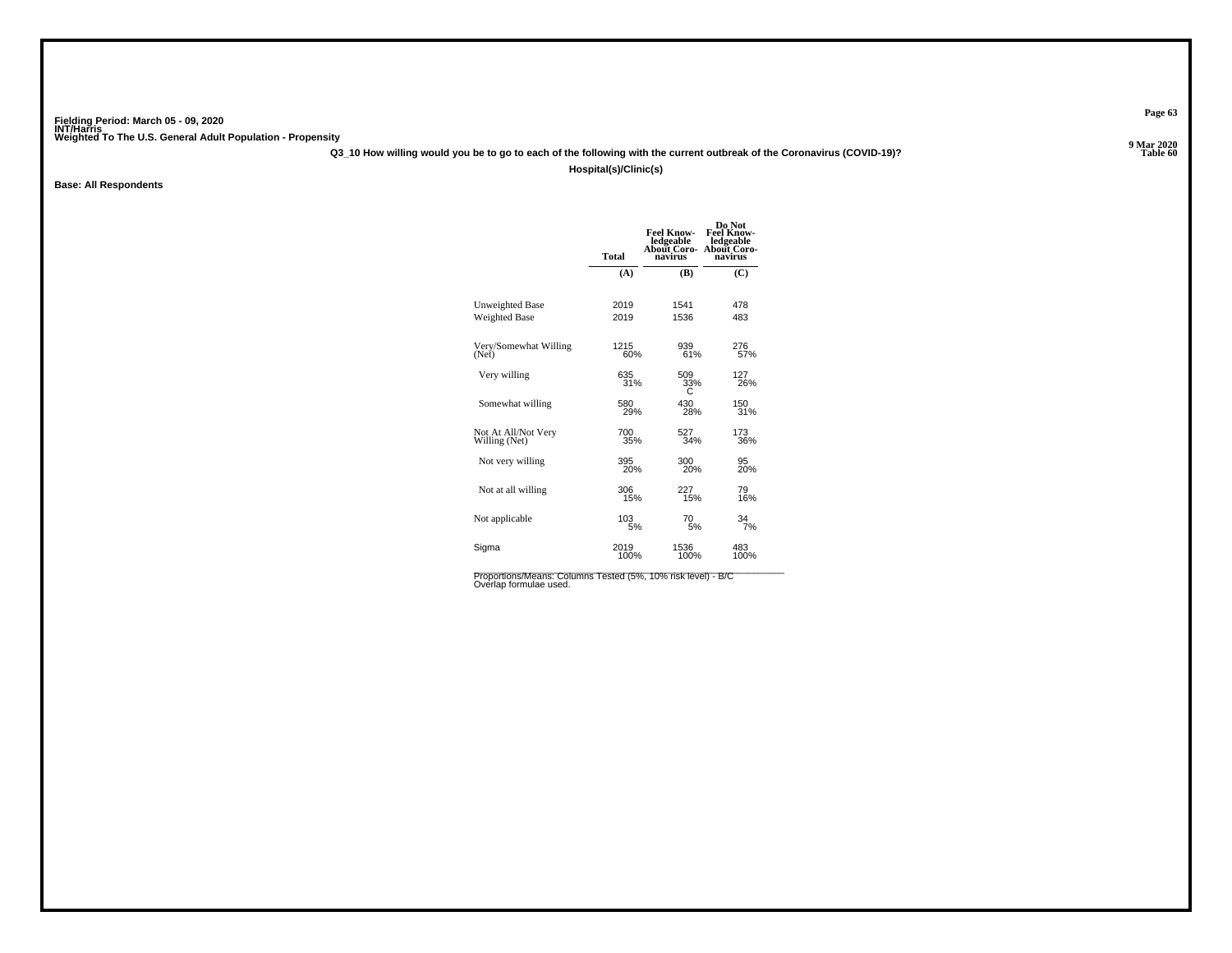**Q3\_10 How willing would you be to go to each of the following with the current outbreak of the Coronavirus (COVID-19)?**

**Hospital(s)/Clinic(s)**

**Base: All Respondents**

|                        | <b>Total</b> | <b>Feel Know-</b><br>ledgeable<br>About Coro-<br>navirus | Do Not<br><b>Feel Know-</b><br>ledgeable<br><b>About Coro-</b><br>navirus |
|------------------------|--------------|----------------------------------------------------------|---------------------------------------------------------------------------|
|                        | (A)          | (B)                                                      | (C)                                                                       |
| <b>Unweighted Base</b> | 2019         | 1541                                                     | 478                                                                       |
| <b>Weighted Base</b>   | 2019         | 1536                                                     | 483                                                                       |
| Very/Somewhat Willing  | 1215         | 939                                                      | 276<br>57%                                                                |
| (Net)                  | 60%          | 61%                                                      |                                                                           |
| Very willing           | 635          | 509                                                      | 127                                                                       |
|                        | 31%          | 33%                                                      | 26%                                                                       |
| Somewhat willing       | 580          | 430                                                      | 150                                                                       |
|                        | 29%          | 28%                                                      | 31%                                                                       |
| Not At All/Not Very    | 700          | 527                                                      | 173                                                                       |
| Willing (Net)          | 35%          | 34%                                                      | 36%                                                                       |
| Not very willing       | 395<br>20%   | 300<br>20%                                               | 95<br>20%                                                                 |
| Not at all willing     | 306          | 227                                                      | 79                                                                        |
|                        | 15%          | 15%                                                      | 16%                                                                       |
| Not applicable         | 103          | 70                                                       | 34                                                                        |
|                        | 5%           | 5%                                                       | 7%                                                                        |
| Sigma                  | 2019         | 1536                                                     | 483                                                                       |
|                        | 100%         | 100%                                                     | 100%                                                                      |
|                        |              |                                                          |                                                                           |

Proportions/Means: Columns Tested (5%, 10% risk level) - B/C<br>Overlap formulae used.

**Page 63**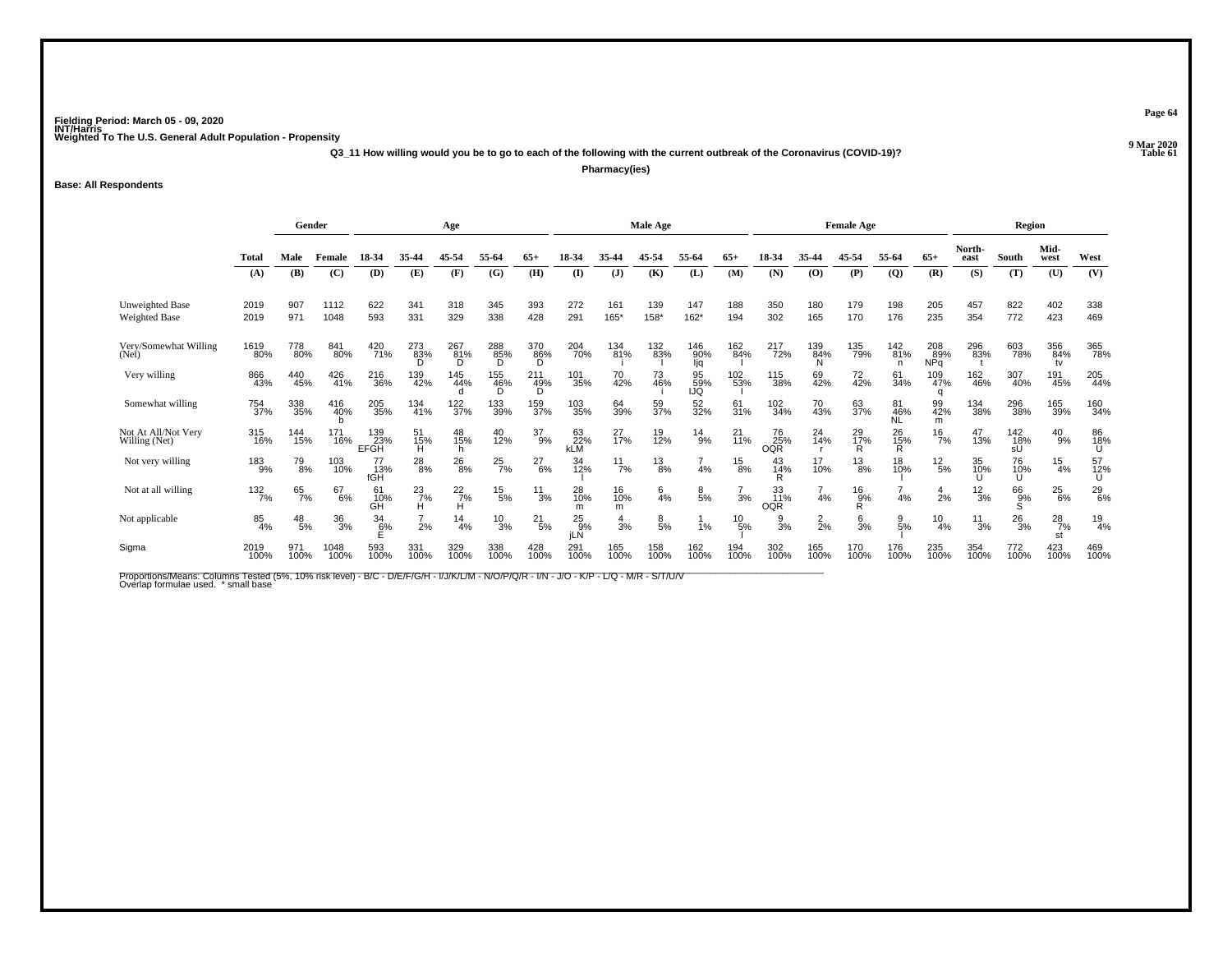**Q3\_11 How willing would you be to go to each of the following with the current outbreak of the Coronavirus (COVID-19)?**

**Pharmacy(ies)**

**Base: All Respondents**

|                                         | Gender         |                 |              | Age                |                    |                         |                 |                 | Male Age                |                  |                    |                   |                 | <b>Female Age</b>       |                 |                       |                        | Region                   |                 |                  |                     |                 |
|-----------------------------------------|----------------|-----------------|--------------|--------------------|--------------------|-------------------------|-----------------|-----------------|-------------------------|------------------|--------------------|-------------------|-----------------|-------------------------|-----------------|-----------------------|------------------------|--------------------------|-----------------|------------------|---------------------|-----------------|
|                                         | Total          | Male            | Female       | 18-34              | 35-44              | 45-54                   | 55-64           | $65+$           | 18-34                   |                  | 45-54              | 55-64             | $65+$           |                         | 35-44           | 45-54                 | 55-64                  | $65+$                    | North-<br>east  | South            | Mid-<br>west        | West            |
|                                         | (A)            | (B)             | (C)          | (D)                | (E)                | (F)                     | (G)             | (H)             | $\mathbf{I}$            | $\mathbf{J}$     | (K)                | (L)               | (M)             | (N)                     | (O)             | (P)                   | $\overline{Q}$         | (R)                      | (S)             | (T)              | (U)                 | (V)             |
| Unweighted Base<br><b>Weighted Base</b> | 2019<br>2019   | 907<br>971      | 1112<br>1048 | 622<br>593         | 341<br>331         | 318<br>329              | 345<br>338      | 393<br>428      | 272<br>291              | 161<br>165*      | 139<br>$158*$      | 147<br>$162*$     | 188<br>194      | 350<br>302              | 180<br>165      | 179<br>170            | 198<br>176             | 205<br>235               | 457<br>354      | 822<br>772       | 402<br>423          | 338<br>469      |
| Very/Somewhat Willing<br>(Net)          | 1619<br>80%    | 778<br>80%      | 841<br>80%   | 420<br>71%         | 273<br>83%         | 267 <sub>81%</sub><br>D | 288<br>85%<br>D | 370<br>86%<br>D | 204<br>70%              | 134<br>81%       | 132 <sub>83%</sub> | 146<br>90%<br>ljq | 162<br>84%      | 217<br>72%              | 139<br>84%      | 135<br>79%            | $^{142}_{81\%}$<br>n   | 208<br>89%<br><b>NPq</b> | 296<br>83%      | 603<br>78%       | 356<br>84%<br>tv    | 365<br>78%      |
| Very willing                            | 866<br>43%     | 440<br>45%      | 426<br>41%   | 216<br>36%         | 139<br>42%         | 145<br>44%              | 155<br>46%<br>Ď | 211<br>49%<br>Ď | 101<br>35%              | 70<br>42%        | 73<br>46%          | 95<br>59%<br>IJQ  | 102<br>53%      | 115<br>38%              | 69<br>42%       | 72<br>42%             | 61<br>34%              | 109<br>47%<br>q          | 162<br>46%      | 307<br>40%       | 191<br>45%          | 205<br>44%      |
| Somewhat willing                        | 754<br>37%     | 338<br>35%      | 416<br>40%   | 205<br>35%         | 134<br>41%         | 122<br>37%              | 133<br>39%      | 159<br>37%      | 103<br>35%              | 64<br>39%        | 59<br>37%          | 52<br>32%         | 61<br>31%       | 102<br>34%              | 70<br>43%       | 63<br>37%             | 81<br>46%<br><b>NL</b> | 99<br>42%<br>m           | 134<br>38%      | 296<br>38%       | 165<br>39%          | 160<br>34%      |
| Not At All/Not Very<br>Willing (Net)    | 315<br>16%     | 144<br>15%      | 171<br>16%   | 139<br>23%<br>EFGH | 51<br>15%<br>H     | 48<br>15%<br>h          | 40<br>12%       | $^{37}_{9\%}$   | 63<br>22%<br><b>kLM</b> | 27 <sub>%</sub>  | 19<br>12%          | $^{14}_{9\%}$     | $^{21}_{11\%}$  | 76<br>25%<br><b>OQR</b> | 24<br>14%       | 29 <sub>0%</sub><br>R | $^{26}_{15\%}$         | $\frac{16}{7%}$          | 47<br>13%       | 142<br>18%<br>sŰ | $^{40}_{9\%}$       | 86<br>18%<br>U  |
| Not very willing                        | $^{183}_{9\%}$ | 79<br>8%        | 103<br>10%   | 77<br>- 13%<br>fGH | $^{28}_{8\%}$      | $^{26}_{8\%}$           | $^{25}_{7\%}$   | $^{27}_{6\%}$   | 34<br>12%               | $\frac{11}{7\%}$ | $^{13}_{8\%}$      | 4%                | $^{15}_{8\%}$   | 43<br>14%<br>R          | 17<br>10%       | $^{13}_{8\%}$         | 18<br>10%              | $^{12}_{\ 5\%}$          | 35<br>10%       | 76<br>10%<br>U   | $\frac{15}{4\%}$    | 57<br>12%<br>U  |
| Not at all willing                      | 132<br>7%      | 65<br>7%        | 67<br>6%     | 61<br>10%<br>GH    | $^{23}_{7\%}$<br>н | $^{22}_{7\%}$<br>н      | $^{15}_{\ 5\%}$ | $\frac{11}{3%}$ | 28<br>10%<br>m          | 16<br>10%<br>m   | $6\frac{4}{6}$     | $\frac{8}{5%}$    | 3%              | 33<br>11%<br><b>OQR</b> | 4%              | $\frac{16}{9%}$<br>R  | 4%                     | $\frac{4}{2}$ %          | $\frac{12}{3%}$ | 66<br>9%<br>S    | $^{25}_{6\%}$       | $^{29}_{6\%}$   |
| Not applicable                          | 85<br>4%       | $^{48}_{\ 5\%}$ | 36<br>3%     | 34<br>6%           | $\frac{7}{2%}$     | $\frac{14}{4%}$         | $\frac{10}{3%}$ | $^{21}_{5\%}$   | $^{25}_{9%}$<br>iLÑ     | $\frac{4}{3%}$   | $\frac{8}{5%}$     | 1%                | $^{10}_{\ 5\%}$ | $\frac{9}{3%}$          | $\frac{2}{2}$ % | $\frac{6}{3%}$        | $\frac{9}{5\%}$        | $^{10}_{4\%}$            | $\frac{11}{3%}$ | $^{26}_{3\%}$    | $^{28}_{7\%}$<br>st | $\frac{19}{4%}$ |
| Sigma                                   | 2019<br>100%   | 971<br>100%     | 1048<br>100% | 593<br>100%        | 331<br>100%        | 329<br>100%             | 338<br>100%     | 428<br>100%     | 291<br>100%             | 165<br>100%      | 158<br>100%        | 162<br>100%       | 194<br>100%     | 302<br>100%             | 165<br>100%     | 170<br>100%           | 176<br>100%            | 235<br>100%              | 354<br>100%     | 772<br>100%      | 423<br>100%         | 469<br>100%     |

Proportions/Means: Columns Tested (5%, 10% risk level) - B/C - D/E/F/G/H - I/J/K/L/M - N/O/P/Q/R - I/N - J/O - K/P - L/Q - M/R - S/T/U/V<br>Overlap formulae used. \*small base

**Page 64**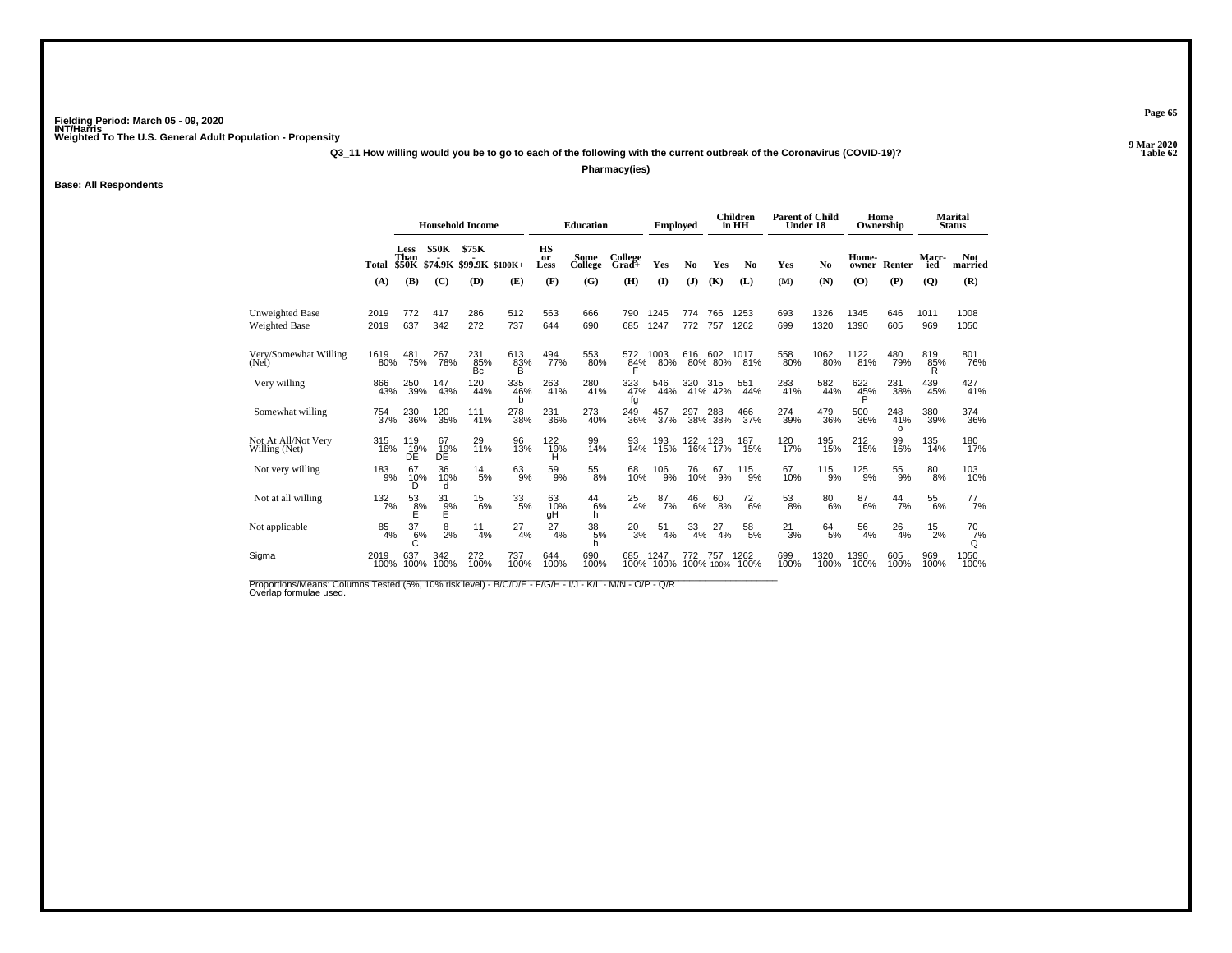**Q3\_11 How willing would you be to go to each of the following with the current outbreak of the Coronavirus (COVID-19)?**

**Pharmacy(ies)**

**Base: All Respondents**

|                                      |              | <b>Household Income</b> |                     |                                | <b>Education</b> |                  | <b>Employed</b> |                  |                | <b>Children</b><br>in HH | <b>Parent of Child</b><br>Under 18 |                | Home        | Ownership      |                | <b>Marital</b><br><b>Status</b> |                  |                       |
|--------------------------------------|--------------|-------------------------|---------------------|--------------------------------|------------------|------------------|-----------------|------------------|----------------|--------------------------|------------------------------------|----------------|-------------|----------------|----------------|---------------------------------|------------------|-----------------------|
|                                      | Total        | Less<br>Than            | <b>\$50K</b>        | \$75K<br>\$50K \$74.9K \$99.9K | $$100K+$         | HS<br>or<br>Less | Some<br>College | College<br>Grad+ | Yes            | No                       | Yes                                | N <sub>0</sub> | Yes         | No             | Home-<br>owner | Renter                          | Marr-<br>ied     | <b>Not</b><br>married |
|                                      | (A)          | (B)                     | (C)                 | (D)                            | (E)              | (F)              | (G)             | (H)              | $\mathbf{I}$   | (J)                      | (K)                                | (L)            | (M)         | (N)            | (0)            | (P)                             | $\overline{Q}$   | (R)                   |
| Unweighted Base<br>Weighted Base     | 2019<br>2019 | 772<br>637              | 417<br>342          | 286<br>272                     | 512<br>737       | 563<br>644       | 666<br>690      | 790<br>685       | 1245<br>1247   | 774<br>772               | 766<br>757                         | 1253<br>1262   | 693<br>699  | 1326<br>1320   | 1345<br>1390   | 646<br>605                      | 1011<br>969      | 1008<br>1050          |
| Very/Somewhat Willing<br>(Net)       | 1619<br>80%  | 481<br>75%              | 267<br>78%          | 231<br>85%<br><b>Bc</b>        | 613<br>83%<br>B  | 494<br>77%       | 553<br>80%      | 572<br>84%       | 1003<br>80%    | 616                      | 602<br>80% 80%                     | 1017<br>81%    | 558<br>80%  | 1062<br>80%    | 1122<br>81%    | 480<br>79%                      | 819<br>85%<br>R  | 801<br>76%            |
| Very willing                         | 866<br>43%   | 250<br>39%              | 147<br>43%          | 120<br>44%                     | 335<br>46%<br>b  | 263<br>41%       | 280<br>41%      | 323<br>47%<br>fg | 546<br>44%     | 320                      | 320 315<br>41% 42%                 | 551<br>44%     | 283<br>41%  | 582<br>44%     | 622<br>45%     | 231<br>38%                      | 439<br>45%       | 427<br>41%            |
| Somewhat willing                     | 754<br>37%   | 230<br>36%              | 120<br>35%          | 111<br>41%                     | 278<br>38%       | 231<br>36%       | 273<br>40%      | 249<br>36%       | 457<br>37%     | 297                      | 288<br>38% 38%                     | 466<br>37%     | 274<br>39%  | 479<br>36%     | 500<br>36%     | 248<br>41%<br>$\Omega$          | 380<br>39%       | 374<br>36%            |
| Not At All/Not Very<br>Willing (Net) | 315<br>16%   | 119<br>19%<br>DE        | 67<br>19%<br>DE     | 29<br>11%                      | 96<br>13%        | 122<br>19%<br>н  | 99<br>14%       | 93<br>14%        | 193<br>15%     | 122<br>16%               | 128<br>17%                         | 187<br>15%     | 120<br>17%  | 195<br>15%     | 212<br>15%     | 99<br>16%                       | 135<br>14%       | 180<br>17%            |
| Not very willing                     | 183<br>9%    | 67<br>10%<br>D          | 36<br>10%<br>d      | $^{14}_{5\%}$                  | $63\%$           | 59<br>9%         | $^{55}_{\,8\%}$ | 68<br>10%        | $^{106}_{9\%}$ | 76<br>10%                | 67<br>9%                           | $^{115}_{9\%}$ | 67<br>10%   | $^{115}_{9\%}$ | $^{125}_{9\%}$ | $^{55}_{9\%}$                   | $80\!\!\!_{8\%}$ | 103<br>10%            |
| Not at all willing                   | 132/7%       | 53<br>ខុ%<br>E          | 31<br>$\frac{9}{5}$ | 15<br>6%                       | $^{33}_{\ 5\%}$  | 63<br>10%<br>qΗ  | 44<br>6%<br>h   | 25<br>4%         | 87<br>7%       | 46<br>6%                 | 60<br>8%                           | $^{72}_{6\%}$  | 53<br>8%    | 80<br>6%       | 87<br>6%       | 44<br>7%                        | 55<br>6%         | $^{77}_{7\%}$         |
| Not applicable                       | 85<br>4%     | 37<br>6%                | 8<br>2%             | 11<br>4%                       | 27<br>4%         | 27<br>4%         | 38<br>5%<br>h   | 20<br>3%         | 51<br>4%       | 33<br>4%                 | 27<br>4%                           | 58<br>5%       | 21<br>3%    | $^{64}_{5\%}$  | 56<br>4%       | 26<br>4%                        | 15<br>2%         | 70<br>7%<br>Q         |
| Sigma                                | 2019<br>100% | 637<br>100%             | 342<br>100%         | 272<br>100%                    | 737<br>100%      | 644<br>100%      | 690<br>100%     | 685<br>100%      | 1247<br>100%   | 772                      | 757<br>100% 100%                   | 1262<br>100%   | 699<br>100% | 1320<br>100%   | 1390<br>100%   | 605<br>100%                     | 969<br>100%      | 1050<br>100%          |

Proportions/Means: Columns Tested (5%, 10% risk level) - B/C/D/E - F/G/H - I/J - K/L - M/N - O/P - Q/R<br>Overlap formulae used.

**Page 65**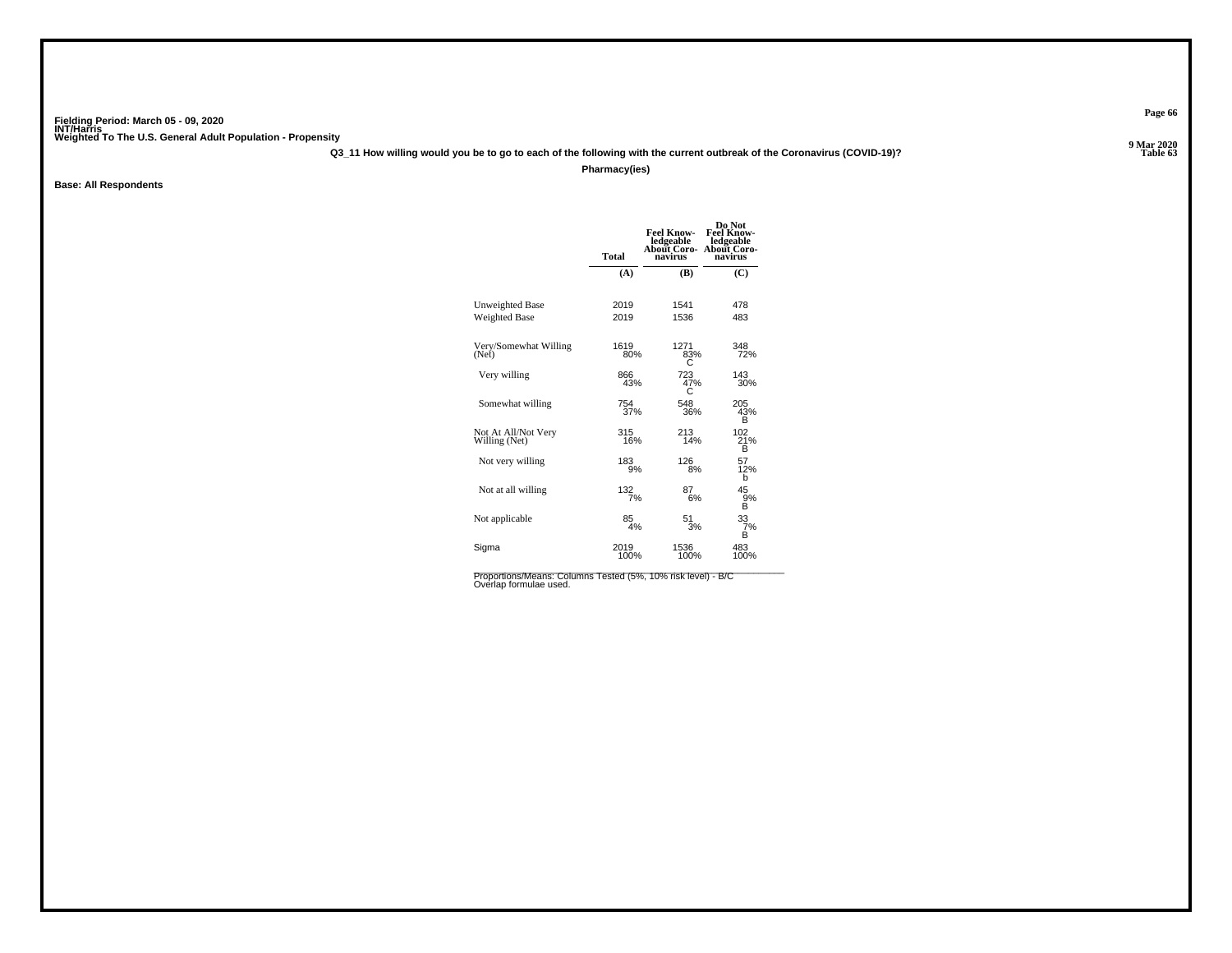**Q3\_11 How willing would you be to go to each of the following with the current outbreak of the Coronavirus (COVID-19)?**

**Pharmacy(ies)**

**Base: All Respondents**

|                                      | <b>Total</b> | <b>Feel Know-</b><br>ledgeable<br>About Coro-<br>navirus | Do Not<br><b>Feel Know-</b><br>ledgeable<br>About Coro-<br>navirus |
|--------------------------------------|--------------|----------------------------------------------------------|--------------------------------------------------------------------|
|                                      | (A)          | (B)                                                      | (C)                                                                |
| Unweighted Base                      | 2019         | 1541                                                     | 478                                                                |
| <b>Weighted Base</b>                 | 2019         | 1536                                                     | 483                                                                |
| Very/Somewhat Willing<br>(Net)       | 1619<br>80%  | 1271<br>83%                                              | 348<br>72%                                                         |
| Very willing                         | 866<br>43%   | 723<br>47%<br>С                                          | 143<br>30%                                                         |
| Somewhat willing                     | 754<br>37%   | 548<br>36%                                               | 205<br>43%<br>B                                                    |
| Not At All/Not Very<br>Willing (Net) | 315<br>16%   | 213<br>14%                                               | 102 <sub>1%</sub><br>в                                             |
| Not very willing                     | 183<br>9%    | 126<br>8%                                                | 57<br>12%<br>b                                                     |
| Not at all willing                   | 132<br>7%    | 87<br>6%                                                 | 45<br>9%<br>B                                                      |
| Not applicable                       | 85<br>4%     | 51<br>3%                                                 | 33<br>7%<br>в                                                      |
| Sigma                                | 2019<br>100% | 1536<br>100%                                             | 483<br>100%                                                        |

**Page 66**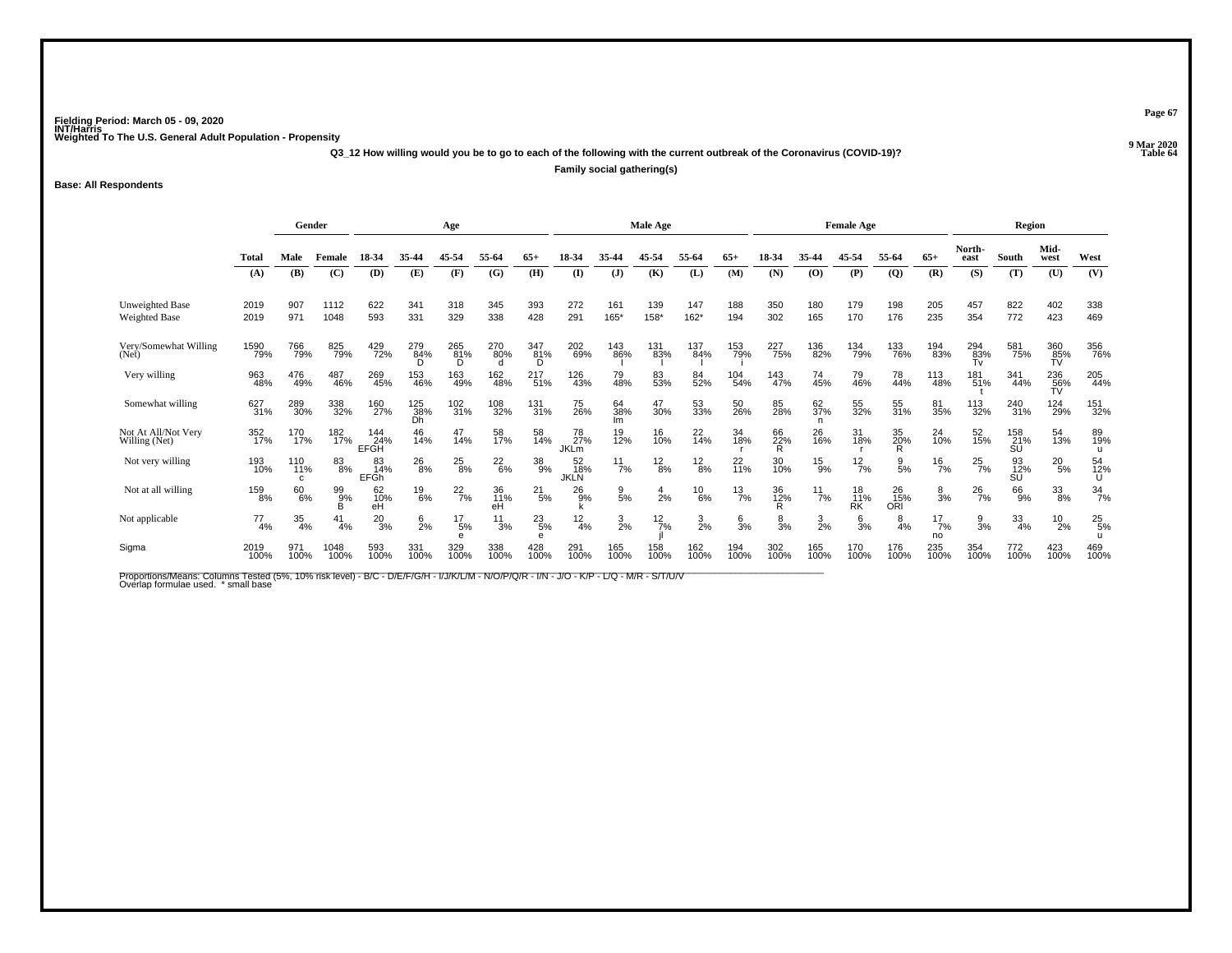**Q3\_12 How willing would you be to go to each of the following with the current outbreak of the Coronavirus (COVID-19)?**

**Family social gathering(s)**

**Base: All Respondents**

|                                         |              |                  | Gender<br>Age |                                |                  |                      |                 | Male Age               |                          |                  |                 |                 | <b>Female Age</b> |                |                  |                 | Region                  |                     |                       |                  |                  |                  |
|-----------------------------------------|--------------|------------------|---------------|--------------------------------|------------------|----------------------|-----------------|------------------------|--------------------------|------------------|-----------------|-----------------|-------------------|----------------|------------------|-----------------|-------------------------|---------------------|-----------------------|------------------|------------------|------------------|
|                                         | Total        | Male             | Female        | 18-34                          | 35-44            | 45-54                | 55-64           | $65+$                  | 18-34                    |                  | 45-54           | 55-64           | $65+$             | 18-34          | 35-44            | 45-54           | 55-64                   | $65+$               | North-<br>east        | South            | Mid-<br>west     | West             |
|                                         | (A)          | (B)              | (C)           | (D)                            | (E)              | (F)                  | (G)             | (H)                    | (I)                      | $\mathbf{J}$     | (K)             | (L)             | (M)               | (N)            | (O)              | (P)             | $\overline{Q}$          | (R)                 | (S)                   | (T)              | (U)              | (V)              |
| <b>Unweighted Base</b><br>Weighted Base | 2019<br>2019 | 907<br>971       | 1112<br>1048  | 622<br>593                     | 341<br>331       | 318<br>329           | 345<br>338      | 393<br>428             | 272<br>291               | 161<br>165*      | 139<br>158*     | 147<br>162*     | 188<br>194        | 350<br>302     | 180<br>165       | 179<br>170      | 198<br>176              | 205<br>235          | 457<br>354            | 822<br>772       | 402<br>423       | 338<br>469       |
| Very/Somewhat Willing<br>(Net)          | 1590<br>79%  | 766<br>79%       | 825<br>79%    | 429<br>72%                     | 279<br>84%       | 265<br>81%<br>D      | 270<br>80%<br>d | $\frac{347}{81%}$<br>D | 202<br>69%               | 143<br>86%       | 131<br>83%      | 137<br>84%      | 153<br>79%        | 227<br>75%     | 136<br>82%       | 134<br>79%      | 133<br>76%              | 194<br>83%          | $\frac{294}{83\%}$ Tv | 581<br>75%       | 360<br>85%<br>TV | 356<br>76%       |
| Very willing                            | 963<br>48%   | 476<br>49%       | 487<br>46%    | 269<br>45%                     | 153<br>46%       | 163<br>49%           | 162<br>48%      | 217<br>51%             | 126<br>43%               | 79<br>48%        | 83<br>53%       | 84<br>52%       | 104<br>54%        | 143<br>47%     | 74<br>45%        | 79<br>46%       | 78<br>44%               | 113<br>48%          | 181<br>51%            | 341<br>44%       | 236<br>56%<br>TV | 205<br>44%       |
| Somewhat willing                        | 627<br>31%   | 289<br>30%       | 338<br>32%    | 160<br>27%                     | 125<br>38%<br>Dh | $\frac{102}{31\%}$   | 108<br>32%      | 131<br>31%             | 75<br>26%                | 64<br>38%<br>lm  | 47<br>30%       | 53<br>33%       | 50<br>26%         | 85<br>28%      | 62<br>37%<br>n   | 55<br>32%       | 55<br>31%               | 81<br>35%           | 113<br>32%            | 240<br>31%       | 124<br>29%       | 151<br>32%       |
| Not At All/Not Very<br>Willing (Net)    | 352<br>17%   | 170<br>17%       | 182<br>17%    | 144<br>24%<br>EFGH             | 46<br>14%        | 47<br>14%            | 58<br>17%       | 58<br>14%              | 78<br>27%<br><b>JKLm</b> | 19<br>12%        | 16<br>10%       | $^{22}_{14\%}$  | 34<br>18%         | 66<br>22%<br>R | 26<br>16%        | 31<br>18%       | 35<br>20%               | 24<br>10%           | 52<br>15%             | 158<br>21%<br>SU | 54<br>13%        | 89<br>19%        |
| Not very willing                        | 193<br>10%   | 110<br>11%<br>C. | 83<br>8%      | 83<br>14%<br>EFGh <sup>1</sup> | $^{26}_{8\%}$    | $^{25}_{8\%}$        | $^{22}_{6\%}$   | 38<br>9%               | 52<br>18%<br><b>JKLN</b> | $\frac{11}{7\%}$ | $\frac{12}{8%}$ | $^{12}_{8\%}$   | 22<br>11%         | 30<br>10%      | $^{15}_{9\%}$    | $^{12}_{7\%}$   | 9<br>5%                 | $\frac{16}{7%}$     | $^{25}_{7\%}$         | 93<br>12%<br>SU  | $^{20}_{\ 5\%}$  | 54<br>12%<br>U   |
| Not at all willing                      | 159<br>8%    | 60<br>6%         | 99%<br>B      | 62<br>10%<br>еĤ                | 19<br>6%         | $^{22}_{7\%}$        | 36<br>11%<br>eH | $^{21}_{5\%}$          | 26<br>9%                 | $\frac{9}{5\%}$  | $\frac{4}{2%}$  | $^{10}_{6\%}$   | $\frac{13}{7%}$   | 36<br>12%<br>R | $\frac{11}{7\%}$ | 18<br>11%<br>RK | 26<br>15%<br><b>ORI</b> | $\frac{8}{3%}$      | $^{26}_{7\%}$         | 66<br>9%         | $\frac{33}{8\%}$ | $\frac{34}{7\%}$ |
| Not applicable                          | 77<br>4%     | 35<br>4%         | 41<br>4%      | $^{20}_{3\%}$                  | $^{6}_{2\%}$     | $^{17}_{\ 5\%}$<br>e | 11<br>3%        | $^{23}_{5\%}$<br>e     | $\frac{12}{4%}$          | $\frac{3}{2}$ %  | $\frac{12}{7%}$ | $\frac{3}{2\%}$ | $\frac{6}{3}$ %   | 8<br>3%        | $\frac{3}{2\%}$  | $\frac{6}{3%}$  | 8<br>4%                 | $^{17}_{7\%}$<br>no | $\frac{9}{3%}$        | $\frac{33}{4\%}$ | $^{10}_{2\%}$    | $^{25}_{5\%}$    |
| Sigma                                   | 2019<br>100% | 971<br>100%      | 1048<br>100%  | 593<br>100%                    | 331<br>100%      | 329<br>100%          | 338<br>100%     | 428<br>100%            | 291<br>100%              | 165<br>100%      | 158<br>100%     | 162<br>100%     | 194<br>100%       | 302<br>100%    | 165<br>100%      | 170<br>100%     | 176<br>100%             | 235<br>100%         | 354<br>100%           | 772<br>100%      | 423<br>100%      | 469<br>100%      |

Proportions/Means: Columns Tested (5%, 10% risk level) - B/C - D/E/F/G/H - I/J/K/L/M - N/O/P/Q/R - I/N - J/O - K/P - L/Q - M/R - S/T/U/V<br>Overlap formulae used. \*small base

**Page 67**

**Properties and the Contract of the Contract of Table 64**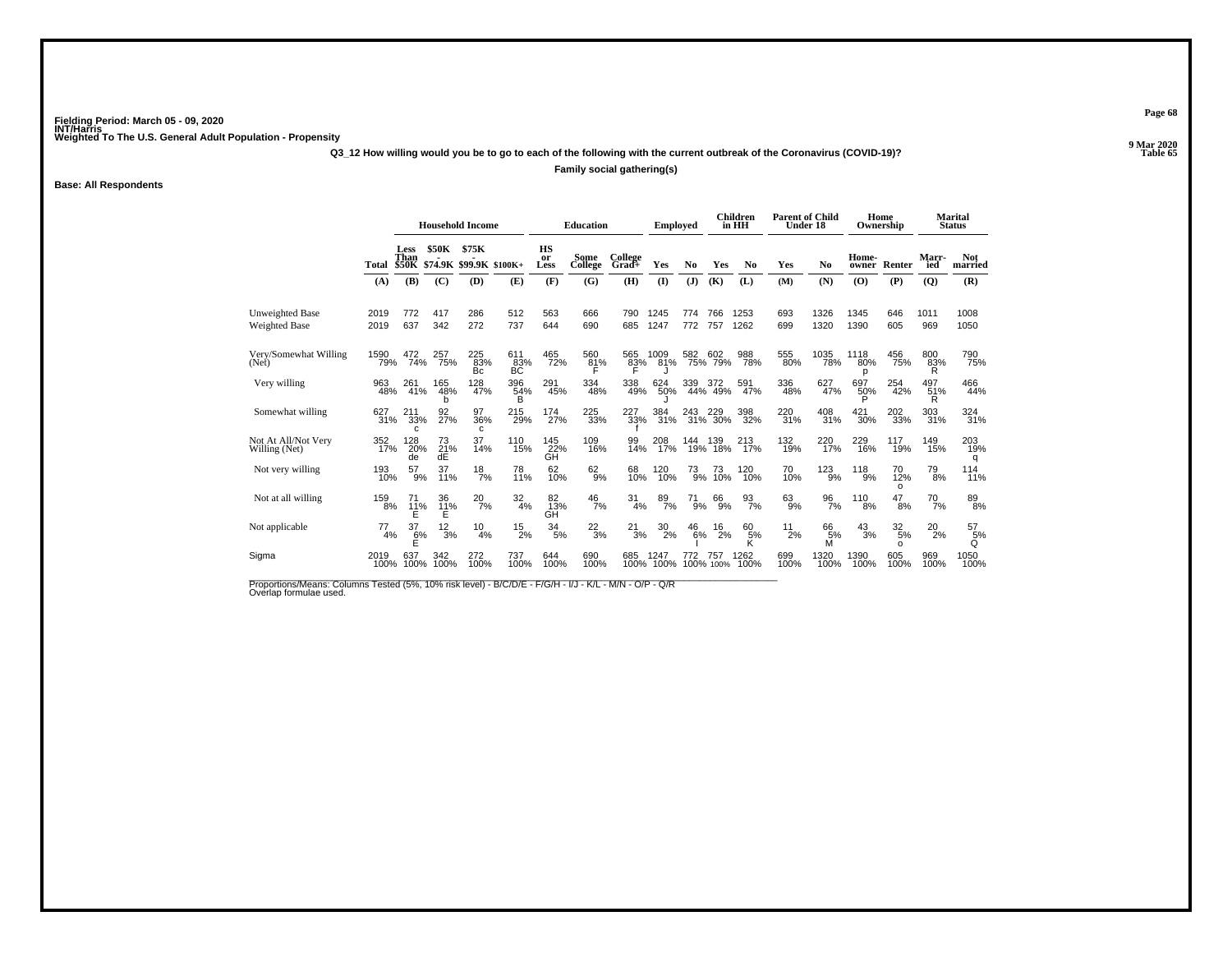**Q3\_12 How willing would you be to go to each of the following with the current outbreak of the Coronavirus (COVID-19)?**

**Family social gathering(s)**

#### **Base: All Respondents**

|                                      |              |                                     |                         | <b>Household Income</b> |                  |                  | <b>Education</b> |                  | <b>Employed</b>  |               |                    | <b>Children</b><br>in HH | <b>Parent of Child</b><br>Under 18 |                  | Home<br>Ownership |                       |                      | <b>Marital</b><br><b>Status</b> |
|--------------------------------------|--------------|-------------------------------------|-------------------------|-------------------------|------------------|------------------|------------------|------------------|------------------|---------------|--------------------|--------------------------|------------------------------------|------------------|-------------------|-----------------------|----------------------|---------------------------------|
|                                      | Total        | <b>Less</b><br>Than<br><b>\$50K</b> | <b>\$50K</b><br>\$74.9K | \$75K<br>\$99.9K        | $$100K+$         | HS<br>or<br>Less | Some<br>College  | College<br>Grad+ | Yes              | No            | Yes                | No                       | Yes                                | N <sub>0</sub>   | Home-<br>owner    | Renter                | Marr-<br>ied         | <b>Not</b><br>married           |
|                                      | (A)          | (B)                                 | (C)                     | (D)                     | (E)              | (F)              | (G)              | (H)              | $\mathbf{I}$     | (J)           | (K)                | (L)                      | (M)                                | (N)              | (O)               | (P)                   | $\overline{Q}$       | (R)                             |
| <b>Unweighted Base</b>               | 2019         | 772                                 | 417                     | 286                     | 512              | 563              | 666              | 790              | 1245             | 774           | 766                | 1253                     | 693                                | 1326             | 1345              | 646                   | 1011                 | 1008                            |
| Weighted Base                        | 2019         | 637                                 | 342                     | 272                     | 737              | 644              | 690              | 685              | 1247             | 772           | 757                | 1262                     | 699                                | 1320             | 1390              | 605                   | 969                  | 1050                            |
| Very/Somewhat Willing<br>(Net)       | 1590<br>79%  | 472<br>74%                          | 257<br>75%              | 225<br>83%<br>Bc        | 61183%<br>BC     | 465<br>72%       | 560<br>81%<br>F  | 565<br>83%       | 1009<br>81%      | 582           | 602<br>75% 79%     | 988<br>78%               | 555<br>80%                         | 1035<br>78%      | 1118<br>80%<br>р  | 456<br>75%            | 800<br>83%<br>R      | 790<br>75%                      |
| Very willing                         | 963<br>48%   | 261<br>41%                          | 165<br>48%<br>h         | 128<br>47%              | 396<br>54%<br>B  | 291<br>45%       | 334<br>48%       | 338<br>49%       | 624<br>50%       | 339           | 339 372<br>44% 49% | 591<br>47%               | 336<br>48%                         | 627<br>47%       | 697<br>50%<br>Þ   | 254<br>42%            | $^{497}_{51\%}$<br>R | 466<br>44%                      |
| Somewhat willing                     | 627<br>31%   | 211<br>33%<br>C                     | 92<br>27%               | 97<br>36%<br>C.         | 215<br>29%       | 174<br>27%       | 225<br>33%       | 227<br>33%       | 384<br>31%       | 243           | 243 229<br>31% 30% | 398<br>32%               | 220<br>31%                         | 408<br>31%       | 421<br>30%        | 202<br>33%            | 303<br>31%           | 324<br>31%                      |
| Not At All/Not Very<br>Willing (Net) | 352<br>17%   | 128<br>20%<br>de                    | 73<br>21%<br>dĖ         | 37<br>14%               | 110<br>15%       | 145<br>22%<br>ĞН | 109<br>16%       | 99<br>14%        | 208<br>17%       | 144<br>19%    | 139<br>18%         | 213<br>17%               | 132<br>19%                         | 220<br>17%       | 229<br>16%        | 117<br>19%            | 149<br>15%           | 203<br>19%<br>q                 |
| Not very willing                     | 193<br>10%   | $^{57}_{9\%}$                       | 37<br>11%               | $^{18}_{7\%}$           | 78<br>11%        | 62<br>10%        | $^{62}_{9\%}$    | 68<br>10%        | 120<br>10%       | $^{73}_{9\%}$ | 73<br>10%          | 120<br>10%               | 70<br>10%                          | $^{123}_{9\%}$   | $^{118}_{9\%}$    | 70<br>12%<br>$\Omega$ | $^{79}_{8\%}$        | $^{114}_{11\%}$                 |
| Not at all willing                   | 159<br>8%    | 71<br>$^{11\%}_{E}$                 | 36<br>$\frac{11}{5}$ %  | $^{20}_{7\%}$           | $\frac{32}{4\%}$ | 82<br>13%<br>GH  | $^{46}_{7\%}$    | 31<br>4%         | $\frac{89}{7\%}$ | $^{71}_{9\%}$ | $^{66}_{9\%}$      | $\frac{93}{7\%}$         | $^{63}_{9\%}$                      | $\frac{96}{7\%}$ | 110<br>8%         | 47<br>8%              | 70<br>7%             | $\underset{8\%}{^{89}}$         |
| Not applicable                       | 77<br>4%     | 37<br>$\frac{6}{5}$ %               | 12<br>3%                | 10<br>4%                | 15<br>2%         | 34<br>5%         | $^{22}_{3\%}$    | 21<br>3%         | 30<br>2%         | 46<br>6%      | 16<br>2%           | 60<br>, 5%<br>К          | 11<br>2%                           | 66<br>5%<br>M    | 43<br>3%          | 32<br>5%<br>$\Omega$  | 20<br>2%             | 57<br>5%<br>Q                   |
| Sigma                                | 2019<br>100% | 637<br>100%                         | 342<br>100%             | 272<br>100%             | 737<br>100%      | 644<br>100%      | 690<br>100%      | 685<br>100%      | 1247<br>100%     | 772           | 757<br>100% 100%   | 1262<br>100%             | 699<br>100%                        | 1320<br>100%     | 1390<br>100%      | 605<br>100%           | 969<br>100%          | 1050<br>100%                    |

Proportions/Means: Columns Tested (5%, 10% risk level) - B/C/D/E - F/G/H - I/J - K/L - M/N - O/P - Q/R<br>Overlap formulae used.

**Page 68**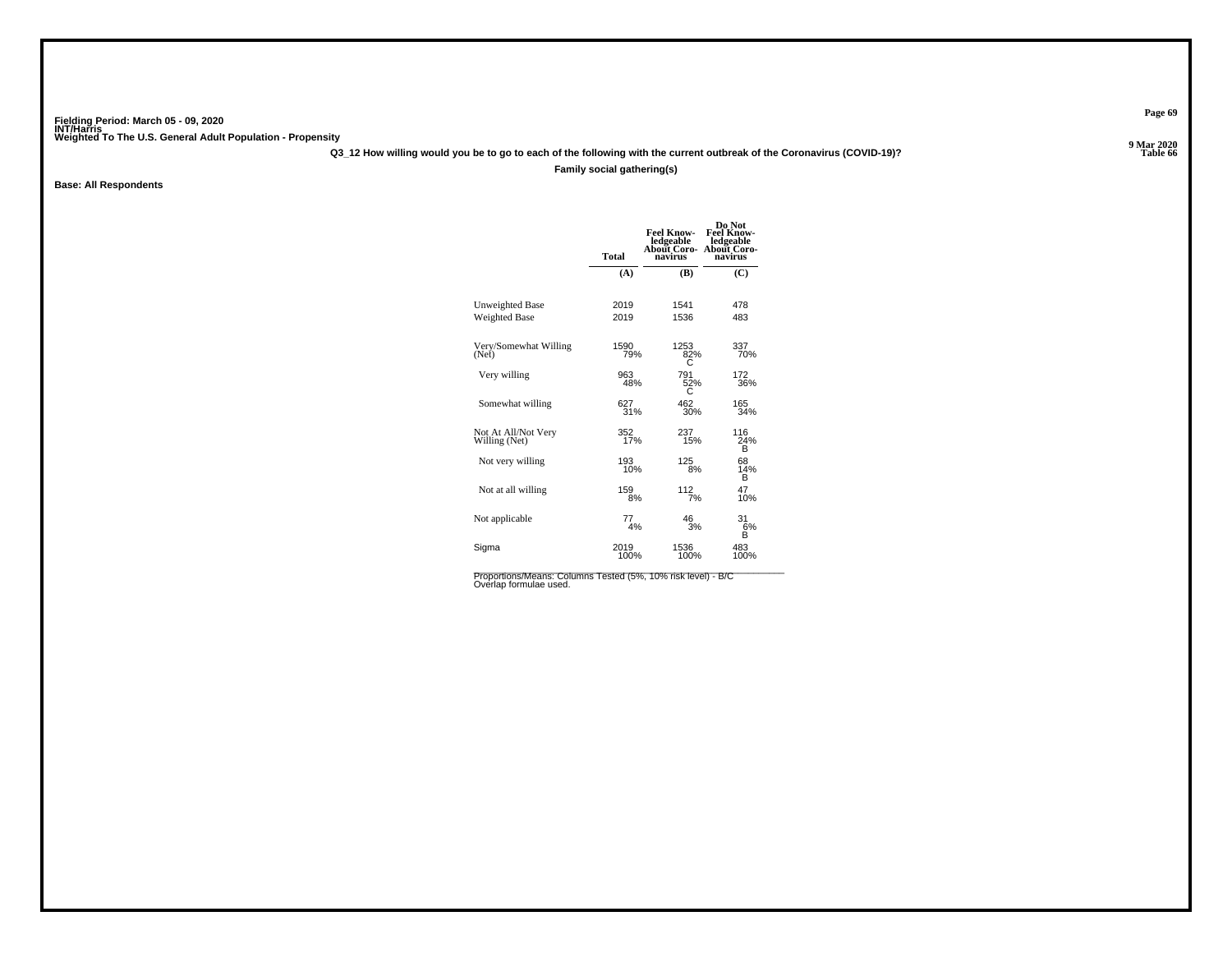**Q3\_12 How willing would you be to go to each of the following with the current outbreak of the Coronavirus (COVID-19)?**

#### **Family social gathering(s)**

**Base: All Respondents**

|                                      | <b>Total</b> | <b>Feel Know-</b><br>ledgeable<br>About Coro-<br>navirus | Do Not<br><b>Feel Know-</b><br>ledgeable<br>About Coro-<br>navirus |
|--------------------------------------|--------------|----------------------------------------------------------|--------------------------------------------------------------------|
|                                      | (A)          | (B)                                                      | (C)                                                                |
| <b>Unweighted Base</b>               | 2019         | 1541                                                     | 478                                                                |
| <b>Weighted Base</b>                 | 2019         | 1536                                                     | 483                                                                |
| Very/Somewhat Willing                | 1590         | 1253                                                     | 337                                                                |
| (Net)                                | 79%          | 82%                                                      | 70%                                                                |
| Very willing                         | 963          | 791                                                      | 172                                                                |
|                                      | 48%          | $\frac{52}{3}$                                           | 36%                                                                |
| Somewhat willing                     | 627          | 462                                                      | 165                                                                |
|                                      | 31%          | 30%                                                      | 34%                                                                |
| Not At All/Not Very<br>Willing (Net) | 352%         | 237<br>15%                                               | 116<br>24%<br>в                                                    |
| Not very willing                     | 193<br>10%   | 125<br>8%                                                | 68<br>14%<br>B                                                     |
| Not at all willing                   | 159          | 112                                                      | 47                                                                 |
|                                      | 8%           | 7%                                                       | 10%                                                                |
| Not applicable                       | 77<br>4%     | 46<br>3%                                                 | 31<br>6%<br>R                                                      |
| Sigma                                | 2019         | 1536                                                     | 483                                                                |
|                                      | 100%         | 100%                                                     | 100%                                                               |

Proportions/Means: Columns Tested (5%, 10% risk level) - B/C<br>Overlap formulae used.

**Page 69**

**Properties and the Contract of Table 66**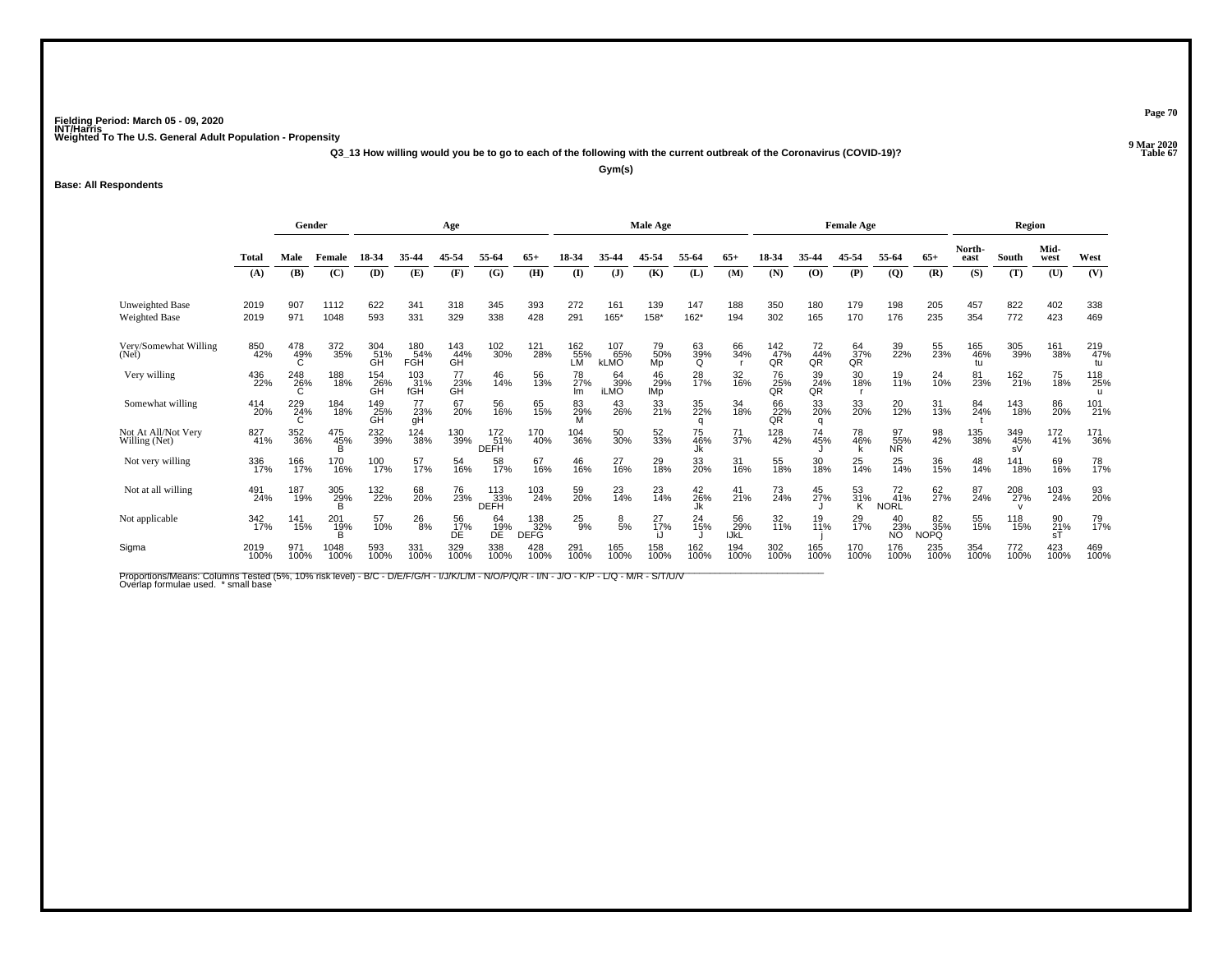**Q3\_13 How willing would you be to go to each of the following with the current outbreak of the Coronavirus (COVID-19)?**

**Gym(s)**

#### **Base: All Respondents**

|                                         |              | Gender          |                 |                  |                    | Age              |                    | Male Age<br><b>Female Age</b> |                  |                           |                    |                 |                   | Region                                       |                 |                 |                          |                          |                  |                  |                             |                  |
|-----------------------------------------|--------------|-----------------|-----------------|------------------|--------------------|------------------|--------------------|-------------------------------|------------------|---------------------------|--------------------|-----------------|-------------------|----------------------------------------------|-----------------|-----------------|--------------------------|--------------------------|------------------|------------------|-----------------------------|------------------|
|                                         | Total        | Male            | Female          | 18-34            | 35-44              | 45-54            | 55-64              | 65+                           | 18-34            |                           | 45-54              | 55-64           | $65+$             |                                              | 35-44           | 45.54           | 55-64                    | $65+$                    | North-<br>east   | South            | Mid-<br>west                | West             |
|                                         | (A)          | (B)             | (C)             | (D)              | (E)                | (F)              | (G)                | (H)                           | $\mathbf{I}$     | (J)                       | (K)                | (L)             | (M)               | (N)                                          | (0)             | (P)             | $\overline{Q}$           | (R)                      | (S)              | (T)              | (U)                         | (V)              |
| Unweighted Base<br><b>Weighted Base</b> | 2019<br>2019 | 907<br>971      | 1112<br>1048    | 622<br>593       | 341<br>331         | 318<br>329       | 345<br>338         | 393<br>428                    | 272<br>291       | 161<br>165*               | 139<br>158*        | 147<br>162*     | 188<br>194        | 350<br>302                                   | 180<br>165      | 179<br>170      | 198<br>176               | 205<br>235               | 457<br>354       | 822<br>772       | 402<br>423                  | 338<br>469       |
| Very/Somewhat Willing<br>(Nef)          | 850<br>42%   | 478<br>49%      | 372<br>35%      | 304<br>51%<br>ĞĤ | 180<br>54%<br>FGH  | 143<br>44%<br>GH | 102<br>30%         | 121<br>28%                    | 162<br>55%<br>LМ | 107<br>65%<br><b>kLMO</b> | 79<br>50%<br>Mp    | 63<br>39%<br>Q  | 66<br>34%         | 142<br>47%<br>QŔ                             | 72<br>44%<br>QR | 64<br>37%<br>QR | 39<br>22%                | 55<br>23%                | 165<br>46%<br>tu | 305<br>39%       | 161<br>38%                  | 219<br>47%<br>tu |
| Very willing                            | 436<br>22%   | $^{248}_{26\%}$ | 188<br>18%      | 154<br>26%<br>GH | 103<br>31%<br>fGH  | 77<br>23%<br>GH  | 46<br>14%          | 56<br>13%                     | 78<br>27%<br>Im  | 64<br>39%<br>iLMO         | $^{46}_{29\%}$ IMp | 28<br>17%       | 32<br>16%         | 76<br>25%<br>QR                              | 39<br>24%<br>QR | 30<br>18%       | 19<br>11%                | 24<br>10%                | 81<br>23%        | 162<br>21%       | 75<br>18%                   | 118<br>25%       |
| Somewhat willing                        | 414<br>20%   | 229<br>24%      | 184<br>18%      | 149<br>25%<br>GH | 77<br>23%<br>gH    | 67<br>20%        | 56<br>16%          | 65<br>15%                     | 83<br>29%        | 43<br>26%                 | 33<br>21%          | 35<br>22%<br>q  | 34<br>18%         | $\overset{66}{\underset{\mathsf{QR}}{22\%}}$ | 33<br>20%<br>a  | 33<br>20%       | 20<br>12%                | 31<br>13%                | 84<br>24%        | 143<br>18%       | 86<br>20%                   | 101<br>21%       |
| Not At All/Not Very<br>Willing (Net)    | 827<br>41%   | 352<br>36%      | 475<br>45%<br>B | 232<br>39%       | <sup>124</sup> 38% | 130<br>39%       | 172<br>51%<br>DEFH | 170<br>40%                    | 104<br>36%       | 50<br>30%                 | 52<br>33%          | 75<br>46%<br>Jk | 71<br>37%         | 128<br>42%                                   | 74<br>45%       | 78<br>46%       | 97<br>55%<br>NR          | 98<br>42%                | 135<br>38%       | 349<br>45%<br>sV | $^{172}_{41\%}$             | 171<br>36%       |
| Not very willing                        | 336<br>17%   | 166<br>17%      | 170<br>16%      | 100<br>17%       | 57<br>17%          | 54<br>16%        | 58<br>17%          | 67<br>16%                     | 46<br>16%        | 27<br>16%                 | 29<br>18%          | 33<br>20%       | 31<br>16%         | 55<br>18%                                    | 30<br>18%       | 25<br>14%       | 25<br>14%                | 36<br>15%                | 48<br>14%        | 141<br>18%       | 69<br>16%                   | 78<br>17%        |
| Not at all willing                      | 491<br>24%   | 187<br>19%      | 305<br>29%<br>B | 132<br>22%       | 68<br>20%          | 76<br>23%        | 113<br>33%<br>DEFH | 103<br>24%                    | 59<br>20%        | 23<br>14%                 | 23<br>14%          | 42<br>26%<br>Jk | 41<br>21%         | 73<br>24%                                    | 45<br>27%       | 53<br>31%<br>Κ  | 72<br>41%<br><b>NORL</b> | 62<br>27%                | 87<br>24%        | 208<br>27%       | 103<br>24%                  | 93<br>20%        |
| Not applicable                          | 342<br>17%   | 141<br>15%      | 201<br>19%<br>B | 57<br>10%        | $^{26}_{8\%}$      | 56<br>17%<br>DE  | 64<br>19%<br>DÉ    | 138<br>32%<br><b>DEFG</b>     | $^{25}_{9\%}$    | $\frac{8}{5\%}$           | 27<br>17%          | 24<br>15%       | 56<br>29%<br>IJkĹ | 32<br>11%                                    | 19<br>11%       | 29<br>17%       | 40<br>23%<br><b>NO</b>   | 82<br>35%<br><b>NOPQ</b> | 55<br>15%        | 118<br>15%       | 90<br>21%<br>s <sup>1</sup> | 79<br>17%        |
| Sigma                                   | 2019<br>100% | 971<br>100%     | 1048<br>100%    | 593<br>100%      | 331<br>100%        | 329<br>100%      | 338<br>100%        | 428<br>100%                   | 291<br>100%      | 165<br>100%               | 158<br>100%        | 162<br>100%     | 194<br>100%       | 302<br>100%                                  | 165<br>100%     | 170<br>100%     | 176<br>100%              | 235<br>100%              | 354<br>100%      | 772<br>100%      | 423<br>100%                 | 469<br>100%      |

Proportions/Means: Columns Tested (5%, 10% risk level) - B/C - D/E/F/G/H - I/J/K/L/M - N/O/P/Q/R - I/N - J/O - K/P - L/Q - M/R - S/T/U/V<br>Overlap formulae used. \*small base

**Page 70**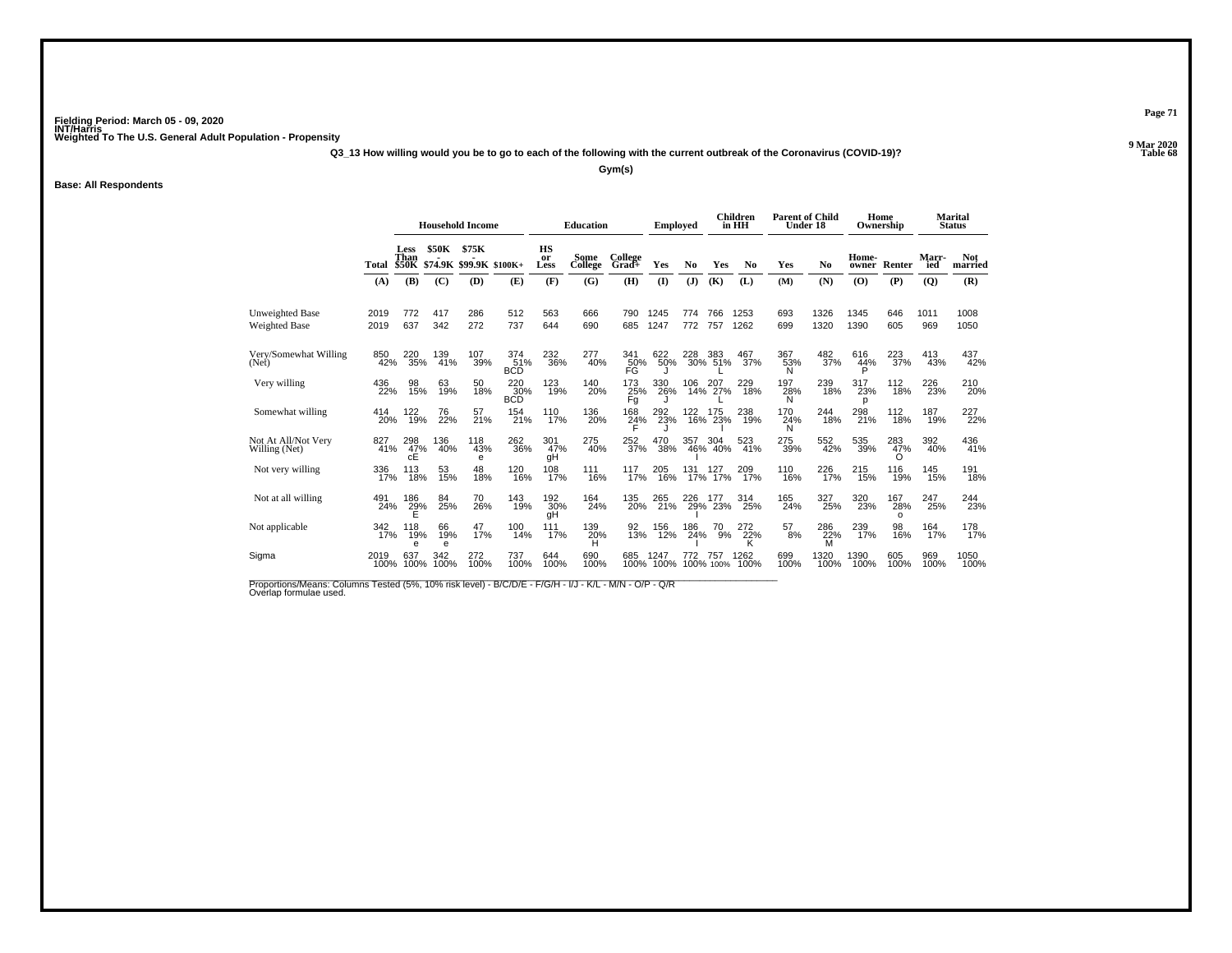**Q3\_13 How willing would you be to go to each of the following with the current outbreak of the Coronavirus (COVID-19)?**

**Gym(s)**

#### **Base: All Respondents**

|                                      |              | <b>Household Income</b> |                |                                  |                          | <b>Education</b> |                 | <b>Employed</b>         |              |            | Children<br>in HH | <b>Parent of Child</b><br>Under 18 |                       |                 | Home<br>Ownership |                        | <b>Marital</b><br><b>Status</b> |                       |
|--------------------------------------|--------------|-------------------------|----------------|----------------------------------|--------------------------|------------------|-----------------|-------------------------|--------------|------------|-------------------|------------------------------------|-----------------------|-----------------|-------------------|------------------------|---------------------------------|-----------------------|
|                                      | Total \$50K  | <b>Less</b><br>Than     | <b>\$50K</b>   | \$75K<br>\$74.9K \$99.9K \$100K+ |                          | HS<br>or<br>Less | Some<br>College | College<br>Grad+        | Yes          | No         | Yes               | N <sub>0</sub>                     | Yes                   | N <sub>0</sub>  | Home-<br>owner    | Renter                 | Marr-<br>ied                    | <b>Not</b><br>married |
|                                      | (A)          | (B)                     | (C)            | (D)                              | (E)                      | (F)              | (G)             | (H)                     | (1)          | (J)        | (K)               | (L)                                | (M)                   | (N)             | (0)               | (P)                    | $\overline{Q}$                  | (R)                   |
| Unweighted Base<br>Weighted Base     | 2019<br>2019 | 772<br>637              | 417<br>342     | 286<br>272                       | 512<br>737               | 563<br>644       | 666<br>690      | 790<br>685              | 1245<br>1247 | 774<br>772 | 766<br>757        | 1253<br>1262                       | 693<br>699            | 1326<br>1320    | 1345<br>1390      | 646<br>605             | 1011<br>969                     | 1008<br>1050          |
| Very/Somewhat Willing<br>(Net)       | 850<br>42%   | 220<br>35%              | 139<br>41%     | 107<br>39%                       | 374<br>51%<br><b>BCD</b> | 232<br>36%       | 277<br>40%      | 341<br>50%<br>FG        | 622<br>50%   | 228        | 383<br>30% 51%    | 467<br>37%                         | 367<br>53%<br>N       | 482<br>37%      | 616<br>44%<br>P   | 223<br>37%             | 413<br>43%                      | 437<br>42%            |
| Very willing                         | 436<br>22%   | 98<br>15%               | 63<br>19%      | 50<br>18%                        | 220 30%<br><b>BCD</b>    | 123<br>19%       | 140<br>20%      | 173<br>25%<br>Fg        | 330<br>26%   | 106        | 06 207<br>14% 27% | 229<br>18%                         | 197<br>28%<br>N       | 239<br>18%      | 317<br>23%<br>D   | $^{112}_{18\%}$        | 226<br>23%                      | 210<br>20%            |
| Somewhat willing                     | 414<br>20%   | 122<br>19%              | 76<br>22%      | 57<br>21%                        | 154<br>21%               | 110<br>17%       | 136<br>20%      | 168<br>$\frac{24}{5}$ % | 292<br>23%   | 122        | 175<br>16% 23%    | 238<br>19%                         | 170<br>$\frac{24}{N}$ | 244<br>18%      | 298<br>21%        | 112<br>18%             | 187<br>19%                      | 227<br>22%            |
| Not At All/Not Very<br>Willing (Net) | 827<br>41%   | 298<br>47%<br>cÊ        | 136<br>40%     | 118<br>43%<br>e                  | 262<br>36%               | 301<br>47%<br>qΗ | 275<br>40%      | 252<br>37%              | 470<br>38%   | 357<br>46% | 304<br>40%        | 523<br>41%                         | 275<br>39%            | 552<br>42%      | 535<br>39%        | 283<br>47%<br>O        | 392<br>40%                      | 436<br>41%            |
| Not very willing                     | 336<br>17%   | 113<br>18%              | 53<br>15%      | 48<br>18%                        | 120<br>16%               | 108<br>17%       | $^{111}_{16\%}$ | 117<br>17%              | 205<br>16%   | 131        | 127<br>17%        | 209<br>17%                         | 110<br>16%            | 226<br>17%      | 215 <sub>%</sub>  | 116<br>19%             | $^{145}_{15\%}$                 | 191<br>18%            |
| Not at all willing                   | 491<br>24%   | 186<br>$^{29\%}$        | 84<br>25%      | 70<br>26%                        | 143<br>19%               | 192<br>30%<br>qΗ | 164<br>24%      | 135<br>20%              | 265<br>21%   | 226<br>29% | 177<br>23%        | 314<br>25%                         | 165<br>24%            | 327<br>25%      | 320<br>23%        | 167<br>28%<br>$\Omega$ | 247<br>25%                      | 244<br>23%            |
| Not applicable                       | 342<br>17%   | 118<br>19%<br>e         | 66<br>19%<br>e | 47<br>17%                        | 100<br>14%               | 111<br>17%       | 139<br>20%<br>H | 92<br>13%               | 156<br>12%   | 186<br>24% | 70<br>9%          | 272<br>$^{22\%}_{K}$               | 57<br>8%              | 286<br>22%<br>M | 239<br>17%        | 98<br>16%              | 164<br>17%                      | 178<br>17%            |
| Sigma                                | 2019<br>100% | 637<br>100%             | 342<br>100%    | 272<br>100%                      | 737<br>100%              | 644<br>100%      | 690<br>100%     | 685<br>100%             | 1247<br>100% | 772        | 757<br>100% 100%  | 1262<br>100%                       | 699<br>100%           | 1320<br>100%    | 1390<br>100%      | 605<br>100%            | 969<br>100%                     | 1050<br>100%          |

Proportions/Means: Columns Tested (5%, 10% risk level) - B/C/D/E - F/G/H - I/J - K/L - M/N - O/P - Q/R<br>Overlap formulae used.

**Page 71**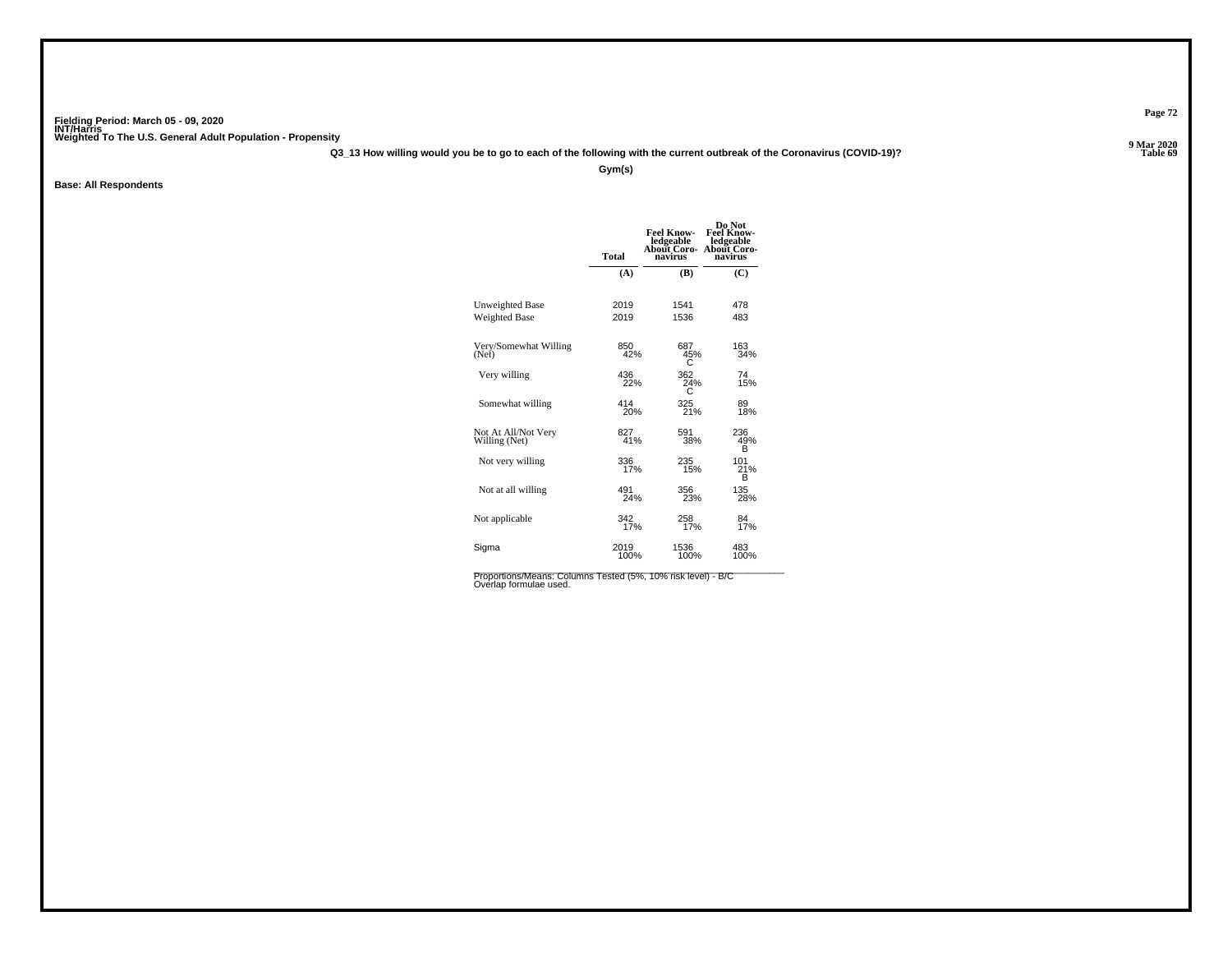**Q3\_13 How willing would you be to go to each of the following with the current outbreak of the Coronavirus (COVID-19)?**

**Gym(s)**

**Base: All Respondents**

| <b>Total</b> | <b>Feel Know-</b><br>ledgeable<br>About Coro-<br>navirus | Do Not<br><b>Feel Know-</b><br>ledgeable<br>About Coro-<br>navirus |
|--------------|----------------------------------------------------------|--------------------------------------------------------------------|
| (A)          | (B)                                                      | (C)                                                                |
| 2019         | 1541                                                     | 478                                                                |
| 2019         | 1536                                                     | 483                                                                |
|              | 687<br>45%<br>С                                          | 163<br>34%                                                         |
| 436          | 362<br>24%                                               | 74<br>15%                                                          |
| 414<br>20%   | 325<br>21%                                               | 89<br>18%                                                          |
| 827          | 591<br>38%                                               | 236<br>49%<br>B                                                    |
| 336          | 235<br>15%                                               | 101<br>21%<br>в                                                    |
| 491          | 356<br>23%                                               | 135<br>28%                                                         |
| 342          | 258<br>17%                                               | 84<br>17%                                                          |
| 2019<br>100% | 1536<br>100%                                             | 483<br>100%                                                        |
|              |                                                          | 850<br>42%<br>22%<br>41%<br>17%<br>24%<br>17%                      |

Proportions/Means: Columns Tested (5%, 10% risk level) - B/C<br>Overlap formulae used.

**Page 72**

**Properties and the Contract of Table 69**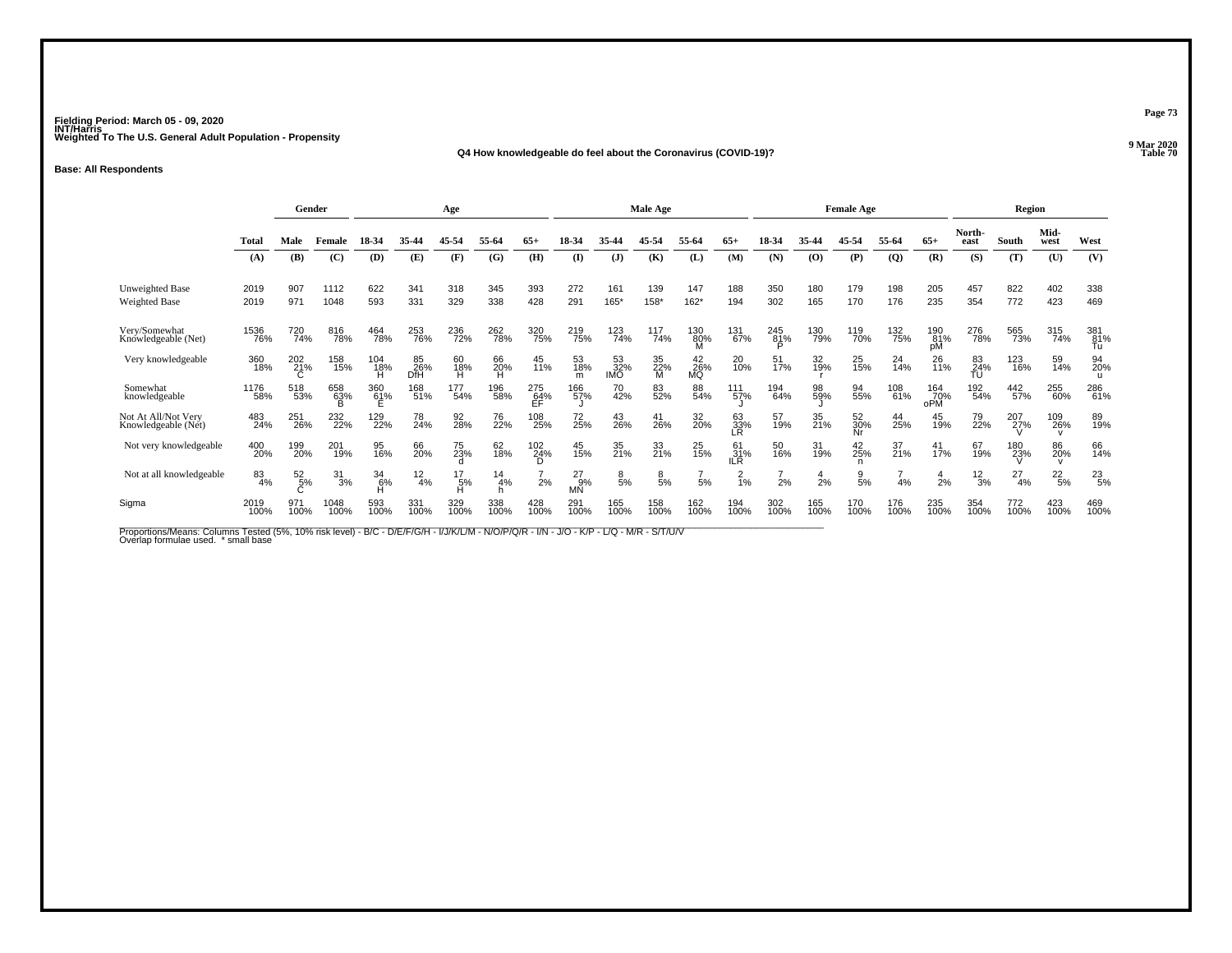### **Q4 How knowledgeable do feel about the Coronavirus (COVID-19)?**

**Base: All Respondents**

|                                                                                                                                                                                 |               |                  | Gender        |                    |                  | Age                |                 |                            |                            |                         | Male Age       |                 |                  |                 |             | <b>Female Age</b> |                |                   |                 | Region        |                            |                  |
|---------------------------------------------------------------------------------------------------------------------------------------------------------------------------------|---------------|------------------|---------------|--------------------|------------------|--------------------|-----------------|----------------------------|----------------------------|-------------------------|----------------|-----------------|------------------|-----------------|-------------|-------------------|----------------|-------------------|-----------------|---------------|----------------------------|------------------|
|                                                                                                                                                                                 | Total         | Male             | Female        | 18-34              | 35-44            | 45-54              | 55-64           | $65+$                      | 18-34                      | 35.44                   | 45-54          | 55-64           | $65+$            | 18-34           | 35-44       | 45-54             | 55-64          | $65+$             | North-<br>east  | South         | Mid-<br>west               | West             |
|                                                                                                                                                                                 | (A)           | (B)              | (C)           | (D)                | (E)              | (F)                | (G)             | (H)                        | $\mathbf{I}$               | $\mathbf{J}$            | (K)            | (L)             | (M)              | (N)             | (O)         | (P)               | $\overline{Q}$ | (R)               | (S)             | (T)           | (U)                        | (V)              |
| Unweighted Base<br><b>Weighted Base</b>                                                                                                                                         | 2019<br>2019  | 907<br>971       | 1112<br>1048  | 622<br>593         | 341<br>331       | 318<br>329         | 345<br>338      | 393<br>428                 | 272<br>291                 | 161<br>165*             | 139<br>158*    | 147<br>$162*$   | 188<br>194       | 350<br>302      | 180<br>165  | 179<br>170        | 198<br>176     | 205<br>235        | 457<br>354      | 822<br>772    | 402<br>423                 | 338<br>469       |
| Verv/Somewhat<br>Knowledgeable (Net)                                                                                                                                            | 1536<br>76%   | 720<br>74%       | 816<br>78%    | 464<br>78%         | 253<br>76%       | 236<br>72%         | 262<br>78%      | 320<br>75%                 | 219<br>75%                 | 123<br>74%              | 117<br>74%     | 130<br>80%<br>м | 131<br>67%       | 245<br>81%<br>D | 130<br>79%  | 119<br>70%        | 132<br>75%     | 190<br>81%<br>pM  | 276<br>78%      | 565<br>73%    | 315<br>74%                 | 381<br>81%<br>Tu |
| Very knowledgeable                                                                                                                                                              | 360<br>18%    | 202<br>21%       | 158<br>15%    | 104<br>18%<br>н    | 85<br>26%<br>DfH | 60<br>18%<br>н     | 66<br>20%<br>н  | 45<br>11%                  | 53<br>18%<br>m             | 53<br>32%<br><b>IMO</b> | 35<br>22%<br>м | 42<br>26%<br>MQ | 20 <sub>%</sub>  | 51<br>17%       | 32<br>19%   | 25 <sub>%</sub>   | $^{24}_{14\%}$ | 26<br>11%         | 83<br>24%<br>TU | 123<br>16%    | 59<br>14%                  | 94<br>20%        |
| Somewhat<br>knowledgeable                                                                                                                                                       | 1176<br>58%   | 518<br>53%       | 658<br>63%    | 360<br>61%         | 168<br>51%       | 177<br>54%         | 196<br>58%      | 275<br>$E$ F <sup>4%</sup> | 166<br>57%                 | 70<br>42%               | 83<br>52%      | 88<br>54%       | 111<br>57%       | 194<br>64%      | 98<br>59%   | 94<br>55%         | 108<br>61%     | 164<br>70%<br>oPM | 192<br>54%      | 442<br>57%    | 255<br>60%                 | 286<br>61%       |
| Not At All/Not Very<br>Knowledgeable (Net)                                                                                                                                      | 483<br>24%    | 251<br>26%       | 232<br>22%    | 129<br>22%         | 78<br>24%        | 92<br>28%          | 76<br>22%       | 108<br>25%                 | 72<br>25%                  | 43<br>26%               | 41<br>26%      | 32<br>20%       | 63<br>33%<br>LR  | 57<br>19%       | 35<br>21%   | 52<br>30%<br>Nr   | 44<br>25%      | 45<br>19%         | 79<br>22%       | 207<br>27%    | 109<br>26%<br>$\mathbf{v}$ | 89<br>19%        |
| Not very knowledgeable                                                                                                                                                          | 400<br>20%    | 199<br>20%       | 201<br>19%    | 95<br>16%          | 66<br>20%        | 75<br>23%          | 62<br>18%       | 102<br>24%<br>D.           | 45<br>15%                  | 35<br>21%               | 33<br>21%      | 25<br>15%       | 61<br>31%<br>IR. | 50<br>16%       | 31<br>19%   | 42<br>25%<br>n    | 37<br>21%      | 41<br>17%         | 67<br>19%       | 180<br>23%    | 86<br>20%<br>$\mathsf{V}$  | 66<br>14%        |
| Not at all knowledgeable                                                                                                                                                        | $^{83}_{4\%}$ | $\frac{52}{5\%}$ | $3^{1}_{3\%}$ | $^{34}_{6\%}$<br>н | $^{12}_{4\%}$    | $^{17}_{5\%}$<br>н | $\frac{14}{4%}$ | 2%                         | $^{27}_{9\%}$<br><b>MN</b> | $\frac{8}{5%}$          | $\frac{8}{5%}$ | 5%              | $\frac{2}{1%}$   | 2%              | 4<br>2%     | $\frac{9}{5\%}$   | 4%             | $\frac{4}{2}$ %   | $12\over 3%$    | $^{27}_{4\%}$ | $^{22}_{5\%}$              | $^{23}_{5\%}$    |
| Sigma                                                                                                                                                                           | 2019<br>100%  | 971<br>100%      | 1048<br>100%  | 593<br>100%        | 331<br>100%      | 329<br>100%        | 338<br>100%     | 428<br>100%                | 291<br>100%                | 165<br>100%             | 158<br>100%    | 162<br>100%     | 194<br>100%      | 302<br>100%     | 165<br>100% | 170<br>100%       | 176<br>100%    | 235<br>100%       | 354<br>100%     | 772<br>100%   | 423<br>100%                | 469<br>100%      |
| Proportions/Means: Columns Tested (5%, 10% risk level) - B/C - D/E/F/G/H - I/J/K/L/M - N/O/P/Q/R - I/N - J/O - K/P - L/Q - M/R - S/T/U/V<br>Overlap formulae used. * small base |               |                  |               |                    |                  |                    |                 |                            |                            |                         |                |                 |                  |                 |             |                   |                |                   |                 |               |                            |                  |

**Page 73**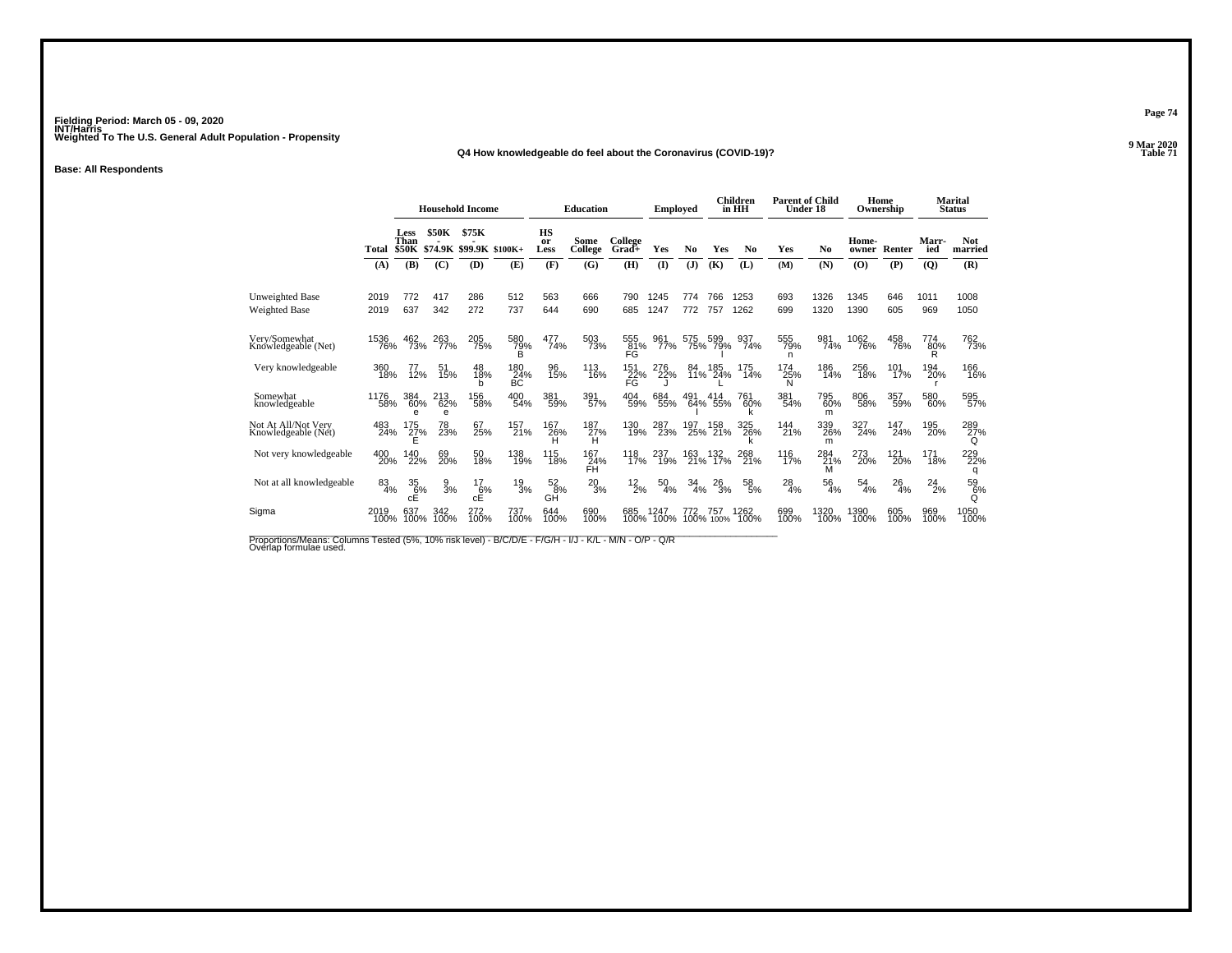**Q4 How knowledgeable do feel about the Coronavirus (COVID-19)?**

**Base: All Respondents**

|                                                |              | <b>Household Income</b>      |                 |                                  | <b>Education</b> |                         | <b>Employed</b>         |                        |              | <b>Children</b><br>in HH | <b>Parent of Child</b><br>Under 18 |                |                 | Home<br>Ownership |                | <b>Marital</b><br><b>Status</b> |              |                       |
|------------------------------------------------|--------------|------------------------------|-----------------|----------------------------------|------------------|-------------------------|-------------------------|------------------------|--------------|--------------------------|------------------------------------|----------------|-----------------|-------------------|----------------|---------------------------------|--------------|-----------------------|
|                                                | Total        | Less<br>Than<br><b>\$50K</b> | <b>\$50K</b>    | \$75K<br>\$74.9K \$99.9K \$100K+ |                  | <b>HS</b><br>or<br>Less | Some<br>College         | College<br>Grad+       | Yes          | N <sub>0</sub>           | Yes                                | N <sub>0</sub> | Yes             | N <sub>0</sub>    | Home-<br>owner | Renter                          | Marr-<br>ied | <b>Not</b><br>married |
|                                                | (A)          | (B)                          | (C)             | (D)                              | (E)              | (F)                     | (G)                     | (H)                    | $\mathbf{I}$ | (J)                      | (K)                                | (L)            | (M)             | (N)               | (O)            | (P)                             | (Q)          | (R)                   |
| <b>Unweighted Base</b><br><b>Weighted Base</b> | 2019<br>2019 | 772<br>637                   | 417<br>342      | 286<br>272                       | 512<br>737       | 563<br>644              | 666<br>690              | 790<br>685             | 1245<br>1247 | 774<br>772               | 766<br>757                         | 1253<br>1262   | 693<br>699      | 1326<br>1320      | 1345<br>1390   | 646<br>605                      | 1011<br>969  | 1008<br>1050          |
| Very/Somewhat<br>Knowledgeable (Net)           | 1536<br>76%  | 462<br>73%                   | 263<br>77%      | 205<br>75%                       | 580<br>79%       | 477<br>74%              | 503<br>73%              | 555<br>81%<br>FĜ       | 961<br>77%   | 575                      | 599<br>75% 79%                     | 937<br>74%     | 555<br>79%<br>n | 981<br>74%        | 1062<br>76%    | 458<br>76%                      | 774<br>80%   | 762<br>73%            |
| Very knowledgeable                             | 360<br>18%   | 77<br>12%                    | 51<br>15%       | 48<br>18%<br>h                   | 180<br>24%<br>ВC | 96<br>15%               | 113<br>16%              | 151<br>22%<br>FG       | 276<br>22%   | 84<br>11%                | 185<br>24%                         | 175<br>14%     | 174<br>25%<br>Ν | 186<br>14%        | 256<br>18%     | 101<br>17%                      | 194<br>20%   | 166<br>16%            |
| Somewhat<br>knowledgeable                      | 1176<br>58%  | 384<br>60%<br>e              | 213<br>62%<br>e | 156<br>58%                       | 400<br>54%       | 381<br>59%              | 391%                    | 404<br>59%             | 684<br>55%   | 491                      | 414<br>64% 55%                     | 761<br>60%     | 381<br>54%      | 795<br>60%<br>m   | 806<br>58%     | 357<br>59%                      | 580<br>60%   | 595<br>57%            |
| Not At All/Not Verv<br>Knowledgeable (Net)     | 483<br>24%   | 175<br>27%                   | 78<br>23%       | 67<br>25%                        | 157<br>21%       | 167<br>26%              | 187<br>27%<br>н         | 130<br>19%             | 287<br>23%   | 197<br>25%               | 158<br>21%                         | 325<br>26%     | 144<br>21%      | 339<br>26%<br>m   | 327<br>24%     | 147<br>24%                      | 195<br>20%   | 289<br>27%<br>Q       |
| Not very knowledgeable                         | 400<br>20%   | 140<br>22%                   | 69<br>20%       | 50<br>18%                        | 138<br>19%       | 115<br>18%              | 167<br>24%<br><b>FH</b> | 118<br>17%             | 237<br>19%   | 163<br>21%               | 132<br>17%                         | 268<br>21%     | 116<br>17%      | 284<br>21%<br>м   | 273<br>20%     | 121<br>20%                      | 171<br>18%   | 229<br>22%<br>q       |
| Not at all knowledgeable                       | 83<br>4%     | 35<br>6%<br>cÉ               | 9<br>3%         | 17<br>6%<br>cÉ                   | 19<br>3%         | 52<br>8%<br>GH          | 20<br>3%                | 12<br>$\overline{2}\%$ | 50<br>4%     | 34<br>4%                 | 26<br>3%                           | 58<br>5%       | 28<br>4%        | 56<br>4%          | 54<br>4%       | 26<br>4%                        | 24<br>2%     | 59<br>6%<br>Q         |
| Sigma                                          | 2019<br>100% | 637<br>100%                  | 342<br>100%     | 272<br>100%                      | 737<br>100%      | 644<br>100%             | 690<br>100%             | 685<br>100%            | 1247<br>100% | 772                      | 757<br>100% 100%                   | 1262<br>100%   | 699<br>100%     | 1320<br>100%      | 1390<br>100%   | 605<br>100%                     | 969<br>100%  | 1050<br>100%          |

Proportions/Means: Columns Tested (5%, 10% risk level) - B/C/D/E - F/G/H - I/J - K/L - M/N - O/P - Q/R<br>Overlap formulae used.

**Page 74**

**9 Mar 2020<br>Table 71 Table 71**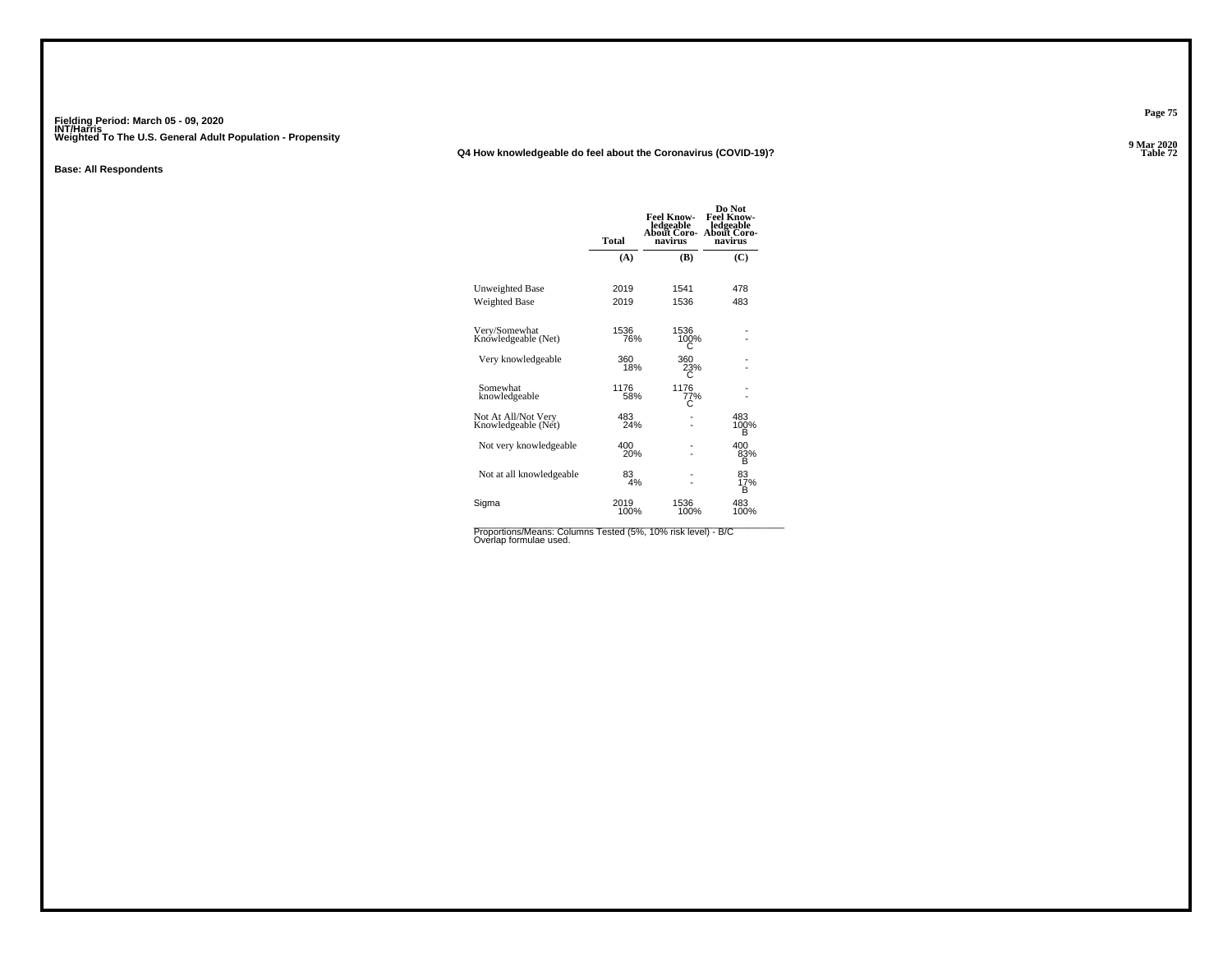### **Q4 How knowledgeable do feel about the Coronavirus (COVID-19)?**

#### **Base: All Respondents**

|                                            | Total        | <b>Feel Know-</b><br>ledgeable<br>About Coro-<br>navirus | Do Not<br><b>Feel Know-</b><br>ledgeable<br><b>About Coro-</b><br>navirus |
|--------------------------------------------|--------------|----------------------------------------------------------|---------------------------------------------------------------------------|
|                                            | (A)          | (B)                                                      | (C)                                                                       |
| Unweighted Base<br><b>Weighted Base</b>    | 2019<br>2019 | 1541<br>1536                                             | 478<br>483                                                                |
| Very/Somewhat<br>Knowledgeable (Net)       | 1536<br>76%  | 1536<br>100%                                             |                                                                           |
| Very knowledgeable                         | 360<br>18%   | 360<br>23%<br>C                                          |                                                                           |
| Somewhat<br>knowledgeable                  | 1176<br>58%  | 1176<br>77%<br>С                                         |                                                                           |
| Not At All/Not Very<br>Knowledgeable (Net) | 483<br>24%   |                                                          | 483<br>100%<br>в                                                          |
| Not very knowledgeable                     | 400<br>20%   |                                                          | 400<br>83%<br>в                                                           |
| Not at all knowledgeable                   | 83<br>4%     |                                                          | 83<br>17%<br>R                                                            |
| Sigma                                      | 2019<br>100% | 1536<br>100%                                             | 483<br>100%                                                               |

Proportions/Means: Columns Tested (5%, 10% risk level) - B/C<br>Overlap formulae used.

**Page 75**

**9 Mar 2020<br>Table 72 Table 72**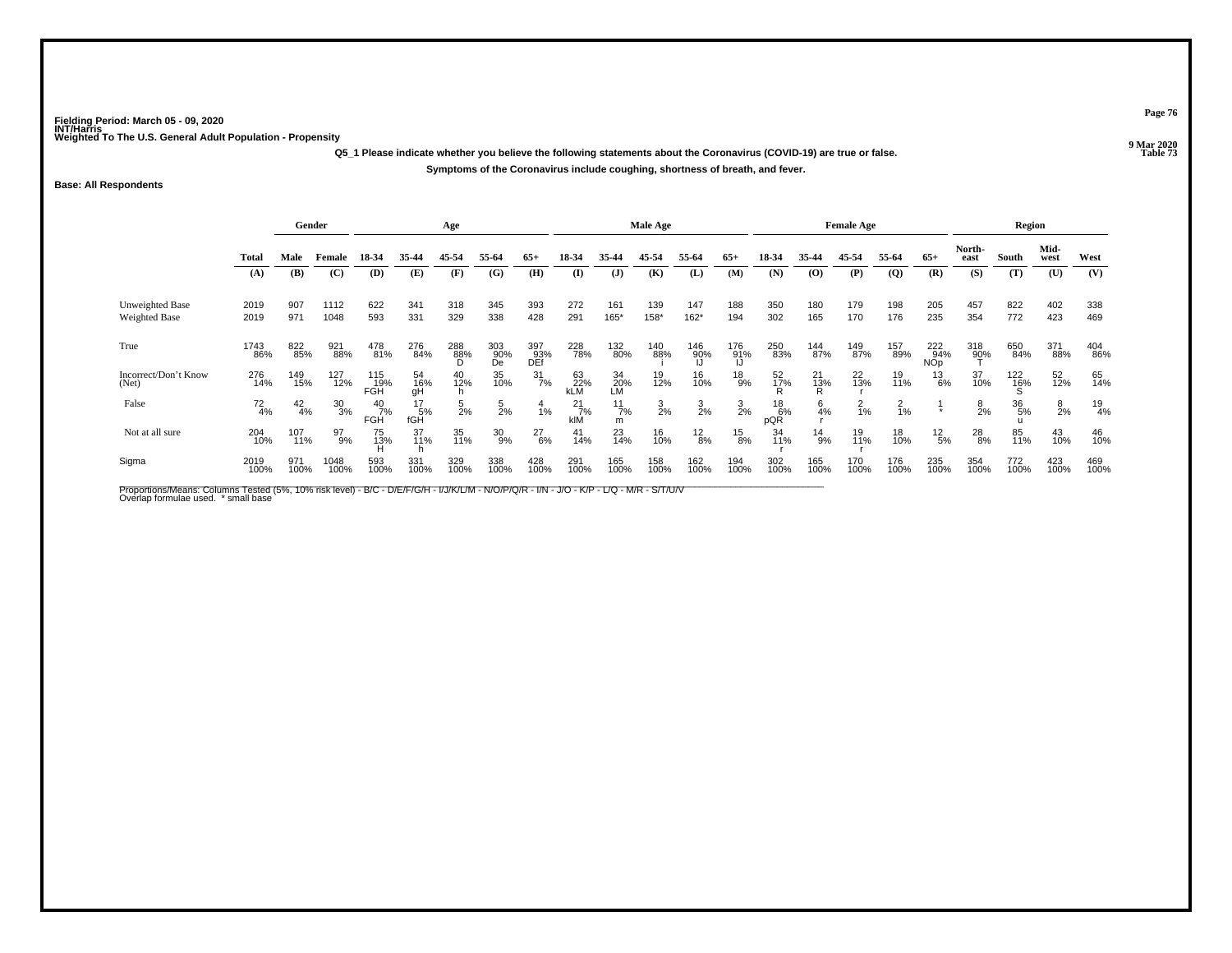**Q5\_1 Please indicate whether you believe the following statements about the Coronavirus (COVID-19) are true or false.Symptoms of the Coronavirus include coughing, shortness of breath, and fever.**

### **Base: All Respondents**

|                                  | Gender<br>Age |               |                 |                      |                      |                 |                  | Male Age          |                      |                      |                 |                 | <b>Female Age</b> |                 |                |                | Region         |                          |                |                 |                |               |
|----------------------------------|---------------|---------------|-----------------|----------------------|----------------------|-----------------|------------------|-------------------|----------------------|----------------------|-----------------|-----------------|-------------------|-----------------|----------------|----------------|----------------|--------------------------|----------------|-----------------|----------------|---------------|
|                                  | <b>Total</b>  | Male          | Female          | 18-34                | 35-44                | 45-54           | 55-64            | $65+$             | 18-34                | 35-44                | 45-54           | 55-64           | $65+$             | 18-34           | 35-44          | 45-54          | 55-64          | $65+$                    | North-<br>east | South           | Mid-<br>west   | West          |
|                                  | (A)           | (B)           | (C)             | (D)                  | (E)                  | (F)             | (G)              | (H)               | (I)                  | (J)                  | (K)             | (L)             | (M)               | (N)             | (O)            | (P)            | $\overline{Q}$ | (R)                      | (S)            | (T)             | (U)            | (V)           |
| Unweighted Base<br>Weighted Base | 2019<br>2019  | 907<br>971    | 1112<br>1048    | 622<br>593           | 341<br>331           | 318<br>329      | 345<br>338       | 393<br>428        | 272<br>291           | 161<br>165*          | 139<br>158*     | 147<br>162*     | 188<br>194        | 350<br>302      | 180<br>165     | 179<br>170     | 198<br>176     | 205<br>235               | 457<br>354     | 822<br>772      | 402<br>423     | 338<br>469    |
| True                             | 1743<br>86%   | 822<br>85%    | 921<br>88%      | 478<br>81%           | 276<br>84%           | 288<br>88%<br>D | 303<br>90%<br>De | 397<br>03%<br>DEf | 228<br>78%           | 132<br>80%           | 140<br>88%      | 146<br>90%      | 176<br>91%        | 250<br>83%      | 144<br>87%     | 149<br>87%     | 157<br>89%     | 222<br>94%<br><b>NOp</b> | 318<br>90%     | 650<br>84%      | 371<br>88%     | 404<br>86%    |
| Incorrect/Don't Know<br>(Net)    | 276<br>14%    | 149<br>15%    | 127<br>12%      | 115<br>__19%<br>FGH  | 54<br>16%<br>gH      | 40<br>12%       | 35<br>10%        | $\frac{31}{7\%}$  | 63<br>22%<br>kLM     | 34<br>20%<br>LM      | 19<br>12%       | 16<br>10%       | $^{18}_{9\%}$     | $^{52}_{17\%}$  | 21<br>13%<br>R | 22<br>13%      | 19<br>11%      | $^{13}_{6\%}$            | 37<br>10%      | $^{122}_{16\%}$ | 52<br>12%      | 65<br>14%     |
| False                            | $^{72}_{4\%}$ | $^{42}_{4\%}$ | $\frac{30}{3%}$ | $^{40}_{7\%}$<br>FGH | $^{17}_{5\%}$<br>fGH | $\frac{5}{2%}$  | 5<br>2%          | $\frac{4}{1\%}$   | $^{21}_{7\%}$<br>kIM | $\frac{11}{7%}$<br>m | $\frac{3}{2\%}$ | $\frac{3}{2\%}$ | $\frac{3}{2\%}$   | 18<br>6%<br>pQR | $6\over 4%$    | $\frac{2}{1%}$ | $^{2}_{1\%}$   | $\ddot{}$                | $\frac{8}{2%}$ | 36<br>5%        | $\frac{8}{2%}$ | $^{19}_{4\%}$ |
| Not at all sure                  | 204<br>10%    | 107<br>11%    | 97<br>9%        | 75<br>13%            | 37<br>11%            | 35<br>11%       | 30<br>9%         | $^{27}_{6\%}$     | 41<br>14%            | 23<br>14%            | 16<br>10%       | $^{12}_{8\%}$   | $^{15}_{8\%}$     | 34<br>11%       | $^{14}_{9\%}$  | 19<br>11%      | 18<br>10%      | $^{12}_{\ 5\%}$          | 28<br>8%       | 85<br>11%       | 43<br>10%      | 46<br>10%     |
| Sigma                            | 2019<br>100%  | 971<br>100%   | 1048<br>100%    | 593<br>100%          | 331<br>100%          | 329<br>100%     | 338<br>100%      | 428<br>100%       | 291<br>100%          | 165<br>100%          | 158<br>100%     | 162<br>100%     | 194<br>100%       | 302<br>100%     | 165<br>100%    | 170<br>100%    | 176<br>100%    | 235<br>100%              | 354<br>100%    | 772<br>100%     | 423<br>100%    | 469<br>100%   |

Proportions/Means: Columns Tested (5%, 10% risk level) - B/C - D/E/F/G/H - I/J/K/L/M - N/O/P/Q/R - I/N - J/O - K/P - L/Q - M/R - S/T/U/V<br>Overlap formulae used. \*small base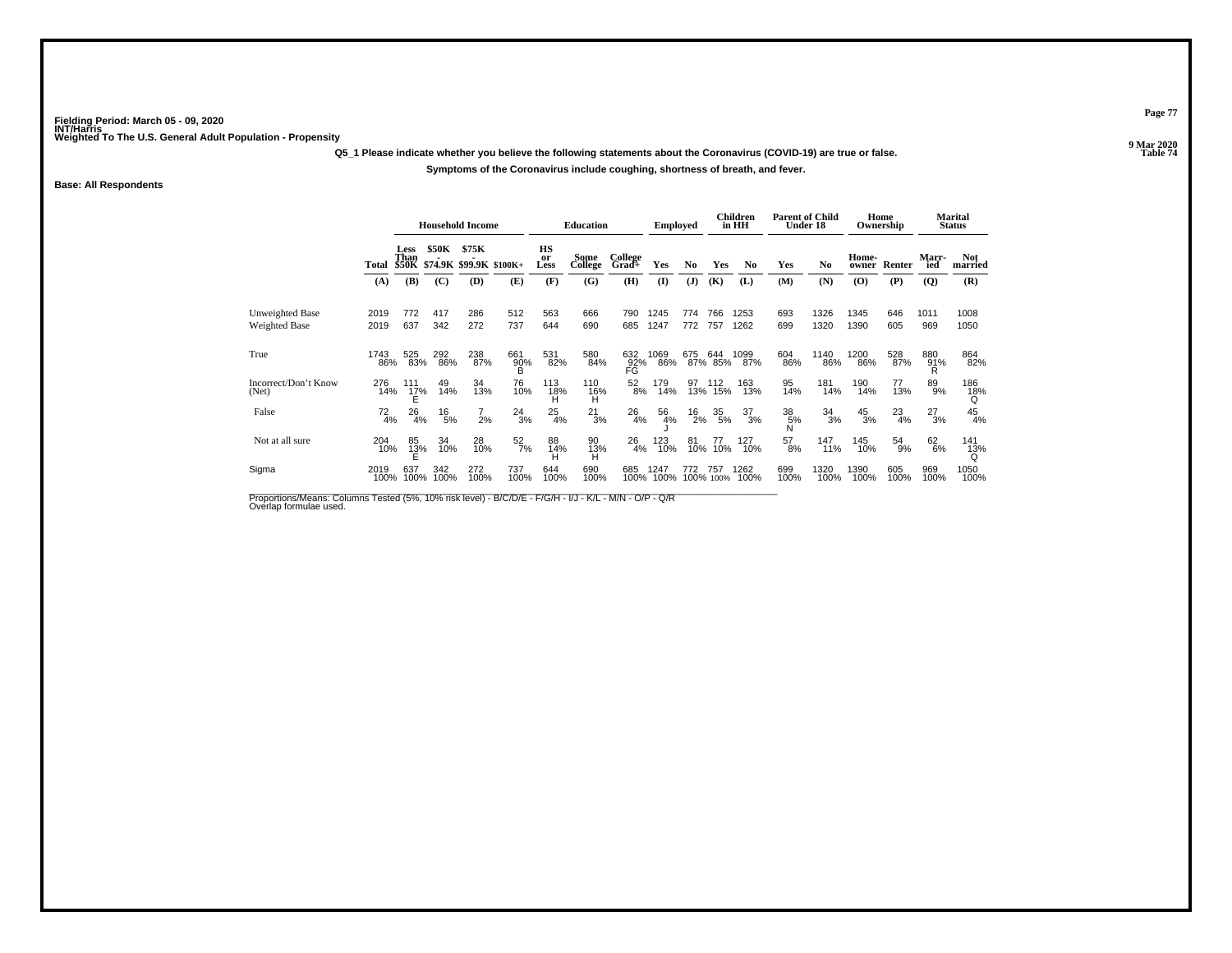**Q5\_1 Please indicate whether you believe the following statements about the Coronavirus (COVID-19) are true or false.**

**Symptoms of the Coronavirus include coughing, shortness of breath, and fever.**

### **Base: All Respondents**

|                                  |               |                      |                 | <b>Household Income</b>                |                         |                  | <b>Education</b> |                               | <b>Employed</b> |                   |                  | <b>Children</b><br>in HH | <b>Parent of Child</b><br>Under 18 |                 |                | Home<br>Ownership |                 | <b>Marital</b><br><b>Status</b> |
|----------------------------------|---------------|----------------------|-----------------|----------------------------------------|-------------------------|------------------|------------------|-------------------------------|-----------------|-------------------|------------------|--------------------------|------------------------------------|-----------------|----------------|-------------------|-----------------|---------------------------------|
|                                  | Total         | Less<br>Than         | <b>\$50K</b>    | \$75K<br>\$50K \$74.9K \$99.9K \$100K+ |                         | HS<br>or<br>Less | Some<br>College  | College<br>Grad+              | Yes             | No                | Yes              | N <sub>0</sub>           | Yes                                | N <sub>0</sub>  | Home-<br>owner | Renter            | Marr-<br>ied    | <b>Not</b><br>married           |
|                                  | (A)           | (B)                  | (C)             | (D)                                    | (E)                     | (F)              | (G)              | (H)                           | $\mathbf{I}$    | (J)               | (K)              | (L)                      | (M)                                | (N)             | (O)            | (P)               | (Q)             | (R)                             |
| Unweighted Base<br>Weighted Base | 2019<br>2019  | 772<br>637           | 417<br>342      | 286<br>272                             | 512<br>737              | 563<br>644       | 666<br>690       | 790<br>685                    | 1245<br>1247    | 774<br>772        | 766<br>757       | 1253<br>1262             | 693<br>699                         | 1326<br>1320    | 1345<br>1390   | 646<br>605        | 1011<br>969     | 1008<br>1050                    |
| True                             | 1743<br>86%   | 525<br>83%           | 292<br>86%      | 238<br>87%                             | 661<br>$\frac{90\%}{B}$ | 531<br>82%       | 580<br>84%       | 632<br>$\frac{92}{\text{FG}}$ | 1069<br>86%     | 675               | 644<br>87% 85%   | 1099<br>87%              | 604<br>86%                         | 1140<br>86%     | 1200<br>86%    | 528<br>87%        | 880<br>91%      | 864<br>82%                      |
| Incorrect/Don't Know<br>(Net)    | 276<br>14%    | 111<br>$^{17\%}_{E}$ | 49<br>14%       | 34<br>13%                              | 76<br>10%               | 113<br>18%<br>H  | 110<br>16%<br>H  | $^{52}_{8\%}$                 | 179<br>14%      | $\frac{97}{13\%}$ | 112<br>15%       | 163<br>13%               | 95<br>14%                          | 181<br>14%      | 190<br>14%     | 77<br>13%         | 89 <sub>%</sub> | 186<br>18%<br>Q                 |
| False                            | $^{72}_{4\%}$ | $^{26}_{4\%}$        | $^{16}_{\ 5\%}$ | 2%                                     | $^{24}_{3\%}$           | $^{25}_{4\%}$    | $^{21}_{3\%}$    | $^{26}_{4\%}$                 | 56<br>4%        | $^{16}_{2\%}$     | $\frac{35}{5\%}$ | $\frac{37}{3%}$          | 38<br>5%<br>N                      | $\frac{34}{3%}$ | $^{45}_{3\%}$  | $^{23}_{4\%}$     | $^{27}_{3\%}$   | $^{45}_{4\%}$                   |
| Not at all sure                  | 204<br>10%    | 85<br>$\frac{13}{5}$ | 34<br>10%       | 28<br>10%                              | $\frac{52}{7\%}$        | 88<br>14%        | 90<br>13%        | $^{26}_{4\%}$                 | 123<br>10%      | 81<br>10%         | 77<br>10%        | 127<br>10%               | $^{57}_{8\%}$                      | 147<br>11%      | 145<br>10%     | $^{54}_{9\%}$     | 62<br>6%        | 141<br>13%                      |
| Sigma                            | 2019<br>100%  | 637<br>100%          | 342<br>100%     | 272<br>100%                            | 737<br>100%             | 644<br>100%      | 690<br>100%      | 685<br>100%                   | 1247<br>100%    | 772               | 757<br>100% 100% | 1262<br>100%             | 699<br>100%                        | 1320<br>100%    | 1390<br>100%   | 605<br>100%       | 969<br>100%     | 1050<br>100%                    |

Proportions/Means: Columns Tested (5%, 10% risk level) - B/C/D/E - F/G/H - I/J - K/L - M/N - O/P - Q/R<br>Overlap formulae used.

**Page 77**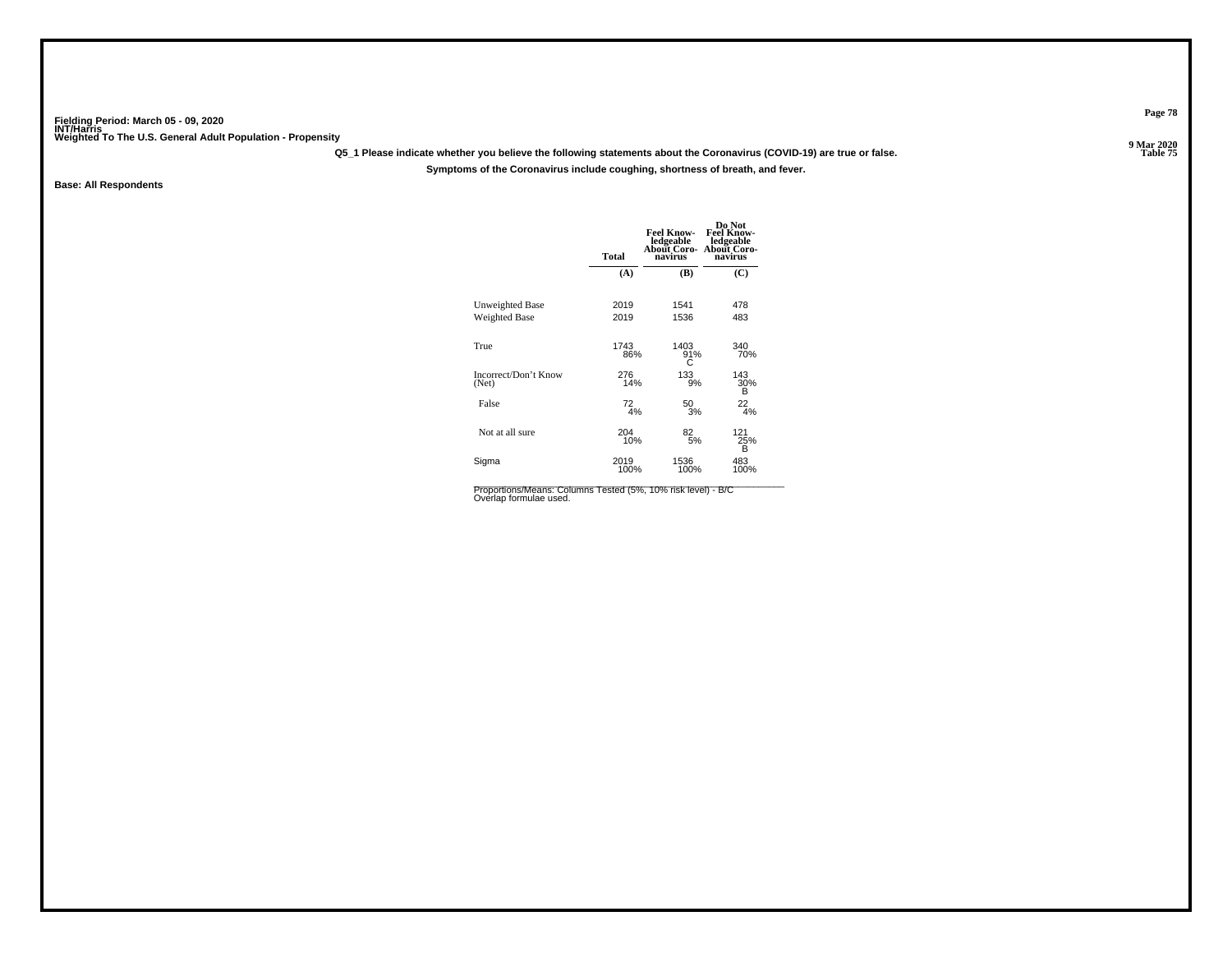**Q5\_1 Please indicate whether you believe the following statements about the Coronavirus (COVID-19) are true or false.**

**Symptoms of the Coronavirus include coughing, shortness of breath, and fever.**

**Base: All Respondents**

|                                         | <b>Total</b> | <b>Feel Know-</b><br>ledgeable<br>About Coro-<br>navirus | Do Not<br><b>Feel Know-</b><br>ledgeable<br><b>About Coro-</b><br>navirus |
|-----------------------------------------|--------------|----------------------------------------------------------|---------------------------------------------------------------------------|
|                                         | (A)          | (B)                                                      | $\mathbf C$                                                               |
| Unweighted Base<br><b>Weighted Base</b> | 2019<br>2019 | 1541<br>1536                                             | 478<br>483                                                                |
| True                                    | 1743<br>86%  | 1403<br>91%<br>C                                         | 340<br>70%                                                                |
| Incorrect/Don't Know<br>(Net)           | 276<br>14%   | 133<br>9%                                                | 143<br>30%<br>В                                                           |
| False                                   | $^{72}_{4%}$ | 50<br>3%                                                 | $^{22}_{4%}$                                                              |
| Not at all sure                         | 204<br>10%   | 82 <sub>5%</sub>                                         | 121<br>25%<br>в                                                           |
| Sigma                                   | 2019<br>100% | 1536<br>100%                                             | 483<br>100%                                                               |

Proportions/Means: Columns Tested (5%, 10% risk level) - B/C<br>Overlap formulae used.

**Page 78**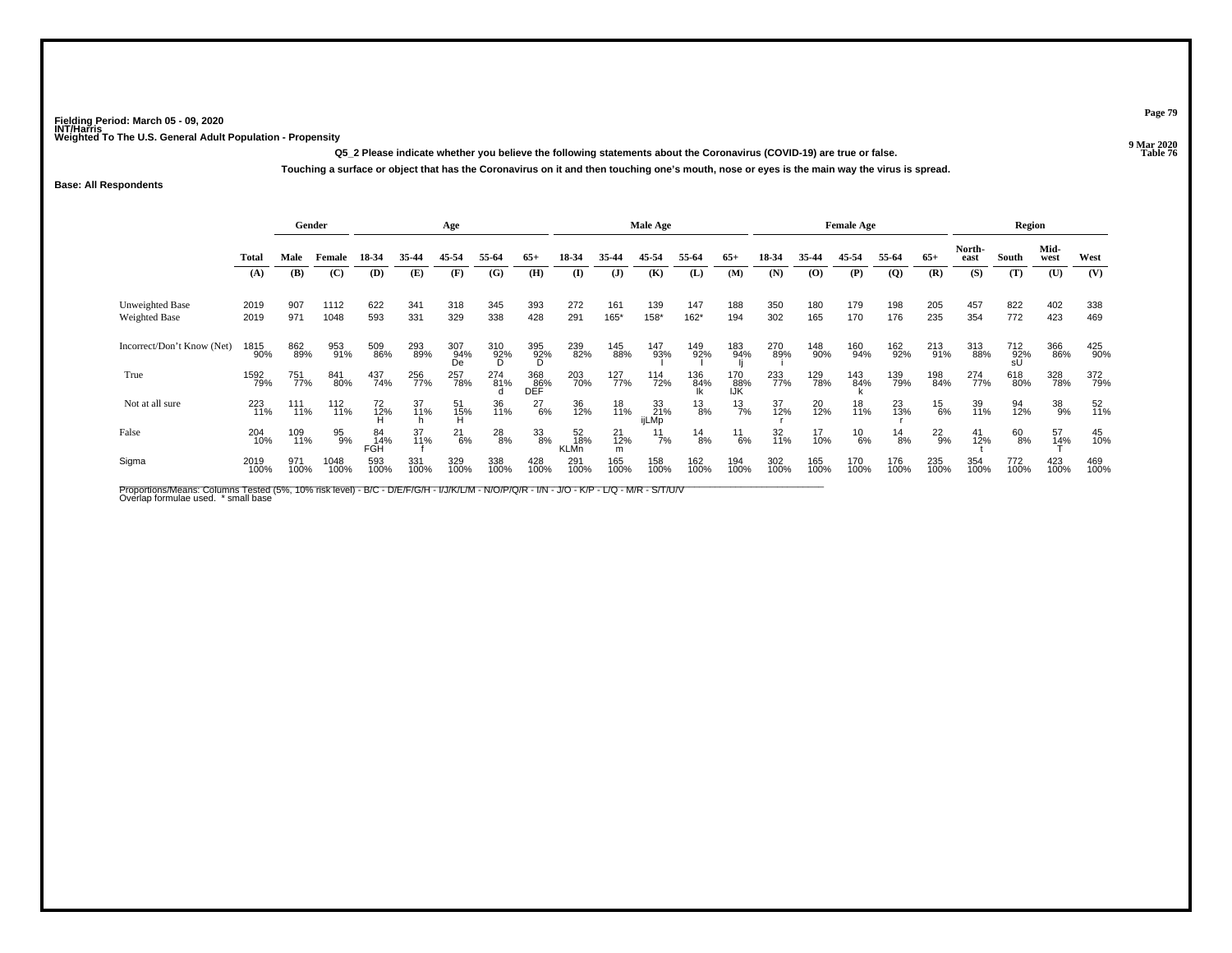**Q5\_2 Please indicate whether you believe the following statements about the Coronavirus (COVID-19) are true or false.Touching a surface or object that has the Coronavirus on it and then touching one's mouth, nose or eyes is the main way the virus is spread.**

**Base: All Respondents**

|                                  | Gender       |             |              |                         |             | Age              |                 |                    |                          |                     | Male Age           |                  |                   |             |             | <b>Female Age</b> |                               |               |                | Region           |                   |             |
|----------------------------------|--------------|-------------|--------------|-------------------------|-------------|------------------|-----------------|--------------------|--------------------------|---------------------|--------------------|------------------|-------------------|-------------|-------------|-------------------|-------------------------------|---------------|----------------|------------------|-------------------|-------------|
|                                  | Total        | Male        | Female       | 18-34                   | 35-44       | 45-54            | 55-64           | $65+$              | 18-34                    | 35.44               | 45-54              | 55-64            | $65+$             | 18-34       | 35-44       | 45-54             | 55-64                         | $65+$         | North-<br>east | South            | Mid-<br>west      | West        |
|                                  | (A)          | (B)         | (C)          | (D)                     | (E)         | (F)              | (G)             | (H)                | $\mathbf{I}$             | ( <b>J</b> )        | (K)                | (L)              | (M)               | (N)         | (0)         | (P)               | $\overline{Q}$                | (R)           | (S)            | (T)              | (U)               | (V)         |
| Unweighted Base<br>Weighted Base | 2019<br>2019 | 907<br>971  | 1112<br>1048 | 622<br>593              | 341<br>331  | 318<br>329       | 345<br>338      | 393<br>428         | 272<br>291               | 161<br>165*         | 139<br>158*        | 147<br>162*      | 188<br>194        | 350<br>302  | 180<br>165  | 179<br>170        | 198<br>176                    | 205<br>235    | 457<br>354     | 822<br>772       | 402<br>423        | 338<br>469  |
| Incorrect/Don't Know (Net)       | 1815<br>90%  | 862<br>89%  | 953<br>91%   | 509<br>86%              | 293<br>89%  | 307<br>94%<br>De | 310<br>92%<br>D | 395<br>92%<br>D    | 239<br>82%               | 145<br>88%          | 147<br>93%         | 149<br>92%       | 183<br>94%        | 270<br>89%  | 148<br>90%  | 160<br>94%        | <sup>162</sup> <sub>92%</sub> | 213<br>91%    | 313<br>88%     | 712<br>92%<br>sU | 366<br>86%        | 425<br>90%  |
| True                             | 1592<br>79%  | 751<br>77%  | 841<br>80%   | 437<br>74%              | 256<br>77%  | 257<br>78%       | 274<br>81%      | 368<br>086%<br>DEF | 203<br>70%               | 127<br>77%          | 114<br>72%         | 136<br>84%<br>Ik | 170<br>88%<br>IJK | 233<br>77%  | 129<br>78%  | 143<br>84%        | 139<br>79%                    | 198<br>84%    | 274<br>77%     | 618<br>80%       | 328<br>78%        | 372<br>79%  |
| Not at all sure                  | 223<br>11%   | 111<br>11%  | 112<br>11%   | 72<br>12%               | 37<br>11%   | 51<br>15%        | 36<br>11%       | $^{27}_{6\%}$      | 36<br>12%                | 18<br>11%           | 33<br>21%<br>ijLMp | $^{13}_{8\%}$    | $^{13}_{7\%}$     | 37<br>12%   | 20<br>12%   | 18<br>11%         | 23<br>13%                     | $^{15}_{6\%}$ | 39<br>11%      | 94<br>12%        | 38<br>9%          | 52<br>11%   |
| False                            | 204<br>10%   | 109<br>11%  | 95<br>9%     | 84<br>14%<br><b>FGH</b> | 37<br>11%   | $^{21}_{6\%}$    | $^{28}_{8\%}$   | 33<br>8%           | 52<br>18%<br><b>KLMn</b> | $^{21}_{12\%}$<br>m | $\frac{11}{7\%}$   | $^{14}_{8\%}$    | $^{11}_{6\%}$     | 32<br>11%   | 17<br>10%   | $^{10}_{6\%}$     | $^{14}_{8\%}$                 | $^{22}_{9\%}$ | 41<br>12%      | 60<br>8%         | $\frac{57}{14\%}$ | 45<br>10%   |
| Sigma                            | 2019<br>100% | 971<br>100% | 1048<br>100% | 593<br>100%             | 331<br>100% | 329<br>100%      | 338<br>100%     | 428<br>100%        | 291<br>100%              | 165<br>100%         | 158<br>100%        | 162<br>100%      | 194<br>100%       | 302<br>100% | 165<br>100% | 170<br>100%       | 176<br>100%                   | 235<br>100%   | 354<br>100%    | 772<br>100%      | 423<br>100%       | 469<br>100% |

Proportions/Means: Columns Tested (5%, 10% risk level) - B/C - D/E/F/G/H - I/J/K/L/M - N/O/P/Q/R - I/N - J/O - K/P - L/Q - M/R - S/T/U/V<br>Overlap formulae used. \*small base

**Page 79**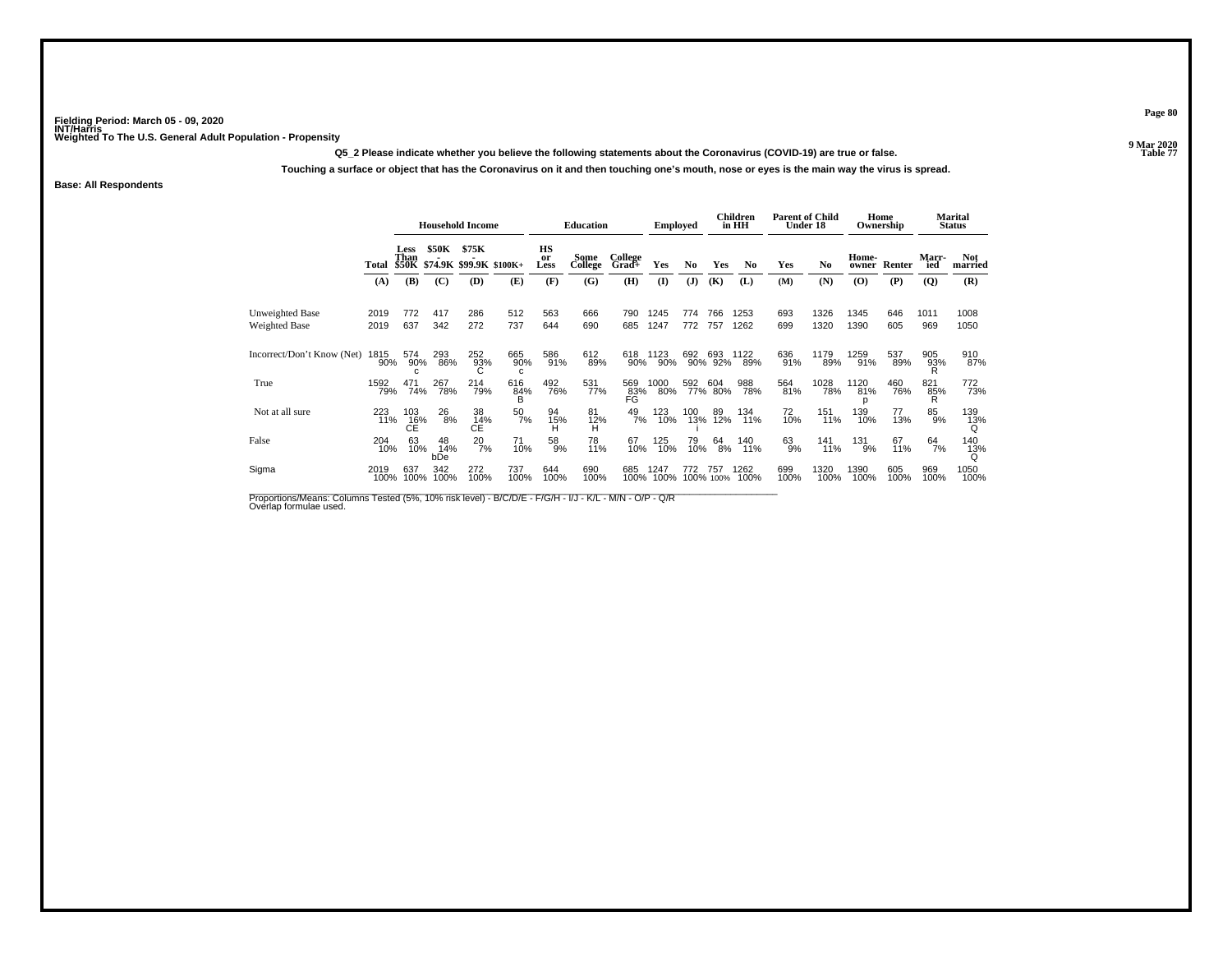**Q5\_2 Please indicate whether you believe the following statements about the Coronavirus (COVID-19) are true or false.**

**Touching a surface or object that has the Coronavirus on it and then touching one's mouth, nose or eyes is the main way the virus is spread.**

**Base: All Respondents**

|                                  |              | <b>Household Income</b>              |                  |                              |                               | <b>Education</b> |                 | <b>Employed</b>  |              |                | Children<br>in HH | <b>Parent of Child</b><br>Under 18 |             |              | Home<br>Ownership                        |             | Marital<br>Status |                       |
|----------------------------------|--------------|--------------------------------------|------------------|------------------------------|-------------------------------|------------------|-----------------|------------------|--------------|----------------|-------------------|------------------------------------|-------------|--------------|------------------------------------------|-------------|-------------------|-----------------------|
|                                  | Total        | Less<br>Than                         | <b>\$50K</b>     | \$75K                        | \$50K \$74.9K \$99.9K \$100K+ | HS<br>or<br>Less | Some<br>College | College<br>Grad+ | Yes          | N <sub>0</sub> | Yes               | N <sub>0</sub>                     | Yes         | No           | Home-<br>owner                           | Renter      | Marr-<br>ied      | <b>Not</b><br>married |
|                                  | (A)          | (B)                                  | (C)              | (D)                          | (E)                           | (F)              | (G)             | (H)              | $\mathbf{I}$ | (J)            | (K)               | (L)                                | (M)         | (N)          | $\boldsymbol{\left( \mathbf{O} \right)}$ | (P)         | (Q)               | (R)                   |
| Unweighted Base<br>Weighted Base | 2019<br>2019 | 772<br>637                           | 417<br>342       | 286<br>272                   | 512<br>737                    | 563<br>644       | 666<br>690      | 790<br>685       | 1245<br>1247 | 774<br>772     | 766<br>757        | 1253<br>1262                       | 693<br>699  | 1326<br>1320 | 1345<br>1390                             | 646<br>605  | 1011<br>969       | 1008<br>1050          |
| Incorrect/Don't Know (Net)       | 1815<br>90%  | 574<br>90%                           | 293<br>86%       | 252<br>93%                   | 665<br>90%                    | 586<br>91%       | 612<br>89%      | 618<br>90%       | 1123<br>90%  | 692            | 693<br>90% 92%    | 1122<br>89%                        | 636<br>91%  | 1179<br>89%  | 1259<br>91%                              | 537<br>89%  | 905<br>93%        | 910<br>87%            |
| True                             | 1592<br>79%  | 471<br>74%                           | 267<br>78%       | 214<br>79%                   | 616<br>84%                    | 492<br>76%       | 531<br>77%      | 569<br>83%<br>FG | 1000<br>80%  | 592            | 604<br>77% 80%    | 988<br>78%                         | 564<br>81%  | 1028<br>78%  | 1120<br>81%<br>D                         | 460<br>76%  | 821<br>85%        | 772<br>73%            |
| Not at all sure                  | 223<br>11%   | 103<br>C <sub>E</sub> <sup>16%</sup> | 26<br>8%         | 38<br>$CE^{\overline{14\%}}$ | 50<br>7%                      | 94<br>15%<br>H   | 81<br>12%<br>H  | $^{49}_{7\%}$    | 123<br>10%   | 100<br>13%     | 89<br>12%         | 134<br>11%                         | 72<br>10%   | 151<br>11%   | 139<br>10%                               | 77<br>13%   | 85<br>9%          | 139<br>13%            |
| False                            | 204<br>10%   | 63<br>10%                            | 48<br>14%<br>bDe | $^{20}_{7\%}$                | 71<br>10%                     | 58<br>9%         | 78<br>11%       | 67<br>10%        | 125<br>10%   | 79<br>10%      | $^{64}_{8\%}$     | 140<br>11%                         | 63<br>9%    | 141<br>11%   | 131<br>9%                                | 67<br>11%   | 64<br>7%          | 140<br>13%            |
| Sigma                            | 2019<br>100% | 637<br>100%                          | 342<br>100%      | 272<br>100%                  | 737<br>100%                   | 644<br>100%      | 690<br>100%     | 685<br>100%      | 1247<br>100% | 772<br>100%    | -757<br>100%      | 1262<br>100%                       | 699<br>100% | 1320<br>100% | 1390<br>100%                             | 605<br>100% | 969<br>100%       | 1050<br>100%          |

Proportions/Means: Columns Tested (5%, 10% risk level) - B/C/D/E - F/G/H - I/J - K/L - M/N - O/P - Q/R<br>Overlap formulae used.

**Page 80**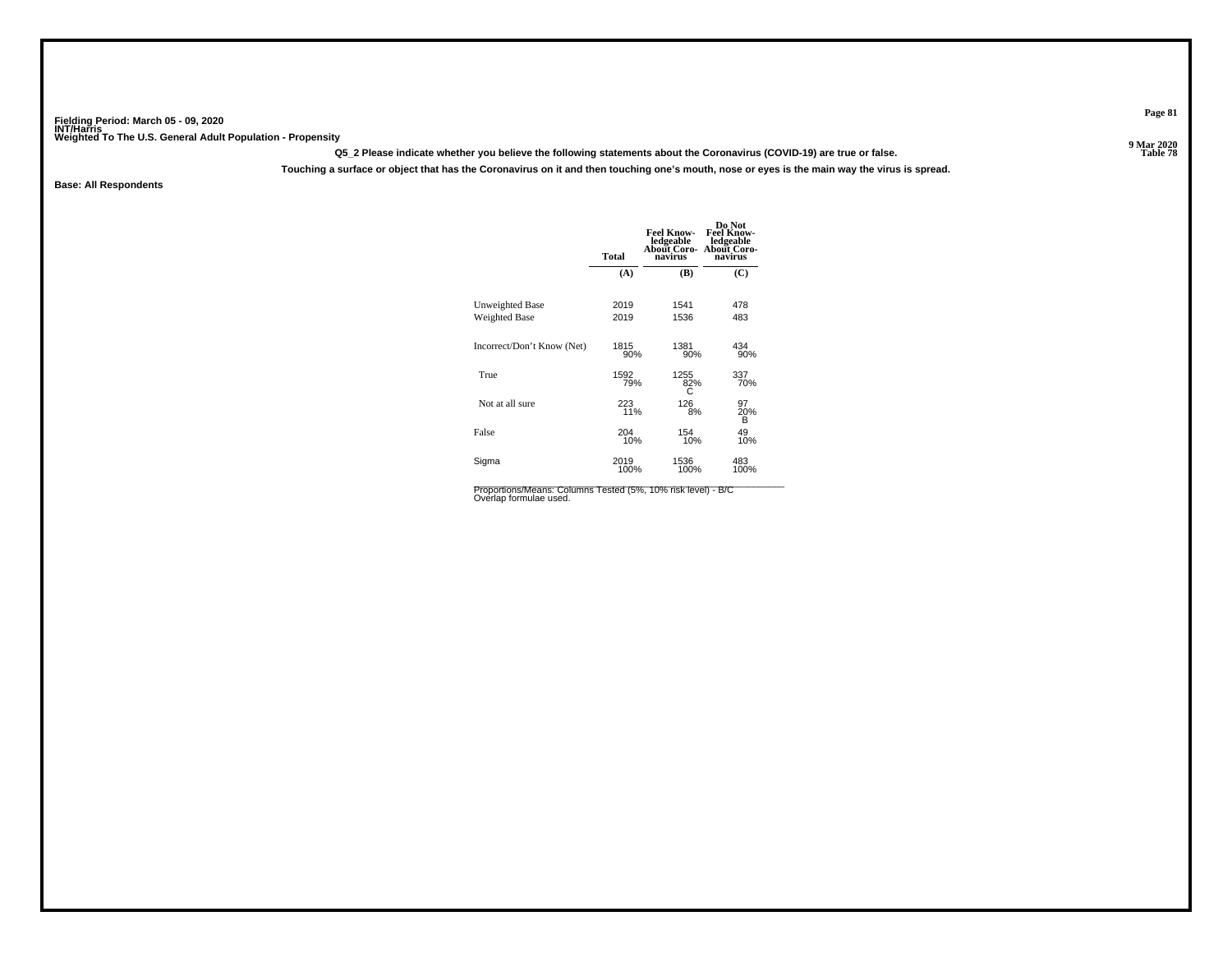**Q5\_2 Please indicate whether you believe the following statements about the Coronavirus (COVID-19) are true or false.**

**Touching a surface or object that has the Coronavirus on it and then touching one's mouth, nose or eyes is the main way the virus is spread.**

**Base: All Respondents**

|                            | <b>Total</b> | <b>Feel Know-</b><br>ledgeable<br>About Coro-<br>navirus | Do Not<br><b>Feel Know-</b><br>ledgeable<br>About Coro-<br>navirus |
|----------------------------|--------------|----------------------------------------------------------|--------------------------------------------------------------------|
|                            | (A)          | (B)                                                      | (C)                                                                |
| Unweighted Base            | 2019         | 1541                                                     | 478                                                                |
| <b>Weighted Base</b>       | 2019         | 1536                                                     | 483                                                                |
| Incorrect/Don't Know (Net) | 1815         | 1381                                                     | 434                                                                |
|                            | 90%          | 90%                                                      | 90%                                                                |
| True                       | 1592         | 1255                                                     | 337                                                                |
|                            | 79%          | 82%                                                      | 70%                                                                |
| Not at all sure            | 223          | 126                                                      | 97<br>20%                                                          |
|                            | 11%          | 8%                                                       | В                                                                  |
| False                      | 204<br>10%   | 154<br>10%                                               | 49<br>10%                                                          |
| Sigma                      | 2019         | 1536                                                     | 483                                                                |
|                            | 100%         | 100%                                                     | 100%                                                               |

Proportions/Means: Columns Tested (5%, 10% risk level) - B/C<br>Overlap formulae used.

**Page 81**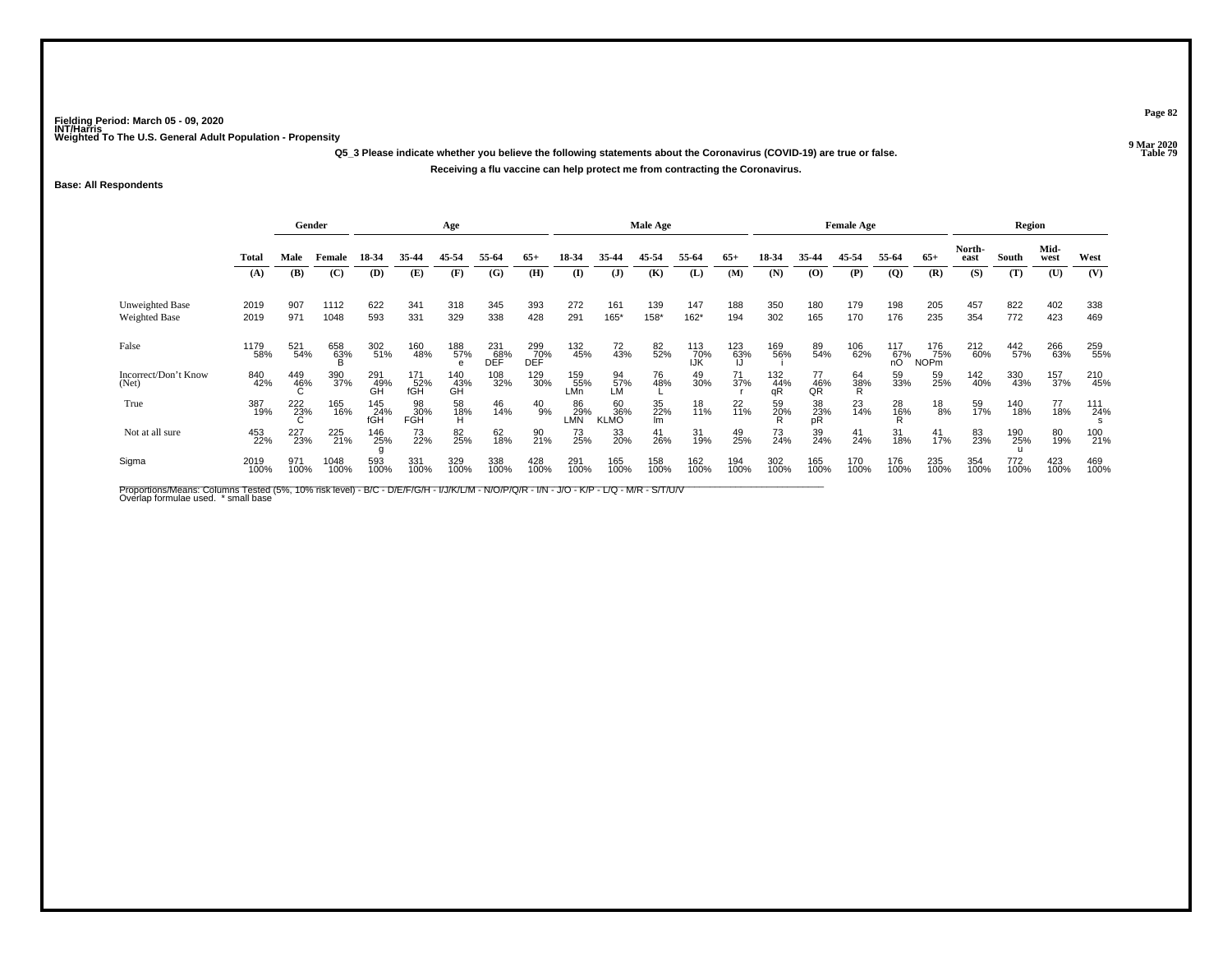**Q5\_3 Please indicate whether you believe the following statements about the Coronavirus (COVID-19) are true or false.Receiving a flu vaccine can help protect me from contracting the Coronavirus.**

### **Base: All Respondents**

|                                         | Gender       |             |                     |                   | Age                |                  |                   |                   |                    | Male Age                 |                        |                   |             |                  | <b>Female Age</b>    |                |                       |                           | Region         |             |              |             |
|-----------------------------------------|--------------|-------------|---------------------|-------------------|--------------------|------------------|-------------------|-------------------|--------------------|--------------------------|------------------------|-------------------|-------------|------------------|----------------------|----------------|-----------------------|---------------------------|----------------|-------------|--------------|-------------|
|                                         | <b>Total</b> | Male        | Female              | 18-34             | 35-44              | 45-54            | 55-64             | $65+$             | 18-34              | 35.44                    | 45-54                  | 55-64             | $65+$       | 18-34            | 35-44                | 45-54          | 55-64                 | $65+$                     | North-<br>east | South       | Mid-<br>west | West        |
|                                         | (A)          | (B)         | (C)                 | (D)               | (E)                | (F)              | (G)               | (H)               | (I)                | $\mathbf{J}$             | (K)                    | (L)               | (M)         | (N)              | (O)                  | (P)            | $\overline{Q}$        | (R)                       | (S)            | (T)         | (U)          | (V)         |
| <b>Unweighted Base</b><br>Weighted Base | 2019<br>2019 | 907<br>971  | 1112<br>1048        | 622<br>593        | 341<br>331         | 318<br>329       | 345<br>338        | 393<br>428        | 272<br>291         | 161<br>$165*$            | 139<br>158*            | 147<br>$162*$     | 188<br>194  | 350<br>302       | 180<br>165           | 179<br>170     | 198<br>176            | 205<br>235                | 457<br>354     | 822<br>772  | 402<br>423   | 338<br>469  |
| False                                   | 1179<br>58%  | 521<br>54%  | 658<br>6 <u>3</u> % | 302<br>51%        | 160<br>48%         | 188<br>57%<br>e  | 231<br>68%<br>DEF | 299<br>70%<br>DEF | 132<br>45%         | 72<br>43%                | 82%                    | 113<br>70%<br>IJK | 123<br>63%  | 169<br>56%       | 89<br>54%            | 106<br>62%     | $^{117}_{67\%}$<br>nО | 176<br>75%<br><b>NOPm</b> | 212<br>60%     | 442<br>57%  | 266<br>63%   | 259<br>55%  |
| Incorrect/Don't Know<br>(Net)           | 840<br>42%   | 449<br>46%  | 390<br>37%          | 291<br>49%<br>GH  | 171<br>.52%<br>fGH | 140<br>43%<br>GH | 108<br>32%        | 129<br>30%        | 159<br>.55%<br>∟Mn | 94<br>57%<br>LM          | 76<br>48%              | 49<br>30%         | 71<br>37%   | 132<br>44%<br>qR | 77<br>$\frac{46}{9}$ | 64<br>38%<br>R | 59<br>33%             | 59<br>25%                 | 142<br>40%     | 330<br>43%  | 157<br>37%   | 210<br>45%  |
| True                                    | 387<br>19%   | 222<br>23%  | 165<br>16%          | 145<br>24%<br>fĞĤ | 98<br>30%<br>FGH   | 58<br>18%<br>H   | 46<br>14%         | $^{40}_{9\%}$     | 86<br>29%<br>LMN   | 60<br>36%<br><b>KLMO</b> | 35<br>22%<br><b>Im</b> | 18<br>11%         | 22<br>11%   | 59<br>20%        | 38<br>23%<br>pR      | $^{23}_{14\%}$ | $^{28}_{16\%}$        | $^{18}_{\ 8\%}$           | 59<br>17%      | 140<br>18%  | 77<br>18%    | 111<br>24%  |
| Not at all sure                         | 453<br>22%   | 227<br>23%  | 225<br>21%          | 146<br>25%        | 73<br>22%          | 82 <sub>5%</sub> | 62<br>18%         | 90<br>21%         | 73<br>25%          | 33<br>20%                | 41<br>26%              | 31<br>19%         | 49<br>25%   | 73<br>24%        | 39<br>24%            | 41<br>24%      | 31<br>18%             | $\frac{41}{17\%}$         | 83<br>23%      | 190<br>25%  | 80<br>19%    | 100<br>21%  |
| Sigma                                   | 2019<br>100% | 971<br>100% | 1048<br>100%        | 593<br>100%       | 331<br>100%        | 329<br>100%      | 338<br>100%       | 428<br>100%       | 291<br>100%        | 165<br>100%              | 158<br>100%            | 162<br>100%       | 194<br>100% | 302<br>100%      | 165<br>100%          | 170<br>100%    | 176<br>100%           | 235<br>100%               | 354<br>100%    | 772<br>100% | 423<br>100%  | 469<br>100% |

Proportions/Means: Columns Tested (5%, 10% risk level) - B/C - D/E/F/G/H - I/J/K/L/M - N/O/P/Q/R - I/N - J/O - K/P - L/Q - M/R - S/T/U/V<br>Overlap formulae used. \*small base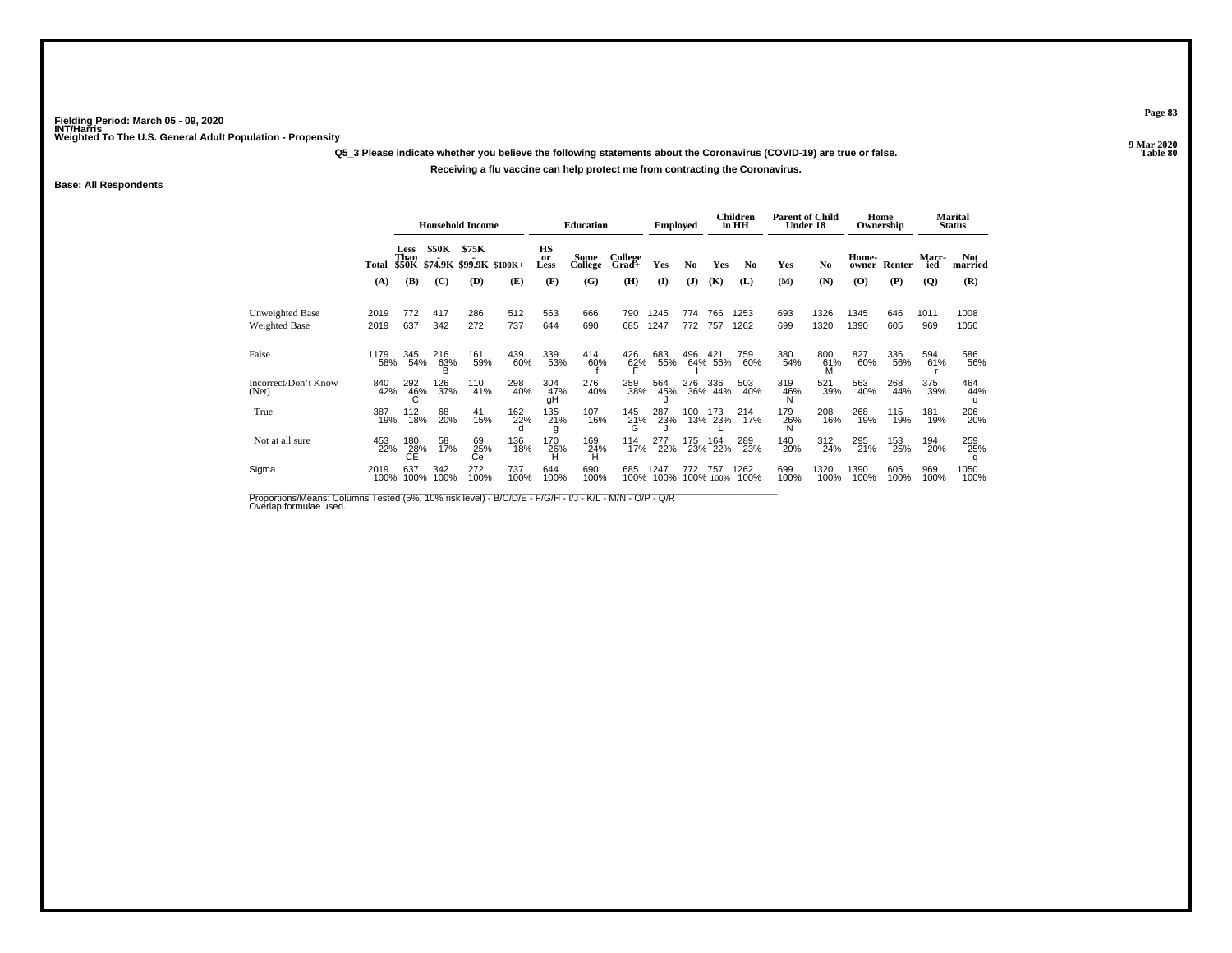**Q5\_3 Please indicate whether you believe the following statements about the Coronavirus (COVID-19) are true or false.**

### **Receiving a flu vaccine can help protect me from contracting the Coronavirus.**

**Base: All Respondents**

|                                  |              |                  |             | <b>Household Income</b>                      |             |                  | <b>Education</b> |                  | Emploved     |                |                | Children<br>in HH | <b>Parent of Child</b> | Under 18       |                                          | Home<br>Ownership |              | Marital<br><b>Status</b> |
|----------------------------------|--------------|------------------|-------------|----------------------------------------------|-------------|------------------|------------------|------------------|--------------|----------------|----------------|-------------------|------------------------|----------------|------------------------------------------|-------------------|--------------|--------------------------|
|                                  |              | Less<br>Than     | \$50K       | \$75K<br>Total \$50K \$74.9K \$99.9K \$100K+ |             | HS<br>or<br>Less | Some<br>College  | College<br>Grad+ | Yes          | N <sub>0</sub> | Yes            | No                | Yes                    | N <sub>0</sub> | Home-<br>owner                           | Renter            | Marr-<br>ied | <b>Not</b><br>married    |
|                                  | (A)          | (B)              | (C)         | (D)                                          | (E)         | (F)              | (G)              | (H)              | $\mathbf{I}$ | (J)            | (K)            | (L)               | (M)                    | (N)            | $\boldsymbol{\left( \mathbf{O} \right)}$ | (P)               | (Q)          | (R)                      |
| Unweighted Base<br>Weighted Base | 2019<br>2019 | 772<br>637       | 417<br>342  | 286<br>272                                   | 512<br>737  | 563<br>644       | 666<br>690       | 790<br>685       | 1245<br>1247 | 774<br>772     | 766<br>757     | 1253<br>1262      | 693<br>699             | 1326<br>1320   | 1345<br>1390                             | 646<br>605        | 1011<br>969  | 1008<br>1050             |
| False                            | 1179<br>58%  | 345<br>54%       | 216<br>63%  | 161<br>59%                                   | 439<br>60%  | 339<br>53%       | 414<br>60%       | 426<br>62%       | 683<br>55%   | 496            | 421<br>64% 56% | 759<br>60%        | 380<br>54%             | 800<br>61%     | 827<br>60%                               | 336<br>56%        | 594<br>61%   | 586<br>56%               |
| Incorrect/Don't Know<br>(Net)    | 840<br>42%   | 292<br>46%       | 126<br>37%  | 110<br>41%                                   | 298<br>40%  | 304<br>47%<br>qΗ | 276<br>40%       | 259<br>38%       | 564<br>45%   | 276            | 336<br>36% 44% | 503<br>40%        | 319<br>46%             | 521<br>39%     | 563<br>40%                               | 268<br>44%        | 375<br>39%   | 464<br>44%               |
| True                             | 387<br>19%   | 112<br>18%       | 68<br>20%   | 41<br>15%                                    | 162<br>22%  | 135<br>21%<br>g  | 107<br>16%       | 145<br>$^{21\%}$ | 287<br>23%   | 100            | 173<br>13% 23% | 214<br>17%        | 179<br>26%             | 208<br>16%     | 268<br>19%                               | 115<br>19%        | 181<br>19%   | 206<br>20%               |
| Not at all sure                  | 453<br>22%   | 180<br>28%<br>СÉ | 58<br>17%   | 69<br>25%<br>Сe                              | 136<br>18%  | 170<br>26%       | 169<br>24%<br>н  | 114<br>17%       | 277<br>22%   | 175            | 164<br>23% 22% | 289<br>23%        | 140<br>20%             | 312<br>24%     | 295<br>21%                               | 153<br>25%        | 194<br>20%   | 259<br>25%               |
| Sigma                            | 2019<br>100% | 637<br>100%      | 342<br>100% | 272<br>100%                                  | 737<br>100% | 644<br>100%      | 690<br>100%      | 685<br>100%      | 1247<br>100% | 772<br>100%    | 757<br>100%    | 1262<br>100%      | 699<br>100%            | 1320<br>100%   | 1390<br>100%                             | 605<br>100%       | 969<br>100%  | 1050<br>100%             |

Proportions/Means: Columns Tested (5%, 10% risk level) - B/C/D/E - F/G/H - I/J - K/L - M/N - O/P - Q/R<br>Overlap formulae used.

**Page 83**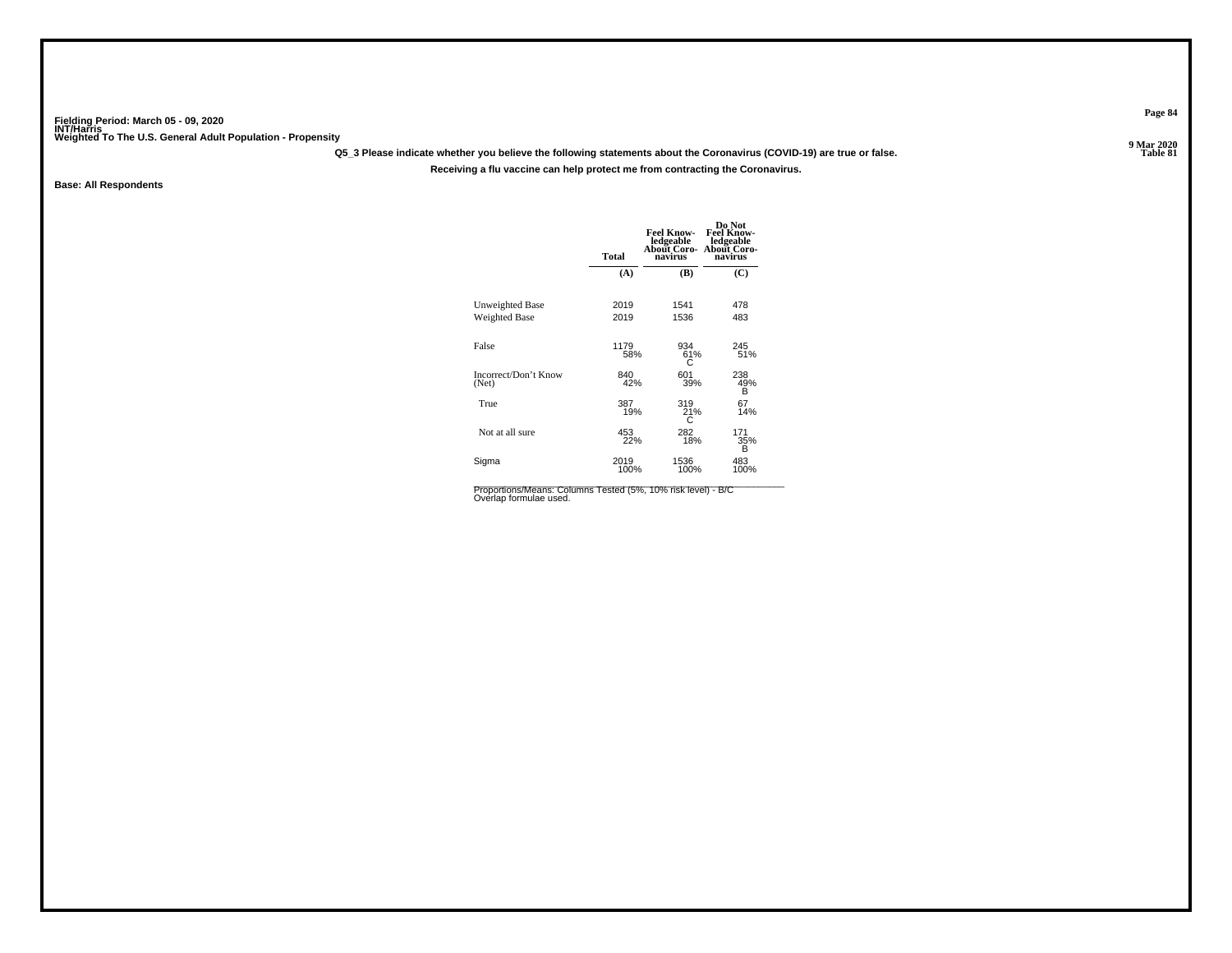**Q5\_3 Please indicate whether you believe the following statements about the Coronavirus (COVID-19) are true or false.**

**Receiving a flu vaccine can help protect me from contracting the Coronavirus.**

**Base: All Respondents**

|                                         | <b>Total</b> | <b>Feel Know-</b><br>ledgeable<br>About Coro-<br>navirus | Do Not<br><b>Feel Know-</b><br>ledgeable<br><b>About Coro-</b><br>navirus |
|-----------------------------------------|--------------|----------------------------------------------------------|---------------------------------------------------------------------------|
|                                         | (A)          | (B)                                                      | (C)                                                                       |
| Unweighted Base<br><b>Weighted Base</b> | 2019<br>2019 | 1541<br>1536                                             | 478<br>483                                                                |
| False                                   | 1179<br>58%  | 934<br>61%<br>C                                          | 245<br>51%                                                                |
| Incorrect/Don't Know<br>(Net)           | 840<br>42%   | 601<br>39%                                               | 238<br>49%<br>B                                                           |
| True                                    | 387<br>19%   | 319<br>21%<br>С                                          | 67<br>14%                                                                 |
| Not at all sure                         | 453<br>22%   | 282<br>18%                                               | 171<br>35%<br>B                                                           |
| Sigma                                   | 2019<br>100% | 1536<br>100%                                             | 483<br>100%                                                               |

Proportions/Means: Columns Tested (5%, 10% risk level) - B/C<br>Overlap formulae used.

**Page 84**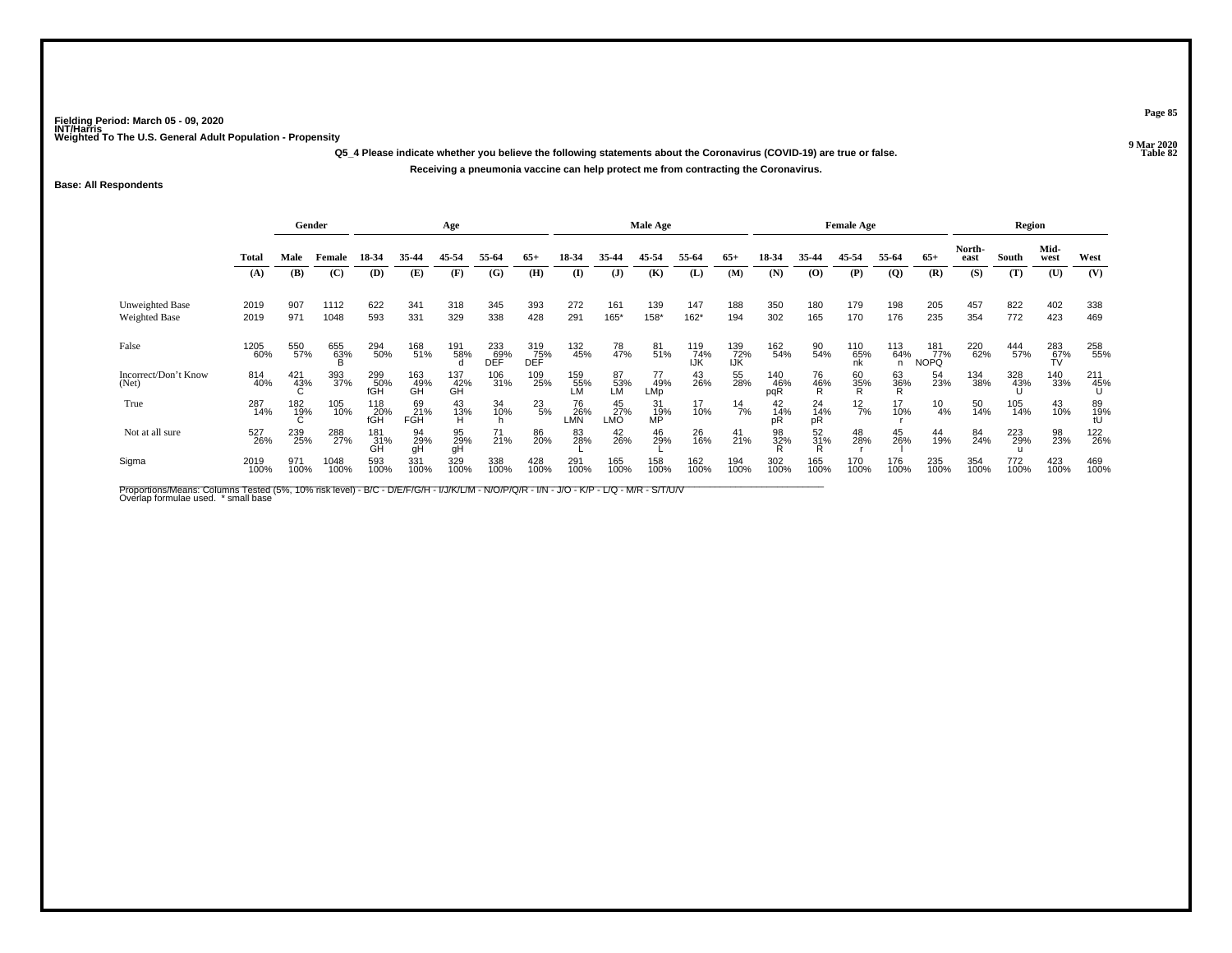**Q5\_4 Please indicate whether you believe the following statements about the Coronavirus (COVID-19) are true or false.Receiving a pneumonia vaccine can help protect me from contracting the Coronavirus.**

### **Base: All Respondents**

|                                         | Gender<br>Age |             |              |                   |                  |                  |                     | Male Age          |                  |                                                         |                  |                   | <b>Female Age</b>  |                                               |                      |                  | Region          |                           |                |             |                  |                 |
|-----------------------------------------|---------------|-------------|--------------|-------------------|------------------|------------------|---------------------|-------------------|------------------|---------------------------------------------------------|------------------|-------------------|--------------------|-----------------------------------------------|----------------------|------------------|-----------------|---------------------------|----------------|-------------|------------------|-----------------|
|                                         | <b>Total</b>  | Male        | Female       | 18-34             | 35-44            | 45-54            | 55-64               | $65+$             | 18-34            | 35.44                                                   | 45-54            | 55-64             | $65+$              | 18-34                                         | 35-44                | 45-54            | 55-64           | $65+$                     | North-<br>east | South       | Mid-<br>west     | West            |
|                                         | (A)           | (B)         | (C)          | (D)               | (E)              | (F)              | (G)                 | (H)               | $($ $\Gamma$     | (J)                                                     | (K)              | (L)               | (M)                | (N)                                           | (O)                  | (P)              | $\overline{Q}$  | (R)                       | (S)            | (T)         | (U)              | (V)             |
| Unweighted Base<br><b>Weighted Base</b> | 2019<br>2019  | 907<br>971  | 1112<br>1048 | 622<br>593        | 341<br>331       | 318<br>329       | 345<br>338          | 393<br>428        | 272<br>291       | 161<br>$165*$                                           | 139<br>158*      | 147<br>162*       | 188<br>194         | 350<br>302                                    | 180<br>165           | 179<br>170       | 198<br>176      | 205<br>235                | 457<br>354     | 822<br>772  | 402<br>423       | 338<br>469      |
| False                                   | 1205<br>60%   | 550<br>57%  | 655<br>63%   | 294<br>50%        | 168<br>51%       | 191<br>58%       | $^{233}_{69\%}$ DEF | 319<br>75%<br>DEF | 132<br>45%       | 78<br>47%                                               | 81 <sub>%</sub>  | 119<br>74%<br>IJK | 139<br>-72%<br>IJK | 162<br>54%                                    | 90<br>54%            | 110<br>65%<br>nk | 113<br>64%<br>n | 181<br>77%<br><b>NOPQ</b> | 220<br>62%     | 444<br>57%  | 283<br>67%<br>TV | 258<br>55%      |
| Incorrect/Don't Know<br>(Net)           | 814<br>40%    | 421<br>43%  | 393<br>37%   | 299<br>50%<br>fGH | 163<br>49%<br>GH | 137<br>42%<br>GH | 106<br>31%          | 109<br>25%        | 159<br>55%<br>LM | 87<br>53%<br>LM                                         | 77<br>49%<br>LMp | 43<br>26%         | 55<br>28%          | $\underset{\substack{46\\ \text{pqR}}}^{140}$ | 76<br>46%<br>R       | 60<br>35%<br>R   | 63<br>36%       | 54<br>23%                 | 134<br>38%     | 328<br>43%  | 140<br>33%       | 211<br>45%<br>U |
| True                                    | 287<br>14%    | 182<br>19%  | 105<br>10%   | 118<br>20%<br>fGH | 69<br>21%<br>FGH | 43<br>13%        | 34<br>10%           | $^{23}_{\ 5\%}$   | 76<br>26%<br>LMN | $\begin{array}{c} 45 \\ 27\% \\ \text{LMO} \end{array}$ | 31<br>19%<br>MP  | 17<br>10%         | $\frac{14}{7\%}$   | 42<br>14%                                     | $^{24}_{14\%}$<br>pR | $^{12}_{7\%}$    | 17<br>10%       | $^{10}_{4\%}$             | 50<br>14%      | 105<br>14%  | 43<br>10%        | 89<br>19%<br>tU |
| Not at all sure                         | 527<br>26%    | 239<br>25%  | 288<br>27%   | 181%<br>GΗ        | 94<br>29%<br>gH  | 95<br>29%<br>gH  | 71<br>21%           | 86<br>20%         | 83<br>28%        | 42<br>26%                                               | 46<br>29%        | 26 <sub>%</sub>   | $^{41}_{21\%}$     | 98<br>32%                                     | 52<br>31%            | 48<br>28%        | 45<br>26%       | 44<br>19%                 | 84<br>24%      | 223<br>29%  | 98<br>23%        | 122<br>26%      |
| Sigma                                   | 2019<br>100%  | 971<br>100% | 1048<br>100% | 593<br>100%       | 331<br>100%      | 329<br>100%      | 338<br>100%         | 428<br>100%       | 291<br>100%      | 165<br>100%                                             | 158<br>100%      | 162<br>100%       | 194<br>100%        | 302<br>100%                                   | 165<br>100%          | 170<br>100%      | 176<br>100%     | 235<br>100%               | 354<br>100%    | 772<br>100% | 423<br>100%      | 469<br>100%     |

Proportions/Means: Columns Tested (5%, 10% risk level) - B/C - D/E/F/G/H - I/J/K/L/M - N/O/P/Q/R - I/N - J/O - K/P - L/Q - M/R - S/T/U/V<br>Overlap formulae used. \*small base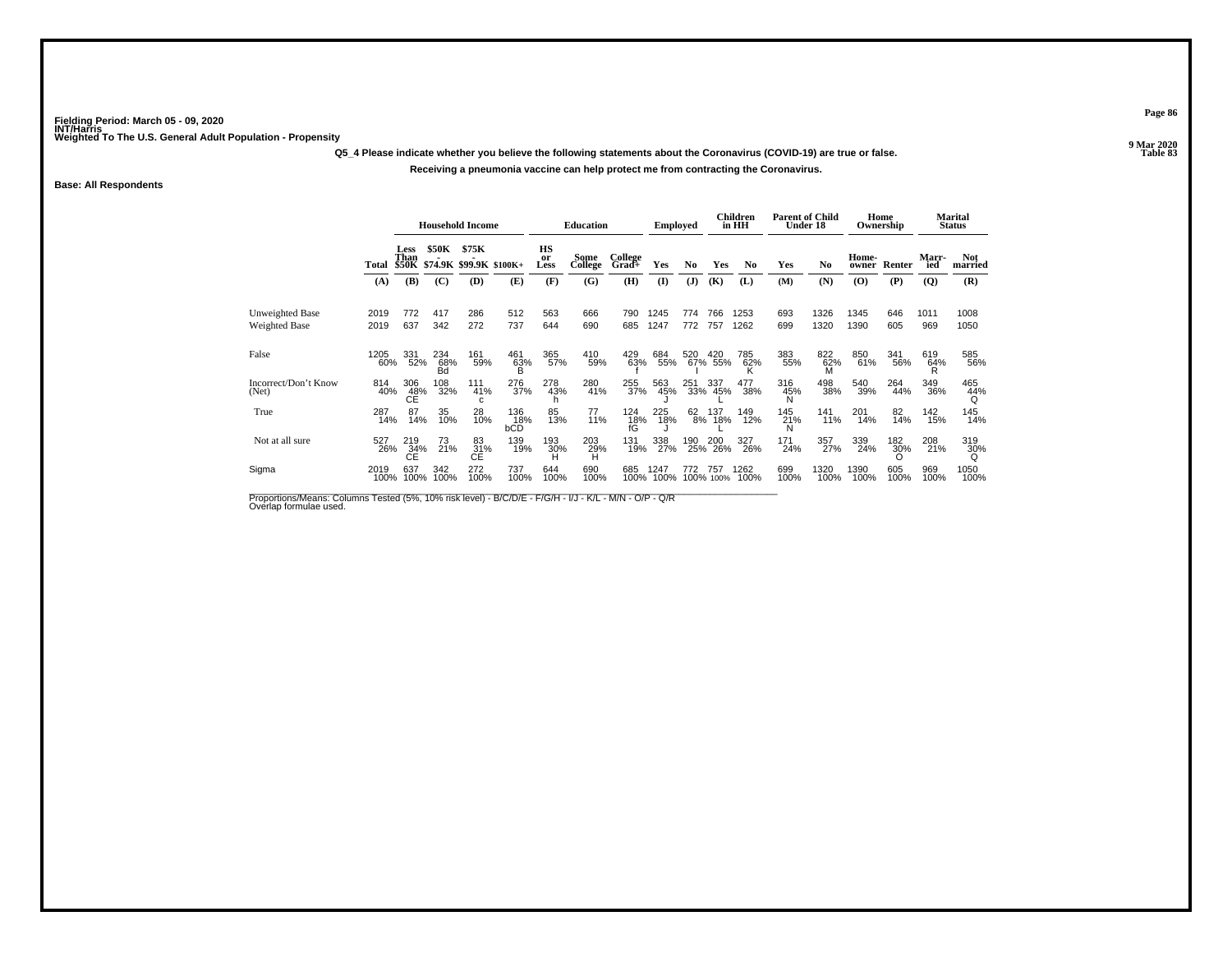**Q5\_4 Please indicate whether you believe the following statements about the Coronavirus (COVID-19) are true or false.**

#### **Receiving a pneumonia vaccine can help protect me from contracting the Coronavirus.**

**Base: All Respondents**

|                                         |              |                  |                  | <b>Household Income</b>                |                   |                  | <b>Education</b> |                       | <b>Employed</b> |                 |                | Children<br>in HH | <b>Parent of Child</b> | Under 18       |                                          | Home<br>Ownership |              | Marital<br><b>Status</b> |
|-----------------------------------------|--------------|------------------|------------------|----------------------------------------|-------------------|------------------|------------------|-----------------------|-----------------|-----------------|----------------|-------------------|------------------------|----------------|------------------------------------------|-------------------|--------------|--------------------------|
|                                         | Total        | Less<br>Than     | \$50K            | \$75K<br>\$50K \$74.9K \$99.9K \$100K+ |                   | HS<br>or<br>Less | Some<br>College  | College<br>Grad+      | Yes             | No              | Yes            | No                | Yes                    | N <sub>0</sub> | Home-<br>owner                           | Renter            | Marr-<br>ied | <b>Not</b><br>married    |
|                                         | (A)          | (B)              | (C)              | (D)                                    | (E)               | (F)              | (G)              | (H)                   | $\mathbf{I}$    | (J)             | (K)            | (L)               | (M)                    | (N)            | $\boldsymbol{\left( \mathbf{O} \right)}$ | (P)               | (Q)          | (R)                      |
| Unweighted Base<br><b>Weighted Base</b> | 2019<br>2019 | 772<br>637       | 417<br>342       | 286<br>272                             | 512<br>737        | 563<br>644       | 666<br>690       | 790<br>685            | 1245<br>1247    | 774<br>772      | 766<br>757     | 1253<br>1262      | 693<br>699             | 1326<br>1320   | 1345<br>1390                             | 646<br>605        | 1011<br>969  | 1008<br>1050             |
| False                                   | 1205<br>60%  | 331<br>52%       | 234<br>68%<br>Бă | 161<br>59%                             | 461<br>63%<br>R   | 365<br>57%       | 410<br>59%       | 429<br>63%            | 684<br>55%      | 520             | 420<br>67% 55% | 785<br>62%        | 383<br>55%             | 822<br>62%     | 850<br>61%                               | 341<br>56%        | 619<br>64%   | 585<br>56%               |
| Incorrect/Don't Know<br>(Net)           | 814<br>40%   | 306<br>48%<br>СĖ | 108<br>32%       | 111<br>41%<br>c                        | 276<br>37%        | 278<br>43%       | 280<br>41%       | 255<br>37%            | 563<br>45%      | $^{251}_{33\%}$ | 337<br>45%     | 477<br>38%        | 316<br>45%             | 498<br>38%     | 540<br>39%                               | 264<br>44%        | 349<br>36%   | 465<br>44%               |
| True                                    | 287<br>14%   | 87<br>14%        | 35<br>10%        | 28<br>10%                              | 136<br>18%<br>bCD | 85<br>13%        | 77<br>11%        | 124<br>$\frac{18}{6}$ | 225<br>18%      | 62<br>8%        | 137<br>18%     | 149<br>12%        | 145<br>21%             | 141<br>11%     | 201<br>14%                               | 82<br>14%         | 142<br>15%   | 145<br>14%               |
| Not at all sure                         | 527<br>26%   | 219<br>34%<br>ĆЕ | 73<br>21%        | 83<br>31%<br>ĆЕ                        | 139<br>19%        | 193<br>30%       | 203<br>29%<br>н  | 131<br>19%            | 338<br>27%      | 190             | 200<br>25% 26% | 327<br>26%        | 171<br>24%             | 357<br>27%     | 339<br>24%                               | 182<br>30%        | 208<br>21%   | 319<br>30%               |
| Sigma                                   | 2019<br>100% | 637<br>100%      | 342<br>100%      | 272<br>100%                            | 737<br>100%       | 644<br>100%      | 690<br>100%      | 685<br>100%           | 1247<br>100%    | 772<br>100%     | 757            | 1262<br>100%      | 699<br>100%            | 1320<br>100%   | 1390<br>100%                             | 605<br>100%       | 969<br>100%  | 1050<br>100%             |

Proportions/Means: Columns Tested (5%, 10% risk level) - B/C/D/E - F/G/H - I/J - K/L - M/N - O/P - Q/R<br>Overlap formulae used.

**Page 86**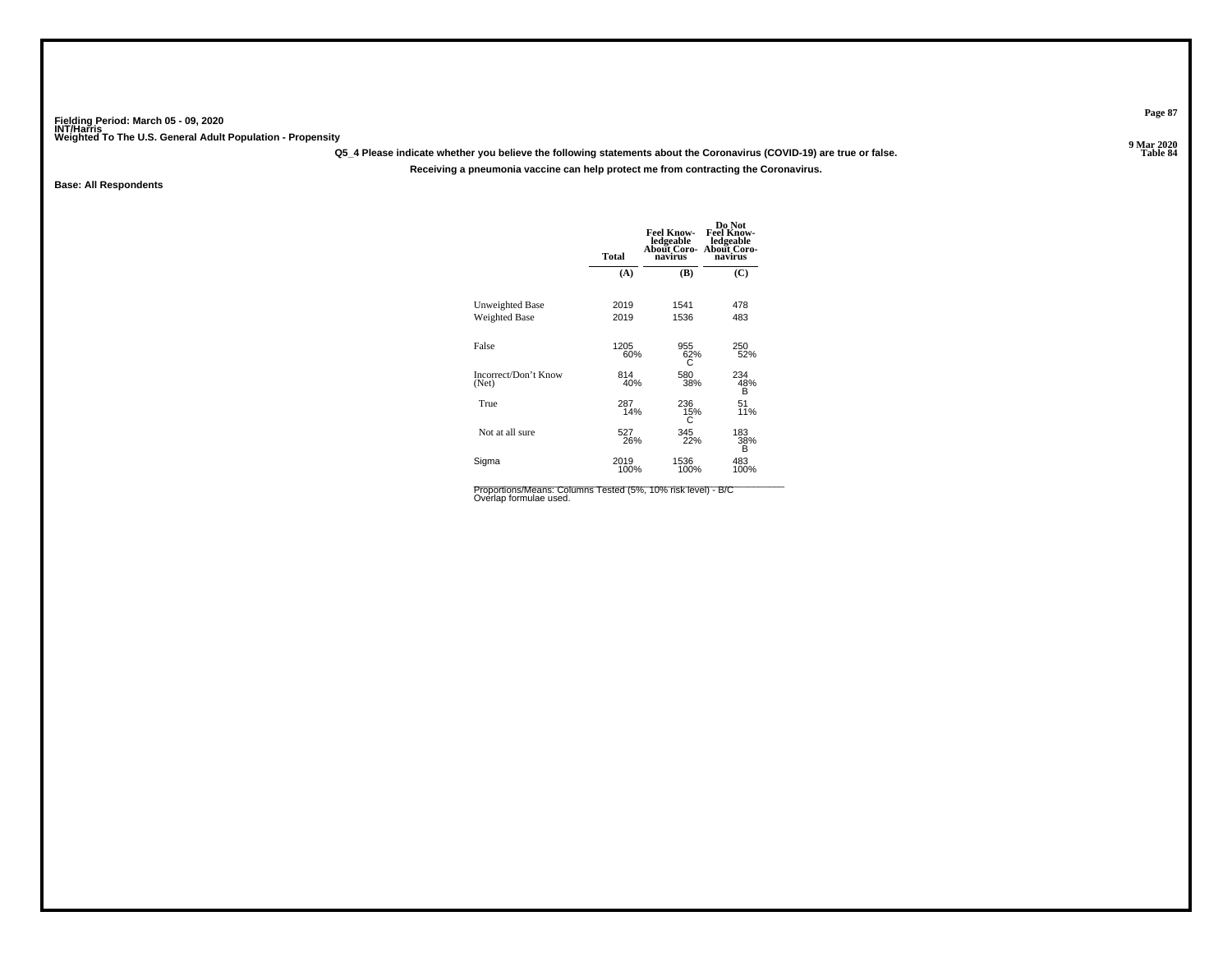**Q5\_4 Please indicate whether you believe the following statements about the Coronavirus (COVID-19) are true or false.**

**Receiving a pneumonia vaccine can help protect me from contracting the Coronavirus.**

**Base: All Respondents**

|                                         | <b>Total</b> | <b>Feel Know-</b><br>ledgeable<br>About Coro- About Coro-<br>navirus | Do Not<br><b>Feel Know-</b><br>ledgeable<br>navirus |
|-----------------------------------------|--------------|----------------------------------------------------------------------|-----------------------------------------------------|
|                                         | (A)          | (B)                                                                  | (C)                                                 |
| Unweighted Base<br><b>Weighted Base</b> | 2019<br>2019 | 1541<br>1536                                                         | 478<br>483                                          |
| False                                   | 1205<br>60%  | 955<br>62%                                                           | 250<br>52%                                          |
| Incorrect/Don't Know<br>(Net)           | 814<br>40%   | 580<br>38%                                                           | 234<br>48%<br>B                                     |
| True                                    | 287<br>14%   | 236<br>15%                                                           | 51<br>11%                                           |
| Not at all sure                         | 527<br>26%   | 345<br>22%                                                           | 183<br>38%<br>B                                     |
| Sigma                                   | 2019<br>100% | 1536<br>100%                                                         | 483<br>100%                                         |

Proportions/Means: Columns Tested (5%, 10% risk level) - B/C<br>Overlap formulae used.

**Page 87**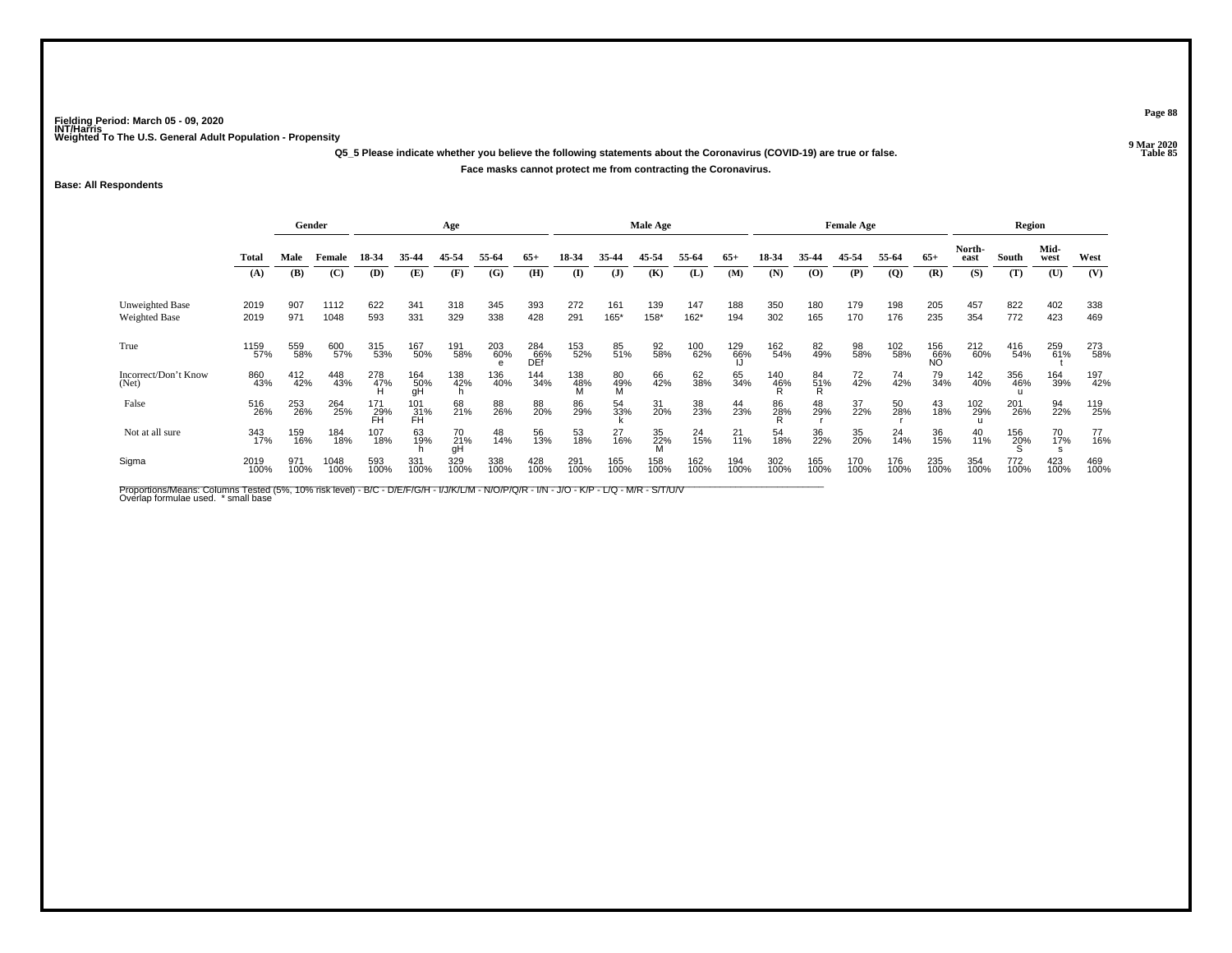**Q5\_5 Please indicate whether you believe the following statements about the Coronavirus (COVID-19) are true or false.Face masks cannot protect me from contracting the Coronavirus.**

**Base: All Respondents**

|                                  | Gender       |             | Age          |                  |                  |                 |             | Male Age          |                 |                |                   |                | <b>Female Age</b> |             |                |             | Region         |                  |                |             |              |             |
|----------------------------------|--------------|-------------|--------------|------------------|------------------|-----------------|-------------|-------------------|-----------------|----------------|-------------------|----------------|-------------------|-------------|----------------|-------------|----------------|------------------|----------------|-------------|--------------|-------------|
|                                  | <b>Total</b> | Male        | Female       | 18-34            | 35-44            | 45-54           | 55-64       | $65+$             | 18-34           | 35.44          | 45-54             | 55-64          | $65+$             | 18-34       | 35-44          | 45-54       | 55-64          | $65+$            | North-<br>east | South       | Mid-<br>west | West        |
|                                  | (A)          | (B)         | (C)          | (D)              | (E)              | (F)             | (G)         | (H)               | (I)             | $\mathbf{J}$   | (K)               | (L)            | (M)               | (N)         | (O)            | (P)         | $\overline{Q}$ | (R)              | (S)            | (T)         | (U)          | (V)         |
| Unweighted Base<br>Weighted Base | 2019<br>2019 | 907<br>971  | 1112<br>1048 | 622<br>593       | 341<br>331       | 318<br>329      | 345<br>338  | 393<br>428        | 272<br>291      | 161<br>165*    | 139<br>158*       | 147<br>162*    | 188<br>194        | 350<br>302  | 180<br>165     | 179<br>170  | 198<br>176     | 205<br>235       | 457<br>354     | 822<br>772  | 402<br>423   | 338<br>469  |
| True                             | 1159<br>57%  | 559<br>58%  | 600<br>57%   | 315<br>53%       | 167<br>50%       | 191<br>58%      | 203<br>60%  | 284<br>66%<br>DEf | 153<br>52%      | 85<br>51%      | 92<br>58%         | 100<br>62%     | 129<br>66%<br>IJ  | 162<br>54%  | 82<br>49%      | 98<br>58%   | 102<br>58%     | 156<br>66%<br>NO | 212<br>60%     | 416<br>54%  | 259<br>61%   | 273<br>58%  |
| Incorrect/Don't Know<br>(Net)    | 860<br>43%   | 412<br>42%  | 448<br>43%   | 278<br>47%       | 164<br>50%<br>gH | 138<br>42%      | 136<br>40%  | 144<br>34%        | 138<br>48%<br>M | 80<br>49%<br>M | 66<br>42%         | 62<br>38%      | 65<br>34%         | 140<br>46%  | 84<br>51%<br>R | 72<br>42%   | 74<br>42%      | 79<br>34%        | 142<br>40%     | 356<br>46%  | 164<br>39%   | 197<br>42%  |
| False                            | 516<br>26%   | 253<br>26%  | 264<br>25%   | 171<br>29%<br>FH | 101<br>31%<br>FH | 68<br>21%       | 88<br>26%   | 88<br>20%         | 86<br>29%       | 54<br>33%      | 31<br>20%         | 38<br>23%      | 44<br>23%         | 86<br>28%   | 48<br>29%      | 37<br>22%   | 50<br>28%      | 43<br>18%        | 102<br>29%     | 201<br>26%  | 94<br>22%    | 119<br>25%  |
| Not at all sure                  | 343<br>17%   | 159<br>16%  | 184<br>18%   | 107<br>18%       | 63<br>19%        | 70<br>21%<br>qΗ | 48<br>14%   | 56<br>13%         | 53<br>18%       | 27<br>16%      | $\frac{35}{22\%}$ | $^{24}_{15\%}$ | $^{21}_{11\%}$    | 54<br>18%   | 36<br>22%      | 35<br>20%   | $^{24}_{14\%}$ | 36<br>15%        | 40<br>11%      | 156<br>20%  | 70<br>17%    | 77<br>16%   |
| Sigma                            | 2019<br>100% | 971<br>100% | 1048<br>100% | 593<br>100%      | 331<br>100%      | 329<br>100%     | 338<br>100% | 428<br>100%       | 291<br>100%     | 165<br>100%    | 158<br>100%       | 162<br>100%    | 194<br>100%       | 302<br>100% | 165<br>100%    | 170<br>100% | 176<br>100%    | 235<br>100%      | 354<br>100%    | 772<br>100% | 423<br>100%  | 469<br>100% |

Proportions/Means: Columns Tested (5%, 10% risk level) - B/C - D/E/F/G/H - I/J/K/L/M - N/O/P/Q/R - I/N - J/O - K/P - L/Q - M/R - S/T/U/V<br>Overlap formulae used. \*small base

**Page 88**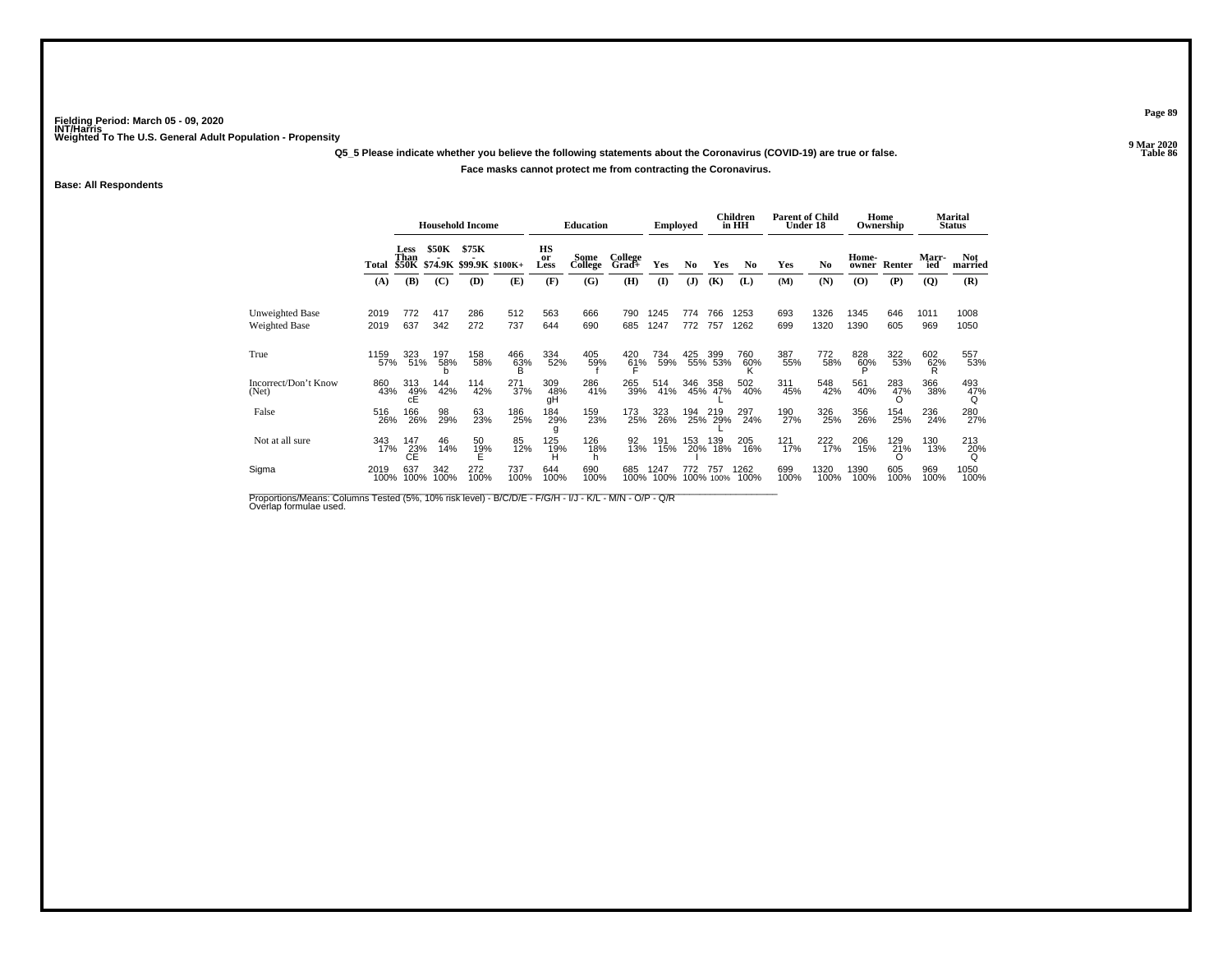**Q5\_5 Please indicate whether you believe the following statements about the Coronavirus (COVID-19) are true or false.**

### **Face masks cannot protect me from contracting the Coronavirus.**

**Base: All Respondents**

|                                  |              |                       |             | <b>Household Income</b> |                         |                             | <b>Education</b> |                  | <b>Employed</b> |                |                | <b>Children</b><br>in HH | <b>Parent of Child</b><br><b>Under 18</b> |                |                | Home<br>Ownership |              | Marital<br><b>Status</b> |
|----------------------------------|--------------|-----------------------|-------------|-------------------------|-------------------------|-----------------------------|------------------|------------------|-----------------|----------------|----------------|--------------------------|-------------------------------------------|----------------|----------------|-------------------|--------------|--------------------------|
|                                  | Total        | Less<br>Than<br>\$50K | \$50K       | \$75K                   | \$74.9K \$99.9K \$100K+ | HS<br><sub>or</sub><br>Less | Some<br>College  | College<br>Grad+ | Yes             | N <sub>0</sub> | Yes            | No                       | Yes                                       | N <sub>0</sub> | Home-<br>owner | Renter            | Marr-<br>ied | <b>Not</b><br>married    |
|                                  | (A)          | (B)                   | (C)         | (D)                     | (E)                     | (F)                         | (G)              | (H)              | $\mathbf{I}$    | (J)            | (K)            | (L)                      | (M)                                       | (N)            | (O)            | (P)               | $\mathbf{Q}$ | (R)                      |
| Unweighted Base<br>Weighted Base | 2019<br>2019 | 772<br>637            | 417<br>342  | 286<br>272              | 512<br>737              | 563<br>644                  | 666<br>690       | 790<br>685       | 1245<br>1247    | 774<br>772     | 766<br>757     | 1253<br>1262             | 693<br>699                                | 1326<br>1320   | 1345<br>1390   | 646<br>605        | 1011<br>969  | 1008<br>1050             |
| True                             | 1159<br>57%  | 323<br>51%            | 197<br>58%  | 158<br>58%              | 466<br>63%              | 334<br>52%                  | 405<br>59%       | 420<br>61%       | 734<br>59%      | 425            | 399<br>55% 53% | 760<br>60%               | 387<br>55%                                | 772<br>58%     | 828<br>60%     | 322<br>53%        | 602<br>62%   | 557<br>53%               |
| Incorrect/Don't Know<br>(Net)    | 860<br>43%   | 313<br>49%<br>cE      | 144<br>42%  | 114<br>42%              | $^{271}_{37\%}$         | 309<br>48%<br>qΗ            | 286<br>41%       | 265<br>39%       | 514<br>41%      | 346            | 358<br>45% 47% | 502<br>40%               | 311<br>45%                                | 548<br>42%     | 561<br>40%     | 283<br>47%        | 366<br>38%   | 493<br>47%               |
| False                            | 516<br>26%   | 166<br>26%            | 98<br>29%   | 63<br>23%               | 186<br>25%              | 184<br>29%                  | 159<br>23%       | 173<br>25%       | 323<br>26%      | 194            | 219<br>25% 29% | 297<br>24%               | 190<br>27%                                | 326<br>25%     | 356<br>26%     | 154<br>25%        | 236<br>24%   | 280<br>27%               |
| Not at all sure                  | 343<br>17%   | 147<br>23%<br>СĖ      | 46<br>14%   | 50<br>19%               | 85<br>12%               | 125<br>19%                  | 126<br>18%       | 92<br>13%        | 191<br>15%      | 153<br>20%     | 139<br>18%     | 205<br>16%               | 121<br>17%                                | 222<br>17%     | 206<br>15%     | 129<br>21%        | 130<br>13%   | 213<br>20%               |
| Sigma                            | 2019<br>100% | 637<br>100%           | 342<br>100% | 272<br>100%             | 737<br>100%             | 644<br>100%                 | 690<br>100%      | 685<br>100%      | 1247<br>100%    | 772<br>100%    | 757<br>100%    | 1262<br>100%             | 699<br>100%                               | 1320<br>100%   | 1390<br>100%   | 605<br>100%       | 969<br>100%  | 1050<br>100%             |

Proportions/Means: Columns Tested (5%, 10% risk level) - B/C/D/E - F/G/H - I/J - K/L - M/N - O/P - Q/R<br>Overlap formulae used.

**Page 89**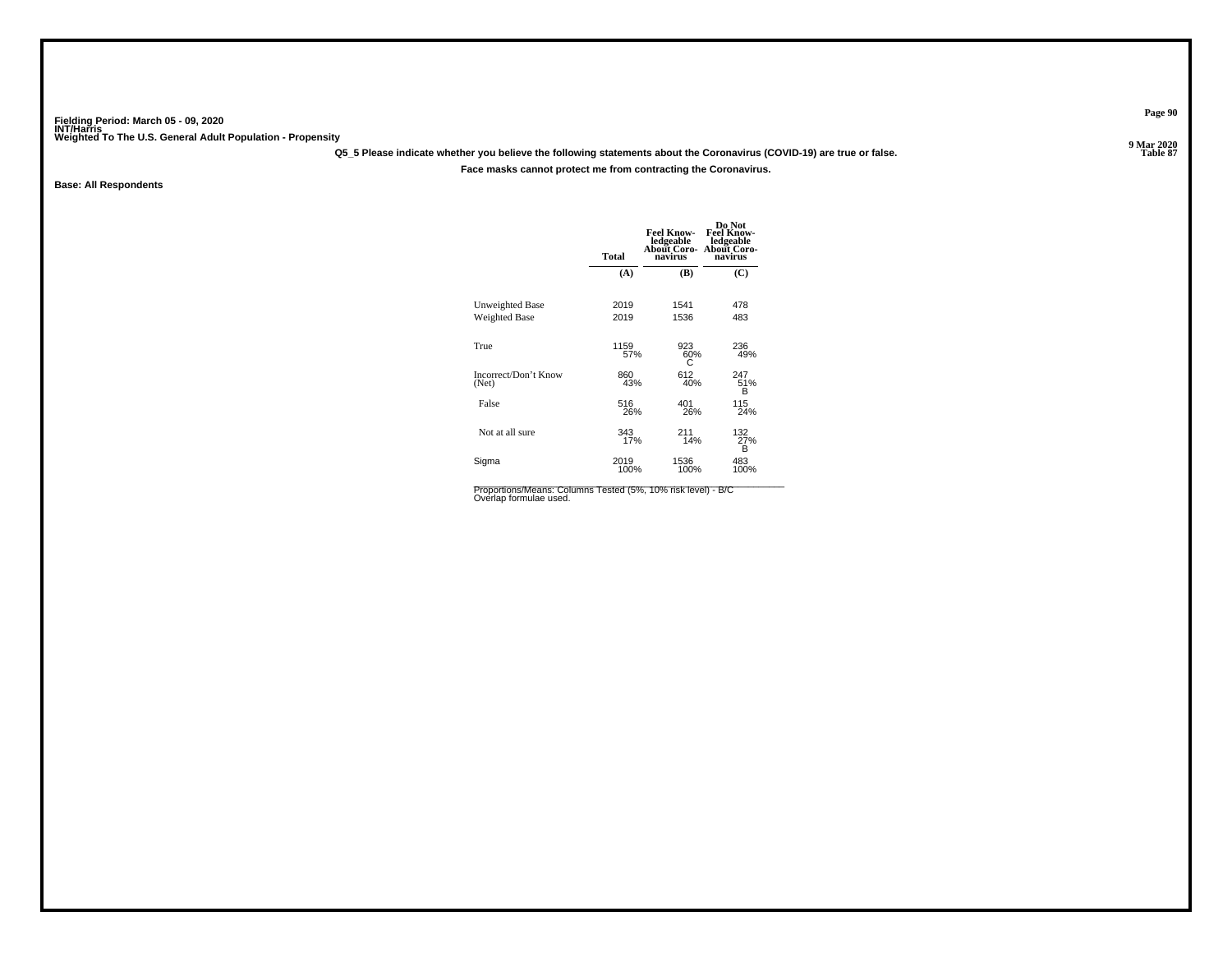**Q5\_5 Please indicate whether you believe the following statements about the Coronavirus (COVID-19) are true or false.**

**Face masks cannot protect me from contracting the Coronavirus.**

**Base: All Respondents**

|                               | <b>Total</b> | <b>Feel Know-</b><br>ledgeable<br>About Coro-<br>navirus | Do Not<br><b>Feel Know-</b><br>ledgeable<br><b>About Coro-</b><br>navirus |
|-------------------------------|--------------|----------------------------------------------------------|---------------------------------------------------------------------------|
|                               | (A)          | (B)                                                      | (C)                                                                       |
| Unweighted Base               | 2019         | 1541                                                     | 478                                                                       |
| <b>Weighted Base</b>          | 2019         | 1536                                                     | 483                                                                       |
| True                          | 1159<br>57%  | 923<br>60%<br>C                                          | 236<br>49%                                                                |
| Incorrect/Don't Know<br>(Net) | 860<br>43%   | 612<br>40%                                               | 247<br>51%<br>в                                                           |
| False                         | 516          | 401                                                      | 115                                                                       |
|                               | 26%          | 26%                                                      | 24%                                                                       |
| Not at all sure               | 343          | 211                                                      | 132 <sub>%</sub>                                                          |
|                               | 17%          | 14%                                                      | в                                                                         |
| Sigma                         | 2019         | 1536                                                     | 483                                                                       |
|                               | 100%         | 100%                                                     | 100%                                                                      |

Proportions/Means: Columns Tested (5%, 10% risk level) - B/C<br>Overlap formulae used.

**Page 90**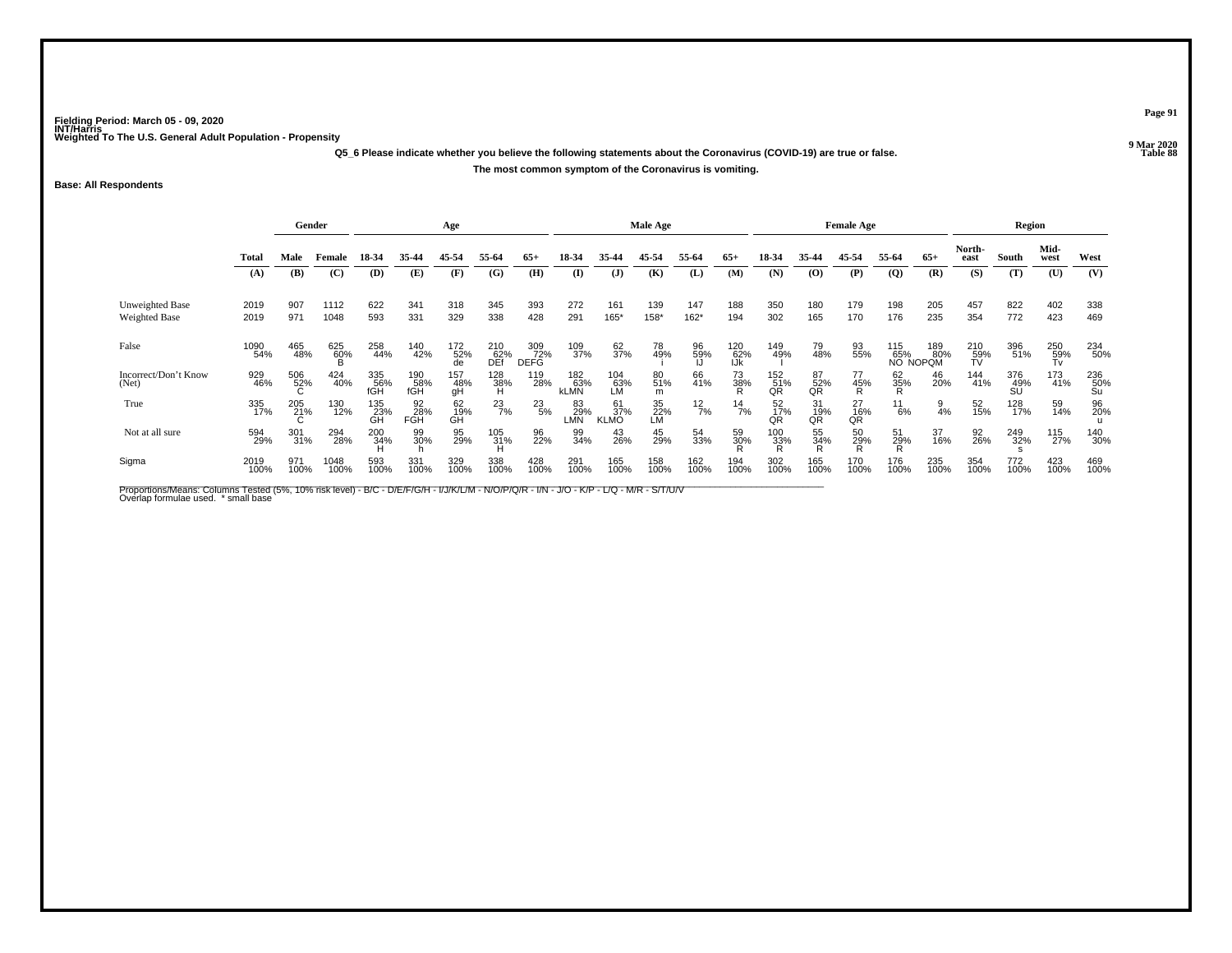**Q5\_6 Please indicate whether you believe the following statements about the Coronavirus (COVID-19) are true or false.The most common symptom of the Coronavirus is vomiting.**

**Base: All Respondents**

|                                  | Gender       |             |              | Age               |                   |                  |                    |                           | Male Age           |                          |                 |               |                   | <b>Female Age</b> |                      |                      |                  | Region                 |                  |                  |                  |                    |
|----------------------------------|--------------|-------------|--------------|-------------------|-------------------|------------------|--------------------|---------------------------|--------------------|--------------------------|-----------------|---------------|-------------------|-------------------|----------------------|----------------------|------------------|------------------------|------------------|------------------|------------------|--------------------|
|                                  | <b>Total</b> | Male        | Female       | 18-34             | 35-44             | 45-54            | 55-64              | $65+$                     | 18-34              | 35-44                    | 45-54           | 55-64         | $65+$             | 18-34             | 35-44                | 45-54                | 55-64            | $65+$                  | North-<br>east   | South            | Mid-<br>west     | West               |
|                                  | (A)          | (B)         | (C)          | (D)               | (E)               | (F)              | (G)                | (H)                       | $\mathbf{I}$       | $\mathbf{J}$             | (K)             | (L)           | (M)               | (N)               | $\mathbf{(O)}$       | (P)                  | $\overline{Q}$   | (R)                    | (S)              | (T)              | (U)              | (V)                |
| Unweighted Base<br>Weighted Base | 2019<br>2019 | 907<br>971  | 1112<br>1048 | 622<br>593        | 341<br>331        | 318<br>329       | 345<br>338         | 393<br>428                | 272<br>291         | 161<br>165*              | 139<br>158*     | 147<br>162*   | 188<br>194        | 350<br>302        | 180<br>165           | 179<br>170           | 198<br>176       | 205<br>235             | 457<br>354       | 822<br>772       | 402<br>423       | 338<br>469         |
| False                            | 1090<br>54%  | 465<br>48%  | 625<br>60%   | 258<br>44%        | 140<br>42%        | 172<br>52%       | 210<br>62%<br>DEf  | 309<br>72%<br><b>DEFG</b> | 109<br>37%         | 62 <sub>%</sub>          | 78<br>49%       | 96<br>59%     | 120<br>62%<br>IJk | 149<br>49%        | 79<br>48%            | 93<br>55%            | 115<br>65%       | 189<br>80%<br>NO NOPOM | 210<br>59%<br>TV | 396<br>51%       | 250<br>59%<br>Tv | 234<br>50%         |
| Incorrect/Don't Know<br>(Net)    | 929<br>46%   | 506<br>52%  | 424<br>40%   | 335<br>56%<br>fGH | 190<br>58%<br>fGH | 157<br>48%<br>gH | $\frac{128}{38\%}$ | 119<br>28%                | 182<br>63%<br>kLMN | 104<br>63%<br>LM         | 80<br>51%<br>m  | 66<br>41%     | 73<br>38%<br>R    | 152<br>51%<br>QR  | 87<br>52%<br>QR      | 77<br>45%<br>R       | 62<br>35%        | 46<br>20%              | 144<br>41%       | 376<br>49%<br>SU | 173<br>41%       | $^{236}_{50\%}$ Su |
| True                             | 335<br>17%   | 205<br>21%  | 130<br>12%   | 135<br>23%<br>GĤ  | 92<br>28%<br>FGH  | 62<br>19%<br>GH  | $^{23}_{7\%}$      | $^{23}_{5\%}$             | 83<br>29%<br>LMN   | 61<br>37%<br><b>KLMO</b> | 35<br>22%<br>LM | $^{12}_{7\%}$ | $^{14}_{7\%}$     | 52<br>17%<br>OR   | $\frac{31}{19\%}$ QR | $\frac{27}{16\%}$ QR | $\frac{11}{6\%}$ | $\frac{9}{4%}$         | 52<br>15%        | 128<br>17%       | 59<br>14%        | 96<br>20%          |
| Not at all sure                  | 594<br>29%   | 301<br>31%  | 294<br>28%   | 200<br>34%        | 99<br>30%         | 95<br>29%        | 105<br>31%         | 96<br>22%                 | 99<br>34%          | 43<br>26%                | 45<br>29%       | 54<br>33%     | 59<br>30%         | 100<br>33%        | 55<br>34%            | 50<br>29%            | 51<br>29%        | 37<br>16%              | 92<br>26%        | 249<br>32%       | 115<br>27%       | 140<br>30%         |
| Sigma                            | 2019<br>100% | 971<br>100% | 1048<br>100% | 593<br>100%       | 331<br>100%       | 329<br>100%      | 338<br>100%        | 428<br>100%               | 291<br>100%        | 165<br>100%              | 158<br>100%     | 162<br>100%   | 194<br>100%       | 302<br>100%       | 165<br>100%          | 170<br>100%          | 176<br>100%      | 235<br>100%            | 354<br>100%      | 772<br>100%      | 423<br>100%      | 469<br>100%        |

Proportions/Means: Columns Tested (5%, 10% risk level) - B/C - D/E/F/G/H - I/J/K/L/M - N/O/P/Q/R - I/N - J/O - K/P - L/Q - M/R - S/T/U/V<br>Overlap formulae used. \*small base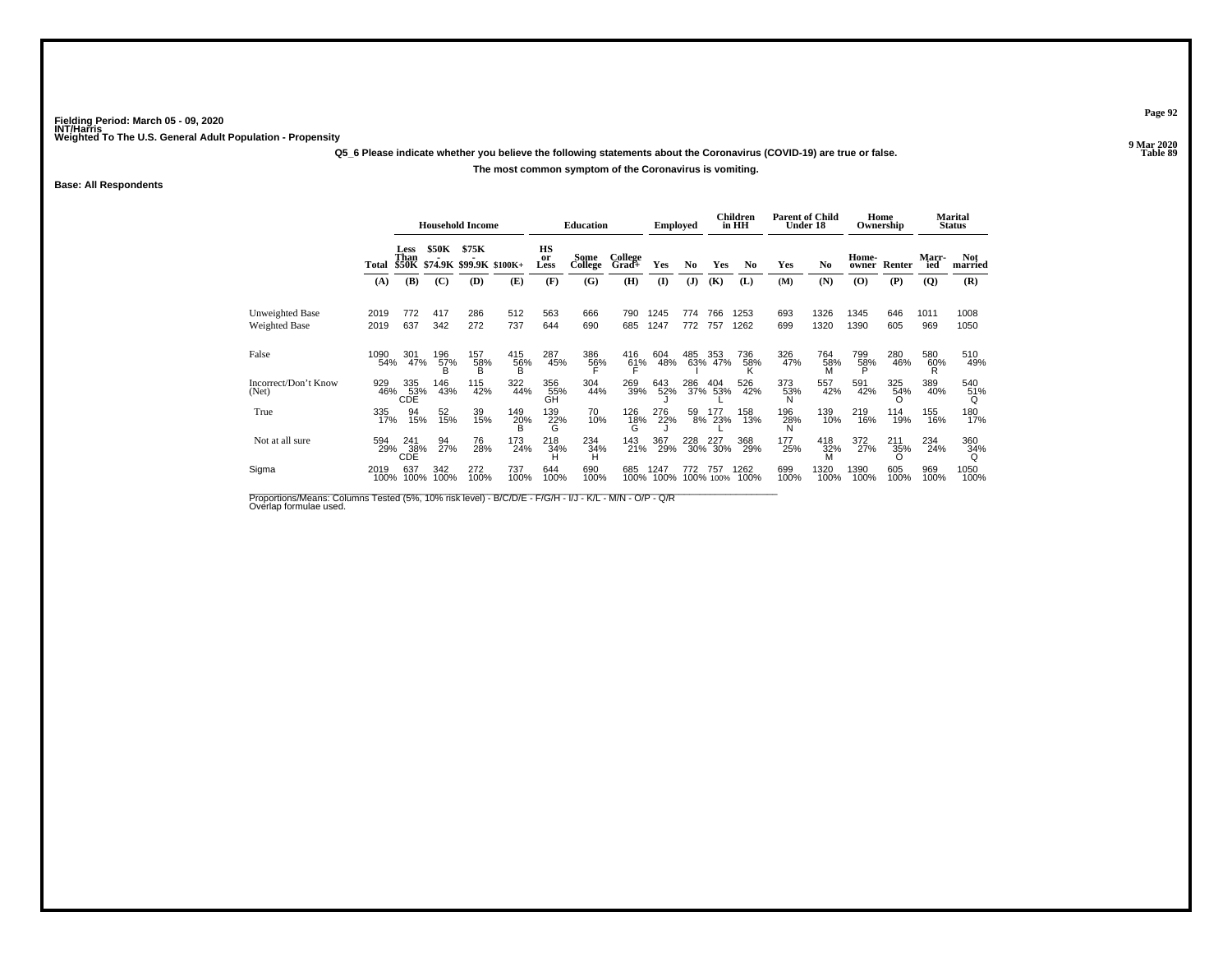**Q5\_6 Please indicate whether you believe the following statements about the Coronavirus (COVID-19) are true or false.**

#### **The most common symptom of the Coronavirus is vomiting.**

**Base: All Respondents**

|                                         |              | <b>Household Income</b> |                 |                 |                               | <b>Education</b>      |                 | <b>Employed</b>  |              |             | Children<br>in HH  | <b>Parent of Child</b> | Under 18    |              | Home<br>Ownership                        |             | Marital<br>Status |                       |
|-----------------------------------------|--------------|-------------------------|-----------------|-----------------|-------------------------------|-----------------------|-----------------|------------------|--------------|-------------|--------------------|------------------------|-------------|--------------|------------------------------------------|-------------|-------------------|-----------------------|
|                                         | Total        | Less<br>Than            | \$50K           | \$75K           | \$50K \$74.9K \$99.9K \$100K+ | HS<br>or<br>Less      | Some<br>College | College<br>Grad+ | Yes          | No          | Yes                | No                     | Yes         | No           | Home-<br>owner                           | Renter      | Marr-<br>ied      | <b>Not</b><br>married |
|                                         | (A)          | (B)                     | (C)             | (D)             | (E)                           | (F)                   | (G)             | (H)              | $\mathbf{I}$ | (J)         | (K)                | (L)                    | (M)         | (N)          | $\boldsymbol{\left( \mathbf{O} \right)}$ | (P)         | (Q)               | (R)                   |
| Unweighted Base<br><b>Weighted Base</b> | 2019<br>2019 | 772<br>637              | 417<br>342      | 286<br>272      | 512<br>737                    | 563<br>644            | 666<br>690      | 790<br>685       | 1245<br>1247 | 774<br>772  | 766<br>757         | 1253<br>1262           | 693<br>699  | 1326<br>1320 | 1345<br>1390                             | 646<br>605  | 1011<br>969       | 1008<br>1050          |
| False                                   | 1090<br>54%  | 301<br>47%              | 196<br>57%<br>B | 157<br>58%<br>B | 415<br>56%<br>B               | 287<br>45%            | 386<br>56%      | 416<br>61%       | 604<br>48%   | 485         | 353<br>63% 47%     | 736<br>58%             | 326<br>47%  | 764<br>58%   | 799<br>58%<br>Þ                          | 280<br>46%  | 580<br>60%        | 510<br>49%            |
| Incorrect/Don't Know<br>(Net)           | 929<br>46%   | 335<br>53%<br>CDE       | 146<br>43%      | 115<br>42%      | 322<br>44%                    | 356<br>55%<br>GH      | 304<br>44%      | 269<br>39%       | 643<br>52%   | 286<br>37%  | 404<br>53%         | 526<br>42%             | 373<br>53%  | 557<br>42%   | 591<br>42%                               | 325<br>54%  | 389<br>40%        | 540<br>51%            |
| True                                    | 335<br>17%   | 94<br>15%               | 52<br>15%       | 39<br>15%       | 149<br>$^{20\%}_{\text{B}}$   | 139<br>$\frac{22}{9}$ | 70<br>10%       | 126<br>18%       | 276<br>22%   | 59          | 177<br>8% 23%      | 158<br>13%             | 196<br>28%  | 139<br>10%   | 219<br>16%                               | 114<br>19%  | 155<br>16%        | 180<br>17%            |
| Not at all sure                         | 594<br>29%   | 241<br>38%<br>CDE       | 94<br>27%       | 76<br>28%       | 173<br>24%                    | 218<br>34%            | 234<br>34%<br>н | 143<br>21%       | 367<br>29%   |             | 228 227<br>30% 30% | 368<br>29%             | 177<br>25%  | 418<br>32%   | 372<br>27%                               | 211<br>35%  | 234<br>24%        | 360<br>34%<br>Q       |
| Sigma                                   | 2019<br>100% | 637<br>100%             | 342<br>100%     | 272<br>100%     | 737<br>100%                   | 644<br>100%           | 690<br>100%     | 685<br>100%      | 1247<br>100% | 772<br>100% | 757<br>100%        | 1262<br>100%           | 699<br>100% | 1320<br>100% | 1390<br>100%                             | 605<br>100% | 969<br>100%       | 1050<br>100%          |

Proportions/Means: Columns Tested (5%, 10% risk level) - B/C/D/E - F/G/H - I/J - K/L - M/N - O/P - Q/R<br>Overlap formulae used.

**Page 92**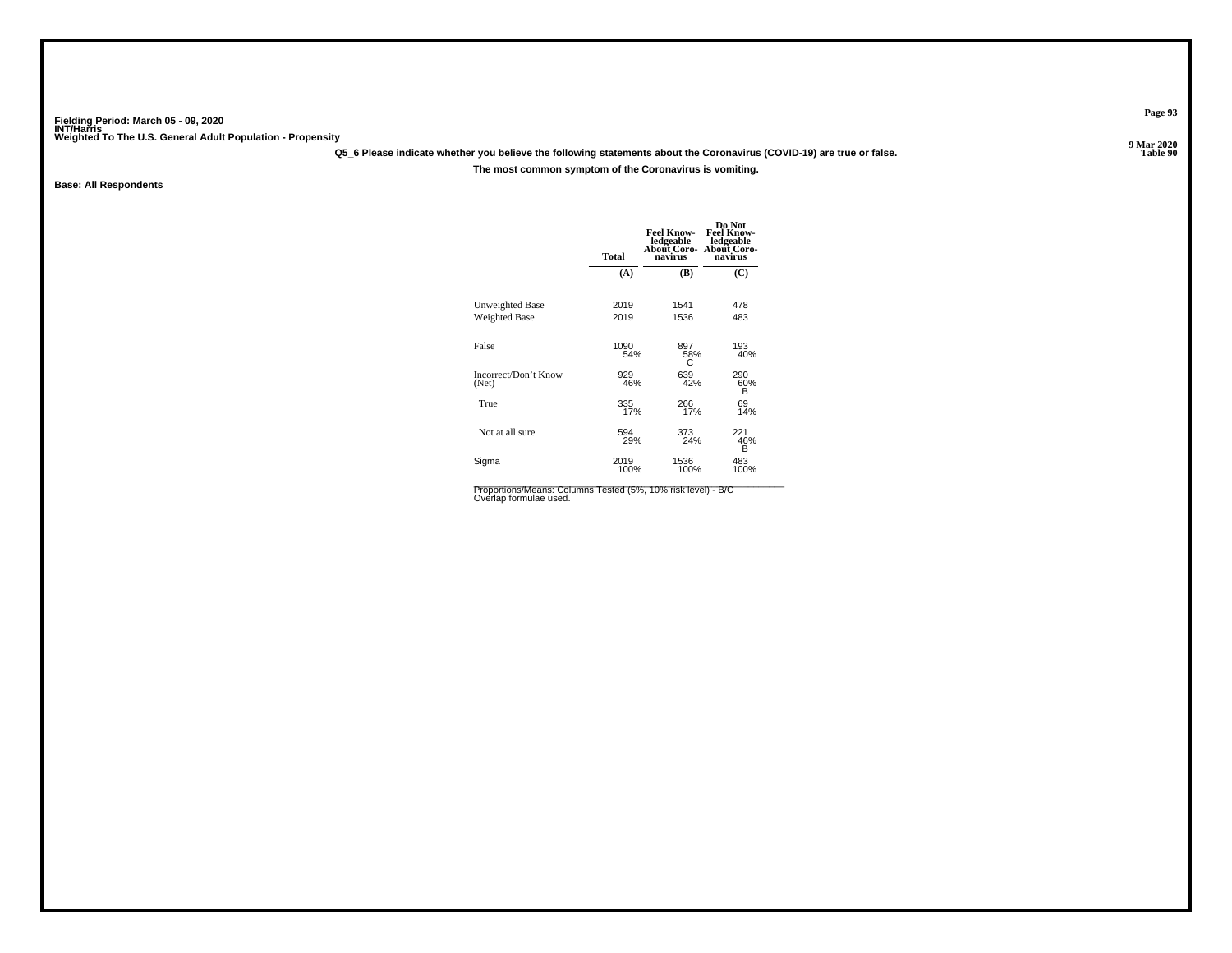**Q5\_6 Please indicate whether you believe the following statements about the Coronavirus (COVID-19) are true or false.**

**The most common symptom of the Coronavirus is vomiting.**

**Base: All Respondents**

|                                         | <b>Total</b> | <b>Feel Know-</b><br>ledgeable<br>About Coro-<br>navirus | Do Not<br><b>Feel Know-</b><br>ledgeable<br><b>About Coro-</b><br>navirus |
|-----------------------------------------|--------------|----------------------------------------------------------|---------------------------------------------------------------------------|
|                                         | (A)          | (B)                                                      | (C)                                                                       |
| Unweighted Base<br><b>Weighted Base</b> | 2019<br>2019 | 1541<br>1536                                             | 478<br>483                                                                |
| False                                   | 1090<br>54%  | 897<br>58%<br>0                                          | 193<br>40%                                                                |
| Incorrect/Don't Know<br>(Net)           | 929<br>46%   | 639<br>42%                                               | 290<br>60%<br>в                                                           |
| True                                    | 335<br>17%   | 266<br>17%                                               | 69<br>14%                                                                 |
| Not at all sure                         | 594<br>29%   | 373<br>24%                                               | 221<br>46%<br>B                                                           |
| Sigma                                   | 2019<br>100% | 1536<br>100%                                             | 483<br>100%                                                               |

Proportions/Means: Columns Tested (5%, 10% risk level) - B/C<br>Overlap formulae used.

**Page 93**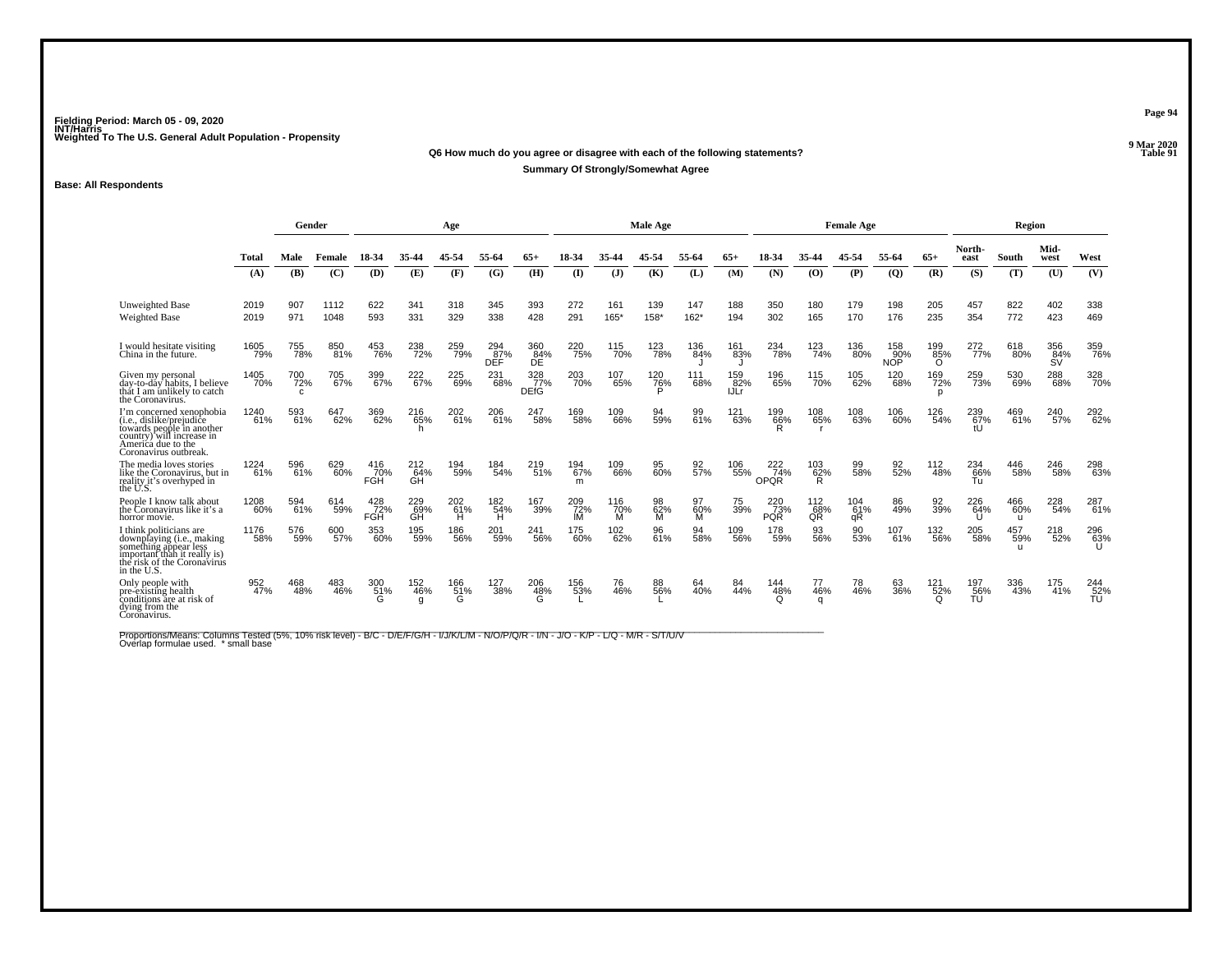#### **Q6 How much do you agree or disagree with each of the following statements?Properties and the Contract of the Contract of Table 91**

**Summary Of Strongly/Somewhat Agree**

### **Base: All Respondents**

|                                                                                                                                                               |              | Gender           |              |                   |                         | Age             |                   |                           |                  |                 | <b>Male Age</b> |                |                    | <b>Female Age</b>                    |                  |                  |                          |                        | Region                     |                            |                         |                            |
|---------------------------------------------------------------------------------------------------------------------------------------------------------------|--------------|------------------|--------------|-------------------|-------------------------|-----------------|-------------------|---------------------------|------------------|-----------------|-----------------|----------------|--------------------|--------------------------------------|------------------|------------------|--------------------------|------------------------|----------------------------|----------------------------|-------------------------|----------------------------|
|                                                                                                                                                               | Total        | Male             | Female       | 18-34             | 35-44                   |                 | 55-64             |                           |                  |                 | 45-54           | 55-64          | $65+$              |                                      |                  | 45-54            | 55-64                    | $65+$                  | North-<br>east             | South                      | Mid-<br>west            | West                       |
|                                                                                                                                                               | (A)          | (B)              | (C)          | (D)               | (E)                     | (F)             | (G)               | (H)                       | $\mathbf{I}$     | $\mathbf{J}$    | (K)             | (L)            | (M)                | (N)                                  | (O)              | (P)              | $\overline{Q}$           | (R)                    | (S)                        | (T)                        | (U)                     | (V)                        |
| <b>Unweighted Base</b><br><b>Weighted Base</b>                                                                                                                | 2019<br>2019 | 907<br>971       | 1112<br>1048 | 622<br>593        | 341<br>331              | 318<br>329      | 345<br>338        | 393<br>428                | 272<br>291       | 161<br>165*     | 139<br>158*     | 147<br>$162*$  | 188<br>194         | 350<br>302                           | 180<br>165       | 179<br>170       | 198<br>176               | 205<br>235             | 457<br>354                 | 822<br>772                 | 402<br>423              | 338<br>469                 |
| I would hesitate visiting<br>China in the future.                                                                                                             | 1605<br>79%  | 755<br>78%       | 850<br>81%   | 453<br>76%        | 238<br>72%              | 259<br>79%      | 294<br>87%<br>DEF | 360<br>84%<br>DE          | 220<br>75%       | 115<br>70%      | 123<br>78%      | 136<br>84%     | 161<br>83%         | 234<br>78%                           | 123<br>74%       | 136<br>80%       | 158<br>90%<br><b>NOP</b> | 199<br>85%<br>$\Omega$ | 272<br>77%                 | 618<br>80%                 | 356<br>84%<br><b>SV</b> | 359<br>76%                 |
| Given my personal<br>day-to-day habits. I believe<br>that I am unlikely to catch<br>the Coronavirus.                                                          | 1405<br>70%  | 700<br>72%<br>C. | 705<br>67%   | 399<br>67%        | 222<br>67%              | 225<br>69%      | 231<br>68%        | 328<br>77%<br><b>DEfG</b> | 203<br>70%       | 107<br>65%      | 120<br>76%      | 111<br>68%     | 159<br>82%<br>IJLr | 196<br>65%                           | 115<br>70%       | 105<br>62%       | 120<br>68%               | 169<br>72%<br>D        | 259<br>73%                 | 530<br>69%                 | 288<br>68%              | 328<br>70%                 |
| I'm concerned xenophobia<br>(i.e., dislike/prejudice<br>towards people in another<br>country) will increase in<br>America due to the<br>Coronavirus outbreak. | 1240<br>61%  | 593<br>61%       | 647<br>62%   | 369<br>62%        | 216<br>65%              | 202<br>61%      | 206<br>61%        | 247<br>58%                | 169<br>58%       | 109<br>66%      | 94<br>59%       | 99<br>61%      | 121<br>63%         | $^{199}_{66\%}_{R}$                  | 108<br>65%       | 108<br>63%       | 106<br>60%               | 126<br>54%             | 239<br>67%                 | 469<br>61%                 | 240<br>57%              | 292<br>62%                 |
| The media loves stories<br>like the Coronavirus, but in<br>reality it's overhyped in<br>the U.S.                                                              | 1224<br>61%  | 596<br>61%       | 629<br>60%   | 416<br>70%<br>FGH | 212<br>64%<br><b>GH</b> | 194<br>59%      | 184<br>54%        | 219<br>51%                | 194<br>67%<br>m  | 109<br>66%      | 95<br>60%       | 92<br>57%      | 106<br>55%         | 222<br>74%<br>OPOR                   | 103<br>62%<br>R. | 99<br>58%        | 92<br>52%                | 112<br>48%             | 234<br>66%<br>Tu           | 446<br>58%                 | 246<br>58%              | 298<br>63%                 |
| People I know talk about<br>the Coronavirus like it's a<br>horror movie.                                                                                      | 1208<br>60%  | 594<br>61%       | 614<br>59%   | 428<br>72%<br>FGH | 229<br>69%<br>GĤ        | 202<br>61%<br>н | 182<br>54%<br>н   | 167<br>39%                | 209<br>72%<br>IM | 116<br>70%<br>м | 98<br>62%<br>м  | 97<br>60%<br>M | 75<br>39%          | 220<br>$\frac{1}{73%}$<br><b>PQR</b> | 112<br>68%<br>QŘ | 104<br>61%<br>qR | 86<br>49%                | 92<br>39%              | 226<br>64%<br>$\mathbf{U}$ | 466<br>60%<br>$\mathbf{u}$ | 228<br>54%              | 287<br>61%                 |
| I think politicians are<br>downplaying (i.e., making<br>something appear less<br>important than it really is)<br>the risk of the Coronavirus<br>in the U.S.   | 1176<br>58%  | 576<br>59%       | 600          | 353<br>60%        | 195<br>59%              | 186<br>56%      | 201<br>59%        | 241<br>56%                | 175<br>60%       | 102<br>62%      | 96<br>61%       | 94<br>58%      | 109<br>56%         | 178<br>59%                           | 93<br>56%        | 90<br>53%        | 107<br>61%               | 132<br>56%             | 205<br>58%                 | 457<br>59%<br>$\mathbf{u}$ | 218<br>52%              | 296<br>63%<br>$\mathbf{U}$ |
| Only people with<br>pre-existing health<br>conditions are at risk of<br>dying from the<br>Coronavirus.                                                        | 952<br>47%   | 468<br>48%       | 483<br>46%   | 300<br>51%        | 152<br>46%              | 166<br>51%<br>G | 127<br>38%        | 206<br>48%                | 156<br>53%       | 76<br>46%       | 88<br>56%       | 64<br>40%      | 84<br>44%          | 144<br>48%                           | 77<br>46%        | 78<br>46%        | 63<br>36%                | 121<br>$\frac{1}{6}$   | 197<br>$\frac{56}{10}$     | 336<br>43%                 | 175<br>41%              | $^{244}_{\hbox{52\%}}$     |

Proportions/Means: Columns Tested (5%, 10% risk level) - B/C - D/E/F/G/H - I/J/K/L/M - N/O/P/Q/R - I/N - J/O - K/P - L/Q - M/R - S/T/U/V<br>Overlap formulae used. \*small base

**Page 94**

**9 Mar 2020<br>Table 91**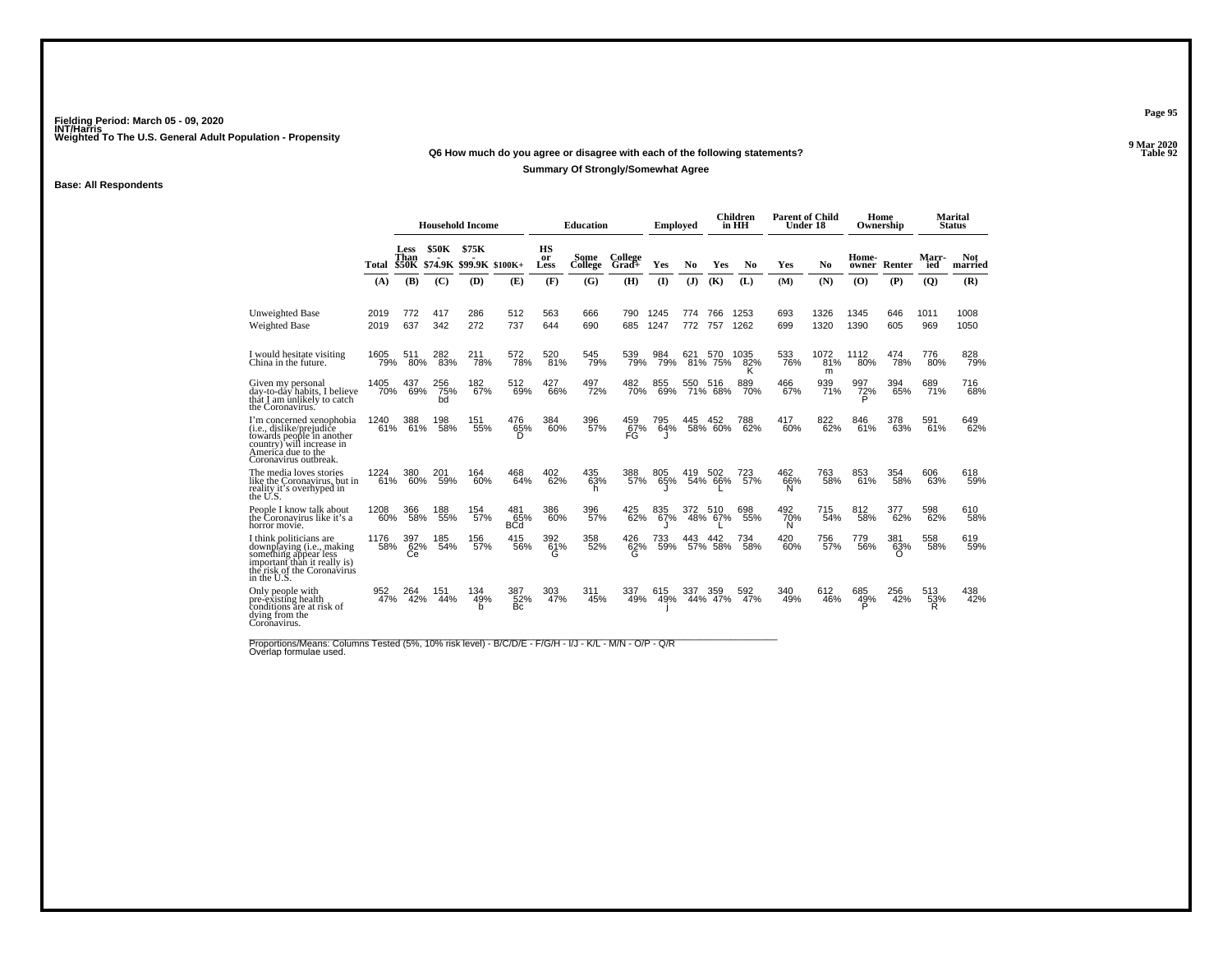### **Q6 How much do you agree or disagree with each of the following statements?**

### **Summary Of Strongly/Somewhat Agree**

### **Base: All Respondents**

|                                                                                                                                                               |             |                                     |                  | <b>Household Income</b>          |                          |                                    | <b>Education</b> |                  | <b>Employed</b> |     |                | Children<br>in HH | <b>Parent of Child</b><br>Under 18 |                  | Ownership       | Home            |                | <b>Marital</b><br><b>Status</b> |
|---------------------------------------------------------------------------------------------------------------------------------------------------------------|-------------|-------------------------------------|------------------|----------------------------------|--------------------------|------------------------------------|------------------|------------------|-----------------|-----|----------------|-------------------|------------------------------------|------------------|-----------------|-----------------|----------------|---------------------------------|
|                                                                                                                                                               | Total       | <b>Less</b><br>Than<br><b>\$50K</b> | <b>\$50K</b>     | \$75K<br>\$74.9K \$99.9K \$100K+ |                          | <b>HS</b><br><sub>or</sub><br>Less | Some<br>College  | College<br>Grad+ | Yes             | No  | Yes            | N <sub>0</sub>    | Yes                                | No               | Home-<br>owner  | Renter          | Marr-<br>ied   | <b>Not</b><br>married           |
|                                                                                                                                                               | (A)         | (B)                                 | (C)              | <b>(D)</b>                       | (E)                      | (F)                                | (G)              | (H)              | $\mathbf{I}$    | (J) | (K)            | (L)               | (M)                                | (N)              | (O)             | (P)             | $\overline{Q}$ | (R)                             |
| <b>Unweighted Base</b>                                                                                                                                        | 2019        | 772                                 | 417              | 286                              | 512                      | 563                                | 666              | 790              | 1245            | 774 | 766            | 1253              | 693                                | 1326             | 1345            | 646             | 1011           | 1008                            |
| Weighted Base                                                                                                                                                 | 2019        | 637                                 | 342              | 272                              | 737                      | 644                                | 690              | 685              | 1247            | 772 | 757            | 1262              | 699                                | 1320             | 1390            | 605             | 969            | 1050                            |
| I would hesitate visiting<br>China in the future.                                                                                                             | 1605<br>79% | 511<br>80%                          | 282<br>83%       | 211<br>78%                       | 572<br>78%               | 520<br>81%                         | 545<br>79%       | 539<br>79%       | 984<br>79%      | 621 | 570<br>81% 75% | 1035<br>82%<br>κ  | 533<br>76%                         | 1072<br>81%<br>m | 1112<br>80%     | 474<br>78%      | 776<br>80%     | 828<br>79%                      |
| Given my personal<br>day-to-dáy habits, I believe<br>thát I am unlikely to catch<br>the Coronavirus.                                                          | 1405<br>70% | 437<br>69%                          | 256<br>75%<br>bd | 182<br>67%                       | 512<br>69%               | $^{427}_{66\%}$                    | 497<br>72%       | 482<br>70%       | 855<br>69%      | 550 | 516<br>71% 68% | 889<br>70%        | 466<br>67%                         | 939<br>71%       | 997<br>72%      | 394<br>65%      | 689<br>71%     | 716<br>68%                      |
| I'm concerned xenophobia<br>(i.e., dislike/prejudiće<br>towards people in another<br>country) will increase in<br>America due to the<br>Coronavirus outbreak. | 1240<br>61% | 61%                                 | 198<br>58%       | 151<br>55%                       | 476<br>65%<br>D.         | 384<br>60%                         | 396<br>57%       | 459<br>67%<br>FG | 795<br>64%      | 445 | 452<br>58% 60% | 788<br>62%        | 417<br>60%                         | 822<br>62%       | 846<br>61%      | 378<br>63%      | 591<br>61%     | 649<br>62%                      |
| The media loves stories<br>like the Coronavirus, but in<br>reality it's overhyped in<br>the U.S.                                                              | 1224<br>61% | 380<br>60%                          | 201<br>59%       | 164<br>60%                       | 468<br>64%               | 402<br>62%                         | 435<br>63%<br>h  | 388<br>57%       | 805<br>65%      | 419 | 502<br>54% 66% | 723<br>57%        | 462<br>66%                         | 763<br>58%       | 853<br>61%      | 354<br>58%      | 606<br>63%     | 618<br>59%                      |
| People I know talk about<br>the Coronavirus like it's a<br>horror movie.                                                                                      | 1208<br>60% | 366<br>58%                          | 188<br>55%       | 154<br>57%                       | 481<br>65%<br><b>BCd</b> | 386<br>60%                         | 396<br>57%       | 425<br>62%       | 835<br>67%      | 372 | 510<br>48% 67% | 698<br>55%        | 492<br>70%<br>N                    | 715<br>54%       | 812<br>58%      | 377<br>62%      | 598<br>62%     | 610<br>58%                      |
| I think politicians are<br>downplaying (i.e., making<br>something appear less<br>important than it really is)<br>the risk of the Coronavirus<br>in the U.S.   | 1176<br>58% | 397<br>62%<br>Сe                    | 185<br>54%       | 156<br>57%                       | 415<br>56%               | 392<br>61%<br>G                    | 358<br>52%       | 426<br>62%<br>G  | 733<br>59%      | 443 | 442<br>57% 58% | 734<br>58%        | 420<br>60%                         | 756<br>57%       | 779<br>56%      | 381<br>63%<br>∩ | 558<br>58%     | 619<br>59%                      |
| Only people with<br>pre-existing health<br>conditions are at risk of<br>dying from the<br>Coronavirus.                                                        | 952<br>47%  | 264<br>42%                          | 151<br>44%       | 134<br>49%<br>b                  | 387<br>52%<br>Bc         | 303<br>47%                         | 311<br>45%       | 337<br>49%       | 615<br>49%      | 337 | 359<br>44% 47% | 592<br>47%        | 340<br>49%                         | 612<br>46%       | 685<br>49%<br>Þ | 256<br>42%      | 513<br>53%     | 438<br>42%                      |

Proportions/Means: Columns Tested (5%, 10% risk level) - B/C/D/E - F/G/H - I/J - K/L - M/N - O/P - Q/R<br>Overlap formulae used.

**Page 95**

**9 Mar 2020<br>Table 92 Properties and the set of the set of the set of the set of the set of the set of the set of the set of the set of the set of the set of the set of the set of the set of the set of the set of the set of the set of the set**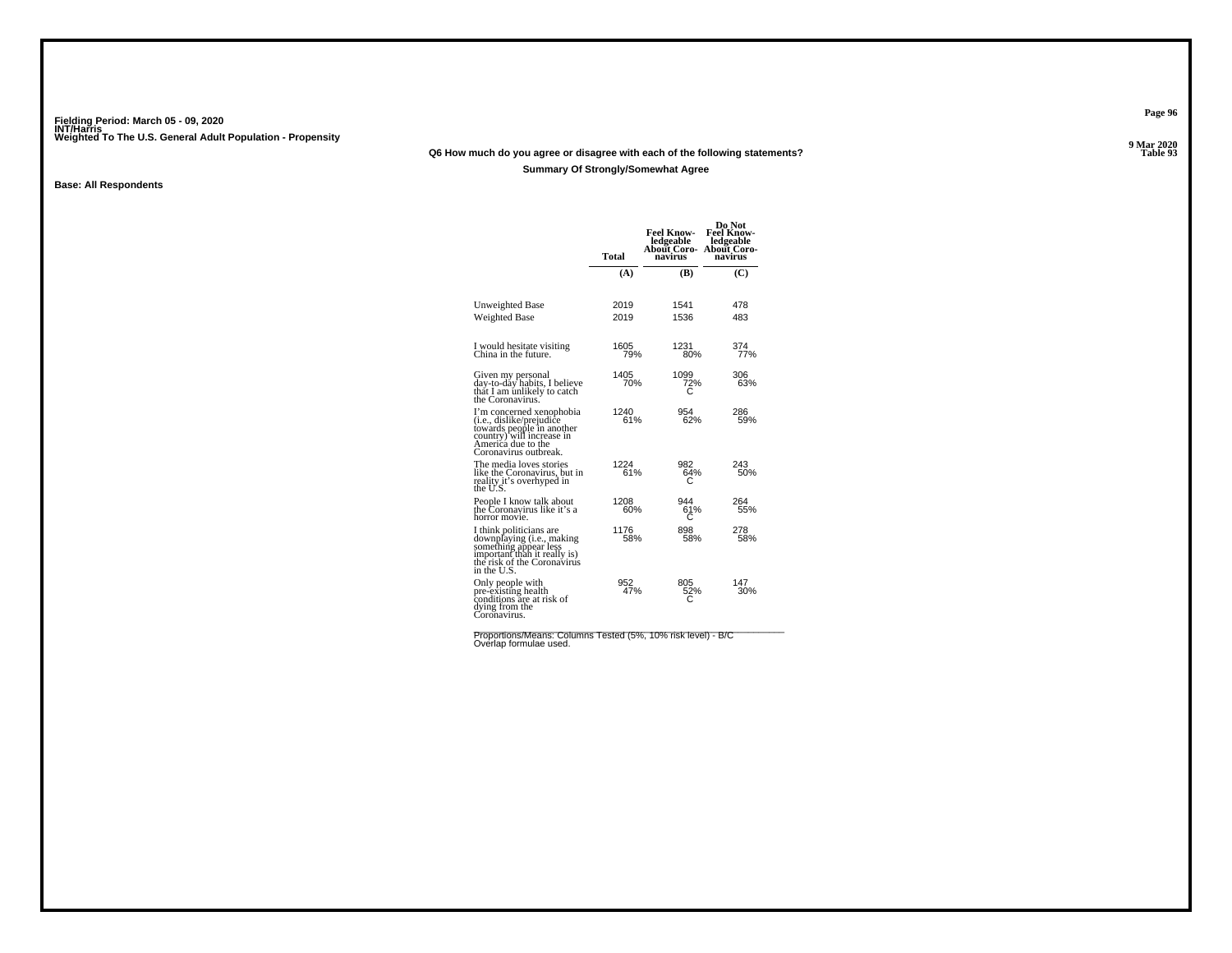### **Q6 How much do you agree or disagree with each of the following statements?**

### **Summary Of Strongly/Somewhat Agree**

### **Base: All Respondents**

|                                                                                                                                                                        | Total        | <b>Feel Know-</b><br>ledgeable<br>About Coro-<br>navirus | Do Not<br><b>Feel Know-</b><br>ledgeable<br>About Coro-<br>navirus |
|------------------------------------------------------------------------------------------------------------------------------------------------------------------------|--------------|----------------------------------------------------------|--------------------------------------------------------------------|
|                                                                                                                                                                        | (A)          | (B)                                                      | (C)                                                                |
| Unweighted Base<br>Weighted Base                                                                                                                                       | 2019<br>2019 | 1541<br>1536                                             | 478<br>483                                                         |
| I would hesitate visiting<br>China in the future.                                                                                                                      | 1605<br>79%  | 1231<br>80%                                              | 374<br>77%                                                         |
| Given my personal<br>day-to-day habits, I believe<br>thất I am únlikely to catch<br>the Coronavirus.                                                                   | 1405<br>70%  | 1099<br>72%                                              | 306<br>63%                                                         |
| I'm concerned xenophobia<br>( <i>i.e.</i> , dislike/prejudice<br>towards people in another<br>country) will increase in<br>America due to the<br>Coronavirus outbreak. | 1240<br>61%  | 954<br>62%                                               | 286<br>59%                                                         |
| The media loves stories<br>like the Coronavirus, but in<br>reality it's overhyped in<br>the U.S.                                                                       | 1224<br>61%  | 982<br>64%<br>С                                          | 243<br>50%                                                         |
| People I know talk about<br>the Coronavirus like it's a<br>horror movie.                                                                                               | 1208<br>60%  | 944<br>61%<br>С                                          | 264<br>55%                                                         |
| I think politicians are<br>downplaying (i.e., making<br>something appear less<br>important than it really is)<br>the risk of the Coronavirus<br>in the U.S.            | 1176<br>58%  | 898<br>58%                                               | 278<br>58%                                                         |
| Only people with<br>pre-existing health<br>conditions are at risk of<br>dying from the<br>Coronavirus.                                                                 | 952<br>47%   | 805<br>52%                                               | 147<br>30%                                                         |

Proportions/Means: Columns Tested (5%, 10% risk level) - B/C<br>Overlap formulae used.

**Page 96**

**9 Mar 2020<br>Table 93 P** Table 93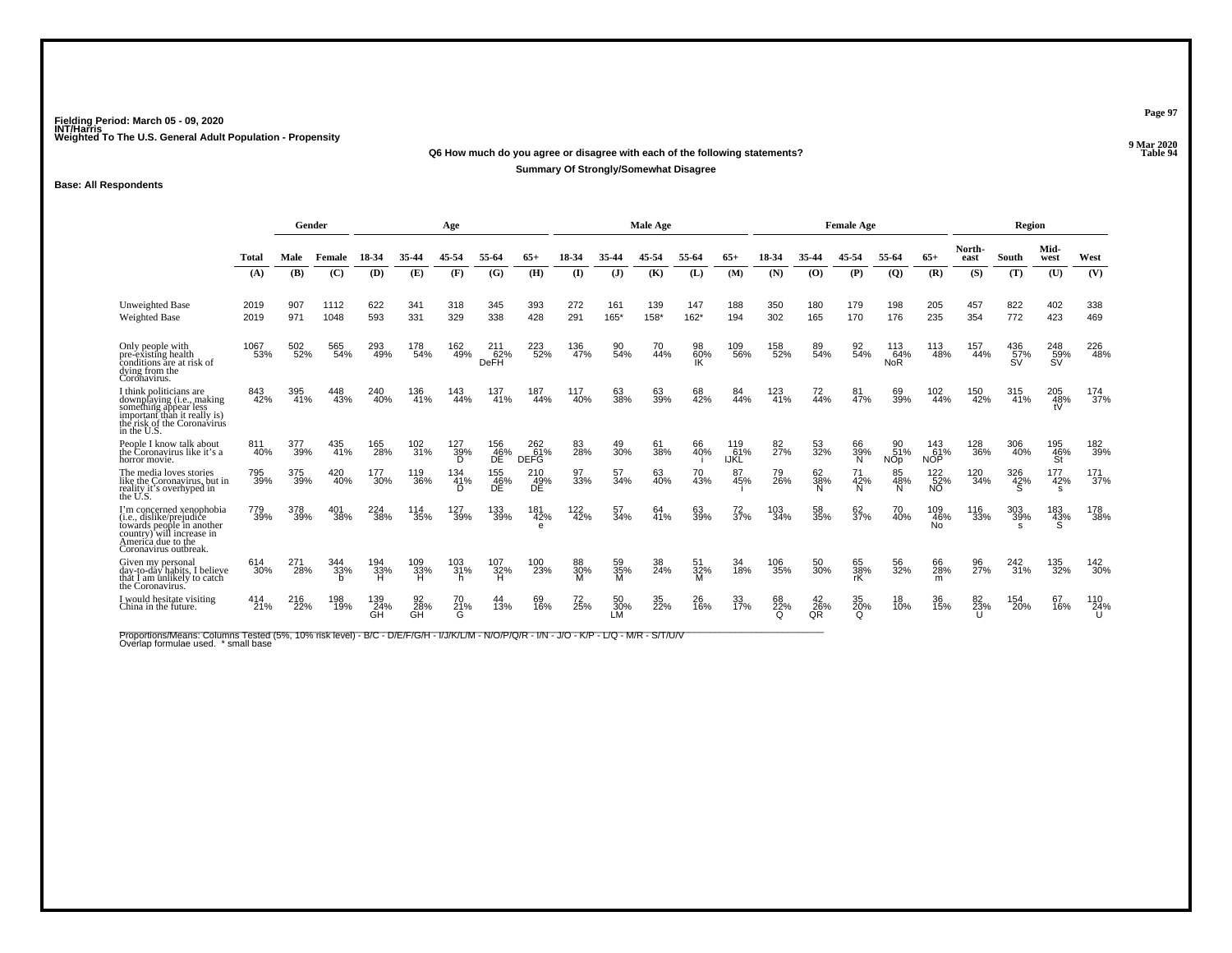#### **Q6 How much do you agree or disagree with each of the following statements?Properties and the Contract of the Contract of Table 94 Summary Of Strongly/Somewhat Disagree**

### **Base: All Respondents**

|                                                                                                                                                                      |              | Gender     |              |                  |                 | Age              |                                |                                |                 |                 | Male Age    |                |                    | <b>Female Age</b>     |                 |                       |                          |                          |                | Region                |                                 |            |
|----------------------------------------------------------------------------------------------------------------------------------------------------------------------|--------------|------------|--------------|------------------|-----------------|------------------|--------------------------------|--------------------------------|-----------------|-----------------|-------------|----------------|--------------------|-----------------------|-----------------|-----------------------|--------------------------|--------------------------|----------------|-----------------------|---------------------------------|------------|
|                                                                                                                                                                      | Total        | Male       | Female       |                  |                 |                  | 55-64                          |                                |                 |                 | 45.54       |                | 65+                | 18-34                 | 35-44           |                       | 55-64                    | $65+$                    | North-<br>east | South                 | Mid-<br>west                    | West       |
|                                                                                                                                                                      | (A)          | (B)        | (C)          | (D)              | (E)             | (F)              | (G)                            | (H)                            | $($ $\Gamma$    | $($ $)$         | (K)         | (L)            | (M)                | (N)                   | (0)             | (P)                   | $\overline{Q}$           | (R)                      | (S)            | (T)                   | (U)                             | (V)        |
| <b>Unweighted Base</b><br>Weighted Base                                                                                                                              | 2019<br>2019 | 907<br>971 | 1112<br>1048 | 622<br>593       | 341<br>331      | 318<br>329       | 345<br>338                     | 393<br>428                     | 272<br>291      | 161<br>$165*$   | 139<br>158* | 147<br>$162*$  | 188<br>194         | 350<br>302            | 180<br>165      | 179<br>170            | 198<br>176               | 205<br>235               | 457<br>354     | 822<br>772            | 402<br>423                      | 338<br>469 |
| Only people with<br>pre-existing health<br>conditions are at risk of<br>dying from the<br>Coronavirus.                                                               | 1067<br>53%  | 502<br>52% | 565<br>54%   | 293<br>49%       | 178<br>54%      | 162<br>49%       | $^{211}_{62\%}$<br><b>DeFH</b> | 223<br>52%                     | 136<br>47%      | 90<br>54%       | 70<br>44%   | 98<br>60%      | 109<br>56%         | 158<br>52%            | 89<br>54%       | 92<br>54%             | 113<br>64%<br><b>NoR</b> | 113<br>48%               | 157<br>44%     | $^{436}_{57\%}$<br>ŚV | $^{248}_{\substack{59\%\\\$V}}$ | 226<br>48% |
| I think politicians are<br>downplaying ( <i>i.e.</i> , making<br>something appear less<br>important than it really is)<br>the risk of the Coronavirus<br>in the U.S. | 843<br>42%   | 395<br>41% | 448<br>43%   | 240<br>40%       | 136<br>41%      | 143<br>44%       | 137<br>41%                     | 187<br>44%                     | 117<br>40%      | 63<br>38%       | 63<br>39%   | 68<br>42%      | 84<br>44%          | 123<br>41%            | 72<br>44%       | 81<br>47%             | 69<br>39%                | 102<br>44%               | 150<br>42%     | 315<br>41%            | 205<br>48%<br>tV                | 174<br>37% |
| People I know talk about<br>the Coronavirus like it's a<br>horror movie.                                                                                             | 811<br>40%   | 377<br>39% | 435<br>41%   | 165<br>28%       | 102<br>31%      | 127<br>39%<br>D. | 156<br>_46%<br>DĚ              | 262<br>61%<br><b>DEFG</b>      | 83 <sub>%</sub> | 49<br>30%       | 61<br>38%   | 66<br>40%      | 119<br>61%<br>ijkl | 82 <sub>7%</sub>      | 53<br>32%       | 66<br>39%<br>Ñ        | 90<br>51%<br><b>NOp</b>  | 143<br>61%<br><b>NOP</b> | 128<br>36%     | 306<br>40%            | 195<br>46%<br>St                | 182<br>39% |
| The media loves stories<br>like the Coronavirus, but in<br>reality it's overhyped in<br>the U.S.                                                                     | 795<br>39%   | 375<br>39% | 420<br>40%   | 177<br>30%       | 119<br>36%      | 134<br>41%<br>D. | 155<br>46%<br>DE               | 210<br>$\overline{AB}$ %<br>DE | 97<br>33%       | 57<br>34%       | 63<br>40%   | 70<br>43%      | 87<br>45%          | 79<br>26%             | 62<br>38%       | 71<br>42%             | 85<br>48%<br>N           | 122<br>$\frac{52}{100}$  | 120<br>34%     | 326<br>42%            | 177<br>42%<br>s                 | 171<br>37% |
| I'm concerned xenophobia<br>(i.e., dislike/prejudice<br>towards people in another<br>country) will increase in<br>America due to the<br>Coronavirus outbreak.        | 779<br>39%   | 378<br>39% | 401<br>38%   | 224<br>38%       | 114<br>35%      | 127<br>39%       | 133<br>39%                     | 181<br>42%<br>e                | 122<br>42%      | 57<br>34%       | 64<br>41%   | 63<br>39%      | 72<br>37%          | 103<br>34%            | 58<br>35%       | 62<br>37%             | 70<br>40%                | 109<br>46%<br><b>No</b>  | 116<br>33%     | 303<br>39%            | 183<br>43%                      | 178<br>38% |
| Given my personal<br>day-to-day habits, I believe<br>that I am unlikely to catch<br>the Coronavirus.                                                                 | 614<br>30%   | 271<br>28% | 344<br>33%   | 194<br>33%<br>н  | 109<br>33%<br>н | 103<br>31%<br>h  | 107<br>32%<br>н                | 100<br>23%                     | 88<br>30%       | 59<br>35%<br>M  | 38<br>24%   | 51<br>32%<br>M | 34<br>18%          | 106<br>35%            | 50<br>30%       | 65<br>38%<br>rK       | 56<br>32%                | 66<br>28%<br>m           | 96<br>27%      | 242<br>31%            | 135<br>32%                      | 142<br>30% |
| I would hesitate visiting<br>China in the future.                                                                                                                    | 414<br>21%   | 216<br>22% | 198<br>19%   | 139<br>24%<br>GH | 92<br>28%<br>GĤ | 70<br>21%<br>G   | 44<br>13%                      | 69<br>16%                      | 72<br>25%       | 50<br>30%<br>LM | 35<br>22%   | 26<br>16%      | 33<br>17%          | 68<br>22%<br>$\Omega$ | 42<br>26%<br>QR | 35<br>20%<br>$\Omega$ | 18<br>10%                | 36<br>15%                | 82<br>23%      | 154<br>20%            | 67<br>16%                       | 110<br>24% |

Proportions/Means: Columns Tested (5%, 10% risk level) - B/C - D/E/F/G/H - I/J/K/L/M - N/O/P/Q/R - I/N - J/O - K/P - L/Q - M/R - S/T/U/V<br>Overlap formulae used. \*small base

**Page 97**

**9 Mar 2020<br>Table 94**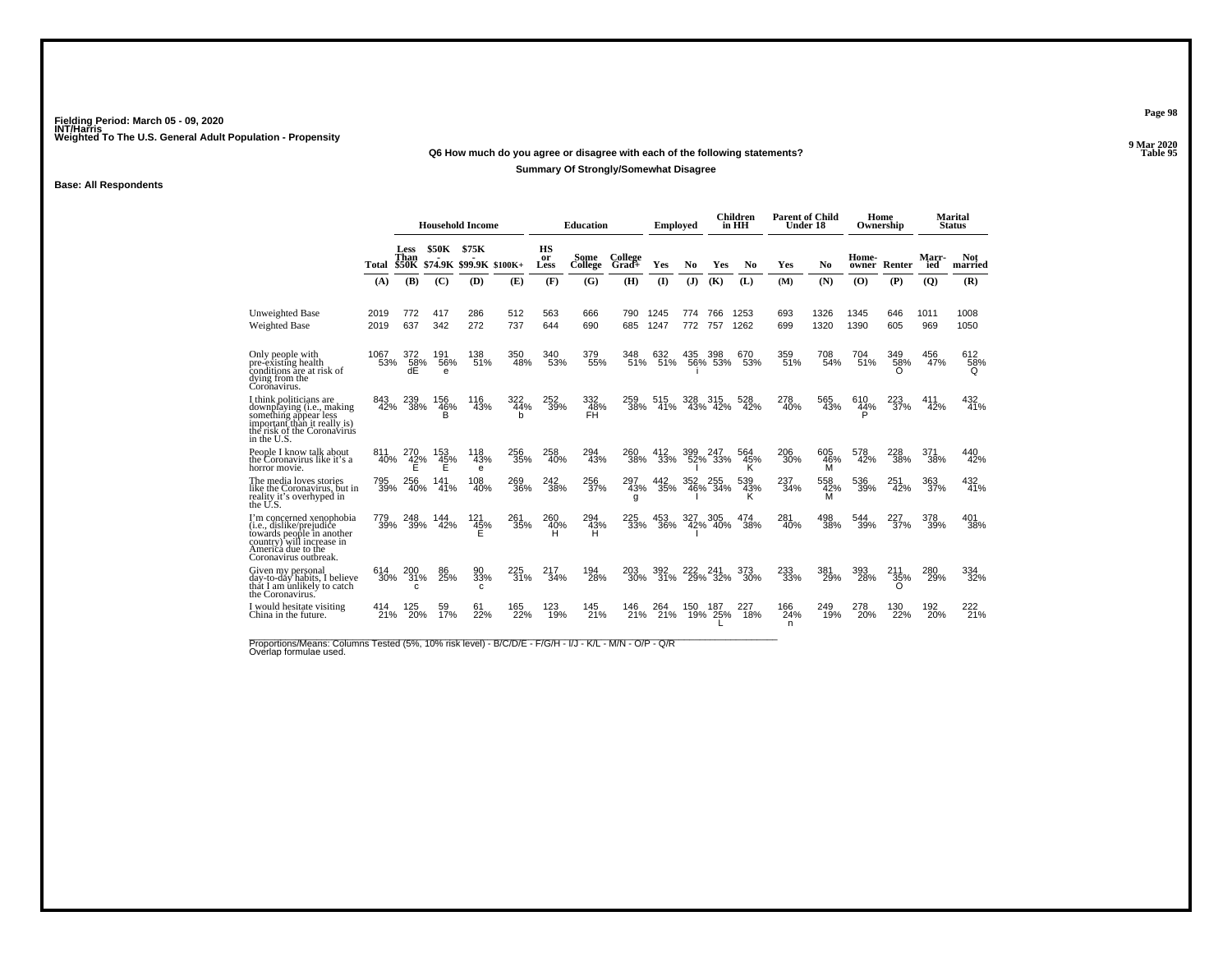### **Q6 How much do you agree or disagree with each of the following statements?**

### **Summary Of Strongly/Somewhat Disagree**

### **Base: All Respondents**

|                                                                                                                                                               |             |                              |                            | <b>Household Income</b>          |                 |                  | <b>Education</b>              |                  | <b>Employed</b> |            |                | Children<br>in HH | <b>Parent of Child</b><br>Under 18 |                 |                       | Home<br>Ownership  |              | Marital<br><b>Status</b> |
|---------------------------------------------------------------------------------------------------------------------------------------------------------------|-------------|------------------------------|----------------------------|----------------------------------|-----------------|------------------|-------------------------------|------------------|-----------------|------------|----------------|-------------------|------------------------------------|-----------------|-----------------------|--------------------|--------------|--------------------------|
|                                                                                                                                                               | Total       | Less<br>Than<br><b>\$50K</b> | <b>\$50K</b>               | \$75K<br>\$74.9K \$99.9K \$100K+ |                 | HS<br>or<br>Less | Some<br><b>College</b>        | College<br>Grad+ | Yes             | No         | Yes            | No                | Yes                                | No              | Home-<br>owner        | Renter             | Marr-<br>ied | <b>Not</b><br>married    |
|                                                                                                                                                               | (A)         | (B)                          | (C)                        | (D)                              | (E)             | (F)              | (G)                           | (H)              | $($ $\Gamma$    | (J)        | (K)            | (L)               | (M)                                | (N)             | (0)                   | (P)                | (Q)          | (R)                      |
| Unweighted Base                                                                                                                                               | 2019        | 772                          | 417                        | 286                              | 512             | 563              | 666                           | 790              | 1245            | 774        | 766            | 1253              | 693                                | 1326            | 1345                  | 646                | 1011         | 1008                     |
| Weighted Base                                                                                                                                                 | 2019        | 637                          | 342                        | 272                              | 737             | 644              | 690                           | 685              | 1247            | 772        | 757            | 1262              | 699                                | 1320            | 1390                  | 605                | 969          | 1050                     |
| Only people with<br>pre-existing health<br>conditions are at risk of<br>dying from the<br>Coronavirus.                                                        | 1067<br>53% | 372<br>58%<br>dÉ             | 191<br>56%<br>e            | 138<br>51%                       | 350<br>48%      | 340<br>53%       | 379<br>55%                    | 348<br>51%       | 632<br>51%      | 435        | 398<br>56% 53% | 670<br>53%        | 359<br>51%                         | 708<br>54%      | 704<br>51%            | 349<br>58%<br>O    | 456<br>47%   | 612<br>58%<br>Q          |
| I think politicians are<br>downplaying (i.e., making<br>something appear less<br>important than it really is)<br>the risk of the Coronavirus<br>in the U.S.   | 843<br>42%  | 239<br>38%                   | 156<br>$^{46}_{\sub{B}}$ % | 116<br>43%                       | 322<br>44%<br>h | 252<br>39%       | 332<br>$\frac{48}{\text{FH}}$ | 259<br>38%       | 515<br>41%      | 328        | 315<br>43% 42% | 528<br>42%        | 278<br>40%                         | 565<br>43%      | 610<br>$\frac{44}{5}$ | 223<br>37%         | 411<br>42%   | 432<br>41%               |
| People I know talk about<br>the Coronavirus like it's a<br>horror movie.                                                                                      | 811<br>40%  | 270<br>$^{42\%}_{E}$         | 153<br>45%<br>Е            | 118<br>43%<br>e                  | 256<br>35%      | 258<br>40%       | 294<br>43%                    | 260<br>38%       | 412<br>33%      | 399        | 247<br>52% 33% | 564<br>45%<br>κ   | 206<br>30%                         | 605<br>46%<br>M | 578<br>42%            | 228<br>38%         | 371<br>38%   | 440<br>42%               |
| The media loves stories<br>like the Coronavirus, but in<br>reality it's overhyped in<br>the U.S.                                                              | 795<br>39%  | 256<br>40%                   | 141<br>41%                 | 108<br>40%                       | 269<br>36%      | 242<br>38%       | 256<br>37%                    | 297<br>43%<br>g  | 442<br>35%      | 352<br>46% | 255<br>34%     | 539<br>43%        | 237<br>34%                         | 558<br>42%<br>м | 536<br>39%            | 251<br>42%         | 363<br>37%   | 432<br>41%               |
| I'm concerned xenophobia<br>(i.e., dislike/prejudice<br>towards people in another<br>country) will increase in<br>America due to the<br>Coronavirus outbreak. | 779<br>39%  | 248<br>39%                   | 144<br>42%                 | 121<br>45%<br>E                  | 261<br>35%      | 260<br>40%<br>н  | 294<br>43%<br>Ĥ               | 225<br>33%       | 453<br>36%      | 327        | 305<br>42% 40% | 474<br>38%        | 281<br>40%                         | 498<br>38%      | 544<br>39%            | 227 <sub>37%</sub> | 378<br>39%   | 401<br>38%               |
| Given my personal<br>day-to-dáy habits, I believe<br>thất I am únlikely to catch<br>the Coronavirus.                                                          | 614<br>30%  | 200<br>31%<br>c              | 86<br>25%                  | 90<br>33%<br>c                   | 225<br>31%      | 217<br>34%       | 194<br>28%                    | 203<br>30%       | 392<br>31%      | 29%        | 24<br>32%      | 373<br>30%        | 233<br>33%                         | 381<br>29%      | 393<br>28%            | 211<br>35%         | 280<br>29%   | 334<br>32%               |
| I would hesitate visiting<br>China in the future.                                                                                                             | 414<br>21%  | 125<br>20%                   | 59<br>17%                  | 61<br>22%                        | 165<br>22%      | 123<br>19%       | 145<br>21%                    | 146<br>21%       | 264<br>21%      | 150<br>19% | 187<br>25%     | 227<br>18%        | 166<br>24%<br>n                    | 249<br>19%      | 278<br>20%            | 130<br>22%         | 192<br>20%   | 222<br>21%               |

Proportions/Means: Columns Tested (5%, 10% risk level) - B/C/D/E - F/G/H - I/J - K/L - M/N - O/P - Q/R<br>Overlap formulae used.

**Page 98**

**9 Mar 2020<br>Table 95 Properties and the set of the set of the set of the set of the set of the set of the set of the set of the set of the set of the set of the set of the set of the set of the set of the set of the set of the set of the set**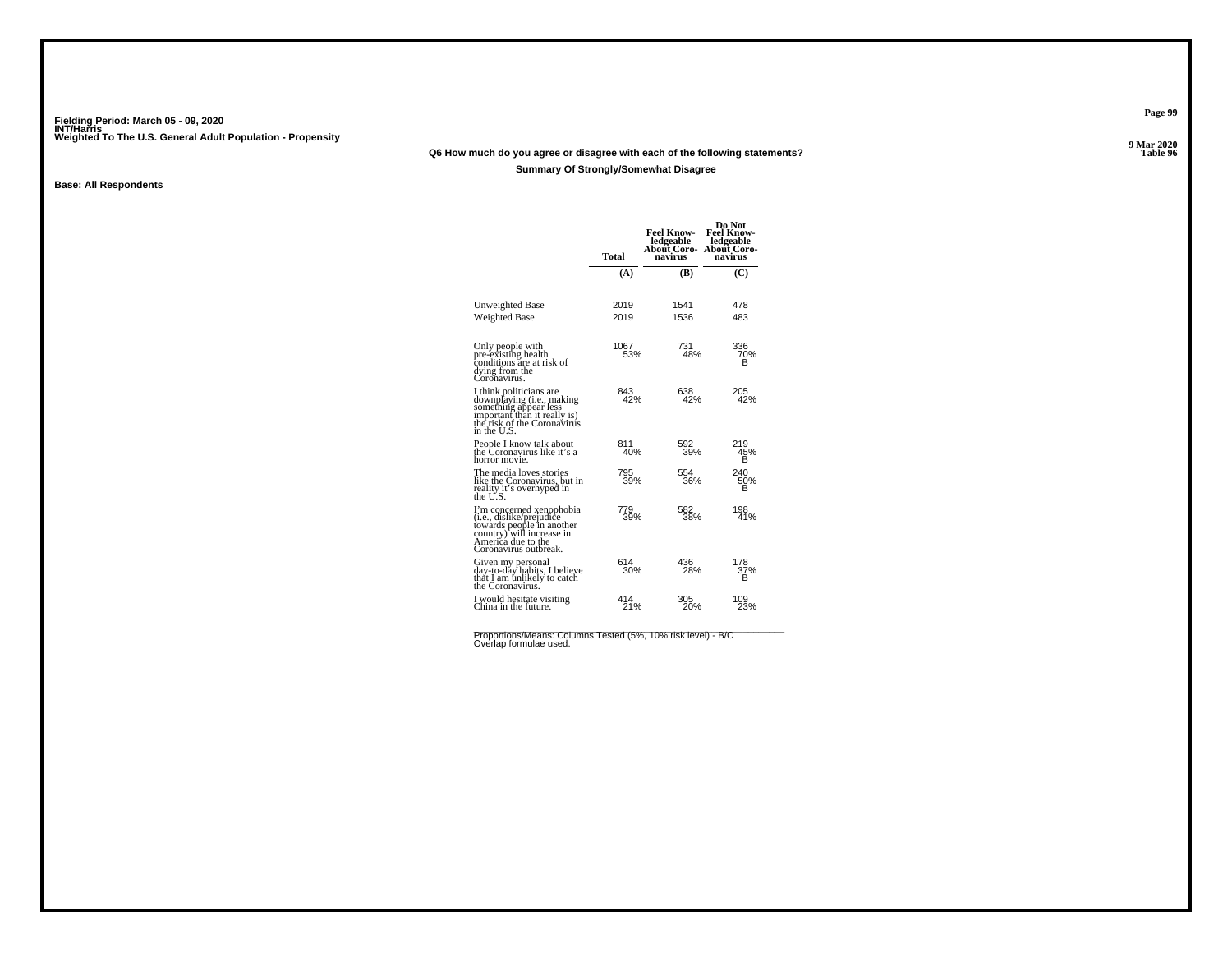### **Q6 How much do you agree or disagree with each of the following statements?**

### **Summary Of Strongly/Somewhat Disagree**

### **Base: All Respondents**

|                                                                                                                                                                        | Total       | <b>Feel Know-</b><br>ledgeable<br>About Coro-<br>navirus | Do Not<br><b>Feel Know-</b><br>ledgeable<br>About Coro-<br>navirus |
|------------------------------------------------------------------------------------------------------------------------------------------------------------------------|-------------|----------------------------------------------------------|--------------------------------------------------------------------|
|                                                                                                                                                                        | (A)         | (B)                                                      | (C)                                                                |
| Unweighted Base                                                                                                                                                        | 2019        | 1541                                                     | 478                                                                |
| Weighted Base                                                                                                                                                          | 2019        | 1536                                                     | 483                                                                |
| Only people with<br>pre-existing health<br>conditions are at risk of<br>dying from the<br>Coronavirus.                                                                 | 1067<br>53% | 731<br>48%                                               | 336<br>70%<br>в                                                    |
| I think politicians are<br>downplaying (i.e., making<br>something appear less<br>important than it really is)<br>the risk of the Coronavirus<br>in the U.S.            | 843<br>42%  | 638<br>42%                                               | 205<br>42%                                                         |
| People I know talk about<br>the Coronavirus like it's a<br>horror movie.                                                                                               | 811<br>40%  | 592<br>39%                                               | 219<br>45%<br>в                                                    |
| The media loves stories<br>like the Coronayirus, but in<br>reality it's overhyped in<br>the U.S.                                                                       | 795<br>39%  | 554<br>36%                                               | 240<br>50%<br>в                                                    |
| I'm concerned xenophobia<br>( <i>i.e.</i> , dislike/prejudice<br>towards people in another<br>country) will increase in<br>America due to the<br>Coronavirus outbreak. | 779<br>39%  | 582<br>38%                                               | 198<br>41%                                                         |
| Given my personal<br>day-to-day habits, I believe<br>that I am unlikely to catch<br>the Coronavirus.                                                                   | 614<br>30%  | 436<br>28%                                               | 178<br>37%<br>в                                                    |
| I would hesitate visiting<br>China in the future.                                                                                                                      | 414<br>21%  | 305<br>20%                                               | 109<br>23%                                                         |

Proportions/Means: Columns Tested (5%, 10% risk level) - B/C<br>Overlap formulae used.

**Page 99**

**9 Mar 2020<br>Table 96 Properties and the set of the set of the set of the set of the set of the set of the set of the set of the set of the set of the set of the set of the set of the set of the set of the set of the set of the set of the set**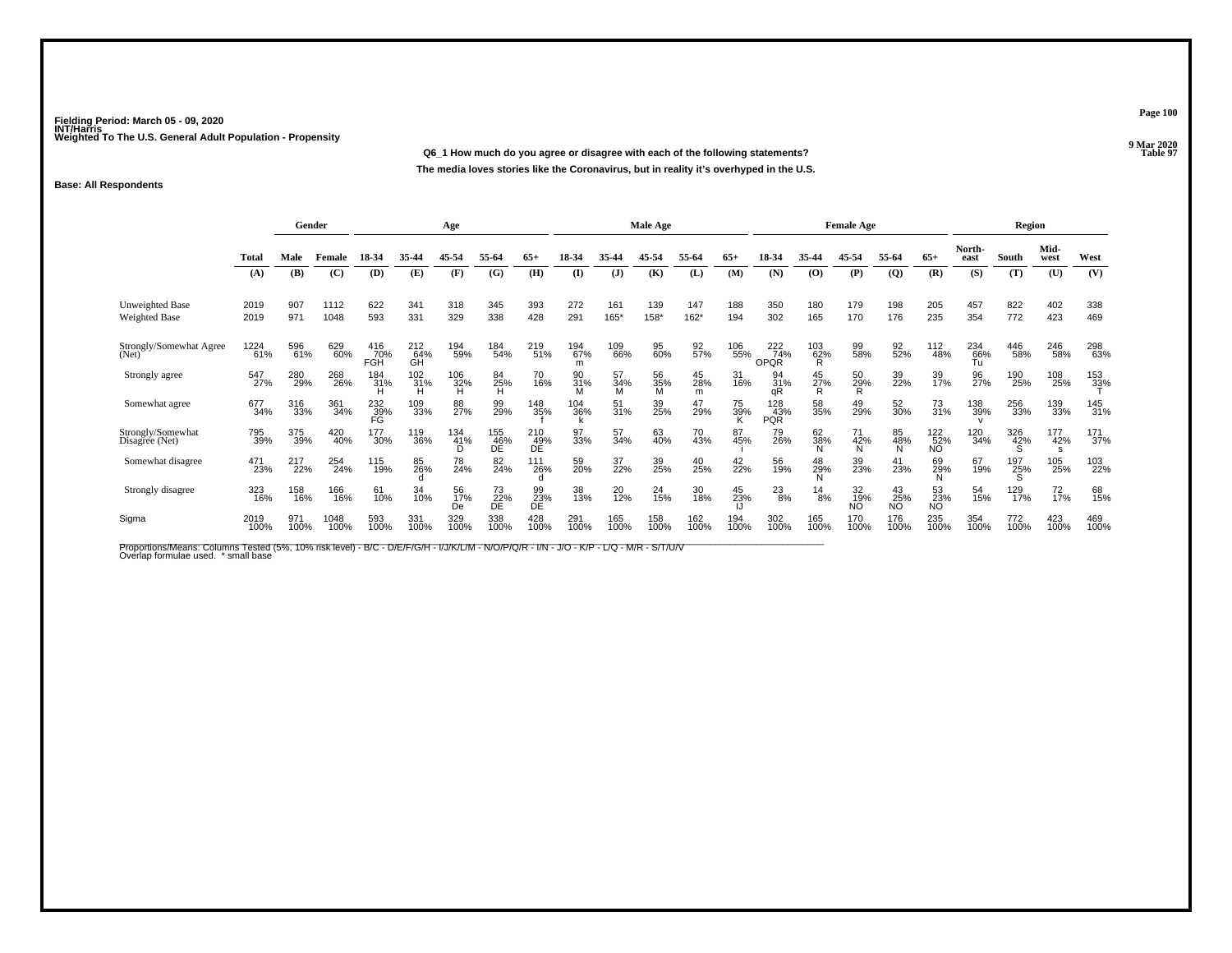**Q6\_1 How much do you agree or disagree with each of the following statements?The media loves stories like the Coronavirus, but in reality it's overhyped in the U.S.**

### **Base: All Respondents**

|                                         |              | Gender      |              |                   |                  | Age             |                  |                  |                 |                      | Male Age       |                   |             | <b>Female Age</b>         |                 |                        |                 |                               | Region           |             |              |             |
|-----------------------------------------|--------------|-------------|--------------|-------------------|------------------|-----------------|------------------|------------------|-----------------|----------------------|----------------|-------------------|-------------|---------------------------|-----------------|------------------------|-----------------|-------------------------------|------------------|-------------|--------------|-------------|
|                                         | Total        | Male        | Female       | 18-34             | 35.44            | 45-54           | 55-64            | $65+$            | 18-34           | 35.44                | 45-54          | 55-64             | $65+$       | 18-34                     | 35-44           | 45.54                  | 55-64           | $65+$                         | North-<br>east   | South       | Mid-<br>west | West        |
|                                         | (A)          | (B)         | (C)          | (D)               | (E)              | (F)             | (G)              | (H)              | $\mathbf{I}$    | $\mathbf{J}$         | (K)            | (L)               | (M)         | (N)                       | (0)             | (P)                    | $\overline{Q}$  | (R)                           | (S)              | (T)         | (U)          | (V)         |
| <b>Unweighted Base</b><br>Weighted Base | 2019<br>2019 | 907<br>971  | 1112<br>1048 | 622<br>593        | 341<br>331       | 318<br>329      | 345<br>338       | 393<br>428       | 272<br>291      | 161<br>165*          | 139<br>158*    | 147<br>$162*$     | 188<br>194  | 350<br>302                | 180<br>165      | 179<br>170             | 198<br>176      | 205<br>235                    | 457<br>354       | 822<br>772  | 402<br>423   | 338<br>469  |
| Strongly/Somewhat Agree<br>(Net)        | 1224<br>61%  | 596<br>61%  | 629<br>60%   | 416<br>70%<br>FGH | 212<br>64%<br>GH | 194<br>59%      | 184<br>54%       | 219<br>51%       | 194<br>67%<br>m | 109<br>66%           | 95<br>60%      | $\frac{92}{57\%}$ | 106<br>55%  | 222<br>74%<br><b>OPQR</b> | 103<br>62%<br>R | 99<br>58%              | 92%             | 112<br>48%                    | 234<br>66%<br>Tu | 446<br>58%  | 246<br>58%   | 298<br>63%  |
| Strongly agree                          | 547<br>27%   | 280<br>29%  | 268<br>26%   | 184<br>31%        | 102<br>31%<br>н  | $^{106}_{32\%}$ | 84<br>25%<br>H   | 70<br>16%        | 90<br>31%       | 57<br>$\frac{34}{M}$ | 56<br>35%<br>M | 45<br>28%<br>m    | 31<br>16%   | 94<br>31%<br>aR           | 45<br>27%       | 50<br>29%<br>R         | 39<br>22%       | 39<br>17%                     | 96<br>27%        | 190<br>25%  | 108<br>25%   | 153<br>33%  |
| Somewhat agree                          | 677<br>34%   | 316<br>33%  | 361<br>34%   | 232<br>39%<br>FĞ  | 109<br>33%       | 88<br>27%       | 99<br>29%        | 148<br>35%       | 104<br>36%      | 51<br>31%            | 39<br>25%      | 47<br>29%         | 75<br>39%   | 128<br>43%<br>PQR         | 58<br>35%       | 49<br>29%              | 52<br>30%       | 73<br>31%                     | 138<br>39%       | 256<br>33%  | 139<br>33%   | 145<br>31%  |
| Strongly/Somewhat<br>Disagree (Net)     | 795<br>39%   | 375<br>39%  | 420<br>40%   | 177<br>$30\%$     | 119<br>36%       | 134<br>41%<br>D | 155<br>46%<br>DĚ | 210<br>49%<br>DĚ | 97<br>33%       | 57<br>34%            | 63<br>40%      | 70<br>43%         | 87<br>45%   | 79<br>26%                 | 62<br>38%       | 71<br>42%              | 85<br>48%       | 122 <sub>%</sub><br><b>NO</b> | 120<br>34%       | 326<br>42%  | 177<br>42%   | 171<br>37%  |
| Somewhat disagree                       | 471<br>23%   | 217<br>22%  | 254<br>24%   | 115<br>19%        | 85<br>26%        | 78<br>24%       | 82<br>24%        | 111<br>26%       | 59<br>20%       | 37<br>22%            | 39<br>25%      | 40<br>25%         | 42<br>22%   | 56<br>19%                 | 48<br>29%       | 39<br>23%              | 41<br>23%       | 69<br>29%<br>N                | 67<br>19%        | 197<br>25%  | 105<br>25%   | 103<br>22%  |
| Strongly disagree                       | 323<br>16%   | 158<br>16%  | 166<br>16%   | 61<br>10%         | 34<br>10%        | 56<br>17%<br>De | 73<br>22%<br>DE  | 99<br>23%<br>DE  | 38<br>13%       | 20<br>12%            | 24<br>15%      | 30<br>18%         | 45<br>23%   | $^{23}_{8\%}$             | 14<br>8%        | 32<br>19%<br><b>NO</b> | 43<br>25%<br>NO | 53<br>23%<br><b>NO</b>        | 54<br>15%        | 129<br>17%  | 72<br>17%    | 68<br>15%   |
| Sigma                                   | 2019<br>100% | 971<br>100% | 1048<br>100% | 593<br>100%       | 331<br>100%      | 329<br>100%     | 338<br>100%      | 428<br>100%      | 291<br>100%     | 165<br>100%          | 158<br>100%    | 162<br>100%       | 194<br>100% | 302<br>100%               | 165<br>100%     | 170<br>100%            | 176<br>100%     | 235<br>100%                   | 354<br>100%      | 772<br>100% | 423<br>100%  | 469<br>100% |

Proportions/Means: Columns Tested (5%, 10% risk level) - B/C - D/E/F/G/H - I/J/K/L/M - N/O/P/Q/R - I/N - J/O - K/P - L/Q - M/R - S/T/U/V<br>Overlap formulae used. \*small base

**Page 100**

**9 Mar 2020<br>Table 97 Properties and the set of the set of the set of the set of the set of the set of the set of the set of the set of the set of the set of the set of the set of the set of the set of the set of the set of the set of the set**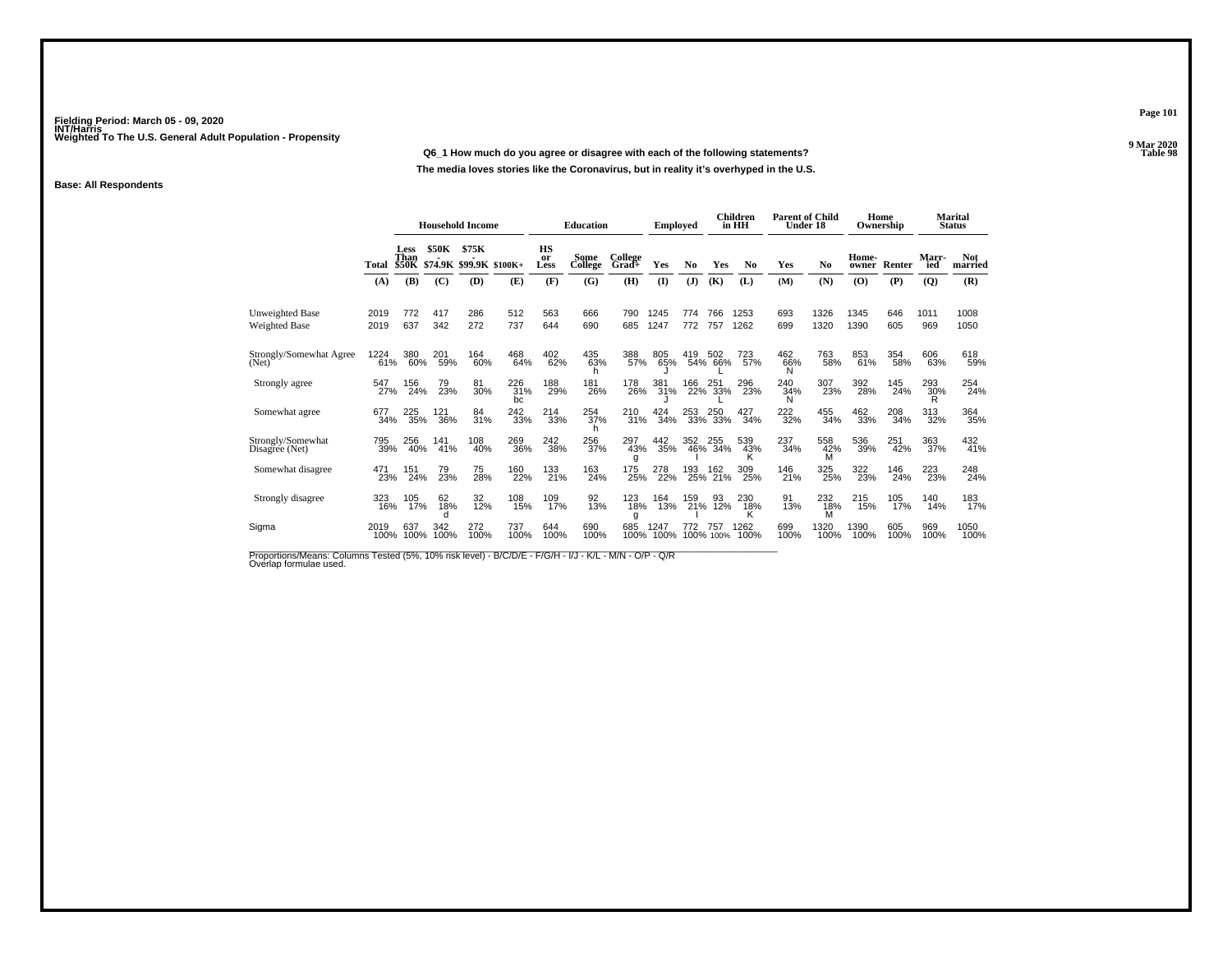### **Q6\_1 How much do you agree or disagree with each of the following statements?**

**The media loves stories like the Coronavirus, but in reality it's overhyped in the U.S.**

### **Base: All Respondents**

|                                         |              | <b>Household Income</b>             |              |                                  | <b>Education</b> |                  | <b>Employed</b> |                  |              | <b>Children</b><br>in HH | <b>Parent of Child</b><br>Under 18 |                | Home            | Ownership       |                | <b>Marital</b><br><b>Status</b> |                 |                       |
|-----------------------------------------|--------------|-------------------------------------|--------------|----------------------------------|------------------|------------------|-----------------|------------------|--------------|--------------------------|------------------------------------|----------------|-----------------|-----------------|----------------|---------------------------------|-----------------|-----------------------|
|                                         | Total        | <b>Less</b><br>Than<br><b>\$50K</b> | <b>\$50K</b> | \$75K<br>\$74.9K \$99.9K \$100K+ |                  | HS<br>or<br>Less | Some<br>College | College<br>Grad+ | <b>Yes</b>   | N <sub>0</sub>           | Yes                                | N <sub>0</sub> | Yes             | N <sub>0</sub>  | Home-<br>owner | Renter                          | Marr-<br>ied    | <b>Not</b><br>married |
|                                         | (A)          | (B)                                 | (C)          | (D)                              | (E)              | (F)              | (G)             | (H)              | $\mathbf{I}$ | ( <b>J</b> )             | (K)                                | (L)            | (M)             | (N)             | $\mathbf{(O)}$ | (P)                             | (Q)             | (R)                   |
| <b>Unweighted Base</b><br>Weighted Base | 2019<br>2019 | 772<br>637                          | 417<br>342   | 286<br>272                       | 512<br>737       | 563<br>644       | 666<br>690      | 790<br>685       | 1245<br>1247 | 774<br>772               | 766<br>757                         | 1253<br>1262   | 693<br>699      | 1326<br>1320    | 1345<br>1390   | 646<br>605                      | 1011<br>969     | 1008<br>1050          |
| Strongly/Somewhat Agree<br>(Net)        | 1224<br>61%  | 380<br>60%                          | 201<br>59%   | 164<br>60%                       | 468<br>64%       | 402<br>62%       | 435<br>63%      | 388<br>57%       | 805<br>65%   | 419                      | 502<br>54% 66%                     | 723<br>57%     | 462<br>66%<br>N | 763<br>58%      | 853<br>61%     | 354<br>58%                      | 606<br>63%      | 618<br>59%            |
| Strongly agree                          | 547<br>27%   | 156<br>24%                          | 79<br>23%    | 81<br>30%                        | 226<br>31%<br>bc | 188<br>29%       | 181<br>26%      | 178<br>26%       | 381<br>31%   | 166                      | 251<br>22% 33%                     | 296<br>23%     | 240<br>34%<br>N | 307<br>23%      | 392<br>28%     | 145<br>24%                      | 293<br>30%<br>R | 254 <sub>%</sub>      |
| Somewhat agree                          | 677<br>34%   | 225<br>35%                          | 121<br>36%   | 84<br>31%                        | 242<br>33%       | 214<br>33%       | 254<br>37%      | 210<br>31%       | 424<br>34%   | 253<br>33%               | 250<br>33%                         | 427<br>34%     | 222<br>32%      | 455<br>34%      | 462<br>33%     | 208<br>34%                      | 313<br>32%      | 364<br>35%            |
| Strongly/Somewhat<br>Disagree (Net)     | 795<br>39%   | 256<br>40%                          | 141<br>41%   | 108<br>40%                       | 269<br>36%       | 242<br>38%       | 256<br>37%      | 297<br>43%       | 442<br>35%   | 352                      | 255<br>46% 34%                     | 539<br>43%     | 237<br>34%      | 558<br>42%<br>M | 536<br>39%     | 251<br>42%                      | 363<br>37%      | 432<br>41%            |
| Somewhat disagree                       | 471<br>23%   | 151<br>24%                          | 79<br>23%    | 75<br>28%                        | 160<br>22%       | 133<br>21%       | 163<br>24%      | 175<br>25%       | 278<br>22%   | 193<br>25%               | 162<br>21%                         | 309<br>25%     | 146<br>21%      | 325<br>25%      | 322<br>23%     | 146<br>24%                      | 223<br>23%      | 248<br>24%            |
| Strongly disagree                       | 323<br>16%   | 105<br>17%                          | 62<br>18%    | 32<br>12%                        | 108<br>15%       | 109<br>17%       | 92<br>13%       | 123<br>18%<br>a  | 164<br>13%   | 159<br>21%               | 93<br>12%                          | 230<br>18%     | 91<br>13%       | 232<br>18%<br>м | 215<br>15%     | 105<br>17%                      | 140<br>14%      | 183<br>17%            |
| Sigma                                   | 2019<br>100% | 637<br>100%                         | 342<br>100%  | 272<br>100%                      | 737<br>100%      | 644<br>100%      | 690<br>100%     | 685<br>100%      | 247<br>100%  | 772                      | 757<br>100% 100%                   | 1262<br>100%   | 699<br>100%     | 1320<br>100%    | 390<br>100%    | 605<br>100%                     | 969<br>100%     | 1050<br>100%          |

Proportions/Means: Columns Tested (5%, 10% risk level) - B/C/D/E - F/G/H - I/J - K/L - M/N - O/P - Q/R<br>Overlap formulae used.

**Page 101**

**9 Mar 2020<br>Table 98 Table 98**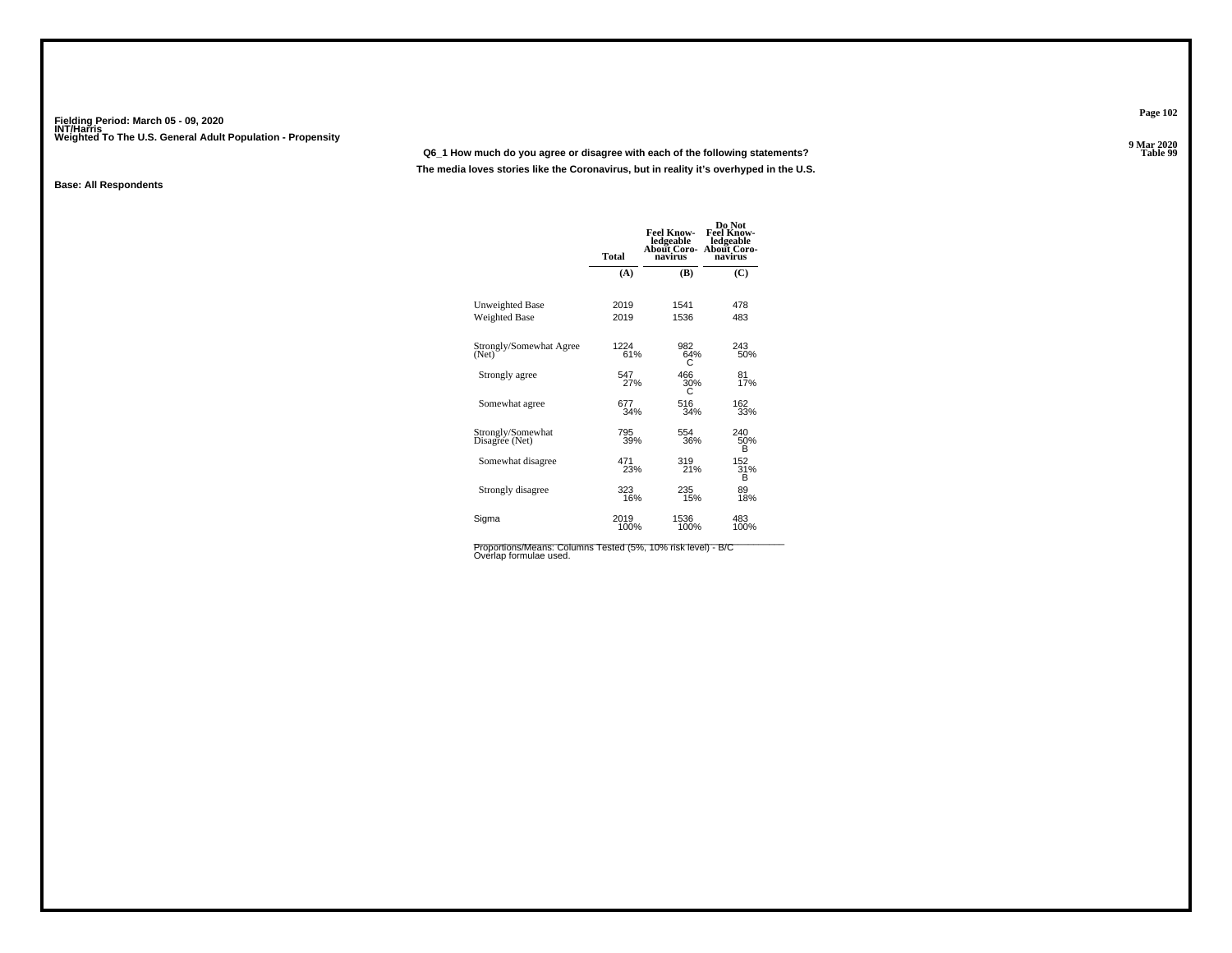### **Q6\_1 How much do you agree or disagree with each of the following statements?**

**The media loves stories like the Coronavirus, but in reality it's overhyped in the U.S.**

### **Base: All Respondents**

|                                     | <b>Total</b> | <b>Feel Know-</b><br>ledgeable<br>About Coro-<br>navirus | Do Not<br><b>Feel Know-</b><br>ledgeable<br>About Coro-<br>navirus |
|-------------------------------------|--------------|----------------------------------------------------------|--------------------------------------------------------------------|
|                                     | (A)          | (B)                                                      | (C)                                                                |
| Unweighted Base                     | 2019         | 1541                                                     | 478                                                                |
| Weighted Base                       | 2019         | 1536                                                     | 483                                                                |
| Strongly/Somewhat Agree<br>(Net)    | 1224<br>61%  | 982<br>64%<br>С                                          | 243<br>50%                                                         |
| Strongly agree                      | 547<br>27%   | 466<br>30%                                               | 81<br>17%                                                          |
| Somewhat agree                      | 677<br>34%   | 516<br>34%                                               | 162<br>33%                                                         |
| Strongly/Somewhat<br>Disagree (Net) | 795<br>39%   | 554<br>36%                                               | 240<br>50%<br>в                                                    |
| Somewhat disagree                   | 471<br>23%   | 319<br>21%                                               | 152<br>31%<br>в                                                    |
| Strongly disagree                   | 323<br>16%   | 235<br>15%                                               | 89<br>18%                                                          |
| Sigma                               | 2019<br>100% | 1536<br>100%                                             | 483<br>100%                                                        |

Proportions/Means: Columns Tested (5%, 10% risk level) - B/C<br>Overlap formulae used.

**Page 102**

**9 Mar 2020<br>Table 99 Table 99**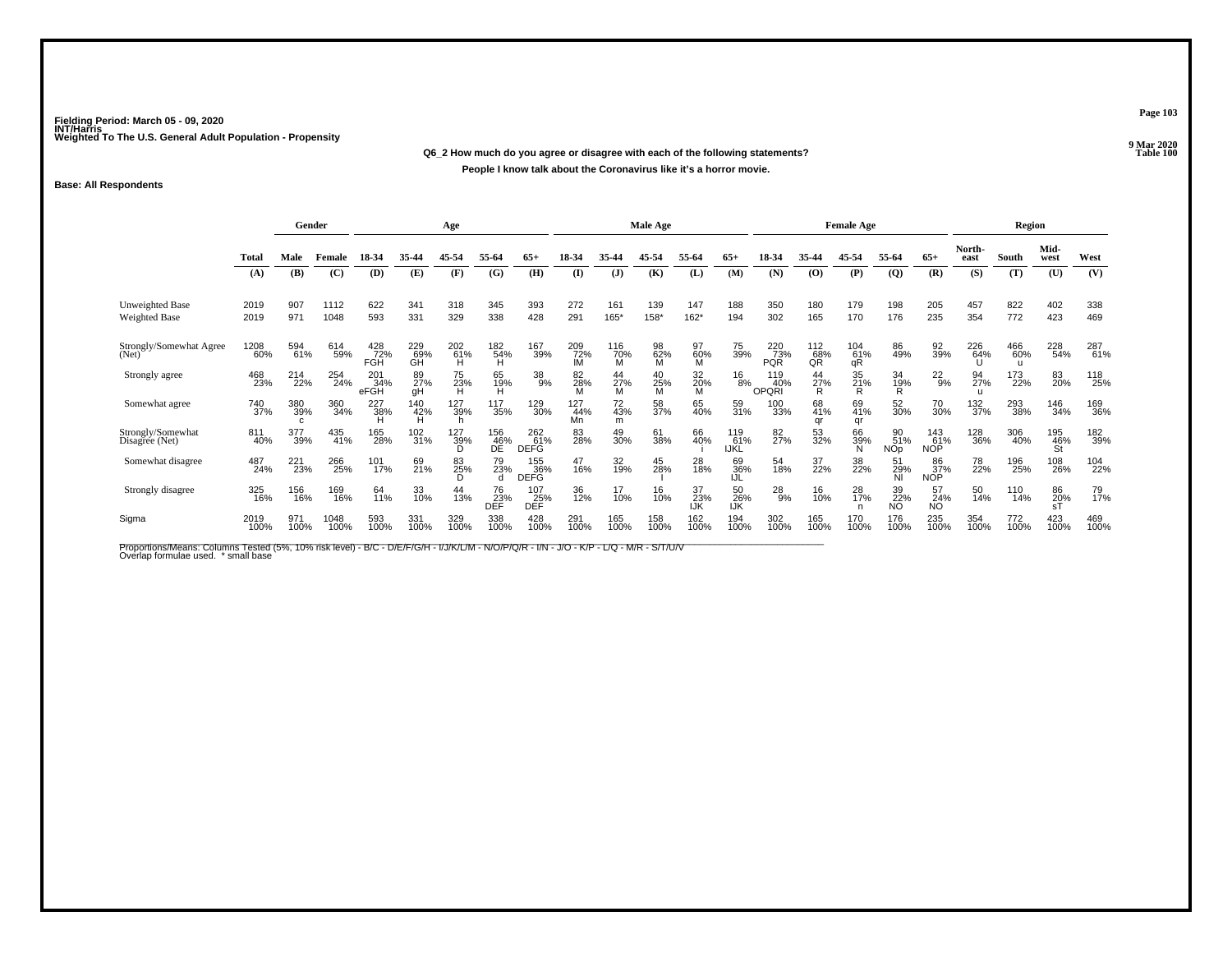**Q6\_2 How much do you agree or disagree with each of the following statements?Properties and the contract of the Contract of Table 100 People I know talk about the Coronavirus like it's a horror movie.**

### **Base: All Respondents**

|                                         |                     | Gender          |              |                                            |                  | Age             |                  |                                   |                  |                 | Male Age       |                  |                           | <b>Female Age</b>        |                       |                       |                         |                          | Region         |             |                  |             |
|-----------------------------------------|---------------------|-----------------|--------------|--------------------------------------------|------------------|-----------------|------------------|-----------------------------------|------------------|-----------------|----------------|------------------|---------------------------|--------------------------|-----------------------|-----------------------|-------------------------|--------------------------|----------------|-------------|------------------|-------------|
|                                         | <b>Total</b>        | Male            | Female       | 18-34                                      | 35-44            | 45-54           | 55-64            | $65+$                             | 18-34            | 35.44           | 45-54          | 55-64            | $65+$                     | 18-34                    | 35-44                 | 45-54                 | 55-64                   | $65+$                    | North-<br>east | South       | Mid-<br>west     | West        |
|                                         | (A)                 | (B)             | (C)          | (D)                                        | (E)              | (F)             | (G)              | (H)                               | $\mathbf{I}$     | (J)             | (K)            | (L)              | (M)                       | (N)                      | (0)                   | (P)                   | $\overline{Q}$          | (R)                      | (S)            | (T)         | (U)              | (V)         |
| Unweighted Base<br><b>Weighted Base</b> | 2019<br>2019        | 907<br>971      | 1112<br>1048 | 622<br>593                                 | 341<br>331       | 318<br>329      | 345<br>338       | 393<br>428                        | 272<br>291       | 161<br>$165*$   | 139<br>158*    | 147<br>162*      | 188<br>194                | 350<br>302               | 180<br>165            | 179<br>170            | 198<br>176              | 205<br>235               | 457<br>354     | 822<br>772  | 402<br>423       | 338<br>469  |
| Strongly/Somewhat Agree<br>(Net)        | <sup>1208</sup> 60% | 594<br>61%      | 614<br>59%   | 428<br>72%<br><b>FGH</b>                   | 229<br>69%<br>ĞĤ | 202<br>61%<br>н | 182%<br>н        | <sup>167</sup> 39%                | 209<br>72%       | 116<br>70%<br>М | 98<br>62%      | 97<br>60%<br>м   | 75<br>39%                 | 220<br>73%<br><b>PQR</b> | 112<br>68%<br>QŘ      | $^{104}_{61\%}$<br>qR | 86<br>49%               | 92<br>39%                | 226<br>64%     | 466<br>60%  | 228<br>54%       | 287<br>61%  |
| Strongly agree                          | 468<br>23%          | 214<br>22%      | 254<br>24%   | 201<br>34%<br>eFGH                         | 89<br>27%<br>qΗ  | 75<br>23%<br>H  | 65<br>19%<br>H   | 38<br>9%                          | 82<br>28%<br>M   | 44<br>27%<br>M  | 40<br>25%<br>M | $^{32}_{20\%}$   | $^{16}_{8\%}$             | 119<br>40%<br>OPQRI      | 44<br>27%             | 35<br>21%<br>R        | 34<br>19%<br>R          | $^{22}_{9%}$             | 94<br>27%      | 173<br>22%  | 83<br>20%        | 118<br>25%  |
| Somewhat agree                          | 740<br>37%          | 380<br>39%<br>c | 360<br>34%   | $\overset{227}{\underset{\text{H}}{38\%}}$ | 140<br>42%<br>Н  | 127<br>39%      | 117<br>35%       | 129<br>30%                        | 127<br>44%<br>Mn | 72<br>43%<br>m  | 58<br>37%      | 65<br>40%        | 59<br>31%                 | 100<br>33%               | 68<br>41%<br>$\alpha$ | 69<br>41%<br>qr       | 52<br>30%               | 70<br>30%                | 132<br>37%     | 293<br>38%  | 146<br>34%       | 169<br>36%  |
| Strongly/Somewhat<br>Disagree (Net)     | 811<br>40%          | 377<br>39%      | 435<br>41%   | 165<br>28%                                 | 102<br>31%       | 127<br>39%<br>D | 156<br>46%<br>DÉ | 262 <sub>61%</sub><br><b>DEFG</b> | 83<br>28%        | 49<br>30%       | 61<br>38%      | 66<br>40%        | 119<br>61%<br><b>IJKL</b> | 82 <sub>7%</sub>         | 53<br>32%             | 66<br>39%             | 90<br>51%<br><b>NOp</b> | 143<br>61%<br><b>NOP</b> | 128<br>36%     | 306<br>40%  | 195<br>46%<br>St | 182<br>39%  |
| Somewhat disagree                       | 487<br>24%          | 221<br>23%      | 266<br>25%   | 101<br>17%                                 | 69<br>21%        | 83<br>25%<br>D  | 79<br>23%<br>d   | 155<br>36%<br>DEFG                | 47<br>16%        | 32<br>19%       | 45<br>28%      | 28<br>18%        | 69<br>36%<br>IJL          | 54<br>18%                | 37<br>22%             | 38<br>22%             | 51<br>29%<br>Ni         | 86<br>37%<br>NOP         | 78<br>22%      | 196<br>25%  | 108<br>26%       | 104<br>22%  |
| Strongly disagree                       | 325<br>16%          | 156<br>16%      | 169<br>16%   | 64<br>11%                                  | 33<br>10%        | 44<br>13%       | 76<br>23%<br>DEF | 107<br>25%<br>DEF                 | 36<br>12%        | 17<br>10%       | 16<br>10%      | 37<br>23%<br>IJK | 50<br>26%<br>IJŔ          | $^{28}_{9%}$             | 16<br>10%             | $^{28}_{17\%}$        | 39<br>22%<br>NO         | 57<br>24%<br><b>NO</b>   | 50<br>14%      | 110<br>14%  | 86<br>20%<br>s"  | 79<br>17%   |
| Sigma                                   | 2019<br>100%        | 971<br>100%     | 1048<br>100% | 593<br>100%                                | 331<br>100%      | 329<br>100%     | 338<br>100%      | 428<br>100%                       | 291<br>100%      | 165<br>100%     | 158<br>100%    | 162<br>100%      | 194<br>100%               | 302<br>100%              | 165<br>100%           | 170<br>100%           | 176<br>100%             | 235<br>100%              | 354<br>100%    | 772<br>100% | 423<br>100%      | 469<br>100% |

Proportions/Means: Columns Tested (5%, 10% risk level) - B/C - D/E/F/G/H - I/J/K/L/M - N/O/P/Q/R - I/N - J/O - K/P - L/Q - M/R - S/T/U/V<br>Overlap formulae used. \*small base

**9 Mar 2020<br>Table 100** 

**Page 103**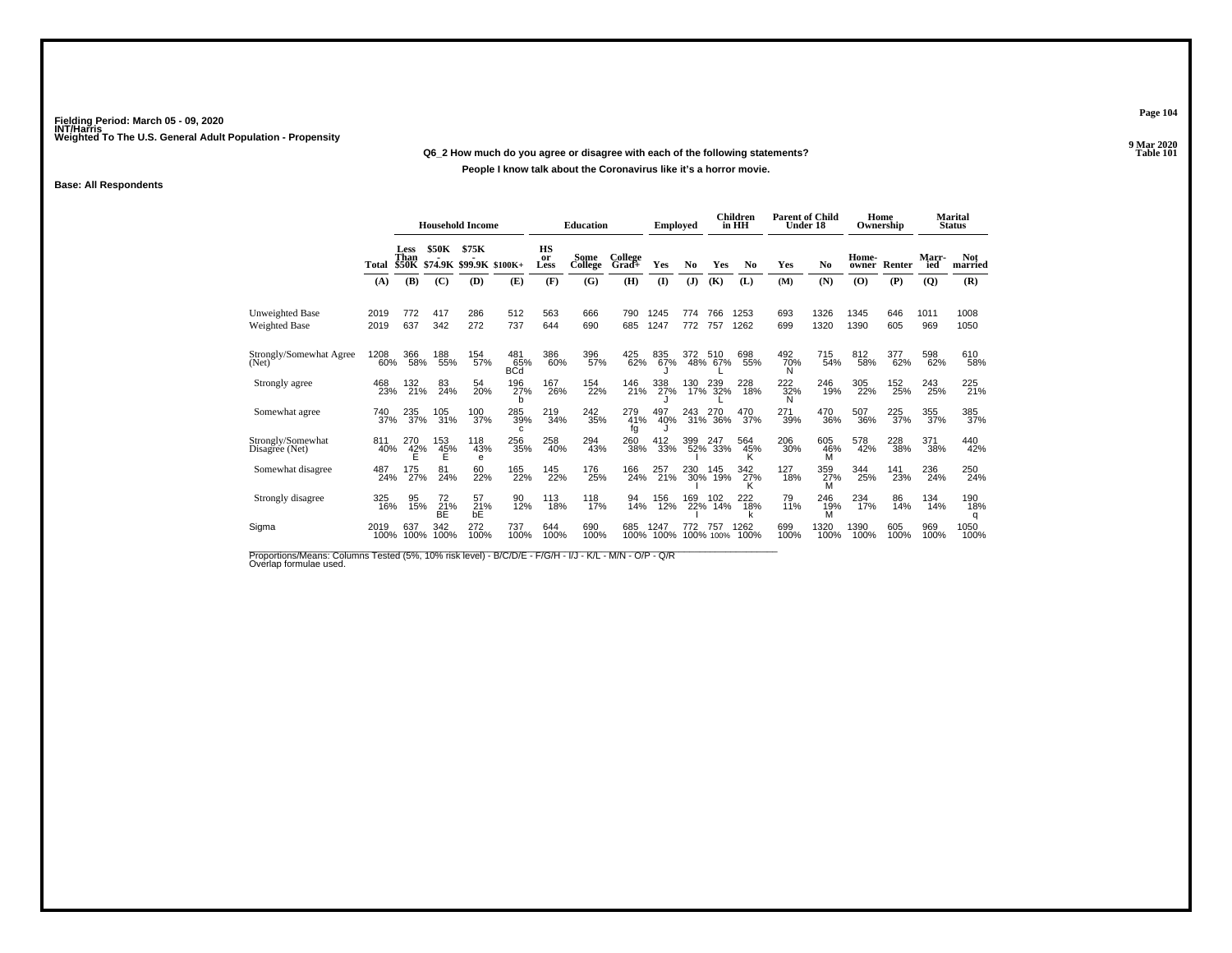### **Q6\_2 How much do you agree or disagree with each of the following statements?**

### **People I know talk about the Coronavirus like it's a horror movie.**

### **Base: All Respondents**

|                                         |              | <b>Household Income</b>      |                     |                                  | <b>Education</b>         |                         | <b>Employed</b> |                  |              | <b>Children</b><br>in HH | <b>Parent of Child</b><br>Under 18 |                 |                 | Home<br>Ownership |                | <b>Marital</b><br><b>Status</b> |                     |                       |
|-----------------------------------------|--------------|------------------------------|---------------------|----------------------------------|--------------------------|-------------------------|-----------------|------------------|--------------|--------------------------|------------------------------------|-----------------|-----------------|-------------------|----------------|---------------------------------|---------------------|-----------------------|
|                                         | Total        | Less<br>Than<br><b>\$50K</b> | <b>\$50K</b>        | \$75K<br>\$74.9K \$99.9K \$100K+ |                          | <b>HS</b><br>or<br>Less | Some<br>College | College<br>Grad+ | Yes          | No                       | Yes                                | N <sub>0</sub>  | Yes             | No                | Home-<br>owner | Renter                          | <b>Marr-</b><br>ied | <b>Not</b><br>married |
|                                         | (A)          | (B)                          | (C)                 | (D)                              | (E)                      | (F)                     | (G)             | (H)              | $\mathbf{I}$ | (J)                      | (K)                                | (L)             | (M)             | (N)               | (O)            | (P)                             | (Q)                 | (R)                   |
| <b>Unweighted Base</b><br>Weighted Base | 2019<br>2019 | 772<br>637                   | 417<br>342          | 286<br>272                       | 512<br>737               | 563<br>644              | 666<br>690      | 790<br>685       | 1245<br>1247 | 774<br>772               | 766<br>757                         | 1253<br>1262    | 693<br>699      | 1326<br>1320      | 1345<br>1390   | 646<br>605                      | 1011<br>969         | 1008<br>1050          |
| Strongly/Somewhat Agree<br>(Net)        | 1208<br>60%  | 366<br>58%                   | 188<br>55%          | 154<br>57%                       | 481<br>65%<br><b>BCd</b> | 386<br>60%              | 396<br>57%      | 425<br>62%       | 835<br>67%   | 372                      | 510<br>48% 67%                     | 698<br>55%      | 492<br>70%<br>N | 715<br>54%        | 812<br>58%     | 377<br>62%                      | 598<br>62%          | 610<br>58%            |
| Strongly agree                          | 468<br>23%   | 132<br>21%                   | 83<br>24%           | 54<br>20%                        | 196<br>27%               | 167<br>26%              | 154<br>22%      | 146<br>21%       | 338<br>27%   | 130                      | 239<br>17% 32%                     | 228<br>18%      | 222%<br>N       | 246<br>19%        | 305<br>22%     | 152<br>25%                      | 243<br>25%          | 225<br>21%            |
| Somewhat agree                          | 740<br>37%   | 235<br>37%                   | 105<br>31%          | 100<br>37%                       | 285<br>39%<br>c          | 219<br>34%              | 242<br>35%      | 279<br>41%<br>fg | 497<br>40%   | 243<br>31%               | 270<br>36%                         | 470<br>37%      | 271<br>39%      | 470<br>36%        | 507<br>36%     | 225<br>37%                      | 355<br>37%          | 385<br>37%            |
| Strongly/Somewhat<br>Disagree (Net)     | 811<br>40%   | 270<br>42%<br>Е              | 153<br>45%<br>Ė     | 118<br>43%<br>е                  | 256<br>35%               | 258<br>40%              | 294<br>43%      | 260<br>38%       | 412<br>33%   | 399                      | 247<br>52% 33%                     | 564<br>45%<br>ĸ | 206<br>30%      | 605<br>46%<br>M   | 578<br>42%     | 228<br>38%                      | 371<br>38%          | 440<br>42%            |
| Somewhat disagree                       | 487<br>24%   | 175<br>27%                   | 81<br>24%           | 60<br>22%                        | 165<br>22%               | 145<br>22%              | 176<br>25%      | 166<br>24%       | 257<br>21%   | 230                      | 145<br>30% 19%                     | 342<br>27%      | 127<br>18%      | 359<br>27%        | 344<br>25%     | 141<br>23%                      | 236<br>24%          | 250<br>24%            |
| Strongly disagree                       | 325<br>16%   | 95<br>15%                    | 72<br>$rac{21}{BE}$ | 57<br>21%<br>bE                  | 90<br>12%                | 113<br>18%              | 118<br>17%      | 94<br>14%        | 156<br>12%   | 169<br>22%               | 102<br>14%                         | 222<br>18%      | 79<br>11%       | 246<br>19%<br>M   | 234<br>17%     | 86<br>14%                       | 134<br>14%          | 190<br>18%<br>q       |
| Sigma                                   | 2019<br>100% | 637<br>100%                  | 342<br>100%         | 272<br>100%                      | 737<br>100%              | 644<br>100%             | 690<br>100%     | 685<br>100%      | 1247<br>100% | 772                      | 75.<br>100% 100%                   | 1262<br>100%    | 699<br>100%     | 1320<br>100%      | 1390<br>100%   | 605<br>100%                     | 969<br>100%         | 1050<br>100%          |

Proportions/Means: Columns Tested (5%, 10% risk level) - B/C/D/E - F/G/H - I/J - K/L - M/N - O/P - Q/R<br>Overlap formulae used.

**Page 104**

**9 Mar 2020<br>Table 101 Properties and the Contract of the Contract of Table 101**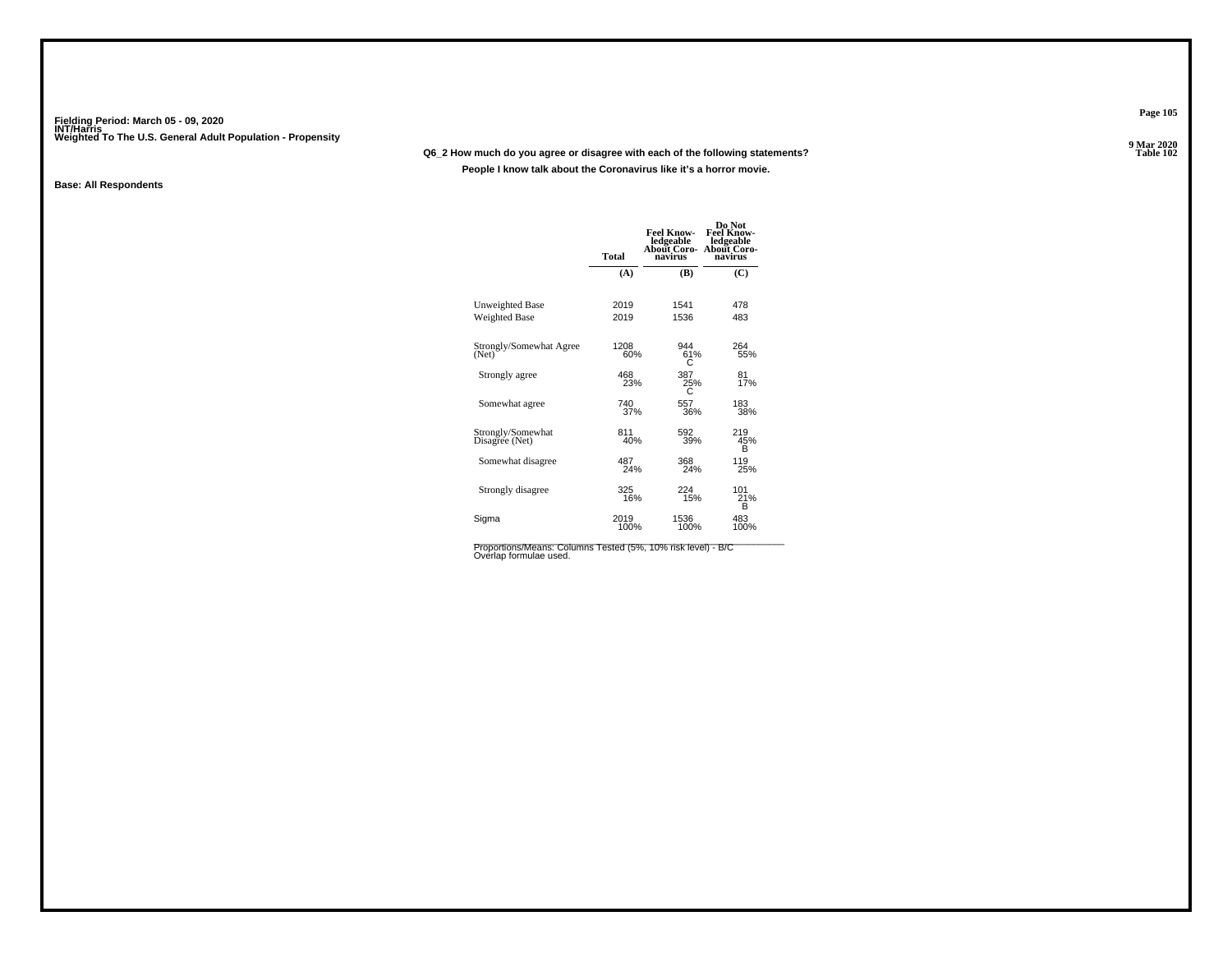### **Q6\_2 How much do you agree or disagree with each of the following statements?**

**People I know talk about the Coronavirus like it's a horror movie.**

### **Base: All Respondents**

|                                     | <b>Total</b> | Feel Know-<br>ledgeable<br>About Coro-<br>navirus | Do Not<br><b>Feel Know-</b><br>ledgeable<br><b>About Coro-</b><br>navirus |
|-------------------------------------|--------------|---------------------------------------------------|---------------------------------------------------------------------------|
|                                     | (A)          | (B)                                               | (C)                                                                       |
| Unweighted Base                     | 2019         | 1541                                              | 478                                                                       |
| <b>Weighted Base</b>                | 2019         | 1536                                              | 483                                                                       |
| Strongly/Somewhat Agree<br>(Net)    | 1208<br>60%  | 944<br>61%<br>С                                   | 264<br>55%                                                                |
| Strongly agree                      | 468<br>23%   | 387<br>25%                                        | 81<br>17%                                                                 |
| Somewhat agree                      | 740<br>37%   | 557<br>36%                                        | 183<br>38%                                                                |
| Strongly/Somewhat<br>Disagree (Net) | 811<br>40%   | 592<br>39%                                        | 219<br>45%<br>в                                                           |
| Somewhat disagree                   | 487<br>24%   | 368<br>24%                                        | 119<br>25%                                                                |
| Strongly disagree                   | 325<br>16%   | 224<br>15%                                        | 101<br>21%<br>B                                                           |
| Sigma                               | 2019<br>100% | 1536<br>100%                                      | 483<br>100%                                                               |

Proportions/Means: Columns Tested (5%, 10% risk level) - B/C<br>Overlap formulae used.

**Page 105**

**9 Mar 2020<br>Table 102 Properties and the contract of the Contract of Table 102**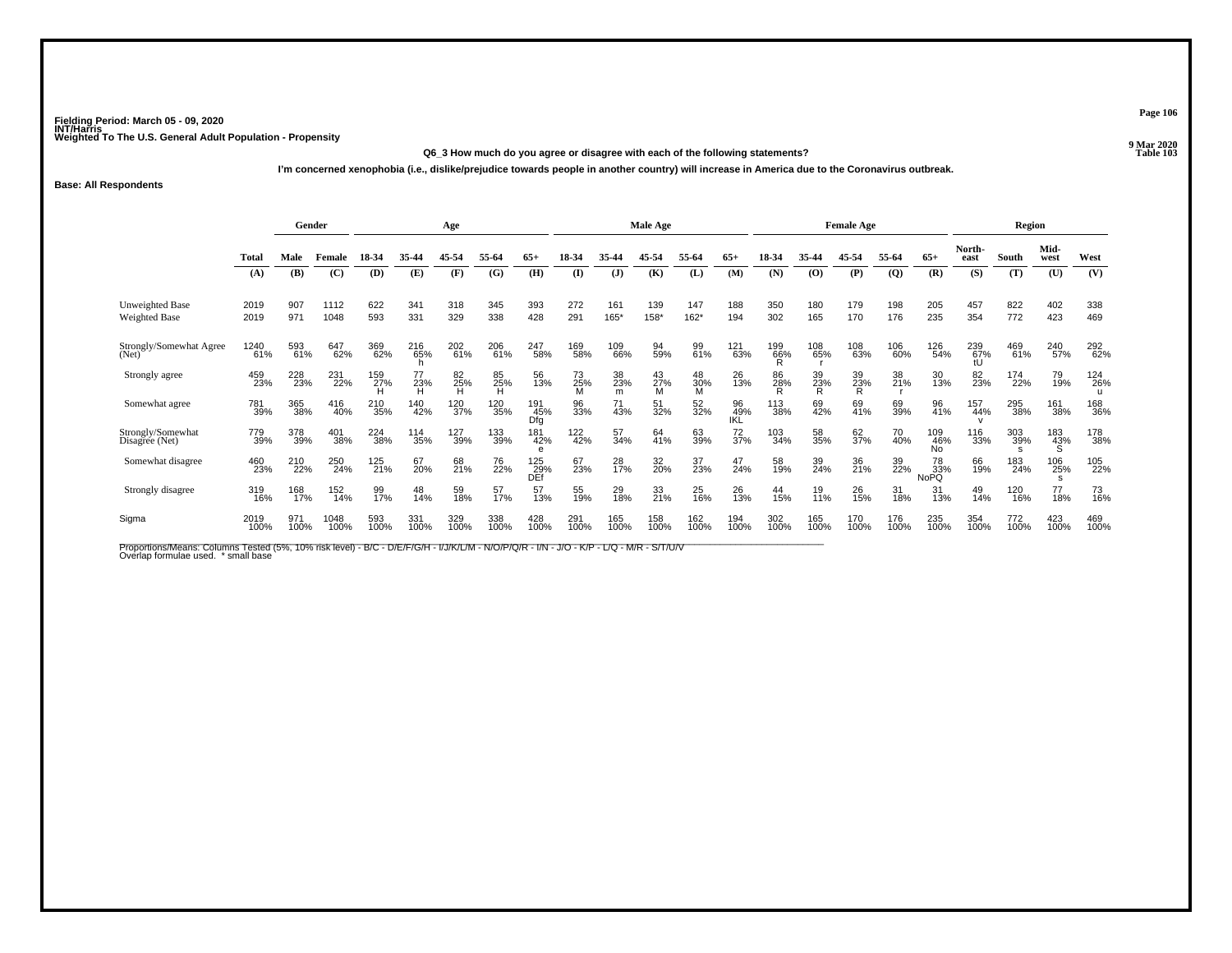#### **Q6\_3 How much do you agree or disagree with each of the following statements?Table 103**

**I'm concerned xenophobia (i.e., dislike/prejudice towards people in another country) will increase in America due to the Coronavirus outbreak.**

### **Base: All Respondents**

|                                                |              | Gender      |              |                               |             | Age            |             | Male Age<br><b>Female Age</b> |                  |                |                |                | Region           |             |                |                  |                |                         |                  |             |                 |                            |
|------------------------------------------------|--------------|-------------|--------------|-------------------------------|-------------|----------------|-------------|-------------------------------|------------------|----------------|----------------|----------------|------------------|-------------|----------------|------------------|----------------|-------------------------|------------------|-------------|-----------------|----------------------------|
|                                                | <b>Total</b> | Male        | Female       | 18-34                         | 35-44       | 45-54          | 55-64       | $65+$                         | 18-34            | 35-44          | 45-54          | 55-64          | $65+$            | 18-34       | 35-44          | 45-54            | 55-64          | $65+$                   | North-<br>east   | South       | Mid-<br>west    | West                       |
|                                                | (A)          | (B)         | (C)          | (D)                           | (E)         | (F)            | (G)         | (H)                           | $\mathbf{I}$     | ( <b>J</b> )   | (K)            | (L)            | (M)              | (N)         | (0)            | (P)              | $\overline{Q}$ | (R)                     | (S)              | (T)         | (U)             | (V)                        |
| <b>Unweighted Base</b><br><b>Weighted Base</b> | 2019<br>2019 | 907<br>971  | 1112<br>1048 | 622<br>593                    | 341<br>331  | 318<br>329     | 345<br>338  | 393<br>428                    | 272<br>291       | 161<br>165*    | 139<br>158*    | 147<br>$162*$  | 188<br>194       | 350<br>302  | 180<br>165     | 179<br>170       | 198<br>176     | 205<br>235              | 457<br>354       | 822<br>772  | 402<br>423      | 338<br>469                 |
| Strongly/Somewhat Agree<br>(Net)               | 1240<br>61%  | 593<br>61%  | 647<br>62%   | 369<br>62%                    | 216<br>65%  | 202<br>61%     | 206<br>61%  | 247<br>58%                    | 169<br>58%       | 109<br>66%     | 94<br>59%      | 99<br>61%      | 121<br>63%       | 199<br>66%  | 108<br>65%     | 108<br>63%       | 106<br>60%     | 126<br>54%              | 239<br>67%<br>tU | 469<br>61%  | 240<br>57%      | 292<br>62%                 |
| Strongly agree                                 | 459<br>23%   | 228<br>23%  | 231<br>22%   | 159<br>27%                    | 23%<br>H    | 82<br>25%<br>H | 85<br>25%   | 56<br>13%                     | 73<br>25%        | 38<br>23%<br>m | 43<br>27%<br>M | 48<br>30%<br>M | 26<br>13%        | 86<br>28%   | 39<br>23%<br>R | 39<br>23%<br>R   | 38<br>21%      | 30<br>13%               | 82<br>23%        | 174<br>22%  | 79<br>19%       | 124<br>26%<br>$\mathbf{u}$ |
| Somewhat agree                                 | 781<br>39%   | 365<br>38%  | 416<br>40%   | 210<br>35%                    | 140<br>42%  | 120<br>37%     | 120<br>35%  | 191<br>45%<br>Dfg             | 96<br>33%        | 71<br>43%      | 51<br>32%      | 52<br>32%      | 96<br>49%<br>IKL | 113<br>38%  | 69<br>42%      | 69<br>41%        | 69<br>39%      | 96<br>41%               | 157<br>44%       | 295<br>38%  | 161<br>38%      | 168<br>36%                 |
| Strongly/Somewhat<br>Disagree (Net)            | 779<br>39%   | 378<br>39%  | 401<br>38%   | <sup>224</sup> <sub>38%</sub> | 114<br>35%  | 127<br>39%     | 133<br>39%  | 181<br>42%<br>e               | 122 <sub>%</sub> | 57<br>34%      | 64<br>41%      | 63<br>39%      | $\frac{72}{37%}$ | 103<br>34%  | 58<br>35%      | 62 <sub>7%</sub> | 70<br>40%      | 109<br>46%<br><b>No</b> | 116<br>33%       | 303<br>39%  | 183<br>43%<br>Ŝ | 178<br>38%                 |
| Somewhat disagree                              | 460<br>23%   | 210<br>22%  | 250<br>24%   | 125<br>21%                    | 67<br>20%   | 68<br>21%      | 76<br>22%   | 125<br>29%<br>DEf             | 67<br>23%        | 28<br>17%      | 32<br>20%      | 37<br>23%      | 47<br>24%        | 58<br>19%   | 39<br>24%      | 36<br>21%        | 39<br>22%      | 78<br>33%<br>NoPQ       | 66<br>19%        | 183<br>24%  | 106<br>25%      | 105<br>22%                 |
| Strongly disagree                              | 319<br>16%   | 168<br>17%  | 152<br>14%   | 99<br>17%                     | 48<br>14%   | 59<br>18%      | 57<br>17%   | 57<br>13%                     | 55<br>19%        | 29<br>18%      | 33<br>21%      | 25<br>16%      | 26<br>13%        | 44<br>15%   | 19<br>11%      | 26<br>15%        | 31<br>18%      | 31<br>13%               | 49<br>14%        | 120<br>16%  | 77<br>18%       | 73<br>16%                  |
| Sigma                                          | 2019<br>100% | 971<br>100% | 1048<br>100% | 593<br>100%                   | 331<br>100% | 329<br>100%    | 338<br>100% | 428<br>100%                   | 291<br>100%      | 165<br>100%    | 158<br>100%    | 162<br>100%    | 194<br>100%      | 302<br>100% | 165<br>100%    | 170<br>100%      | 176<br>100%    | 235<br>100%             | 354<br>100%      | 772<br>100% | 423<br>100%     | 469<br>100%                |

Proportions/Means: Columns Tested (5%, 10% risk level) - B/C - D/E/F/G/H - I/J/K/L/M - N/O/P/Q/R - I/N - J/O - K/P - L/Q - M/R - S/T/U/V<br>Overlap formulae used. \*small base

**Page 106**

**9 Mar 2020<br>Table 103**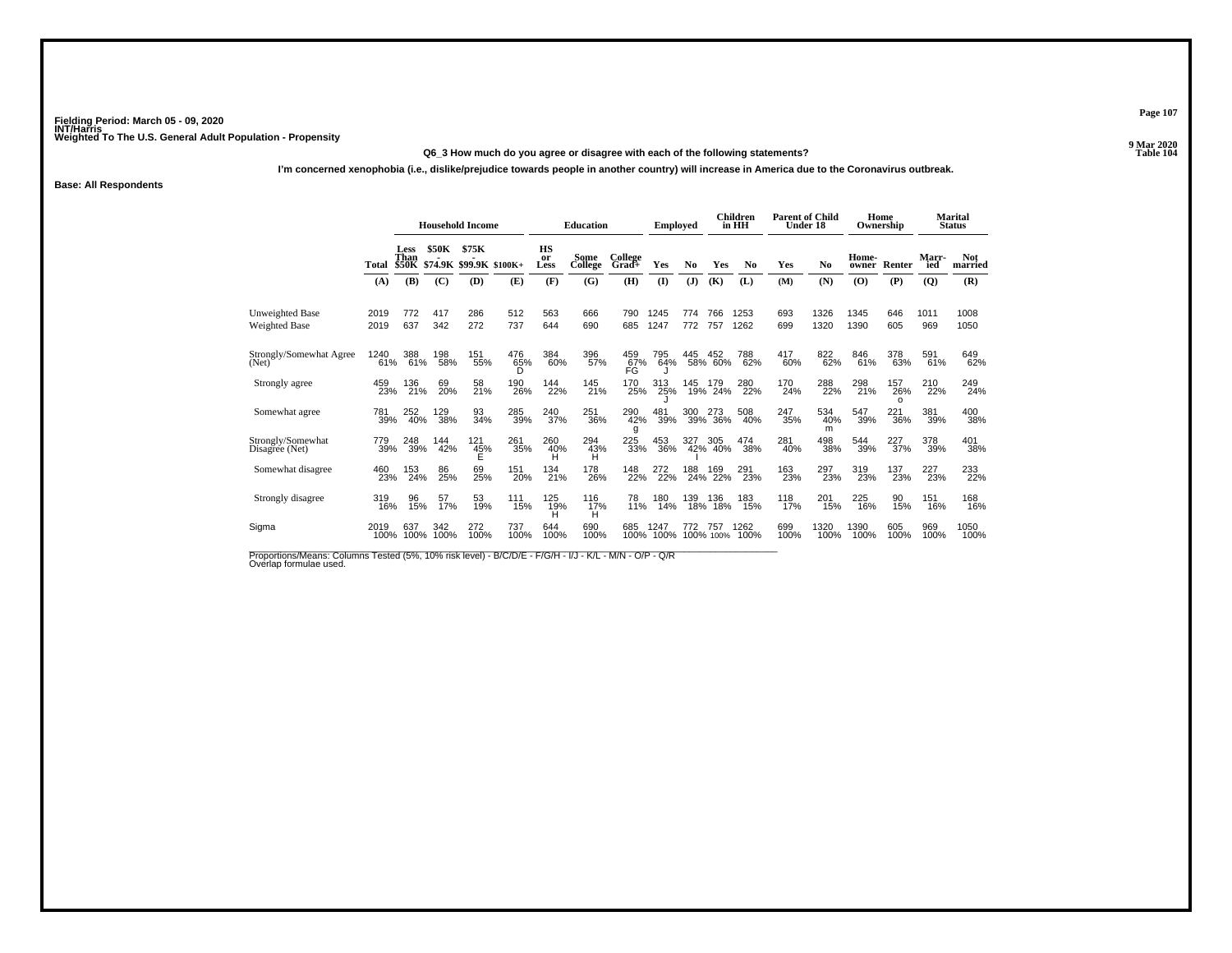### **Q6\_3 How much do you agree or disagree with each of the following statements?**

**I'm concerned xenophobia (i.e., dislike/prejudice towards people in another country) will increase in America due to the Coronavirus outbreak.**

**Base: All Respondents**

|                                     |              | <b>Household Income</b>      |              |                          | <b>Education</b> |                         | <b>Employed</b> |                  |              | Children<br>in HH | <b>Parent of Child</b> | Under 18       |             | Home<br>Ownership |                | Marital<br><b>Status</b> |              |                       |
|-------------------------------------|--------------|------------------------------|--------------|--------------------------|------------------|-------------------------|-----------------|------------------|--------------|-------------------|------------------------|----------------|-------------|-------------------|----------------|--------------------------|--------------|-----------------------|
|                                     | Total        | Less<br>Than<br><b>\$50K</b> | <b>\$50K</b> | \$75K<br>\$74.9K \$99.9K | $$100K+$         | <b>HS</b><br>or<br>Less | Some<br>College | College<br>Grad+ | Yes          | No                | Yes                    | N <sub>0</sub> | Yes         | N <sub>0</sub>    | Home-<br>owner | Renter                   | Marr-<br>ied | <b>Not</b><br>married |
|                                     | (A)          | (B)                          | (C)          | (D)                      | (E)              | (F)                     | (G)             | (H)              | $\mathbf{I}$ | (J)               | (K)                    | (L)            | (M)         | (N)               | (O)            | (P)                      | (Q)          | (R)                   |
| Unweighted Base<br>Weighted Base    | 2019<br>2019 | 772<br>637                   | 417<br>342   | 286<br>272               | 512<br>737       | 563<br>644              | 666<br>690      | 790<br>685       | 1245<br>1247 | 774<br>772        | 766<br>757             | 1253<br>1262   | 693<br>699  | 1326<br>1320      | 1345<br>1390   | 646<br>605               | 1011<br>969  | 1008<br>1050          |
| Strongly/Somewhat Agree<br>(Net)    | 1240<br>61%  | 388<br>61%                   | 198<br>58%   | 151<br>55%               | 476<br>65%<br>D  | 384<br>60%              | 396<br>57%      | 459<br>67%<br>FG | 795<br>64%   | 445               | 452<br>58% 60%         | 788<br>62%     | 417<br>60%  | 822<br>62%        | 846<br>61%     | 378<br>63%               | 591<br>61%   | 649<br>62%            |
| Strongly agree                      | 459<br>23%   | 136<br>21%                   | 69<br>20%    | 58<br>21%                | 190<br>26%       | 144<br>22%              | 145<br>21%      | 170<br>25%       | 313<br>25%   | 145               | 179<br>19% 24%         | 280<br>22%     | 170<br>24%  | 288<br>22%        | 298<br>21%     | 157<br>26%<br>$\Omega$   | 210<br>22%   | 249<br>24%            |
| Somewhat agree                      | 781<br>39%   | 252<br>40%                   | 129<br>38%   | 93<br>34%                | 285<br>39%       | 240<br>37%              | 251<br>36%      | 290<br>42%<br>g  | 481<br>39%   | 300<br>39%        | 273<br>36%             | 508<br>40%     | 247<br>35%  | 534<br>40%<br>m   | 547<br>39%     | 221<br>36%               | 381<br>39%   | 400<br>38%            |
| Strongly/Somewhat<br>Disagree (Net) | 779<br>39%   | 248<br>39%                   | 144<br>42%   | 121<br>45%               | 261<br>35%       | 260<br>40%<br>н         | 294<br>43%<br>н | 225<br>33%       | 453<br>36%   | 327<br>42%        | 305<br>40%             | 474<br>38%     | 281<br>40%  | 498<br>38%        | 544<br>39%     | 227<br>37%               | 378<br>39%   | 401<br>38%            |
| Somewhat disagree                   | 460<br>23%   | 153<br>24%                   | 86<br>25%    | 69<br>25%                | 151<br>20%       | 134<br>21%              | 178<br>26%      | 148<br>22%       | 272<br>22%   | 188<br>24%        | 169<br>22%             | 291<br>23%     | 163<br>23%  | 297<br>23%        | 319<br>23%     | 137<br>23%               | 227<br>23%   | 233<br>22%            |
| Strongly disagree                   | 319<br>16%   | 96<br>15%                    | 57<br>17%    | 53<br>19%                | 111<br>15%       | 125<br>19%              | 116<br>17%      | 78<br>11%        | 180<br>14%   | 139<br>18%        | 136<br>18%             | 183<br>15%     | 118<br>17%  | 201<br>15%        | 225<br>16%     | 90<br>15%                | 151<br>16%   | 168<br>16%            |
| Sigma                               | 2019<br>100% | 637<br>100%                  | 342<br>100%  | 272<br>100%              | 737<br>100%      | 644<br>100%             | 690<br>100%     | 685<br>100%      | 1247<br>100% | 772               | 757<br>100% 100%       | 1262<br>100%   | 699<br>100% | 1320<br>100%      | 1390<br>100%   | 605<br>100%              | 969<br>100%  | 1050<br>100%          |
|                                     |              |                              |              |                          |                  |                         | н               |                  |              |                   |                        |                |             |                   |                |                          |              |                       |

Proportions/Means: Columns Tested (5%, 10% risk level) - B/C/D/E - F/G/H - I/J - K/L - M/N - O/P - Q/R<br>Overlap formulae used.

**Page 107**

**9 Mar 2020<br>Table 104 Properties and the Contract of the Contract of Table 104**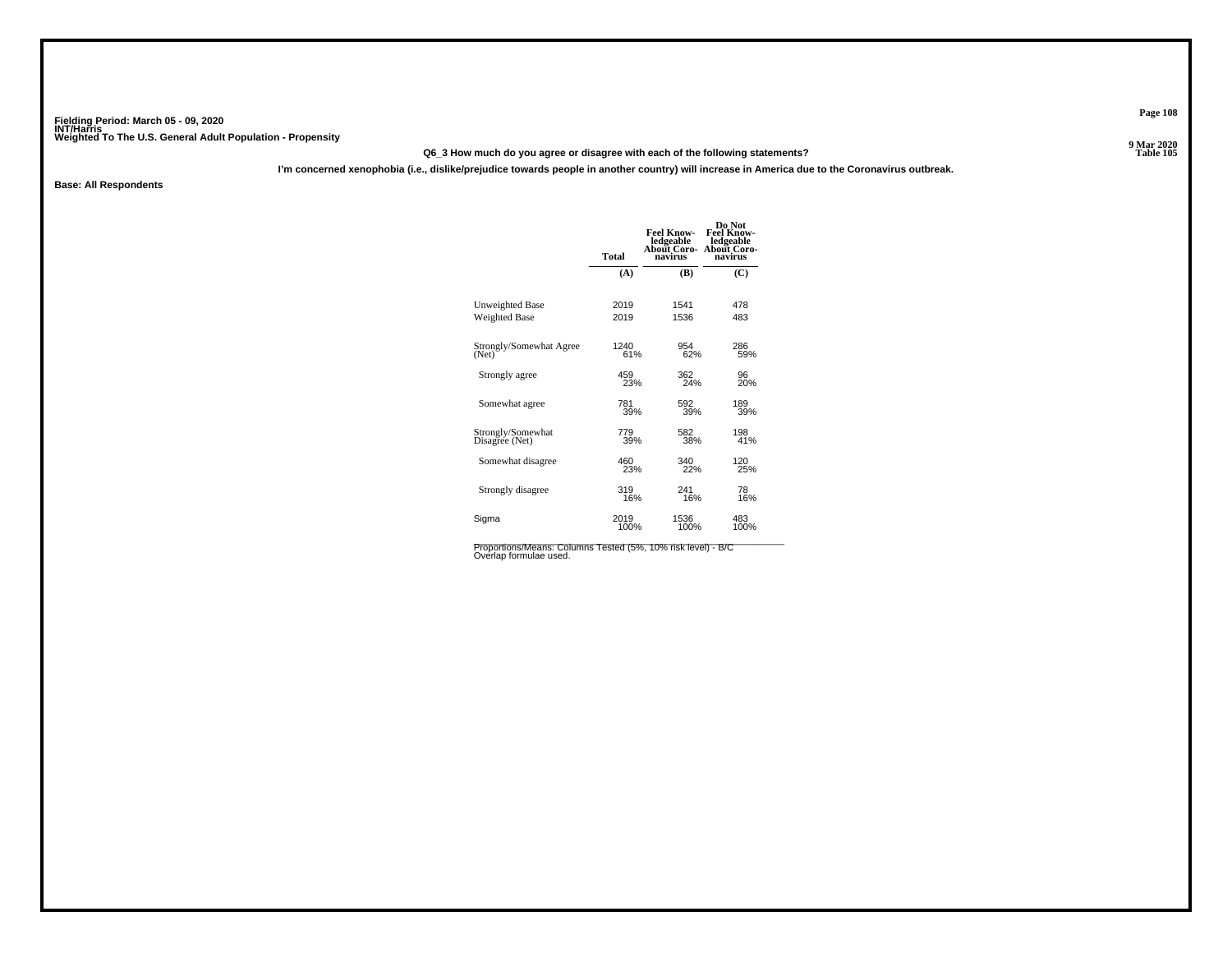### **Q6\_3 How much do you agree or disagree with each of the following statements?**

**I'm concerned xenophobia (i.e., dislike/prejudice towards people in another country) will increase in America due to the Coronavirus outbreak.**

**Base: All Respondents**

| <b>Total</b> | <b>Feel Know-</b><br>ledgeable<br><b>About Coro-</b><br>navirus | Do Not<br><b>Feel Know-</b><br>ledgeable<br>About Coro-<br>navirus |
|--------------|-----------------------------------------------------------------|--------------------------------------------------------------------|
| (A)          | (B)                                                             | (C)                                                                |
| 2019         | 1541                                                            | 478                                                                |
| 2019         | 1536                                                            | 483                                                                |
| 1240         | 954                                                             | 286                                                                |
| 61%          | 62%                                                             | 59%                                                                |
| 459          | 362                                                             | 96                                                                 |
| 23%          | 24%                                                             | 20%                                                                |
| 781          | 592                                                             | 189                                                                |
| 39%          | 39%                                                             | 39%                                                                |
| 779<br>39%   | 582<br>38%                                                      | 198<br>41%                                                         |
| 460          | 340                                                             | 120                                                                |
| 23%          | 22%                                                             | 25%                                                                |
| 319          | 241                                                             | 78                                                                 |
| 16%          | 16%                                                             | 16%                                                                |
| 2019         | 1536                                                            | 483                                                                |
| 100%         | 100%                                                            | 100%                                                               |
|              |                                                                 |                                                                    |

Proportions/Means: Columns Tested (5%, 10% risk level) - B/C<br>Overlap formulae used.

**Page 108**

9 Mar 2020<br>Table 105 **Properties and the contract of the Contract of Table 105**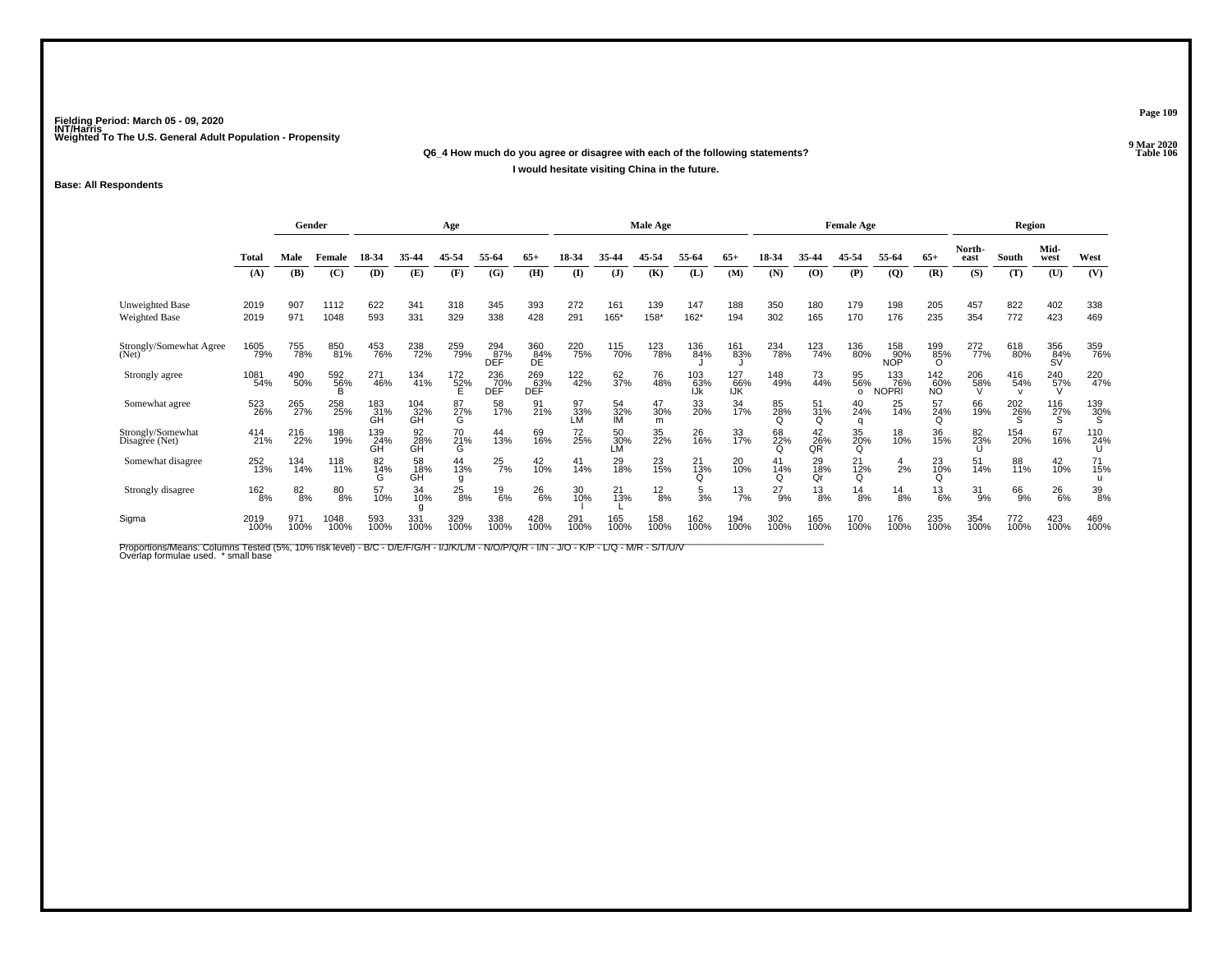#### **Q6\_4 How much do you agree or disagree with each of the following statements?Properties and the Contract of the Contract of Table 106 I would hesitate visiting China in the future.**

#### **Base: All Respondents**

|                                     |              | Gender          |                      |                  |                        | Age                  |                         |                    |                 |                        | Male Age        |                   |                     | <b>Female Age</b>  |                 |                       |                          |                        | Region         |             |                  |                 |
|-------------------------------------|--------------|-----------------|----------------------|------------------|------------------------|----------------------|-------------------------|--------------------|-----------------|------------------------|-----------------|-------------------|---------------------|--------------------|-----------------|-----------------------|--------------------------|------------------------|----------------|-------------|------------------|-----------------|
|                                     | <b>Total</b> | Male            | Female               | 18-34            | 35.44                  | 45-54                | 55-64                   | $65+$              | 18-34           | 35.44                  | 45-54           | 55-64             | $65+$               | 18-34              | 35-44           | 45-54                 | 55-64                    | $65+$                  | North-<br>east | South       | Mid-<br>west     | West            |
|                                     | (A)          | (B)             | (C)                  | (D)              | (E)                    | (F)                  | (G)                     | (H)                | $\mathbf{I}$    | $\mathbf{J}$           | (K)             | (L)               | (M)                 | (N)                | (0)             | (P)                   | $\overline{Q}$           | (R)                    | (S)            | (T)         | (U)              | (V)             |
| Unweighted Base<br>Weighted Base    | 2019<br>2019 | 907<br>971      | 1112<br>1048         | 622<br>593       | 341<br>331             | 318<br>329           | 345<br>338              | 393<br>428         | 272<br>291      | 161<br>165'            | 139<br>158*     | 147<br>$162*$     | 188<br>194          | 350<br>302         | 180<br>165      | 179<br>170            | 198<br>176               | 205<br>235             | 457<br>354     | 822<br>772  | 402<br>423       | 338<br>469      |
| Strongly/Somewhat Agree<br>(Net)    | 1605<br>79%  | 755<br>78%      | 850<br>81%           | 453<br>76%       | 238<br>72%             | 259<br>79%           | 294<br>87%<br>DEF       | 360<br>84%<br>DE.  | 220<br>75%      | 115<br>70%             | 123<br>78%      | 136<br>84%        | 161<br>83%          | <sup>234</sup> 78% | 123<br>74%      | 136<br>80%            | 158<br>90%<br><b>NOP</b> | 199<br>85%<br>$\Omega$ | 272<br>77%     | 618<br>80%  | 356<br>84%<br>SV | 359<br>76%      |
| Strongly agree                      | 1081<br>54%  | 490<br>50%      | 592<br>56%           | 271<br>46%       | 134<br>41%             | $^{172}_{52\%}$      | 236<br>DEF <sup>%</sup> | 269<br>063%<br>DEF | 122<br>42%      | 62<br>37%              | 76<br>48%       | 103<br>63%<br>IJk | 127<br>. 66%<br>IJK | 148<br>49%         | 73<br>44%       | 95<br>56%<br>$\Omega$ | 133<br>76%<br>NOPRI      | $\frac{142}{60\%}$     | 206<br>$-58%$  | 416<br>54%  | $^{240}_{57\%}$  | 220<br>47%      |
| Somewhat agree                      | 523<br>26%   | 265<br>27%      | 258<br>25%           | 183<br>31%<br>GH | 104<br>32%<br>GΗ       | 87 <sub>%</sub><br>G | 58<br>17%               | 91 <sub>%</sub>    | 97<br>33%<br>ĹМ | 54<br>32%<br><b>IM</b> | 47<br>30%<br>m  | 33<br>20%         | 34<br>17%           | 85<br>28%<br>Q     | 51<br>31%<br>Q  | 40<br>24%<br>q        | 25<br>14%                | 57<br>24%<br>Q         | 66<br>19%      | 202<br>26%  | 116<br>27%<br>S  | $^{139}_{30\%}$ |
| Strongly/Somewhat<br>Disagree (Net) | 414<br>21%   | 216<br>22%      | 198<br>19%           | 139<br>24%<br>GH | 92 <sub>8%</sub><br>GĤ | 70<br>21%<br>G       | 44<br>13%               | 69<br>16%          | 72<br>25%       | 50 <sub>%</sub><br>LM  | 35<br>22%       | 26<br>16%         | 33<br>17%           | 68<br>22%          | 42<br>26%<br>QR | 35<br>20%<br>Q        | 18<br>10%                | 36<br>15%              | 82<br>23%      | 154<br>20%  | 67<br>16%        | 110<br>24%<br>U |
| Somewhat disagree                   | 252<br>13%   | 134<br>14%      | 118<br>11%           | 82<br>14%        | 58<br>18%<br>GH        | 44<br>13%<br>g       | $^{25}_{7\%}$           | 42<br>10%          | 41<br>14%       | 29<br>18%              | 23<br>15%       | $^{21}_{13\%}$    | 20<br>10%           | 41<br>14%          | 29<br>18%<br>Qr | $^{21}_{12\%}$        | $\frac{4}{2%}$           | 23<br>10%              | 51<br>14%      | 88<br>11%   | 42<br>10%        | 71<br>15%       |
| Strongly disagree                   | 162<br>8%    | $\frac{82}{8%}$ | $\substack{80\\8\%}$ | 57<br>10%        | 34<br>10%              | $^{25}_{8\%}$        | $^{19}_{6\%}$           | 26<br>6%           | 30<br>10%       | 21<br>13%              | $\frac{12}{8%}$ | $\frac{5}{3%}$    | $^{13}_{7\%}$       | $^{27}_{9\%}$      | $\frac{13}{8%}$ | $^{14}_{8\%}$         | $^{14}_{8\%}$            | $^{13}_{6\%}$          | 31<br>9%       | 66<br>9%    | $^{26}_{6\%}$    | 39<br>8%        |
| Sigma                               | 2019<br>100% | 971<br>100%     | 1048<br>100%         | 593<br>100%      | 331<br>100%            | 329<br>100%          | 338<br>100%             | 428<br>100%        | 291<br>100%     | 165<br>100%            | 158<br>100%     | 162<br>100%       | 194<br>100%         | 302<br>100%        | 165<br>100%     | 170<br>100%           | 176<br>100%              | 235<br>100%            | 354<br>100%    | 772<br>100% | 423<br>100%      | 469<br>100%     |

Proportions/Means: Columns Tested (5%, 10% risk level) - B/C - D/E/F/G/H - I/J/K/L/M - N/O/P/Q/R - I/N - J/O - K/P - L/Q - M/R - S/T/U/V<br>Overlap formulae used. \*small base

**Page 109**

**9 Mar 2020<br>Table 106**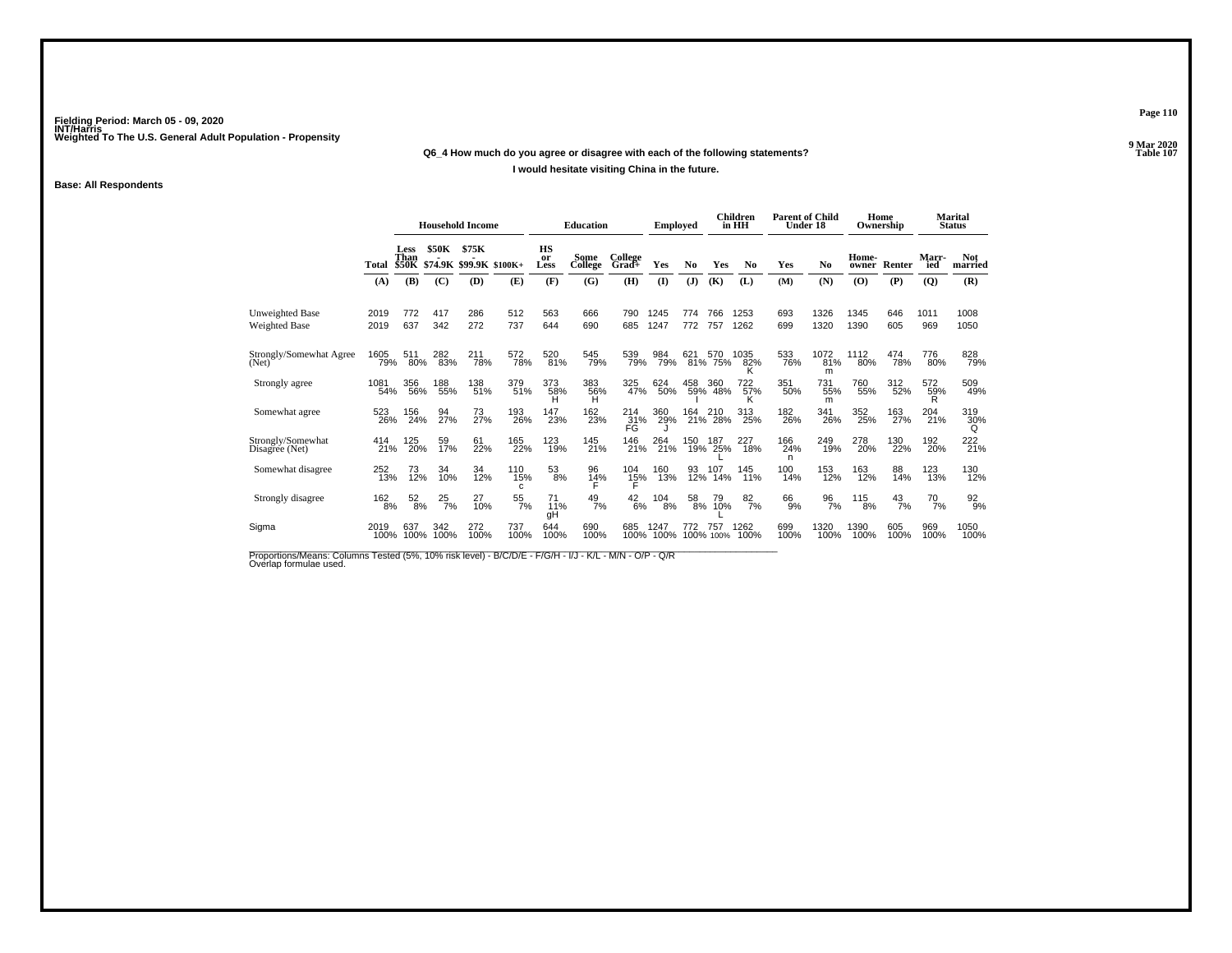#### **Q6\_4 How much do you agree or disagree with each of the following statements?**

#### **I would hesitate visiting China in the future.**

#### **Base: All Respondents**

|                                     |              | <b>Household Income</b>      |               |                                  | <b>Education</b> |                  | Emploved        |                  |              | Children<br>in HH | <b>Parent of Child</b><br>Under 18 |                  |                 | Home<br>Ownership |                | <b>Marital</b><br><b>Status</b> |               |                         |
|-------------------------------------|--------------|------------------------------|---------------|----------------------------------|------------------|------------------|-----------------|------------------|--------------|-------------------|------------------------------------|------------------|-----------------|-------------------|----------------|---------------------------------|---------------|-------------------------|
|                                     | Total        | Less<br>Than<br><b>\$50K</b> | \$50K         | \$75K<br>\$74.9K \$99.9K \$100K+ |                  | HS<br>or<br>Less | Some<br>College | College<br>Grad+ | Yes          | No                | Yes                                | N <sub>0</sub>   | Yes             | N <sub>0</sub>    | Home-<br>owner | Renter                          | Marr-<br>ied  | <b>Not</b><br>married   |
|                                     | (A)          | (B)                          | (C)           | <b>(D)</b>                       | (E)              | (F)              | (G)             | (H)              | $\mathbf{I}$ | (J)               | (K)                                | (L)              | (M)             | (N)               | (O)            | (P)                             | (Q)           | (R)                     |
| Unweighted Base<br>Weighted Base    | 2019<br>2019 | 772<br>637                   | 417<br>342    | 286<br>272                       | 512<br>737       | 563<br>644       | 666<br>690      | 790<br>685       | 1245<br>1247 | 774<br>772        | 766<br>757                         | 1253<br>1262     | 693<br>699      | 1326<br>1320      | 1345<br>1390   | 646<br>605                      | 1011<br>969   | 1008<br>1050            |
| Strongly/Somewhat Agree<br>(Net)    | 1605<br>79%  | 511<br>80%                   | 282<br>83%    | 211<br>78%                       | 572<br>78%       | 520<br>81%       | 545<br>79%      | 539<br>79%       | 984<br>79%   | 621<br>81%        | 570<br>75%                         | 1035<br>82%<br>ĸ | 533<br>76%      | 1072<br>81%<br>m  | 1112<br>80%    | 474<br>78%                      | 776<br>80%    | 828<br>79%              |
| Strongly agree                      | 1081<br>54%  | 356<br>56%                   | 188<br>55%    | 138<br>51%                       | 379<br>51%       | 373<br>58%       | 383<br>56%<br>н | 325<br>47%       | 624<br>50%   | 458               | 360<br>59% 48%                     | 722<br>57%<br>κ  | 351<br>50%      | 731<br>55%<br>m   | 760<br>55%     | 312<br>52%                      | 572<br>59%    | 509<br>49%              |
| Somewhat agree                      | 523<br>26%   | 156<br>24%                   | 94<br>27%     | 73<br>27%                        | 193<br>26%       | 147<br>23%       | 162<br>23%      | 214<br>31%<br>FG | 360<br>29%   | 164<br>21%        | 210<br>28%                         | 313<br>25%       | 182<br>26%      | 341<br>26%        | 352<br>25%     | 163<br>27%                      | 204<br>21%    | 319<br>$\frac{30\%}{9}$ |
| Strongly/Somewhat<br>Disagree (Net) | 414<br>21%   | 125<br>20%                   | 59<br>17%     | 61<br>22%                        | 165<br>22%       | 123<br>19%       | 145<br>21%      | 146<br>21%       | 264<br>21%   | 150<br>19%        | 187<br>25%                         | 227<br>18%       | 166<br>24%<br>n | 249<br>19%        | 278<br>20%     | 130<br>22%                      | 192<br>20%    | 222<br>21%              |
| Somewhat disagree                   | 252<br>13%   | 73<br>12%                    | 34<br>10%     | 34<br>12%                        | 110<br>15%<br>c  | $^{53}_{8\%}$    | 96<br>14%       | $^{104}_{15\%}$  | 160<br>13%   | 93<br>12%         | 107<br>14%                         | 145<br>11%       | 100<br>14%      | 153<br>12%        | 163<br>12%     | 88<br>14%                       | 123<br>13%    | 130<br>12%              |
| Strongly disagree                   | 162<br>8%    | $\frac{52}{8\%}$             | $^{25}_{7\%}$ | 27<br>10%                        | $\frac{55}{7\%}$ | 71<br>11%<br>gН  | $^{49}_{7\%}$   | $^{42}_{6\%}$    | 104<br>8%    | 58<br>8%          | 79<br>10%                          | $\frac{82}{7%}$  | $^{66}_{9\%}$   | $\frac{96}{7%}$   | 115<br>8%      | $^{43}_{7\%}$                   | $^{70}_{7\%}$ | $\frac{92}{9\%}$        |
| Sigma                               | 2019<br>100% | 637<br>100%                  | 342<br>100%   | 272<br>100%                      | 737<br>100%      | 644<br>100%      | 690<br>100%     | 685<br>100%      | 1247<br>100% | 772               | 757<br>100% 100%                   | 1262<br>100%     | 699<br>100%     | 1320<br>100%      | 1390<br>100%   | 605<br>100%                     | 969<br>100%   | 1050<br>100%            |

Proportions/Means: Columns Tested (5%, 10% risk level) - B/C/D/E - F/G/H - I/J - K/L - M/N - O/P - Q/R<br>Overlap formulae used.

**Page 110**

**9 Mar 2020<br>Table 107 Table 107**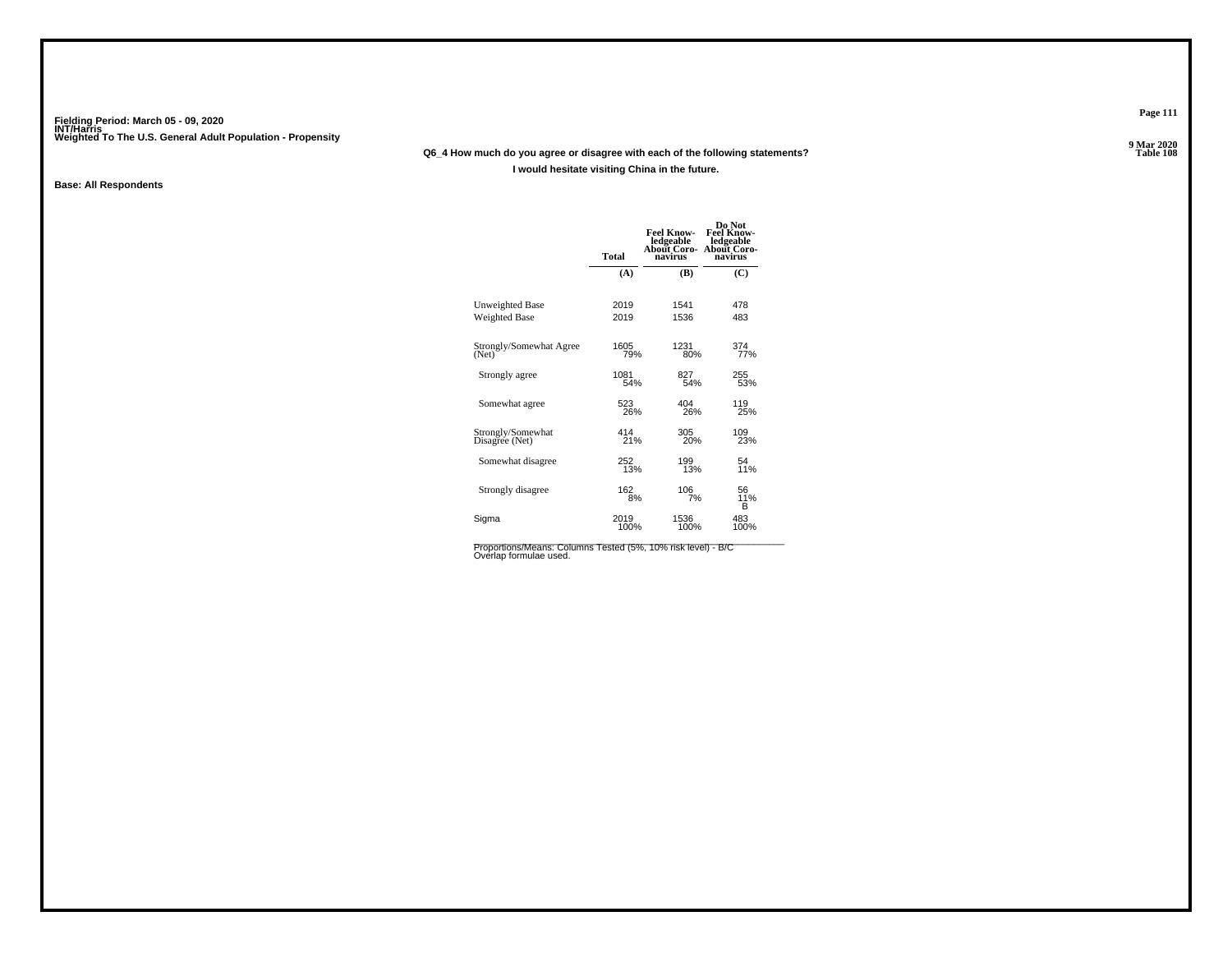#### **Q6\_4 How much do you agree or disagree with each of the following statements?**

#### **I would hesitate visiting China in the future.**

#### **Base: All Respondents**

|                                     | Total       | <b>Feel Know-</b><br>ledgeable<br>About Coro-<br>navirus | Do Not<br><b>Feel Know-</b><br>ledgeable<br>About Coro-<br>navirus |
|-------------------------------------|-------------|----------------------------------------------------------|--------------------------------------------------------------------|
|                                     | (A)         | (B)                                                      | (C)                                                                |
| Unweighted Base                     | 2019        | 1541                                                     | 478                                                                |
| <b>Weighted Base</b>                | 2019        | 1536                                                     | 483                                                                |
| Strongly/Somewhat Agree<br>(Net)    | 1605<br>79% | 1231<br>80%                                              | 374 <sub>%</sub>                                                   |
| Strongly agree                      | 1081        | 827                                                      | 255                                                                |
|                                     | 54%         | 54%                                                      | 53%                                                                |
| Somewhat agree                      | 523         | 404                                                      | 119                                                                |
|                                     | 26%         | 26%                                                      | 25%                                                                |
| Strongly/Somewhat<br>Disagree (Net) | 414<br>21%  | 305<br>20%                                               | 109<br>23%                                                         |
| Somewhat disagree                   | 252         | 199                                                      | 54                                                                 |
|                                     | 13%         | 13%                                                      | 11%                                                                |
| Strongly disagree                   | 162<br>8%   | 106<br>7%                                                | 56<br>11%<br>в                                                     |
| Sigma                               | 2019        | 1536                                                     | 483                                                                |
|                                     | 100%        | 100%                                                     | 100%                                                               |

Proportions/Means: Columns Tested (5%, 10% risk level) - B/C<br>Overlap formulae used.

**Page 111**

**Table 108**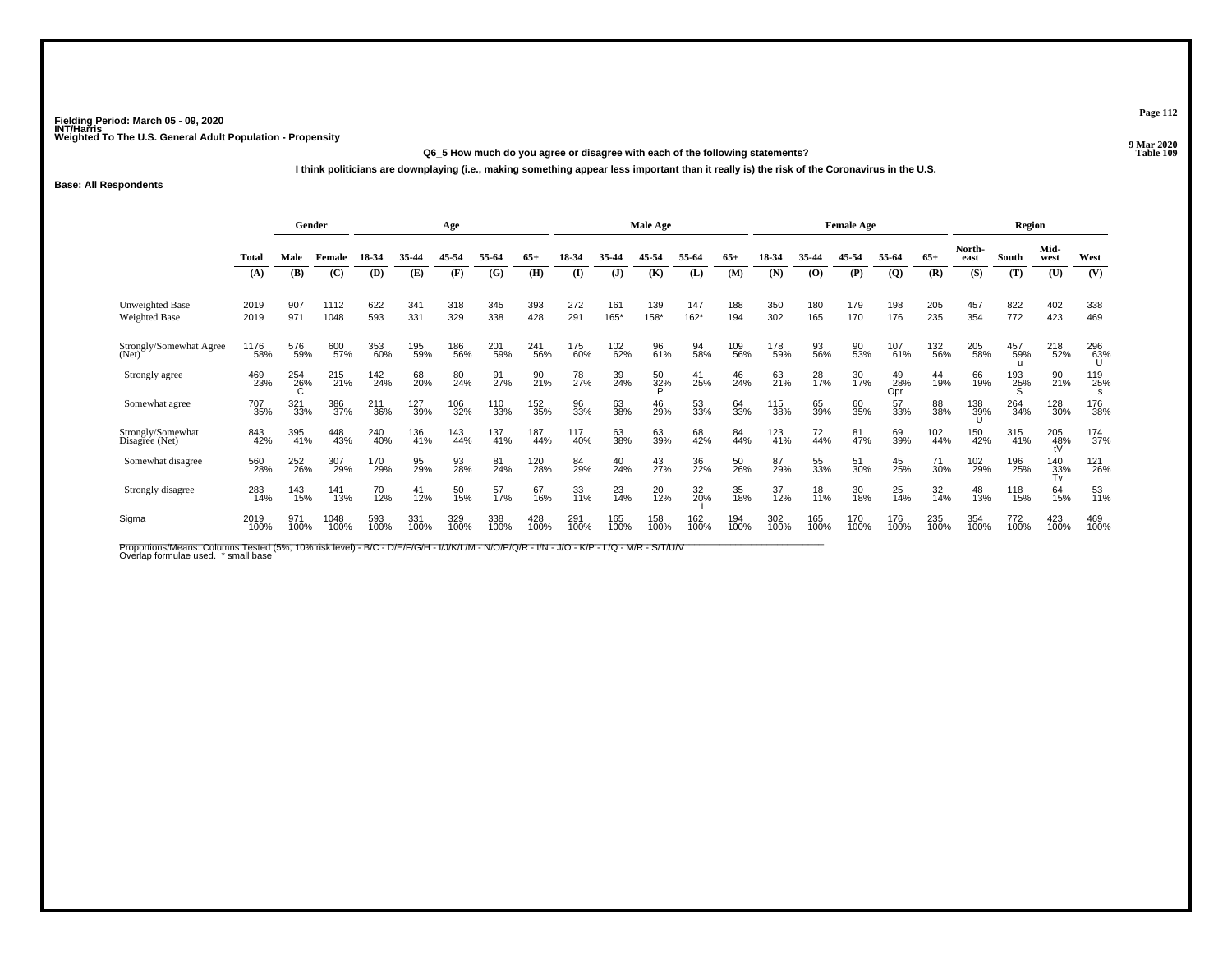#### **Q6\_5 How much do you agree or disagree with each of the following statements?Properties and the contract of the Contract of Table 109**

**I think politicians are downplaying (i.e., making something appear less important than it really is) the risk of the Coronavirus in the U.S.**

#### **Base: All Respondents**

|                                     |              | Gender      |              |             |             | Age         |             |             |             |              | Male Age    |                |             | <b>Female Age</b> |                 |             |                  |             | <b>Region</b>  |             |                       |             |
|-------------------------------------|--------------|-------------|--------------|-------------|-------------|-------------|-------------|-------------|-------------|--------------|-------------|----------------|-------------|-------------------|-----------------|-------------|------------------|-------------|----------------|-------------|-----------------------|-------------|
|                                     | <b>Total</b> | Male        | Female       | 18-34       | 35-44       | 45-54       | 55-64       | $65+$       | 18-34       | 35.44        | 45.54       | 55-64          | $65+$       | 18-34             | 35-44           | 45-54       | 55-64            | $65+$       | North-<br>east | South       | Mid-<br>west          | West        |
|                                     | (A)          | (B)         | (C)          | (D)         | (E)         | (F)         | (G)         | (H)         | $\Omega$    | $\mathbf{J}$ | (K)         | (L)            | (M)         | (N)               | (0)             | (P)         | $\overline{Q}$   | (R)         | (S)            | (T)         | (U)                   | (V)         |
| Unweighted Base<br>Weighted Base    | 2019<br>2019 | 907<br>971  | 1112<br>1048 | 622<br>593  | 341<br>331  | 318<br>329  | 345<br>338  | 393<br>428  | 272<br>291  | 161<br>165*  | 139<br>158* | 147<br>162*    | 188<br>194  | 350<br>302        | 180<br>165      | 179<br>170  | 198<br>176       | 205<br>235  | 457<br>354     | 822<br>772  | 402<br>423            | 338<br>469  |
| Strongly/Somewhat Agree<br>(Net)    | 1176<br>58%  | 576<br>59%  | 600<br>57%   | 353<br>60%  | 195<br>59%  | 186<br>56%  | 201<br>59%  | 241<br>56%  | 175<br>60%  | 102<br>62%   | 96<br>61%   | 94<br>58%      | 109<br>56%  | 178<br>59%        | 93<br>56%       | 90<br>53%   | 107<br>61%       | 132<br>56%  | 205<br>58%     | 457<br>59%  | 218<br>52%            | 296<br>63%  |
| Strongly agree                      | 469<br>23%   | 254<br>26%  | 215<br>21%   | 142<br>24%  | 68<br>20%   | 80<br>24%   | 91<br>27%   | 90<br>21%   | 78<br>27%   | 39<br>24%    | 50<br>32%   | $^{41}_{25\%}$ | 46<br>24%   | 63<br>21%         | 28<br>17%       | 30<br>17%   | 49<br>28%<br>Opr | 44<br>19%   | 66<br>19%      | 193<br>25%  | 90<br>21%             | 119<br>25%  |
| Somewhat agree                      | 707<br>35%   | 321<br>33%  | 386<br>37%   | 211<br>36%  | 127<br>39%  | 106<br>32%  | 110<br>33%  | 152<br>35%  | 96<br>33%   | 63<br>38%    | 46<br>29%   | 53<br>33%      | 64<br>33%   | 115<br>38%        | 65<br>39%       | 60<br>35%   | 57<br>33%        | 88<br>38%   | 138<br>39%     | 264<br>34%  | 128<br>30%            | 176<br>38%  |
| Strongly/Somewhat<br>Disagree (Net) | 843<br>42%   | 395<br>41%  | 448<br>43%   | 240<br>40%  | 136<br>41%  | 143<br>44%  | 137<br>41%  | 187<br>44%  | 117<br>40%  | 63<br>38%    | 63<br>39%   | 68<br>42%      | 84<br>44%   | 123<br>41%        | 72 <sub>%</sub> | 81<br>47%   | 69<br>39%        | 102<br>44%  | 150<br>42%     | 315<br>41%  | 205<br>48%<br>tV      | 174<br>37%  |
| Somewhat disagree                   | 560<br>28%   | 252<br>26%  | 307<br>29%   | 170<br>29%  | 95<br>29%   | 93<br>28%   | 81<br>24%   | 120<br>28%  | 84<br>29%   | 40<br>24%    | 43<br>27%   | 36<br>22%      | 50<br>26%   | 87<br>29%         | 55<br>33%       | 51<br>30%   | 45<br>25%        | 71<br>30%   | 102<br>29%     | 196<br>25%  | $\frac{140}{33\%}$ Tv | 121<br>26%  |
| Strongly disagree                   | 283<br>14%   | 143<br>15%  | 141<br>13%   | 70<br>12%   | 41<br>12%   | 50<br>15%   | 57<br>17%   | 67<br>16%   | 33<br>11%   | 23<br>14%    | 20<br>12%   | 32<br>20%      | 35<br>18%   | 37<br>12%         | 18<br>11%       | 30<br>18%   | $^{25}_{14\%}$   | 32<br>14%   | 48<br>13%      | 118<br>15%  | 64<br>15%             | 53<br>11%   |
| Sigma                               | 2019<br>100% | 971<br>100% | 1048<br>100% | 593<br>100% | 331<br>100% | 329<br>100% | 338<br>100% | 428<br>100% | 291<br>100% | 165<br>100%  | 158<br>100% | 162<br>100%    | 194<br>100% | 302<br>100%       | 165<br>100%     | 170<br>100% | 176<br>100%      | 235<br>100% | 354<br>100%    | 772<br>100% | 423<br>100%           | 469<br>100% |

Proportions/Means: Columns Tested (5%, 10% risk level) - B/C - D/E/F/G/H - I/J/K/L/M - N/O/P/Q/R - I/N - J/O - K/P - L/Q - M/R - S/T/U/V<br>Overlap formulae used. \*small base

**Page 112**

**9 Mar 2020<br>Table 109**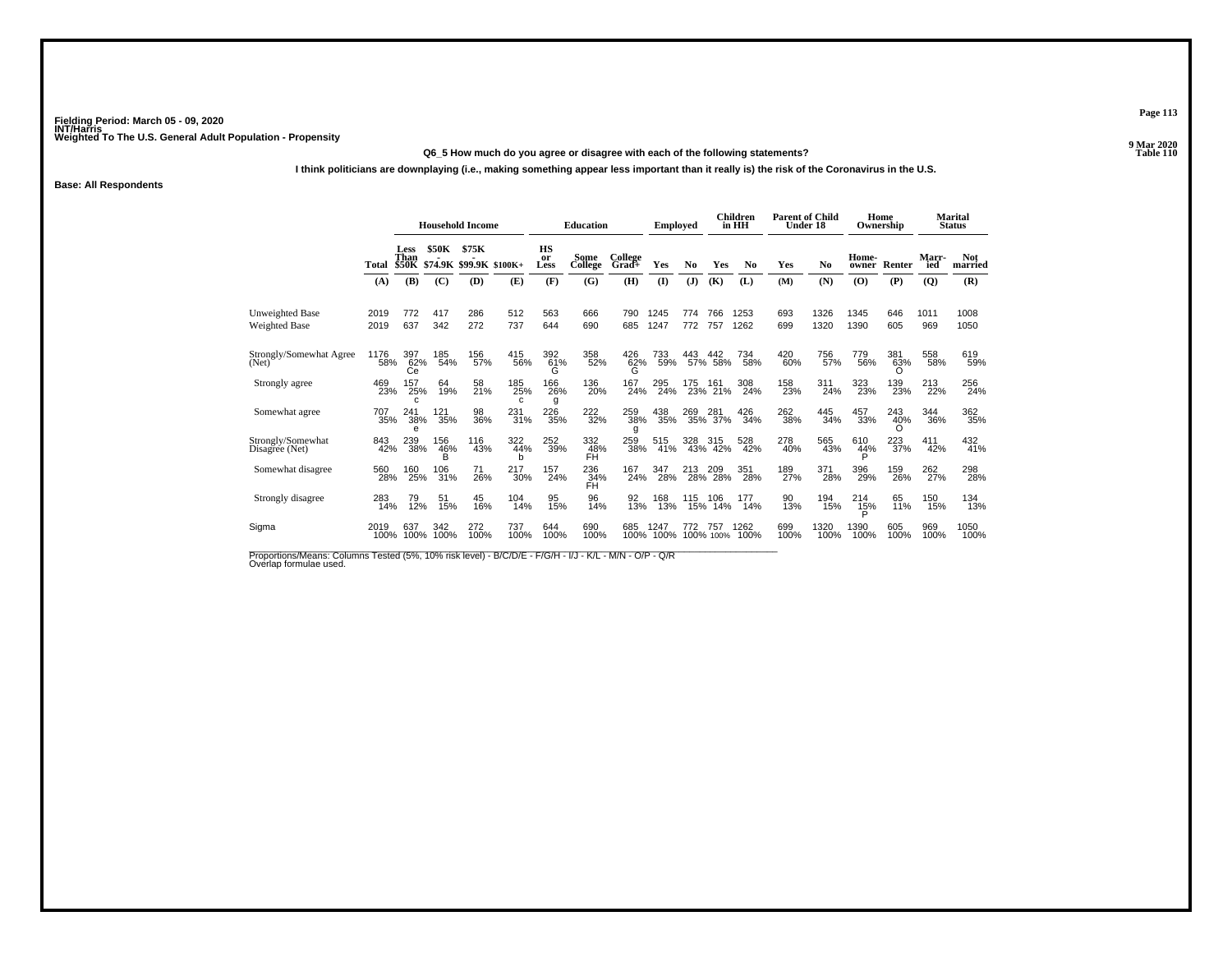#### **Q6\_5 How much do you agree or disagree with each of the following statements?**

**I think politicians are downplaying (i.e., making something appear less important than it really is) the risk of the Coronavirus in the U.S.**

**Base: All Respondents**

|                                                                                                                                  |              | <b>Household Income</b> |              |                                        |                 |                  | <b>Education</b>       |                  | Emploved     |            |                    | <b>Children</b><br>in HH | <b>Parent of Child</b><br>Under 18 |                |                | Home<br>Ownership |                  | <b>Marital</b><br><b>Status</b> |
|----------------------------------------------------------------------------------------------------------------------------------|--------------|-------------------------|--------------|----------------------------------------|-----------------|------------------|------------------------|------------------|--------------|------------|--------------------|--------------------------|------------------------------------|----------------|----------------|-------------------|------------------|---------------------------------|
|                                                                                                                                  | Total        | Less<br>Than            | <b>\$50K</b> | \$75K<br>\$50K \$74.9K \$99.9K \$100K+ |                 | HS<br>or<br>Less | <b>Some</b><br>College | College<br>Grad+ | Yes          | No         | Yes                | No                       | Yes                                | N <sub>0</sub> | Home-<br>owner | Renter            | Marr-<br>ied     | <b>Not</b><br>married           |
|                                                                                                                                  | (A)          | (B)                     | (C)          | (D)                                    | (E)             | (F)              | (G)                    | (H)              | $\mathbf{I}$ | (J)        | (K)                | (L)                      | (M)                                | (N)            | (0)            | (P)               | (Q)              | (R)                             |
| Unweighted Base<br>Weighted Base                                                                                                 | 2019<br>2019 | 772<br>637              | 417<br>342   | 286<br>272                             | 512<br>737      | 563<br>644       | 666<br>690             | 790<br>685       | 1245<br>1247 | 774<br>772 | 766<br>757         | 1253<br>1262             | 693<br>699                         | 1326<br>1320   | 1345<br>1390   | 646<br>605        | 1011<br>969      | 1008<br>1050                    |
| Strongly/Somewhat Agree<br>(Net)                                                                                                 | 1176<br>58%  | 397<br>62%<br>Сe        | 185<br>54%   | 156<br>57%                             | 415<br>56%      | 392<br>61%<br>G  | 358<br>52%             | 426<br>62%<br>G  | 733<br>59%   | 443        | 442<br>57% 58%     | 734<br>58%               | 420<br>60%                         | 756<br>57%     | 779<br>56%     | 381<br>63%        | 558<br>58%       | 619<br>59%                      |
| Strongly agree                                                                                                                   | 469<br>23%   | 157<br>25%              | 64<br>19%    | 58<br>21%                              | 185<br>25%<br>c | 166<br>26%<br>g  | 136<br>20%             | 167<br>24%       | 295<br>24%   | 175<br>23% | $^{161}_{21\%}$    | 308<br>24%               | 158<br>23%                         | 311<br>24%     | 323<br>23%     | 139<br>23%        | 213<br>22%       | 256<br>24%                      |
| Somewhat agree                                                                                                                   | 707<br>35%   | 241<br>38%              | 121<br>35%   | 98<br>36%                              | 231<br>31%      | 226<br>35%       | 222<br>32%             | 259<br>38%<br>g  | 438<br>35%   |            | 269 281<br>35% 37% | 426<br>34%               | 262<br>38%                         | 445<br>34%     | 457<br>33%     | 243<br>40%        | 344<br>36%       | 362<br>35%                      |
| Strongly/Somewhat<br>Disagree (Net)                                                                                              | 843<br>42%   | 239<br>38%              | 156<br>46%   | 116<br>43%                             | 322<br>44%<br>b | 252<br>39%       | 332<br>48%<br>FH       | 259<br>38%       | 515<br>41%   | 328        | 315<br>43% 42%     | 528<br>42%               | 278<br>40%                         | 565<br>43%     | 610<br>44%     | 223<br>37%        | 411<br>42%       | 432<br>41%                      |
| Somewhat disagree                                                                                                                | 560<br>28%   | 160<br>25%              | 106<br>31%   | 71<br>26%                              | 217<br>30%      | 157<br>24%       | 236<br>34%<br>FH       | 167<br>24%       | 347<br>28%   | 213<br>28% | 209<br>28%         | 351<br>28%               | 189<br>27%                         | 371<br>28%     | 396<br>29%     | 159<br>26%        | 262 <sub>%</sub> | 298<br>28%                      |
| Strongly disagree                                                                                                                | 283<br>14%   | 79<br>12%               | 51<br>15%    | 45<br>16%                              | 104<br>14%      | 95<br>15%        | 96<br>14%              | 92<br>13%        | 168<br>13%   | 115<br>15% | 106<br>14%         | 177<br>14%               | 90<br>13%                          | 194<br>15%     | 214<br>15%     | 65<br>11%         | 150<br>15%       | 134<br>13%                      |
| Sigma                                                                                                                            | 2019<br>100% | 637<br>100%             | 342<br>100%  | 272<br>100%                            | 737<br>100%     | 644<br>100%      | 690<br>100%            | 685<br>100%      | 1247<br>100% |            | 757<br>100% 100%   | 1262<br>100%             | 699<br>100%                        | 1320<br>100%   | 1390<br>100%   | 605<br>100%       | 969<br>100%      | 1050<br>100%                    |
| Proportions/Means: Columns Tested (5%, 10% risk level) - B/C/D/E - F/G/H - I/J - K/L - M/N - O/P - Q/R<br>Overlap formulae used. |              |                         |              |                                        |                 |                  |                        |                  |              |            |                    |                          |                                    |                |                |                   |                  |                                 |

**Page 113**

**9 Mar 2020<br>Table 110 Properties and the contract of the Contract of Table 110**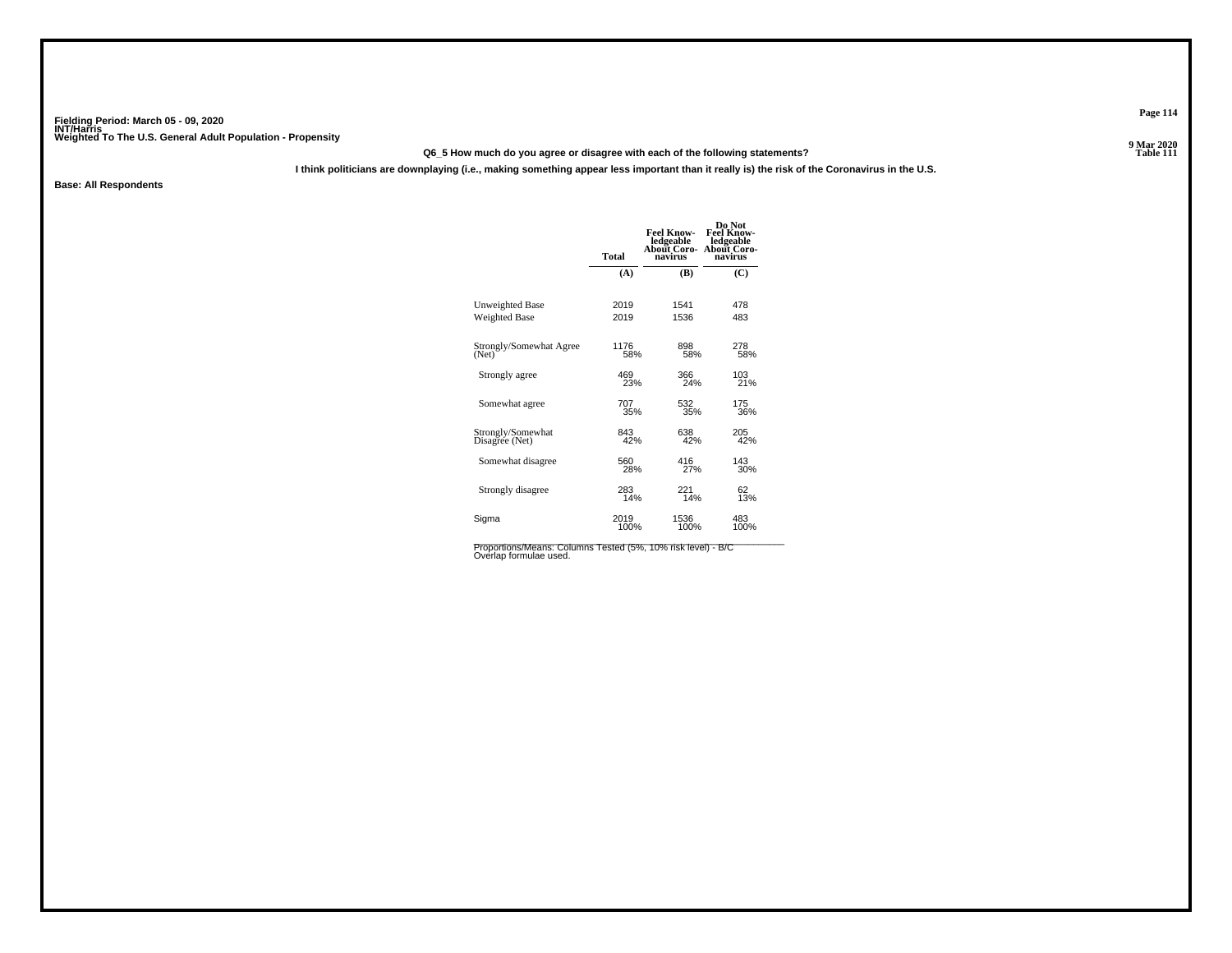#### **Q6\_5 How much do you agree or disagree with each of the following statements?**

**I think politicians are downplaying (i.e., making something appear less important than it really is) the risk of the Coronavirus in the U.S.**

**Base: All Respondents**

|                                     | <b>Total</b> | <b>Feel Know-</b><br>ledgeable<br><b>About Coro-</b><br>navirus | Do Not<br><b>Feel Know-</b><br>ledgeable<br>About Coro<br>navirus |
|-------------------------------------|--------------|-----------------------------------------------------------------|-------------------------------------------------------------------|
|                                     | (A)          | (B)                                                             | (C)                                                               |
| Unweighted Base                     | 2019         | 1541                                                            | 478                                                               |
| Weighted Base                       | 2019         | 1536                                                            | 483                                                               |
| Strongly/Somewhat Agree             | 1176         | 898                                                             | 278<br>58%                                                        |
| (Net)                               | 58%          | 58%                                                             |                                                                   |
| Strongly agree                      | 469          | 366                                                             | 103                                                               |
|                                     | 23%          | 24%                                                             | 21%                                                               |
| Somewhat agree                      | 707          | 532                                                             | 175                                                               |
|                                     | 35%          | 35%                                                             | 36%                                                               |
| Strongly/Somewhat<br>Disagree (Net) | 843<br>42%   | 638<br>42%                                                      | 205<br>42%                                                        |
| Somewhat disagree                   | 560          | 416                                                             | 143                                                               |
|                                     | 28%          | 27%                                                             | 30%                                                               |
| Strongly disagree                   | 283          | 221                                                             | 62                                                                |
|                                     | 14%          | 14%                                                             | 13%                                                               |
| Sigma                               | 2019         | 1536                                                            | 483                                                               |
|                                     | 100%         | 100%                                                            | 100%                                                              |
|                                     |              |                                                                 |                                                                   |

Proportions/Means: Columns Tested (5%, 10% risk level) - B/C<br>Overlap formulae used.

**Page 114**

9 Mar 2020<br>Table 111 **Properties and the Contract of the Contract of Table 111**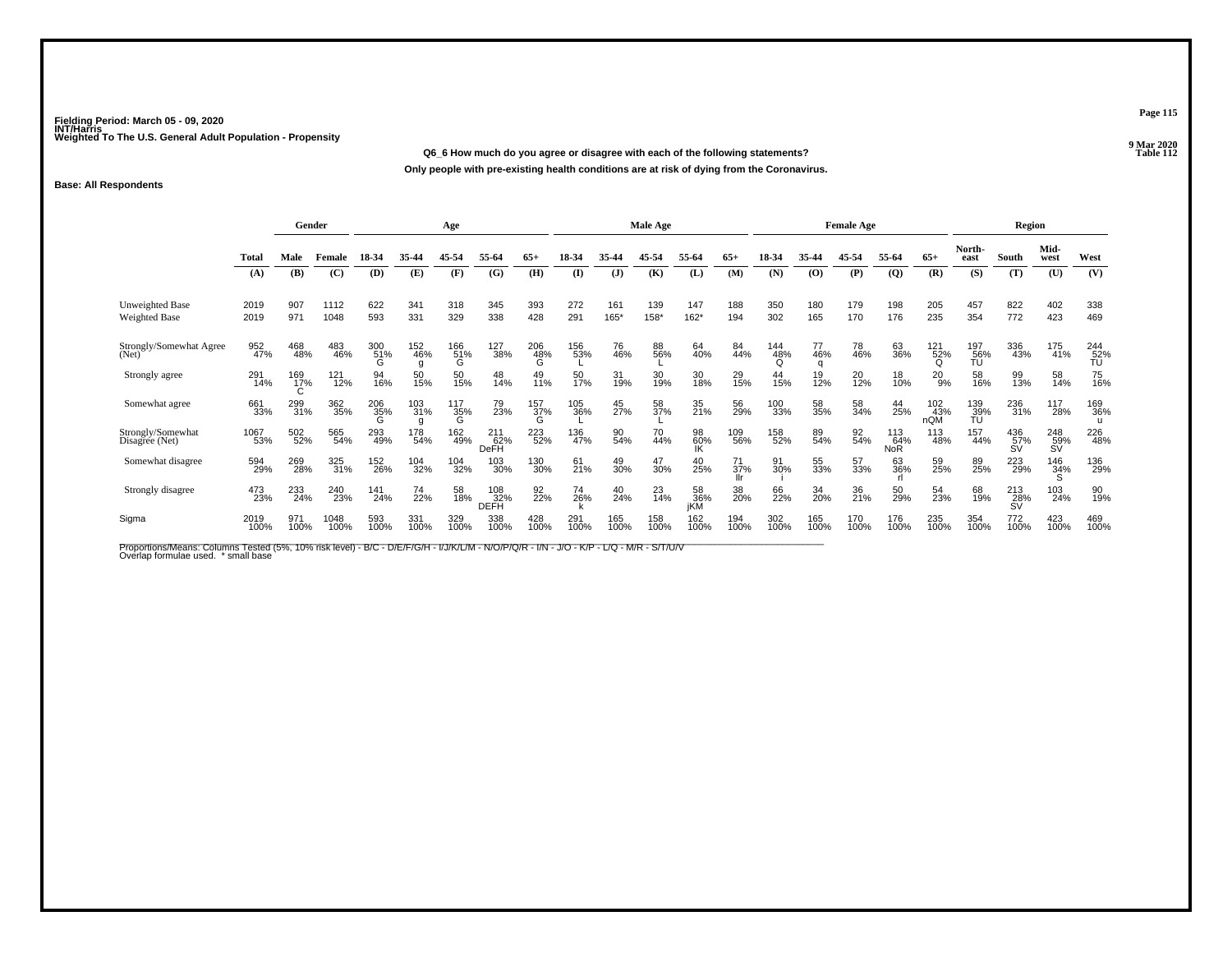**Q6\_6 How much do you agree or disagree with each of the following statements?**

**Only people with pre-existing health conditions are at risk of dying from the Coronavirus.**

#### **Base: All Respondents**

|                                         |              | Gender          |              |                 |                 | Age             |                    |                         |              |              | Male Age       |                  |             | <b>Female Age</b> |                |             |                          |                   | <b>Region</b>    |                  |                  |                  |
|-----------------------------------------|--------------|-----------------|--------------|-----------------|-----------------|-----------------|--------------------|-------------------------|--------------|--------------|----------------|------------------|-------------|-------------------|----------------|-------------|--------------------------|-------------------|------------------|------------------|------------------|------------------|
|                                         | Total        | Male            | Female       | 18-34           | 35.44           | 45-54           | 55-64              | $65+$                   | 18-34        | 35.44        | 45-54          | 55-64            | $65+$       | 18-34             | 35-44          | 45-54       | 55-64                    | $65+$             | North-<br>east   | South            | Mid-<br>west     | West             |
|                                         | (A)          | (B)             | (C)          | (D)             | (E)             | (F)             | (G)                | (H)                     | $\mathbf{I}$ | $\mathbf{J}$ | (K)            | (L)              | (M)         | (N)               | (0)            | (P)         | $\overline{Q}$           | (R)               | (S)              | (T)              | (U)              | (V)              |
| <b>Unweighted Base</b><br>Weighted Base | 2019<br>2019 | 907<br>971      | 1112<br>1048 | 622<br>593      | 341<br>331      | 318<br>329      | 345<br>338         | 393<br>428              | 272<br>291   | 161<br>165*  | 139<br>158*    | 147<br>$162*$    | 188<br>194  | 350<br>302        | 180<br>165     | 179<br>170  | 198<br>176               | 205<br>235        | 457<br>354       | 822<br>772       | 402<br>423       | 338<br>469       |
| Strongly/Somewhat Agree<br>(Net)        | 952<br>47%   | 468<br>48%      | 483<br>46%   | 300<br>51%<br>G | 152<br>46%      | 166<br>51%<br>G | 127<br>38%         | 206<br>48%<br>G         | 156<br>53%   | 76<br>46%    | 88<br>56%      | 64<br>40%        | 84<br>44%   | 144<br>48%        | 77<br>46%<br>a | 78<br>46%   | 63<br>36%                | 121<br>52%<br>O   | 197<br>56%<br>ŤÚ | 336<br>43%       | 175<br>41%       | 244<br>52%<br>ŤU |
| Strongly agree                          | 291<br>14%   | 169<br>17%<br>C | 121<br>12%   | 94<br>16%       | 50<br>15%       | 50<br>15%       | 48<br>14%          | 49<br>11%               | 50<br>17%    | 31<br>19%    | 30<br>19%      | 30<br>18%        | 29<br>15%   | 44<br>15%         | 19<br>12%      | 20<br>12%   | 18<br>10%                | 20<br>9%          | 58<br>16%        | 99<br>13%        | 58<br>14%        | 75<br>16%        |
| Somewhat agree                          | 661<br>33%   | 299<br>31%      | 362<br>35%   | 206<br>35%      | 103<br>31%<br>a | 117<br>35%<br>Ġ | 79<br>23%          | $\frac{157}{37\%}$<br>G | 105<br>36%   | 45<br>27%    | 58<br>37%      | 35<br>21%        | 56<br>29%   | 100<br>33%        | 58<br>35%      | 58<br>34%   | 44<br>25%                | 102<br>43%<br>nQM | 139<br>39%<br>ŤÚ | 236<br>31%       | 117<br>28%       | 169<br>36%       |
| Strongly/Somewhat<br>Disagree (Net)     | 1067<br>53%  | 502<br>52%      | 565<br>54%   | 293<br>49%      | 178<br>54%      | 162<br>49%      | 211<br>62%<br>DeFH | 223<br>52%              | 136<br>47%   | 90<br>54%    | 70<br>44%      | 98<br>60%<br>IK  | 109<br>56%  | 158<br>52%        | 89<br>54%      | 92<br>54%   | 113<br>64%<br><b>NoR</b> | 113<br>48%        | 157<br>44%       | 436<br>57%<br>SV | 248<br>59%<br>SV | 226<br>48%       |
| Somewhat disagree                       | 594<br>29%   | 269<br>28%      | 325<br>31%   | 152<br>26%      | 104<br>32%      | 104<br>32%      | 103<br>30%         | 130<br>30%              | 61<br>21%    | 49<br>30%    | 47<br>30%      | 40<br>25%        | 71<br>37%   | 91<br>30%         | 55<br>33%      | 57<br>33%   | 63<br>36%                | 59<br>25%         | 89<br>25%        | 223<br>29%       | 146<br>34%       | 136<br>29%       |
| Strongly disagree                       | 473<br>23%   | 233<br>24%      | 240<br>23%   | 141<br>24%      | 74<br>22%       | 58<br>18%       | 108<br>32%<br>DEFH | 92<br>22%               | 74<br>26%    | 40<br>24%    | $^{23}_{14\%}$ | 58<br>36%<br>iKM | 38<br>20%   | 66<br>22%         | 34<br>20%      | 36<br>21%   | 50<br>29%                | 54<br>23%         | 68<br>19%        | 213<br>28%<br>SV | 103<br>24%       | 90<br>19%        |
| Sigma                                   | 2019<br>100% | 971<br>100%     | 1048<br>100% | 593<br>100%     | 331<br>100%     | 329<br>100%     | 338<br>100%        | 428<br>100%             | 291<br>100%  | 165<br>100%  | 158<br>100%    | 162<br>100%      | 194<br>100% | 302<br>100%       | 165<br>100%    | 170<br>100% | 176<br>100%              | 235<br>100%       | 354<br>100%      | 772<br>100%      | 423<br>100%      | 469<br>100%      |

Proportions/Means: Columns Tested (5%, 10% risk level) - B/C - D/E/F/G/H - I/J/K/L/M - N/O/P/Q/R - I/N - J/O - K/P - L/Q - M/R - S/T/U/V<br>Overlap formulae used. \*small base

**Page 115**

**9 Mar 2020<br>Table 112 Properties and the Contract of the Contract of Table 112**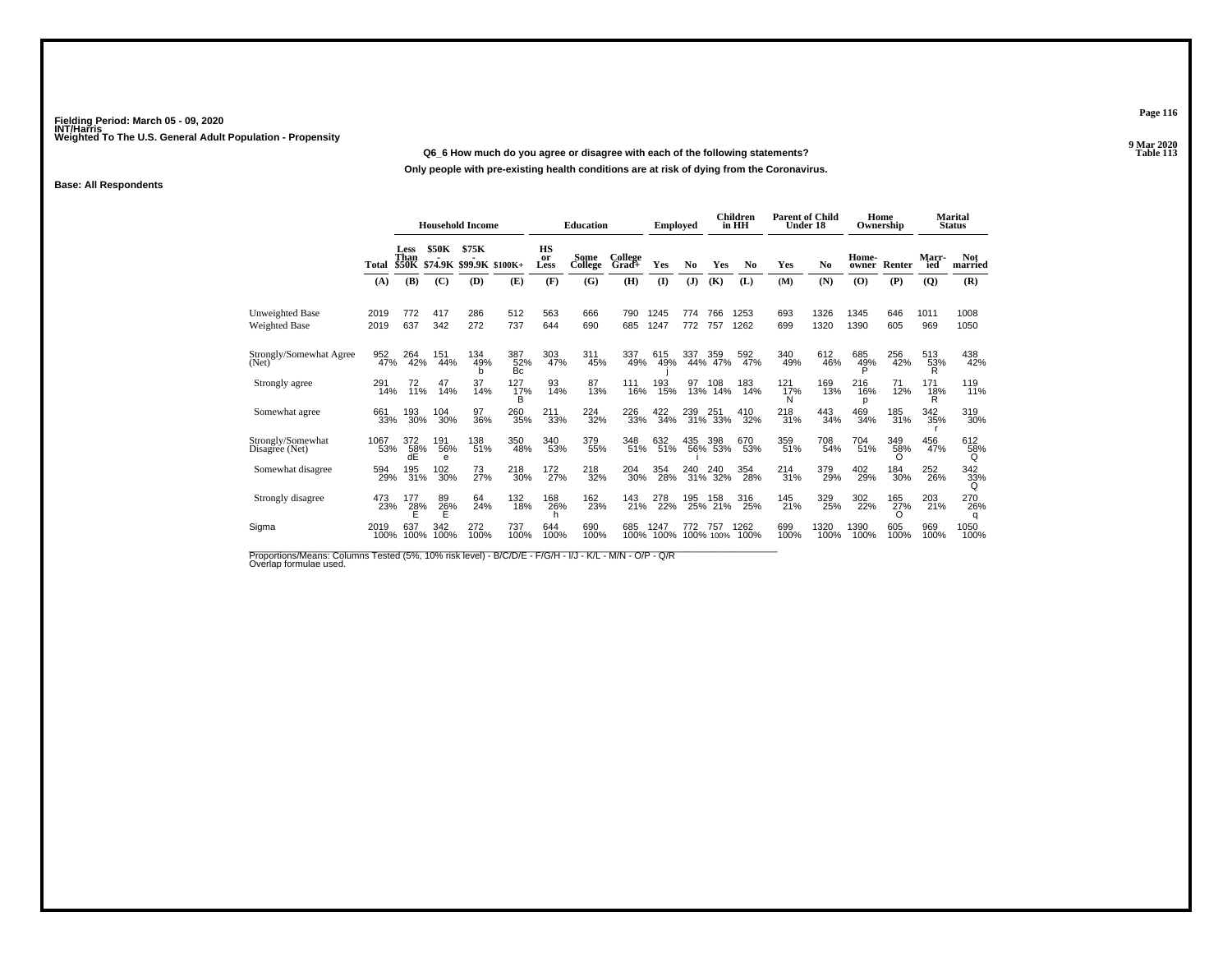#### **Q6\_6 How much do you agree or disagree with each of the following statements?**

**Only people with pre-existing health conditions are at risk of dying from the Coronavirus.**

#### **Base: All Respondents**

|              |                     |                                                                              |                                                                  |                                                             |                                                                                                            |                                                                  |                                                                   |                                                                                                    |                                                                     |                                                                    |                                       |                                                                     |              |                                    |                               |                                           | Marital<br><b>Status</b>     |
|--------------|---------------------|------------------------------------------------------------------------------|------------------------------------------------------------------|-------------------------------------------------------------|------------------------------------------------------------------------------------------------------------|------------------------------------------------------------------|-------------------------------------------------------------------|----------------------------------------------------------------------------------------------------|---------------------------------------------------------------------|--------------------------------------------------------------------|---------------------------------------|---------------------------------------------------------------------|--------------|------------------------------------|-------------------------------|-------------------------------------------|------------------------------|
| Total<br>(A) | Less<br>Than<br>(B) | \$50K<br>(C)                                                                 | \$75K<br>(D)                                                     | (E)                                                         | HS<br>or<br>Less<br>(F)                                                                                    | Some<br>College<br>(G)                                           | College<br>Grad+<br>(H)                                           | <b>Yes</b><br>$($ $\Gamma$                                                                         | N <sub>0</sub><br>(J)                                               | Yes<br>(K)                                                         | N <sub>0</sub><br>(L)                 | Yes<br>(M)                                                          | No<br>(N)    | Home-<br>owner<br>(O)              | (P)                           | Marr-<br>ied<br>(Q)                       | <b>Not</b><br>married<br>(R) |
|              |                     |                                                                              |                                                                  |                                                             |                                                                                                            |                                                                  |                                                                   |                                                                                                    |                                                                     |                                                                    |                                       |                                                                     |              |                                    |                               |                                           |                              |
| 2019<br>2019 | 772<br>637          | 417<br>342                                                                   | 286<br>272                                                       | 512<br>737                                                  | 563<br>644                                                                                                 | 666<br>690                                                       | 790<br>685                                                        | 1245<br>1247                                                                                       | 774<br>772                                                          | 766<br>757                                                         | 1253<br>1262                          | 693<br>699                                                          | 1326<br>1320 | 1345<br>1390                       | 646<br>605                    | 1011<br>969                               | 1008<br>1050                 |
| 952          | 264                 | 151                                                                          | 134<br>b                                                         | Bc                                                          |                                                                                                            | 311                                                              | 337                                                               | 615                                                                                                | 337                                                                 | 359                                                                | 592<br>47%                            | 340<br>49%                                                          |              | 685<br>49%<br>P                    | 256<br>42%                    | R                                         | 438<br>42%                   |
|              |                     |                                                                              | 37                                                               | B                                                           |                                                                                                            |                                                                  | 111                                                               | 193<br>15%                                                                                         | 97                                                                  | 108                                                                | 183<br>14%                            | $^{121}_{17\%}$<br>N                                                |              |                                    | 71<br>12%                     | 171<br>18%<br>R                           | 119<br>11%                   |
| 661          | 193                 | 104                                                                          | 97                                                               |                                                             | 211                                                                                                        |                                                                  |                                                                   |                                                                                                    | 239                                                                 | 251                                                                | 410<br>32%                            | 218<br>31%                                                          | 443<br>34%   | 469<br>34%                         | 185<br>31%                    | 342<br>35%                                | 319<br>30%                   |
| 1067         | 372<br>dÉ           | 191<br>e                                                                     | 138                                                              | 350                                                         |                                                                                                            |                                                                  |                                                                   | 632                                                                                                | 435                                                                 | 398                                                                | 670<br>53%                            | 359<br>51%                                                          | 708<br>54%   | 704<br>51%                         | 349<br>58%<br>∩               | 456<br>47%                                | 612<br>58%<br>Q              |
|              |                     | 102                                                                          |                                                                  | 218                                                         |                                                                                                            |                                                                  |                                                                   | 354                                                                                                | 240                                                                 | 240                                                                | 354<br>28%                            | 214<br>31%                                                          | 379<br>29%   | 402<br>29%                         | 184<br>30%                    | 252<br>26%                                | $\frac{342}{32\%}$<br>Q      |
| 473          | 177                 | 89                                                                           | 64                                                               | 132                                                         | 168                                                                                                        | 162                                                              | 143                                                               | 278<br>22%                                                                                         | 195                                                                 | 158                                                                | 316<br>25%                            | 145<br>21%                                                          | 329<br>25%   | 302<br>22%                         | 165<br>27%                    | 203<br>21%                                | 270<br>26%<br>q              |
| 2019         | 637                 | 342                                                                          | 272                                                              | 737<br>100%                                                 | 644<br>100%                                                                                                | 690                                                              | 685                                                               | 1247                                                                                               | 772                                                                 | 757                                                                | 1262<br>100%                          | 699<br>100%                                                         | 1320<br>100% | 1390<br>100%                       | 605<br>100%                   | 969<br>100%                               | 1050<br>100%                 |
|              |                     | <b>\$50K</b><br>47%<br>291<br>14%<br>33%<br>53%<br>594<br>29%<br>23%<br>100% | 42%<br>$^{72}_{11\%}$<br>30%<br>58%<br>195<br>31%<br>28%<br>100% | 44%<br>14%<br>30%<br>56%<br>30%<br>$\frac{26}{5}$ %<br>100% | <b>Household Income</b><br>\$74.9K \$99.9K \$100K+<br>49%<br>14%<br>36%<br>51%<br>73<br>27%<br>24%<br>100% | 387<br>52%<br>$^{127}_{17\%}$<br>260<br>35%<br>48%<br>30%<br>18% | 303<br>47%<br>93<br>14%<br>33%<br>340<br>53%<br>172<br>27%<br>26% | <b>Education</b><br>45%<br>87<br>13%<br>224<br>32%<br>379<br>55%<br>$^{218}_{32\%}$<br>23%<br>100% | 49%<br>16%<br>226<br>33%<br>348<br>51%<br>204<br>30%<br>21%<br>100% | <b>Employed</b><br>49%<br>$\frac{422}{34\%}$<br>51%<br>28%<br>100% | 44%<br>13%<br>31%<br>25%<br>100% 100% | Children<br>in HH<br>47%<br>14%<br>33%<br>56% 53%<br>31% 32%<br>21% |              | <b>Parent of Child</b><br>Under 18 | 612<br>46%<br>169<br>13%<br>p | Home<br>Ownership<br>Renter<br>216<br>16% | 513<br>53%                   |

Proportions/Means: Columns Tested (5%, 10% risk level) - B/C/D/E - F/G/H - I/J - K/L - M/N - O/P - Q/R<br>Overlap formulae used.

**Page 116**

9 Mar 2020<br>Table 113 **P** Table 113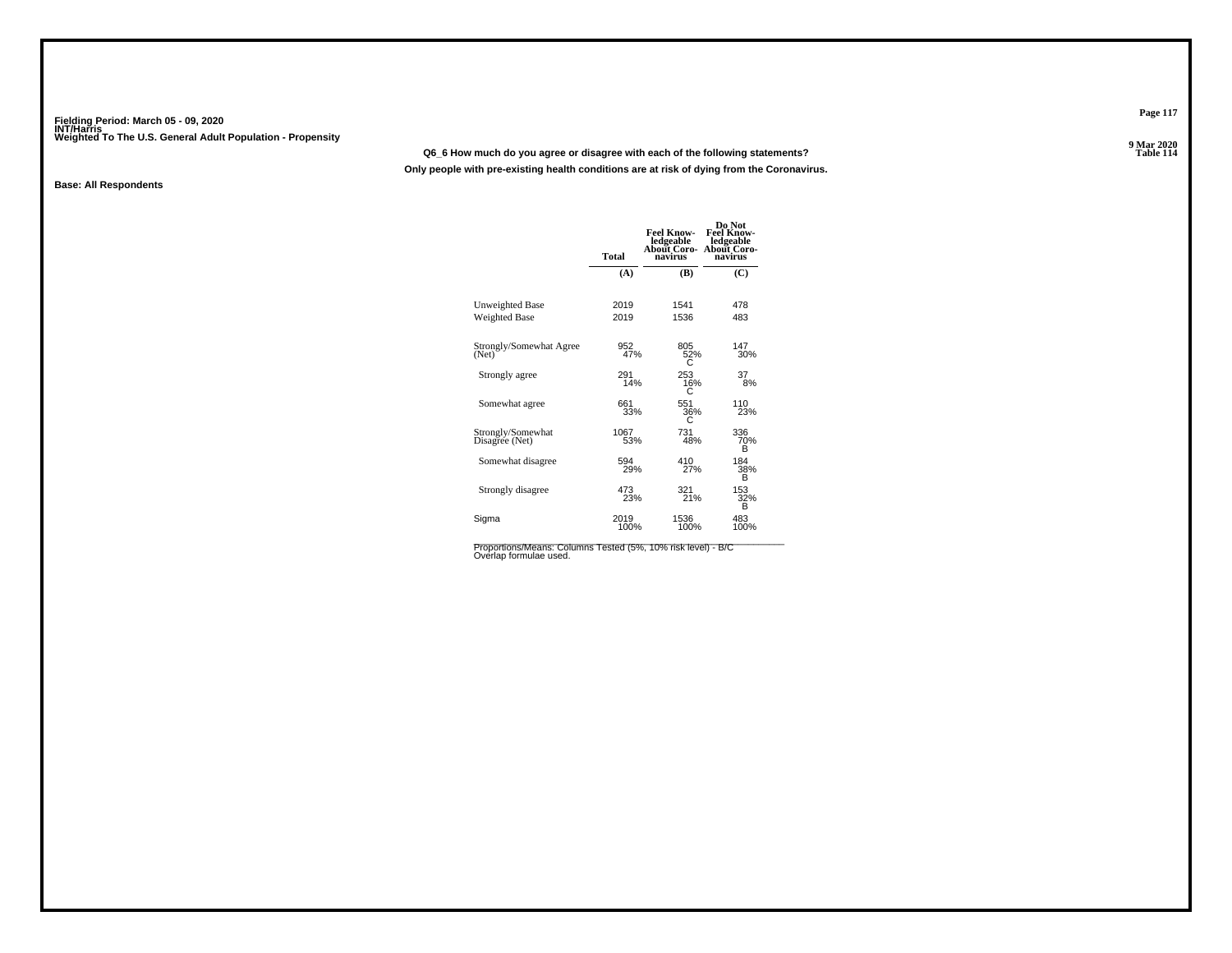#### **Q6\_6 How much do you agree or disagree with each of the following statements?**

**Only people with pre-existing health conditions are at risk of dying from the Coronavirus.**

#### **Base: All Respondents**

|                                     | <b>Total</b> | <b>Feel Know-</b><br>ledgeable<br>About Coro-<br>navirus | Do Not<br>Feel Know-<br>ledgeable<br>About Coro-<br>navirus |
|-------------------------------------|--------------|----------------------------------------------------------|-------------------------------------------------------------|
|                                     | (A)          | (B)                                                      | (C)                                                         |
| Unweighted Base                     | 2019         | 1541                                                     | 478                                                         |
| Weighted Base                       | 2019         | 1536                                                     | 483                                                         |
| Strongly/Somewhat Agree<br>(Net)    | 952<br>47%   | 805<br>52%                                               | 147<br>30%                                                  |
| Strongly agree                      | 291<br>14%   | 253<br>16%                                               | 37<br>8%                                                    |
| Somewhat agree                      | 661<br>33%   | 551<br>36%<br>C                                          | 110<br>23%                                                  |
| Strongly/Somewhat<br>Disagree (Net) | 1067<br>53%  | 731<br>48%                                               | 336<br>70%<br>в                                             |
| Somewhat disagree                   | 594<br>29%   | 410<br>27%                                               | 184<br>38%<br>B                                             |
| Strongly disagree                   | 473<br>23%   | 321<br>21%                                               | 153<br>32%<br>B                                             |
| Sigma                               | 2019<br>100% | 1536<br>100%                                             | 483<br>100%                                                 |

Proportions/Means: Columns Tested (5%, 10% risk level) - B/C<br>Overlap formulae used.

**Page 117**

9 Mar 2020<br>Table 114 **Properties and the Contract of the Contract of Table 114**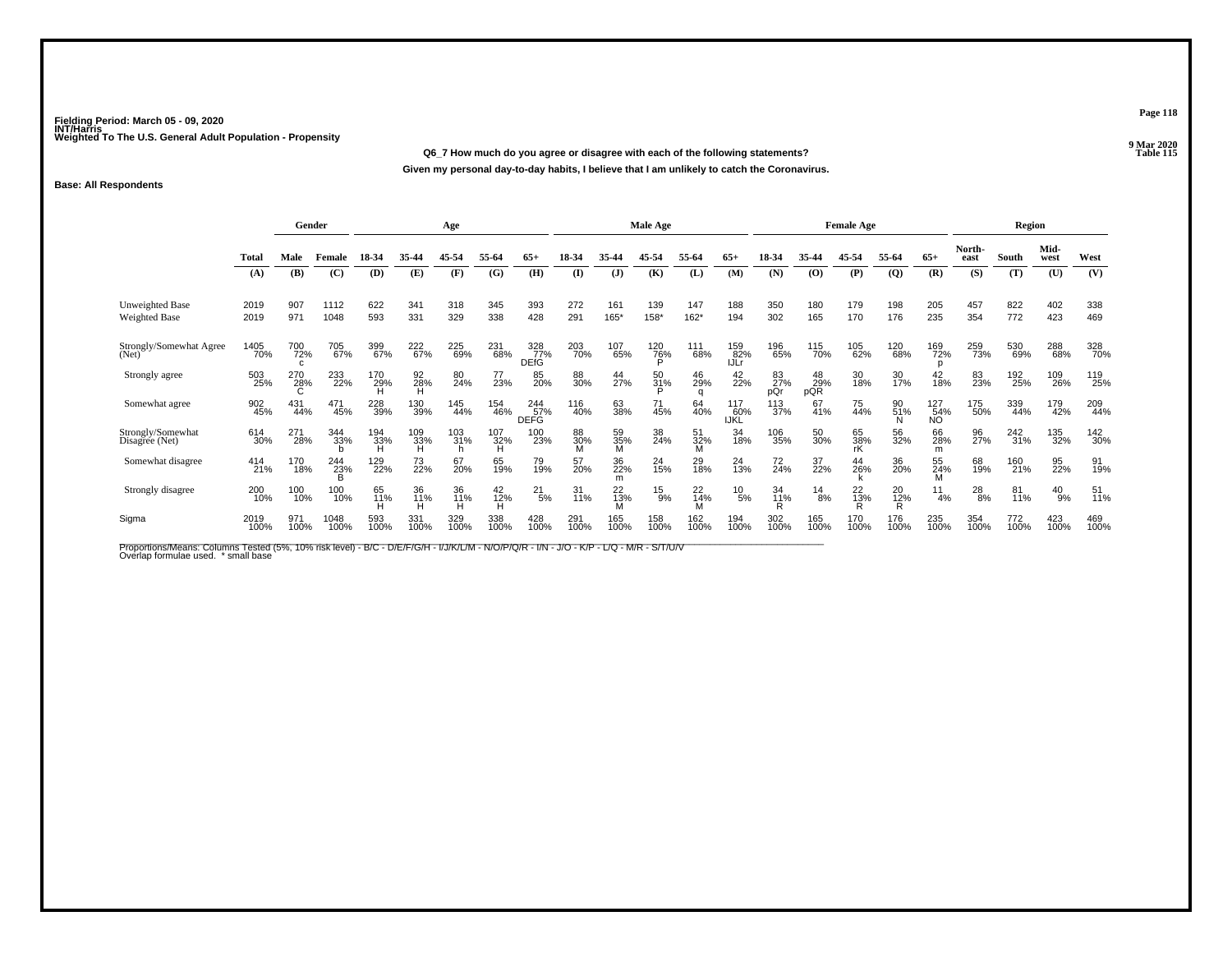**Q6\_7 How much do you agree or disagree with each of the following statements?Given my personal day-to-day habits, I believe that I am unlikely to catch the Coronavirus.**

#### **Base: All Respondents**

|                                         |              | Gender          |              |             |                 | Age             |                 |                    |                   |                | Male Age        |                     |                    | <b>Female Age</b> |                  |                 |                |                  |                | Region      |               |             |
|-----------------------------------------|--------------|-----------------|--------------|-------------|-----------------|-----------------|-----------------|--------------------|-------------------|----------------|-----------------|---------------------|--------------------|-------------------|------------------|-----------------|----------------|------------------|----------------|-------------|---------------|-------------|
|                                         | <b>Total</b> | Male            | Female       | 18-34       | 35-44           | 45-54           | 55-64           | $65+$              | 18-34             | 35-44          | 45-54           | 55-64               | $65+$              | 18-34             | 35-44            | 45-54           | 55-64          | $65+$            | North-<br>east | South       | Mid-<br>west  | West        |
|                                         | (A)          | (B)             | (C)          | (D)         | (E)             | (F)             | (G)             | (H)                | $\mathbf{I}$      | ( <b>J</b> )   | (K)             | (L)                 | (M)                | (N)               | (0)              | (P)             | $\overline{Q}$ | (R)              | (S)            | (T)         | (U)           | (V)         |
| <b>Unweighted Base</b><br>Weighted Base | 2019<br>2019 | 907<br>971      | 1112<br>1048 | 622<br>593  | 341<br>331      | 318<br>329      | 345<br>338      | 393<br>428         | 272<br>291        | 161<br>165*    | 139<br>158*     | 147<br>162*         | 188<br>194         | 350<br>302        | 180<br>165       | 179<br>170      | 198<br>176     | 205<br>235       | 457<br>354     | 822<br>772  | 402<br>423    | 338<br>469  |
| Strongly/Somewhat Agree<br>(Net)        | 1405<br>70%  | 700<br>72%<br>C | 705<br>67%   | 399<br>67%  | 222<br>67%      | 225<br>69%      | 231<br>68%      | 328<br>77%<br>DEfG | 203<br>70%        | 107<br>65%     | $^{120}_{76\%}$ | 111<br>68%          | 159<br>82%<br>IJLr | 196<br>65%        | 115<br>70%       | 105<br>62%      | 120<br>68%     | 169<br>72%       | 259<br>73%     | 530<br>69%  | 288<br>68%    | 328<br>70%  |
| Strongly agree                          | 503<br>25%   | 270<br>28%      | 233<br>22%   | 170<br>29%  | 92<br>28%       | 80<br>24%       | 77<br>23%       | 85<br>20%          | 88<br>30%         | 44<br>27%      | 50<br>31%       | 46<br>29%<br>a      | 42<br>22%          | 83<br>27%<br>pQr  | 48<br>29%<br>pQR | 30<br>18%       | 30<br>17%      | 42<br>18%        | 83<br>23%      | 192<br>25%  | 109<br>26%    | 119<br>25%  |
| Somewhat agree                          | 902<br>45%   | 431<br>44%      | 471<br>45%   | 228<br>39%  | 130<br>39%      | 145<br>44%      | 154<br>46%      | 244<br>57%<br>DEFG | 116<br>40%        | 63<br>38%      | 71<br>45%       | 64<br>40%           | 117<br>60%<br>IJKL | 113<br>37%        | 67<br>41%        | 75<br>44%       | 90<br>51%      | 127<br>54%<br>NO | 175<br>50%     | 339<br>44%  | 179<br>42%    | 209<br>44%  |
| Strongly/Somewhat<br>Disagree (Net)     | 614<br>30%   | 271<br>28%      | 344<br>33%   | 194<br>33%  | 109<br>33%<br>н | 103<br>31%<br>h | 107<br>32%<br>н | 100<br>23%         | 88<br>30%         | 59<br>35%<br>м | 38<br>24%       | 51<br>32%<br>М      | 34<br>18%          | 106<br>35%        | 50<br>30%        | 65<br>38%<br>rK | 56<br>32%      | 66<br>28%<br>m   | 96<br>27%      | 242<br>31%  | 135<br>32%    | 142<br>30%  |
| Somewhat disagree                       | 414<br>21%   | 170<br>18%      | 244<br>23%   | 129<br>22%  | 73<br>22%       | 67<br>20%       | 65<br>19%       | 79<br>19%          | 57<br>20%         | 36<br>22%<br>m | 24<br>15%       | 29<br>18%           | 24<br>13%          | 72<br>24%         | 37<br>22%        | 44<br>26%       | 36<br>20%      | 55<br>24%<br>M   | 68<br>19%      | 160<br>21%  | 95<br>22%     | 91<br>19%   |
| Strongly disagree                       | 200<br>10%   | 100<br>10%      | 100<br>10%   | 65<br>11%   | 36<br>11%       | 36<br>11%       | 42<br>12%<br>н  | $^{21}_{5\%}$      | $\frac{31}{11\%}$ | 22<br>13%      | $^{15}_{9\%}$   | $^{22}_{14\%}$<br>М | $^{10}_{\ 5\%}$    | 34<br>11%<br>R    | $\frac{14}{8%}$  | $^{22}_{13\%}$  | 20<br>12%<br>R | 11<br>4%         | $^{28}_{8\%}$  | 81<br>11%   | $^{40}_{9\%}$ | 51<br>11%   |
| Sigma                                   | 2019<br>100% | 971<br>100%     | 1048<br>100% | 593<br>100% | 331<br>100%     | 329<br>100%     | 338<br>100%     | 428<br>100%        | 291<br>100%       | 165<br>100%    | 158<br>100%     | 162<br>100%         | 194<br>100%        | 302<br>100%       | 165<br>100%      | 170<br>100%     | 176<br>100%    | 235<br>100%      | 354<br>100%    | 772<br>100% | 423<br>100%   | 469<br>100% |

Proportions/Means: Columns Tested (5%, 10% risk level) - B/C - D/E/F/G/H - I/J/K/L/M - N/O/P/Q/R - I/N - J/O - K/P - L/Q - M/R - S/T/U/V<br>Overlap formulae used. \*small base

**Page 118**

9 Mar 2020<br>Table 115 **P** Table 115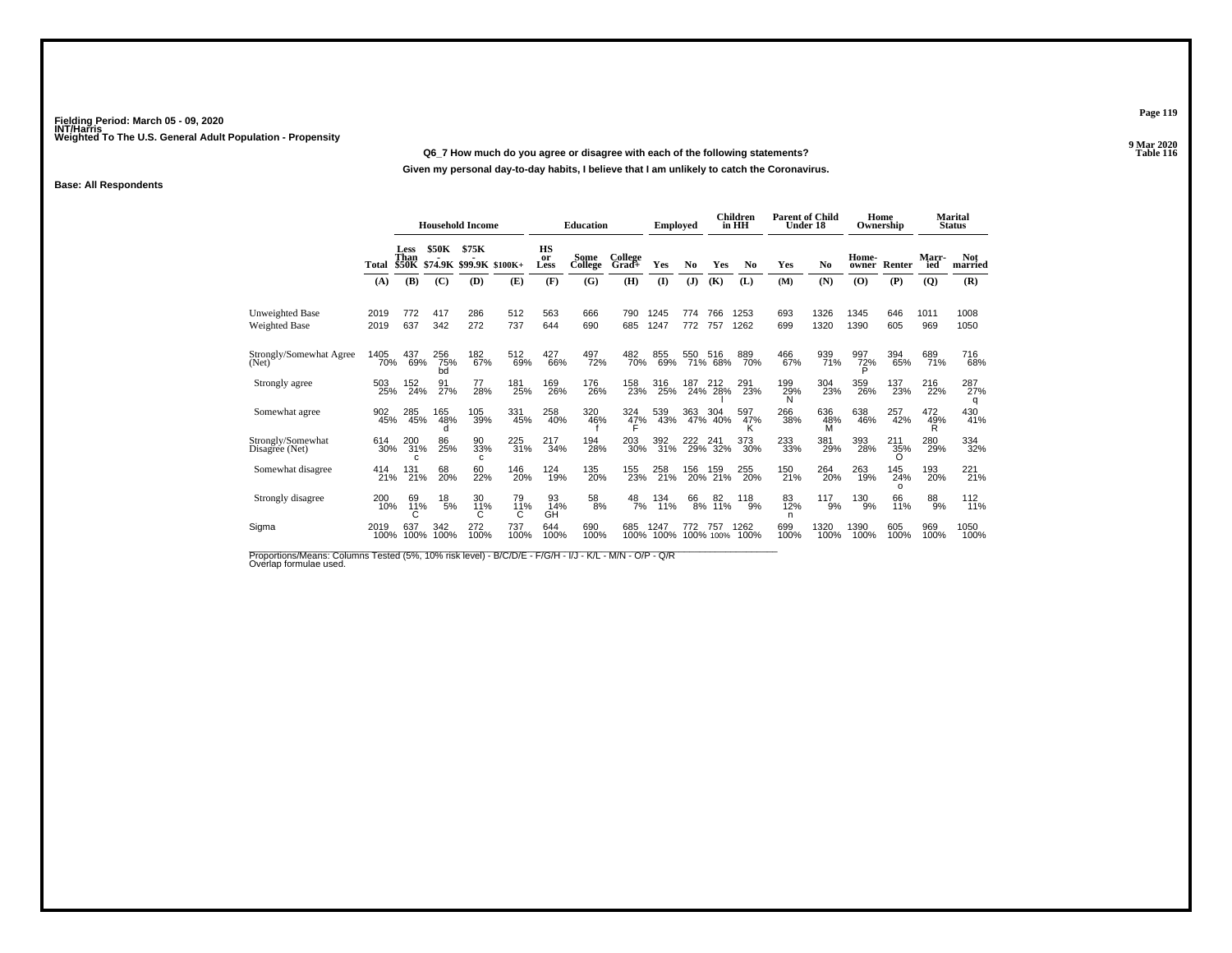#### **Q6\_7 How much do you agree or disagree with each of the following statements?**

**Given my personal day-to-day habits, I believe that I am unlikely to catch the Coronavirus.**

#### **Base: All Respondents**

|                                     |              |                              |                  | <b>Household Income</b>          |             |                  | <b>Education</b> |                       | <b>Employed</b> |                |                    | <b>Children</b><br>in HH | <b>Parent of Child</b><br>Under 18 |                      | Home<br>Ownership |                 |              | <b>Marital</b><br><b>Status</b> |
|-------------------------------------|--------------|------------------------------|------------------|----------------------------------|-------------|------------------|------------------|-----------------------|-----------------|----------------|--------------------|--------------------------|------------------------------------|----------------------|-------------------|-----------------|--------------|---------------------------------|
|                                     | Total        | Less<br>Than<br><b>\$50K</b> | <b>\$50K</b>     | \$75K<br>\$74.9K \$99.9K \$100K+ |             | HS<br>or<br>Less | Some<br>College  | College<br>Grad+      | Yes             | N <sub>0</sub> | Yes                | N <sub>0</sub>           | Yes                                | No                   | Home-<br>owner    | Renter          | Marr-<br>ied | <b>Not</b><br>married           |
|                                     | (A)          | (B)                          | (C)              | (D)                              | (E)         | (F)              | (G)              | (H)                   | $\mathbf{I}$    | (J)            | (K)                | (L)                      | (M)                                | (N)                  | $\bf{(O)}$        | (P)             | $\mathbf{Q}$ | (R)                             |
| Unweighted Base<br>Weighted Base    | 2019<br>2019 | 772<br>637                   | 417<br>342       | 286<br>272                       | 512<br>737  | 563<br>644       | 666<br>690       | 790<br>685            | 1245<br>1247    | 774<br>772     | 766<br>757         | 1253<br>1262             | 693<br>699                         | 1326<br>1320         | 1345<br>1390      | 646<br>605      | 1011<br>969  | 1008<br>1050                    |
| Strongly/Somewhat Agree<br>(Net)    | 1405<br>70%  | 437<br>69%                   | 256<br>75%<br>bd | 182<br>67%                       | 512<br>69%  | 427<br>66%       | 497<br>72%       | 482<br>70%            | 855<br>69%      | 550            | 516<br>71% 68%     | 889<br>70%               | 466<br>67%                         | 939<br>71%           | 997<br>72%        | 394<br>65%      | 689<br>71%   | 716<br>68%                      |
| Strongly agree                      | 503<br>25%   | 152<br>24%                   | 91 <sub>%</sub>  | 77<br>28%                        | 181<br>25%  | 169<br>26%       | 176<br>26%       | 158<br>23%            | 316<br>25%      | 187            | 212<br>24% 28%     | 291<br>23%               | 199 <sub>%</sub><br>N              | 304<br>23%           | 359<br>26%        | 137<br>23%      | 216<br>22%   | 287<br>27%<br>q                 |
| Somewhat agree                      | 902<br>45%   | 285<br>45%                   | 165<br>48%       | 105<br>39%                       | 331<br>45%  | 258<br>40%       | 320<br>46%       | 324<br>$\frac{47}{5}$ | 539<br>43%      | 363<br>47%     | 304<br>40%         | 597<br>47%               | 266<br>38%                         | 636<br>$^{48\%}_{M}$ | 638<br>46%        | 257<br>42%      | 472<br>49%   | 430<br>41%                      |
| Strongly/Somewhat<br>Disagree (Net) | 614<br>30%   | 200<br>31%<br>C.             | 86<br>25%        | 90<br>33%<br>c                   | 225<br>31%  | 217<br>34%       | 194<br>28%       | 203<br>30%            | 392<br>31%      | 222            | 22 241<br>29% 32%  | 373<br>30%               | 233<br>33%                         | 381<br>29%           | 393<br>28%        | 211<br>35%<br>∩ | 280<br>29%   | 334<br>32%                      |
| Somewhat disagree                   | 414<br>21%   | 131<br>21%                   | 68<br>20%        | 60<br>22%                        | 146<br>20%  | 124<br>19%       | 135<br>20%       | 155<br>23%            | 258<br>21%      |                | 156 159<br>20% 21% | 255<br>20%               | 150<br>21%                         | 264<br>20%           | 263<br>19%        | 145<br>24%<br>O | 193<br>20%   | 221 <sub>%</sub>                |
| Strongly disagree                   | 200<br>10%   | 69<br>11%                    | 18<br>5%         | 30<br>11%                        | 79<br>11%   | 93<br>14%<br>GH  | $^{58}_{\ 8\%}$  | $^{48}_{7\%}$         | 134<br>11%      | 66<br>8%       | 82<br>11%          | 118<br>9%                | 83<br>12%<br>n                     | 117<br>9%            | 130<br>9%         | 66<br>11%       | $^{88}_{9%}$ | 112<br>11%                      |
| Sigma                               | 2019<br>100% | 637<br>100%                  | 342<br>100%      | 272<br>100%                      | 737<br>100% | 644<br>100%      | 690<br>100%      | 685<br>100%           | 1247<br>100%    | 772            | 757<br>100% 100%   | 1262<br>100%             | 699<br>100%                        | 1320<br>100%         | 1390<br>100%      | 605<br>100%     | 969<br>100%  | 1050<br>100%                    |

Proportions/Means: Columns Tested (5%, 10% risk level) - B/C/D/E - F/G/H - I/J - K/L - M/N - O/P - Q/R<br>Overlap formulae used.

**Page 119**

**9 Mar 2020<br>Table 116 Properties and the Contract of the Contract of Table 116**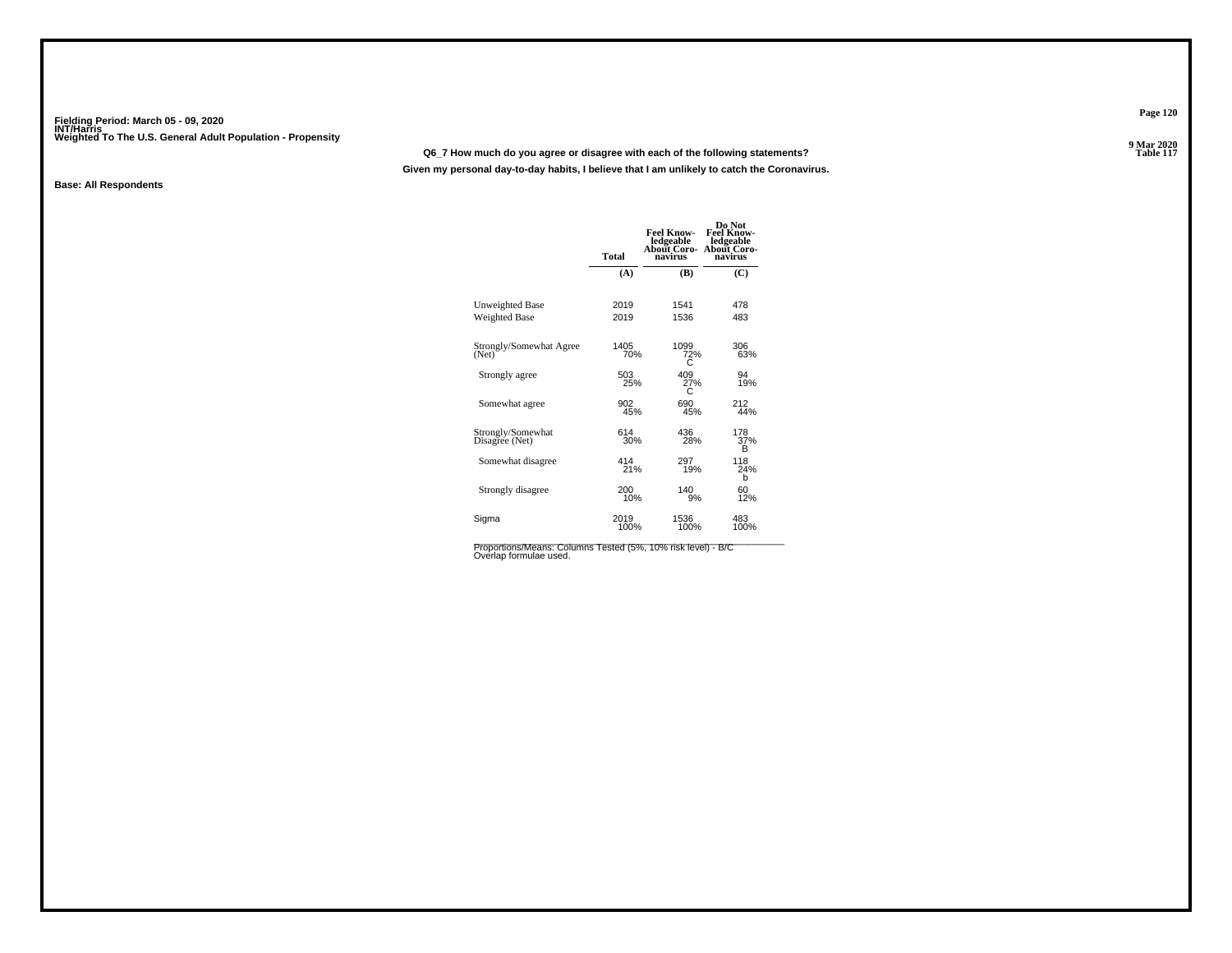#### **Q6\_7 How much do you agree or disagree with each of the following statements?**

**Given my personal day-to-day habits, I believe that I am unlikely to catch the Coronavirus.**

#### **Base: All Respondents**

|                                     | <b>Total</b> | <b>Feel Know-</b><br>ledgeable<br>About Coro-<br>navirus | Do Not<br><b>Feel Know-</b><br>ledgeable<br>About Coro-<br>navirus |
|-------------------------------------|--------------|----------------------------------------------------------|--------------------------------------------------------------------|
|                                     | (A)          | (B)                                                      | (C)                                                                |
| Unweighted Base                     | 2019         | 1541                                                     | 478                                                                |
| Weighted Base                       | 2019         | 1536                                                     | 483                                                                |
| Strongly/Somewhat Agree<br>(Net)    | 1405<br>70%  | 1099<br>72%                                              | 306<br>63%                                                         |
| Strongly agree                      | 503<br>25%   | 409<br>$^{27\%}_{C}$                                     | 94<br>19%                                                          |
| Somewhat agree                      | 902<br>45%   | 690<br>45%                                               | 212<br>44%                                                         |
| Strongly/Somewhat<br>Disagree (Net) | 614<br>30%   | 436<br>28%                                               | 178<br>37%<br>в                                                    |
| Somewhat disagree                   | 414<br>21%   | 297<br>19%                                               | 118<br>24%<br>b                                                    |
| Strongly disagree                   | 200<br>10%   | 140<br>9%                                                | 60<br>12%                                                          |
| Sigma                               | 2019<br>100% | 1536<br>100%                                             | 483<br>100%                                                        |

Proportions/Means: Columns Tested (5%, 10% risk level) - B/C<br>Overlap formulae used.

**Page 120**

9 Mar 2020<br>Table 117 **Properties and the contract of the Contract of Table 117**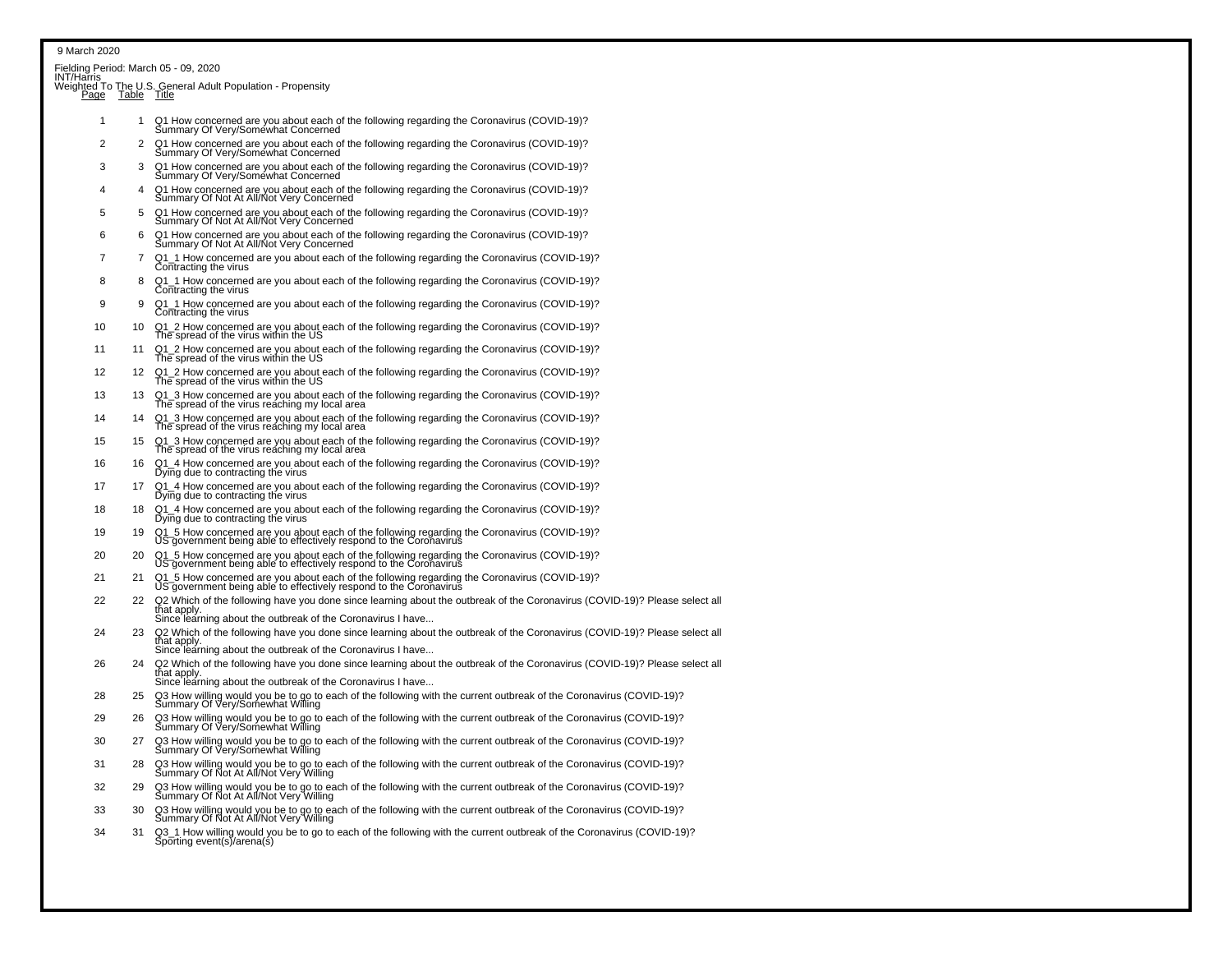| INT/Har̃ris |                | Fielding Period: March 05 - 09, 2020<br>Weighted To The U.S. General Adult Population - Propensity<br>Page Table Title                                                                           |
|-------------|----------------|--------------------------------------------------------------------------------------------------------------------------------------------------------------------------------------------------|
|             |                |                                                                                                                                                                                                  |
| 1           | $\mathbf{1}$   | Q1 How concerned are you about each of the following regarding the Coronavirus (COVID-19)?<br>Summary Of Very/Somewhat Concerned                                                                 |
| 2           | 2              | Q1 How concerned are you about each of the following regarding the Coronavirus (COVID-19)?<br>Summary Of Very/Somewhat Concerned                                                                 |
| 3           | 3              | Q1 How concerned are you about each of the following regarding the Coronavirus (COVID-19)?<br>Summary Of Very/Somewhat Concerned                                                                 |
| 4           | $\overline{4}$ | Q1 How concerned are you about each of the following regarding the Coronavirus (COVID-19)?<br>Summary Of Not At All/Not Very Concerned                                                           |
| 5           | 5              | Q1 How concerned are you about each of the following regarding the Coronavirus (COVID-19)?<br>Summary Of Not At All/Not Very Concerned                                                           |
| 6           | 6              | Q1 How concerned are you about each of the following regarding the Coronavirus (COVID-19)?<br>Summary Of Not At All/Not Very Concerned                                                           |
| 7           | 7              | Q1_1 How concerned are you about each of the following regarding the Coronavirus (COVID-19)?                                                                                                     |
| 8           | 8              | Contracting the virus<br>Q1_1 How concerned are you about each of the following regarding the Coronavirus (COVID-19)?                                                                            |
| 9           | 9              | Contracting the virus<br>Q1_1 How concerned are you about each of the following regarding the Coronavirus (COVID-19)?                                                                            |
| 10          | 10             | Contracting the virus                                                                                                                                                                            |
|             |                | Q1_2 How concerned are you about each of the following regarding the Coronavirus (COVID-19)?<br>The spread of the virus within the US                                                            |
| 11          | 11             | Q1_2 How concerned are you about each of the following regarding the Coronavirus (COVID-19)?<br>The spread of the virus within the US                                                            |
| 12          | 12             | Q1_2 How concerned are you about each of the following regarding the Coronavirus (COVID-19)?<br>The spread of the virus within the US                                                            |
| 13          | 13             | $Q1_3$ How concerned are you about each of the following regarding the Coronavirus (COVID-19)?<br>The spread of the virus reaching my local area                                                 |
| 14          | 14             | Q1_3 How concerned are you about each of the following regarding the Coronavirus (COVID-19)?<br>The spread of the virus reaching my local area                                                   |
| 15          | 15.            | Q1_3 How concerned are you about each of the following regarding the Coronavirus (COVID-19)?<br>The spread of the virus reaching my local area                                                   |
| 16          | 16             | Q1_4 How concerned are you about each of the following regarding the Coronavirus (COVID-19)?<br>Dying due to contracting the virus                                                               |
| 17          | 17             | Q1_4 How concerned are you about each of the following regarding the Coronavirus (COVID-19)?<br>Dying due to contracting the virus                                                               |
| 18          | 18             | Q1_4 How concerned are you about each of the following regarding the Coronavirus (COVID-19)?<br>Dying due to contracting the virus                                                               |
| 19          | 19             | Q1_5 How concerned are you about each of the following regarding the Coronavirus (COVID-19)?<br>US government being able to effectively respond to the Coronavirus                               |
| 20          | 20             | Q1_5 How concerned are you about each of the following regarding the Coronavirus (COVID-19)?<br>US government being able to effectively respond to the Coronavirus                               |
| 21          | 21             | Q1_5 How concerned are you about each of the following regarding the Coronavirus (COVID-19)?                                                                                                     |
| 22          | 22             | US government being able to effectively respond to the Coronavirus<br>Q2 Which of the following have you done since learning about the outbreak of the Coronavirus (COVID-19)? Please select all |
|             |                | that apply<br>Since learning about the outbreak of the Coronavirus I have                                                                                                                        |
| 24          | 23.            | Q2 Which of the following have you done since learning about the outbreak of the Coronavirus (COVID-19)? Please select all<br>that apply                                                         |
| 26          | 24             | Since learning about the outbreak of the Coronavirus I have<br>Q2 Which of the following have you done since learning about the outbreak of the Coronavirus (COVID-19)? Please select all        |
|             |                | that apply.<br>Since learning about the outbreak of the Coronavirus I have                                                                                                                       |
| 28          | 25             | Q3 How willing would you be to go to each of the following with the current outbreak of the Coronavirus (COVID-19)?<br>Summary Of Very/Somewhat Willing                                          |
| 29          | 26             | Q3 How willing would you be to go to each of the following with the current outbreak of the Coronavirus (COVID-19)?<br>Summary Of Very/Somewhat Willing                                          |
| 30          | 27             | Q3 How willing would you be to go to each of the following with the current outbreak of the Coronavirus (COVID-19)?<br>Summary Of Very/Somewhat Willing                                          |
| 31          | 28             | Q3 How willing would you be to go to each of the following with the current outbreak of the Coronavirus (COVID-19)?<br>Summary Of Not At All/Not Very Willing                                    |
| 32          | 29             | Q3 How willing would you be to go to each of the following with the current outbreak of the Coronavirus (COVID-19)?<br>Summary Of Not At All/Not Very Willing                                    |
| 33          | 30             | Q3 How willing would you be to go to each of the following with the current outbreak of the Coronavirus (COVID-19)?<br>Summary Of Not At All/Not Very Willing                                    |
| 34          | 31             | Q3_1 How willing would you be to go to each of the following with the current outbreak of the Coronavirus (COVID-19)?                                                                            |
|             |                | Sporting event(s)/arena(s)                                                                                                                                                                       |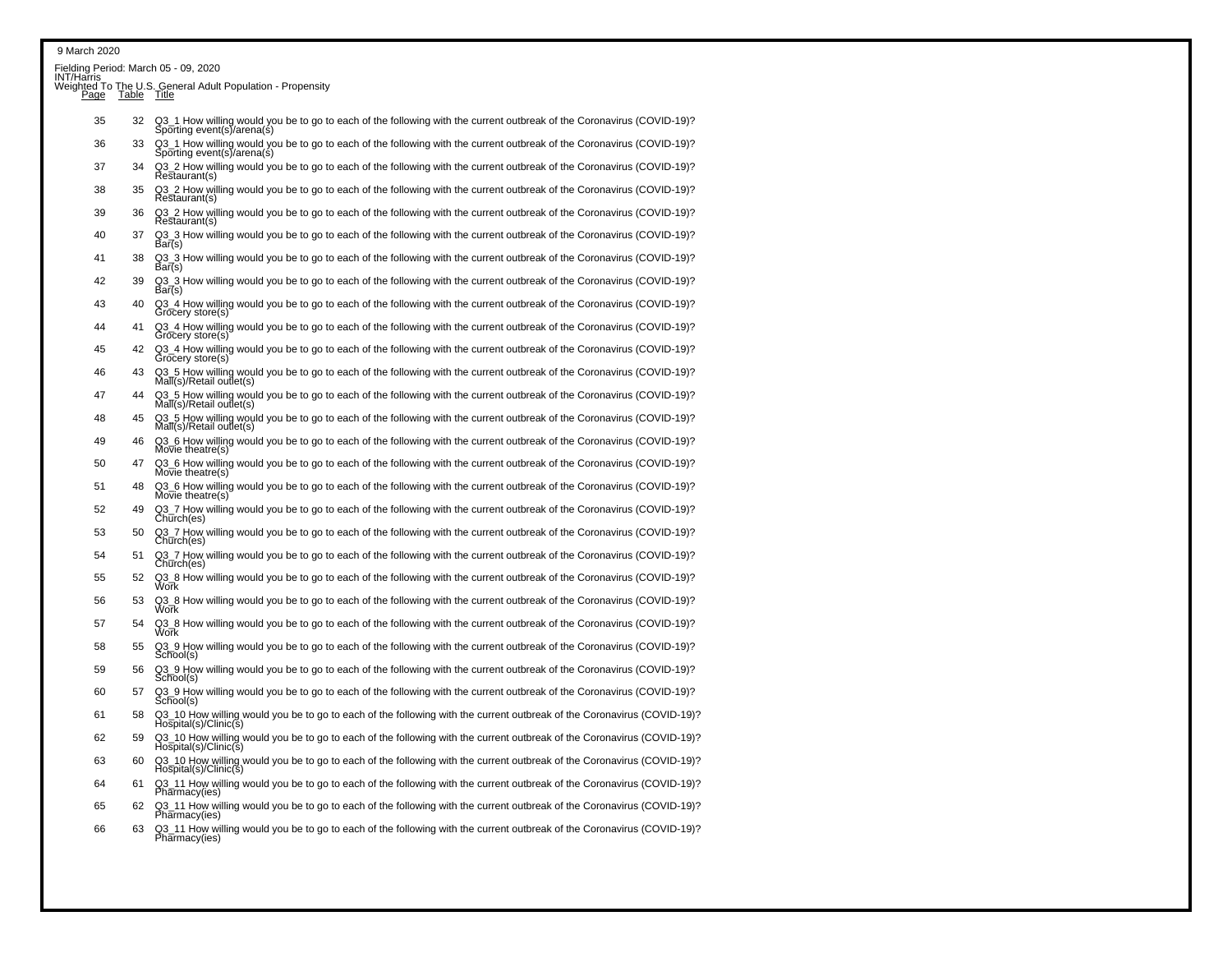| INT/Har̃ris |    | Fielding Period: March 05 - 09, 2020                                                                                                                |
|-------------|----|-----------------------------------------------------------------------------------------------------------------------------------------------------|
|             |    | Weighted To The U.S. General Adult Population - Propensity<br>Page Table Title                                                                      |
| 35          | 32 | Q3_1 How willing would you be to go to each of the following with the current outbreak of the Coronavirus (COVID-19)?<br>Sporting event(s)/arena(s) |
| 36          | 33 | Q3_1 How willing would you be to go to each of the following with the current outbreak of the Coronavirus (COVID-19)?<br>Sporting event(s)/arena(s) |
| 37          | 34 | Q3_2 How willing would you be to go to each of the following with the current outbreak of the Coronavirus (COVID-19)?<br>Restaurant(s)              |
| 38          | 35 | Q3_2 How willing would you be to go to each of the following with the current outbreak of the Coronavirus (COVID-19)?<br>Restaurant(s)              |
| 39          | 36 | Q3_2 How willing would you be to go to each of the following with the current outbreak of the Coronavirus (COVID-19)?<br>Restaurant(s)              |
| 40          | 37 | Q3_3 How willing would you be to go to each of the following with the current outbreak of the Coronavirus (COVID-19)?<br>Bar(s)                     |
| 41          | 38 | Q3_3 How willing would you be to go to each of the following with the current outbreak of the Coronavirus (COVID-19)?<br>Bar(s)                     |
| 42          | 39 | Q3 3 How willing would you be to go to each of the following with the current outbreak of the Coronavirus (COVID-19)?<br>Bar(s)                     |
| 43          | 40 | Q3_4 How willing would you be to go to each of the following with the current outbreak of the Coronavirus (COVID-19)?<br>Grocery store(s)           |
| 44          | 41 | Q3_4 How willing would you be to go to each of the following with the current outbreak of the Coronavirus (COVID-19)?<br>Grocery store(s)           |
| 45          | 42 | Q3 4 How willing would you be to go to each of the following with the current outbreak of the Coronavirus (COVID-19)?<br>Grocery store(s)           |
| 46          | 43 | 5 How willing would you be to go to each of the following with the current outbreak of the Coronavirus (COVID-19)?<br>$MaI(s)/Retai$ outlet(s)      |
| 47          | 44 | Q3_5 How willing would you be to go to each of the following with the current outbreak of the Coronavirus (COVID-19)?<br>Mall(s)/Retail outlet(s)   |
| 48          | 45 | Q3_5 How willing would you be to go to each of the following with the current outbreak of the Coronavirus (COVID-19)?<br>$MaI(s)/Retai$ outlet(s)   |
| 49          | 46 | Q3_6 How willing would you be to go to each of the following with the current outbreak of the Coronavirus (COVID-19)?<br>Movie theatre(s)           |
| 50          | 47 | Q3 6 How willing would you be to go to each of the following with the current outbreak of the Coronavirus (COVID-19)?<br>$Mo\bar{v}$ ie theatre(s)  |
| 51          | 48 | Q3_6 How willing would you be to go to each of the following with the current outbreak of the Coronavirus (COVID-19)?<br>$Mo\bar{v}$ ie theatre(s)  |
| 52          | 49 | Q3_7 How willing would you be to go to each of the following with the current outbreak of the Coronavirus (COVID-19)?<br>Church(es)                 |
| 53          | 50 | Q3_7 How willing would you be to go to each of the following with the current outbreak of the Coronavirus (COVID-19)?<br>Church(es)                 |
| 54          | 51 | Q3_7 How willing would you be to go to each of the following with the current outbreak of the Coronavirus (COVID-19)?<br>Church(es)                 |
| 55          | 52 | Q3_8 How willing would you be to go to each of the following with the current outbreak of the Coronavirus (COVID-19)?<br>Work                       |
| 56          | 53 | Q3_8 How willing would you be to go to each of the following with the current outbreak of the Coronavirus (COVID-19)?<br>Work                       |
| 57          | 54 | Q3_8 How willing would you be to go to each of the following with the current outbreak of the Coronavirus (COVID-19)?<br>Work                       |
| 58          | 55 | Q3_9 How willing would you be to go to each of the following with the current outbreak of the Coronavirus (COVID-19)?<br>School(s)                  |
| 59          | 56 | Q3_9 How willing would you be to go to each of the following with the current outbreak of the Coronavirus (COVID-19)?<br>School(s)                  |
| 60          | 57 | Q3_9 How willing would you be to go to each of the following with the current outbreak of the Coronavirus (COVID-19)?<br>School(s)                  |
| 61          | 58 | Q3_10 How willing would you be to go to each of the following with the current outbreak of the Coronavirus (COVID-19)?<br>Hospital(s)/Clinic(s)     |
| 62          | 59 | Q3_10 How willing would you be to go to each of the following with the current outbreak of the Coronavirus (COVID-19)?<br>Hospital(s)/Clinic(s)     |
| 63          | 60 | Q3_10 How willing would you be to go to each of the following with the current outbreak of the Coronavirus (COVID-19)?<br>Hospital(s)/Clinic(s)     |
| 64          | 61 | Q3_11 How willing would you be to go to each of the following with the current outbreak of the Coronavirus (COVID-19)?<br>Pharmacy(ies)             |
| 65          | 62 | Q3_11 How willing would you be to go to each of the following with the current outbreak of the Coronavirus (COVID-19)?<br>Pharmacy(ies)             |

Pharmacy(ies)<br>63 Q3\_11 How willing would you be to go to each of the following with the current outbreak of the Coronavirus (COVID-19)?<br>Pharmacy(ies)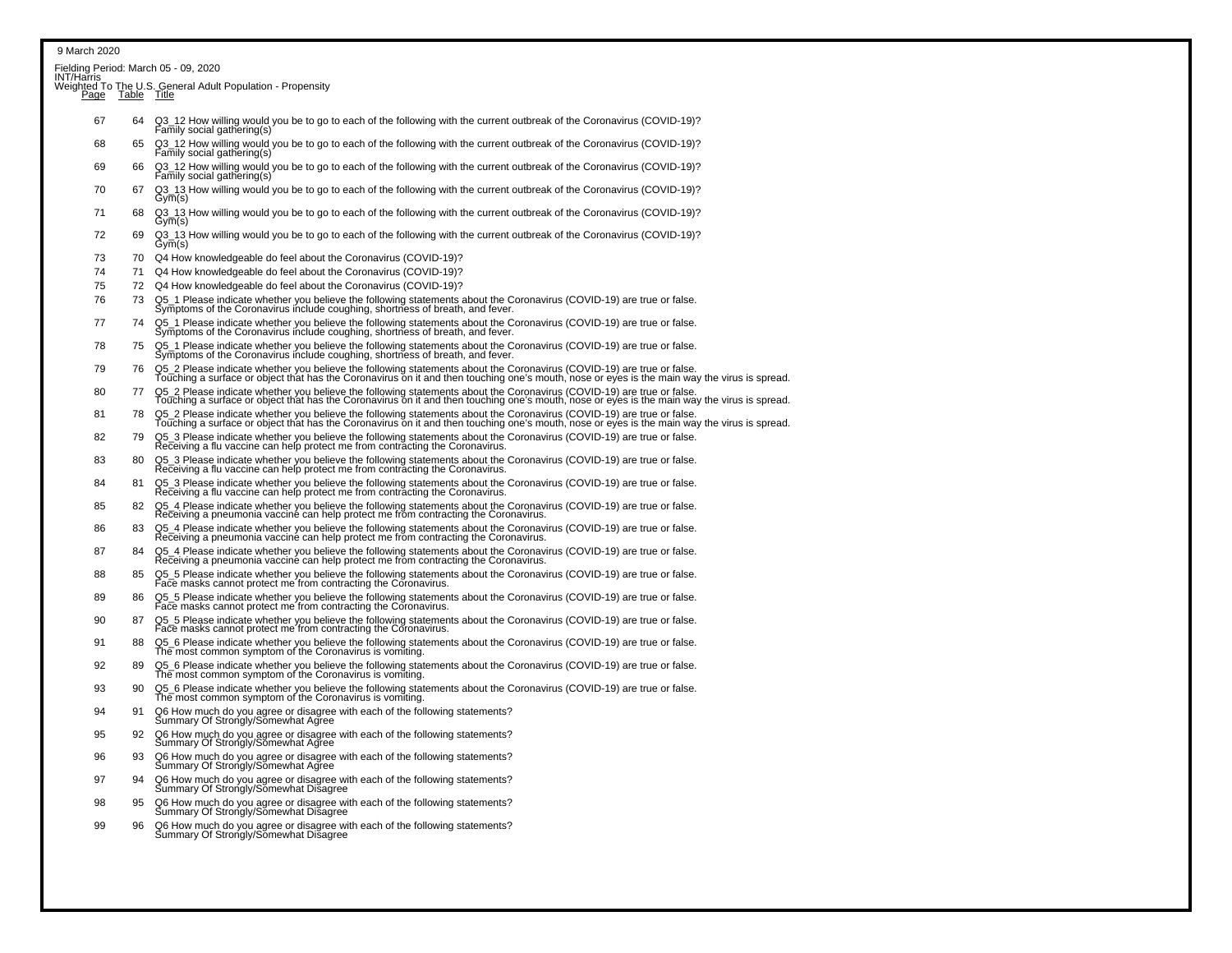|             |                  | Fielding Period: March 05 - 09, 2020                                                                                                                                                                                                                                  |
|-------------|------------------|-----------------------------------------------------------------------------------------------------------------------------------------------------------------------------------------------------------------------------------------------------------------------|
| INT/Har̃ris | Page Table Title | Weighted To The U.S. General Adult Population - Propensity                                                                                                                                                                                                            |
| 67          | 64               | Q3_12 How willing would you be to go to each of the following with the current outbreak of the Coronavirus (COVID-19)?<br>Family social gathering(s)                                                                                                                  |
| 68          | 65               | Q3_12 How willing would you be to go to each of the following with the current outbreak of the Coronavirus (COVID-19)?<br>Family social gathering(s)                                                                                                                  |
| 69          | 66               | Q3_12 How willing would you be to go to each of the following with the current outbreak of the Coronavirus (COVID-19)?<br>Family social gathering(s)                                                                                                                  |
| 70          | 67               | Q3_13 How willing would you be to go to each of the following with the current outbreak of the Coronavirus (COVID-19)?<br>Gym(s)                                                                                                                                      |
| 71          | 68               | Q3_13 How willing would you be to go to each of the following with the current outbreak of the Coronavirus (COVID-19)?<br>Gym(s)                                                                                                                                      |
| 72          | 69               | Q3_13 How willing would you be to go to each of the following with the current outbreak of the Coronavirus (COVID-19)?<br>Gym(s)                                                                                                                                      |
| 73          | 70               | Q4 How knowledgeable do feel about the Coronavirus (COVID-19)?                                                                                                                                                                                                        |
| 74          | 71               | Q4 How knowledgeable do feel about the Coronavirus (COVID-19)?                                                                                                                                                                                                        |
| 75          | 72               | Q4 How knowledgeable do feel about the Coronavirus (COVID-19)?                                                                                                                                                                                                        |
| 76          | 73               | Q5_1 Please indicate whether you believe the following statements about the Coronavirus (COVID-19) are true or false.<br>Symptoms of the Coronavirus include coughing, shortness of breath, and fever.                                                                |
| 77          | 74               | Q5_1 Please indicate whether you believe the following statements about the Coronavirus (COVID-19) are true or false.<br>Symptoms of the Coronavirus include coughing, shortness of breath, and fever.                                                                |
| 78          | 75               | Q5_1 Please indicate whether you believe the following statements about the Coronavirus (COVID-19) are true or false.<br>Symptoms of the Coronavirus include coughing, shortness of breath, and fever.                                                                |
| 79          | 76               | Q5_2 Please indicate whether you believe the following statements about the Coronavirus (COVID-19) are true or false.<br>Touching a surface or object that has the Coronavirus on it and then touching one's mouth, nose or eyes is the main way the virus is spread. |
| 80          | 77               | Q5_2 Please indicate whether you believe the following statements about the Coronavirus (COVID-19) are true or false.<br>Touching a surface or object that has the Coronavirus on it and then touching one's mouth, nose or eyes is the main way the virus is spread. |
| 81          | 78               | Q5_2 Please indicate whether you believe the following statements about the Coronavirus (COVID-19) are true or false.<br>Touching a surface or object that has the Coronavirus on it and then touching one's mouth, nose or eyes                                      |
| 82          | 79               | Q5_3 Please indicate whether you believe the following statements about the Coronavirus (COVID-19) are true or false.<br>Receiving a flu vaccine can help protect me from contracting the Coronavirus.                                                                |
| 83          | 80               | Q5_3 Please indicate whether you believe the following statements about the Coronavirus (COVID-19) are true or false.<br>Receiving a flu vaccine can help protect me from contracting the Coronavirus.                                                                |
| 84          | 81               | Q5_3 Please indicate whether you believe the following statements about the Coronavirus (COVID-19) are true or false.<br>Receiving a flu vaccine can help protect me from contracting the Coronavirus.                                                                |
| 85          | 82               | Q5_4 Please indicate whether you believe the following statements about the Coronavirus (COVID-19) are true or false.<br>Receiving a pneumonia vaccine can help protect me from contracting the Coronavirus.                                                          |
| 86          | 83               | Q5_4 Please indicate whether you believe the following statements about the Coronavirus (COVID-19) are true or false.<br>Receiving a pneumonia vaccine can help protect me from contracting the Coronavirus.                                                          |
| 87          | 84               | Q5_4 Please indicate whether you believe the following statements about the Coronavirus (COVID-19) are true or false.<br>Receiving a pneumonia vaccine can help protect me from contracting the Coronavirus.                                                          |
| 88          | 85               | Q5_5 Please indicate whether you believe the following statements about the Coronavirus (COVID-19) are true or false.<br>Face masks cannot protect me from contracting the Coronavirus.                                                                               |
| 89          | 86               | Q5_5 Please indicate whether you believe the following statements about the Coronavirus (COVID-19) are true or false.<br>Face masks cannot protect me from contracting the Coronavirus.                                                                               |
| 90          | 87               | Q5_5 Please indicate whether you believe the following statements about the Coronavirus (COVID-19) are true or false.<br>Face masks cannot protect me from contracting the Coronavirus.                                                                               |
| 91          | 88               | Q5_6 Please indicate whether you believe the following statements about the Coronavirus (COVID-19) are true or false.<br>The most common symptom of the Coronavirus is vomiting.                                                                                      |
| 92          | 89               | Q5_6 Please indicate whether you believe the following statements about the Coronavirus (COVID-19) are true or false.<br>The most common symptom of the Coronavirus is vomiting.                                                                                      |
| 93          | 90               | Q5_6 Please indicate whether you believe the following statements about the Coronavirus (COVID-19) are true or false.<br>The most common symptom of the Coronavirus is vomiting.                                                                                      |
| 94          | 91               | Q6 How much do you agree or disagree with each of the following statements?<br>Summary Of Strongly/Somewhat Agree                                                                                                                                                     |
| 95          | 92               | Q6 How much do you agree or disagree with each of the following statements?<br>Summary Of Strongly/Somewhat Agree                                                                                                                                                     |
| 96          | 93               | Q6 How much do you agree or disagree with each of the following statements?<br>Summary Of Strongly/Somewhat Agree                                                                                                                                                     |
| 97          | 94               | Q6 How much do you agree or disagree with each of the following statements?<br>Summary Of Strongly/Somewhat Disagree                                                                                                                                                  |
| 98          | 95               | Q6 How much do you agree or disagree with each of the following statements?<br>Summary Of Strongly/Somewhat Disagree                                                                                                                                                  |
| 99          | 96               | Q6 How much do you agree or disagree with each of the following statements?<br>Summary Of Strongly/Somewhat Disagree                                                                                                                                                  |